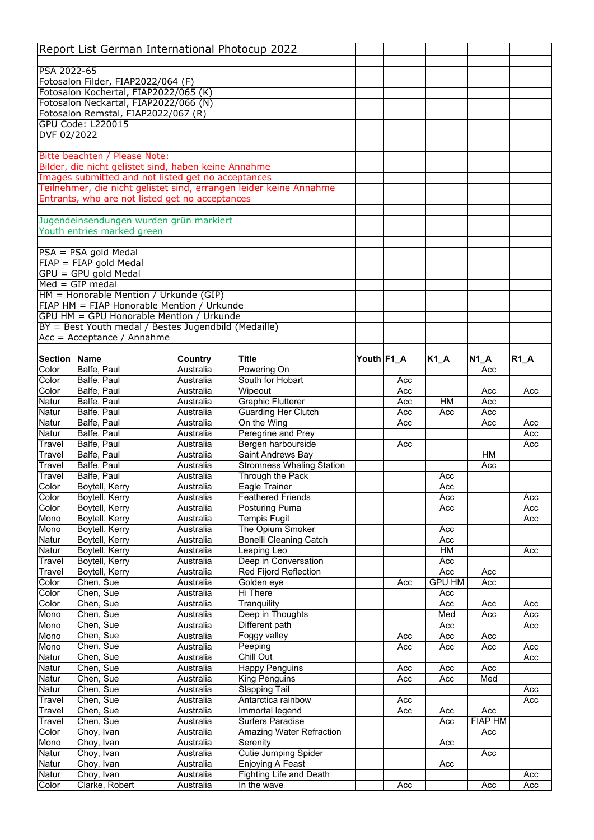|                     | Report List German International Photocup 2022                                       |                        |                                               |            |     |               |                       |            |
|---------------------|--------------------------------------------------------------------------------------|------------------------|-----------------------------------------------|------------|-----|---------------|-----------------------|------------|
|                     |                                                                                      |                        |                                               |            |     |               |                       |            |
| PSA 2022-65         |                                                                                      |                        |                                               |            |     |               |                       |            |
|                     | Fotosalon Filder, FIAP2022/064 (F)                                                   |                        |                                               |            |     |               |                       |            |
|                     | Fotosalon Kochertal, FIAP2022/065 (K)                                                |                        |                                               |            |     |               |                       |            |
|                     | Fotosalon Neckartal, FIAP2022/066 (N)                                                |                        |                                               |            |     |               |                       |            |
|                     | Fotosalon Remstal, FIAP2022/067 (R)<br><b>GPU Code: L220015</b>                      |                        |                                               |            |     |               |                       |            |
| DVF 02/2022         |                                                                                      |                        |                                               |            |     |               |                       |            |
|                     |                                                                                      |                        |                                               |            |     |               |                       |            |
|                     | Bitte beachten / Please Note:                                                        |                        |                                               |            |     |               |                       |            |
|                     | Bilder, die nicht gelistet sind, haben keine Annahme                                 |                        |                                               |            |     |               |                       |            |
|                     | Images submitted and not listed get no acceptances                                   |                        |                                               |            |     |               |                       |            |
|                     | Teilnehmer, die nicht gelistet sind, errangen leider keine Annahme                   |                        |                                               |            |     |               |                       |            |
|                     | Entrants, who are not listed get no acceptances                                      |                        |                                               |            |     |               |                       |            |
|                     |                                                                                      |                        |                                               |            |     |               |                       |            |
|                     | Jugendeinsendungen wurden grün markiert                                              |                        |                                               |            |     |               |                       |            |
|                     | Youth entries marked green                                                           |                        |                                               |            |     |               |                       |            |
|                     |                                                                                      |                        |                                               |            |     |               |                       |            |
|                     | $PSA = PSA$ gold Medal                                                               |                        |                                               |            |     |               |                       |            |
|                     | $FIAP = FIAP$ gold Medal                                                             |                        |                                               |            |     |               |                       |            |
|                     | GPU = GPU gold Medal                                                                 |                        |                                               |            |     |               |                       |            |
|                     | $Med = GIP \text{ medal}$                                                            |                        |                                               |            |     |               |                       |            |
|                     | HM = Honorable Mention / Urkunde (GIP)<br>FIAP HM = FIAP Honorable Mention / Urkunde |                        |                                               |            |     |               |                       |            |
|                     | GPU HM = GPU Honorable Mention / Urkunde                                             |                        |                                               |            |     |               |                       |            |
|                     | BY = Best Youth medal / Bestes Jugendbild (Medaille)                                 |                        |                                               |            |     |               |                       |            |
|                     | Acc = Acceptance / Annahme                                                           |                        |                                               |            |     |               |                       |            |
|                     |                                                                                      |                        |                                               |            |     |               |                       |            |
| <b>Section Name</b> |                                                                                      | Country                | <b>Title</b>                                  | Youth F1_A |     | $K1_A$        | <b>N1 A</b>           | $R1_A$     |
| Color               | Balfe, Paul                                                                          | Australia              | Powering On                                   |            |     |               | Acc                   |            |
| Color               | Balfe, Paul                                                                          | Australia              | South for Hobart                              |            | Acc |               |                       |            |
| Color               | Balfe, Paul                                                                          | Australia              | Wipeout                                       |            | Acc |               | Acc                   | Acc        |
| Natur               | Balfe, Paul                                                                          | Australia              | <b>Graphic Flutterer</b>                      |            | Acc | <b>HM</b>     | Acc                   |            |
| Natur               | Balfe, Paul                                                                          | Australia              | <b>Guarding Her Clutch</b>                    |            | Acc | Acc           | Acc                   |            |
| Natur               | Balfe, Paul                                                                          | Australia              | On the Wing                                   |            | Acc |               | Acc                   | Acc        |
| Natur               | Balfe, Paul                                                                          | Australia              | Peregrine and Prey                            |            |     |               |                       | Acc        |
| Travel              | Balfe, Paul                                                                          | Australia              | Bergen harbourside                            |            | Acc |               |                       | Acc        |
| Travel              | Balfe, Paul                                                                          | Australia              | Saint Andrews Bay                             |            |     |               | HМ                    |            |
| Travel              | Balfe, Paul                                                                          | Australia              | <b>Stromness Whaling Station</b>              |            |     |               | Acc                   |            |
| Travel              | Balfe, Paul                                                                          | Australia              | Through the Pack                              |            |     | Acc           |                       |            |
| Color<br>Color      | Boytell, Kerry<br>Boytell, Kerry                                                     | Australia<br>Australia | Eagle Trainer<br><b>Feathered Friends</b>     |            |     | Acc<br>Acc    |                       | Acc        |
| Color               | Boytell, Kerry                                                                       | Australia              | Posturing Puma                                |            |     | Acc           |                       | Acc        |
| Mono                | Boytell, Kerry                                                                       | Australia              | <b>Tempis Fugit</b>                           |            |     |               |                       | Acc        |
| Mono                | Boytell, Kerry                                                                       | Australia              | The Opium Smoker                              |            |     | Acc           |                       |            |
| Natur               | Boytell, Kerry                                                                       | Australia              | <b>Bonelli Cleaning Catch</b>                 |            |     | Acc           |                       |            |
| Natur               | Boytell, Kerry                                                                       | Australia              | Leaping Leo                                   |            |     | HM            |                       | Acc        |
| Travel              | Boytell, Kerry                                                                       | Australia              | Deep in Conversation                          |            |     | Acc           |                       |            |
| <b>Travel</b>       | Boytell, Kerry                                                                       | Australia              | Red Fijord Reflection                         |            |     | Acc           | Acc                   |            |
| Color               | Chen, Sue                                                                            | Australia              | Golden eye                                    |            | Acc | <b>GPU HM</b> | Acc                   |            |
| Color               | Chen, Sue                                                                            | Australia              | Hi There                                      |            |     | Acc           |                       |            |
| Color               | Chen, Sue                                                                            | Australia              | Tranquility                                   |            |     | Acc           | Acc                   | Acc        |
| Mono                | Chen, Sue                                                                            | Australia              | Deep in Thoughts                              |            |     | Med           | Acc                   | Acc        |
| Mono                | Chen, Sue                                                                            | Australia              | Different path                                |            |     | Acc           |                       | Acc        |
| Mono                | Chen, Sue                                                                            | Australia              | Foggy valley                                  |            | Acc | Acc           | Acc                   |            |
| Mono                | Chen, Sue<br>Chen, Sue                                                               | Australia              | Peeping<br>Chill Out                          |            | Acc | Acc           | Acc                   | Acc<br>Acc |
| Natur<br>Natur      | Chen, Sue                                                                            | Australia<br>Australia | <b>Happy Penguins</b>                         |            | Acc | Acc           | Acc                   |            |
| Natur               | Chen, Sue                                                                            | Australia              | King Penguins                                 |            | Acc | Acc           | Med                   |            |
| Natur               |                                                                                      |                        |                                               |            |     |               |                       | Acc        |
|                     |                                                                                      |                        |                                               |            |     |               |                       |            |
|                     | Chen, Sue                                                                            | Australia              | <b>Slapping Tail</b>                          |            |     |               |                       |            |
| Travel              | Chen, Sue                                                                            | Australia              | Antarctica rainbow                            |            | Acc |               |                       | Acc        |
| Travel<br>Travel    | Chen, Sue<br>Chen, Sue                                                               | Australia<br>Australia | Immortal legend<br><b>Surfers Paradise</b>    |            | Acc | Acc<br>Acc    | Acc<br><b>FIAP HM</b> |            |
| Color               | Choy, Ivan                                                                           | Australia              |                                               |            |     |               | Acc                   |            |
| Mono                | Choy, Ivan                                                                           | Australia              | Amazing Water Refraction<br>Serenity          |            |     | Acc           |                       |            |
| Natur               | Choy, Ivan                                                                           | Australia              | <b>Cutie Jumping Spider</b>                   |            |     |               | Acc                   |            |
| Natur               | Choy, Ivan                                                                           | Australia              | Enjoying A Feast                              |            |     | Acc           |                       |            |
| Natur<br>Color      | Choy, Ivan<br>Clarke, Robert                                                         | Australia<br>Australia | <b>Fighting Life and Death</b><br>In the wave |            | Acc |               | Acc                   | Acc<br>Acc |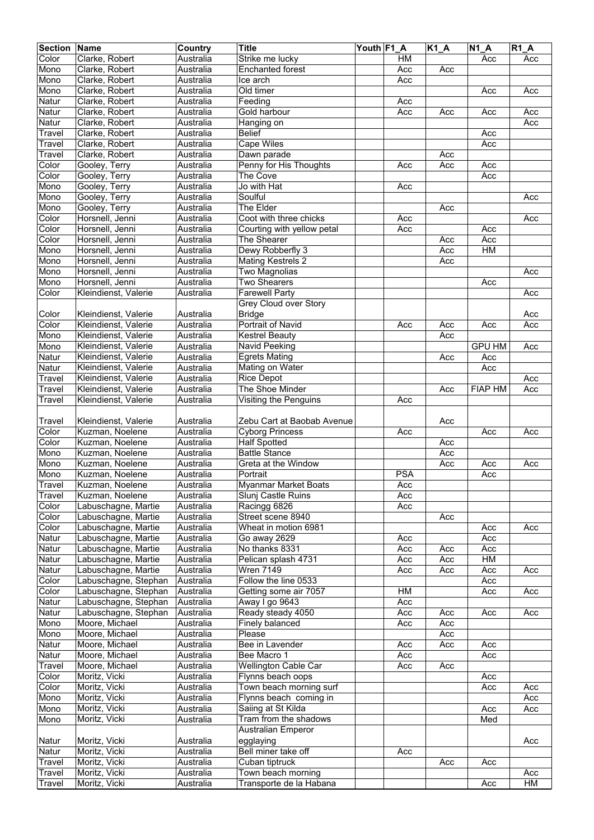| <b>Section Name</b> |                      | Country   | <b>Title</b>                | Youth F1 A |            | $K1_A$ | $\overline{N1}A$ | <b>R1 A</b> |
|---------------------|----------------------|-----------|-----------------------------|------------|------------|--------|------------------|-------------|
| Color               | Clarke, Robert       | Australia | Strike me lucky             |            | <b>HM</b>  |        | Acc              | Acc         |
| Mono                | Clarke, Robert       | Australia | <b>Enchanted forest</b>     |            | Acc        | Acc    |                  |             |
| Mono                | Clarke, Robert       | Australia | Ice arch                    |            | Acc        |        |                  |             |
| Mono                | Clarke, Robert       | Australia | Old timer                   |            |            |        | Acc              | Acc         |
| Natur               | Clarke, Robert       | Australia | Feeding                     |            |            |        |                  |             |
|                     |                      | Australia | Gold harbour                |            | Acc        |        |                  |             |
| Natur               | Clarke, Robert       |           |                             |            | Acc        | Acc    | Acc              | Acc         |
| Natur               | Clarke, Robert       | Australia | Hanging on                  |            |            |        |                  | Acc         |
| Travel              | Clarke, Robert       | Australia | <b>Belief</b>               |            |            |        | Acc              |             |
| Travel              | Clarke, Robert       | Australia | <b>Cape Wiles</b>           |            |            |        | Acc              |             |
| Travel              | Clarke, Robert       | Australia | Dawn parade                 |            |            | Acc    |                  |             |
| Color               | Gooley, Terry        | Australia | Penny for His Thoughts      |            | Acc        | Acc    | Acc              |             |
| Color               | Gooley, Terry        | Australia | The Cove                    |            |            |        | Acc              |             |
| Mono                | Gooley, Terry        | Australia | Jo with Hat                 |            | Acc        |        |                  |             |
| Mono                | Gooley, Terry        | Australia | Soulful                     |            |            |        |                  | Acc         |
| Mono                | Gooley, Terry        | Australia | <b>The Elder</b>            |            |            | Acc    |                  |             |
| Color               | Horsnell, Jenni      | Australia | Coot with three chicks      |            | Acc        |        |                  | Acc         |
| Color               | Horsnell, Jenni      | Australia | Courting with yellow petal  |            | Acc        |        | Acc              |             |
| Color               | Horsnell, Jenni      | Australia | The Shearer                 |            |            | Acc    | Acc              |             |
| Mono                | Horsnell, Jenni      | Australia | Dewy Robberfly 3            |            |            | Acc    | $\overline{HM}$  |             |
|                     |                      |           |                             |            |            |        |                  |             |
| Mono                | Horsnell, Jenni      | Australia | <b>Mating Kestrels 2</b>    |            |            | Acc    |                  |             |
| Mono                | Horsnell, Jenni      | Australia | <b>Two Magnolias</b>        |            |            |        |                  | Acc         |
| Mono                | Horsnell, Jenni      | Australia | <b>Two Shearers</b>         |            |            |        | Acc              |             |
| Color               | Kleindienst, Valerie | Australia | <b>Farewell Party</b>       |            |            |        |                  | Acc         |
|                     |                      |           | Grey Cloud over Story       |            |            |        |                  |             |
| Color               | Kleindienst, Valerie | Australia | <b>Bridge</b>               |            |            |        |                  | Acc         |
| Color               | Kleindienst, Valerie | Australia | <b>Portrait of Navid</b>    |            | Acc        | Acc    | Acc              | Acc         |
| Mono                | Kleindienst, Valerie | Australia | <b>Kestrel Beauty</b>       |            |            | Acc    |                  |             |
| Mono                | Kleindienst, Valerie | Australia | Navid Peeking               |            |            |        | <b>GPU HM</b>    | Acc         |
| Natur               | Kleindienst, Valerie | Australia | <b>Egrets Mating</b>        |            |            | Acc    | Acc              |             |
| Natur               | Kleindienst, Valerie | Australia | Mating on Water             |            |            |        | Acc              |             |
| Travel              | Kleindienst, Valerie | Australia | <b>Rice Depot</b>           |            |            |        |                  | Acc         |
| Travel              | Kleindienst, Valerie | Australia | The Shoe Minder             |            |            | Acc    | <b>FIAP HM</b>   | Acc         |
|                     |                      |           |                             |            |            |        |                  |             |
| Travel              | Kleindienst, Valerie | Australia | Visiting the Penguins       |            | Acc        |        |                  |             |
|                     |                      |           |                             |            |            |        |                  |             |
| Travel              | Kleindienst, Valerie | Australia | Zebu Cart at Baobab Avenue  |            |            | Acc    |                  |             |
| Color               | Kuzman, Noelene      | Australia | <b>Cyborg Princess</b>      |            | Acc        |        | Acc              | Acc         |
| Color               | Kuzman, Noelene      | Australia | <b>Half Spotted</b>         |            |            | Acc    |                  |             |
| Mono                | Kuzman, Noelene      | Australia | <b>Battle Stance</b>        |            |            | Acc    |                  |             |
| Mono                | Kuzman, Noelene      | Australia | Greta at the Window         |            |            | Acc    | Acc              | Acc         |
| Mono                | Kuzman, Noelene      | Australia | Portrait                    |            | <b>PSA</b> |        | Acc              |             |
| Travel              | Kuzman, Noelene      | Australia | <b>Myanmar Market Boats</b> |            | Acc        |        |                  |             |
| Travel              | Kuzman, Noelene      | Australia | Slunj Castle Ruins          |            | Acc        |        |                  |             |
| Color               | Labuschagne, Martie  | Australia | Racingg 6826                |            | Acc        |        |                  |             |
| Color               | Labuschagne, Martie  | Australia | Street scene 8940           |            |            | Acc    |                  |             |
|                     | Labuschagne, Martie  | Australia | Wheat in motion 6981        |            |            |        |                  |             |
| Color               | Labuschagne, Martie  |           |                             |            |            |        | Acc<br>Acc       | Acc         |
| Natur               |                      | Australia | Go away 2629                |            | Acc        |        |                  |             |
| Natur               | Labuschagne, Martie  | Australia | No thanks 8331              |            | Acc        | Acc    | Acc              |             |
| Natur               | Labuschagne, Martie  | Australia | Pelican splash 4731         |            | Acc        | Acc    | HM               |             |
| Natur               | Labuschagne, Martie  | Australia | <b>Wren 7149</b>            |            | Acc        | Acc    | Acc              | Acc         |
| Color               | Labuschagne, Stephan | Australia | Follow the line 0533        |            |            |        | Acc              |             |
| Color               | Labuschagne, Stephan | Australia | Getting some air 7057       |            | HM         |        | Acc              | Acc         |
| Natur               | Labuschagne, Stephan | Australia | Away I go 9643              |            | Acc        |        |                  |             |
| Natur               | Labuschagne, Stephan | Australia | Ready steady 4050           |            | Acc        | Acc    | Acc              | Acc         |
| Mono                | Moore, Michael       | Australia | Finely balanced             |            | Acc        | Acc    |                  |             |
| Mono                | Moore, Michael       | Australia | Please                      |            |            | Acc    |                  |             |
| Natur               | Moore, Michael       | Australia | Bee in Lavender             |            | Acc        | Acc    | Acc              |             |
| Natur               | Moore, Michael       | Australia | Bee Macro 1                 |            | Acc        |        | Acc              |             |
| Travel              | Moore, Michael       | Australia | <b>Wellington Cable Car</b> |            | Acc        | Acc    |                  |             |
| Color               | Moritz, Vicki        | Australia | Flynns beach oops           |            |            |        | Acc              |             |
| Color               |                      |           | Town beach morning surf     |            |            |        |                  |             |
|                     | Moritz, Vicki        | Australia |                             |            |            |        | Acc              | Acc         |
| Mono                | Moritz, Vicki        | Australia | Flynns beach coming in      |            |            |        |                  | Acc         |
| Mono                | Moritz, Vicki        | Australia | Saiing at St Kilda          |            |            |        | Acc              | Acc         |
| Mono                | Moritz, Vicki        | Australia | Tram from the shadows       |            |            |        | Med              |             |
|                     |                      |           | <b>Australian Emperor</b>   |            |            |        |                  |             |
| Natur               | Moritz, Vicki        | Australia | egglaying                   |            |            |        |                  | Acc         |
| Natur               | Moritz, Vicki        | Australia | Bell miner take off         |            | Acc        |        |                  |             |
| Travel              | Moritz, Vicki        | Australia | Cuban tiptruck              |            |            | Acc    | Acc              |             |
| Travel              | Moritz, Vicki        | Australia | Town beach morning          |            |            |        |                  | Acc         |
| Travel              | Moritz, Vicki        | Australia | Transporte de la Habana     |            |            |        | Acc              | HM          |
|                     |                      |           |                             |            |            |        |                  |             |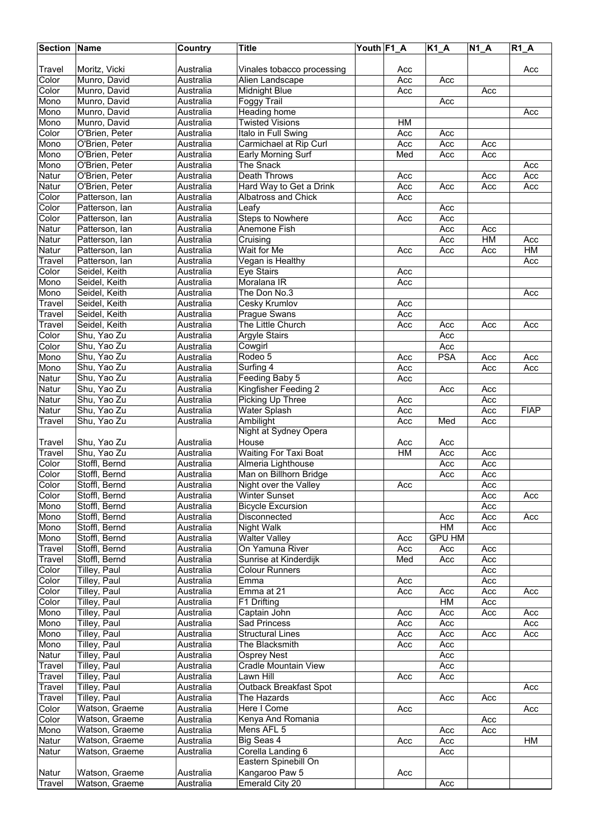| <b>Section</b> | Name                           | Country                | <b>Title</b>                                 | Youth F1_A |            | $K1_A$        | <b>N1 A</b> | $R1_A$      |
|----------------|--------------------------------|------------------------|----------------------------------------------|------------|------------|---------------|-------------|-------------|
|                |                                |                        |                                              |            |            |               |             |             |
| Travel         | Moritz, Vicki                  | Australia              | Vinales tobacco processing                   |            | Acc        |               |             | Acc         |
| Color          | Munro, David                   | Australia              | Alien Landscape                              |            | Acc        | Acc           |             |             |
| Color          | Munro, David                   | Australia              | <b>Midnight Blue</b>                         |            | Acc        |               | Acc         |             |
| Mono           | Munro, David<br>Munro, David   | Australia              | Foggy Trail                                  |            |            | Acc           |             |             |
| Mono<br>Mono   | Munro, David                   | Australia<br>Australia | Heading home<br><b>Twisted Visions</b>       |            | HM         |               |             | Acc         |
| Color          | O'Brien, Peter                 | Australia              | Italo in Full Swing                          |            | Acc        | Acc           |             |             |
| Mono           | O'Brien, Peter                 | Australia              | Carmichael at Rip Curl                       |            | Acc        | Acc           | Acc         |             |
| Mono           | O'Brien, Peter                 | Australia              | <b>Early Morning Surf</b>                    |            | Med        | Acc           | Acc         |             |
| Mono           | O'Brien, Peter                 | Australia              | The Snack                                    |            |            |               |             | Acc         |
| Natur          | O'Brien, Peter                 | Australia              | <b>Death Throws</b>                          |            | Acc        |               | Acc         | Acc         |
| Natur          | O'Brien, Peter                 | Australia              | Hard Way to Get a Drink                      |            | Acc        | Acc           | Acc         | Acc         |
| Color          | Patterson, lan                 | Australia              | Albatross and Chick                          |            | Acc        |               |             |             |
| Color          | Patterson, lan                 | Australia              | Leafy                                        |            |            | Acc           |             |             |
| Color          | Patterson, lan                 | Australia              | <b>Steps to Nowhere</b>                      |            | Acc        | Acc           |             |             |
| Natur          | Patterson, Ian                 | Australia              | Anemone Fish                                 |            |            | Acc           | Acc         |             |
| Natur          | Patterson, lan                 | Australia              | Cruising                                     |            |            | Acc           | HM          | Acc         |
| Natur          | Patterson, lan                 | Australia              | Wait for Me                                  |            | Acc        | Acc           | Acc         | H M         |
| Travel         | Patterson, lan                 | Australia              | Vegan is Healthy                             |            |            |               |             | Acc         |
| Color<br>Mono  | Seidel, Keith                  | Australia              | Eye Stairs                                   |            | Acc        |               |             |             |
|                | Seidel, Keith                  | Australia              | Moralana IR                                  |            | Acc        |               |             |             |
| Mono<br>Travel | Seidel, Keith<br>Seidel, Keith | Australia<br>Australia | The Don No.3<br><b>Cesky Krumlov</b>         |            | Acc        |               |             | Acc         |
| Travel         | Seidel, Keith                  | Australia              | <b>Prague Swans</b>                          |            | Acc        |               |             |             |
| Travel         | Seidel, Keith                  | Australia              | The Little Church                            |            | Acc        | Acc           | Acc         | Acc         |
| Color          | Shu, Yao Zu                    | Australia              | Argyle Stairs                                |            |            | Acc           |             |             |
| Color          | Shu, Yao Zu                    | Australia              | Cowgirl                                      |            |            | Acc           |             |             |
| Mono           | Shu, Yao Zu                    | Australia              | Rodeo 5                                      |            | Acc        | <b>PSA</b>    | Acc         | Acc         |
| Mono           | Shu, Yao Zu                    | Australia              | Surfing 4                                    |            | Acc        |               | Acc         | Acc         |
| Natur          | Shu, Yao Zu                    | Australia              | Feeding Baby 5                               |            | Acc        |               |             |             |
| Natur          | Shu, Yao Zu                    | Australia              | Kingfisher Feeding 2                         |            |            | Acc           | Acc         |             |
| Natur          | Shu, Yao Zu                    | Australia              | Picking Up Three                             |            | Acc        |               | Acc         |             |
| Natur          | Shu, Yao Zu                    | Australia              | Water Splash                                 |            | Acc        |               | Acc         | <b>FIAP</b> |
| Travel         | Shu, Yao Zu                    | Australia              | Ambilight                                    |            | Acc        | Med           | Acc         |             |
|                |                                |                        | Night at Sydney Opera                        |            |            |               |             |             |
| Travel         | Shu, Yao Zu                    | Australia              | House                                        |            | Acc        | Acc           |             |             |
| Travel         | Shu, Yao Zu                    | Australia              | <b>Waiting For Taxi Boat</b>                 |            | H M        | Acc           | Acc         |             |
| Color<br>Color | Stoffl, Bernd<br>Stoffl, Bernd | Australia<br>Australia | Almeria Lighthouse<br>Man on Billhorn Bridge |            |            | Acc<br>Acc    | Acc<br>Acc  |             |
| Color          | Stoffl, Bernd                  | Australia              | Night over the Valley                        |            | Acc        |               | Acc         |             |
| Color          | Stoffl, Bernd                  | Australia              | <b>Winter Sunset</b>                         |            |            |               | Acc         | Acc         |
| Mono           | Stoffl, Bernd                  | Australia              | <b>Bicycle Excursion</b>                     |            |            |               | Acc         |             |
| Mono           | Stoffl, Bernd                  | Australia              | Disconnected                                 |            |            | Acc           | Acc         | Acc         |
| Mono           | Stoffl, Bernd                  | Australia              | <b>Night Walk</b>                            |            |            | HM            | Acc         |             |
| Mono           | Stoffl, Bernd                  | Australia              | <b>Walter Valley</b>                         |            | Acc        | <b>GPU HM</b> |             |             |
| Travel         | Stoffl, Bernd                  | Australia              | On Yamuna River                              |            | Acc        | Acc           | Acc         |             |
| Travel         | Stoffl, Bernd                  | Australia              | Sunrise at Kinderdijk                        |            | Med        | Acc           | Acc         |             |
| Color          | Tilley, Paul                   | Australia              | <b>Colour Runners</b>                        |            |            |               | Acc         |             |
| Color          | Tilley, Paul                   | Australia              | Emma                                         |            | Acc        |               | Acc         |             |
| Color          | Tilley, Paul                   | Australia              | Emma at 21                                   |            | Acc        | Acc           | Acc         | Acc         |
| Color          | Tilley, Paul                   | Australia              | F1 Drifting                                  |            |            | HM            | Acc         |             |
| Mono           | Tilley, Paul<br>Tilley, Paul   | Australia<br>Australia | Captain John<br>Sad Princess                 |            | Acc        | Acc           | Acc         | Acc         |
| Mono<br>Mono   | Tilley, Paul                   | Australia              | <b>Structural Lines</b>                      |            | Acc<br>Acc | Acc<br>Acc    | Acc         | Acc<br>Acc  |
| Mono           | Tilley, Paul                   | Australia              | The Blacksmith                               |            | Acc        | Acc           |             |             |
| Natur          | Tilley, Paul                   | Australia              | <b>Osprey Nest</b>                           |            |            | Acc           |             |             |
| <b>Travel</b>  | Tilley, Paul                   | Australia              | Cradle Mountain View                         |            |            | Acc           |             |             |
| Travel         | Tilley, Paul                   | Australia              | Lawn Hill                                    |            | Acc        | Acc           |             |             |
| Travel         | Tilley, Paul                   | Australia              | Outback Breakfast Spot                       |            |            |               |             | Acc         |
| Travel         | Tilley, Paul                   | Australia              | The Hazards                                  |            |            | Acc           | Acc         |             |
| Color          | Watson, Graeme                 | Australia              | Here I Come                                  |            | Acc        |               |             | Acc         |
| Color          | Watson, Graeme                 | Australia              | Kenya And Romania                            |            |            |               | Acc         |             |
| Mono           | Watson, Graeme                 | Australia              | Mens AFL 5                                   |            |            | Acc           | Acc         |             |
| Natur          | Watson, Graeme                 | Australia              | Big Seas 4                                   |            | Acc        | Acc           |             | HM          |
| Natur          | Watson, Graeme                 | Australia              | Corella Landing 6                            |            |            | Acc           |             |             |
|                |                                |                        | Eastern Spinebill On                         |            |            |               |             |             |
| Natur          | Watson, Graeme                 | Australia              | Kangaroo Paw 5                               |            | Acc        |               |             |             |
| <b>Travel</b>  | Watson, Graeme                 | Australia              | Emerald City 20                              |            |            | Acc           |             |             |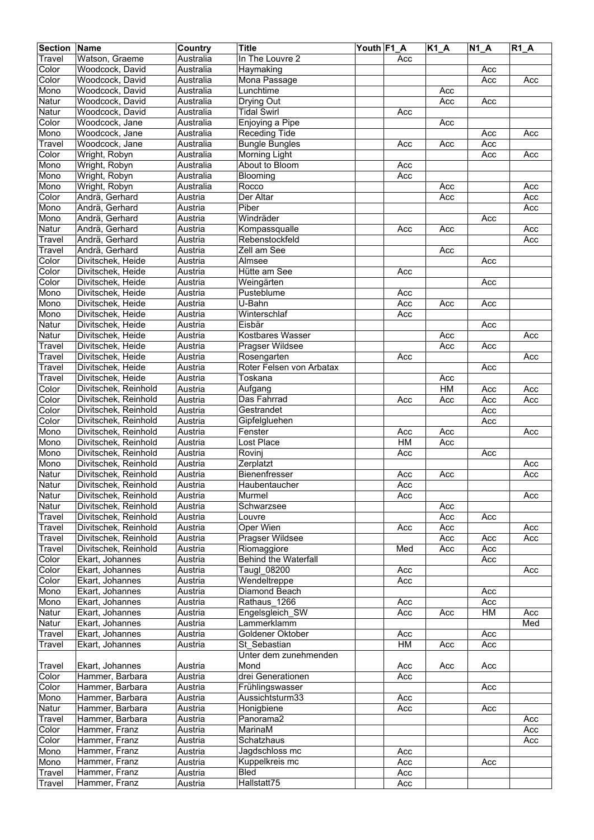| <b>Section</b> | Name                 | Country   | <b>Title</b>                     | Youth F1 A |     | $K1_A$    | <b>N1 A</b>      | $R1_A$ |
|----------------|----------------------|-----------|----------------------------------|------------|-----|-----------|------------------|--------|
| Travel         | Watson, Graeme       | Australia | In The Louvre 2                  |            | Acc |           |                  |        |
| Color          | Woodcock, David      | Australia | Haymaking                        |            |     |           | Acc              |        |
| Color          | Woodcock, David      | Australia | Mona Passage                     |            |     |           | Acc              | Acc    |
| Mono           | Woodcock, David      | Australia | Lunchtime                        |            |     | Acc       |                  |        |
| Natur          | Woodcock, David      | Australia |                                  |            |     | Acc       | Acc              |        |
|                | Woodcock, David      |           | Drying Out<br><b>Tidal Swirl</b> |            |     |           |                  |        |
| Natur          |                      | Australia |                                  |            | Acc |           |                  |        |
| Color          | Woodcock, Jane       | Australia | Enjoying a Pipe                  |            |     | Acc       |                  |        |
| Mono           | Woodcock, Jane       | Australia | Receding Tide                    |            |     |           | Acc              | Acc    |
| Travel         | Woodcock, Jane       | Australia | <b>Bungle Bungles</b>            |            | Acc | Acc       | Acc              |        |
| Color          | Wright, Robyn        | Australia | Morning Light                    |            |     |           | Acc              | Acc    |
| Mono           | Wright, Robyn        | Australia | About to Bloom                   |            | Acc |           |                  |        |
| Mono           | Wright, Robyn        | Australia | Blooming                         |            | Acc |           |                  |        |
| Mono           | Wright, Robyn        | Australia | Rocco                            |            |     | Acc       |                  | Acc    |
| Color          | Andrä, Gerhard       | Austria   | Der Altar                        |            |     | Acc       |                  | Acc    |
| Mono           | Andrä, Gerhard       | Austria   | Piber                            |            |     |           |                  | Acc    |
| Mono           | Andrä, Gerhard       | Austria   | Windräder                        |            |     |           | Acc              |        |
| Natur          | Andrä, Gerhard       | Austria   | Kompassqualle                    |            | Acc | Acc       |                  | Acc    |
| Travel         | Andrä, Gerhard       | Austria   | Rebenstockfeld                   |            |     |           |                  | Acc    |
| Travel         | Andrä, Gerhard       | Austria   | Zell am See                      |            |     | Acc       |                  |        |
| Color          | Divitschek, Heide    | Austria   | Almsee                           |            |     |           | Acc              |        |
| Color          | Divitschek, Heide    | Austria   | Hütte am See                     |            | Acc |           |                  |        |
| Color          |                      |           |                                  |            |     |           |                  |        |
|                | Divitschek, Heide    | Austria   | Weingärten                       |            |     |           | Acc              |        |
| Mono           | Divitschek, Heide    | Austria   | Pusteblume                       |            | Acc |           |                  |        |
| Mono           | Divitschek, Heide    | Austria   | U-Bahn                           |            | Acc | Acc       | Acc              |        |
| Mono           | Divitschek, Heide    | Austria   | Winterschlaf                     |            | Acc |           |                  |        |
| Natur          | Divitschek, Heide    | Austria   | Eisbär                           |            |     |           | Acc              |        |
| Natur          | Divitschek, Heide    | Austria   | Kostbares Wasser                 |            |     | Acc       |                  | Acc    |
| Travel         | Divitschek, Heide    | Austria   | Pragser Wildsee                  |            |     | Acc       | Acc              |        |
| Travel         | Divitschek, Heide    | Austria   | Rosengarten                      |            | Acc |           |                  | Acc    |
| Travel         | Divitschek, Heide    | Austria   | Roter Felsen von Arbatax         |            |     |           | Acc              |        |
| Travel         | Divitschek, Heide    | Austria   | Toskana                          |            |     | Acc       |                  |        |
| Color          | Divitschek, Reinhold | Austria   | Aufgang                          |            |     | <b>HM</b> | Acc              | Acc    |
| Color          | Divitschek, Reinhold | Austria   | Das Fahrrad                      |            | Acc | Acc       | Acc              | Acc    |
| Color          | Divitschek, Reinhold | Austria   | Gestrandet                       |            |     |           | Acc              |        |
| Color          | Divitschek, Reinhold | Austria   | Gipfelgluehen                    |            |     |           | Acc              |        |
| Mono           | Divitschek, Reinhold | Austria   | Fenster                          |            | Acc | Acc       |                  | Acc    |
| Mono           | Divitschek, Reinhold | Austria   | Lost Place                       |            | HM  | Acc       |                  |        |
| Mono           | Divitschek, Reinhold | Austria   | Rovinj                           |            | Acc |           | Acc              |        |
| Mono           | Divitschek, Reinhold |           | Zerplatzt                        |            |     |           |                  |        |
|                |                      | Austria   |                                  |            |     |           |                  | Acc    |
| Natur          | Divitschek, Reinhold | Austria   | <b>Bienenfresser</b>             |            | Acc | Acc       |                  | Acc    |
| Natur          | Divitschek, Reinhold | Austria   | Haubentaucher                    |            | Acc |           |                  |        |
| Natur          | Divitschek, Reinhold | Austria   | Murmel                           |            | Acc |           |                  | Acc    |
| Natur          | Divitschek, Reinhold | Austria   | Schwarzsee                       |            |     | Acc       |                  |        |
| Travel         | Divitschek, Reinhold | Austria   | Louvre                           |            |     | Acc       | Acc              |        |
| Travel         | Divitschek, Reinhold | Austria   | Oper Wien                        |            | Acc | Acc       |                  | Acc    |
| Travel         | Divitschek, Reinhold | Austria   | Pragser Wildsee                  |            |     | Acc       | Acc              | Acc    |
| Travel         | Divitschek, Reinhold | Austria   | Riomaggiore                      |            | Med | Acc       | Acc              |        |
| Color          | Ekart, Johannes      | Austria   | <b>Behind the Waterfall</b>      |            |     |           | Acc              |        |
| Color          | Ekart, Johannes      | Austria   | Taugl 08200                      |            | Acc |           |                  | Acc    |
| Color          | Ekart, Johannes      | Austria   | Wendeltreppe                     |            | Acc |           |                  |        |
| Mono           | Ekart, Johannes      | Austria   | Diamond Beach                    |            |     |           | Acc              |        |
| Mono           | Ekart, Johannes      | Austria   | Rathaus 1266                     |            | Acc |           | Acc              |        |
| Natur          | Ekart, Johannes      | Austria   | Engelsgleich SW                  |            | Acc | Acc       | HM               | Acc    |
| Natur          | Ekart, Johannes      | Austria   | Lammerklamm                      |            |     |           |                  | Med    |
| Travel         | Ekart, Johannes      | Austria   | Goldener Oktober                 |            | Acc |           | Acc              |        |
| Travel         | Ekart, Johannes      | Austria   | St Sebastian                     |            | HM  | Acc       | $\overline{Acc}$ |        |
|                |                      |           | Unter dem zunehmenden            |            |     |           |                  |        |
| Travel         | Ekart, Johannes      | Austria   | Mond                             |            | Acc | Acc       | Acc              |        |
| Color          | Hammer, Barbara      | Austria   | drei Generationen                |            | Acc |           |                  |        |
| Color          | Hammer, Barbara      | Austria   | Frühlingswasser                  |            |     |           | Acc              |        |
| Mono           | Hammer, Barbara      | Austria   | Aussichtsturm33                  |            | Acc |           |                  |        |
|                |                      |           |                                  |            |     |           |                  |        |
| Natur          | Hammer, Barbara      | Austria   | Honigbiene                       |            | Acc |           | Acc              |        |
| Travel         | Hammer, Barbara      | Austria   | Panorama2                        |            |     |           |                  | Acc    |
| Color          | Hammer, Franz        | Austria   | MarinaM                          |            |     |           |                  | Acc    |
| Color          | Hammer, Franz        | Austria   | Schatzhaus                       |            |     |           |                  | Acc    |
| Mono           | Hammer, Franz        | Austria   | Jagdschloss mc                   |            | Acc |           |                  |        |
| Mono           | Hammer, Franz        | Austria   | Kuppelkreis mc                   |            | Acc |           | Acc              |        |
| Travel         | Hammer, Franz        | Austria   | <b>Bled</b>                      |            | Acc |           |                  |        |
| Travel         | Hammer, Franz        | Austria   | Hallstatt75                      |            | Acc |           |                  |        |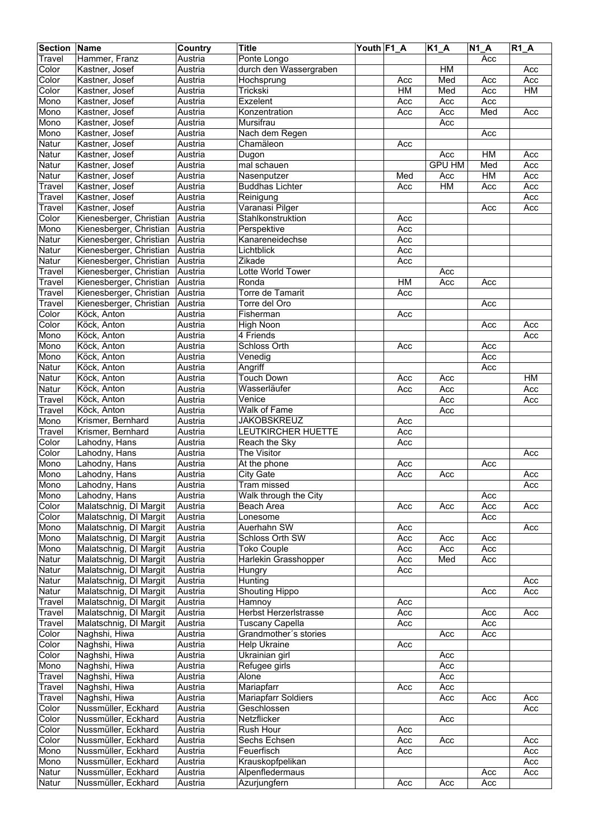| <b>Section Name</b> |                                                  | Country | <b>Title</b>               | Youth F1_A |     | $K1_A$        | N1A | $R1$ $A$ |
|---------------------|--------------------------------------------------|---------|----------------------------|------------|-----|---------------|-----|----------|
| Travel              | Hammer, Franz                                    | Austria | Ponte Longo                |            |     |               | Acc |          |
| Color               | Kastner, Josef                                   | Austria | durch den Wassergraben     |            |     | HM            |     | Acc      |
| Color               | Kastner, Josef                                   | Austria | Hochsprung                 |            | Acc | Med           | Acc | Acc      |
| Color               | Kastner, Josef                                   | Austria | Trickski                   |            | H M | Med           | Acc | H M      |
|                     | Kastner, Josef                                   |         |                            |            |     |               |     |          |
| Mono                |                                                  | Austria | Exzelent                   |            | Acc | Acc           | Acc |          |
| Mono                | Kastner, Josef                                   | Austria | Konzentration              |            | Acc | Acc           | Med | Acc      |
| Mono                | Kastner, Josef                                   | Austria | Mursifrau                  |            |     | Acc           |     |          |
| Mono                | Kastner, Josef                                   | Austria | Nach dem Regen             |            |     |               | Acc |          |
| Natur               | Kastner, Josef                                   | Austria | Chamäleon                  |            | Acc |               |     |          |
| Natur               | Kastner, Josef                                   | Austria | Dugon                      |            |     | Acc           | HM  | Acc      |
| Natur               | Kastner, Josef                                   | Austria | mal schauen                |            |     | <b>GPU HM</b> | Med | Acc      |
| Natur               | Kastner, Josef                                   | Austria | Nasenputzer                |            | Med | Acc           | HM  | Acc      |
| Travel              | Kastner, Josef                                   | Austria | <b>Buddhas Lichter</b>     |            | Acc | H M           | Acc | Acc      |
| Travel              | Kastner, Josef                                   | Austria | Reinigung                  |            |     |               |     | Acc      |
| Travel              | Kastner, Josef                                   | Austria | Varanasi Pilger            |            |     |               | Acc | Acc      |
| Color               | Kienesberger, Christian                          | Austria | Stahlkonstruktion          |            | Acc |               |     |          |
| Mono                | Kienesberger, Christian                          | Austria | Perspektive                |            | Acc |               |     |          |
| Natur               | Kienesberger, Christian                          | Austria | Kanareneidechse            |            | Acc |               |     |          |
| Natur               | Kienesberger, Christian                          | Austria | Lichtblick                 |            | Acc |               |     |          |
|                     |                                                  |         | Zikade                     |            |     |               |     |          |
| Natur               | Kienesberger, Christian                          | Austria |                            |            | Acc |               |     |          |
| <b>Travel</b>       | Kienesberger, Christian                          | Austria | Lotte World Tower          |            |     | Acc           |     |          |
| Travel              | Kienesberger, Christian                          | Austria | Ronda                      |            | H M | Acc           | Acc |          |
| Travel              | Kienesberger, Christian                          | Austria | <b>Torre de Tamarit</b>    |            | Acc |               |     |          |
| Travel              | Kienesberger, Christian                          | Austria | Torre del Oro              |            |     |               | Acc |          |
| Color               | Köck, Anton                                      | Austria | Fisherman                  |            | Acc |               |     |          |
| Color               | Köck, Anton                                      | Austria | <b>High Noon</b>           |            |     |               | Acc | Acc      |
| Mono                | Köck, Anton                                      | Austria | 4 Friends                  |            |     |               |     | Acc      |
| Mono                | Köck, Anton                                      | Austria | Schloss Orth               |            | Acc |               | Acc |          |
| Mono                | Köck, Anton                                      | Austria | Venedig                    |            |     |               | Acc |          |
| Natur               | Köck, Anton                                      | Austria | Angriff                    |            |     |               | Acc |          |
| Natur               | Köck, Anton                                      | Austria | <b>Touch Down</b>          |            | Acc | Acc           |     | HM       |
| Natur               | Köck, Anton                                      | Austria | Wasserläufer               |            | Acc | Acc           |     | Acc      |
|                     | Köck, Anton                                      |         | Venice                     |            |     | Acc           |     |          |
| Travel              |                                                  | Austria |                            |            |     |               |     | Acc      |
| Travel              | Köck, Anton                                      | Austria | Walk of Fame               |            |     | Acc           |     |          |
| Mono                | Krismer, Bernhard                                | Austria | <b>JAKOBSKREUZ</b>         |            | Acc |               |     |          |
| Travel              | Krismer, Bernhard                                | Austria | LEUTKIRCHER HUETTE         |            | Acc |               |     |          |
| Color               | Lahodny, Hans                                    | Austria | Reach the Sky              |            | Acc |               |     |          |
| Color               | Lahodny, Hans                                    | Austria | The Visitor                |            |     |               |     | Acc      |
| Mono                | Lahodny, Hans                                    | Austria | At the phone               |            | Acc |               | Acc |          |
| Mono                | Lahodny, Hans                                    | Austria | <b>City Gate</b>           |            | Acc | Acc           |     | Acc      |
| Mono                | Lahodny, Hans                                    | Austria | Tram missed                |            |     |               |     | Acc      |
| Mono                | Lahodny, Hans                                    | Austria | Walk through the City      |            |     |               | Acc |          |
| Color               | Malatschnig, DI Margit                           | Austria | Beach Area                 |            | Acc | Acc           | Acc | Acc      |
| Color               | Malatschnig, DI Margit                           | Austria | Lonesome                   |            |     |               | Acc |          |
| Mono                | Malatschnig, DI Margit                           | Austria | Auerhahn SW                |            | Acc |               |     | Acc      |
| Mono                | Malatschnig, DI Margit                           | Austria | <b>Schloss Orth SW</b>     |            | Acc | Acc           | Acc |          |
|                     |                                                  |         |                            |            |     |               |     |          |
| Mono                | Malatschnig, DI Margit<br>Malatschnig, DI Margit | Austria | <b>Toko Couple</b>         |            | Acc | Acc           | Acc |          |
| Natur               |                                                  | Austria | Harlekin Grasshopper       |            | Acc | Med           | Acc |          |
| Natur               | Malatschnig, DI Margit                           | Austria | Hungry                     |            | Acc |               |     |          |
| Natur               | Malatschnig, DI Margit                           | Austria | Hunting                    |            |     |               |     | Acc      |
| Natur               | Malatschnig, DI Margit                           | Austria | <b>Shouting Hippo</b>      |            |     |               | Acc | Acc      |
| Travel              | Malatschnig, DI Margit                           | Austria | Hamnoy                     |            | Acc |               |     |          |
| Travel              | Malatschnig, DI Margit                           | Austria | Herbst Herzerlstrasse      |            | Acc |               | Acc | Acc      |
| Travel              | Malatschnig, DI Margit                           | Austria | <b>Tuscany Capella</b>     |            | Acc |               | Acc |          |
| Color               | Naghshi, Hiwa                                    | Austria | Grandmother's stories      |            |     | Acc           | Acc |          |
| Color               | Naghshi, Hiwa                                    | Austria | Help Ukraine               |            | Acc |               |     |          |
| Color               | Naghshi, Hiwa                                    | Austria | Ukrainian girl             |            |     | Acc           |     |          |
| Mono                | Naghshi, Hiwa                                    | Austria | Refugee girls              |            |     | Acc           |     |          |
| Travel              | Naghshi, Hiwa                                    | Austria | Alone                      |            |     | Acc           |     |          |
| Travel              | Naghshi, Hiwa                                    | Austria | Mariapfarr                 |            | Acc | Acc           |     |          |
|                     |                                                  |         |                            |            |     |               |     |          |
| Travel              | Naghshi, Hiwa                                    | Austria | <b>Mariapfarr Soldiers</b> |            |     | Acc           | Acc | Acc      |
| Color               | Nussmüller, Eckhard                              | Austria | Geschlossen                |            |     |               |     | Acc      |
| Color               | Nussmüller, Eckhard                              | Austria | Netzflicker                |            |     | Acc           |     |          |
| Color               | Nussmüller, Eckhard                              | Austria | Rush Hour                  |            | Acc |               |     |          |
| Color               | Nussmüller, Eckhard                              | Austria | Sechs Echsen               |            | Acc | Acc           |     | Acc      |
| Mono                | Nussmüller, Eckhard                              | Austria | Feuerfisch                 |            | Acc |               |     | Acc      |
| Mono                | Nussmüller, Eckhard                              | Austria | Krauskopfpelikan           |            |     |               |     | Acc      |
| Natur               | Nussmüller, Eckhard                              | Austria | Alpenfledermaus            |            |     |               | Acc | Acc      |
| Natur               | Nussmüller, Eckhard                              | Austria | Azurjungfern               |            | Acc | Acc           | Acc |          |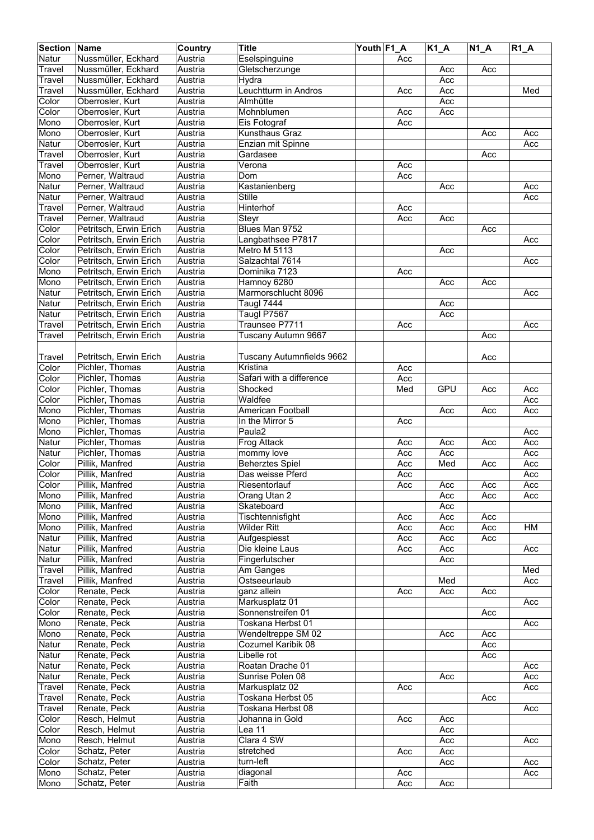| <b>Section Name</b> |                        | Country | <b>Title</b>                  | Youth F1 A |     | $K1_A$     | $\overline{N1}A$ | $R1_A$ |
|---------------------|------------------------|---------|-------------------------------|------------|-----|------------|------------------|--------|
| Natur               | Nussmüller, Eckhard    | Austria | Eselspinguine                 |            | Acc |            |                  |        |
| Travel              | Nussmüller, Eckhard    | Austria | Gletscherzunge                |            |     | Acc        | Acc              |        |
| Travel              | Nussmüller, Eckhard    | Austria | Hydra                         |            |     | Acc        |                  |        |
| Travel              | Nussmüller, Eckhard    | Austria | Leuchtturm in Andros          |            | Acc | Acc        |                  | Med    |
| Color               | Oberrosler, Kurt       |         |                               |            |     | Acc        |                  |        |
|                     |                        | Austria | Almhütte                      |            |     |            |                  |        |
| Color               | Oberrosler, Kurt       | Austria | Mohnblumen                    |            | Acc | Acc        |                  |        |
| Mono                | Oberrosler, Kurt       | Austria | Eis Fotograf                  |            | Acc |            |                  |        |
| Mono                | Oberrosler, Kurt       | Austria | Kunsthaus Graz                |            |     |            | Acc              | Acc    |
| Natur               | Oberrosler, Kurt       | Austria | Enzian mit Spinne             |            |     |            |                  | Acc    |
| Travel              | Oberrosler, Kurt       | Austria | Gardasee                      |            |     |            | Acc              |        |
| Travel              | Oberrosler, Kurt       | Austria | $\overline{\mathsf{V}}$ erona |            | Acc |            |                  |        |
| Mono                | Perner, Waltraud       | Austria | Dom                           |            | Acc |            |                  |        |
| Natur               | Perner, Waltraud       | Austria | Kastanienberg                 |            |     | Acc        |                  | Acc    |
| Natur               | Perner, Waltraud       | Austria | <b>Stille</b>                 |            |     |            |                  | Acc    |
| Travel              | Perner, Waltraud       | Austria | Hinterhof                     |            | Acc |            |                  |        |
| Travel              | Perner, Waltraud       | Austria | Steyr                         |            | Acc | Acc        |                  |        |
| Color               | Petritsch, Erwin Erich | Austria | Blues Man 9752                |            |     |            | Acc              |        |
| Color               | Petritsch, Erwin Erich | Austria | Langbathsee P7817             |            |     |            |                  | Acc    |
| Color               | Petritsch, Erwin Erich | Austria | Metro M 5113                  |            |     | Acc        |                  |        |
|                     |                        |         |                               |            |     |            |                  |        |
| Color               | Petritsch, Erwin Erich | Austria | Salzachtal 7614               |            |     |            |                  | Acc    |
| Mono                | Petritsch, Erwin Erich | Austria | Dominika 7123                 |            | Acc |            |                  |        |
| Mono                | Petritsch, Erwin Erich | Austria | Hamnoy 6280                   |            |     | Acc        | Acc              |        |
| Natur               | Petritsch, Erwin Erich | Austria | Marmorschlucht 8096           |            |     |            |                  | Acc    |
| Natur               | Petritsch, Erwin Erich | Austria | Taugl 7444                    |            |     | Acc        |                  |        |
| Natur               | Petritsch, Erwin Erich | Austria | Taugl P7567                   |            |     | Acc        |                  |        |
| Travel              | Petritsch, Erwin Erich | Austria | Traunsee P7711                |            | Acc |            |                  | Acc    |
| Travel              | Petritsch, Erwin Erich | Austria | Tuscany Autumn 9667           |            |     |            | Acc              |        |
|                     |                        |         |                               |            |     |            |                  |        |
| Travel              | Petritsch, Erwin Erich | Austria | Tuscany Autumnfields 9662     |            |     |            | Acc              |        |
| Color               | Pichler, Thomas        | Austria | Kristina                      |            | Acc |            |                  |        |
| Color               | Pichler, Thomas        | Austria | Safari with a difference      |            | Acc |            |                  |        |
| Color               | Pichler, Thomas        | Austria | Shocked                       |            | Med | <b>GPU</b> | Acc              | Acc    |
|                     |                        |         | Waldfee                       |            |     |            |                  |        |
| Color               | Pichler, Thomas        | Austria |                               |            |     |            |                  | Acc    |
| Mono                | Pichler, Thomas        | Austria | American Football             |            |     | Acc        | Acc              | Acc    |
| Mono                | Pichler, Thomas        | Austria | In the Mirror 5               |            | Acc |            |                  |        |
| Mono                | Pichler, Thomas        | Austria | Paula <sub>2</sub>            |            |     |            |                  | Acc    |
| Natur               | Pichler, Thomas        | Austria | Frog Attack                   |            | Acc | Acc        | Acc              | Acc    |
| Natur               | Pichler, Thomas        | Austria | mommy love                    |            | Acc | Acc        |                  | Acc    |
| Color               | Pillik, Manfred        | Austria | <b>Beherztes Spiel</b>        |            | Acc | Med        | Acc              | Acc    |
| Color               | Pillik, Manfred        | Austria | Das weisse Pferd              |            | Acc |            |                  | Acc    |
| Color               | Pillik, Manfred        | Austria | Riesentorlauf                 |            | Acc | Acc        | Acc              | Acc    |
| Mono                | Pillik, Manfred        | Austria | Orang Utan 2                  |            |     | Acc        | Acc              | Acc    |
| Mono                | Pillik, Manfred        | Austria | Skateboard                    |            |     | Acc        |                  |        |
| Mono                | Pillik, Manfred        | Austria | Tischtennisfight              |            | Acc | Acc        | Acc              |        |
| Mono                | Pillik, Manfred        | Austria | <b>Wilder Ritt</b>            |            | Acc | Acc        | Acc              | НM     |
| Natur               | Pillik, Manfred        | Austria | Aufgespiesst                  |            | Acc | Acc        | Acc              |        |
|                     | Pillik, Manfred        |         | Die kleine Laus               |            |     |            |                  |        |
| Natur               |                        | Austria |                               |            | Acc | Acc        |                  | Acc    |
| Natur               | Pillik, Manfred        | Austria | Fingerlutscher                |            |     | Acc        |                  |        |
| Travel              | Pillik, Manfred        | Austria | Am Ganges                     |            |     |            |                  | Med    |
| Travel              | Pillik, Manfred        | Austria | Ostseeurlaub                  |            |     | Med        |                  | Acc    |
| Color               | Renate, Peck           | Austria | ganz allein                   |            | Acc | Acc        | Acc              |        |
| Color               | Renate, Peck           | Austria | Markusplatz 01                |            |     |            |                  | Acc    |
| Color               | Renate, Peck           | Austria | Sonnenstreifen 01             |            |     |            | Acc              |        |
| Mono                | Renate, Peck           | Austria | Toskana Herbst 01             |            |     |            |                  | Acc    |
| Mono                | Renate, Peck           | Austria | Wendeltreppe SM 02            |            |     | Acc        | Acc              |        |
| Natur               | Renate, Peck           | Austria | Cozumel Karibik 08            |            |     |            | Acc              |        |
| Natur               | Renate, Peck           | Austria | Libelle rot                   |            |     |            | Acc              |        |
| Natur               | Renate, Peck           | Austria | Roatan Drache 01              |            |     |            |                  | Acc    |
| Natur               | Renate, Peck           | Austria | Sunrise Polen 08              |            |     | Acc        |                  | Acc    |
| Travel              | Renate, Peck           | Austria | Markusplatz 02                |            | Acc |            |                  | Acc    |
| Travel              | Renate, Peck           | Austria | Toskana Herbst 05             |            |     |            | Acc              |        |
| Travel              | Renate, Peck           | Austria | Toskana Herbst 08             |            |     |            |                  | Acc    |
| Color               | Resch, Helmut          |         |                               |            |     |            |                  |        |
|                     |                        | Austria | Johanna in Gold               |            | Acc | Acc        |                  |        |
| Color               | Resch, Helmut          | Austria | Lea 11                        |            |     | Acc        |                  |        |
| Mono                | Resch, Helmut          | Austria | Clara 4 SW                    |            |     | Acc        |                  | Acc    |
| Color               | Schatz, Peter          | Austria | stretched                     |            | Acc | Acc        |                  |        |
| Color               | Schatz, Peter          | Austria | turn-left                     |            |     | Acc        |                  | Acc    |
| Mono                | Schatz, Peter          | Austria | diagonal                      |            | Acc |            |                  | Acc    |
| Mono                | Schatz, Peter          | Austria | Faith                         |            | Acc | Acc        |                  |        |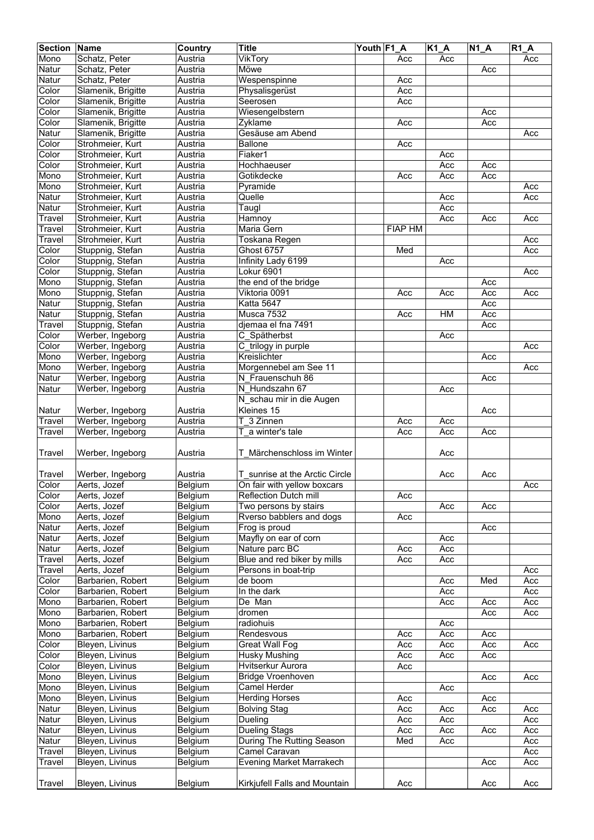| <b>Section</b> | <b>Name</b>                          | Country            | <b>Title</b>                   | Youth F1_A |                  | $\overline{K1}A$ | $\overline{N}$ 1_A | R1A |
|----------------|--------------------------------------|--------------------|--------------------------------|------------|------------------|------------------|--------------------|-----|
| Mono           | Schatz, Peter                        | Austria            | VikTory                        |            | Acc              | Acc              |                    | Acc |
| Natur          | Schatz, Peter                        | Austria            | Möwe                           |            |                  |                  | Acc                |     |
| Natur          | Schatz, Peter                        | Austria            | Wespenspinne                   |            | Acc              |                  |                    |     |
| Color          | Slamenik, Brigitte                   | Austria            | Physalisgerüst                 |            | Acc              |                  |                    |     |
| Color          | Slamenik, Brigitte                   | Austria            | Seerosen                       |            | Acc              |                  |                    |     |
| Color          | Slamenik, Brigitte                   | Austria            | Wiesengelbstern                |            |                  |                  | Acc                |     |
| Color          | Slamenik, Brigitte                   | Austria            | Zyklame                        |            | Acc              |                  | Acc                |     |
| Natur          | Slamenik, Brigitte                   | Austria            | Gesäuse am Abend               |            |                  |                  |                    | Acc |
| Color          | Strohmeier, Kurt                     | Austria            | <b>Ballone</b>                 |            | $\overline{Acc}$ |                  |                    |     |
| Color          | Strohmeier, Kurt                     | Austria            | Fiaker1                        |            |                  | Acc              |                    |     |
| Color          | Strohmeier, Kurt                     | Austria            | Hochhaeuser                    |            |                  | Acc              | Acc                |     |
| Mono           | Strohmeier, Kurt                     | Austria            | Gotikdecke                     |            | Acc              | Acc              | Acc                |     |
| Mono           | Strohmeier, Kurt                     | Austria            | Pyramide                       |            |                  |                  |                    | Acc |
| Natur          | Strohmeier, Kurt                     | Austria            | Quelle                         |            |                  | Acc              |                    | Acc |
| Natur          | Strohmeier, Kurt                     | Austria            | Taugl                          |            |                  | Acc              |                    |     |
| Travel         | Strohmeier, Kurt                     | Austria            | Hamnoy                         |            |                  | Acc              | Acc                | Acc |
|                |                                      |                    |                                |            |                  |                  |                    |     |
| Travel         | Strohmeier, Kurt<br>Strohmeier, Kurt | Austria<br>Austria | Maria Gern                     |            | <b>FIAP HM</b>   |                  |                    |     |
| Travel         |                                      |                    | Toskana Regen                  |            |                  |                  |                    | Acc |
| Color          | Stuppnig, Stefan                     | Austria            | <b>Ghost 6757</b>              |            | Med              |                  |                    | Acc |
| Color          | Stuppnig, Stefan                     | Austria            | Infinity Lady 6199             |            |                  | Acc              |                    |     |
| Color          | Stuppnig, Stefan                     | Austria            | Lokur 6901                     |            |                  |                  |                    | Acc |
| Mono           | Stuppnig, Stefan                     | Austria            | the end of the bridge          |            |                  |                  | Acc                |     |
| Mono           | Stuppnig, Stefan                     | Austria            | Viktoria 0091                  |            | Acc              | Acc              | Acc                | Acc |
| Natur          | Stuppnig, Stefan                     | Austria            | Katta 5647                     |            |                  |                  | Acc                |     |
| Natur          | Stuppnig, Stefan                     | Austria            | Musca 7532                     |            | Acc              | HM               | Acc                |     |
| Travel         | Stuppnig, Stefan                     | Austria            | djemaa el fna 7491             |            |                  |                  | Acc                |     |
| Color          | Werber, Ingeborg                     | Austria            | C Spätherbst                   |            |                  | Acc              |                    |     |
| Color          | Werber, Ingeborg                     | Austria            | C_trilogy in purple            |            |                  |                  |                    | Acc |
| Mono           | Werber, Ingeborg                     | Austria            | Kreislichter                   |            |                  |                  | Acc                |     |
| Mono           | Werber, Ingeborg                     | Austria            | Morgennebel am See 11          |            |                  |                  |                    | Acc |
| Natur          | Werber, Ingeborg                     | Austria            | N Frauenschuh 86               |            |                  |                  | Acc                |     |
| Natur          | Werber, Ingeborg                     | Austria            | N Hundszahn 67                 |            |                  | Acc              |                    |     |
|                |                                      |                    | N_schau mir in die Augen       |            |                  |                  |                    |     |
| Natur          | Werber, Ingeborg                     | Austria            | Kleines 15                     |            |                  |                  | Acc                |     |
| Travel         | Werber, Ingeborg                     | Austria            | $\overline{3}$ Zinnen<br>т     |            | Acc              | Acc              |                    |     |
| Travel         | Werber, Ingeborg                     | Austria            | a winter's tale                |            | Acc              | Acc              | Acc                |     |
|                |                                      |                    |                                |            |                  |                  |                    |     |
| <b>Travel</b>  | Werber, Ingeborg                     | Austria            | T Märchenschloss im Winter     |            |                  | Acc              |                    |     |
|                |                                      |                    |                                |            |                  |                  |                    |     |
| Travel         | Werber, Ingeborg                     | Austria            | T sunrise at the Arctic Circle |            |                  | Acc              | Acc                |     |
| Color          | Aerts, Jozef                         | Belgium            | On fair with yellow boxcars    |            |                  |                  |                    | Acc |
| Color          | Aerts, Jozef                         | Belgium            | Reflection Dutch mill          |            | Acc              |                  |                    |     |
| Color          |                                      | Belgium            | Two persons by stairs          |            |                  |                  | Acc                |     |
| Mono           | Aerts, Jozef<br>Aerts, Jozef         |                    | Rverso babblers and dogs       |            | Acc              | Acc              |                    |     |
|                |                                      | Belgium            |                                |            |                  |                  |                    |     |
| Natur          | Aerts, Jozef                         | Belgium            | Frog is proud                  |            |                  |                  | Acc                |     |
| Natur          | Aerts, Jozef                         | Belgium            | Mayfly on ear of corn          |            |                  | Acc              |                    |     |
| Natur          | Aerts, Jozef                         | Belgium            | Nature parc BC                 |            | Acc              | Acc              |                    |     |
| Travel         | Aerts, Jozef                         | Belgium            | Blue and red biker by mills    |            | Acc              | Acc              |                    |     |
| Travel         | Aerts, Jozef                         | Belgium            | Persons in boat-trip           |            |                  |                  |                    | Acc |
| Color          | Barbarien, Robert                    | Belgium            | de boom                        |            |                  | Acc              | Med                | Acc |
| Color          | Barbarien, Robert                    | Belgium            | In the dark                    |            |                  | Acc              |                    | Acc |
| Mono           | Barbarien, Robert                    | Belgium            | De Man                         |            |                  | Acc              | Acc                | Acc |
| Mono           | Barbarien, Robert                    | Belgium            | dromen                         |            |                  |                  | Acc                | Acc |
| Mono           | Barbarien, Robert                    | Belgium            | radiohuis                      |            |                  | Acc              |                    |     |
| Mono           | Barbarien, Robert                    | Belgium            | Rendesvous                     |            | Acc              | Acc              | Acc                |     |
| Color          | Bleyen, Livinus                      | Belgium            | Great Wall Fog                 |            | Acc              | Acc              | Acc                | Acc |
| Color          | Bleyen, Livinus                      | Belgium            | <b>Husky Mushing</b>           |            | Acc              | Acc              | Acc                |     |
| Color          | Bleyen, Livinus                      | Belgium            | Hvitserkur Aurora              |            | Acc              |                  |                    |     |
| Mono           | Bleyen, Livinus                      | Belgium            | <b>Bridge Vroenhoven</b>       |            |                  |                  | Acc                | Acc |
| Mono           | Bleyen, Livinus                      | Belgium            | Camel Herder                   |            |                  | Acc              |                    |     |
| Mono           | Bleyen, Livinus                      | Belgium            | <b>Herding Horses</b>          |            | Acc              |                  | Acc                |     |
| Natur          | Bleyen, Livinus                      | Belgium            | <b>Bolving Stag</b>            |            | Acc              | Acc              | Acc                | Acc |
| Natur          | Bleyen, Livinus                      | Belgium            | Dueling                        |            | Acc              | Acc              |                    | Acc |
| Natur          | Bleyen, Livinus                      | Belgium            | <b>Dueling Stags</b>           |            | Acc              | Acc              | Acc                | Acc |
| Natur          | Bleyen, Livinus                      | Belgium            | During The Rutting Season      |            | Med              | Acc              |                    | Acc |
| Travel         | Bleyen, Livinus                      | Belgium            | Camel Caravan                  |            |                  |                  |                    | Acc |
| Travel         | Bleyen, Livinus                      | Belgium            | Evening Market Marrakech       |            |                  |                  | Acc                | Acc |
|                |                                      |                    |                                |            |                  |                  |                    |     |
| <b>Travel</b>  | Bleyen, Livinus                      | Belgium            | Kirkjufell Falls and Mountain  |            | Acc              |                  | Acc                | Acc |
|                |                                      |                    |                                |            |                  |                  |                    |     |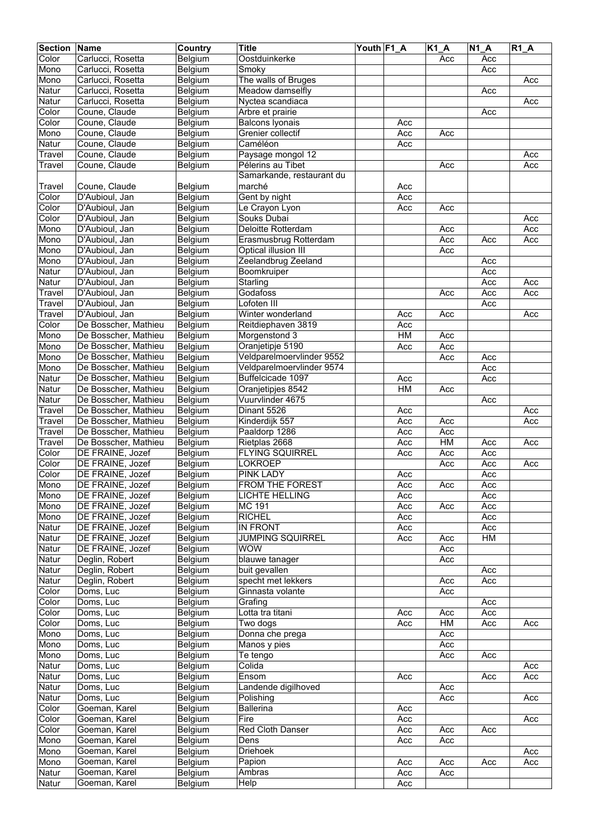| <b>Section</b> | <b>Name</b>          | Country | <b>Title</b>              | Youth F1_A |                  | $K1_A$ | $\overline{N}$ 1_A | $R1_A$ |
|----------------|----------------------|---------|---------------------------|------------|------------------|--------|--------------------|--------|
| Color          | Carlucci, Rosetta    | Belgium | Oostduinkerke             |            |                  | Acc    | Acc                |        |
| Mono           | Carlucci, Rosetta    | Belgium | Smoky                     |            |                  |        | Acc                |        |
| Mono           | Carlucci, Rosetta    | Belgium | The walls of Bruges       |            |                  |        |                    | Acc    |
| Natur          | Carlucci, Rosetta    | Belgium | Meadow damselfly          |            |                  |        | Acc                |        |
| Natur          | Carlucci, Rosetta    | Belgium | Nyctea scandiaca          |            |                  |        |                    | Acc    |
| Color          | Coune, Claude        | Belgium | Arbre et prairie          |            |                  |        | Acc                |        |
| Color          | Coune, Claude        | Belgium | <b>Balcons Iyonais</b>    |            | Acc              |        |                    |        |
| Mono           | Coune, Claude        | Belgium | Grenier collectif         |            | Acc              | Acc    |                    |        |
| Natur          | Coune, Claude        | Belgium | Caméléon                  |            | Acc              |        |                    |        |
| Travel         | Coune, Claude        | Belgium | Paysage mongol 12         |            |                  |        |                    | Acc    |
| Travel         | Coune, Claude        | Belgium | Pélerins au Tibet         |            |                  | Acc    |                    | Acc    |
|                |                      |         | Samarkande, restaurant du |            |                  |        |                    |        |
| Travel         | Coune, Claude        | Belgium | marché                    |            | Acc              |        |                    |        |
| Color          | D'Aubioul, Jan       | Belgium | Gent by night             |            | Acc              |        |                    |        |
| Color          | D'Aubioul, Jan       | Belgium | Le Crayon Lyon            |            | Acc              | Acc    |                    |        |
| Color          | D'Aubioul, Jan       | Belgium | Souks Dubai               |            |                  |        |                    | Acc    |
| Mono           | D'Aubioul, Jan       | Belgium | Deloitte Rotterdam        |            |                  | Acc    |                    | Acc    |
| Mono           | D'Aubioul, Jan       | Belgium | Erasmusbrug Rotterdam     |            |                  | Acc    | Acc                | Acc    |
| Mono           | D'Aubioul, Jan       | Belgium | Optical illusion III      |            |                  | Acc    |                    |        |
| Mono           | D'Aubioul, Jan       | Belgium | Zeelandbrug Zeeland       |            |                  |        | Acc                |        |
| Natur          | D'Aubioul, Jan       | Belgium | Boomkruiper               |            |                  |        | Acc                |        |
| Natur          | D'Aubioul, Jan       | Belgium | Starling                  |            |                  |        | Acc                | Acc    |
| Travel         | D'Aubioul, Jan       | Belgium | Godafoss                  |            |                  | Acc    | Acc                | Acc    |
| Travel         | D'Aubioul, Jan       | Belgium | Lofoten III               |            |                  |        | Acc                |        |
| Travel         | D'Aubioul, Jan       | Belgium | Winter wonderland         |            | Acc              | Acc    |                    | Acc    |
| Color          | De Bosscher, Mathieu | Belgium | Reitdiephaven 3819        |            | Acc              |        |                    |        |
| Mono           | De Bosscher, Mathieu | Belgium | Morgenstond 3             |            | H M              | Acc    |                    |        |
| Mono           | De Bosscher, Mathieu | Belgium | Oranjetipje 5190          |            | $\overline{Acc}$ | Acc    |                    |        |
| Mono           | De Bosscher, Mathieu | Belgium | Veldparelmoervlinder 9552 |            |                  | Acc    | Acc                |        |
| Mono           | De Bosscher, Mathieu | Belgium | Veldparelmoervlinder 9574 |            |                  |        | Acc                |        |
| Natur          | De Bosscher, Mathieu | Belgium | Buffelcicade 1097         |            | Acc              |        | Acc                |        |
| Natur          | De Bosscher, Mathieu | Belgium | Oranjetipjes 8542         |            | H M              | Acc    |                    |        |
| Natur          | De Bosscher, Mathieu | Belgium | Vuurvlinder 4675          |            |                  |        | Acc                |        |
| Travel         | De Bosscher, Mathieu | Belgium | Dinant 5526               |            | Acc              |        |                    | Acc    |
| Travel         | De Bosscher, Mathieu | Belgium | Kinderdijk 557            |            | Acc              | Acc    |                    | Acc    |
| Travel         | De Bosscher, Mathieu | Belgium | Paaldorp 1286             |            | Acc              | Acc    |                    |        |
| Travel         | De Bosscher, Mathieu | Belgium | Rietplas 2668             |            | Acc              | HM     | Acc                | Acc    |
| Color          | DE FRAINE, Jozef     | Belgium | <b>FLYING SQUIRREL</b>    |            | Acc              | Acc    | Acc                |        |
| Color          | DE FRAINE, Jozef     | Belgium | <b>LOKROEP</b>            |            |                  | Acc    | Acc                | Acc    |
| Color          | DE FRAINE, Jozef     | Belgium | <b>PINK LADY</b>          |            | Acc              |        | Acc                |        |
| Mono           | DE FRAINE, Jozef     | Belgium | FROM THE FOREST           |            | Acc              | Acc    | Acc                |        |
| Mono           | DE FRAINE, Jozef     | Belgium | LICHTE HELLING            |            | Acc              |        | Acc                |        |
| Mono           | DE FRAINE, Jozef     | Belgium | <b>MC 191</b>             |            | Acc              | Acc    | Acc                |        |
| Mono           | DE FRAINE, Jozef     | Belgium | <b>RICHEL</b>             |            | Acc              |        | Acc                |        |
| Natur          | DE FRAINE, Jozef     | Belgium | IN FRONT                  |            | Acc              |        | Acc                |        |
| Natur          | DE FRAINE, Jozef     | Belgium | JUMPING SQUIRREL          |            | Acc              | Acc    | HM                 |        |
| Natur          | DE FRAINE, Jozef     | Belgium | WOW                       |            |                  | Acc    |                    |        |
| Natur          | Deglin, Robert       | Belgium | blauwe tanager            |            |                  | Acc    |                    |        |
| Natur          | Deglin, Robert       | Belgium | buit gevallen             |            |                  |        | Acc                |        |
| Natur          | Deglin, Robert       | Belgium | specht met lekkers        |            |                  | Acc    | Acc                |        |
| Color          | Doms, Luc            | Belgium | Ginnasta volante          |            |                  | Acc    |                    |        |
| Color          | Doms, Luc            | Belgium | Grafing                   |            |                  |        | Acc                |        |
| Color          | Doms, Luc            | Belgium | Lotta tra titani          |            | Acc              | Acc    | Acc                |        |
| Color          | Doms, Luc            | Belgium | Two dogs                  |            | Acc              | HM     | Acc                | Acc    |
| Mono           | Doms, Luc            | Belgium | Donna che prega           |            |                  | Acc    |                    |        |
| Mono           | Doms, Luc            | Belgium | Manos y pies              |            |                  | Acc    |                    |        |
| Mono           | Doms, Luc            | Belgium | Te tengo                  |            |                  | Acc    | Acc                |        |
| Natur          | Doms, Luc            | Belgium | Colida                    |            |                  |        |                    | Acc    |
| Natur          | Doms, Luc            | Belgium | Ensom                     |            | Acc              |        | Acc                | Acc    |
| Natur          | Doms, Luc            | Belgium | Landende digilhoved       |            |                  | Acc    |                    |        |
| Natur          | Doms, Luc            | Belgium | Polishing                 |            |                  | Acc    |                    | Acc    |
| Color          | Goeman, Karel        | Belgium | <b>Ballerina</b>          |            | Acc              |        |                    |        |
| Color          | Goeman, Karel        | Belgium | Fire                      |            | Acc              |        |                    | Acc    |
| Color          | Goeman, Karel        | Belgium | Red Cloth Danser          |            | Acc              | Acc    | Acc                |        |
| Mono           | Goeman, Karel        | Belgium | Dens                      |            | Acc              | Acc    |                    |        |
| Mono           | Goeman, Karel        | Belgium | <b>Driehoek</b>           |            |                  |        |                    | Acc    |
| Mono           | Goeman, Karel        | Belgium | Papion                    |            | Acc              | Acc    | Acc                | Acc    |
| Natur          | Goeman, Karel        | Belgium | Ambras                    |            | Acc              | Acc    |                    |        |
| Natur          | Goeman, Karel        | Belgium | <b>Help</b>               |            | Acc              |        |                    |        |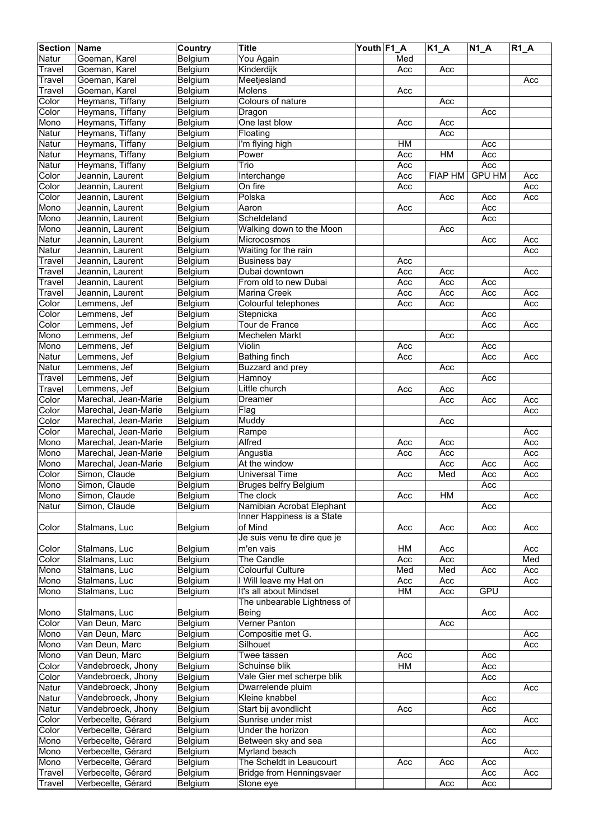| <b>Section</b> | Name                 | Country | <b>Title</b>                 | Youth F1 A |     | $K1_A$         | $N1_A$        | $R1_A$ |
|----------------|----------------------|---------|------------------------------|------------|-----|----------------|---------------|--------|
| Natur          | Goeman, Karel        | Belgium | You Again                    |            | Med |                |               |        |
| Travel         | Goeman, Karel        | Belgium | Kinderdijk                   |            | Acc | Acc            |               |        |
| Travel         | Goeman, Karel        | Belgium | Meetjesland                  |            |     |                |               | Acc    |
| Travel         | Goeman, Karel        | Belgium | Molens                       |            | Acc |                |               |        |
| Color          | Heymans, Tiffany     | Belgium | Colours of nature            |            |     | Acc            |               |        |
| Color          | Heymans, Tiffany     | Belgium | Dragon                       |            |     |                | Acc           |        |
| Mono           | Heymans, Tiffany     | Belgium | One last blow                |            | Acc | Acc            |               |        |
| Natur          | Heymans, Tiffany     | Belgium | Floating                     |            |     | Acc            |               |        |
| Natur          | Heymans, Tiffany     | Belgium | I'm flying high              |            | HM  |                | Acc           |        |
| Natur          | Heymans, Tiffany     | Belgium | Power                        |            | Acc | H M            | Acc           |        |
| Natur          | Heymans, Tiffany     | Belgium | Trio                         |            | Acc |                | Acc           |        |
| Color          | Jeannin, Laurent     | Belgium | Interchange                  |            | Acc | <b>FIAP HM</b> | <b>GPU HM</b> | Acc    |
| Color          | Jeannin, Laurent     | Belgium | On fire                      |            | Acc |                |               | Acc    |
| Color          | Jeannin, Laurent     | Belgium | Polska                       |            |     | Acc            | Acc           | Acc    |
| Mono           | Jeannin, Laurent     | Belgium | Aaron                        |            | Acc |                | Acc           |        |
| Mono           | Jeannin, Laurent     | Belgium | Scheldeland                  |            |     |                | Acc           |        |
| Mono           |                      | Belgium | Walking down to the Moon     |            |     | Acc            |               |        |
| Natur          | Jeannin, Laurent     |         | Microcosmos                  |            |     |                |               |        |
|                | Jeannin, Laurent     | Belgium |                              |            |     |                | Acc           | Acc    |
| Natur          | Jeannin, Laurent     | Belgium | Waiting for the rain         |            |     |                |               | Acc    |
| Travel         | Jeannin, Laurent     | Belgium | <b>Business bay</b>          |            | Acc |                |               |        |
| Travel         | Jeannin, Laurent     | Belgium | Dubai downtown               |            | Acc | Acc            |               | Acc    |
| Travel         | Jeannin, Laurent     | Belgium | From old to new Dubai        |            | Acc | Acc            | Acc           |        |
| Travel         | Jeannin, Laurent     | Belgium | <b>Marina Creek</b>          |            | Acc | Acc            | Acc           | Acc    |
| Color          | Lemmens, Jef         | Belgium | Colourful telephones         |            | Acc | Acc            |               | Acc    |
| Color          | Lemmens, Jef         | Belgium | Stepnicka                    |            |     |                | Acc           |        |
| Color          | Lemmens, Jef         | Belgium | Tour de France               |            |     |                | Acc           | Acc    |
| Mono           | Lemmens, Jef         | Belgium | Mechelen Markt               |            |     | Acc            |               |        |
| Mono           | Lemmens, Jef         | Belgium | Violin                       |            | Acc |                | Acc           |        |
| Natur          | Lemmens, Jef         | Belgium | <b>Bathing finch</b>         |            | Acc |                | Acc           | Acc    |
| Natur          | Lemmens, Jef         | Belgium | Buzzard and prey             |            |     | Acc            |               |        |
| Travel         | Lemmens, Jef         | Belgium | Hamnoy                       |            |     |                | Acc           |        |
| Travel         | Lemmens, Jef         | Belgium | Little church                |            | Acc | Acc            |               |        |
| Color          | Marechal, Jean-Marie | Belgium | <b>Dreamer</b>               |            |     | Acc            | Acc           | Acc    |
| Color          | Marechal, Jean-Marie | Belgium | Flag                         |            |     |                |               | Acc    |
| Color          | Marechal, Jean-Marie | Belgium | Muddy                        |            |     | Acc            |               |        |
| Color          | Marechal, Jean-Marie | Belgium | Rampe                        |            |     |                |               | Acc    |
| Mono           | Marechal, Jean-Marie | Belgium | Alfred                       |            | Acc | Acc            |               | Acc    |
| Mono           | Marechal, Jean-Marie | Belgium | Angustia                     |            | Acc | Acc            |               | Acc    |
| Mono           | Marechal, Jean-Marie | Belgium | At the window                |            |     | Acc            | Acc           | Acc    |
| Color          | Simon, Claude        | Belgium | <b>Universal Time</b>        |            | Acc | Med            | Acc           | Acc    |
| Mono           | Simon, Claude        | Belgium | <b>Bruges belfry Belgium</b> |            |     |                | Acc           |        |
| Mono           | Simon, Claude        | Belgium | The clock                    |            | Acc | H M            |               | Acc    |
| Natur          | Simon, Claude        | Belgium | Namibian Acrobat Elephant    |            |     |                | Acc           |        |
|                |                      |         | Inner Happiness is a State   |            |     |                |               |        |
|                |                      |         |                              |            |     |                |               |        |
| Color          | Stalmans, Luc        | Belgium | of Mind                      |            | Acc | Acc            | Acc           | Acc    |
|                |                      |         | Je suis venu te dire que je  |            |     |                |               |        |
| Color          | Stalmans, Luc        | Belgium | m'en vais                    |            | НM  | Acc            |               | Acc    |
| Color          | Stalmans, Luc        | Belgium | <b>The Candle</b>            |            | Acc | Acc            |               | Med    |
| Mono           | Stalmans, Luc        | Belgium | Colourful Culture            |            | Med | Med            | Acc           | Acc    |
| Mono           | Stalmans, Luc        | Belgium | I Will leave my Hat on       |            | Acc | Acc            |               | Acc    |
| Mono           | Stalmans, Luc        | Belgium | It's all about Mindset       |            | HM  | Acc            | GPU           |        |
|                |                      |         | The unbearable Lightness of  |            |     |                |               |        |
| Mono           | Stalmans, Luc        | Belgium | Being                        |            |     |                | Acc           | Acc    |
| Color          | Van Deun, Marc       | Belgium | Verner Panton                |            |     | Acc            |               |        |
| Mono           | Van Deun, Marc       | Belgium | Compositie met G.            |            |     |                |               | Acc    |
| Mono           | Van Deun, Marc       | Belgium | Silhouet                     |            |     |                |               | Acc    |
| Mono           | Van Deun, Marc       | Belgium | Twee tassen                  |            | Acc |                | Acc           |        |
| Color          | Vandebroeck, Jhony   | Belgium | Schuinse blik                |            | HM  |                | Acc           |        |
| Color          | Vandebroeck, Jhony   | Belgium | Vale Gier met scherpe blik   |            |     |                | Acc           |        |
| Natur          | Vandebroeck, Jhony   | Belgium | Dwarrelende pluim            |            |     |                |               | Acc    |
| Natur          | Vandebroeck, Jhony   | Belgium | Kleine knabbel               |            |     |                | Acc           |        |
| Natur          | Vandebroeck, Jhony   | Belgium | Start bij avondlicht         |            | Acc |                | Acc           |        |
| Color          | Verbecelte, Gérard   | Belgium | Sunrise under mist           |            |     |                |               | Acc    |
| Color          | Verbecelte, Gérard   | Belgium | Under the horizon            |            |     |                | Acc           |        |
| Mono           | Verbecelte, Gérard   | Belgium | Between sky and sea          |            |     |                | Acc           |        |
| Mono           | Verbecelte, Gérard   | Belgium | Myrland beach                |            |     |                |               | Acc    |
| Mono           | Verbecelte, Gérard   | Belgium | The Scheldt in Leaucourt     |            | Acc | Acc            | Acc           |        |
| Travel         | Verbecelte, Gérard   | Belgium | Bridge from Henningsvaer     |            |     |                | Acc           | Acc    |
|                |                      |         |                              |            |     |                |               |        |
| Travel         | Verbecelte, Gérard   | Belgium | Stone eye                    |            |     | Acc            | Acc           |        |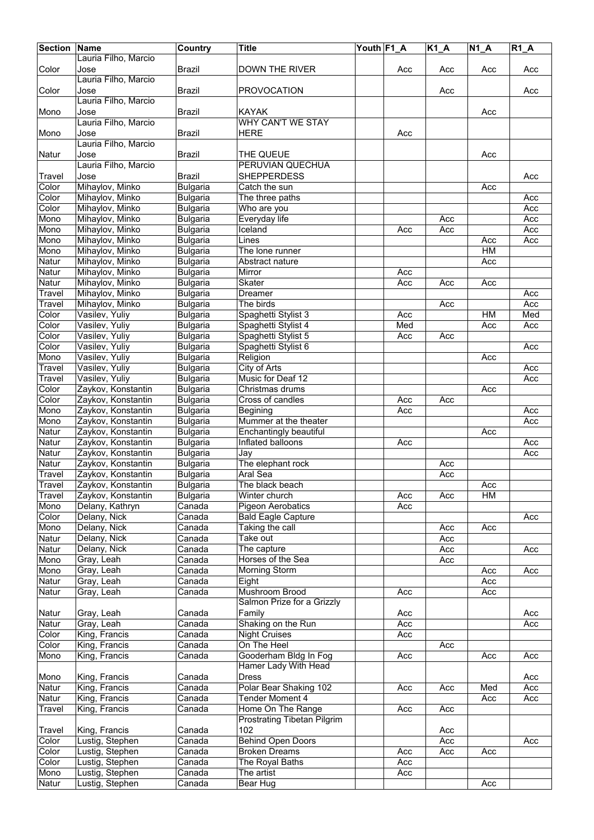| <b>Section</b> | Name                     | Country          | <b>Title</b>                       | Youth F1_A |     | $K1_A$ | <b>N1 A</b> | $R1_A$ |
|----------------|--------------------------|------------------|------------------------------------|------------|-----|--------|-------------|--------|
|                | Lauria Filho, Marcio     |                  |                                    |            |     |        |             |        |
| Color          | Jose                     | <b>Brazil</b>    | <b>DOWN THE RIVER</b>              |            | Acc | Acc    | Acc         | Acc    |
|                | Lauria Filho, Marcio     |                  |                                    |            |     |        |             |        |
| Color          | Jose                     | <b>Brazil</b>    | <b>PROVOCATION</b>                 |            |     | Acc    |             | Acc    |
|                | Lauria Filho, Marcio     |                  |                                    |            |     |        |             |        |
| Mono           | Jose                     | <b>Brazil</b>    | KAYAK                              |            |     |        | Acc         |        |
|                | Lauria Filho, Marcio     |                  | <b>WHY CAN'T WE STAY</b>           |            |     |        |             |        |
| Mono           | Jose                     | Brazil           | <b>HERE</b>                        |            | Acc |        |             |        |
|                | Lauria Filho, Marcio     |                  |                                    |            |     |        |             |        |
| Natur          | Jose                     | <b>Brazil</b>    | THE QUEUE                          |            |     |        | Acc         |        |
|                | Lauria Filho, Marcio     |                  | <b>PERUVIAN QUECHUA</b>            |            |     |        |             |        |
| Travel         | Jose                     | Brazil           | <b>SHEPPERDESS</b>                 |            |     |        |             | Acc    |
| Color          | Mihaylov, Minko          | <b>Bulgaria</b>  | Catch the sun                      |            |     |        | Acc         |        |
| Color          | Mihaylov, Minko          | <b>Bulgaria</b>  | The three paths                    |            |     |        |             | Acc    |
| Color          | Mihaylov, Minko          | <b>Bulgaria</b>  | Who are you                        |            |     |        |             | Acc    |
| Mono           | Mihaylov, Minko          | <b>Bulgaria</b>  | Everyday life                      |            |     | Acc    |             | Acc    |
| Mono           | Mihaylov, Minko          | <b>Bulgaria</b>  | Iceland                            |            | Acc | Acc    |             | Acc    |
| Mono           | Mihaylov, Minko          | <b>Bulgaria</b>  | Lines                              |            |     |        | Acc         | Acc    |
| Mono           | Mihaylov, Minko          | <b>Bulgaria</b>  | The lone runner                    |            |     |        | HM          |        |
| Natur          | Mihaylov, Minko          | Bulgaria         | Abstract nature                    |            |     |        | Acc         |        |
| Natur          | Mihaylov, Minko          | <b>Bulgaria</b>  | Mirror                             |            | Acc |        |             |        |
| Natur          | Mihaylov, Minko          | <b>Bulgaria</b>  | Skater                             |            | Acc | Acc    | Acc         |        |
| Travel         | Mihaylov, Minko          | <b>Bulgaria</b>  | Dreamer                            |            |     |        |             | Acc    |
| Travel         | Mihaylov, Minko          | <b>Bulgaria</b>  | The birds                          |            |     | Acc    |             | Acc    |
| Color          | Vasilev, Yuliy           | <b>Bulgaria</b>  | Spaghetti Stylist 3                |            | Acc |        | HM          | Med    |
| Color          | Vasilev, Yuliy           | <b>Bulgaria</b>  | Spaghetti Stylist 4                |            | Med |        | Acc         | Acc    |
| Color          | Vasilev, Yuliy           | <b>Bulgaria</b>  | Spaghetti Stylist 5                |            | Acc | Acc    |             |        |
| Color          | Vasilev, Yuliy           | <b>Bulgaria</b>  | Spaghetti Stylist 6                |            |     |        |             | Acc    |
| Mono           | Vasilev, Yuliy           | <b>Bulgaria</b>  | Religion                           |            |     |        | Acc         |        |
| Travel         | Vasilev, Yuliy           | <b>Bulgaria</b>  | City of Arts                       |            |     |        |             | Acc    |
| Travel         | Vasilev, Yuliy           | <b>Bulgaria</b>  | Music for Deaf 12                  |            |     |        |             | Acc    |
| Color          | Zaykov, Konstantin       | <b>Bulgaria</b>  | Christmas drums                    |            |     |        | Acc         |        |
| Color          | Zaykov, Konstantin       | <b>Bulgaria</b>  | Cross of candles                   |            | Acc | Acc    |             |        |
| Mono           | Zaykov, Konstantin       | <b>Bulgaria</b>  | Begining                           |            | Acc |        |             | Acc    |
| Mono           | Zaykov, Konstantin       | <b>Bulgaria</b>  | Mummer at the theater              |            |     |        |             | Acc    |
| Natur          | Zaykov, Konstantin       | <b>Bulgaria</b>  | Enchantingly beautiful             |            |     |        | Acc         |        |
| Natur          | Zaykov, Konstantin       | <b>Bulgaria</b>  | Inflated balloons                  |            | Acc |        |             | Acc    |
| Natur          | Zaykov, Konstantin       | <b>Bulgaria</b>  | Jay                                |            |     |        |             | Acc    |
| Natur          | Zaykov, Konstantin       | <b>Bulgaria</b>  | The elephant rock                  |            |     | Acc    |             |        |
| Travel         | Zaykov, Konstantin       | <b>Bulgaria</b>  | Aral Sea                           |            |     | Acc    |             |        |
| Travel         | Zaykov, Konstantin       | <b>Bulgaria</b>  | The black beach                    |            |     |        | Acc         |        |
| Travel         | Zaykov, Konstantin       | Bulgaria         | Winter church                      |            | Acc | Acc    | HM          |        |
| Mono           | Delany, Kathryn          | Canada           | Pigeon Aerobatics                  |            | Acc |        |             |        |
| Color          | Delany, Nick             | Canada           | <b>Bald Eagle Capture</b>          |            |     |        |             | Acc    |
| Mono           | Delany, Nick             | Canada           | Taking the call                    |            |     | Acc    | Acc         |        |
| Natur          | Delany, Nick             | Canada           | Take out                           |            |     | Acc    |             |        |
| Natur          | Delany, Nick             | Canada           | The capture                        |            |     | Acc    |             | Acc    |
|                |                          |                  |                                    |            |     |        |             |        |
| Mono<br>Mono   | Gray, Leah<br>Gray, Leah | Canada<br>Canada | Horses of the Sea<br>Morning Storm |            |     | Acc    |             |        |
|                |                          | Canada           |                                    |            |     |        | Acc<br>Acc  | Acc    |
| Natur          | Gray, Leah               | Canada           | Eight<br><b>Mushroom Brood</b>     |            | Acc |        | Acc         |        |
| Natur          | Gray, Leah               |                  | Salmon Prize for a Grizzly         |            |     |        |             |        |
|                |                          |                  |                                    |            |     |        |             |        |
| Natur          | Gray, Leah               | Canada           | Family                             |            | Acc |        |             | Acc    |
| Natur          | Gray, Leah               | Canada           | Shaking on the Run                 |            | Acc |        |             | Acc    |
| Color          | King, Francis            | Canada           | <b>Night Cruises</b>               |            | Acc |        |             |        |
| Color          | King, Francis            | Canada           | On The Heel                        |            |     | Acc    |             |        |
| Mono           | King, Francis            | Canada           | Gooderham Bldg In Fog              |            | Acc |        | Acc         | Acc    |
|                |                          |                  | Hamer Lady With Head               |            |     |        |             |        |
| Mono           | King, Francis            | Canada           | <b>Dress</b>                       |            |     |        |             | Acc    |
| Natur          | King, Francis            | Canada           | Polar Bear Shaking 102             |            | Acc | Acc    | Med         | Acc    |
| Natur          | King, Francis            | Canada           | <b>Tender Moment 4</b>             |            |     |        | Acc         | Acc    |
| Travel         | King, Francis            | Canada           | Home On The Range                  |            | Acc | Acc    |             |        |
|                |                          |                  | Prostrating Tibetan Pilgrim        |            |     |        |             |        |
| Travel         | King, Francis            | Canada           | 102                                |            |     | Acc    |             |        |
| Color          | Lustig, Stephen          | Canada           | Behind Open Doors                  |            |     | Acc    |             | Acc    |
| Color          | Lustig, Stephen          | Canada           | <b>Broken Dreams</b>               |            | Acc | Acc    | Acc         |        |
| Color          | Lustig, Stephen          | Canada           | The Royal Baths                    |            | Acc |        |             |        |
| Mono           | Lustig, Stephen          | Canada           | The artist                         |            | Acc |        |             |        |
| Natur          | Lustig, Stephen          | Canada           | Bear Hug                           |            |     |        | Acc         |        |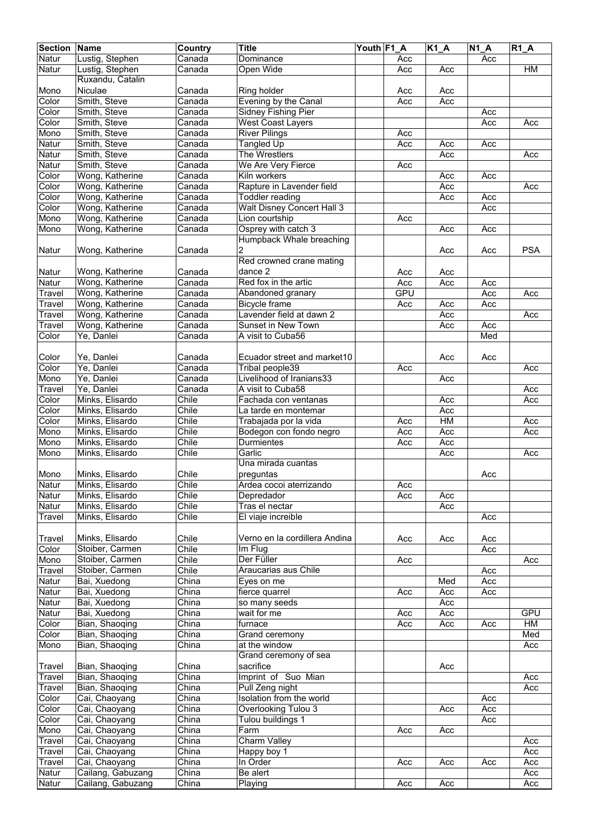| <b>Section Name</b> |                   | Country                       | <b>Title</b>                  | Youth F1 A |            | $K1_A$ | $\overline{N1}A$ | $R1_A$     |
|---------------------|-------------------|-------------------------------|-------------------------------|------------|------------|--------|------------------|------------|
| Natur               | Lustig, Stephen   | Canada                        | Dominance                     |            | Acc        |        | Acc              |            |
| Natur               | Lustig, Stephen   | Canada                        | Open Wide                     |            | Acc        | Acc    |                  | HM         |
|                     |                   |                               |                               |            |            |        |                  |            |
|                     | Ruxandu, Catalin  |                               |                               |            |            |        |                  |            |
| Mono                | Niculae           | Canada                        | Ring holder                   |            | Acc        | Acc    |                  |            |
| Color               | Smith, Steve      | Canada                        | Evening by the Canal          |            | Acc        | Acc    |                  |            |
| Color               | Smith, Steve      | Canada                        | Sidney Fishing Pier           |            |            |        | Acc              |            |
| Color               | Smith, Steve      | Canada                        | <b>West Coast Layers</b>      |            |            |        | Acc              | Acc        |
| Mono                | Smith, Steve      | $\overline{C}$ anada          | <b>River Pilings</b>          |            | Acc        |        |                  |            |
| Natur               | Smith, Steve      | Canada                        | <b>Tangled Up</b>             |            | Acc        | Acc    | Acc              |            |
|                     | Smith, Steve      |                               | The Wrestlers                 |            |            |        |                  |            |
| Natur               |                   | Canada                        |                               |            |            | Acc    |                  | Acc        |
| Natur               | Smith, Steve      | Canada                        | We Are Very Fierce            |            | Acc        |        |                  |            |
| Color               | Wong, Katherine   | Canada                        | Kiln workers                  |            |            | Acc    | Acc              |            |
| Color               | Wong, Katherine   | Canada                        | Rapture in Lavender field     |            |            | Acc    |                  | Acc        |
| Color               | Wong, Katherine   | Canada                        | <b>Toddler reading</b>        |            |            | Acc    | Acc              |            |
| Color               | Wong, Katherine   | Canada                        | Walt Disney Concert Hall 3    |            |            |        | Acc              |            |
| Mono                | Wong, Katherine   | Canada                        | Lion courtship                |            | Acc        |        |                  |            |
| Mono                | Wong, Katherine   | $\overline{\mathsf{C}}$ anada | Osprey with catch 3           |            |            | Acc    | Acc              |            |
|                     |                   |                               | Humpback Whale breaching      |            |            |        |                  |            |
|                     |                   |                               |                               |            |            |        |                  |            |
| Natur               | Wong, Katherine   | Canada                        | 2                             |            |            | Acc    | Acc              | <b>PSA</b> |
|                     |                   |                               | Red crowned crane mating      |            |            |        |                  |            |
| Natur               | Wong, Katherine   | Canada                        | dance 2                       |            | Acc        | Acc    |                  |            |
| Natur               | Wong, Katherine   | Canada                        | Red fox in the artic          |            | Acc        | Acc    | Acc              |            |
| Travel              | Wong, Katherine   | Canada                        | Abandoned granary             |            | <b>GPU</b> |        | Acc              | Acc        |
| Travel              | Wong, Katherine   | Canada                        | Bicycle frame                 |            | Acc        | Acc    | Acc              |            |
|                     | Wong, Katherine   | $\overline{\mathsf{C}}$ anada | Lavender field at dawn 2      |            |            | Acc    |                  | Acc        |
| Travel              |                   |                               |                               |            |            |        |                  |            |
| Travel              | Wong, Katherine   | Canada                        | Sunset in New Town            |            |            | Acc    | Acc              |            |
| Color               | Ye, Danlei        | Canada                        | A visit to Cuba56             |            |            |        | Med              |            |
|                     |                   |                               |                               |            |            |        |                  |            |
| Color               | Ye, Danlei        | Canada                        | Ecuador street and market10   |            |            | Acc    | Acc              |            |
| Color               | Ye, Danlei        | Canada                        | Tribal people39               |            | Acc        |        |                  | Acc        |
| Mono                | Ye, Danlei        | Canada                        | Livelihood of Iranians33      |            |            | Acc    |                  |            |
|                     | Ye, Danlei        | Canada                        | A visit to Cuba58             |            |            |        |                  |            |
| Travel              |                   |                               |                               |            |            |        |                  | Acc        |
| Color               | Minks, Elisardo   | Chile                         | Fachada con ventanas          |            |            | Acc    |                  | Acc        |
| Color               | Minks, Elisardo   | Chile                         | La tarde en montemar          |            |            | Acc    |                  |            |
| Color               | Minks, Elisardo   | Chile                         | Trabajada por la vida         |            | Acc        | HM     |                  | Acc        |
| Mono                | Minks, Elisardo   | Chile                         | Bodegon con fondo negro       |            | Acc        | Acc    |                  | Acc        |
| Mono                | Minks, Elisardo   | Chile                         | Durmientes                    |            | Acc        | Acc    |                  |            |
| Mono                | Minks, Elisardo   | Chile                         | Garlic                        |            |            | Acc    |                  | Acc        |
|                     |                   |                               | Una mirada cuantas            |            |            |        |                  |            |
| Mono                | Minks, Elisardo   | Chile                         |                               |            |            |        | Acc              |            |
|                     |                   |                               | preguntas                     |            |            |        |                  |            |
| Natur               | Minks, Elisardo   | Chile                         | Ardea cocoi aterrizando       |            | Acc        |        |                  |            |
| Natur               | Minks, Elisardo   | Chile                         | Depredador                    |            | Acc        | Acc    |                  |            |
| Natur               | Minks, Elisardo   | Chile                         | Tras el nectar                |            |            | Acc    |                  |            |
| Travel              | Minks, Elisardo   | Chile                         | El viaje increible            |            |            |        | Acc              |            |
|                     |                   |                               |                               |            |            |        |                  |            |
| Travel              | Minks, Elisardo   | Chile                         | Verno en la cordillera Andina |            | Acc        | Acc    | Acc              |            |
| Color               | Stoiber, Carmen   | Chile                         | Im Flug                       |            |            |        | Acc              |            |
| Mono                | Stoiber, Carmen   | Chile                         | Der Füller                    |            | Acc        |        |                  | Acc        |
|                     |                   | Chile                         |                               |            |            |        |                  |            |
| Travel              | Stoiber, Carmen   |                               | Araucarias aus Chile          |            |            |        | Acc              |            |
| Natur               | Bai, Xuedong      | China                         | Eyes on me                    |            |            | Med    | Acc              |            |
| Natur               | Bai, Xuedong      | China                         | fierce quarrel                |            | Acc        | Acc    | Acc              |            |
| Natur               | Bai, Xuedong      | China                         | so many seeds                 |            |            | Acc    |                  |            |
| Natur               | Bai, Xuedong      | China                         | wait for me                   |            | Acc        | Acc    |                  | <b>GPU</b> |
| Color               | Bian, Shaoqing    | China                         | furnace                       |            | Acc        | Acc    | Acc              | HM         |
| Color               | Bian, Shaoqing    | China                         | Grand ceremony                |            |            |        |                  | Med        |
|                     | Bian, Shaoqing    | China                         |                               |            |            |        |                  | Acc        |
| Mono                |                   |                               | at the window                 |            |            |        |                  |            |
|                     |                   |                               | Grand ceremony of sea         |            |            |        |                  |            |
| Travel              | Bian, Shaoqing    | China                         | sacrifice                     |            |            | Acc    |                  |            |
| Travel              | Bian, Shaoqing    | China                         | Imprint of Suo Mian           |            |            |        |                  | Acc        |
| Travel              | Bian, Shaoqing    | China                         | Pull Zeng night               |            |            |        |                  | Acc        |
| Color               | Cai, Chaoyang     | China                         | Isolation from the world      |            |            |        | Acc              |            |
| Color               | Cai, Chaoyang     | China                         | Overlooking Tulou 3           |            |            | Acc    | Acc              |            |
| Color               | Cai, Chaoyang     | China                         | Tulou buildings 1             |            |            |        | Acc              |            |
|                     |                   | China                         |                               |            |            |        |                  |            |
| Mono                | Cai, Chaoyang     |                               | Farm                          |            | Acc        | Acc    |                  |            |
| Travel              | Cai, Chaoyang     | China                         | <b>Charm Valley</b>           |            |            |        |                  | Acc        |
| Travel              | Cai, Chaoyang     | China                         | Happy boy 1                   |            |            |        |                  | Acc        |
| Travel              | Cai, Chaoyang     | China                         | In Order                      |            | Acc        | Acc    | Acc              | Acc        |
| Natur               | Cailang, Gabuzang | China                         | Be alert                      |            |            |        |                  | Acc        |
| Natur               | Cailang, Gabuzang | China                         | Playing                       |            | Acc        | Acc    |                  | Acc        |
|                     |                   |                               |                               |            |            |        |                  |            |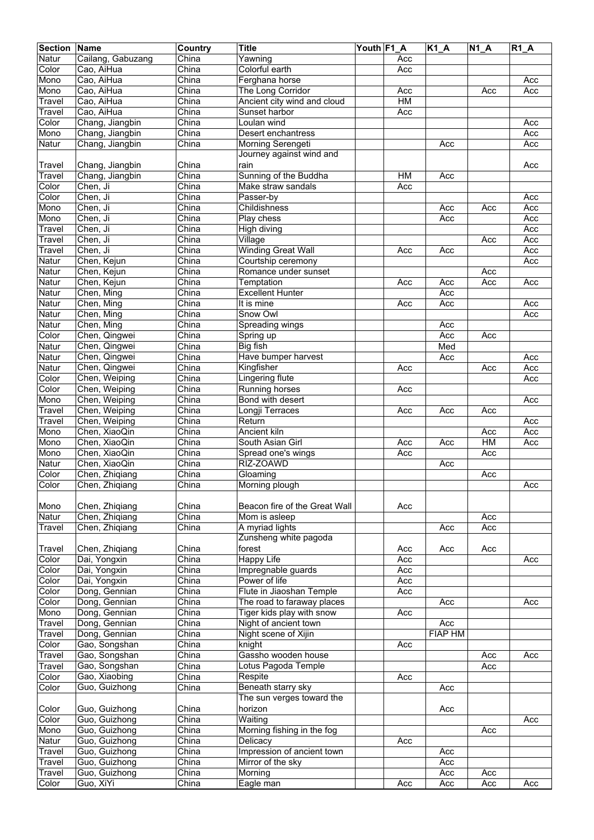| <b>Section</b> | <b>Name</b>       | Country                   | <b>Title</b>                  | Youth F1 A |           | $\overline{K1}A$ | <b>N1 A</b> | $R1_A$ |
|----------------|-------------------|---------------------------|-------------------------------|------------|-----------|------------------|-------------|--------|
| Natur          | Cailang, Gabuzang | China                     | Yawning                       |            | Acc       |                  |             |        |
| Color          | Cao, AiHua        | China                     | Colorful earth                |            | Acc       |                  |             |        |
| Mono           | Cao, AiHua        | China                     | Ferghana horse                |            |           |                  |             | Acc    |
| Mono           | Cao, AiHua        | China                     | The Long Corridor             |            | Acc       |                  | Acc         | Acc    |
| Travel         | Cao, AiHua        | China                     | Ancient city wind and cloud   |            | <b>HM</b> |                  |             |        |
| Travel         | Cao, AiHua        | China                     | Sunset harbor                 |            | Acc       |                  |             |        |
| Color          | Chang, Jiangbin   | China                     | Loulan wind                   |            |           |                  |             | Acc    |
| Mono           | Chang, Jiangbin   | China                     | Desert enchantress            |            |           |                  |             | Acc    |
| Natur          | Chang, Jiangbin   | China                     | Morning Serengeti             |            |           | Acc              |             | Acc    |
|                |                   |                           | Journey against wind and      |            |           |                  |             |        |
|                |                   |                           |                               |            |           |                  |             |        |
| Travel         | Chang, Jiangbin   | China                     | rain                          |            |           |                  |             | Acc    |
| Travel         | Chang, Jiangbin   | China                     | Sunning of the Buddha         |            | <b>HM</b> | Acc              |             |        |
| Color          | Chen, Ji          | China                     | Make straw sandals            |            | Acc       |                  |             |        |
| Color          | Chen, Ji          | China                     | Passer-by                     |            |           |                  |             | Acc    |
| Mono           | Chen, Ji          | China                     | Childishness                  |            |           | Acc              | Acc         | Acc    |
| Mono           | Chen, Ji          | China                     | Play chess                    |            |           | Acc              |             | Acc    |
| Travel         | Chen, Ji          | China                     | High diving                   |            |           |                  |             | Acc    |
| Travel         | Chen, Ji          | China                     | Village                       |            |           |                  | Acc         | Acc    |
| Travel         | Chen, Ji          | China                     | <b>Winding Great Wall</b>     |            | Acc       | Acc              |             | Acc    |
| Natur          | Chen, Kejun       | China                     | Courtship ceremony            |            |           |                  |             | Acc    |
| Natur          | Chen, Kejun       | China                     | Romance under sunset          |            |           |                  | Acc         |        |
| Natur          | Chen, Kejun       | China                     | Temptation                    |            | Acc       | Acc              | Acc         | Acc    |
| Natur          | Chen, Ming        | China                     | <b>Excellent Hunter</b>       |            |           | Acc              |             |        |
| Natur          | Chen, Ming        | China                     | It is mine                    |            | Acc       | Acc              |             | Acc    |
| Natur          | Chen, Ming        | China                     | Snow Owl                      |            |           |                  |             | Acc    |
| Natur          | Chen, Ming        | China                     | Spreading wings               |            |           | Acc              |             |        |
| Color          | Chen, Qingwei     | China                     | Spring up                     |            |           | Acc              | Acc         |        |
| Natur          | Chen, Qingwei     | China                     | Big fish                      |            |           | Med              |             |        |
| Natur          | Chen, Qingwei     | China                     | Have bumper harvest           |            |           | Acc              |             | Acc    |
| Natur          | Chen, Qingwei     | $\overline{\text{China}}$ | Kingfisher                    |            | Acc       |                  | Acc         | Acc    |
| Color          | Chen, Weiping     | China                     | Lingering flute               |            |           |                  |             | Acc    |
| Color          | Chen, Weiping     | China                     | Running horses                |            | Acc       |                  |             |        |
|                |                   |                           |                               |            |           |                  |             |        |
| Mono           | Chen, Weiping     | China                     | Bond with desert              |            |           |                  |             | Acc    |
| Travel         | Chen, Weiping     | China                     | Longji Terraces               |            | Acc       | Acc              | Acc         |        |
| Travel         | Chen, Weiping     | China                     | Return                        |            |           |                  |             | Acc    |
| Mono           | Chen, XiaoQin     | China                     | <b>Ancient kiln</b>           |            |           |                  | Acc         | Acc    |
| Mono           | Chen, XiaoQin     | China                     | South Asian Girl              |            | Acc       | Acc              | HM          | Acc    |
| Mono           | Chen, XiaoQin     | China                     | Spread one's wings            |            | Acc       |                  | Acc         |        |
| Natur          | Chen, XiaoQin     | China                     | RIZ-ZOAWD                     |            |           | Acc              |             |        |
| Color          | Chen, Zhiqiang    | China                     | Gloaming                      |            |           |                  | Acc         |        |
| Color          | Chen, Zhiqiang    | China                     | Morning plough                |            |           |                  |             | Acc    |
|                |                   |                           |                               |            |           |                  |             |        |
| Mono           | Chen, Zhiqiang    | China                     | Beacon fire of the Great Wall |            | Acc       |                  |             |        |
| Natur          | Chen, Zhiqiang    | China                     | Mom is asleep                 |            |           |                  | Acc         |        |
| Travel         | Chen, Zhiqiang    | China                     | A myriad lights               |            |           | Acc              | Acc         |        |
|                |                   |                           | Zunsheng white pagoda         |            |           |                  |             |        |
| Travel         | Chen, Zhiqiang    | China                     | forest                        |            | Acc       | Acc              | Acc         |        |
| Color          | Dai, Yongxin      | China                     | <b>Happy Life</b>             |            | Acc       |                  |             | Acc    |
| Color          | Dai, Yongxin      | China                     | Impregnable guards            |            | Acc       |                  |             |        |
| Color          | Dai, Yongxin      | China                     | Power of life                 |            | Acc       |                  |             |        |
| Color          | Dong, Gennian     | China                     | Flute in Jiaoshan Temple      |            | Acc       |                  |             |        |
| Color          | Dong, Gennian     | China                     | The road to faraway places    |            |           | Acc              |             | Acc    |
| Mono           | Dong, Gennian     | $\overline{\text{China}}$ | Tiger kids play with snow     |            | Acc       |                  |             |        |
| Travel         | Dong, Gennian     | China                     | Night of ancient town         |            |           | Acc              |             |        |
| Travel         | Dong, Gennian     | China                     | Night scene of Xijin          |            |           | <b>FIAP HM</b>   |             |        |
| Color          | Gao, Songshan     | China                     | knight                        |            | Acc       |                  |             |        |
| Travel         | Gao, Songshan     | China                     | Gassho wooden house           |            |           |                  | Acc         | Acc    |
| Travel         | Gao, Songshan     | China                     | Lotus Pagoda Temple           |            |           |                  | Acc         |        |
|                |                   |                           |                               |            |           |                  |             |        |
| Color          | Gao, Xiaobing     | China                     | Respite                       |            | Acc       |                  |             |        |
| Color          | Guo, Guizhong     | China                     | Beneath starry sky            |            |           | Acc              |             |        |
|                |                   |                           | The sun verges toward the     |            |           |                  |             |        |
| Color          | Guo, Guizhong     | China                     | horizon                       |            |           | Acc              |             |        |
| Color          | Guo, Guizhong     | China                     | Waiting                       |            |           |                  |             | Acc    |
| Mono           | Guo, Guizhong     | China                     | Morning fishing in the fog    |            |           |                  | Acc         |        |
| Natur          | Guo, Guizhong     | China                     | Delicacy                      |            | Acc       |                  |             |        |
| Travel         | Guo, Guizhong     | China                     | Impression of ancient town    |            |           | Acc              |             |        |
| Travel         | Guo, Guizhong     | China                     | Mirror of the sky             |            |           | Acc              |             |        |
| Travel         | Guo, Guizhong     | China                     | Morning                       |            |           | Acc              | Acc         |        |
| Color          | Guo, XiYi         | China                     | Eagle man                     |            | Acc       | Acc              | Acc         | Acc    |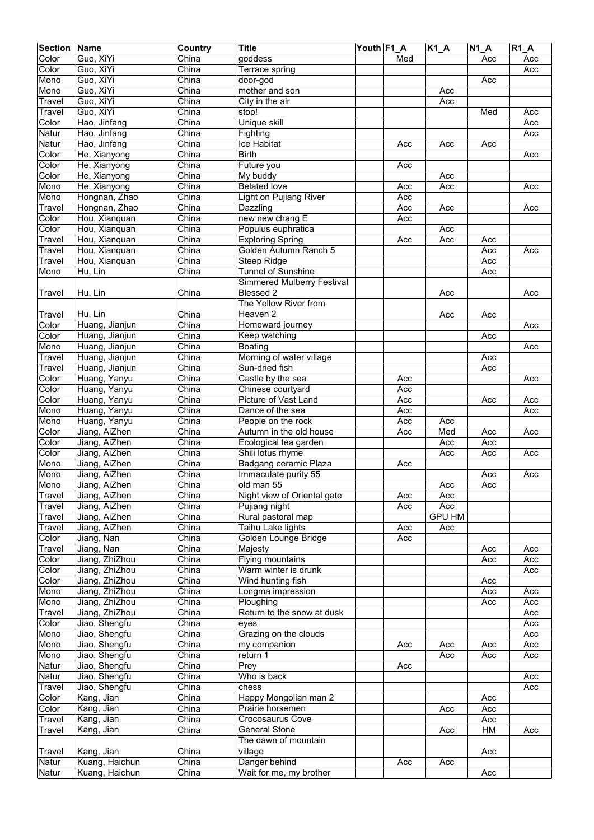| <b>Section</b> | <b>Name</b>                    | Country                   | <b>Title</b>                                  | Youth F1_A |            | $K1_A$        | $\overline{N}$ 1_A | R1A |
|----------------|--------------------------------|---------------------------|-----------------------------------------------|------------|------------|---------------|--------------------|-----|
| Color          | Guo, XiYi                      | China                     | goddess                                       |            | Med        |               | Acc                | Acc |
| Color          | Guo, XiYi                      | China                     | Terrace spring                                |            |            |               |                    | Acc |
| Mono           | Guo, XiYi                      | China                     | door-god                                      |            |            |               | Acc                |     |
| Mono           | Guo, XiYi                      | China                     | mother and son                                |            |            | Acc           |                    |     |
| Travel         | Guo, XiYi                      | China                     | $\overline{City}$ in the air                  |            |            | Acc           |                    |     |
| Travel         | Guo, XiYi                      | China                     | stop!                                         |            |            |               | Med                | Acc |
| Color          | Hao, Jinfang                   | China                     | <b>Unique skill</b>                           |            |            |               |                    | Acc |
| Natur          | Hao, Jinfang                   | China                     | Fighting                                      |            |            |               |                    | Acc |
| Natur          | Hao, Jinfang                   | China                     | Ice Habitat                                   |            | Acc        | Acc           | Acc                |     |
| Color          | He, Xianyong                   | China                     | <b>Birth</b>                                  |            |            |               |                    | Acc |
| Color          | He, Xianyong                   | China<br>China            | Future you                                    |            | Acc        |               |                    |     |
| Color<br>Mono  | He, Xianyong<br>He, Xianyong   | China                     | My buddy<br><b>Belated love</b>               |            | Acc        | Acc<br>Acc    |                    | Acc |
| Mono           | Hongnan, Zhao                  | China                     | Light on Pujiang River                        |            | Acc        |               |                    |     |
| Travel         | Hongnan, Zhao                  | China                     | Dazzling                                      |            | Acc        | Acc           |                    | Acc |
| Color          | Hou, Xianquan                  | China                     | new new chang E                               |            | Acc        |               |                    |     |
| Color          | Hou, Xianquan                  | China                     | Populus euphratica                            |            |            | Acc           |                    |     |
| Travel         | Hou, Xianquan                  | China                     | <b>Exploring Spring</b>                       |            | Acc        | Acc           | Acc                |     |
| Travel         | Hou, Xianquan                  | China                     | Golden Autumn Ranch 5                         |            |            |               | Acc                | Acc |
| Travel         | Hou, Xianquan                  | China                     | Steep Ridge                                   |            |            |               | Acc                |     |
| Mono           | Hu, Lin                        | China                     | Tunnel of Sunshine                            |            |            |               | Acc                |     |
|                |                                |                           | <b>Simmered Mulberry Festival</b>             |            |            |               |                    |     |
| <b>Travel</b>  | Hu, Lin                        | China                     | Blessed 2                                     |            |            | Acc           |                    | Acc |
|                |                                |                           | The Yellow River from                         |            |            |               |                    |     |
| Travel         | Hu, Lin                        | China                     | Heaven 2                                      |            |            | Acc           | Acc                |     |
| Color          | Huang, Jianjun                 | $\overline{\text{China}}$ | Homeward journey                              |            |            |               |                    | Acc |
| Color          | Huang, Jianjun                 | China                     | Keep watching                                 |            |            |               | Acc                |     |
| Mono           | Huang, Jianjun                 | China                     | Boating                                       |            |            |               |                    | Acc |
| Travel         | Huang, Jianjun                 | China                     | Morning of water village                      |            |            |               | Acc                |     |
| Travel         | Huang, Jianjun                 | China                     | Sun-dried fish                                |            |            |               | Acc                |     |
| Color          | Huang, Yanyu                   | China                     | Castle by the sea                             |            | Acc        |               |                    | Acc |
| Color          | Huang, Yanyu                   | China                     | Chinese courtyard                             |            | Acc        |               |                    |     |
| Color          | Huang, Yanyu                   | China                     | Picture of Vast Land                          |            | Acc        |               | Acc                | Acc |
| Mono           | Huang, Yanyu                   | China                     | Dance of the sea                              |            | Acc        |               |                    | Acc |
| Mono<br>Color  | Huang, Yanyu                   | China<br>China            | People on the rock<br>Autumn in the old house |            | Acc<br>Acc | Acc<br>Med    | Acc                | Acc |
| Color          | Jiang, AiZhen<br>Jiang, AiZhen | China                     | Ecological tea garden                         |            |            | Acc           | Acc                |     |
| Color          | Jiang, AiZhen                  | China                     | Shili lotus rhyme                             |            |            | Acc           | Acc                | Acc |
| Mono           | Jiang, AiZhen                  | China                     | Badgang ceramic Plaza                         |            | Acc        |               |                    |     |
| Mono           | Jiang, AiZhen                  | China                     | Immaculate purity 55                          |            |            |               | Acc                | Acc |
| Mono           | Jiang, AiZhen                  | China                     | old man 55                                    |            |            | Acc           | Acc                |     |
| Travel         | Jiang, AiZhen                  | China                     | Night view of Oriental gate                   |            | Acc        | Acc           |                    |     |
| Travel         | Jiang, AiZhen                  | China                     | Pujiang night                                 |            | Acc        | Acc           |                    |     |
| Travel         | Jiang, AiZhen                  | China                     | Rural pastoral map                            |            |            | <b>GPU HM</b> |                    |     |
| Travel         | Jiang, AiZhen                  | China                     | Taihu Lake lights                             |            | Acc        | Acc           |                    |     |
| Color          | Jiang, Nan                     | China                     | Golden Lounge Bridge                          |            | Acc        |               |                    |     |
| Travel         | Jiang, Nan                     | $\overline{Ch}$ ina       | Majesty                                       |            |            |               | Acc                | Acc |
| Color          | Jiang, ZhiZhou                 | China                     | Flying mountains                              |            |            |               | Acc                | Acc |
| Color          | Jiang, ZhiZhou                 | China                     | Warm winter is drunk                          |            |            |               |                    | Acc |
| Color          | Jiang, ZhiZhou                 | China                     | Wind hunting fish                             |            |            |               | Acc                |     |
| Mono           | Jiang, ZhiZhou                 | China                     | Longma impression                             |            |            |               | Acc                | Acc |
| Mono           | Jiang, ZhiZhou                 | China                     | Ploughing                                     |            |            |               | Acc                | Acc |
| Travel         | Jiang, ZhiZhou                 | China                     | Return to the snow at dusk                    |            |            |               |                    | Acc |
| Color          | Jiao, Shengfu                  | China                     | eyes                                          |            |            |               |                    | Acc |
| Mono           | Jiao, Shengfu                  | China                     | Grazing on the clouds                         |            |            |               |                    | Acc |
| Mono<br>Mono   | Jiao, Shengfu<br>Jiao, Shengfu | China<br>China            | my companion<br>return 1                      |            | Acc        | Acc           | Acc                | Acc |
| Natur          | Jiao, Shengfu                  | China                     | Prey                                          |            | Acc        | Acc           | Acc                | Acc |
| Natur          | Jiao, Shengfu                  | $\overline{\text{China}}$ | Who is back                                   |            |            |               |                    | Acc |
| Travel         | Jiao, Shengfu                  | China                     | chess                                         |            |            |               |                    | Acc |
| Color          | Kang, Jian                     | China                     | Happy Mongolian man 2                         |            |            |               | Acc                |     |
| Color          | Kang, Jian                     | China                     | Prairie horsemen                              |            |            | Acc           | Acc                |     |
| Travel         | Kang, Jian                     | China                     | Crocosaurus Cove                              |            |            |               | Acc                |     |
| Travel         | Kang, Jian                     | China                     | <b>General Stone</b>                          |            |            | Acc           | HM                 | Acc |
|                |                                |                           | The dawn of mountain                          |            |            |               |                    |     |
| Travel         | Kang, Jian                     | China                     | village                                       |            |            |               | Acc                |     |
| Natur          | Kuang, Haichun                 | $\overline{\text{China}}$ | Danger behind                                 |            | Acc        | Acc           |                    |     |
| Natur          | Kuang, Haichun                 | China                     | Wait for me, my brother                       |            |            |               | Acc                |     |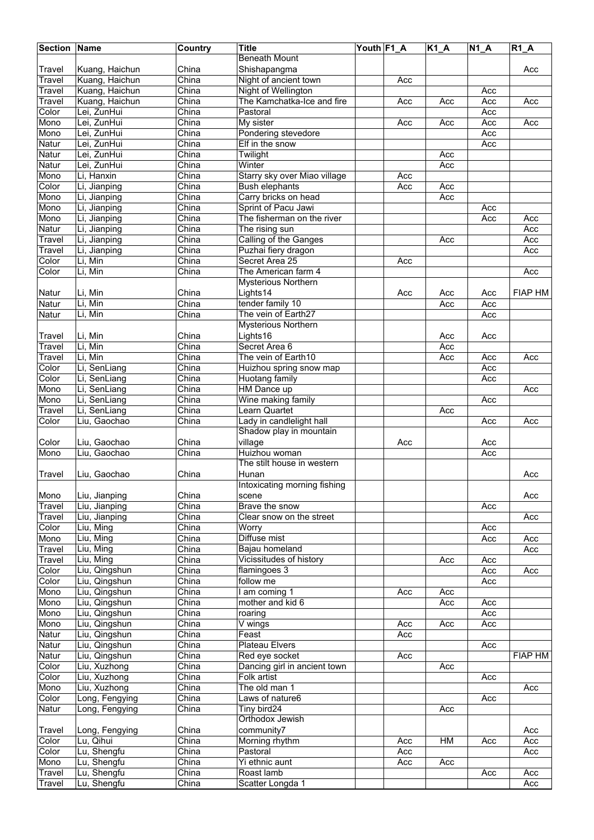| <b>Section Name</b> |                                | Country                   | <b>Title</b>                                 | Youth F1_A |     | $K1_A$ | $N1_A$     | $R1_A$     |
|---------------------|--------------------------------|---------------------------|----------------------------------------------|------------|-----|--------|------------|------------|
|                     |                                |                           | <b>Beneath Mount</b>                         |            |     |        |            |            |
| Travel              | Kuang, Haichun                 | China                     | Shishapangma                                 |            |     |        |            | Acc        |
| Travel              | Kuang, Haichun                 | China                     | Night of ancient town                        |            | Acc |        |            |            |
| Travel              | Kuang, Haichun                 | China                     | Night of Wellington                          |            |     |        | Acc        |            |
| Travel              | Kuang, Haichun                 | China                     | The Kamchatka-Ice and fire                   |            | Acc | Acc    | Acc        | Acc        |
| Color               | Lei, ZunHui                    | China                     | Pastoral                                     |            |     |        | Acc        |            |
| Mono                | Lei, ZunHui                    | China                     | My sister                                    |            | Acc | Acc    | Acc        | Acc        |
| Mono                | Lei, ZunHui                    | China                     | Pondering stevedore                          |            |     |        | Acc        |            |
| <b>Natur</b>        | Lei, ZunHui                    | China                     | Elf in the snow                              |            |     |        | Acc        |            |
| Natur               | Lei, ZunHui                    | China                     | Twilight                                     |            |     | Acc    |            |            |
| Natur               | Lei, ZunHui                    | China                     | Winter                                       |            |     | Acc    |            |            |
| Mono                | Li, Hanxin                     | China                     | Starry sky over Miao village                 |            | Acc |        |            |            |
| Color               | Li, Jianping                   | China                     | <b>Bush elephants</b>                        |            | Acc | Acc    |            |            |
| Mono                | Li, Jianping                   | $\overline{\text{China}}$ | Carry bricks on head                         |            |     | Acc    |            |            |
| Mono                | Li, Jianping                   | China                     | Sprint of Pacu Jawi                          |            |     |        | Acc        |            |
| Mono                | Li, Jianping                   | China                     | The fisherman on the river                   |            |     |        | Acc        | Acc        |
| Natur<br>Travel     | Li, Jianping                   | China<br>China            | The rising sun                               |            |     | Acc    |            | Acc<br>Acc |
| Travel              | Li, Jianping                   | China                     | Calling of the Ganges<br>Puzhai fiery dragon |            |     |        |            | Acc        |
| Color               | Li, Jianping<br>Li, Min        | China                     | Secret Area 25                               |            | Acc |        |            |            |
| Color               | Li, Min                        | China                     | The American farm 4                          |            |     |        |            | Acc        |
|                     |                                |                           | <b>Mysterious Northern</b>                   |            |     |        |            |            |
| Natur               | Li, Min                        | China                     | Lights14                                     |            | Acc | Acc    | Acc        | FIAP HM    |
| Natur               | Li, Min                        | China                     | tender family 10                             |            |     | Acc    | Acc        |            |
| <b>Natur</b>        | Li, Min                        | China                     | The vein of Earth27                          |            |     |        | Acc        |            |
|                     |                                |                           | Mysterious Northern                          |            |     |        |            |            |
| Travel              | Li, Min                        | China                     | Lights16                                     |            |     | Acc    | Acc        |            |
| Travel              | Li, Min                        | China                     | Secret Area 6                                |            |     | Acc    |            |            |
| Travel              | Li, Min                        | China                     | The vein of Earth10                          |            |     | Acc    | Acc        | Acc        |
| Color               | Li, SenLiang                   | China                     | Huizhou spring snow map                      |            |     |        | Acc        |            |
| Color               | Li, SenLiang                   | China                     | Huotang family                               |            |     |        | Acc        |            |
| Mono                | Li, SenLiang                   | China                     | HM Dance up                                  |            |     |        |            | Acc        |
| Mono                | Li, SenLiang                   | China                     | Wine making family                           |            |     |        | Acc        |            |
| Travel              | Li, SenLiang                   | China                     | Learn Quartet                                |            |     | Acc    |            |            |
| Color               | Liu, Gaochao                   | China                     | Lady in candlelight hall                     |            |     |        | Acc        | Acc        |
|                     |                                |                           | Shadow play in mountain                      |            |     |        |            |            |
| Color               | Liu, Gaochao                   | China                     | village                                      |            | Acc |        | Acc        |            |
| Mono                | Liu, Gaochao                   | China                     | Huizhou woman                                |            |     |        | Acc        |            |
|                     |                                |                           | The stilt house in western                   |            |     |        |            |            |
| Travel              | Liu, Gaochao                   | China                     | Hunan                                        |            |     |        |            | Acc        |
|                     |                                |                           | Intoxicating morning fishing                 |            |     |        |            |            |
| Mono                | Liu, Jianping                  | China                     | scene                                        |            |     |        |            | Acc        |
| Travel              | Liu, Jianping                  | China                     | Brave the snow                               |            |     |        | Acc        |            |
| Travel              | Liu, Jianping                  | China                     | Clear snow on the street                     |            |     |        |            | Acc        |
| Color               | Liu, Ming                      | China                     | Worry                                        |            |     |        | Acc        |            |
| Mono                | Liu, Ming                      | China                     | Diffuse mist                                 |            |     |        | Acc        | Acc        |
| Travel              | Liu, Ming                      | China                     | Bajau homeland                               |            |     |        |            | Acc        |
| Travel              | Liu, Ming                      | China                     | Vicissitudes of history                      |            |     | Acc    | Acc        |            |
| Color               | Liu, Qingshun                  | China                     | flamingoes 3                                 |            |     |        | Acc        | Acc        |
| Color               | Liu, Qingshun                  | China                     | follow me                                    |            |     |        | Acc        |            |
| Mono                | Liu, Qingshun                  | China                     | I am coming 1                                |            | Acc | Acc    |            |            |
| Mono<br>Mono        | Liu, Qingshun<br>Liu, Qingshun | China<br>China            | mother and kid 6                             |            |     | Acc    | Acc<br>Acc |            |
| Mono                | Liu, Qingshun                  | China                     | roaring<br>V wings                           |            | Acc | Acc    | Acc        |            |
| <b>Natur</b>        | Liu, Qingshun                  | China                     | Feast                                        |            | Acc |        |            |            |
| Natur               | Liu, Qingshun                  | China                     | Plateau Elvers                               |            |     |        | Acc        |            |
| Natur               | Liu, Qingshun                  | China                     | Red eye socket                               |            | Acc |        |            | FIAP HM    |
| Color               | Liu, Xuzhong                   | China                     | Dancing girl in ancient town                 |            |     | Acc    |            |            |
| Color               | Liu, Xuzhong                   | China                     | Folk artist                                  |            |     |        | Acc        |            |
| Mono                | Liu, Xuzhong                   | China                     | The old man 1                                |            |     |        |            | Acc        |
| Color               | Long, Fengying                 | China                     | Laws of nature6                              |            |     |        | Acc        |            |
| Natur               | Long, Fengying                 | China                     | Tiny bird24                                  |            |     | Acc    |            |            |
|                     |                                |                           | Orthodox Jewish                              |            |     |        |            |            |
| Travel              | Long, Fengying                 | China                     | community7                                   |            |     |        |            | Acc        |
| Color               | Lu, Qihui                      | China                     | Morning rhythm                               |            | Acc | HM     | Acc        | Acc        |
| Color               | Lu, Shengfu                    | China                     | Pastoral                                     |            | Acc |        |            | Acc        |
| Mono                | Lu, Shengfu                    | China                     | Yi ethnic aunt                               |            | Acc | Acc    |            |            |
| Travel              | Lu, Shengfu                    | China                     | Roast lamb                                   |            |     |        | Acc        | Acc        |
| Travel              | Lu, Shengfu                    | China                     | Scatter Longda 1                             |            |     |        |            | Acc        |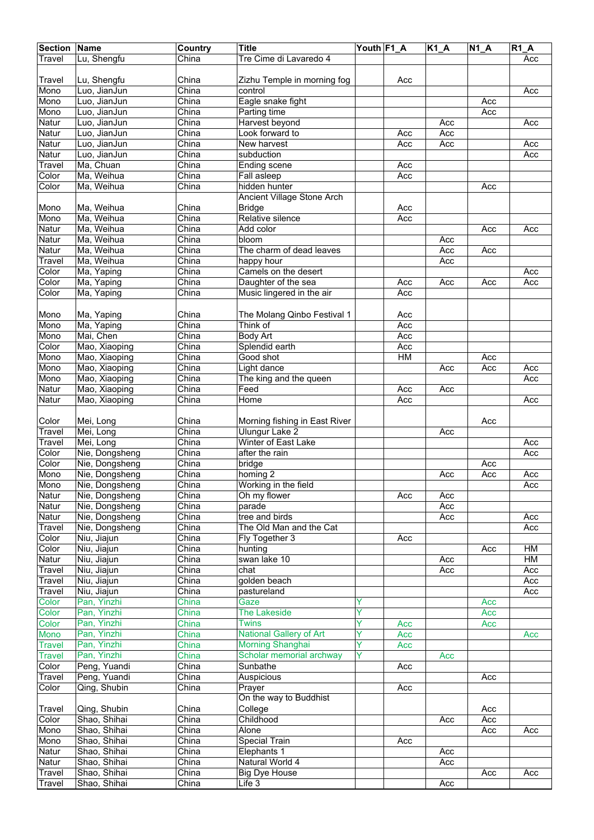| <b>Section Name</b> |                          | <b>Country</b>            | <b>Title</b>                      | Youth F1_A |     | <b>K1_A</b> | $N1_A$     | $R1_A$ |
|---------------------|--------------------------|---------------------------|-----------------------------------|------------|-----|-------------|------------|--------|
| Travel              | Lu, Shengfu              | China                     | Tre Cime di Lavaredo 4            |            |     |             |            | Acc    |
|                     |                          |                           |                                   |            |     |             |            |        |
| Travel              | Lu, Shengfu              | China                     | Zizhu Temple in morning fog       |            | Acc |             |            |        |
| Mono                | Luo, JianJun             | China                     | control                           |            |     |             |            | Acc    |
| Mono                | Luo, JianJun             | China                     | Eagle snake fight                 |            |     |             | Acc        |        |
| Mono                | Luo, JianJun             | China                     | Parting time                      |            |     |             | Acc        |        |
| Natur               | Luo, JianJun             | China                     | Harvest beyond                    |            |     | Acc         |            | Acc    |
| Natur               | Luo, JianJun             | China                     | Look forward to                   |            | Acc | Acc         |            |        |
| Natur               | Luo, JianJun             | China                     | New harvest                       |            | Acc | Acc         |            | Acc    |
| Natur               | Luo, JianJun             | China                     | subduction                        |            |     |             |            | Acc    |
| Travel              | Ma, Chuan                | China                     | Ending scene                      |            | Acc |             |            |        |
| Color               | Ma, Weihua               | China                     | Fall asleep                       |            | Acc |             |            |        |
| Color               | Ma, Weihua               | China                     | hidden hunter                     |            |     |             | Acc        |        |
|                     |                          |                           | Ancient Village Stone Arch        |            |     |             |            |        |
| Mono                | Ma, Weihua<br>Ma, Weihua | China<br>China            | <b>Bridge</b><br>Relative silence |            | Acc |             |            |        |
| Mono<br>Natur       | Ma, Weihua               | China                     | Add color                         |            | Acc |             | Acc        | Acc    |
| Natur               | Ma, Weihua               | China                     | bloom                             |            |     | Acc         |            |        |
| Natur               | Ma, Weihua               | China                     | The charm of dead leaves          |            |     | Acc         | Acc        |        |
| Travel              | Ma, Weihua               | China                     | happy hour                        |            |     | Acc         |            |        |
| Color               | Ma, Yaping               | China                     | Camels on the desert              |            |     |             |            | Acc    |
| Color               | Ma, Yaping               | China                     | Daughter of the sea               |            | Acc | Acc         | Acc        | Acc    |
| Color               | Ma, Yaping               | China                     | Music lingered in the air         |            | Acc |             |            |        |
|                     |                          |                           |                                   |            |     |             |            |        |
| Mono                | Ma, Yaping               | China                     | The Molang Qinbo Festival 1       |            | Acc |             |            |        |
| Mono                | Ma, Yaping               | China                     | Think of                          |            | Acc |             |            |        |
| Mono                | Mai, Chen                | China                     | <b>Body Art</b>                   |            | Acc |             |            |        |
| Color               | Mao, Xiaoping            | China                     | Splendid earth                    |            | Acc |             |            |        |
| Mono                | Mao, Xiaoping            | China                     | Good shot                         |            | H M |             | Acc        |        |
| Mono                | Mao, Xiaoping            | China                     | Light dance                       |            |     | Acc         | Acc        | Acc    |
| Mono                | Mao, Xiaoping            | $\overline{\text{China}}$ | The king and the queen            |            |     |             |            | Acc    |
| Natur               | Mao, Xiaoping            | China                     | Feed                              |            | Acc | Acc         |            |        |
| Natur               | Mao, Xiaoping            | China                     | Home                              |            | Acc |             |            | Acc    |
|                     |                          |                           |                                   |            |     |             |            |        |
| Color               | Mei, Long                | China                     | Morning fishing in East River     |            |     |             | Acc        |        |
| Travel              | Mei, Long                | China                     | Ulungur Lake 2                    |            |     | Acc         |            |        |
| Travel              | Mei, Long                | China                     | Winter of East Lake               |            |     |             |            | Acc    |
| Color               | Nie, Dongsheng           | China                     | after the rain                    |            |     |             |            | Acc    |
| Color               | Nie, Dongsheng           | China                     | bridge                            |            |     |             | Acc        |        |
| Mono                | Nie, Dongsheng           | China                     | homing 2                          |            |     | Acc         | Acc        | Acc    |
| Mono                | Nie, Dongsheng           | China                     | Working in the field              |            |     |             |            | Acc    |
| Natur               | Nie, Dongsheng           | China                     | Oh my flower                      |            | Acc | Acc         |            |        |
| Natur               | Nie, Dongsheng           | China                     | parade                            |            |     | Acc         |            |        |
| Natur               | Nie, Dongsheng           | China                     | tree and birds                    |            |     | Acc         |            | Acc    |
| Travel              | Nie, Dongsheng           | China                     | The Old Man and the Cat           |            |     |             |            | Acc    |
| Color               | Niu, Jiajun              | China                     | Fly Together 3                    |            | Acc |             |            |        |
| Color               | Niu, Jiajun              | China                     | hunting                           |            |     |             | Acc        | HM     |
| Natur               | Niu, Jiajun              | China                     | swan lake 10                      |            |     | Acc         |            | НM     |
| Travel              | Niu, Jiajun              | China                     | chat                              |            |     | Acc         |            | Acc    |
| Travel              | Niu, Jiajun              | China                     | golden beach                      |            |     |             |            | Acc    |
| Travel              | Niu, Jiajun              | China                     | pastureland                       |            |     |             |            | Acc    |
| Color               | Pan, Yinzhi              | China                     | Gaze                              | Y          |     |             | Acc        |        |
| Color               | Pan, Yinzhi              | China                     | <b>The Lakeside</b>               | Υ          |     |             | Acc        |        |
| Color               | Pan, Yinzhi              | China                     | <b>Twins</b>                      | Y          | Acc |             | Acc        |        |
| Mono                | Pan, Yinzhi              | China                     | National Gallery of Art           | Y          | Acc |             |            | Acc    |
| <b>Travel</b>       | Pan, Yinzhi              | China                     | <b>Morning Shanghai</b>           | Y          | Acc |             |            |        |
| <b>Travel</b>       | Pan, Yinzhi              | China                     | Scholar memorial archway          | Ÿ          |     | Acc         |            |        |
| Color               | Peng, Yuandi             | China                     | Sunbathe                          |            | Acc |             |            |        |
| Travel              | Peng, Yuandi             | China                     | Auspicious                        |            |     |             | Acc        |        |
| Color               | Qing, Shubin             | China                     | Prayer<br>On the way to Buddhist  |            | Acc |             |            |        |
|                     | Qing, Shubin             | China                     | College                           |            |     |             |            |        |
| Travel<br>Color     | Shao, Shihai             | China                     | Childhood                         |            |     | Acc         | Acc<br>Acc |        |
| Mono                | Shao, Shihai             | China                     | Alone                             |            |     |             |            |        |
| Mono                | Shao, Shihai             | China                     | Special Train                     |            | Acc |             | Acc        | Acc    |
| Natur               | Shao, Shihai             | China                     | Elephants 1                       |            |     | Acc         |            |        |
| Natur               | Shao, Shihai             | China                     | Natural World 4                   |            |     | Acc         |            |        |
| Travel              | Shao, Shihai             | China                     | <b>Big Dye House</b>              |            |     |             | Acc        | Acc    |
| <b>Travel</b>       | Shao, Shihai             | China                     | Life 3                            |            |     | Acc         |            |        |
|                     |                          |                           |                                   |            |     |             |            |        |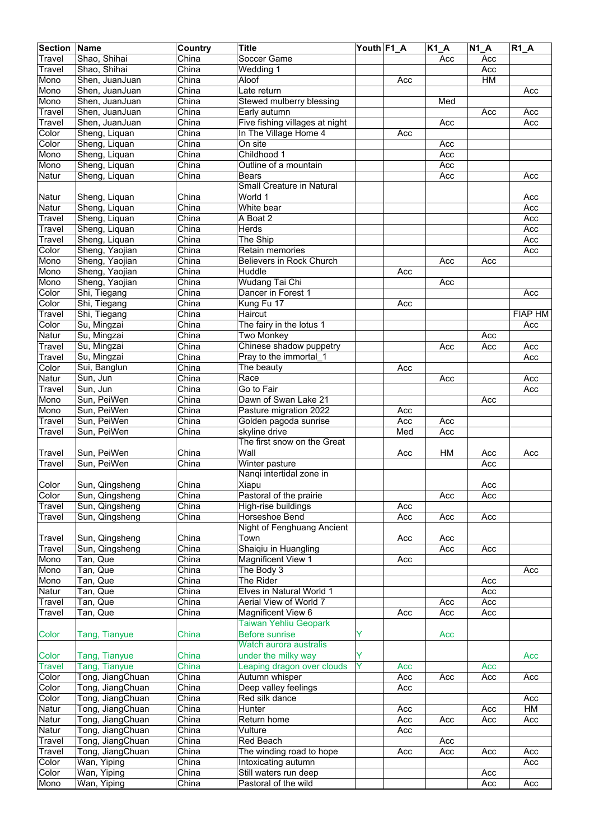| <b>Section</b> | <b>Name</b>      | Country                   | <b>Title</b>                   | Youth F1_A |     | $K1_A$ | N1A | $R1_A$         |
|----------------|------------------|---------------------------|--------------------------------|------------|-----|--------|-----|----------------|
| Travel         | Shao, Shihai     | China                     | Soccer Game                    |            |     | Acc    | Acc |                |
| Travel         | Shao, Shihai     | China                     | Wedding 1                      |            |     |        | Acc |                |
| Mono           | Shen, JuanJuan   | China                     | Aloof                          |            | Acc |        | HM  |                |
| Mono           | Shen, JuanJuan   | China                     | Late return                    |            |     |        |     | Acc            |
| Mono           | Shen, JuanJuan   | China                     | Stewed mulberry blessing       |            |     | Med    |     |                |
| Travel         | Shen, JuanJuan   | China                     | Early autumn                   |            |     |        | Acc | Acc            |
|                |                  | China                     |                                |            |     |        |     | Acc            |
| Travel         | Shen, JuanJuan   |                           | Five fishing villages at night |            |     | Acc    |     |                |
| Color          | Sheng, Liquan    | China                     | In The Village Home 4          |            | Acc |        |     |                |
| Color          | Sheng, Liquan    | China                     | On site                        |            |     | Acc    |     |                |
| Mono           | Sheng, Liquan    | China                     | Childhood 1                    |            |     | Acc    |     |                |
| Mono           | Sheng, Liquan    | China                     | Outline of a mountain          |            |     | Acc    |     |                |
| Natur          | Sheng, Liquan    | China                     | <b>Bears</b>                   |            |     | Acc    |     | Acc            |
|                |                  |                           | Small Creature in Natural      |            |     |        |     |                |
| Natur          | Sheng, Liquan    | China                     | World 1                        |            |     |        |     | Acc            |
| Natur          | Sheng, Liquan    | China                     | White bear                     |            |     |        |     | Acc            |
| Travel         | Sheng, Liquan    | China                     | A Boat 2                       |            |     |        |     | Acc            |
| Travel         | Sheng, Liquan    | China                     | Herds                          |            |     |        |     | Acc            |
| Travel         | Sheng, Liquan    | China                     | The Ship                       |            |     |        |     | Acc            |
| Color          | Sheng, Yaojian   | China                     | Retain memories                |            |     |        |     | Acc            |
| Mono           | Sheng, Yaojian   | China                     | Believers in Rock Church       |            |     | Acc    | Acc |                |
| Mono           | Sheng, Yaojian   | China                     | Huddle                         |            | Acc |        |     |                |
| Mono           | Sheng, Yaojian   | China                     | Wudang Tai Chi                 |            |     | Acc    |     |                |
| Color          | Shi, Tiegang     | China                     | Dancer in Forest 1             |            |     |        |     | Acc            |
| Color          |                  | China                     |                                |            | Acc |        |     |                |
|                | Shi, Tiegang     |                           | Kung Fu 17                     |            |     |        |     | <b>FIAP HM</b> |
| Travel         | Shi, Tiegang     | China                     | Haircut                        |            |     |        |     |                |
| Color          | Su, Mingzai      | China                     | The fairy in the lotus 1       |            |     |        |     | Acc            |
| Natur          | Su, Mingzai      | China                     | <b>Two Monkey</b>              |            |     |        | Acc |                |
| Travel         | Su, Mingzai      | China                     | Chinese shadow puppetry        |            |     | Acc    | Acc | Acc            |
| Travel         | Su, Mingzai      | China                     | Pray to the immortal 1         |            |     |        |     | Acc            |
| Color          | Sui, Banglun     | China                     | The beauty                     |            | Acc |        |     |                |
| Natur          | Sun, Jun         | China                     | Race                           |            |     | Acc    |     | Acc            |
| Travel         | Sun, Jun         | China                     | Go to Fair                     |            |     |        |     | Acc            |
| Mono           | Sun, PeiWen      | China                     | Dawn of Swan Lake 21           |            |     |        | Acc |                |
| Mono           | Sun, PeiWen      | China                     | Pasture migration 2022         |            | Acc |        |     |                |
| Travel         | Sun, PeiWen      | China                     | Golden pagoda sunrise          |            | Acc | Acc    |     |                |
| Travel         | Sun, PeiWen      | China                     | skyline drive                  |            | Med | Acc    |     |                |
|                |                  |                           | The first snow on the Great    |            |     |        |     |                |
| Travel         | Sun, PeiWen      | China                     | Wall                           |            | Acc | HM     | Acc | Acc            |
| Travel         | Sun, PeiWen      | China                     | Winter pasture                 |            |     |        | Acc |                |
|                |                  |                           | Nangi intertidal zone in       |            |     |        |     |                |
| Color          | Sun, Qingsheng   | China                     | Xiapu                          |            |     |        | Acc |                |
| Color          | Sun, Qingsheng   | China                     | Pastoral of the prairie        |            |     | Acc    | Acc |                |
| Travel         | Sun, Qingsheng   | China                     | High-rise buildings            |            | Acc |        |     |                |
| Travel         | Sun, Qingsheng   | China                     | Horseshoe Bend                 |            | Acc | Acc    | Acc |                |
|                |                  |                           | Night of Fenghuang Ancient     |            |     |        |     |                |
|                | Sun, Qingsheng   |                           | Town                           |            |     |        |     |                |
| Travel         |                  | China                     | Shaiqiu in Huangling           |            | Acc | Acc    |     |                |
| Travel         | Sun, Qingsheng   | China                     |                                |            |     | Acc    | Acc |                |
| Mono           | Tan, Que         | China                     | <b>Magnificent View 1</b>      |            | Acc |        |     |                |
| Mono           | Tan, Que         | China                     | The Body 3                     |            |     |        |     | Acc            |
| Mono           | Tan, Que         | China                     | The Rider                      |            |     |        | Acc |                |
| Natur          | Tan, Que         | China                     | Elves in Natural World 1       |            |     |        | Acc |                |
| Travel         | Tan, Que         | China                     | Aerial View of World 7         |            |     | Acc    | Acc |                |
| Travel         | Tan, Que         | China                     | <b>Magnificent View 6</b>      |            | Acc | Acc    | Acc |                |
|                |                  |                           | <b>Taiwan Yehliu Geopark</b>   |            |     |        |     |                |
| Color          | Tang, Tianyue    | China                     | <b>Before sunrise</b>          | Y          |     | Acc    |     |                |
|                |                  |                           | Watch aurora australis         |            |     |        |     |                |
| Color          | Tang, Tianyue    | China                     | under the milky way            | Y          |     |        |     | Acc            |
| <b>Travel</b>  | Tang, Tianyue    | China                     | Leaping dragon over clouds     | Y          | Acc |        | Acc |                |
| Color          | Tong, JiangChuan | China                     | Autumn whisper                 |            | Acc | Acc    | Acc | Acc            |
| Color          | Tong, JiangChuan | China                     | Deep valley feelings           |            | Acc |        |     |                |
| Color          | Tong, JiangChuan | China                     | Red silk dance                 |            |     |        |     | Acc            |
| Natur          | Tong, JiangChuan | China                     | Hunter                         |            | Acc |        | Acc | <b>HM</b>      |
| Natur          | Tong, JiangChuan | China                     | Return home                    |            | Acc | Acc    | Acc | Acc            |
| Natur          | Tong, JiangChuan | China                     | Vulture                        |            | Acc |        |     |                |
| Travel         | Tong, JiangChuan | $\overline{\text{China}}$ | Red Beach                      |            |     | Acc    |     |                |
| Travel         | Tong, JiangChuan | China                     | The winding road to hope       |            | Acc | Acc    | Acc | Acc            |
| Color          | Wan, Yiping      | China                     | Intoxicating autumn            |            |     |        |     | Acc            |
| Color          | Wan, Yiping      | China                     | Still waters run deep          |            |     |        | Acc |                |
| Mono           | Wan, Yiping      | China                     | Pastoral of the wild           |            |     |        | Acc | Acc            |
|                |                  |                           |                                |            |     |        |     |                |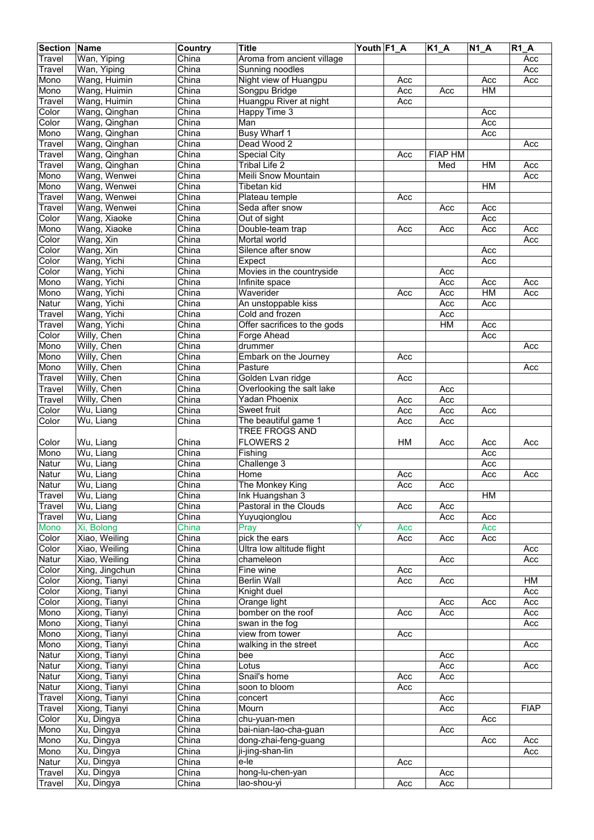| <b>Section</b> | Name                    | Country                   | <b>Title</b>                 | Youth F1_A |     | $K1_A$         | $\overline{N}$ 1_A | R1A         |
|----------------|-------------------------|---------------------------|------------------------------|------------|-----|----------------|--------------------|-------------|
| Travel         | Wan, Yiping             | China                     | Aroma from ancient village   |            |     |                |                    | Acc         |
| Travel         | Wan, Yiping             | China                     | Sunning noodles              |            |     |                |                    | Acc         |
| Mono           | Wang, Huimin            | China                     | Night view of Huangpu        |            | Acc |                | Acc                | Acc         |
| Mono           | Wang, Huimin            | China                     | Songpu Bridge                |            | Acc | Acc            | HM                 |             |
| Travel         | Wang, Huimin            | China                     | Huangpu River at night       |            | Acc |                |                    |             |
| Color          | Wang, Qinghan           | China                     | <b>Happy Time 3</b>          |            |     |                | Acc                |             |
| Color          | Wang, Qinghan           | China                     | Man                          |            |     |                | Acc                |             |
| Mono           | Wang, Qinghan           | China                     | <b>Busy Wharf 1</b>          |            |     |                | Acc                |             |
| Travel         | Wang, Qinghan           | China                     | Dead Wood 2                  |            |     |                |                    | Acc         |
| Travel         | Wang, Qinghan           | China                     | Special City                 |            | Acc | <b>FIAP HM</b> |                    |             |
| Travel         | Wang, Qinghan           | China                     | <b>Tribal Life 2</b>         |            |     | Med            | <b>HM</b>          | Acc         |
| Mono           | Wang, Wenwei            | China                     | Meili Snow Mountain          |            |     |                |                    | Acc         |
| Mono           | Wang, Wenwei            | China                     | Tibetan kid                  |            |     |                | HM                 |             |
| Travel         | Wang, Wenwei            | China                     | Plateau temple               |            | Acc |                |                    |             |
| Travel         | Wang, Wenwei            | China                     | Seda after snow              |            |     | Acc            | Acc                |             |
| Color          | Wang, Xiaoke            | China                     | Out of sight                 |            |     |                | Acc                |             |
| Mono           | Wang, Xiaoke            | China                     | Double-team trap             |            | Acc | Acc            | Acc                | Acc         |
| Color          | Wang, Xin               | China                     | Mortal world                 |            |     |                |                    | Acc         |
| Color          | Wang, Xin               | China                     | Silence after snow           |            |     |                | Acc                |             |
|                |                         | China                     |                              |            |     |                |                    |             |
| Color          | Wang, Yichi             |                           | Expect                       |            |     |                | Acc                |             |
| Color          | Wang, Yichi             | China                     | Movies in the countryside    |            |     | Acc            |                    |             |
| Mono           | Wang, Yichi             | China                     | Infinite space               |            |     | Acc            | Acc                | Acc         |
| Mono           | Wang, Yichi             | China                     | Waverider                    |            | Acc | Acc            | HM                 | Acc         |
| Natur          | Wang, Yichi             | China                     | An unstoppable kiss          |            |     | Acc            | Acc                |             |
| Travel         | Wang, Yichi             | China                     | Cold and frozen              |            |     | Acc            |                    |             |
| Travel         | Wang, Yichi             | China                     | Offer sacrifices to the gods |            |     | HM             | Acc                |             |
| Color          | Willy, Chen             | China                     | Forge Ahead                  |            |     |                | Acc                |             |
| Mono           | Willy, Chen             | China                     | drummer                      |            |     |                |                    | Acc         |
| Mono           | Willy, Chen             | China                     | Embark on the Journey        |            | Acc |                |                    |             |
| Mono           | Willy, Chen             | China                     | Pasture                      |            |     |                |                    | Acc         |
| Travel         | Willy, Chen             | China                     | Golden Lvan ridge            |            | Acc |                |                    |             |
| Travel         | Willy, Chen             | China                     | Overlooking the salt lake    |            |     | Acc            |                    |             |
| Travel         | Willy, Chen             | China                     | <b>Yadan Phoenix</b>         |            | Acc | Acc            |                    |             |
| Color          | Wu, Liang               | China                     | Sweet fruit                  |            | Acc | Acc            | Acc                |             |
| Color          | $\overline{W}$ u, Liang | China                     | The beautiful game 1         |            | Acc | Acc            |                    |             |
|                |                         |                           | <b>TREE FROGS AND</b>        |            |     |                |                    |             |
| Color          | Wu, Liang               | China                     | <b>FLOWERS 2</b>             |            | HM  | Acc            | Acc                | Acc         |
| Mono           | Wu, Liang               | China                     | Fishing                      |            |     |                | Acc                |             |
| Natur          | Wu, Liang               | China                     | Challenge 3                  |            |     |                | Acc                |             |
| Natur          | Wu, Liang               | China                     | Home                         |            | Acc |                | Acc                | Acc         |
| Natur          | Wu, Liang               | China                     | The Monkey King              |            | Acc | Acc            |                    |             |
| Travel         | Wu, Liang               | China                     | Ink Huangshan 3              |            |     |                | HM                 |             |
| Travel         | Wu, Liang               | China                     | Pastoral in the Clouds       |            | Acc | Acc            |                    |             |
| Travel         | Wu, Liang               | China                     | Yuyuqionglou                 |            |     | Acc            | Acc                |             |
| Mono           | Xi, Bolong              | China                     | Pray                         |            | Acc |                | Acc                |             |
| Color          | Xiao, Weiling           | China                     | pick the ears                |            | Acc | Acc            | Acc                |             |
| Color          | Xiao, Weiling           | China                     | Ultra low altitude flight    |            |     |                |                    | Acc         |
|                | Xiao, Weiling           | China                     | chameleon                    |            |     |                |                    | Acc         |
| Natur<br>Color | Xing, Jingchun          | China                     | Fine wine                    |            | Acc | Acc            |                    |             |
|                |                         | China                     | <b>Berlin Wall</b>           |            |     |                |                    |             |
| Color          | Xiong, Tianyi           |                           |                              |            | Acc | Acc            |                    | HM          |
| Color          | Xiong, Tianyi           | China                     | Knight duel                  |            |     |                |                    | Acc         |
| Color          | Xiong, Tianyi           | China                     | Orange light                 |            |     | Acc            | Acc                | Acc         |
| Mono           | Xiong, Tianyi           | China                     | bomber on the roof           |            | Acc | Acc            |                    | Acc         |
| Mono           | Xiong, Tianyi           | China                     | swan in the fog              |            |     |                |                    | Acc         |
| Mono           | Xiong, Tianyi           | China                     | view from tower              |            | Acc |                |                    |             |
| Mono           | Xiong, Tianyi           | China                     | walking in the street        |            |     |                |                    | Acc         |
| Natur          | Xiong, Tianyi           | China                     | bee                          |            |     | Acc            |                    |             |
| Natur          | Xiong, Tianyi           | China                     | Lotus                        |            |     | Acc            |                    | Acc         |
| Natur          | Xiong, Tianyi           | $\overline{\text{China}}$ | Snail's home                 |            | Acc | Acc            |                    |             |
| Natur          | Xiong, Tianyi           | China                     | soon to bloom                |            | Acc |                |                    |             |
| Travel         | Xiong, Tianyi           | China                     | concert                      |            |     | Acc            |                    |             |
| Travel         | Xiong, Tianyi           | China                     | Mourn                        |            |     | Acc            |                    | <b>FIAP</b> |
| Color          | Xu, Dingya              | China                     | chu-yuan-men                 |            |     |                | Acc                |             |
| Mono           | Xu, Dingya              | China                     | bai-nian-lao-cha-guan        |            |     | Acc            |                    |             |
| Mono           | Xu, Dingya              | China                     | dong-zhai-feng-guang         |            |     |                | Acc                | Acc         |
| Mono           | Xu, Dingya              | China                     | ji-jing-shan-lin             |            |     |                |                    | Acc         |
| Natur          | Xu, Dingya              | China                     | e-le                         |            | Acc |                |                    |             |
| Travel         | Xu, Dingya              | China                     | hong-lu-chen-yan             |            |     | Acc            |                    |             |
| Travel         | Xu, Dingya              | China                     | lao-shou-yi                  |            | Acc | Acc            |                    |             |
|                |                         |                           |                              |            |     |                |                    |             |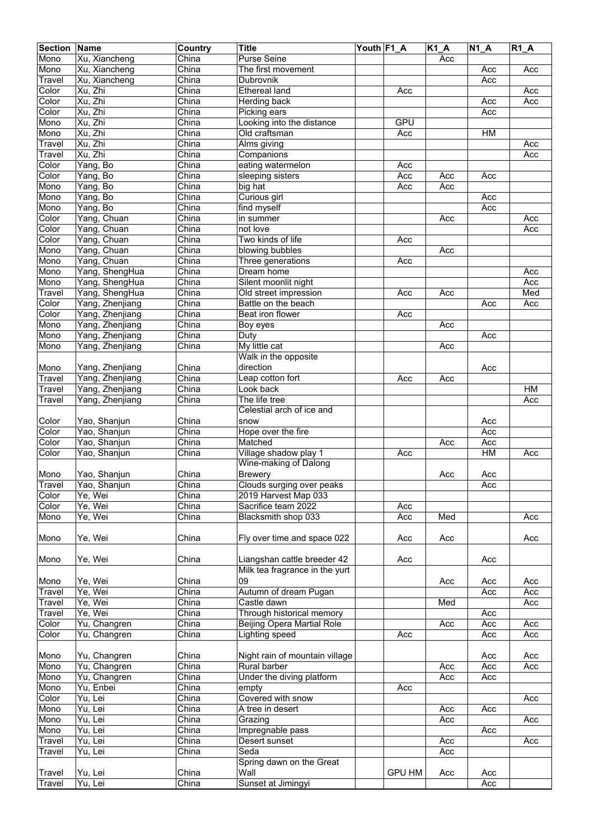| <b>Section</b> | Name            | Country                   | <b>Title</b>                   | Youth F1_A |               | $K1_A$ | $\overline{N1}A$ | $R1_A$ |
|----------------|-----------------|---------------------------|--------------------------------|------------|---------------|--------|------------------|--------|
| Mono           | Xu, Xiancheng   | China                     | Purse Seine                    |            |               | Acc    |                  |        |
| Mono           | Xu, Xiancheng   | China                     | The first movement             |            |               |        | Acc              | Acc    |
| Travel         | Xu, Xiancheng   | China                     | Dubrovnik                      |            |               |        | Acc              |        |
| Color          | Xu, Zhi         | China                     | <b>Ethereal land</b>           |            | Acc           |        |                  | Acc    |
| Color          | Xu, Zhi         | China                     | Herding back                   |            |               |        |                  | Acc    |
|                | Xu, Zhi         | China                     |                                |            |               |        | Acc              |        |
| Color          |                 |                           | Picking ears                   |            |               |        | Acc              |        |
| Mono           | Xu, Zhi         | China                     | Looking into the distance      |            | GPU           |        |                  |        |
| Mono           | Xu, Zhi         | China                     | Old craftsman                  |            | Acc           |        | HM               |        |
| Travel         | Xu, Zhi         | China                     | Alms giving                    |            |               |        |                  | Acc    |
| Travel         | Xu, Zhi         | China                     | Companions                     |            |               |        |                  | Acc    |
| Color          | Yang, Bo        | China                     | eating watermelon              |            | Acc           |        |                  |        |
| Color          | Yang, Bo        | China                     | sleeping sisters               |            | Acc           | Acc    | Acc              |        |
| Mono           | Yang, Bo        | China                     | big hat                        |            | Acc           | Acc    |                  |        |
| Mono           | Yang, Bo        | China                     | Curious girl                   |            |               |        | Acc              |        |
| Mono           | Yang, Bo        | China                     | find myself                    |            |               |        | Acc              |        |
| Color          | Yang, Chuan     | China                     | in summer                      |            |               | Acc    |                  | Acc    |
| Color          | Yang, Chuan     | China                     | not love                       |            |               |        |                  | Acc    |
| Color          | Yang, Chuan     | China                     | Two kinds of life              |            | Acc           |        |                  |        |
| Mono           | Yang, Chuan     | China                     | blowing bubbles                |            |               | Acc    |                  |        |
| Mono           | Yang, Chuan     | China                     | Three generations              |            | Acc           |        |                  |        |
| Mono           | Yang, ShengHua  | China                     | Dream home                     |            |               |        |                  |        |
|                |                 |                           |                                |            |               |        |                  | Acc    |
| Mono           | Yang, ShengHua  | China                     | Silent moonlit night           |            |               |        |                  | Acc    |
| Travel         | Yang, ShengHua  | China                     | Old street impression          |            | Acc           | Acc    |                  | Med    |
| Color          | Yang, Zhenjiang | China                     | Battle on the beach            |            |               |        | Acc              | Acc    |
| Color          | Yang, Zhenjiang | China                     | Beat iron flower               |            | Acc           |        |                  |        |
| Mono           | Yang, Zhenjiang | $\overline{\text{China}}$ | Boy eyes                       |            |               | Acc    |                  |        |
| Mono           | Yang, Zhenjiang | China                     | Duty                           |            |               |        | Acc              |        |
| Mono           | Yang, Zhenjiang | China                     | My little cat                  |            |               | Acc    |                  |        |
|                |                 |                           | Walk in the opposite           |            |               |        |                  |        |
| Mono           | Yang, Zhenjiang | China                     | direction                      |            |               |        | Acc              |        |
| Travel         | Yang, Zhenjiang | China                     | Leap cotton fort               |            | Acc           | Acc    |                  |        |
| Travel         | Yang, Zhenjiang | China                     | Look back                      |            |               |        |                  | HM     |
| Travel         | Yang, Zhenjiang | China                     | The life tree                  |            |               |        |                  | Acc    |
|                |                 |                           | Celestial arch of ice and      |            |               |        |                  |        |
| Color          |                 | China                     | snow                           |            |               |        |                  |        |
|                | Yao, Shanjun    |                           |                                |            |               |        | Acc              |        |
| Color          | Yao, Shanjun    | China                     | Hope over the fire             |            |               |        | Acc              |        |
| Color          | Yao, Shanjun    | China                     | Matched                        |            |               | Acc    | Acc              |        |
| Color          | Yao, Shanjun    | China                     | Village shadow play 1          |            | Acc           |        | HM               | Acc    |
|                |                 |                           | Wine-making of Dalong          |            |               |        |                  |        |
| Mono           | Yao, Shanjun    | China                     | <b>Brewery</b>                 |            |               | Acc    | Acc              |        |
| <b>Travel</b>  | Yao, Shanjun    | China                     | Clouds surging over peaks      |            |               |        | Acc              |        |
| Color          | Ye, Wei         | China                     | 2019 Harvest Map 033           |            |               |        |                  |        |
| Color          | Ye, Wei         | China                     | Sacrifice team 2022            |            | Acc           |        |                  |        |
| Mono           | Ye, Wei         | China                     | Blacksmith shop 033            |            | Acc           | Med    |                  | Acc    |
|                |                 |                           |                                |            |               |        |                  |        |
| Mono           | Ye, Wei         | China                     | Fly over time and space 022    |            | Acc           | Acc    |                  | Acc    |
|                |                 |                           |                                |            |               |        |                  |        |
| Mono           | Ye, Wei         | China                     | Liangshan cattle breeder 42    |            | Acc           |        | Acc              |        |
|                |                 |                           | Milk tea fragrance in the yurt |            |               |        |                  |        |
| Mono           | Ye, Wei         | China                     | 09                             |            |               | Acc    | Acc              | Acc    |
| Travel         | Ye, Wei         | China                     | Autumn of dream Pugan          |            |               |        | Acc              | Acc    |
| Travel         | Ye, Wei         | China                     | Castle dawn                    |            |               | Med    |                  | Acc    |
| Travel         | Ye, Wei         | China                     | Through historical memory      |            |               |        |                  |        |
|                |                 |                           |                                |            |               |        | Acc              |        |
| Color          | Yu, Changren    | China                     | Beijing Opera Martial Role     |            |               | Acc    | Acc              | Acc    |
| Color          | Yu, Changren    | China                     | Lighting speed                 |            | Acc           |        | Acc              | Acc    |
|                |                 |                           |                                |            |               |        |                  |        |
| Mono           | Yu, Changren    | China                     | Night rain of mountain village |            |               |        | Acc              | Acc    |
| Mono           | Yu, Changren    | China                     | Rural barber                   |            |               | Acc    | Acc              | Acc    |
| Mono           | Yu, Changren    | China                     | Under the diving platform      |            |               | Acc    | Acc              |        |
| Mono           | Yu, Enbei       | China                     | empty                          |            | Acc           |        |                  |        |
| Color          | Yu, Lei         | China                     | Covered with snow              |            |               |        |                  | Acc    |
| Mono           | Yu, Lei         | China                     | A tree in desert               |            |               | Acc    | Acc              |        |
| Mono           | Yu, Lei         | China                     | Grazing                        |            |               | Acc    |                  | Acc    |
| Mono           | Yu, Lei         | China                     | Impregnable pass               |            |               |        | Acc              |        |
| Travel         | Yu, Lei         | China                     | Desert sunset                  |            |               | Acc    |                  | Acc    |
| Travel         | Yu, Lei         | China                     | Seda                           |            |               | Acc    |                  |        |
|                |                 |                           | Spring dawn on the Great       |            |               |        |                  |        |
| Travel         | Yu, Lei         | China                     | Wall                           |            | <b>GPU HM</b> | Acc    | Acc              |        |
|                | Yu, Lei         |                           | Sunset at Jimingyi             |            |               |        |                  |        |
| Travel         |                 | China                     |                                |            |               |        | Acc              |        |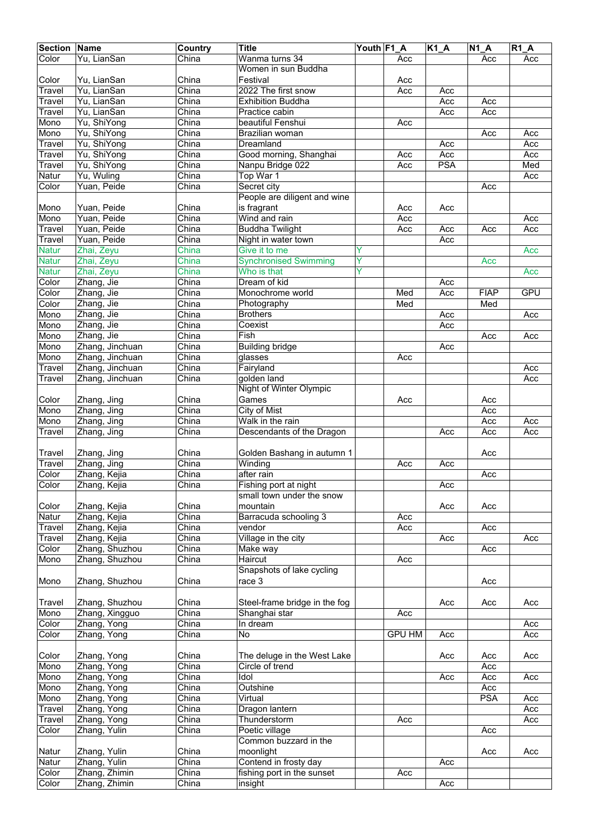| <b>Section Name</b> |                 | Country | <b>Title</b>                  | Youth F1_A |               | $K1_A$ | <b>N1 A</b> | $R1_A$     |
|---------------------|-----------------|---------|-------------------------------|------------|---------------|--------|-------------|------------|
| Color               | Yu, LianSan     | China   | Wanma turns 34                |            | Acc           |        | Acc         | Acc        |
|                     |                 |         | Women in sun Buddha           |            |               |        |             |            |
| Color               | Yu, LianSan     | China   | Festival                      |            | Acc           |        |             |            |
| Travel              | Yu, LianSan     | China   | 2022 The first snow           |            | Acc           | Acc    |             |            |
| Travel              | Yu, LianSan     | China   | <b>Exhibition Buddha</b>      |            |               | Acc    | Acc         |            |
| Travel              | Yu, LianSan     | China   | Practice cabin                |            |               | Acc    | Acc         |            |
| Mono                | Yu, ShiYong     | China   | beautiful Fenshui             |            | Acc           |        |             |            |
| Mono                | Yu, ShiYong     | China   | Brazilian woman               |            |               |        | Acc         | Acc        |
| Travel              | Yu, ShiYong     | China   | Dreamland                     |            |               | Acc    |             | Acc        |
| Travel              | Yu, ShiYong     | China   | Good morning, Shanghai        |            | Acc           | Acc    |             | Acc        |
| Travel              | Yu, ShiYong     | China   | Nanpu Bridge 022              |            | Acc           | PSA    |             | Med        |
| Natur               | Yu, Wuling      | China   | Top War 1                     |            |               |        |             |            |
|                     |                 |         |                               |            |               |        |             | Acc        |
| Color               | Yuan, Peide     | China   | Secret city                   |            |               |        | Acc         |            |
|                     |                 |         | People are diligent and wine  |            |               |        |             |            |
| Mono                | Yuan, Peide     | China   | is fragrant                   |            | Acc           | Acc    |             |            |
| Mono                | Yuan, Peide     | China   | Wind and rain                 |            | Acc           |        |             | Acc        |
| Travel              | Yuan, Peide     | China   | <b>Buddha Twilight</b>        |            | Acc           | Acc    | Acc         | Acc        |
| Travel              | Yuan, Peide     | China   | Night in water town           |            |               | Acc    |             |            |
| <b>Natur</b>        | Zhai, Zeyu      | China   | Give it to me                 | Ÿ          |               |        |             | Acc        |
| <b>Natur</b>        | Zhai, Zeyu      | China   | <b>Synchronised Swimming</b>  | Ŷ          |               |        | Acc         |            |
| <b>Natur</b>        | Zhai, Zeyu      | China   | Who is that                   | Ŷ          |               |        |             | Acc        |
| Color               | Zhang, Jie      | China   | Dream of kid                  |            |               | Acc    |             |            |
| Color               | Zhang, Jie      | China   | Monochrome world              |            | Med           | Acc    | <b>FIAP</b> | <b>GPU</b> |
| Color               | Zhang, Jie      | China   | Photography                   |            | Med           |        | Med         |            |
| Mono                | Zhang, Jie      | China   | <b>Brothers</b>               |            |               | Acc    |             | Acc        |
| Mono                | Zhang, Jie      | China   | Coexist                       |            |               | Acc    |             |            |
|                     |                 | China   | Fish                          |            |               |        |             |            |
| Mono                | Zhang, Jie      |         |                               |            |               |        | Acc         | Acc        |
| Mono                | Zhang, Jinchuan | China   | <b>Building bridge</b>        |            |               | Acc    |             |            |
| Mono                | Zhang, Jinchuan | China   | glasses                       |            | Acc           |        |             |            |
| Travel              | Zhang, Jinchuan | China   | Fairyland                     |            |               |        |             | Acc        |
| Travel              | Zhang, Jinchuan | China   | golden land                   |            |               |        |             | Acc        |
|                     |                 |         | Night of Winter Olympic       |            |               |        |             |            |
| Color               | Zhang, Jing     | China   | Games                         |            | Acc           |        | Acc         |            |
| Mono                | Zhang, Jing     | China   | City of Mist                  |            |               |        | Acc         |            |
| Mono                | Zhang, Jing     | China   | Walk in the rain              |            |               |        | Acc         | Acc        |
| Travel              | Zhang, Jing     | China   | Descendants of the Dragon     |            |               | Acc    | Acc         | Acc        |
|                     |                 |         |                               |            |               |        |             |            |
| Travel              | Zhang, Jing     | China   | Golden Bashang in autumn 1    |            |               |        | Acc         |            |
| Travel              | Zhang, Jing     | China   | Winding                       |            | Acc           | Acc    |             |            |
| Color               | Zhang, Kejia    | China   | after rain                    |            |               |        | Acc         |            |
| Color               | Zhang, Kejia    | China   | Fishing port at night         |            |               | Acc    |             |            |
|                     |                 |         | small town under the snow     |            |               |        |             |            |
|                     |                 |         |                               |            |               |        |             |            |
| Color               | Zhang, Kejia    | China   | mountain                      |            |               | Acc    | Acc         |            |
| Natur               | Zhang, Kejia    | China   | Barracuda schooling 3         |            | Acc           |        |             |            |
| Travel              | Zhang, Kejia    | China   | vendor                        |            | Acc           |        | Acc         |            |
| Travel              | Zhang, Kejia    | China   | Village in the city           |            |               | Acc    |             | Acc        |
| Color               | Zhang, Shuzhou  | China   | Make way                      |            |               |        | Acc         |            |
| Mono                | Zhang, Shuzhou  | China   | Haircut                       |            | Acc           |        |             |            |
|                     |                 |         | Snapshots of lake cycling     |            |               |        |             |            |
| Mono                | Zhang, Shuzhou  | China   | race 3                        |            |               |        | Acc         |            |
|                     |                 |         |                               |            |               |        |             |            |
| Travel              | Zhang, Shuzhou  | China   | Steel-frame bridge in the fog |            |               | Acc    | Acc         | Acc        |
| Mono                | Zhang, Xingguo  | China   | Shanghai star                 |            | Acc           |        |             |            |
| Color               | Zhang, Yong     | China   | In dream                      |            |               |        |             | Acc        |
| Color               | Zhang, Yong     | China   | No                            |            | <b>GPU HM</b> | Acc    |             | Acc        |
|                     |                 |         |                               |            |               |        |             |            |
| Color               | Zhang, Yong     | China   | The deluge in the West Lake   |            |               | Acc    | Acc         | Acc        |
| Mono                | Zhang, Yong     | China   | Circle of trend               |            |               |        | Acc         |            |
| Mono                | Zhang, Yong     | China   | <b>Idol</b>                   |            |               |        |             |            |
|                     |                 |         |                               |            |               | Acc    | Acc         | Acc        |
| Mono                | Zhang, Yong     | China   | Outshine                      |            |               |        | Acc         |            |
| Mono                | Zhang, Yong     | China   | Virtual                       |            |               |        | <b>PSA</b>  | Acc        |
| Travel              | Zhang, Yong     | China   | Dragon lantern                |            |               |        |             | Acc        |
| Travel              | Zhang, Yong     | China   | Thunderstorm                  |            | Acc           |        |             | Acc        |
| Color               | Zhang, Yulin    | China   | Poetic village                |            |               |        | Acc         |            |
|                     |                 |         | Common buzzard in the         |            |               |        |             |            |
| Natur               | Zhang, Yulin    | China   | moonlight                     |            |               |        | Acc         | Acc        |
| Natur               | Zhang, Yulin    | China   | Contend in frosty day         |            |               | Acc    |             |            |
| Color               | Zhang, Zhimin   | China   | fishing port in the sunset    |            | Acc           |        |             |            |
| Color               | Zhang, Zhimin   | China   | insight                       |            |               | Acc    |             |            |
|                     |                 |         |                               |            |               |        |             |            |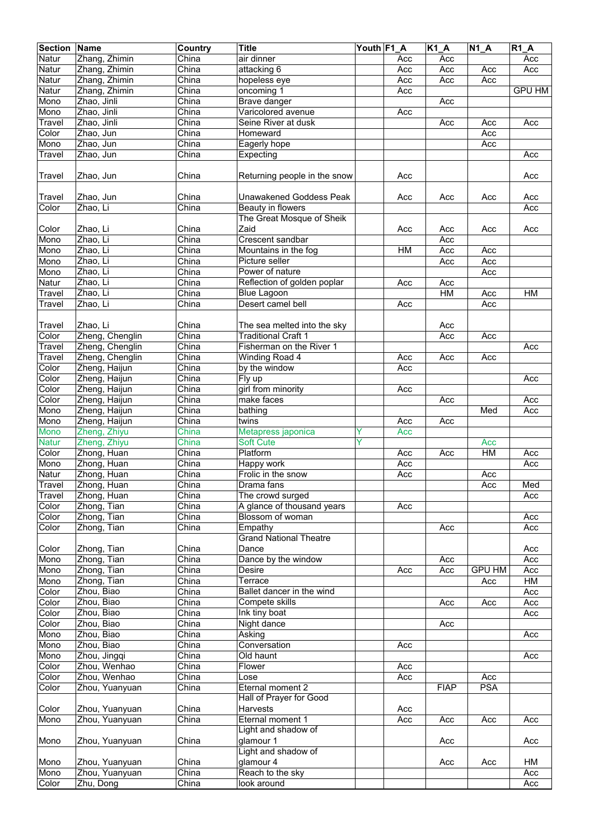| <b>Section</b> | <b>Name</b>                | Country                   | <b>Title</b>                                   | Youth F1_A |     | $K1_A$      | $N1_A$        | R1A           |
|----------------|----------------------------|---------------------------|------------------------------------------------|------------|-----|-------------|---------------|---------------|
| Natur          | Zhang, Zhimin              | China                     | air dinner                                     |            | Acc | Acc         |               | Acc           |
| Natur          | Zhang, Zhimin              | China                     | attacking 6                                    |            | Acc | Acc         | Acc           | Acc           |
| Natur          | Zhang, Zhimin              | China                     | hopeless eye                                   |            | Acc | Acc         | Acc           |               |
| Natur          | Zhang, Zhimin              | China                     | oncoming 1                                     |            | Acc |             |               | <b>GPU HM</b> |
| Mono           | Zhao, Jinli                | China                     | Brave danger                                   |            |     | Acc         |               |               |
| Mono           | Zhao, Jinli                | China                     | Varicolored avenue                             |            | Acc |             |               |               |
| Travel         | Zhao, Jinli                | China                     | Seine River at dusk                            |            |     | Acc         | Acc           | Acc           |
| Color          | Zhao, Jun                  | China                     | Homeward                                       |            |     |             | Acc           |               |
| Mono           | Zhao, Jun                  | China                     | Eagerly hope                                   |            |     |             | Acc           |               |
| Travel         | Zhao, Jun                  | China                     | Expecting                                      |            |     |             |               | Acc           |
|                |                            |                           |                                                |            |     |             |               |               |
| Travel         | Zhao, Jun                  | China                     | Returning people in the snow                   |            | Acc |             |               | Acc           |
|                |                            |                           |                                                |            |     |             |               |               |
| Travel         | Zhao, Jun                  | China                     | <b>Unawakened Goddess Peak</b>                 |            | Acc | Acc         | Acc           | Acc           |
| Color          | Zhao, Li                   | China                     | Beauty in flowers                              |            |     |             |               | Acc           |
|                |                            |                           | The Great Mosque of Sheik                      |            |     |             |               |               |
| Color          | Zhao, Li                   | China                     | Zaid                                           |            | Acc | Acc         | Acc           | Acc           |
| Mono           | Zhao, Li                   | China                     | Crescent sandbar                               |            |     | Acc         |               |               |
| Mono           | Zhao, Li                   | China                     | Mountains in the fog                           |            | H M | Acc         | Acc           |               |
| Mono           | Zhao, Li                   | China                     | Picture seller                                 |            |     | Acc         | Acc           |               |
| Mono           | Zhao, Li                   | China                     | Power of nature                                |            |     |             | Acc           |               |
| Natur          | Zhao, Li                   | China                     | Reflection of golden poplar                    |            | Acc | Acc         |               |               |
| Travel         | Zhao, Li                   | China                     | <b>Blue Lagoon</b>                             |            |     | <b>HM</b>   | Acc           | HM            |
| Travel         | Zhao, Li                   | China                     | Desert camel bell                              |            | Acc |             | Acc           |               |
|                |                            |                           |                                                |            |     |             |               |               |
| Travel         | Zhao, Li                   | China                     | The sea melted into the sky                    |            |     | Acc         |               |               |
| Color          | Zheng, Chenglin            | China                     | <b>Traditional Craft 1</b>                     |            |     | Acc         | Acc           |               |
| Travel         | Zheng, Chenglin            | China                     | Fisherman on the River 1                       |            |     |             |               | Acc           |
| Travel         | Zheng, Chenglin            | $\overline{\text{China}}$ | Winding Road 4                                 |            | Acc | Acc         | Acc           |               |
| Color          | Zheng, Haijun              | China                     | by the window                                  |            | Acc |             |               |               |
| Color          | Zheng, Haijun              | China                     | Fly up                                         |            |     |             |               | Acc           |
| Color          | Zheng, Haijun              | China                     | girl from minority                             |            | Acc |             |               |               |
| Color          | Zheng, Haijun              | China                     | make faces                                     |            |     | Acc         |               | Acc           |
| Mono           | Zheng, Haijun              | China                     | bathing                                        |            |     |             | Med           | Acc           |
| Mono           | Zheng, Haijun              | China                     | twins                                          |            | Acc | Acc         |               |               |
| Mono           | Zheng, Zhiyu               | China                     | Metapress japonica                             | Y          | Acc |             |               |               |
| <b>Natur</b>   | Zheng, Zhiyu               | China                     | <b>Soft Cute</b>                               | Y          |     |             | Acc           |               |
| Color          | Zhong, Huan                | China                     | Platform                                       |            | Acc | Acc         | HM            | Acc           |
| Mono           | Zhong, Huan                | China                     | Happy work                                     |            | Acc |             |               | Acc           |
| Natur          | Zhong, Huan                | China                     | Frolic in the snow                             |            | Acc |             | Acc           |               |
| <b>Travel</b>  | Zhong, Huan                | China                     | Drama fans                                     |            |     |             | Acc           | Med           |
| Travel         | Zhong, Huan                | China                     | The crowd surged                               |            |     |             |               | Acc           |
| Color<br>Color | Zhong, Tian<br>Zhong, Tian | China<br>China            | A glance of thousand years<br>Blossom of woman |            | Acc |             |               | Acc           |
| Color          | Zhong, Tian                | China                     | Empathy                                        |            |     | Acc         |               | Acc           |
|                |                            |                           | <b>Grand National Theatre</b>                  |            |     |             |               |               |
| Color          | Zhong, Tian                | China                     | Dance                                          |            |     |             |               | Acc           |
| Mono           | Zhong, Tian                | China                     | Dance by the window                            |            |     | Acc         |               | Acc           |
| Mono           | Zhong, Tian                | China                     | Desire                                         |            | Acc | Acc         | <b>GPU HM</b> | Acc           |
| Mono           | Zhong, Tian                | $\overline{\text{China}}$ | Terrace                                        |            |     |             | Acc           | HM            |
| Color          | Zhou, Biao                 | China                     | Ballet dancer in the wind                      |            |     |             |               | Acc           |
| Color          | Zhou, Biao                 | China                     | Compete skills                                 |            |     | Acc         | Acc           | Acc           |
| Color          | Zhou, Biao                 | China                     | Ink tiny boat                                  |            |     |             |               | Acc           |
| Color          | Zhou, Biao                 | China                     | Night dance                                    |            |     | Acc         |               |               |
| Mono           | Zhou, Biao                 | China                     | Asking                                         |            |     |             |               | Acc           |
| Mono           | Zhou, Biao                 | China                     | Conversation                                   |            | Acc |             |               |               |
| Mono           | Zhou, Jingqi               | China                     | Old haunt                                      |            |     |             |               | Acc           |
| Color          | Zhou, Wenhao               | China                     | Flower                                         |            | Acc |             |               |               |
| Color          | Zhou, Wenhao               | China                     | Lose                                           |            | Acc |             | Acc           |               |
| Color          | Zhou, Yuanyuan             | China                     | Eternal moment 2                               |            |     | <b>FIAP</b> | <b>PSA</b>    |               |
|                |                            |                           | Hall of Prayer for Good                        |            |     |             |               |               |
| Color          | Zhou, Yuanyuan             | China                     | Harvests                                       |            | Acc |             |               |               |
| Mono           | Zhou, Yuanyuan             | China                     | Eternal moment 1                               |            | Acc | Acc         | Acc           | Acc           |
|                |                            |                           | Light and shadow of                            |            |     |             |               |               |
| Mono           | Zhou, Yuanyuan             | China                     | glamour 1                                      |            |     | Acc         |               | Acc           |
|                |                            |                           | Light and shadow of                            |            |     |             |               |               |
| Mono           | Zhou, Yuanyuan             | China                     | glamour 4                                      |            |     | Acc         | Acc           | НM            |
| Mono           | Zhou, Yuanyuan             | China                     | Reach to the sky                               |            |     |             |               | Acc           |
| Color          | Zhu, Dong                  | China                     | look around                                    |            |     |             |               | Acc           |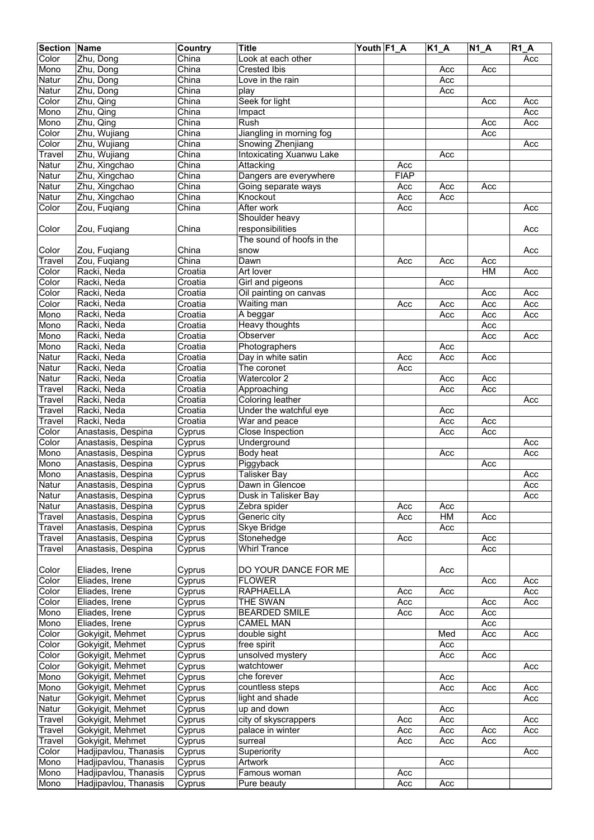| <b>Section</b> | <b>Name</b>                      | Country | <b>Title</b>              | Youth F1 A |             | $K1_A$ | $N1_A$         | <b>R1 A</b> |
|----------------|----------------------------------|---------|---------------------------|------------|-------------|--------|----------------|-------------|
| Color          | Zhu, Dong                        | China   | Look at each other        |            |             |        |                | Acc         |
| Mono           | Zhu, Dong                        | China   | <b>Crested Ibis</b>       |            |             | Acc    | Acc            |             |
| Natur          | Zhu, Dong                        | China   | Love in the rain          |            |             | Acc    |                |             |
| Natur          | Zhu, Dong                        | China   | play                      |            |             | Acc    |                |             |
| Color          | Zhu, Qing                        | China   | Seek for light            |            |             |        |                |             |
|                |                                  | China   |                           |            |             |        | Acc            | Acc         |
| Mono           | Zhu, Qing                        |         | Impact                    |            |             |        |                | Acc         |
| Mono           | Zhu, Qing                        | China   | Rush                      |            |             |        | Acc            | Acc         |
| Color          | Zhu, Wujiang                     | China   | Jiangling in morning fog  |            |             |        | Acc            |             |
| Color          | Zhu, Wujiang                     | China   | Snowing Zhenjiang         |            |             |        |                | Acc         |
| Travel         | Zhu, Wujiang                     | China   | Intoxicating Xuanwu Lake  |            |             | Acc    |                |             |
| Natur          | Zhu, Xingchao                    | China   | Attacking                 |            | Acc         |        |                |             |
| Natur          | Zhu, Xingchao                    | China   | Dangers are everywhere    |            | <b>FIAP</b> |        |                |             |
| Natur          | Zhu, Xingchao                    | China   | Going separate ways       |            | Acc         | Acc    | Acc            |             |
| Natur          | Zhu, Xingchao                    | China   | Knockout                  |            | Acc         | Acc    |                |             |
| Color          | Zou, Fugiang                     | China   | After work                |            | Acc         |        |                | Acc         |
|                |                                  |         | Shoulder heavy            |            |             |        |                |             |
| Color          | Zou, Fuqiang                     | China   | responsibilities          |            |             |        |                | Acc         |
|                |                                  |         | The sound of hoofs in the |            |             |        |                |             |
| Color          | Zou, Fuqiang                     | China   | snow                      |            |             |        |                | Acc         |
|                |                                  |         | Dawn                      |            |             |        |                |             |
| Travel         | Zou, Fuqiang                     | China   |                           |            | Acc         | Acc    | Acc            |             |
| Color          | Racki, Neda                      | Croatia | Art lover                 |            |             |        | HM             | Acc         |
| Color          | Racki, Neda                      | Croatia | Girl and pigeons          |            |             | Acc    |                |             |
| Color          | Racki, Neda                      | Croatia | Oil painting on canvas    |            |             |        | Acc            | Acc         |
| Color          | Racki, Neda                      | Croatia | Waiting man               |            | Acc         | Acc    | Acc            | Acc         |
| Mono           | Racki, Neda                      | Croatia | A beggar                  |            |             | Acc    | Acc            | Acc         |
| Mono           | Racki, Neda                      | Croatia | Heavy thoughts            |            |             |        | Acc            |             |
| Mono           | Racki, Neda                      | Croatia | Observer                  |            |             |        | Acc            | Acc         |
| Mono           | Racki, Neda                      | Croatia | Photographers             |            |             | Acc    |                |             |
| Natur          | Racki, Neda                      | Croatia | Day in white satin        |            | Acc         | Acc    | Acc            |             |
| Natur          | Racki, Neda                      | Croatia | The coronet               |            | Acc         |        |                |             |
| Natur          | Racki, Neda                      | Croatia | Watercolor 2              |            |             | Acc    | Acc            |             |
| Travel         | Racki, Neda                      | Croatia | Approaching               |            |             | Acc    | Acc            |             |
|                | Racki, Neda                      | Croatia | Coloring leather          |            |             |        |                | Acc         |
| Travel         |                                  |         |                           |            |             |        |                |             |
| Travel         | Racki, Neda                      | Croatia | Under the watchful eye    |            |             | Acc    |                |             |
| Travel         | Racki, Neda                      | Croatia | War and peace             |            |             | Acc    | Acc            |             |
| Color          | Anastasis, Despina               | Cyprus  | Close Inspection          |            |             | Acc    | Acc            |             |
| Color          | Anastasis, Despina               | Cyprus  | Underground               |            |             |        |                | Acc         |
| Mono           | Anastasis, Despina               | Cyprus  | Body heat                 |            |             | Acc    |                | Acc         |
| Mono           | Anastasis, Despina               | Cyprus  | Piggyback                 |            |             |        | Acc            |             |
| Mono           | Anastasis, Despina               | Cyprus  | Talisker Bay              |            |             |        |                | Acc         |
| Natur          | Anastasis, Despina               | Cyprus  | Dawn in Glencoe           |            |             |        |                | Acc         |
| Natur          | Anastasis, Despina               | Cyprus  | Dusk in Talisker Bay      |            |             |        |                | Acc         |
| Natur          | Anastasis, Despina               | Cyprus  | Zebra spider              |            | Acc         | Acc    |                |             |
| Travel         | Anastasis, Despina               | Cyprus  | Generic city              |            | Acc         | HM     | Acc            |             |
| Travel         | Anastasis, Despina               | Cyprus  | Skye Bridge               |            |             | Acc    |                |             |
| Travel         | Anastasis, Despina               | Cyprus  | Stonehedge                |            | Acc         |        | Acc            |             |
| Travel         | Anastasis, Despina               | Cyprus  | <b>Whirl Trance</b>       |            |             |        | Acc            |             |
|                |                                  |         |                           |            |             |        |                |             |
|                |                                  |         |                           |            |             |        |                |             |
| Color          | Eliades, Irene<br>Eliades, Irene | Cyprus  | DO YOUR DANCE FOR ME      |            |             | Acc    |                | Acc         |
| Color          |                                  | Cyprus  | <b>FLOWER</b>             |            |             |        | Acc            |             |
| Color          | Eliades, Irene                   | Cyprus  | <b>RAPHAELLA</b>          |            | Acc         | Acc    |                | Acc         |
| Color          | Eliades, Irene                   | Cyprus  | THE SWAN                  |            | Acc         |        | Acc            | Acc         |
| Mono           | Eliades, Irene                   | Cyprus  | <b>BEARDED SMILE</b>      |            | Acc         | Acc    | Acc            |             |
| Mono           | Eliades, Irene                   | Cyprus  | <b>CAMEL MAN</b>          |            |             |        | Acc            |             |
| Color          | Gokyigit, Mehmet                 | Cyprus  | double sight              |            |             | Med    | Acc            | Acc         |
| Color          | Gokyigit, Mehmet                 | Cyprus  | free spirit               |            |             | Acc    |                |             |
| Color          | Gokyigit, Mehmet                 | Cyprus  | unsolved mystery          |            |             | Acc    | Acc            |             |
| Color          | Gokyigit, Mehmet                 | Cyprus  | watchtower                |            |             |        |                | Acc         |
| Mono           | Gokyigit, Mehmet                 | Cyprus  | che forever               |            |             | Acc    |                |             |
| Mono           | Gokyigit, Mehmet                 | Cyprus  | countless steps           |            |             | Acc    | Acc            | Acc         |
| Natur          | Gokyigit, Mehmet                 | Cyprus  | light and shade           |            |             |        |                | Acc         |
| Natur          | Gokyigit, Mehmet                 | Cyprus  | up and down               |            |             | Acc    |                |             |
| Travel         | Gokyigit, Mehmet                 | Cyprus  | city of skyscrappers      |            | Acc         | Acc    |                | Acc         |
| Travel         | Gokyigit, Mehmet                 | Cyprus  | palace in winter          |            | Acc         | Acc    | Acc            | Acc         |
| Travel         | Gokyigit, Mehmet                 | Cyprus  | surreal                   |            | Acc         | Acc    | $\mathsf{Acc}$ |             |
| Color          | Hadjipavlou, Thanasis            | Cyprus  | Superiority               |            |             |        |                | Acc         |
|                |                                  |         |                           |            |             |        |                |             |
| Mono           | Hadjipavlou, Thanasis            | Cyprus  | Artwork                   |            |             | Acc    |                |             |
| Mono           | Hadjipavlou, Thanasis            | Cyprus  | Famous woman              |            | Acc         |        |                |             |
| Mono           | Hadjipavlou, Thanasis            | Cyprus  | Pure beauty               |            | Acc         | Acc    |                |             |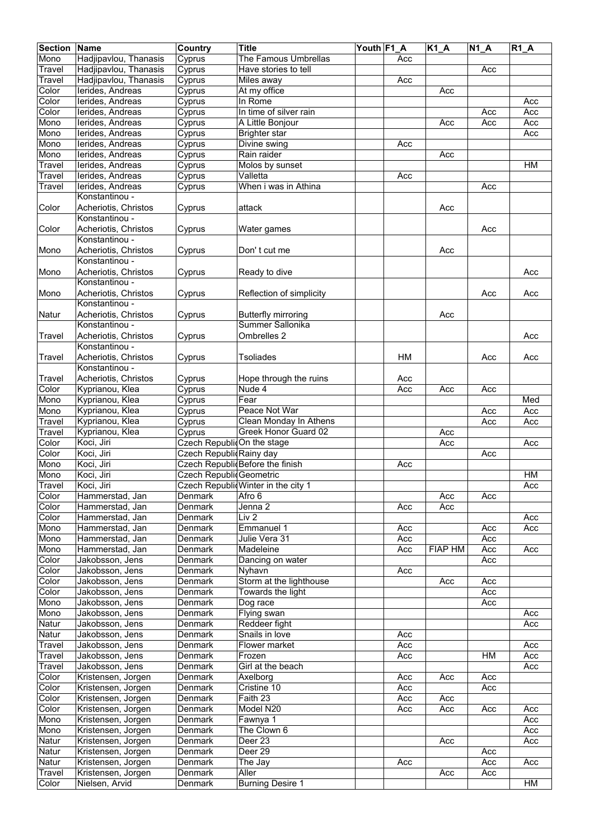| <b>Section</b> | Name                  | <b>Country</b>             | <b>Title</b>                        | Youth F1_A |           | $\overline{K1}A$ | $\overline{N}$ 1_A | $R1_A$    |
|----------------|-----------------------|----------------------------|-------------------------------------|------------|-----------|------------------|--------------------|-----------|
| Mono           | Hadjipavlou, Thanasis | Cyprus                     | The Famous Umbrellas                |            | Acc       |                  |                    |           |
| Travel         | Hadjipavlou, Thanasis | Cyprus                     | Have stories to tell                |            |           |                  | Acc                |           |
| Travel         | Hadjipavlou, Thanasis | Cyprus                     | Miles away                          |            | Acc       |                  |                    |           |
| Color          | lerides, Andreas      | Cyprus                     | At my office                        |            |           | Acc              |                    |           |
| Color          | lerides, Andreas      | Cyprus                     | In Rome                             |            |           |                  |                    | Acc       |
| Color          | lerides, Andreas      | Cyprus                     | In time of silver rain              |            |           |                  | Acc                | Acc       |
| Mono           | lerides, Andreas      | Cyprus                     | A Little Bonjour                    |            |           | Acc              | Acc                | Acc       |
| Mono           | lerides, Andreas      | Cyprus                     | <b>Brighter star</b>                |            |           |                  |                    | Acc       |
| Mono           | lerides, Andreas      | Cyprus                     | Divine swing                        |            | Acc       |                  |                    |           |
| Mono           | lerides, Andreas      | Cyprus                     | Rain raider                         |            |           | Acc              |                    |           |
| Travel         | lerides, Andreas      | Cyprus                     | Molos by sunset                     |            |           |                  |                    | HM        |
| Travel         | lerides, Andreas      | Cyprus                     | Valletta                            |            | Acc       |                  |                    |           |
| Travel         | lerides, Andreas      | Cyprus                     | When i was in Athina                |            |           |                  | Acc                |           |
|                | Konstantinou -        |                            |                                     |            |           |                  |                    |           |
| Color          | Acheriotis, Christos  | Cyprus                     | attack                              |            |           | Acc              |                    |           |
|                | Konstantinou -        |                            |                                     |            |           |                  |                    |           |
| Color          | Acheriotis, Christos  | Cyprus                     | Water games                         |            |           |                  | Acc                |           |
|                | Konstantinou -        |                            |                                     |            |           |                  |                    |           |
| Mono           | Acheriotis, Christos  | Cyprus                     | Don't cut me                        |            |           | Acc              |                    |           |
|                | Konstantinou -        |                            |                                     |            |           |                  |                    |           |
| Mono           | Acheriotis, Christos  | Cyprus                     | Ready to dive                       |            |           |                  |                    | Acc       |
|                | Konstantinou -        |                            |                                     |            |           |                  |                    |           |
| Mono           | Acheriotis, Christos  | Cyprus                     | Reflection of simplicity            |            |           |                  | Acc                | Acc       |
|                | Konstantinou -        |                            |                                     |            |           |                  |                    |           |
| Natur          | Acheriotis, Christos  | Cyprus                     | Butterfly mirroring                 |            |           | Acc              |                    |           |
|                | Konstantinou -        |                            | Summer Sallonika                    |            |           |                  |                    |           |
| Travel         | Acheriotis, Christos  | Cyprus                     | Ombrelles 2                         |            |           |                  |                    | Acc       |
|                | Konstantinou -        |                            |                                     |            |           |                  |                    |           |
| Travel         | Acheriotis, Christos  | Cyprus                     | <b>Tsoliades</b>                    |            | <b>HM</b> |                  | Acc                | Acc       |
|                | Konstantinou -        |                            |                                     |            |           |                  |                    |           |
| Travel         | Acheriotis, Christos  | Cyprus                     | Hope through the ruins              |            | Acc       |                  |                    |           |
| Color          | Kyprianou, Klea       | Cyprus                     | Nude 4                              |            | Acc       | Acc              | Acc                |           |
| Mono           | Kyprianou, Klea       | Cyprus                     | Fear                                |            |           |                  |                    | Med       |
| Mono           | Kyprianou, Klea       | Cyprus                     | Peace Not War                       |            |           |                  | Acc                | Acc       |
| Travel         | Kyprianou, Klea       | Cyprus                     | Clean Monday In Athens              |            |           |                  | Acc                | Acc       |
| <b>Travel</b>  | Kyprianou, Klea       | Cyprus                     | Greek Honor Guard 02                |            |           | Acc              |                    |           |
| Color          | Koci, Jiri            | Czech RepublicOn the stage |                                     |            |           | Acc              |                    | Acc       |
| Color          | Koci, Jiri            | Czech Republic Rainy day   |                                     |            |           |                  | Acc                |           |
| Mono           | Koci, Jiri            |                            | Czech Republic Before the finish    |            | Acc       |                  |                    |           |
| Mono           | Koci, Jiri            | Czech Republic Geometric   |                                     |            |           |                  |                    | <b>HM</b> |
| Travel         | Koci, Jiri            |                            | Czech Republic Winter in the city 1 |            |           |                  |                    | Acc       |
| Color          | Hammerstad, Jan       | Denmark                    | Afro 6                              |            |           | Acc              | Acc                |           |
| Color          | Hammerstad, Jan       | Denmark                    | Jenna 2                             |            | Acc       | Acc              |                    |           |
| Color          | Hammerstad, Jan       | Denmark                    | Liv <sub>2</sub>                    |            |           |                  |                    | Acc       |
| Mono           | Hammerstad, Jan       | Denmark                    | Emmanuel 1                          |            | Acc       |                  | Acc                | Acc       |
| Mono           | Hammerstad, Jan       | Denmark                    | Julie Vera 31                       |            | Acc       |                  | Acc                |           |
| Mono           | Hammerstad, Jan       | Denmark                    | Madeleine                           |            | Acc       | <b>FIAP HM</b>   | Acc                | Acc       |
| Color          | Jakobsson, Jens       | Denmark                    | Dancing on water                    |            |           |                  | Acc                |           |
| Color          | Jakobsson, Jens       | Denmark                    | Nyhavn                              |            | Acc       |                  |                    |           |
| Color          | Jakobsson, Jens       | <b>Denmark</b>             | Storm at the lighthouse             |            |           | Acc              | Acc                |           |
| Color          | Jakobsson, Jens       | Denmark                    | Towards the light                   |            |           |                  | Acc                |           |
| Mono           | Jakobsson, Jens       | Denmark                    | Dog race                            |            |           |                  | Acc                |           |
| Mono           | Jakobsson, Jens       | Denmark                    | Flying swan                         |            |           |                  |                    | Acc       |
| Natur          | Jakobsson, Jens       | Denmark                    | Reddeer fight                       |            |           |                  |                    | Acc       |
| Natur          | Jakobsson, Jens       | Denmark                    | Snails in love                      |            | Acc       |                  |                    |           |
| Travel         | Jakobsson, Jens       | Denmark                    | Flower market                       |            | Acc       |                  |                    | Acc       |
| Travel         | Jakobsson, Jens       | Denmark                    | Frozen                              |            | Acc       |                  | HM                 | Acc       |
| Travel         | Jakobsson, Jens       | Denmark                    | Girl at the beach                   |            |           |                  |                    | Acc       |
| Color          | Kristensen, Jorgen    | Denmark                    | Axelborg                            |            | Acc       | Acc              | Acc                |           |
| Color          | Kristensen, Jorgen    | Denmark                    | Cristine 10                         |            | Acc       |                  | Acc                |           |
| Color          | Kristensen, Jorgen    | Denmark                    | Faith 23                            |            | Acc       | Acc              |                    |           |
| Color          | Kristensen, Jorgen    | Denmark                    | Model N20                           |            | Acc       | Acc              | Acc                | Acc       |
| Mono           | Kristensen, Jorgen    | Denmark                    | Fawnya 1                            |            |           |                  |                    | Acc       |
| Mono           | Kristensen, Jorgen    | Denmark                    | The Clown 6                         |            |           |                  |                    | Acc       |
| Natur          | Kristensen, Jorgen    | Denmark                    | Deer 23                             |            |           | Acc              |                    | Acc       |
| Natur          | Kristensen, Jorgen    | Denmark                    | Deer 29                             |            |           |                  | Acc                |           |
| Natur          | Kristensen, Jorgen    | Denmark                    | The Jay                             |            | Acc       |                  | Acc                | Acc       |
| <b>Travel</b>  | Kristensen, Jorgen    | Denmark                    | Aller                               |            |           | Acc              | Acc                |           |
| Color          | Nielsen, Arvid        | Denmark                    | <b>Burning Desire 1</b>             |            |           |                  |                    | HM        |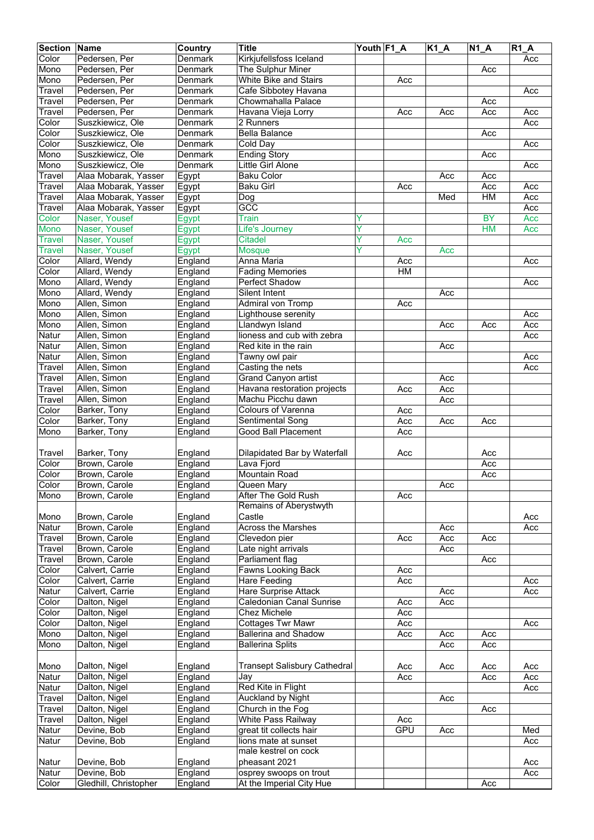| <b>Section</b> | Name                  | Country | <b>Title</b>                 | Youth F1 A |            | $K1_A$ | $N1_A$    | <b>R1 A</b> |
|----------------|-----------------------|---------|------------------------------|------------|------------|--------|-----------|-------------|
| Color          | Pedersen, Per         | Denmark | Kirkjufellsfoss Iceland      |            |            |        |           | Acc         |
| Mono           | Pedersen, Per         | Denmark | The Sulphur Miner            |            |            |        | Acc       |             |
| Mono           | Pedersen, Per         | Denmark | <b>White Bike and Stairs</b> |            | Acc        |        |           |             |
| Travel         | Pedersen, Per         | Denmark | Cafe Sibbotey Havana         |            |            |        |           | Acc         |
|                |                       |         |                              |            |            |        |           |             |
| Travel         | Pedersen, Per         | Denmark | Chowmahalla Palace           |            |            |        | Acc       |             |
| Travel         | Pedersen, Per         | Denmark | Havana Vieja Lorry           |            | Acc        | Acc    | Acc       | Acc         |
| Color          | Suszkiewicz, Ole      | Denmark | 2 Runners                    |            |            |        |           | Acc         |
| Color          | Suszkiewicz, Ole      | Denmark | <b>Bella Balance</b>         |            |            |        | Acc       |             |
| Color          | Suszkiewicz, Ole      | Denmark | Cold Day                     |            |            |        |           | Acc         |
| Mono           | Suszkiewicz, Ole      | Denmark | <b>Ending Story</b>          |            |            |        | Acc       |             |
| Mono           | Suszkiewicz, Ole      | Denmark | Little Girl Alone            |            |            |        |           | Acc         |
| Travel         | Alaa Mobarak, Yasser  | Egypt   | <b>Baku Color</b>            |            |            | Acc    | Acc       |             |
| Travel         | Alaa Mobarak, Yasser  | Egypt   | <b>Baku Girl</b>             |            | Acc        |        | Acc       | Acc         |
| Travel         | Alaa Mobarak, Yasser  | Egypt   | Dog                          |            |            | Med    | HM        | Acc         |
| Travel         | Alaa Mobarak, Yasser  | Egypt   | GCC                          |            |            |        |           | Acc         |
| Color          | Naser, Yousef         | Egypt   | <b>Train</b>                 | Y          |            |        | <b>BY</b> | Acc         |
|                |                       |         |                              | Y          |            |        |           |             |
| Mono           | Naser, Yousef         | Egypt   | Life's Journey               |            |            |        | <b>HM</b> | Acc         |
| <b>Travel</b>  | Naser, Yousef         | Egypt   | <b>Citadel</b>               | Y          | Acc        |        |           |             |
| <b>Travel</b>  | Naser, Yousef         | Egypt   | <b>Mosque</b>                | Y          |            | Acc    |           |             |
| Color          | Allard, Wendy         | England | Anna Maria                   |            | Acc        |        |           | Acc         |
| Color          | Allard, Wendy         | England | <b>Fading Memories</b>       |            | HM         |        |           |             |
| Mono           | Allard, Wendy         | England | Perfect Shadow               |            |            |        |           | Acc         |
| Mono           | Allard, Wendy         | England | Silent Intent                |            |            | Acc    |           |             |
| Mono           | Allen, Simon          | England | Admiral von Tromp            |            | Acc        |        |           |             |
| Mono           | Allen, Simon          | England | Lighthouse serenity          |            |            |        |           | Acc         |
| Mono           | Allen, Simon          | England | Llandwyn Island              |            |            | Acc    | Acc       | Acc         |
| Natur          | Allen, Simon          | England | lioness and cub with zebra   |            |            |        |           | Acc         |
|                |                       |         |                              |            |            |        |           |             |
| Natur          | Allen, Simon          | England | Red kite in the rain         |            |            | Acc    |           |             |
| Natur          | Allen, Simon          | England | Tawny owl pair               |            |            |        |           | Acc         |
| Travel         | Allen, Simon          | England | Casting the nets             |            |            |        |           | Acc         |
| Travel         | Allen, Simon          | England | Grand Canyon artist          |            |            | Acc    |           |             |
| Travel         | Allen, Simon          | England | Havana restoration projects  |            | Acc        | Acc    |           |             |
| Travel         | Allen, Simon          | England | Machu Picchu dawn            |            |            | Acc    |           |             |
| Color          | Barker, Tony          | England | Colours of Varenna           |            | Acc        |        |           |             |
| Color          | Barker, Tony          | England | Sentimental Song             |            | Acc        | Acc    | Acc       |             |
| Mono           | Barker, Tony          | England | <b>Good Ball Placement</b>   |            | Acc        |        |           |             |
|                |                       |         |                              |            |            |        |           |             |
| Travel         | Barker, Tony          | England | Dilapidated Bar by Waterfall |            | Acc        |        | Acc       |             |
|                | Brown, Carole         |         |                              |            |            |        |           |             |
| Color          |                       | England | Lava Fjord                   |            |            |        | Acc       |             |
| Color          | Brown, Carole         | England | Mountain Road                |            |            |        | Acc       |             |
| Color          | Brown, Carole         | England | Queen Mary                   |            |            | Acc    |           |             |
| Mono           | Brown, Carole         | England | After The Gold Rush          |            | Acc        |        |           |             |
|                |                       |         | Remains of Aberystwyth       |            |            |        |           |             |
| Mono           | Brown, Carole         | England | Castle                       |            |            |        |           | Acc         |
| Natur          | Brown, Carole         | England | <b>Across the Marshes</b>    |            |            | Acc    |           | Acc         |
| Travel         | Brown, Carole         | England | Clevedon pier                |            | Acc        | Acc    | Acc       |             |
| Travel         | Brown, Carole         | England | Late night arrivals          |            |            | Acc    |           |             |
| Travel         | Brown, Carole         | England | Parliament flag              |            |            |        | Acc       |             |
| Color          | Calvert, Carrie       | England | Fawns Looking Back           |            | Acc        |        |           |             |
| Color          | Calvert, Carrie       | England | Hare Feeding                 |            | Acc        |        |           | Acc         |
| Natur          | Calvert, Carrie       | England | Hare Surprise Attack         |            |            | Acc    |           | Acc         |
| Color          | Dalton, Nigel         | England | Caledonian Canal Sunrise     |            | Acc        | Acc    |           |             |
|                |                       |         |                              |            |            |        |           |             |
| Color          | Dalton, Nigel         | England | Chez Michele                 |            | Acc        |        |           |             |
| Color          | Dalton, Nigel         | England | <b>Cottages Twr Mawr</b>     |            | Acc        |        |           | Acc         |
| Mono           | Dalton, Nigel         | England | <b>Ballerina and Shadow</b>  |            | Acc        | Acc    | Acc       |             |
| Mono           | Dalton, Nigel         | England | <b>Ballerina Splits</b>      |            |            | Acc    | Acc       |             |
|                |                       |         |                              |            |            |        |           |             |
| Mono           | Dalton, Nigel         | England | Transept Salisbury Cathedral |            | Acc        | Acc    | Acc       | Acc         |
| Natur          | Dalton, Nigel         | England | Jay                          |            | Acc        |        | Acc       | Acc         |
| Natur          | Dalton, Nigel         | England | Red Kite in Flight           |            |            |        |           | Acc         |
| Travel         | Dalton, Nigel         | England | Auckland by Night            |            |            | Acc    |           |             |
| Travel         | Dalton, Nigel         | England | Church in the Fog            |            |            |        | Acc       |             |
| Travel         | Dalton, Nigel         | England | White Pass Railway           |            | Acc        |        |           |             |
|                |                       |         |                              |            | <b>GPU</b> |        |           |             |
| Natur          | Devine, Bob           | England | great tit collects hair      |            |            | Acc    |           | Med         |
| Natur          | Devine, Bob           | England | lions mate at sunset         |            |            |        |           | Acc         |
|                |                       |         | male kestrel on cock         |            |            |        |           |             |
| Natur          | Devine, Bob           | England | pheasant 2021                |            |            |        |           | Acc         |
| Natur          | Devine, Bob           | England | osprey swoops on trout       |            |            |        |           | Acc         |
| Color          | Gledhill, Christopher | England | At the Imperial City Hue     |            |            |        | Acc       |             |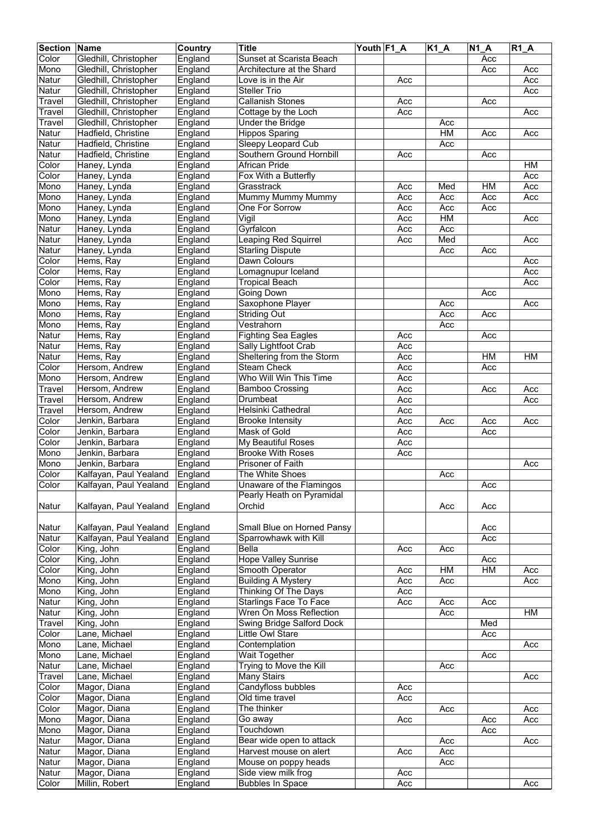| <b>Section Name</b> |                                | Country            | <b>Title</b>                | Youth F1 A |     | $K1_A$    | <b>N1 A</b> | $R1_A$    |
|---------------------|--------------------------------|--------------------|-----------------------------|------------|-----|-----------|-------------|-----------|
| Color               | Gledhill, Christopher          | England            | Sunset at Scarista Beach    |            |     |           | Acc         |           |
| Mono                | Gledhill, Christopher          | England            | Architecture at the Shard   |            |     |           | Acc         | Acc       |
| Natur               | Gledhill, Christopher          | England            | Love is in the Air          |            | Acc |           |             | Acc       |
| Natur               | Gledhill, Christopher          | England            | <b>Steller Trio</b>         |            |     |           |             | Acc       |
|                     | Gledhill, Christopher          |                    | <b>Callanish Stones</b>     |            | Acc |           |             |           |
| Travel              |                                | England<br>England |                             |            |     |           | Acc         |           |
| Travel              | Gledhill, Christopher          |                    | Cottage by the Loch         |            | Acc |           |             | Acc       |
| Travel              | Gledhill, Christopher          | England            | Under the Bridge            |            |     | Acc       |             |           |
| Natur               | Hadfield, Christine            | England            | <b>Hippos Sparing</b>       |            |     | HM        | Acc         | Acc       |
| Natur               | Hadfield, Christine            | England            | Sleepy Leopard Cub          |            |     | Acc       |             |           |
| Natur               | Hadfield, Christine            | England            | Southern Ground Hornbill    |            | Acc |           | Acc         |           |
| Color               | Haney, Lynda                   | England            | <b>African Pride</b>        |            |     |           |             | <b>HM</b> |
| Color               | Haney, Lynda                   | England            | Fox With a Butterfly        |            |     |           |             | Acc       |
| Mono                | Haney, Lynda                   | England            | Grasstrack                  |            | Acc | Med       | HM          | Acc       |
| Mono                | Haney, Lynda                   | England            | Mummy Mummy Mummy           |            | Acc | Acc       | Acc         | Acc       |
| Mono                | Haney, Lynda                   | England            | One For Sorrow              |            | Acc | Acc       | Acc         |           |
| Mono                | Haney, Lynda                   | England            | Vigil                       |            | Acc | <b>HM</b> |             | Acc       |
| Natur               | Haney, Lynda                   | England            | Gyrfalcon                   |            | Acc | Acc       |             |           |
| Natur               | Haney, Lynda                   | England            | <b>Leaping Red Squirrel</b> |            | Acc | Med       |             | Acc       |
| Natur               | Haney, Lynda                   | England            | <b>Starling Dispute</b>     |            |     | Acc       | Acc         |           |
| Color               | Hems, Ray                      | England            | Dawn Colours                |            |     |           |             | Acc       |
| Color               | Hems, Ray                      |                    | Lomagnupur Iceland          |            |     |           |             | Acc       |
|                     |                                | England            |                             |            |     |           |             |           |
| Color               | Hems, Ray                      | England            | <b>Tropical Beach</b>       |            |     |           |             | Acc       |
| Mono                | Hems, Ray                      | England            | Going Down                  |            |     |           | Acc         |           |
| Mono                | Hems, Ray                      | England            | Saxophone Player            |            |     | Acc       |             | Acc       |
| Mono                | Hems, Ray                      | England            | <b>Striding Out</b>         |            |     | Acc       | Acc         |           |
| Mono                | Hems, Ray                      | England            | Vestrahorn                  |            |     | Acc       |             |           |
| Natur               | Hems, Ray                      | England            | <b>Fighting Sea Eagles</b>  |            | Acc |           | Acc         |           |
| Natur               | Hems, Ray                      | England            | Sally Lightfoot Crab        |            | Acc |           |             |           |
| Natur               | Hems, Ray                      | England            | Sheltering from the Storm   |            | Acc |           | HM          | HM        |
| Color               | Hersom, Andrew                 | England            | <b>Steam Check</b>          |            | Acc |           | Acc         |           |
| Mono                | Hersom, Andrew                 | England            | Who Will Win This Time      |            | Acc |           |             |           |
| Travel              | Hersom, Andrew                 | England            | <b>Bamboo Crossing</b>      |            | Acc |           | Acc         | Acc       |
| Travel              | Hersom, Andrew                 | England            | Drumbeat                    |            | Acc |           |             | Acc       |
| Travel              | Hersom, Andrew                 | England            | Helsinki Cathedral          |            | Acc |           |             |           |
| Color               | Jenkin, Barbara                | England            | <b>Brooke Intensity</b>     |            | Acc | Acc       | Acc         | Acc       |
| Color               | Jenkin, Barbara                | England            | Mask of Gold                |            | Acc |           | Acc         |           |
| Color               | Jenkin, Barbara                |                    | My Beautiful Roses          |            | Acc |           |             |           |
|                     |                                | England            |                             |            |     |           |             |           |
| Mono                | Jenkin, Barbara                | England            | <b>Brooke With Roses</b>    |            | Acc |           |             |           |
| Mono                | Jenkin, Barbara                | England            | Prisoner of Faith           |            |     |           |             | Acc       |
| Color               | Kalfayan, Paul Yealand         | England            | The White Shoes             |            |     | Acc       |             |           |
| Color               | Kalfayan, Paul Yealand         | England            | Unaware of the Flamingos    |            |     |           | Acc         |           |
|                     |                                |                    | Pearly Heath on Pyramidal   |            |     |           |             |           |
| Natur               | Kalfayan, Paul Yealand         | England            | Orchid                      |            |     | Acc       | Acc         |           |
|                     |                                |                    |                             |            |     |           |             |           |
| Natur               | Kalfayan, Paul Yealand         | England            | Small Blue on Horned Pansy  |            |     |           | Acc         |           |
| Natur               | Kalfayan, Paul Yealand         | England            | Sparrowhawk with Kill       |            |     |           | Acc         |           |
| Color               | King, John                     | England            | Bella                       |            | Acc | Acc       |             |           |
| Color               | King, John                     | England            | <b>Hope Valley Sunrise</b>  |            |     |           | Acc         |           |
| Color               | King, John                     | England            | Smooth Operator             |            | Acc | HM        | HM          | Acc       |
| Mono                | King, John                     | England            | <b>Building A Mystery</b>   |            | Acc | Acc       |             | Acc       |
| Mono                | King, John                     | England            | Thinking Of The Days        |            | Acc |           |             |           |
| Natur               | King, John                     | England            | Starlings Face To Face      |            | Acc | Acc       | Acc         |           |
| Natur               | King, John                     | England            | Wren On Moss Reflection     |            |     | Acc       |             | HM        |
| Travel              | King, John                     | England            | Swing Bridge Salford Dock   |            |     |           | Med         |           |
|                     |                                |                    |                             |            |     |           |             |           |
| Color               | Lane, Michael<br>Lane, Michael | England            | Little Owl Stare            |            |     |           | Acc         |           |
| Mono                |                                | England            | Contemplation               |            |     |           |             | Acc       |
| Mono                | Lane, Michael                  | England            | Wait Together               |            |     |           | Acc         |           |
| Natur               | Lane, Michael                  | England            | Trying to Move the Kill     |            |     | Acc       |             |           |
| Travel              | Lane, Michael                  | England            | Many Stairs                 |            |     |           |             | Acc       |
| Color               | Magor, Diana                   | England            | Candyfloss bubbles          |            | Acc |           |             |           |
| Color               | Magor, Diana                   | England            | Old time travel             |            | Acc |           |             |           |
| Color               | Magor, Diana                   | England            | The thinker                 |            |     | Acc       |             | Acc       |
| Mono                | Magor, Diana                   | England            | Go away                     |            | Acc |           | Acc         | Acc       |
| Mono                | Magor, Diana                   | England            | Touchdown                   |            |     |           | Acc         |           |
| Natur               | Magor, Diana                   | England            | Bear wide open to attack    |            |     | Acc       |             | Acc       |
| Natur               | Magor, Diana                   | England            | Harvest mouse on alert      |            | Acc | Acc       |             |           |
| Natur               | Magor, Diana                   | England            | Mouse on poppy heads        |            |     | Acc       |             |           |
| Natur               | Magor, Diana                   | England            | Side view milk frog         |            | Acc |           |             |           |
| Color               | Millin, Robert                 | England            | <b>Bubbles In Space</b>     |            | Acc |           |             | Acc       |
|                     |                                |                    |                             |            |     |           |             |           |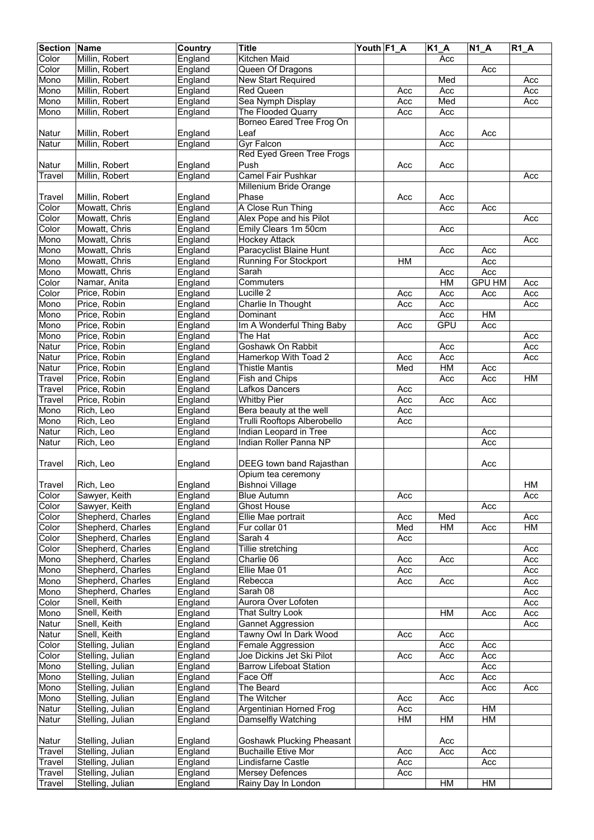| <b>Section</b> | <b>Name</b>       | Country | <b>Title</b>                   | Youth F1_A |     | $K1_A$ | $N1_A$        | $R1_A$ |
|----------------|-------------------|---------|--------------------------------|------------|-----|--------|---------------|--------|
| Color          | Millin, Robert    | England | <b>Kitchen Maid</b>            |            |     | Acc    |               |        |
| Color          | Millin, Robert    | England | Queen Of Dragons               |            |     |        | Acc           |        |
| Mono           | Millin, Robert    | England | New Start Required             |            |     | Med    |               | Acc    |
| Mono           | Millin, Robert    | England | <b>Red Queen</b>               |            | Acc | Acc    |               | Acc    |
| Mono           | Millin, Robert    | England | Sea Nymph Display              |            | Acc | Med    |               | Acc    |
| Mono           | Millin, Robert    | England | The Flooded Quarry             |            | Acc | Acc    |               |        |
|                |                   |         | Borneo Eared Tree Frog On      |            |     |        |               |        |
|                |                   |         |                                |            |     |        |               |        |
| Natur          | Millin, Robert    | England | Leaf                           |            |     | Acc    | Acc           |        |
| Natur          | Millin, Robert    | England | <b>Gyr Falcon</b>              |            |     | Acc    |               |        |
|                |                   |         | Red Eyed Green Tree Frogs      |            |     |        |               |        |
| Natur          | Millin, Robert    | England | Push                           |            | Acc | Acc    |               |        |
| Travel         | Millin, Robert    | England | <b>Camel Fair Pushkar</b>      |            |     |        |               | Acc    |
|                |                   |         | <b>Millenium Bride Orange</b>  |            |     |        |               |        |
| Travel         | Millin, Robert    | England | Phase                          |            | Acc | Acc    |               |        |
| Color          | Mowatt, Chris     | England | A Close Run Thing              |            |     | Acc    | Acc           |        |
| Color          | Mowatt, Chris     | England | Alex Pope and his Pilot        |            |     |        |               | Acc    |
| Color          | Mowatt, Chris     | England | Emily Clears 1m 50cm           |            |     | Acc    |               |        |
| Mono           | Mowatt, Chris     | England | <b>Hockey Attack</b>           |            |     |        |               | Acc    |
| Mono           | Mowatt, Chris     | England | Paracyclist Blaine Hunt        |            |     | Acc    | Acc           |        |
| Mono           | Mowatt, Chris     | England | <b>Running For Stockport</b>   |            | HM  |        | Acc           |        |
|                |                   |         |                                |            |     |        |               |        |
| Mono           | Mowatt, Chris     | England | Sarah                          |            |     | Acc    | Acc           |        |
| Color          | Namar, Anita      | England | Commuters                      |            |     | HM     | <b>GPU HM</b> | Acc    |
| Color          | Price, Robin      | England | Lucille 2                      |            | Acc | Acc    | Acc           | Acc    |
| Mono           | Price, Robin      | England | Charlie In Thought             |            | Acc | Acc    |               | Acc    |
| Mono           | Price, Robin      | England | Dominant                       |            |     | Acc    | HM            |        |
| Mono           | Price, Robin      | England | Im A Wonderful Thing Baby      |            | Acc | GPU    | Acc           |        |
| Mono           | Price, Robin      | England | The Hat                        |            |     |        |               | Acc    |
| Natur          | Price, Robin      | England | Goshawk On Rabbit              |            |     | Acc    |               | Acc    |
| Natur          | Price, Robin      | England | Hamerkop With Toad 2           |            | Acc | Acc    |               | Acc    |
| Natur          | Price, Robin      | England | <b>Thistle Mantis</b>          |            | Med | HM     | Acc           |        |
| Travel         | Price, Robin      | England | Fish and Chips                 |            |     | Acc    | Acc           | HM     |
| Travel         | Price, Robin      | England | Lafkos Dancers                 |            | Acc |        |               |        |
| Travel         | Price, Robin      | England | <b>Whitby Pier</b>             |            | Acc | Acc    | Acc           |        |
| Mono           | Rich, Leo         | England | Bera beauty at the well        |            | Acc |        |               |        |
|                |                   |         |                                |            |     |        |               |        |
| Mono           | Rich, Leo         | England | Trulli Rooftops Alberobello    |            | Acc |        |               |        |
| Natur          | Rich, Leo         | England | Indian Leopard in Tree         |            |     |        | Acc           |        |
| Natur          | Rich, Leo         | England | <b>Indian Roller Panna NP</b>  |            |     |        | Acc           |        |
|                |                   |         |                                |            |     |        |               |        |
| Travel         | Rich, Leo         | England | DEEG town band Rajasthan       |            |     |        | Acc           |        |
|                |                   |         | Opium tea ceremony             |            |     |        |               |        |
| Travel         | Rich, Leo         | England | <b>Bishnoi Village</b>         |            |     |        |               | HM     |
| Color          | Sawyer, Keith     | England | <b>Blue Autumn</b>             |            | Acc |        |               | Acc    |
| Color          | Sawyer, Keith     | England | <b>Ghost House</b>             |            |     |        | Acc           |        |
| Color          | Shepherd, Charles | England | Ellie Mae portrait             |            | Acc | Med    |               | Acc    |
| Color          | Shepherd, Charles | England | Fur collar 01                  |            | Med | HM     | Acc           | H M    |
| Color          | Shepherd, Charles | England | Sarah 4                        |            | Acc |        |               |        |
| Color          | Shepherd, Charles | England | Tillie stretching              |            |     |        |               | Acc    |
| Mono           | Shepherd, Charles | England | Charlie 06                     |            |     | Acc    |               | Acc    |
|                |                   |         |                                |            | Acc |        |               |        |
| Mono           | Shepherd, Charles | England | Ellie Mae 01                   |            | Acc |        |               | Acc    |
| Mono           | Shepherd, Charles | England | Rebecca                        |            | Acc | Acc    |               | Acc    |
| Mono           | Shepherd, Charles | England | Sarah 08                       |            |     |        |               | Acc    |
| Color          | Snell, Keith      | England | Aurora Over Lofoten            |            |     |        |               | Acc    |
| Mono           | Snell, Keith      | England | That Sultry Look               |            |     | HM     | Acc           | Acc    |
| Natur          | Snell, Keith      | England | <b>Gannet Aggression</b>       |            |     |        |               | Acc    |
| Natur          | Snell, Keith      | England | Tawny Owl In Dark Wood         |            | Acc | Acc    |               |        |
| Color          | Stelling, Julian  | England | Female Aggression              |            |     | Acc    | Acc           |        |
| Color          | Stelling, Julian  | England | Joe Dickins Jet Ski Pilot      |            | Acc | Acc    | Acc           |        |
| Mono           | Stelling, Julian  | England | <b>Barrow Lifeboat Station</b> |            |     |        | Acc           |        |
| Mono           | Stelling, Julian  | England | Face Off                       |            |     | Acc    | Acc           |        |
| Mono           | Stelling, Julian  | England | The Beard                      |            |     |        | Acc           | Acc    |
| Mono           | Stelling, Julian  | England | The Witcher                    |            | Acc | Acc    |               |        |
| Natur          | Stelling, Julian  | England | Argentinian Horned Frog        |            | Acc |        | HM            |        |
| Natur          | Stelling, Julian  |         | Damselfly Watching             |            | HM  | HM     | HM            |        |
|                |                   | England |                                |            |     |        |               |        |
|                |                   |         |                                |            |     |        |               |        |
| Natur          | Stelling, Julian  | England | Goshawk Plucking Pheasant      |            |     | Acc    |               |        |
| Travel         | Stelling, Julian  | England | <b>Buchaille Etive Mor</b>     |            | Acc | Acc    | Acc           |        |
| Travel         | Stelling, Julian  | England | Lindisfarne Castle             |            | Acc |        | Acc           |        |
| Travel         | Stelling, Julian  | England | <b>Mersey Defences</b>         |            | Acc |        |               |        |
| Travel         | Stelling, Julian  | England | Rainy Day In London            |            |     | HM     | HM            |        |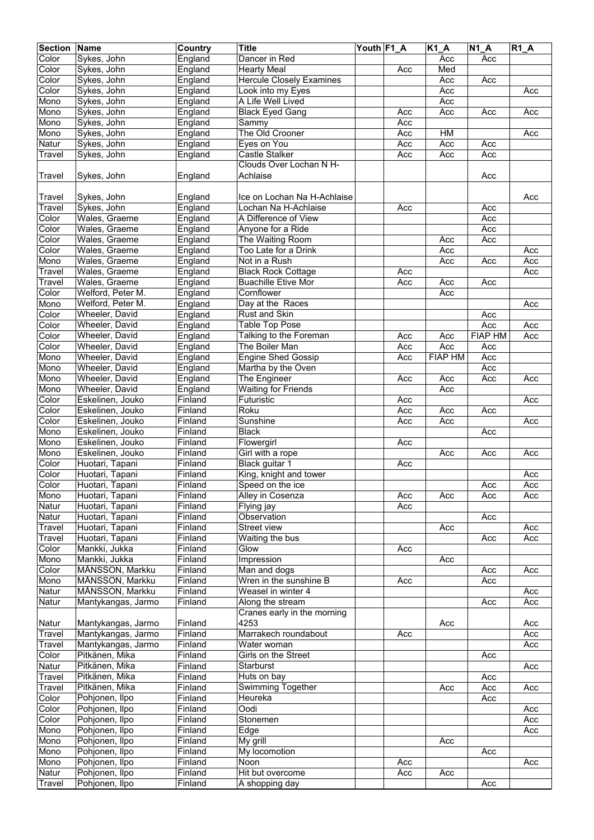| <b>Section Name</b> |                                  | Country                                   | <b>Title</b>                    | Youth F1_A |     | K1_A           | $N1_A$         | $R1_A$ |
|---------------------|----------------------------------|-------------------------------------------|---------------------------------|------------|-----|----------------|----------------|--------|
| Color               | Sykes, John                      | England                                   | Dancer in Red                   |            |     | Acc            | Acc            |        |
| Color               | Sykes, John                      | England                                   | <b>Hearty Meal</b>              |            | Acc | Med            |                |        |
| Color               | Sykes, John                      | England                                   | <b>Hercule Closely Examines</b> |            |     | Acc            | Acc            |        |
| Color               | Sykes, John                      | England                                   | Look into my Eyes               |            |     | Acc            |                | Acc    |
| Mono                | Sykes, John                      | England                                   | A Life Well Lived               |            |     | Acc            |                |        |
| Mono                | Sykes, John                      | England                                   | <b>Black Eyed Gang</b>          |            | Acc | Acc            | Acc            | Acc    |
| Mono                | Sykes, John                      | England                                   | Sammy                           |            | Acc |                |                |        |
| Mono                | Sykes, John                      | England                                   | The Old Crooner                 |            | Acc | HM             |                | Acc    |
| Natur               | Sykes, John                      | England                                   | Eyes on You                     |            | Acc | Acc            | Acc            |        |
| Travel              | Sykes, John                      | England                                   | Castle Stalker                  |            | Acc | Acc            | Acc            |        |
|                     |                                  |                                           | Clouds Over Lochan N H-         |            |     |                |                |        |
| Travel              | Sykes, John                      | England                                   | Achlaise                        |            |     |                | Acc            |        |
|                     |                                  |                                           |                                 |            |     |                |                |        |
| Travel              | Sykes, John                      | England                                   | Ice on Lochan Na H-Achlaise     |            |     |                |                | Acc    |
| Travel              | Sykes, John                      | England                                   | Lochan Na H-Achlaise            |            | Acc |                | Acc            |        |
| Color               | Wales, Graeme                    | England                                   | A Difference of View            |            |     |                | Acc            |        |
| Color               | Wales, Graeme                    | England                                   | Anyone for a Ride               |            |     |                | Acc            |        |
| Color               | Wales, Graeme                    | England                                   | The Waiting Room                |            |     | Acc            | Acc            |        |
| Color               | Wales, Graeme                    | England                                   | Too Late for a Drink            |            |     | Acc            |                | Acc    |
| Mono                | Wales, Graeme                    | England                                   | Not in a Rush                   |            |     | Acc            | Acc            | Acc    |
| Travel              | Wales, Graeme                    | England                                   | <b>Black Rock Cottage</b>       |            | Acc |                |                | Acc    |
| Travel              | Wales, Graeme                    | England                                   | <b>Buachille Etive Mor</b>      |            | Acc | Acc            | Acc            |        |
| Color               | Welford, Peter M.                | England                                   | Cornflower                      |            |     | Acc            |                |        |
| Mono                | Welford, Peter M.                | England                                   | Day at the Races                |            |     |                |                | Acc    |
| Color               | Wheeler, David                   | England                                   | Rust and Skin                   |            |     |                | Acc            |        |
| Color               | Wheeler, David                   | England                                   | <b>Table Top Pose</b>           |            |     |                | Acc            | Acc    |
| Color               | Wheeler, David                   | England                                   | Talking to the Foreman          |            | Acc | Acc            | <b>FIAP HM</b> | Acc    |
| Color               | Wheeler, David                   | England                                   | The Boiler Man                  |            | Acc | Acc            | Acc            |        |
| Mono                | Wheeler, David                   | England                                   | <b>Engine Shed Gossip</b>       |            | Acc | <b>FIAP HM</b> | Acc            |        |
| Mono                | Wheeler, David                   | England                                   | Martha by the Oven              |            |     |                | Acc            |        |
| Mono                | Wheeler, David                   | England                                   | The Engineer                    |            | Acc | Acc            | Acc            | Acc    |
| Mono                | Wheeler, David                   | England                                   | <b>Waiting for Friends</b>      |            |     | Acc            |                |        |
| Color               | Eskelinen, Jouko                 | Finland                                   | Futuristic                      |            | Acc |                |                | Acc    |
| Color               | Eskelinen, Jouko                 | Finland                                   | Roku                            |            | Acc | Acc            | Acc            |        |
| Color               | Eskelinen, Jouko                 | Finland                                   | Sunshine                        |            | Acc | Acc            |                | Acc    |
| Mono                | Eskelinen, Jouko                 | Finland                                   | <b>Black</b>                    |            |     |                | Acc            |        |
| Mono                | Eskelinen, Jouko                 | Finland                                   | Flowergirl                      |            | Acc |                |                |        |
| Mono                | Eskelinen, Jouko                 | Finland                                   | Girl with a rope                |            |     | Acc            | Acc            | Acc    |
| Color               | Huotari, Tapani                  | Finland                                   | Black guitar 1                  |            | Acc |                |                |        |
| Color               | Huotari, Tapani                  | $F$ inland                                | King, knight and tower          |            |     |                |                | Acc    |
| Color               | Huotari, Tapani                  | Finland                                   | Speed on the ice                |            |     |                | Acc            | Acc    |
| Mono                | Huotari, Tapani                  | Finland                                   | Alley in Cosenza                |            | Acc | Acc            | Acc            | Acc    |
| Natur               | Huotari, Tapani                  | Finland                                   | Flying jay                      |            | Acc |                |                |        |
| Natur               | Huotari, Tapani                  | Finland                                   | Observation                     |            |     |                | Acc            |        |
| Travel              | Huotari, Tapani                  | Finland                                   | Street view                     |            |     | Acc            |                | Acc    |
| Travel              | Huotari, Tapani                  | Finland                                   | Waiting the bus                 |            |     |                | Acc            | Acc    |
| Color               | Mankki, Jukka                    | Finland                                   | Glow                            |            | Acc |                |                |        |
| Mono                | Mankki, Jukka                    | $\overline{\mathsf{Fin}}$ and             | Impression                      |            |     | Acc            |                |        |
| Color               | MÅNSSON, Markku                  | Finland                                   | Man and dogs                    |            |     |                | Acc            | Acc    |
| Mono                | MÅNSSON, Markku                  | Finland                                   | Wren in the sunshine B          |            | Acc |                | Acc            |        |
| Natur               | MÅNSSON, Markku                  | Finland                                   | Weasel in winter 4              |            |     |                |                | Acc    |
| Natur               | Mantykangas, Jarmo               | Finland                                   | Along the stream                |            |     |                | Acc            | Acc    |
|                     |                                  |                                           | Cranes early in the morning     |            |     |                |                |        |
| Natur               | Mantykangas, Jarmo               | Finland                                   | 4253                            |            |     | Acc            |                | Acc    |
| Travel              | Mantykangas, Jarmo               | Finland                                   | Marrakech roundabout            |            | Acc |                |                | Acc    |
| Travel              | Mantykangas, Jarmo               | Finland                                   | Water woman                     |            |     |                |                | Acc    |
| Color               | Pitkänen, Mika                   | Finland                                   | Girls on the Street             |            |     |                | Acc            |        |
| Natur               | Pitkänen, Mika                   | Finland                                   | Starburst                       |            |     |                |                | Acc    |
| Travel              | Pitkänen, Mika                   | Finland                                   | Huts on bay                     |            |     |                | Acc            |        |
| Travel              | Pitkänen, Mika                   | Finland                                   | <b>Swimming Together</b>        |            |     | Acc            | Acc            | Acc    |
| Color               | Pohjonen, Ilpo                   | Finland                                   | Heureka                         |            |     |                | Acc            |        |
| Color               | Pohjonen, Ilpo                   | Finland                                   | Oodi                            |            |     |                |                | Acc    |
| Color<br>Mono       | Pohjonen, Ilpo                   | Finland                                   | Stonemen                        |            |     |                |                | Acc    |
| Mono                | Pohjonen, Ilpo                   | Finland                                   | Edge<br>My grill                |            |     |                |                | Acc    |
| Mono                | Pohjonen, Ilpo<br>Pohjonen, llpo | Finland<br>$\overline{\mathsf{Fin}}$ land | My locomotion                   |            |     | Acc            | Acc            |        |
| Mono                | Pohjonen, Ilpo                   | Finland                                   | Noon                            |            | Acc |                |                | Acc    |
| Natur               | Pohjonen, Ilpo                   | Finland                                   | Hit but overcome                |            | Acc | Acc            |                |        |
| <b>Travel</b>       | Pohjonen, Ilpo                   | Finland                                   | A shopping day                  |            |     |                | Acc            |        |
|                     |                                  |                                           |                                 |            |     |                |                |        |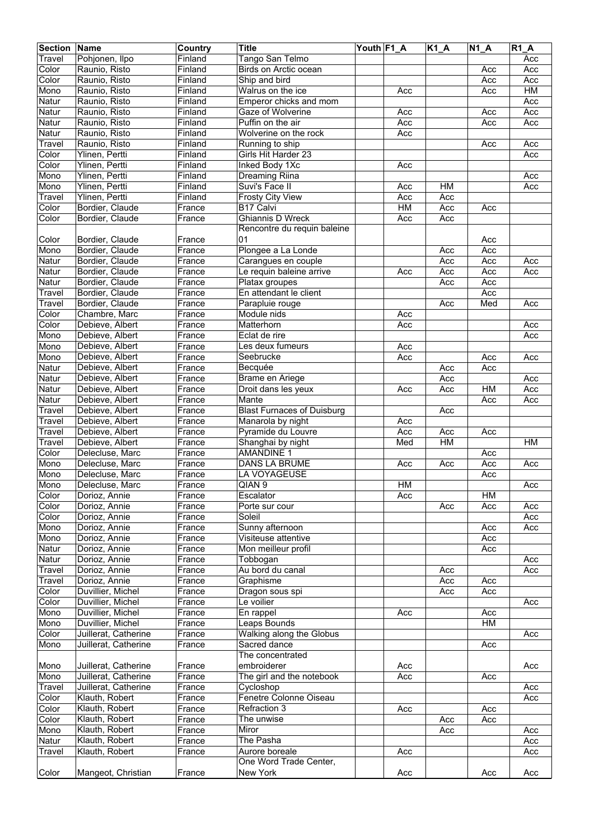| <b>Section Name</b> |                                    | Country          | <b>Title</b>                             | Youth F1_A |           | $K1_A$ | $\overline{N}$ 1_A | <b>R1 A</b> |
|---------------------|------------------------------------|------------------|------------------------------------------|------------|-----------|--------|--------------------|-------------|
| Travel              | Pohjonen, Ilpo                     | Finland          | Tango San Telmo                          |            |           |        |                    | Acc         |
| Color               | Raunio, Risto                      | Finland          | Birds on Arctic ocean                    |            |           |        | Acc                | Acc         |
| Color               | Raunio, Risto                      | Finland          | Ship and bird                            |            |           |        | Acc                | Acc         |
| Mono                | Raunio, Risto                      | Finland          | Walrus on the ice                        |            | Acc       |        | Acc                | H M         |
| Natur               | Raunio, Risto                      | Finland          | Emperor chicks and mom                   |            |           |        |                    | Acc         |
| Natur               | Raunio, Risto                      | Finland          | Gaze of Wolverine                        |            | Acc       |        | Acc                | Acc         |
| Natur               | Raunio, Risto                      | Finland          | Puffin on the air                        |            | Acc       |        | Acc                | Acc         |
| Natur               | Raunio, Risto                      | Finland          | Wolverine on the rock                    |            | Acc       |        |                    |             |
| Travel              | Raunio, Risto                      | Finland          | Running to ship                          |            |           |        | Acc                | Acc         |
| Color               | Ylinen, Pertti                     | Finland          | Girls Hit Harder 23                      |            |           |        |                    | Acc         |
| Color               | Ylinen, Pertti                     | Finland          | Inked Body 1Xc                           |            | Acc       |        |                    |             |
| Mono                | Ylinen, Pertti                     | Finland          | Dreaming Riina                           |            |           |        |                    | Acc         |
| Mono                | Ylinen, Pertti                     | Finland          | Suvi's Face II                           |            | Acc       | HM     |                    | Acc         |
| Travel              | Ylinen, Pertti                     | Finland          | <b>Frosty City View</b>                  |            | Acc       | Acc    |                    |             |
| Color               | Bordier, Claude                    | France           | B17 Calvi                                |            | <b>HM</b> | Acc    | Acc                |             |
| Color               | Bordier, Claude                    | France           | <b>Ghiannis D Wreck</b>                  |            | Acc       | Acc    |                    |             |
|                     |                                    |                  | Rencontre du requin baleine              |            |           |        |                    |             |
| Color               | Bordier, Claude                    | France           | 01                                       |            |           |        | Acc                |             |
| Mono                | Bordier, Claude                    | France           | Plongee a La Londe                       |            |           | Acc    | Acc                |             |
| Natur               | Bordier, Claude                    | France           | Carangues en couple                      |            |           | Acc    | Acc                | Acc         |
| Natur               | Bordier, Claude<br>Bordier, Claude | France           | Le requin baleine arrive                 |            | Acc       | Acc    | Acc                | Acc         |
| Natur               |                                    | France           | Platax groupes<br>En attendant le client |            |           | Acc    | Acc                |             |
| Travel              | Bordier, Claude<br>Bordier, Claude | France<br>France | Parapluie rouge                          |            |           | Acc    | Acc<br>Med         | Acc         |
| Travel<br>Color     | Chambre, Marc                      | France           | Module nids                              |            | Acc       |        |                    |             |
| Color               | Debieve, Albert                    | France           | Matterhorn                               |            | Acc       |        |                    | Acc         |
| Mono                | Debieve, Albert                    | France           | Eclat de rire                            |            |           |        |                    | Acc         |
| Mono                | Debieve, Albert                    | France           | Les deux fumeurs                         |            | Acc       |        |                    |             |
| Mono                | Debieve, Albert                    | France           | Seebrucke                                |            | Acc       |        | Acc                | Acc         |
| Natur               | Debieve, Albert                    | France           | Becquée                                  |            |           | Acc    | Acc                |             |
| Natur               | Debieve, Albert                    | France           | Brame en Ariege                          |            |           | Acc    |                    | Acc         |
| Natur               | Debieve, Albert                    | France           | Droit dans les yeux                      |            | Acc       | Acc    | HM                 | Acc         |
| Natur               | Debieve, Albert                    | France           | Mante                                    |            |           |        | Acc                | Acc         |
| Travel              | Debieve, Albert                    | France           | <b>Blast Furnaces of Duisburg</b>        |            |           | Acc    |                    |             |
| Travel              | Debieve, Albert                    | France           | Manarola by night                        |            | Acc       |        |                    |             |
| Travel              | Debieve, Albert                    | France           | Pyramide du Louvre                       |            | Acc       | Acc    | Acc                |             |
| Travel              | Debieve, Albert                    | France           | Shanghai by night                        |            | Med       | $HM$   |                    | HM          |
| Color               | Delecluse, Marc                    | France           | <b>AMANDINE 1</b>                        |            |           |        | Acc                |             |
| Mono                | Delecluse, Marc                    | France           | <b>DANS LA BRUME</b>                     |            | Acc       | Acc    | Acc                | Acc         |
| Mono                | Delecluse, Marc                    | France           | LA VOYAGEUSE                             |            |           |        | Acc                |             |
| Mono                | Delecluse, Marc                    | France           | QIAN 9                                   |            | HM        |        |                    | Acc         |
| Color               | Dorioz, Annie                      | France           | Escalator                                |            | Acc       |        | HM                 |             |
| Color               | Dorioz, Annie                      | France           | Porte sur cour                           |            |           | Acc    | Acc                | Acc         |
| Color               | Dorioz, Annie                      | France           | Soleil                                   |            |           |        |                    | Acc         |
| Mono                | Dorioz, Annie                      | France           | Sunny afternoon                          |            |           |        | Acc                | Acc         |
| Mono                | Dorioz, Annie                      | France           | Visiteuse attentive                      |            |           |        | Acc                |             |
| Natur               | Dorioz, Annie                      | France           | Mon meilleur profil                      |            |           |        | Acc                |             |
| Natur               | Dorioz, Annie                      | France           | Tobbogan                                 |            |           |        |                    | Acc         |
| Travel              | Dorioz, Annie                      | France           | Au bord du canal                         |            |           | Acc    |                    | Acc         |
| Travel              | Dorioz, Annie                      | France           | Graphisme                                |            |           | Acc    | Acc                |             |
| Color               | Duvillier, Michel                  | France           | Dragon sous spi                          |            |           | Acc    | Acc                |             |
| Color               | Duvillier, Michel                  | France           | Le voilier                               |            |           |        |                    | Acc         |
| Mono                | Duvillier, Michel                  | France           | En rappel                                |            | Acc       |        | Acc                |             |
| Mono                | Duvillier, Michel                  | France           | Leaps Bounds                             |            |           |        | HM                 |             |
| Color               | Juillerat, Catherine               | France           | Walking along the Globus                 |            |           |        |                    | Acc         |
| Mono                | Juillerat, Catherine               | France           | Sacred dance                             |            |           |        | Acc                |             |
|                     |                                    |                  | The concentrated                         |            |           |        |                    |             |
| Mono                | Juillerat, Catherine               | France           | embroiderer                              |            | Acc       |        |                    | Acc         |
| Mono                | Juillerat, Catherine               | France           | The girl and the notebook                |            | Acc       |        | Acc                |             |
| Travel              | Juillerat, Catherine               | France           | Cycloshop                                |            |           |        |                    | Acc         |
| Color               | Klauth, Robert                     | France           | Fenetre Colonne Oiseau                   |            |           |        |                    | Acc         |
| Color               | Klauth, Robert                     | France           | Refraction 3                             |            | Acc       |        | Acc                |             |
| Color               | Klauth, Robert                     | France           | The unwise                               |            |           | Acc    | Acc                |             |
| Mono                | Klauth, Robert                     | France           | Miror                                    |            |           | Acc    |                    | Acc         |
| Natur               | Klauth, Robert                     | France           | The Pasha                                |            |           |        |                    | Acc         |
| Travel              | Klauth, Robert                     | France           | Aurore boreale<br>One Word Trade Center, |            | Acc       |        |                    | Acc         |
|                     |                                    |                  |                                          |            |           |        |                    |             |
| Color               | Mangeot, Christian                 | France           | New York                                 |            | Acc       |        | Acc                | Acc         |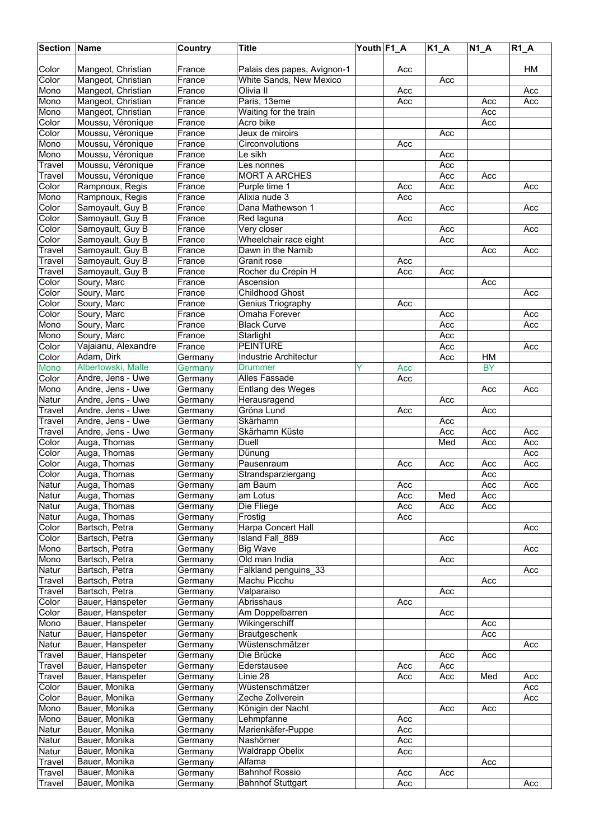| <b>Section Name</b> |                                      | Country            | <b>Title</b>                            | Youth F1_A | $K1_A$     | <b>N1 A</b>     | <b>R1 A</b> |
|---------------------|--------------------------------------|--------------------|-----------------------------------------|------------|------------|-----------------|-------------|
|                     |                                      |                    |                                         |            |            |                 |             |
| Color               | Mangeot, Christian                   | France             | Palais des papes, Avignon-1             | Acc        |            |                 | HМ          |
| Color               | Mangeot, Christian                   | France             | White Sands, New Mexico                 |            | Acc        |                 |             |
| Mono                | Mangeot, Christian                   | France             | Olivia II                               | Acc        |            |                 | Acc         |
| Mono                | Mangeot, Christian                   | France             | Paris, 13eme                            | Acc        |            | Acc             | Acc         |
| Mono                | Mangeot, Christian                   | France             | Waiting for the train                   |            |            | Acc             |             |
| Color               | Moussu, Véronique                    | France             | Acro bike                               |            |            | Acc             |             |
| Color               | Moussu, Véronique                    | France             | Jeux de miroirs                         |            | Acc        |                 |             |
| Mono                | Moussu, Véronique                    | France             | Circonvolutions                         | Acc        |            |                 |             |
| Mono                | Moussu, Véronique                    | France             | Le sikh                                 |            | Acc        |                 |             |
| Travel              | Moussu, Véronique                    | France             | Les nonnes                              |            | Acc        |                 |             |
| Travel              | Moussu, Véronique                    | France             | <b>MORT A ARCHES</b>                    |            | Acc        | Acc             |             |
| Color               | Rampnoux, Regis                      | France             | Purple time 1<br>Alixia nude 3          | Acc        | Acc        |                 | Acc         |
| Mono                | Rampnoux, Regis                      | France             | Dana Mathewson 1                        | Acc        |            |                 |             |
| Color               | Samoyault, Guy B                     | France             |                                         |            | Acc        |                 | Acc         |
| Color<br>Color      | Samoyault, Guy B                     | France<br>France   | Red laguna                              | Acc        |            |                 |             |
| Color               | Samoyault, Guy B                     | France             | Very closer<br>Wheelchair race eight    |            | Acc<br>Acc |                 | Acc         |
|                     | Samoyault, Guy B                     |                    | Dawn in the Namib                       |            |            |                 |             |
| <b>Travel</b>       | Samoyault, Guy B                     | France<br>France   | Granit rose                             | Acc        |            | Acc             | Acc         |
| Travel              | Samoyault, Guy B<br>Samoyault, Guy B |                    | Rocher du Crepin H                      |            |            |                 |             |
| Travel<br>Color     | Soury, Marc                          | France<br>France   | Ascension                               | Acc        | Acc        | Acc             |             |
| Color               |                                      | $F$ rance          | <b>Childhood Ghost</b>                  |            |            |                 |             |
| Color               | Soury, Marc<br>Soury, Marc           | France             | Genius Triography                       | Acc        |            |                 | Acc         |
| Color               | Soury, Marc                          | France             | Omaha Forever                           |            | Acc        |                 | Acc         |
| Mono                | Soury, Marc                          | France             | <b>Black Curve</b>                      |            | Acc        |                 | Acc         |
| Mono                |                                      | France             | Starlight                               |            |            |                 |             |
| Color               | Soury, Marc                          | France             | <b>PEINTURE</b>                         |            | Acc<br>Acc |                 | Acc         |
|                     | Vajaianu, Alexandre                  |                    |                                         |            |            |                 |             |
| Color<br>Mono       | Adam, Dirk<br>Albertowski, Malte     | Germany            | Industrie Architectur<br><b>Drummer</b> | Acc        | Acc        | HM<br><b>BY</b> |             |
| Color               | Andre, Jens - Uwe                    | Germany<br>Germany | Alles Fassade                           | Acc        |            |                 |             |
| Mono                | Andre, Jens - Uwe                    | Germany            |                                         |            |            | Acc             | Acc         |
| Natur               | Andre, Jens - Uwe                    |                    | Entlang des Weges                       |            | Acc        |                 |             |
| Travel              | Andre, Jens - Uwe                    | Germany<br>Germany | Herausragend<br>Gröna Lund              | Acc        |            | Acc             |             |
| Travel              | Andre, Jens - Uwe                    | Germany            | Skärhamn                                |            | Acc        |                 |             |
| Travel              | Andre, Jens - Uwe                    | Germany            | Skärhamn Küste                          |            | Acc        | Acc             | Acc         |
| Color               | Auga, Thomas                         | Germany            | Duell                                   |            | Med        | Acc             | Acc         |
| Color               | Auga, Thomas                         | Germany            | Dünung                                  |            |            |                 | Acc         |
| Color               | Auga, Thomas                         | Germany            | Pausenraum                              | Acc        | Acc        | Acc             | Acc         |
| Color               | Auga, Thomas                         | Germany            | Strandsparziergang                      |            |            | Acc             |             |
| Natur               | Auga, Thomas                         | Germany            | am Baum                                 | Acc        |            | Acc             | Acc         |
| Natur               | Auga, Thomas                         | Germany            | am Lotus                                | Acc        | Med        | Acc             |             |
| Natur               | Auga, Thomas                         | Germany            | Die Fliege                              | Acc        | Acc        | Acc             |             |
| Natur               | Auga, Thomas                         | Germany            | Frostig                                 | Acc        |            |                 |             |
| Color               | Bartsch, Petra                       | Germany            | Harpa Concert Hall                      |            |            |                 | Acc         |
| Color               | Bartsch, Petra                       | Germany            | Island Fall 889                         |            | Acc        |                 |             |
| Mono                | Bartsch, Petra                       | Germany            | <b>Big Wave</b>                         |            |            |                 | Acc         |
| Mono                | Bartsch, Petra                       | Germany            | Old man India                           |            | Acc        |                 |             |
| Natur               | Bartsch, Petra                       | Germany            | Falkland penguins 33                    |            |            |                 | Acc         |
| Travel              | Bartsch, Petra                       | Germany            | Machu Picchu                            |            |            | Acc             |             |
| Travel              | Bartsch, Petra                       | Germany            | Valparaiso                              |            | Acc        |                 |             |
| Color               | Bauer, Hanspeter                     | Germany            | Abrisshaus                              | Acc        |            |                 |             |
| Color               | Bauer, Hanspeter                     | Germany            | Am Doppelbarren                         |            | Acc        |                 |             |
| Mono                | Bauer, Hanspeter                     | Germany            | Wikingerschiff                          |            |            | Acc             |             |
| Natur               | Bauer, Hanspeter                     | Germany            | Brautgeschenk                           |            |            | Acc             |             |
| Natur               | Bauer, Hanspeter                     | Germany            | Wüstenschmätzer                         |            |            |                 | Acc         |
| Travel              | Bauer, Hanspeter                     | Germany            | Die Brücke                              |            | Acc        | Acc             |             |
| Travel              | Bauer, Hanspeter                     | Germany            | Ederstausee                             | Acc        | Acc        |                 |             |
| Travel              | Bauer, Hanspeter                     | Germany            | Linie 28                                | Acc        | Acc        | Med             | Acc         |
| Color               | Bauer, Monika                        | Germany            | Wüstenschmätzer                         |            |            |                 | Acc         |
| Color               | Bauer, Monika                        | Germany            | Zeche Zollverein                        |            |            |                 | Acc         |
| Mono                | Bauer, Monika                        | Germany            | Königin der Nacht                       |            | Acc        | Acc             |             |
| Mono                | Bauer, Monika                        | Germany            | Lehmpfanne                              | Acc        |            |                 |             |
| Natur               | Bauer, Monika                        | Germany            | Marienkäfer-Puppe                       | Acc        |            |                 |             |
| Natur               | Bauer, Monika                        | Germany            | Nashörner                               | Acc        |            |                 |             |
| Natur               | Bauer, Monika                        | Germany            | <b>Waldrapp Obelix</b>                  | Acc        |            |                 |             |
| Travel              | Bauer, Monika                        | Germany            | Alfama                                  |            |            | Acc             |             |
| Travel              | Bauer, Monika                        | Germany            | <b>Bahnhof Rossio</b>                   | Acc        | Acc        |                 |             |
| Travel              | Bauer, Monika                        | Germany            | <b>Bahnhof Stuttgart</b>                | Acc        |            |                 | Acc         |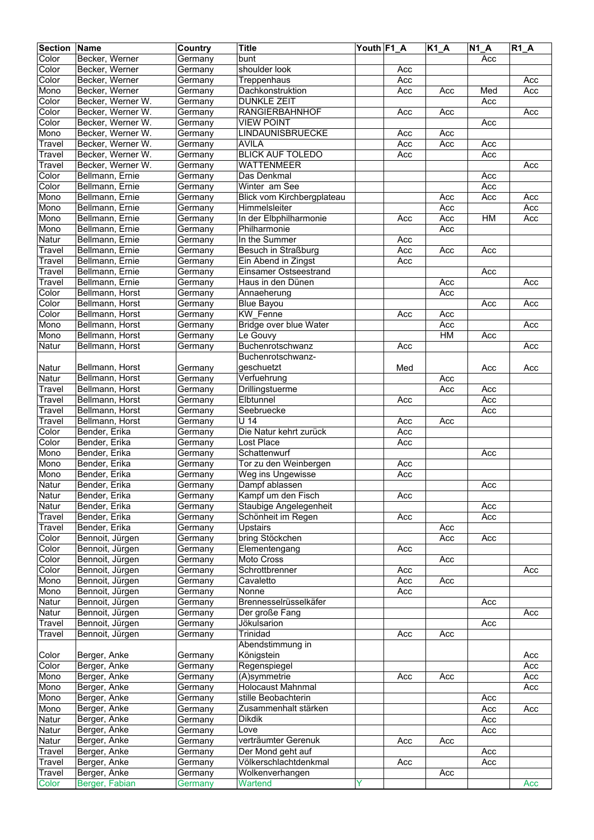| <b>Section Name</b> |                                    | Country            | <b>Title</b>                            | Youth F1_A |            | <b>K1_A</b> | $N1_A$     | $R1_A$ |
|---------------------|------------------------------------|--------------------|-----------------------------------------|------------|------------|-------------|------------|--------|
| Color               | Becker, Werner                     | Germany            | bunt                                    |            |            |             | Acc        |        |
| Color               | Becker, Werner                     | Germany            | shoulder look                           |            | Acc        |             |            |        |
| Color               | Becker, Werner                     | Germany            | Treppenhaus                             |            | Acc        |             |            | Acc    |
| Mono                | Becker, Werner                     | Germany            | Dachkonstruktion                        |            | Acc        | Acc         | Med        | Acc    |
| Color               | Becker, Werner W.                  | Germany            | <b>DUNKLE ZEIT</b>                      |            |            |             | Acc        |        |
| Color               | Becker, Werner W.                  | Germany            | <b>RANGIERBAHNHOF</b>                   |            | Acc        | Acc         |            | Acc    |
| Color               | Becker, Werner W.                  | Germany            | <b>VIEW POINT</b>                       |            |            |             | Acc        |        |
| Mono                | Becker, Werner W.                  | Germany            | <b>LINDAUNISBRUECKE</b>                 |            | Acc        | Acc         |            |        |
| Travel              | Becker, Werner W.                  | Germany            | AVILA                                   |            | Acc        | Acc         | Acc        |        |
| Travel              | Becker, Werner W.                  | Germany            | <b>BLICK AUF TOLEDO</b>                 |            | Acc        |             | Acc        |        |
| Travel              | Becker, Werner W.                  | Germany            | <b>WATTENMEER</b>                       |            |            |             |            | Acc    |
| Color               | Bellmann, Ernie                    | Germany            | Das Denkmal                             |            |            |             | Acc        |        |
| Color               | Bellmann, Ernie                    | Germany            | Winter am See                           |            |            |             | Acc        |        |
| Mono                | Bellmann, Ernie                    | Germany            | Blick vom Kirchbergplateau              |            |            | Acc         | Acc        | Acc    |
| Mono                | Bellmann, Ernie                    | Germany            | Himmelsleiter                           |            |            | Acc         |            | Acc    |
| Mono                | Bellmann, Ernie                    | Germany            | In der Elbphilharmonie                  |            | Acc        | Acc         | H M        | Acc    |
| Mono                | Bellmann, Ernie                    | Germany            | Philharmonie                            |            |            | Acc         |            |        |
| Natur               | Bellmann, Ernie                    | Germany            | In the Summer                           |            | Acc        |             |            |        |
| Travel              | Bellmann, Ernie                    | Germany            | Besuch in Straßburg                     |            | Acc        | Acc         | Acc        |        |
| Travel              | Bellmann, Ernie                    | Germany            | Ein Abend in Zingst                     |            | Acc        |             |            |        |
| Travel              | Bellmann, Ernie                    | Germany            | <b>Einsamer Ostseestrand</b>            |            |            |             | Acc        |        |
| Travel              | Bellmann, Ernie                    | Germany            | Haus in den Dünen                       |            |            | Acc         |            | Acc    |
| Color               | Bellmann, Horst                    | Germany            | Annaeherung                             |            |            | Acc         |            |        |
| Color               | Bellmann, Horst                    | Germany            | <b>Blue Bayou</b>                       |            |            |             | Acc        | Acc    |
| Color               | Bellmann, Horst                    | Germany            | <b>KW</b> Fenne                         |            | Acc        | Acc         |            |        |
| Mono                | Bellmann, Horst                    | Germany            | Bridge over blue Water                  |            |            | Acc         |            | Acc    |
| Mono                | Bellmann, Horst                    | Germany            | Le Gouvy                                |            |            | HM          | Acc        |        |
| Natur               | Bellmann, Horst                    | Germany            | Buchenrotschwanz                        |            | Acc        |             |            | Acc    |
|                     |                                    |                    | Buchenrotschwanz-                       |            |            |             |            |        |
| Natur               | Bellmann, Horst                    | Germany            | geschuetzt                              |            | Med        |             | Acc        | Acc    |
| Natur               | Bellmann, Horst                    | Germany            | Verfuehrung                             |            |            | Acc         |            |        |
| Travel              | Bellmann, Horst                    |                    | Drillingstuerme                         |            |            | Acc         | Acc        |        |
|                     |                                    | Germany            |                                         |            |            |             |            |        |
| Travel<br>Travel    | Bellmann, Horst<br>Bellmann, Horst | Germany            | Elbtunnel<br>Seebruecke                 |            | Acc        |             | Acc<br>Acc |        |
|                     |                                    | Germany<br>Germany | $\overline{U}$ 14                       |            |            |             |            |        |
| Travel<br>Color     | Bellmann, Horst                    |                    | Die Natur kehrt zurück                  |            | Acc<br>Acc | Acc         |            |        |
| Color               | Bender, Erika<br>Bender, Erika     | Germany            | Lost Place                              |            | Acc        |             |            |        |
|                     |                                    | Germany            | Schattenwurf                            |            |            |             | Acc        |        |
| Mono                | Bender, Erika                      | Germany<br>Germany |                                         |            |            |             |            |        |
| Mono<br>Mono        | Bender, Erika                      |                    | Tor zu den Weinbergen                   |            | Acc<br>Acc |             |            |        |
| Natur               | Bender, Erika                      | Germany            | Weg ins Ungewisse                       |            |            |             |            |        |
|                     | Bender, Erika                      | Germany            | Dampf ablassen<br>Kampf um den Fisch    |            |            |             | Acc        |        |
| Natur               | Bender, Erika<br>Bender, Erika     | Germany            |                                         |            | Acc        |             |            |        |
| Natur               | Bender, Erika                      | Germany            | Staubige Angelegenheit                  |            |            |             | Acc        |        |
| Travel              | Bender, Erika                      | Germany            | Schönheit im Regen                      |            | Acc        |             | Acc        |        |
| Travel              |                                    | Germany            | Upstairs<br>bring Stöckchen             |            |            | Acc         |            |        |
| Color               | Bennoit, Jürgen                    | Germany            |                                         |            |            | Acc         | Acc        |        |
| Color               | Bennoit, Jürgen                    | Germany            | Elementengang                           |            | Acc        |             |            |        |
| Color               | Bennoit, Jürgen                    | Germany            | Moto Cross                              |            |            | Acc         |            |        |
| Color               | Bennoit, Jürgen                    | Germany            | Schrottbrenner                          |            | Acc        |             |            | Acc    |
| Mono                | Bennoit, Jürgen                    | Germany            | Cavaletto                               |            | Acc        | Acc         |            |        |
| Mono                | Bennoit, Jürgen                    | Germany            | Nonne                                   |            | Acc        |             |            |        |
| Natur               | Bennoit, Jürgen<br>Bennoit, Jürgen | Germany            | Brennesselrüsselkäfer<br>Der große Fang |            |            |             | Acc        |        |
| Natur               |                                    | Germany            |                                         |            |            |             |            | Acc    |
| Travel              | Bennoit, Jürgen                    | Germany            | Jökulsarion                             |            |            |             | Acc        |        |
| Travel              | Bennoit, Jürgen                    | Germany            | Trinidad                                |            | Acc        | Acc         |            |        |
|                     |                                    |                    | Abendstimmung in                        |            |            |             |            |        |
| Color               | Berger, Anke                       | Germany            | Königstein                              |            |            |             |            | Acc    |
| Color               | Berger, Anke                       | Germany            | Regenspiegel                            |            |            |             |            | Acc    |
| Mono                | Berger, Anke                       | Germany            | $\overline{(A)}$ symmetrie              |            | Acc        | Acc         |            | Acc    |
| Mono                | Berger, Anke                       | Germany            | <b>Holocaust Mahnmal</b>                |            |            |             |            | Acc    |
| Mono                | Berger, Anke                       | Germany            | stille Beobachterin                     |            |            |             | Acc        |        |
| Mono                | Berger, Anke                       | Germany            | Zusammenhalt stärken                    |            |            |             | Acc        | Acc    |
| Natur               | Berger, Anke                       | Germany            | <b>Dikdik</b>                           |            |            |             | Acc        |        |
| Natur               | Berger, Anke                       | Germany            | Love                                    |            |            |             | Acc        |        |
| Natur               | Berger, Anke                       | Germany            | verträumter Gerenuk                     |            | Acc        | Acc         |            |        |
| Travel              | Berger, Anke                       | Germany            | Der Mond geht auf                       |            |            |             | Acc        |        |
| Travel              | Berger, Anke                       | Germany            | Völkerschlachtdenkmal                   |            | Acc        |             | Acc        |        |
| Travel              | Berger, Anke                       | Germany            | Wolkenverhangen                         |            |            | Acc         |            |        |
| Color               | Berger, Fabian                     | Germany            | Wartend                                 | Υ          |            |             |            | Acc    |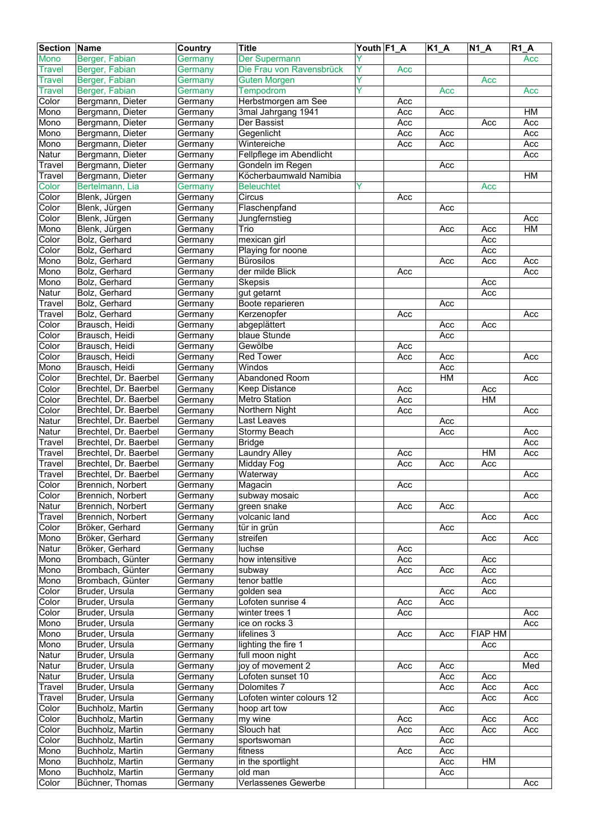| <b>Section</b> | <b>Name</b>           | Country | <b>Title</b>              | Youth F1_A |     | $K1_A$ | $\overline{N}$ 1_A | R1A |
|----------------|-----------------------|---------|---------------------------|------------|-----|--------|--------------------|-----|
| Mono           | Berger, Fabian        | Germany | Der Supermann             |            |     |        |                    | Acc |
| Travel         | Berger, Fabian        | Germany | Die Frau von Ravensbrück  | Y          | Acc |        |                    |     |
| <b>Travel</b>  | Berger, Fabian        | Germany | <b>Guten Morgen</b>       | Ÿ          |     |        | Acc                |     |
| Travel         | Berger, Fabian        | Germany | Tempodrom                 |            |     | Acc    |                    | Acc |
| Color          | Bergmann, Dieter      | Germany | Herbstmorgen am See       |            | Acc |        |                    |     |
| Mono           | Bergmann, Dieter      | Germany | 3mal Jahrgang 1941        |            | Acc | Acc    |                    | H M |
| Mono           | Bergmann, Dieter      | Germany | Der Bassist               |            | Acc |        | Acc                | Acc |
| Mono           | Bergmann, Dieter      | Germany | Gegenlicht                |            | Acc | Acc    |                    | Acc |
| Mono           | Bergmann, Dieter      | Germany | Wintereiche               |            | Acc | Acc    |                    | Acc |
| Natur          | Bergmann, Dieter      | Germany | Fellpflege im Abendlicht  |            |     |        |                    | Acc |
| <b>Travel</b>  | Bergmann, Dieter      | Germany | Gondeln im Regen          |            |     | Acc    |                    |     |
| Travel         | Bergmann, Dieter      | Germany | Köcherbaumwald Namibia    |            |     |        |                    | HM  |
| Color          | Bertelmann, Lia       | Germany | <b>Beleuchtet</b>         | Y          |     |        | Acc                |     |
| Color          | Blenk, Jürgen         | Germany | Circus                    |            | Acc |        |                    |     |
| Color          | Blenk, Jürgen         | Germany | Flaschenpfand             |            |     | Acc    |                    |     |
| Color          | Blenk, Jürgen         | Germany | Jungfernstieg             |            |     |        |                    | Acc |
| Mono           | Blenk, Jürgen         | Germany | Trio                      |            |     | Acc    | Acc                | HM  |
| Color          | Bolz, Gerhard         | Germany | mexican girl              |            |     |        | Acc                |     |
| Color          | Bolz, Gerhard         | Germany | Playing for noone         |            |     |        | Acc                |     |
| Mono           | Bolz, Gerhard         | Germany | <b>Bürosilos</b>          |            |     | Acc    | Acc                | Acc |
| Mono           | Bolz, Gerhard         | Germany | der milde Blick           |            | Acc |        |                    | Acc |
| Mono           | Bolz, Gerhard         | Germany | Skepsis                   |            |     |        | Acc                |     |
| Natur          | Bolz, Gerhard         | Germany | gut getarnt               |            |     |        | Acc                |     |
| Travel         | Bolz, Gerhard         | Germany | Boote reparieren          |            |     | Acc    |                    |     |
| Travel         | Bolz, Gerhard         | Germany | Kerzenopfer               |            | Acc |        |                    | Acc |
| Color          | Brausch, Heidi        | Germany | abgeplättert              |            |     | Acc    | Acc                |     |
| Color          | Brausch, Heidi        | Germany | blaue Stunde              |            |     | Acc    |                    |     |
| Color          | Brausch, Heidi        | Germany | Gewölbe                   |            | Acc |        |                    |     |
| Color          | Brausch, Heidi        | Germany | <b>Red Tower</b>          |            | Acc | Acc    |                    | Acc |
| Mono           | Brausch, Heidi        | Germany | Windos                    |            |     | Acc    |                    |     |
| Color          | Brechtel, Dr. Baerbel | Germany | Abandoned Room            |            |     | HM     |                    | Acc |
| Color          | Brechtel, Dr. Baerbel | Germany | <b>Keep Distance</b>      |            | Acc |        | Acc                |     |
| Color          | Brechtel, Dr. Baerbel | Germany | Metro Station             |            | Acc |        | HM                 |     |
| Color          | Brechtel, Dr. Baerbel | Germany | Northern Night            |            | Acc |        |                    | Acc |
| Natur          | Brechtel, Dr. Baerbel | Germany | Last Leaves               |            |     | Acc    |                    |     |
| Natur          | Brechtel, Dr. Baerbel | Germany | Stormy Beach              |            |     | Acc    |                    | Acc |
| Travel         | Brechtel, Dr. Baerbel | Germany | <b>Bridge</b>             |            |     |        |                    | Acc |
| Travel         | Brechtel, Dr. Baerbel | Germany | <b>Laundry Alley</b>      |            | Acc |        | HM                 | Acc |
| Travel         | Brechtel, Dr. Baerbel | Germany | Midday Fog                |            | Acc | Acc    | Acc                |     |
| Travel         | Brechtel, Dr. Baerbel | Germany | Waterway                  |            |     |        |                    | Acc |
| Color          | Brennich, Norbert     | Germany | Magacin                   |            | Acc |        |                    |     |
| Color          | Brennich, Norbert     | Germany | subway mosaic             |            |     |        |                    | Acc |
| Natur          | Brennich, Norbert     | Germany | green snake               |            | Acc | Acc    |                    |     |
| Travel         | Brennich, Norbert     | Germany | volcanic land             |            |     |        | Acc                | Acc |
| Color          | Bröker, Gerhard       | Germany | tür in grün               |            |     | Acc    |                    |     |
| Mono           | Bröker, Gerhard       | Germany | streifen                  |            |     |        | Acc                | Acc |
| Natur          | Bröker, Gerhard       | Germany | luchse                    |            | Acc |        |                    |     |
| Mono           | Brombach, Günter      | Germany | how intensitive           |            | Acc |        | Acc                |     |
| Mono           | Brombach, Günter      | Germany | subway                    |            | Acc | Acc    | Acc                |     |
| Mono           | Brombach, Günter      | Germany | tenor battle              |            |     |        | Acc                |     |
| Color          | Bruder, Ursula        | Germany | golden sea                |            |     | Acc    | Acc                |     |
| Color          | Bruder, Ursula        | Germany | Lofoten sunrise 4         |            | Acc | Acc    |                    |     |
| Color          | Bruder, Ursula        | Germany | winter trees 1            |            | Acc |        |                    | Acc |
| Mono           | Bruder, Ursula        | Germany | ice on rocks 3            |            |     |        |                    | Acc |
| Mono           | Bruder, Ursula        | Germany | lifelines 3               |            | Acc | Acc    | <b>FIAP HM</b>     |     |
| Mono           | Bruder, Ursula        | Germany | lighting the fire 1       |            |     |        | Acc                |     |
| Natur          | Bruder, Ursula        | Germany | full moon night           |            |     |        |                    | Acc |
| Natur          | Bruder, Ursula        | Germany | joy of movement 2         |            | Acc | Acc    |                    | Med |
| Natur          | Bruder, Ursula        | Germany | Lofoten sunset 10         |            |     | Acc    | Acc                |     |
| <b>Travel</b>  | Bruder, Ursula        | Germany | Dolomites 7               |            |     | Acc    | Acc                | Acc |
| Travel         | Bruder, Ursula        | Germany | Lofoten winter colours 12 |            |     |        | Acc                | Acc |
| Color          | Buchholz, Martin      | Germany | hoop art tow              |            |     | Acc    |                    |     |
| Color          | Buchholz, Martin      | Germany | my wine                   |            | Acc |        | Acc                | Acc |
| Color          | Buchholz, Martin      | Germany | Slouch hat                |            | Acc | Acc    | Acc                | Acc |
| Color          | Buchholz, Martin      | Germany | sportswoman               |            |     | Acc    |                    |     |
| Mono           | Buchholz, Martin      | Germany | fitness                   |            | Acc | Acc    |                    |     |
| Mono           | Buchholz, Martin      | Germany | in the sportlight         |            |     | Acc    | HM                 |     |
| Mono           | Buchholz, Martin      | Germany | old man                   |            |     | Acc    |                    |     |
| Color          | Büchner, Thomas       | Germany | Verlassenes Gewerbe       |            |     |        |                    | Acc |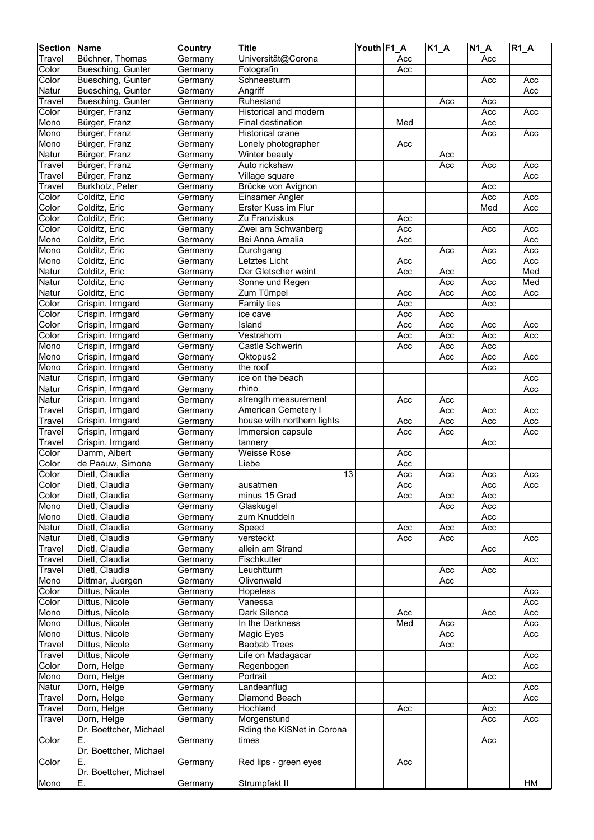| <b>Section</b> | Name                   | <b>Country</b> | <b>Title</b>               | Youth F1 A |                  | $K1_A$ | <b>N1 A</b> | $R1_A$ |
|----------------|------------------------|----------------|----------------------------|------------|------------------|--------|-------------|--------|
| Travel         | Büchner, Thomas        | Germany        | Universität@Corona         |            | Acc              |        | Acc         |        |
| Color          | Buesching, Gunter      | Germany        | Fotografin                 |            | Acc              |        |             |        |
| Color          | Buesching, Gunter      | Germany        | Schneesturm                |            |                  |        | Acc         | Acc    |
| Natur          | Buesching, Gunter      | Germany        | Angriff                    |            |                  |        |             | Acc    |
|                | Buesching, Gunter      |                | Ruhestand                  |            |                  |        | Acc         |        |
| Travel         |                        | Germany        |                            |            |                  | Acc    |             |        |
| Color          | Bürger, Franz          | Germany        | Historical and modern      |            |                  |        | Acc         | Acc    |
| Mono           | Bürger, Franz          | Germany        | Final destination          |            | Med              |        | Acc         |        |
| Mono           | Bürger, Franz          | Germany        | <b>Historical crane</b>    |            |                  |        | Acc         | Acc    |
| Mono           | Bürger, Franz          | Germany        | Lonely photographer        |            | Acc              |        |             |        |
| Natur          | Bürger, Franz          | Germany        | Winter beauty              |            |                  | Acc    |             |        |
| Travel         | Bürger, Franz          | Germany        | Auto rickshaw              |            |                  | Acc    | Acc         | Acc    |
| Travel         | Bürger, Franz          | Germany        | Village square             |            |                  |        |             | Acc    |
| Travel         | Burkholz, Peter        | Germany        | Brücke von Avignon         |            |                  |        | Acc         |        |
| Color          | Colditz, Eric          | Germany        | <b>Einsamer Angler</b>     |            |                  |        | Acc         | Acc    |
| Color          | Colditz, Eric          | Germany        | Erster Kuss im Flur        |            |                  |        | Med         | Acc    |
| Color          | Colditz, Eric          | Germany        | Zu Franziskus              |            | Acc              |        |             |        |
| Color          | Colditz, Eric          | Germany        | Zwei am Schwanberg         |            | Acc              |        | Acc         | Acc    |
| Mono           | Colditz, Eric          | Germany        | Bei Anna Amalia            |            | Acc              |        |             | Acc    |
| Mono           | Colditz, Eric          | Germany        | Durchgang                  |            |                  | Acc    | Acc         | Acc    |
| Mono           | Colditz, Eric          | Germany        | Letztes Licht              |            | Acc              |        | Acc         | Acc    |
| Natur          | Colditz, Eric          | Germany        | Der Gletscher weint        |            | Acc              | Acc    |             | Med    |
| Natur          | Colditz, Eric          | Germany        | Sonne und Regen            |            |                  | Acc    | Acc         | Med    |
| Natur          | Colditz, Eric          | Germany        | Zum Tümpel                 |            | Acc              | Acc    | Acc         | Acc    |
|                |                        |                |                            |            |                  |        |             |        |
| Color          | Crispin, Irmgard       | Germany        | Family ties                |            | Acc              |        | Acc         |        |
| Color          | Crispin, Irmgard       | Germany        | ice cave                   |            | Acc              | Acc    |             |        |
| Color          | Crispin, Irmgard       | Germany        | Island                     |            | Acc              | Acc    | Acc         | Acc    |
| Color          | Crispin, Irmgard       | Germany        | Vestrahorn                 |            | Acc              | Acc    | Acc         | Acc    |
| Mono           | Crispin, Irmgard       | Germany        | Castle Schwerin            |            | Acc              | Acc    | Acc         |        |
| Mono           | Crispin, Irmgard       | Germany        | Oktopus2                   |            |                  | Acc    | Acc         | Acc    |
| Mono           | Crispin, Irmgard       | Germany        | the roof                   |            |                  |        | Acc         |        |
| Natur          | Crispin, Irmgard       | Germany        | ice on the beach           |            |                  |        |             | Acc    |
| Natur          | Crispin, Irmgard       | Germany        | rhino                      |            |                  |        |             | Acc    |
| Natur          | Crispin, Irmgard       | Germany        | strength measurement       |            | Acc              | Acc    |             |        |
| Travel         | Crispin, Irmgard       | Germany        | <b>American Cemetery I</b> |            |                  | Acc    | Acc         | Acc    |
| Travel         | Crispin, Irmgard       | Germany        | house with northern lights |            | Acc              | Acc    | Acc         | Acc    |
| Travel         | Crispin, Irmgard       | Germany        | Immersion capsule          |            | Acc              | Acc    |             | Acc    |
| Travel         | Crispin, Irmgard       | Germany        | tannery                    |            |                  |        | Acc         |        |
| Color          | Damm, Albert           | Germany        | <b>Weisse Rose</b>         |            | Acc              |        |             |        |
| Color          | de Paauw, Simone       | Germany        | Liebe                      |            | Acc              |        |             |        |
| Color          | Dietl, Claudia         | Germany        | $\overline{13}$            |            | Acc              | Acc    | Acc         | Acc    |
| Color          | Dietl, Claudia         | Germany        | ausatmen                   |            | Acc              |        | Acc         | Acc    |
| Color          | Dietl, Claudia         |                | minus 15 Grad              |            | $\overline{Acc}$ | Acc    | Acc         |        |
|                | Dietl, Claudia         | Germany        | Glaskugel                  |            |                  |        |             |        |
| Mono           |                        | Germany        |                            |            |                  | Acc    | Acc         |        |
| Mono           | Dietl, Claudia         | Germany        | zum Knuddeln               |            |                  |        | Acc         |        |
| Natur          | Dietl, Claudia         | Germany        | Speed                      |            | Acc              | Acc    | Acc         |        |
| Natur          | Dietl, Claudia         | Germany        | versteckt                  |            | Acc              | Acc    |             | Acc    |
| Travel         | Dietl, Claudia         | Germany        | allein am Strand           |            |                  |        | Acc         |        |
| Travel         | Dietl, Claudia         | Germany        | Fischkutter                |            |                  |        |             | Acc    |
| Travel         | Dietl, Claudia         | Germany        | Leuchtturm                 |            |                  | Acc    | Acc         |        |
| Mono           | Dittmar, Juergen       | Germany        | Olivenwald                 |            |                  | Acc    |             |        |
| Color          | Dittus, Nicole         | Germany        | Hopeless                   |            |                  |        |             | Acc    |
| Color          | Dittus, Nicole         | Germany        | Vanessa                    |            |                  |        |             | Acc    |
| Mono           | Dittus, Nicole         | Germany        | Dark Silence               |            | Acc              |        | Acc         | Acc    |
| Mono           | Dittus, Nicole         | Germany        | In the Darkness            |            | Med              | Acc    |             | Acc    |
| Mono           | Dittus, Nicole         | Germany        | Magic Eyes                 |            |                  | Acc    |             | Acc    |
| Travel         | Dittus, Nicole         | Germany        | <b>Baobab Trees</b>        |            |                  | Acc    |             |        |
| Travel         | Dittus, Nicole         | Germany        | Life on Madagacar          |            |                  |        |             | Acc    |
| Color          | Dorn, Helge            | Germany        | Regenbogen                 |            |                  |        |             | Acc    |
| Mono           | Dorn, Helge            | Germany        | Portrait                   |            |                  |        | Acc         |        |
| Natur          | Dorn, Helge            | Germany        | Landeanflug                |            |                  |        |             | Acc    |
| Travel         | Dorn, Helge            | Germany        | Diamond Beach              |            |                  |        |             | Acc    |
| Travel         | Dorn, Helge            | Germany        | Hochland                   |            | Acc              |        | Acc         |        |
| Travel         | Dorn, Helge            | Germany        | Morgenstund                |            |                  |        | Acc         | Acc    |
|                | Dr. Boettcher, Michael |                | Rding the KiSNet in Corona |            |                  |        |             |        |
| Color          | Ε.                     | Germany        | times                      |            |                  |        | Acc         |        |
|                | Dr. Boettcher, Michael |                |                            |            |                  |        |             |        |
| Color          | Е.                     |                | Red lips - green eyes      |            | Acc              |        |             |        |
|                | Dr. Boettcher, Michael | Germany        |                            |            |                  |        |             |        |
|                |                        |                |                            |            |                  |        |             |        |
| Mono           | Е.                     | Germany        | Strumpfakt II              |            |                  |        |             | HM     |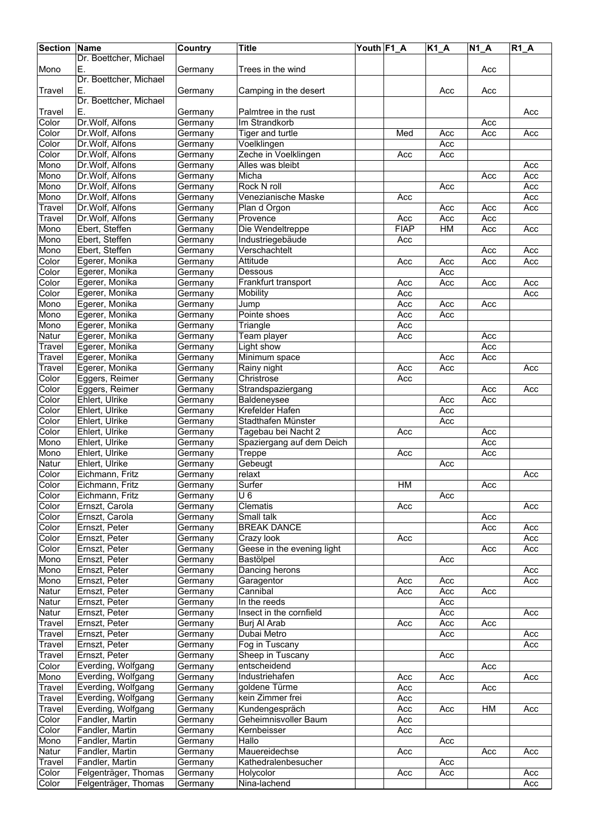| <b>Section</b>  | Name                               | Country            | <b>Title</b>                            | Youth F1_A |             | $\overline{K1}A$ | $N1_A$     | $R1_A$     |
|-----------------|------------------------------------|--------------------|-----------------------------------------|------------|-------------|------------------|------------|------------|
|                 | Dr. Boettcher, Michael             |                    |                                         |            |             |                  |            |            |
| Mono            | Ε.                                 | Germany            | Trees in the wind                       |            |             |                  | Acc        |            |
|                 | Dr. Boettcher, Michael             |                    |                                         |            |             |                  |            |            |
| Travel          | Е.                                 | Germany            | Camping in the desert                   |            |             | Acc              | Acc        |            |
|                 | Dr. Boettcher, Michael             |                    |                                         |            |             |                  |            |            |
| Travel          | Е.                                 | Germany            | Palmtree in the rust                    |            |             |                  |            | Acc        |
| Color           | Dr.Wolf, Alfons                    | Germany            | Im Strandkorb                           |            |             |                  | Acc        |            |
| Color           | Dr.Wolf, Alfons                    | Germany            | Tiger and turtle                        |            | Med         | Acc              | Acc        | Acc        |
| Color           | Dr.Wolf, Alfons                    | Germany            | Voelklingen                             |            |             | Acc              |            |            |
| Color           | Dr.Wolf, Alfons                    | Germany            | Zeche in Voelklingen                    |            | Acc         | Acc              |            |            |
| Mono            | Dr.Wolf, Alfons                    | Germany            | Alles was bleibt                        |            |             |                  |            | Acc        |
| Mono            | Dr.Wolf, Alfons                    | Germany            | Micha<br><b>Rock N roll</b>             |            |             |                  | Acc        | Acc        |
| Mono            | Dr.Wolf, Alfons<br>Dr.Wolf, Alfons | Germany            | Venezianische Maske                     |            |             | Acc              |            | Acc        |
| Mono<br>Travel  | Dr.Wolf, Alfons                    | Germany<br>Germany | Plan d Orgon                            |            | Acc         | Acc              | Acc        | Acc<br>Acc |
| Travel          | Dr.Wolf, Alfons                    | Germany            | Provence                                |            | Acc         | Acc              | Acc        |            |
| Mono            | Ebert, Steffen                     | Germany            | Die Wendeltreppe                        |            | <b>FIAP</b> | HM               | Acc        | Acc        |
| Mono            | Ebert, Steffen                     | Germany            | Industriegebäude                        |            | Acc         |                  |            |            |
| Mono            | Ebert, Steffen                     | Germany            | Verschachtelt                           |            |             |                  | Acc        | Acc        |
| Color           | Egerer, Monika                     | Germany            | Attitude                                |            | Acc         | Acc              | Acc        | Acc        |
| Color           | Egerer, Monika                     | Germany            | Dessous                                 |            |             | Acc              |            |            |
| Color           | Egerer, Monika                     | Germany            | Frankfurt transport                     |            | Acc         | Acc              | Acc        | Acc        |
| Color           | Egerer, Monika                     | Germany            | Mobility                                |            | Acc         |                  |            | Acc        |
| Mono            | Egerer, Monika                     | Germany            | Jump                                    |            | Acc         | Acc              | Acc        |            |
| Mono            | Egerer, Monika                     | Germany            | Pointe shoes                            |            | Acc         | Acc              |            |            |
| Mono            | Egerer, Monika                     |                    |                                         |            | Acc         |                  |            |            |
| <b>Natur</b>    |                                    | Germany<br>Germany | Triangle                                |            | Acc         |                  | Acc        |            |
|                 | Egerer, Monika<br>Egerer, Monika   |                    | Team player                             |            |             |                  | Acc        |            |
| Travel          |                                    | Germany            | Light show<br>Minimum space             |            |             | Acc              | Acc        |            |
| Travel          | Egerer, Monika<br>Egerer, Monika   | Germany            | Rainy night                             |            |             |                  |            |            |
| Travel<br>Color | Eggers, Reimer                     | Germany<br>Germany | Christrose                              |            | Acc<br>Acc  | Acc              |            | Acc        |
|                 | Eggers, Reimer                     |                    | Strandspaziergang                       |            |             |                  |            |            |
| Color<br>Color  | Ehlert, Ulrike                     | Germany            |                                         |            |             | Acc              | Acc<br>Acc | Acc        |
|                 | Ehlert, Ulrike                     | Germany            | Baldeneysee<br>Krefelder Hafen          |            |             |                  |            |            |
| Color           |                                    | Germany            |                                         |            |             | Acc              |            |            |
| Color           | Ehlert, Ulrike<br>Ehlert, Ulrike   | Germany            | Stadthafen Münster                      |            |             | Acc              |            |            |
| Color           |                                    | Germany            | Tagebau bei Nacht 2                     |            | Acc         |                  | Acc        |            |
| Mono            | Ehlert, Ulrike                     | Germany            | Spaziergang auf dem Deich               |            |             |                  | Acc        |            |
| Mono            | Ehlert, Ulrike<br>Ehlert, Ulrike   | Germany            | Treppe                                  |            | Acc         |                  | Acc        |            |
| Natur           |                                    | Germany            | Gebeugt<br>relaxt                       |            |             | Acc              |            |            |
| Color           | Eichmann, Fritz                    | Germany            |                                         |            | <b>HM</b>   |                  | Acc        | Acc        |
| Color           | Eichmann, Fritz                    | Germany            | Surfer<br>$\overline{U}$ 6              |            |             |                  |            |            |
| Color<br>Color  | Eichmann, Fritz<br>Ernszt, Carola  | Germany<br>Germany | Clematis                                |            | Acc         | Acc              |            | Acc        |
| Color           | Ernszt, Carola                     | Germany            | Small talk                              |            |             |                  |            |            |
|                 | Ernszt, Peter                      |                    |                                         |            |             |                  | Acc        |            |
| Color           | Ernszt, Peter                      | Germany            | <b>BREAK DANCE</b><br>Crazy look        |            | Acc         |                  | Acc        | Acc<br>Acc |
| Color           | Ernszt, Peter                      | Germany            |                                         |            |             |                  |            | Acc        |
| Color<br>Mono   | Ernszt, Peter                      | Germany<br>Germany | Geese in the evening light<br>Bastölpel |            |             | Acc              | Acc        |            |
| Mono            | Ernszt, Peter                      |                    |                                         |            |             |                  |            | Acc        |
| Mono            | Ernszt, Peter                      | Germany<br>Germany | Dancing herons<br>Garagentor            |            | Acc         | Acc              |            | Acc        |
| Natur           | Ernszt, Peter                      | Germany            | Cannibal                                |            | Acc         | Acc              | Acc        |            |
| Natur           | Ernszt, Peter                      | Germany            | In the reeds                            |            |             | Acc              |            |            |
| Natur           | Ernszt, Peter                      | Germany            | Insect in the cornfield                 |            |             | Acc              |            | Acc        |
| Travel          | Ernszt, Peter                      | Germany            | Burj Al Arab                            |            | Acc         | Acc              | Acc        |            |
| Travel          | Ernszt, Peter                      | Germany            | Dubai Metro                             |            |             | Acc              |            | Acc        |
| Travel          | Ernszt, Peter                      | Germany            | Fog in Tuscany                          |            |             |                  |            | Acc        |
| Travel          | Ernszt, Peter                      | Germany            | Sheep in Tuscany                        |            |             | Acc              |            |            |
| Color           | Everding, Wolfgang                 | Germany            | entscheidend                            |            |             |                  | Acc        |            |
| Mono            | Everding, Wolfgang                 | Germany            | Industriehafen                          |            | Acc         | Acc              |            | Acc        |
| Travel          | Everding, Wolfgang                 | Germany            | goldene Türme                           |            | Acc         |                  | Acc        |            |
| Travel          | Everding, Wolfgang                 | Germany            | kein Zimmer frei                        |            | Acc         |                  |            |            |
| Travel          | Everding, Wolfgang                 | Germany            | Kundengespräch                          |            | Acc         | Acc              | HM         | Acc        |
| Color           | Fandler, Martin                    |                    | Geheimnisvoller Baum                    |            | Acc         |                  |            |            |
|                 | Fandler, Martin                    | Germany            | Kernbeisser                             |            | Acc         |                  |            |            |
| Color           |                                    | Germany            | Hallo                                   |            |             | Acc              |            |            |
| Mono            | Fandler, Martin<br>Fandler, Martin | Germany            | Mauereidechse                           |            |             |                  |            | Acc        |
| Natur<br>Travel | Fandler, Martin                    | Germany            | Kathedralenbesucher                     |            | Acc         | Acc              | Acc        |            |
|                 | Felgenträger, Thomas               | Germany            |                                         |            |             |                  |            |            |
| Color           |                                    | Germany            | Holycolor                               |            | Acc         | Acc              |            | Acc        |
| Color           | Felgenträger, Thomas               | Germany            | Nina-lachend                            |            |             |                  |            | Acc        |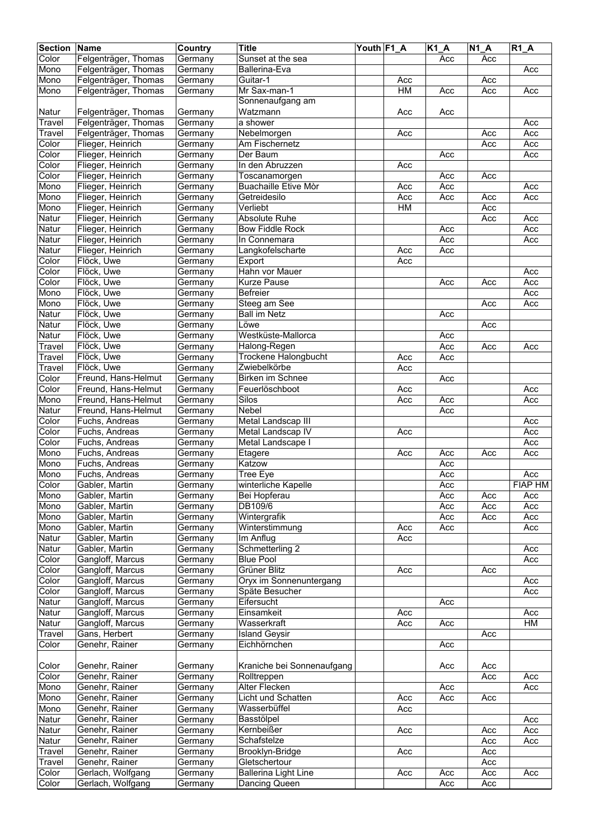| <b>Section Name</b> |                                  | Country            | <b>Title</b>                | Youth F1_A |           | $K1_A$ | $\overline{N}$ 1_A | $R1_A$     |
|---------------------|----------------------------------|--------------------|-----------------------------|------------|-----------|--------|--------------------|------------|
| Color               | Felgenträger, Thomas             | Germany            | Sunset at the sea           |            |           | Acc    | Acc                |            |
| Mono                | Felgenträger, Thomas             | Germany            | Ballerina-Eva               |            |           |        |                    | Acc        |
| Mono                | Felgenträger, Thomas             | Germany            | Guitar-1                    |            | Acc       |        | Acc                |            |
| Mono                | Felgenträger, Thomas             | Germany            | Mr Sax-man-1                |            | HM        | Acc    | Acc                | Acc        |
|                     |                                  |                    | Sonnenaufgang am            |            |           |        |                    |            |
| Natur               | Felgenträger, Thomas             | Germany            | Watzmann                    |            | Acc       | Acc    |                    |            |
| Travel              | Felgenträger, Thomas             | Germany            | a shower                    |            |           |        |                    | Acc        |
| Travel              | Felgenträger, Thomas             | Germany            | Nebelmorgen                 |            | Acc       |        | Acc                | Acc        |
| Color               | Flieger, Heinrich                | Germany            | Am Fischernetz              |            |           |        | Acc                | Acc        |
| Color               | Flieger, Heinrich                | Germany            | Der Baum                    |            |           | Acc    |                    | Acc        |
| Color               | Flieger, Heinrich                | Germany            | In den Abruzzen             |            | Acc       |        |                    |            |
| Color               | Flieger, Heinrich                | Germany            | Toscanamorgen               |            |           | Acc    | Acc                |            |
| Mono                | Flieger, Heinrich                | Germany            | <b>Buachaille Etive Mòr</b> |            | Acc       | Acc    |                    | Acc        |
| Mono                | Flieger, Heinrich                | Germany            | Getreidesilo                |            | Acc       | Acc    | Acc                | Acc        |
| Mono                | Flieger, Heinrich                | Germany            | Verliebt                    |            | <b>HM</b> |        | Acc                |            |
| Natur               | Flieger, Heinrich                | Germany            | <b>Absolute Ruhe</b>        |            |           |        | Acc                | Acc        |
| Natur               | Flieger, Heinrich                | Germany            | <b>Bow Fiddle Rock</b>      |            |           | Acc    |                    | Acc        |
| Natur               | Flieger, Heinrich                | Germany            | In Connemara                |            |           | Acc    |                    | Acc        |
| Natur               | Flieger, Heinrich                | Germany            | Langkofelscharte            |            | Acc       | Acc    |                    |            |
| Color               | Flöck, Uwe                       | Germany            | Export                      |            | Acc       |        |                    |            |
| Color               | Flöck, Uwe                       | Germany            | Hahn vor Mauer              |            |           |        |                    | Acc        |
| Color               | Flöck, Uwe                       | Germany            | <b>Kurze Pause</b>          |            |           | Acc    | Acc                | Acc        |
| Mono<br>Mono        | Flöck, Uwe<br>Flöck, Uwe         | Germany            | Befreier<br>Steeg am See    |            |           |        | Acc                | Acc<br>Acc |
|                     | Flöck, Uwe                       | Germany            | <b>Ball im Netz</b>         |            |           |        |                    |            |
| Natur<br>Natur      | Flöck, Uwe                       | Germany            | Löwe                        |            |           | Acc    | Acc                |            |
| Natur               | Flöck, Uwe                       | Germany            | Westküste-Mallorca          |            |           | Acc    |                    |            |
| Travel              | Flöck, Uwe                       | Germany<br>Germany | Halong-Regen                |            |           | Acc    | Acc                | Acc        |
| Travel              | Flöck, Uwe                       | Germany            | Trockene Halongbucht        |            | Acc       | Acc    |                    |            |
| Travel              | Flöck, Uwe                       | Germany            | Zwiebelkörbe                |            | Acc       |        |                    |            |
| Color               | Freund, Hans-Helmut              | Germany            | Birken im Schnee            |            |           | Acc    |                    |            |
| Color               | Freund, Hans-Helmut              | Germany            | Feuerlöschboot              |            | Acc       |        |                    | Acc        |
| Mono                | Freund, Hans-Helmut              | Germany            | Silos                       |            | Acc       | Acc    |                    | Acc        |
| Natur               | Freund, Hans-Helmut              | Germany            | <b>Nebel</b>                |            |           | Acc    |                    |            |
| Color               | Fuchs, Andreas                   | Germany            | Metal Landscap III          |            |           |        |                    | Acc        |
| Color               | Fuchs, Andreas                   | Germany            | Metal Landscap IV           |            | Acc       |        |                    | Acc        |
| Color               | Fuchs, Andreas                   | Germany            | Metal Landscape I           |            |           |        |                    | Acc        |
| Mono                | Fuchs, Andreas                   | Germany            | Etagere                     |            | Acc       | Acc    | Acc                | Acc        |
| Mono                | Fuchs, Andreas                   | Germany            | Katzow                      |            |           | Acc    |                    |            |
| Mono                | Fuchs, Andreas                   | Germany            | Tree Eye                    |            |           | Acc    |                    | Acc        |
| Color               | Gabler, Martin                   | Germany            | winterliche Kapelle         |            |           | Acc    |                    | FIAP HM    |
| Mono                | Gabler, Martin                   | Germany            | Bei Hopferau                |            |           | Acc    | Acc                | Acc        |
| Mono                | Gabler, Martin                   | Germany            | DB109/6                     |            |           | Acc    | Acc                | Acc        |
| Mono                | Gabler, Martin                   | Germany            | Wintergrafik                |            |           | Acc    | Acc                | Acc        |
| Mono                | Gabler, Martin                   | Germany            | Winterstimmung              |            | Acc       | Acc    |                    | Acc        |
| Natur               | Gabler, Martin                   | Germany            | Im Anflug                   |            | Acc       |        |                    |            |
| Natur               | Gabler, Martin                   | Germany            | Schmetterling 2             |            |           |        |                    | Acc        |
| Color               | Gangloff, Marcus                 | Germany            | <b>Blue Pool</b>            |            |           |        |                    | Acc        |
| Color               | Gangloff, Marcus                 | Germany            | Grüner Blitz                |            | Acc       |        | Acc                |            |
| Color               | Gangloff, Marcus                 | Germany            | Oryx im Sonnenuntergang     |            |           |        |                    | Acc        |
| Color               | Gangloff, Marcus                 | Germany            | Späte Besucher              |            |           |        |                    | Acc        |
| Natur               | Gangloff, Marcus                 | Germany            | Eifersucht                  |            |           | Acc    |                    |            |
| Natur               | Gangloff, Marcus                 | Germany            | Einsamkeit                  |            | Acc       |        |                    | Acc        |
| Natur               | Gangloff, Marcus                 | Germany            | Wasserkraft                 |            | Acc       | Acc    |                    | HM         |
| Travel              | Gans, Herbert                    | Germany            | <b>Island Geysir</b>        |            |           |        | Acc                |            |
| Color               | Genehr, Rainer                   | Germany            | Eichhörnchen                |            |           | Acc    |                    |            |
|                     |                                  |                    |                             |            |           |        |                    |            |
| Color               | Genehr, Rainer                   | Germany            | Kraniche bei Sonnenaufgang  |            |           | Acc    | Acc                |            |
| Color               | Genehr, Rainer                   | Germany            | Rolltreppen                 |            |           |        | Acc                | Acc        |
| Mono                | Genehr, Rainer                   | Germany            | Alter Flecken               |            |           | Acc    |                    | Acc        |
| Mono                | Genehr, Rainer                   | Germany            | Licht und Schatten          |            | Acc       | Acc    | Acc                |            |
| Mono                | Genehr, Rainer                   | Germany            | Wasserbüffel                |            | Acc       |        |                    |            |
| Natur               | Genehr, Rainer<br>Genehr, Rainer | Germany            | Basstölpel<br>Kernbeißer    |            |           |        |                    | Acc        |
| Natur               | Genehr, Rainer                   | Germany            | Schafstelze                 |            | Acc       |        | Acc<br>Acc         | Acc        |
| Natur<br>Travel     | Genehr, Rainer                   | Germany<br>Germany | Brooklyn-Bridge             |            | Acc       |        | Acc                | Acc        |
| Travel              | Genehr, Rainer                   | Germany            | Gletschertour               |            |           |        | Acc                |            |
| Color               | Gerlach, Wolfgang                | Germany            | <b>Ballerina Light Line</b> |            | Acc       | Acc    | Acc                | Acc        |
| Color               | Gerlach, Wolfgang                | Germany            | Dancing Queen               |            |           | Acc    | Acc                |            |
|                     |                                  |                    |                             |            |           |        |                    |            |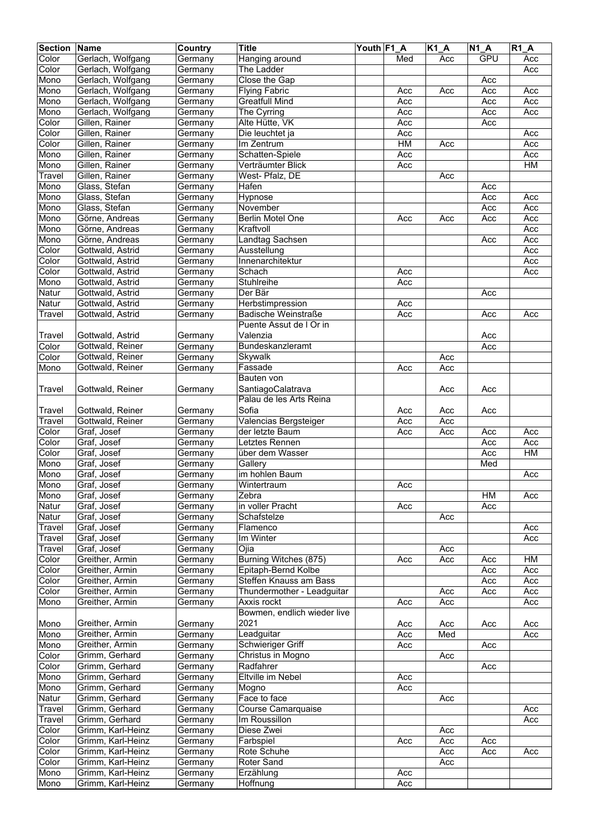| <b>Section</b> | <b>Name</b>       | Country | <b>Title</b>                | Youth F1 A |           | $\overline{K1}A$ | $\overline{N1}A$ | R1A       |
|----------------|-------------------|---------|-----------------------------|------------|-----------|------------------|------------------|-----------|
| Color          | Gerlach, Wolfgang | Germany | Hanging around              |            | Med       | Acc              | GPU              | Acc       |
| Color          | Gerlach, Wolfgang | Germany | The Ladder                  |            |           |                  |                  | Acc       |
| Mono           | Gerlach, Wolfgang | Germany | Close the Gap               |            |           |                  | Acc              |           |
| Mono           | Gerlach, Wolfgang | Germany | <b>Flying Fabric</b>        |            | Acc       | Acc              | Acc              | Acc       |
| Mono           | Gerlach, Wolfgang | Germany | <b>Greatfull Mind</b>       |            | Acc       |                  | Acc              | Acc       |
| Mono           | Gerlach, Wolfgang | Germany | The Cyrring                 |            | Acc       |                  | Acc              | Acc       |
| Color          | Gillen, Rainer    | Germany | Alte Hütte, VK              |            | Acc       |                  | Acc              |           |
| Color          | Gillen, Rainer    | Germany | Die leuchtet ja             |            | Acc       |                  |                  | Acc       |
| Color          | Gillen, Rainer    | Germany | Im Zentrum                  |            | <b>HM</b> | Acc              |                  | Acc       |
| Mono           | Gillen, Rainer    | Germany | Schatten-Spiele             |            | Acc       |                  |                  | Acc       |
| Mono           | Gillen, Rainer    | Germany | Verträumter Blick           |            | Acc       |                  |                  | <b>HM</b> |
| Travel         | Gillen, Rainer    | Germany | West- Pfalz, DE             |            |           | Acc              |                  |           |
| Mono           | Glass, Stefan     | Germany | Hafen                       |            |           |                  | Acc              |           |
| Mono           | Glass, Stefan     | Germany | Hypnose                     |            |           |                  | Acc              | Acc       |
| Mono           | Glass, Stefan     | Germany | November                    |            |           |                  | Acc              | Acc       |
| Mono           | Görne, Andreas    | Germany | Berlin Motel One            |            | Acc       | Acc              | Acc              | Acc       |
| Mono           | Görne, Andreas    | Germany | Kraftvoll                   |            |           |                  |                  | Acc       |
| Mono           | Görne, Andreas    | Germany | <b>Landtag Sachsen</b>      |            |           |                  | Acc              | Acc       |
| Color          | Gottwald, Astrid  | Germany | Ausstellung                 |            |           |                  |                  | Acc       |
| Color          | Gottwald, Astrid  | Germany | Innenarchitektur            |            |           |                  |                  | Acc       |
| Color          | Gottwald, Astrid  | Germany | Schach                      |            | Acc       |                  |                  | Acc       |
| Mono           | Gottwald, Astrid  | Germany | Stuhlreihe                  |            | Acc       |                  |                  |           |
| Natur          | Gottwald, Astrid  | Germany | Der Bär                     |            |           |                  | Acc              |           |
| Natur          | Gottwald, Astrid  | Germany | Herbstimpression            |            | Acc       |                  |                  |           |
| Travel         | Gottwald, Astrid  | Germany | <b>Badische Weinstraße</b>  |            | Acc       |                  | Acc              | Acc       |
|                |                   |         | Puente Assut de I Or in     |            |           |                  |                  |           |
| Travel         | Gottwald, Astrid  | Germany | Valenzia                    |            |           |                  | Acc              |           |
| Color          | Gottwald, Reiner  | Germany | Bundeskanzleramt            |            |           |                  | Acc              |           |
| Color          | Gottwald, Reiner  | Germany | Skywalk                     |            |           | Acc              |                  |           |
| Mono           | Gottwald, Reiner  | Germany | Fassade                     |            | Acc       | Acc              |                  |           |
|                |                   |         | Bauten von                  |            |           |                  |                  |           |
| <b>Travel</b>  | Gottwald, Reiner  | Germany | SantiagoCalatrava           |            |           | Acc              | Acc              |           |
|                |                   |         | Palau de les Arts Reina     |            |           |                  |                  |           |
| Travel         | Gottwald, Reiner  | Germany | Sofia                       |            | Acc       | Acc              | Acc              |           |
| Travel         | Gottwald, Reiner  | Germany | Valencias Bergsteiger       |            | Acc       | Acc              |                  |           |
| Color          | Graf, Josef       | Germany | der letzte Baum             |            | Acc       | Acc              | Acc              | Acc       |
| Color          | Graf, Josef       | Germany | Letztes Rennen              |            |           |                  | Acc              | Acc       |
| Color          | Graf, Josef       | Germany | über dem Wasser             |            |           |                  | Acc              | HM        |
| Mono           | Graf, Josef       | Germany | Gallery                     |            |           |                  | Med              |           |
| Mono           | Graf, Josef       | Germany | im hohlen Baum              |            |           |                  |                  | Acc       |
| Mono           | Graf, Josef       | Germany | Wintertraum                 |            | Acc       |                  |                  |           |
| Mono           | Graf, Josef       | Germany | Zebra                       |            |           |                  | HM               | Acc       |
| Natur          | Graf, Josef       | Germany | in voller Pracht            |            | Acc       |                  | Acc              |           |
| Natur          | Graf, Josef       | Germany | Schafstelze                 |            |           | Acc              |                  |           |
| Travel         | Graf, Josef       | Germany | Flamenco                    |            |           |                  |                  | Acc       |
| Travel         | Graf, Josef       | Germany | Im Winter                   |            |           |                  |                  | Acc       |
| Travel         | Graf, Josef       | Germany | Ojia                        |            |           | Acc              |                  |           |
| Color          | Greither, Armin   | Germany | Burning Witches (875)       |            | Acc       | Acc              | Acc              | H M       |
| Color          | Greither, Armin   | Germany | Epitaph-Bernd Kolbe         |            |           |                  | Acc              | Acc       |
| Color          | Greither, Armin   | Germany | Steffen Knauss am Bass      |            |           |                  | Acc              | Acc       |
| Color          | Greither, Armin   | Germany | Thundermother - Leadguitar  |            |           | Acc              | Acc              | Acc       |
| Mono           | Greither, Armin   | Germany | Axxis rockt                 |            | Acc       | Acc              |                  | Acc       |
|                |                   |         | Bowmen, endlich wieder live |            |           |                  |                  |           |
| Mono           | Greither, Armin   | Germany | 2021                        |            | Acc       | Acc              | Acc              | Acc       |
| Mono           | Greither, Armin   | Germany | Leadguitar                  |            | Acc       | Med              |                  | Acc       |
| Mono           | Greither, Armin   | Germany | <b>Schwieriger Griff</b>    |            | Acc       |                  | Acc              |           |
| Color          | Grimm, Gerhard    | Germany | Christus in Mogno           |            |           | Acc              |                  |           |
| Color          | Grimm, Gerhard    | Germany | Radfahrer                   |            |           |                  | Acc              |           |
| Mono           | Grimm, Gerhard    | Germany | Eltville im Nebel           |            | Acc       |                  |                  |           |
| Mono           | Grimm, Gerhard    | Germany | Mogno                       |            | Acc       |                  |                  |           |
| Natur          | Grimm, Gerhard    | Germany | Face to face                |            |           | Acc              |                  |           |
| Travel         | Grimm, Gerhard    | Germany | Course Camarquaise          |            |           |                  |                  | Acc       |
| Travel         | Grimm, Gerhard    | Germany | Im Roussillon               |            |           |                  |                  | Acc       |
| Color          | Grimm, Karl-Heinz | Germany | Diese Zwei                  |            |           | Acc              |                  |           |
|                | Grimm, Karl-Heinz |         |                             |            |           | Acc              | Acc              |           |
| Color          | Grimm, Karl-Heinz | Germany | Farbspiel<br>Rote Schuhe    |            | Acc       | Acc              | Acc              | Acc       |
| Color<br>Color | Grimm, Karl-Heinz | Germany | <b>Roter Sand</b>           |            |           | Acc              |                  |           |
|                | Grimm, Karl-Heinz | Germany |                             |            | Acc       |                  |                  |           |
| Mono           |                   | Germany | Erzählung                   |            |           |                  |                  |           |
| Mono           | Grimm, Karl-Heinz | Germany | Hoffnung                    |            | Acc       |                  |                  |           |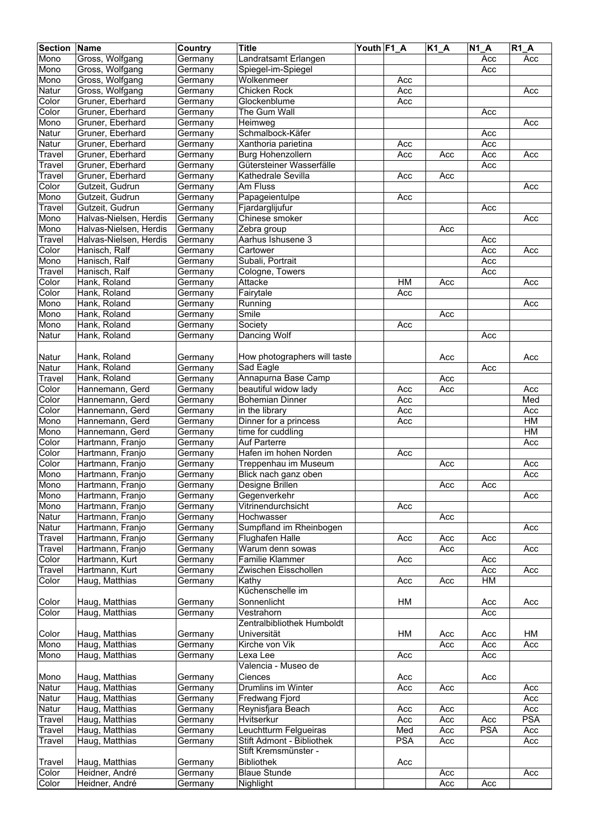| <b>Section</b> | Name                   | Country | <b>Title</b>                 | Youth F1_A |            | $K1_A$ | <b>N1 A</b> | <b>R1 A</b> |
|----------------|------------------------|---------|------------------------------|------------|------------|--------|-------------|-------------|
| Mono           | Gross, Wolfgang        | Germany | Landratsamt Erlangen         |            |            |        | Acc         | Acc         |
| Mono           | Gross, Wolfgang        | Germany | Spiegel-im-Spiegel           |            |            |        | Acc         |             |
| Mono           | Gross, Wolfgang        | Germany | Wolkenmeer                   |            | Acc        |        |             |             |
| Natur          | Gross, Wolfgang        | Germany | Chicken Rock                 |            | Acc        |        |             | Acc         |
| Color          | Gruner, Eberhard       |         | Glockenblume                 |            | Acc        |        |             |             |
|                |                        | Germany | The Gum Wall                 |            |            |        |             |             |
| Color          | Gruner, Eberhard       | Germany |                              |            |            |        | Acc         |             |
| Mono           | Gruner, Eberhard       | Germany | Heimweg                      |            |            |        |             | Acc         |
| Natur          | Gruner, Eberhard       | Germany | Schmalbock-Käfer             |            |            |        | Acc         |             |
| Natur          | Gruner, Eberhard       | Germany | Xanthoria parietina          |            | Acc        |        | Acc         |             |
| Travel         | Gruner, Eberhard       | Germany | <b>Burg Hohenzollern</b>     |            | Acc        | Acc    | Acc         | Acc         |
| Travel         | Gruner, Eberhard       | Germany | Gütersteiner Wasserfälle     |            |            |        | Acc         |             |
| Travel         | Gruner, Eberhard       | Germany | Kathedrale Sevilla           |            | Acc        | Acc    |             |             |
| Color          | Gutzeit, Gudrun        | Germany | Am Fluss                     |            |            |        |             | Acc         |
| Mono           | Gutzeit, Gudrun        | Germany | Papageientulpe               |            | Acc        |        |             |             |
| Travel         | Gutzeit, Gudrun        | Germany | Fjardarglijufur              |            |            |        | Acc         |             |
| Mono           | Halvas-Nielsen, Herdis | Germany | Chinese smoker               |            |            |        |             | Acc         |
| Mono           | Halvas-Nielsen, Herdis | Germany | Zebra group                  |            |            | Acc    |             |             |
| Travel         | Halvas-Nielsen, Herdis | Germany | Aarhus Ishusene 3            |            |            |        | Acc         |             |
| Color          | Hanisch, Ralf          | Germany | Cartower                     |            |            |        | Acc         | Acc         |
| Mono           | Hanisch, Ralf          | Germany | Subali, Portrait             |            |            |        | Acc         |             |
| Travel         | Hanisch, Ralf          | Germany | Cologne, Towers              |            |            |        | Acc         |             |
| Color          | Hank, Roland           |         | Attacke                      |            | HM         |        |             | Acc         |
|                |                        | Germany |                              |            |            | Acc    |             |             |
| Color          | Hank, Roland           | Germany | Fairytale                    |            | Acc        |        |             |             |
| Mono           | Hank, Roland           | Germany | Running                      |            |            |        |             | Acc         |
| Mono           | Hank, Roland           | Germany | Smile                        |            |            | Acc    |             |             |
| Mono           | Hank, Roland           | Germany | Society                      |            | Acc        |        |             |             |
| Natur          | Hank, Roland           | Germany | Dancing Wolf                 |            |            |        | Acc         |             |
|                |                        |         |                              |            |            |        |             |             |
| Natur          | Hank, Roland           | Germany | How photographers will taste |            |            | Acc    |             | Acc         |
| Natur          | Hank, Roland           | Germany | Sad Eagle                    |            |            |        | Acc         |             |
| Travel         | Hank, Roland           | Germany | Annapurna Base Camp          |            |            | Acc    |             |             |
| Color          | Hannemann, Gerd        | Germany | beautiful widow lady         |            | Acc        | Acc    |             | Acc         |
| Color          | Hannemann, Gerd        | Germany | <b>Bohemian Dinner</b>       |            | Acc        |        |             | Med         |
| Color          | Hannemann, Gerd        | Germany | in the library               |            | Acc        |        |             | Acc         |
| Mono           | Hannemann, Gerd        | Germany | Dinner for a princess        |            | Acc        |        |             | HM          |
| Mono           | Hannemann, Gerd        | Germany | time for cuddling            |            |            |        |             | H M         |
| Color          | Hartmann, Franjo       | Germany | Auf Parterre                 |            |            |        |             | Acc         |
| Color          | Hartmann, Franjo       | Germany | Hafen im hohen Norden        |            | Acc        |        |             |             |
| Color          |                        | Germany |                              |            |            |        |             |             |
|                | Hartmann, Franjo       |         | Treppenhau im Museum         |            |            | Acc    |             | Acc         |
| Mono           | Hartmann, Franjo       | Germany | Blick nach ganz oben         |            |            |        |             | Acc         |
| Mono           | Hartmann, Franjo       | Germany | Designe Brillen              |            |            | Acc    | Acc         |             |
| Mono           | Hartmann, Franjo       | Germany | Gegenverkehr                 |            |            |        |             | Acc         |
| Mono           | Hartmann, Franjo       | Germany | Vitrinendurchsicht           |            | Acc        |        |             |             |
| Natur          | Hartmann, Franjo       | Germany | Hochwasser                   |            |            | Acc    |             |             |
| Natur          | Hartmann, Franjo       | Germany | Sumpfland im Rheinbogen      |            |            |        |             | Acc         |
| Travel         | Hartmann, Franjo       | Germany | Flughafen Halle              |            | Acc        | Acc    | Acc         |             |
| Travel         | Hartmann, Franjo       | Germany | Warum denn sowas             |            |            | Acc    |             | Acc         |
| Color          | Hartmann, Kurt         | Germany | <b>Familie Klammer</b>       |            | Acc        |        | Acc         |             |
| Travel         | Hartmann, Kurt         | Germany | Zwischen Eisschollen         |            |            |        | Acc         | Acc         |
| Color          | Haug, Matthias         | Germany | Kathy                        |            | Acc        | Acc    | HM          |             |
|                |                        |         | Küchenschelle im             |            |            |        |             |             |
| Color          | Haug, Matthias         | Germany | Sonnenlicht                  |            | HM         |        | Acc         | Acc         |
| Color          | Haug, Matthias         | Germany | Vestrahorn                   |            |            |        | Acc         |             |
|                |                        |         | Zentralbibliothek Humboldt   |            |            |        |             |             |
| Color          | Haug, Matthias         | Germany | Universität                  |            | HM         | Acc    | Acc         | HM          |
| Mono           | Haug, Matthias         | Germany | Kirche von Vik               |            |            | Acc    | Acc         | Acc         |
| Mono           | Haug, Matthias         | Germany | Lexa Lee                     |            | Acc        |        | Acc         |             |
|                |                        |         | Valencia - Museo de          |            |            |        |             |             |
| Mono           | Haug, Matthias         | Germany | Ciences                      |            | Acc        |        | Acc         |             |
| Natur          | Haug, Matthias         | Germany | Drumlins im Winter           |            | Acc        | Acc    |             | Acc         |
| Natur          | Haug, Matthias         |         | Fredwang Fjord               |            |            |        |             |             |
|                |                        | Germany |                              |            |            |        |             | Acc         |
| Natur          | Haug, Matthias         | Germany | Reynisfjara Beach            |            | Acc        | Acc    |             | Acc         |
| Travel         | Haug, Matthias         | Germany | Hvitserkur                   |            | Acc        | Acc    | Acc         | <b>PSA</b>  |
| Travel         | Haug, Matthias         | Germany | Leuchtturm Felgueiras        |            | Med        | Acc    | <b>PSA</b>  | Acc         |
| Travel         | Haug, Matthias         | Germany | Stift Admont - Bibliothek    |            | <b>PSA</b> | Acc    |             | Acc         |
|                |                        |         | Stift Kremsmünster -         |            |            |        |             |             |
| Travel         | Haug, Matthias         | Germany | Bibliothek                   |            | Acc        |        |             |             |
| Color          | Heidner, André         | Germany | <b>Blaue Stunde</b>          |            |            | Acc    |             | Acc         |
| Color          | Heidner, André         | Germany | Nighlight                    |            |            | Acc    | Acc         |             |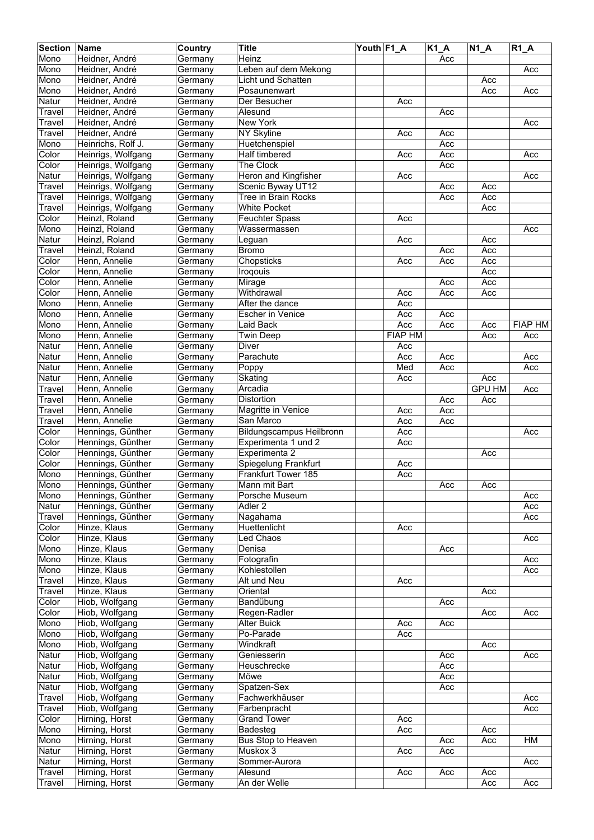| <b>Section Name</b> |                    | Country | <b>Title</b>                    | Youth F1 A |                | $K1_A$ | $N1_A$        | $R1_A$         |
|---------------------|--------------------|---------|---------------------------------|------------|----------------|--------|---------------|----------------|
| Mono                | Heidner, André     | Germany | Heinz                           |            |                | Acc    |               |                |
| Mono                | Heidner, André     | Germany | Leben auf dem Mekong            |            |                |        |               | Acc            |
| Mono                | Heidner, André     | Germany | Licht und Schatten              |            |                |        | Acc           |                |
| Mono                | Heidner, André     | Germany | Posaunenwart                    |            |                |        | Acc           | Acc            |
| Natur               | Heidner, André     |         | Der Besucher                    |            |                |        |               |                |
|                     |                    | Germany |                                 |            | Acc            |        |               |                |
| Travel              | Heidner, André     | Germany | Alesund                         |            |                | Acc    |               |                |
| Travel              | Heidner, André     | Germany | <b>New York</b>                 |            |                |        |               | Acc            |
| Travel              | Heidner, André     | Germany | NY Skyline                      |            | Acc            | Acc    |               |                |
| Mono                | Heinrichs, Rolf J. | Germany | Huetchenspiel                   |            |                | Acc    |               |                |
| Color               | Heinrigs, Wolfgang | Germany | Half timbered                   |            | Acc            | Acc    |               | Acc            |
| Color               | Heinrigs, Wolfgang | Germany | The Clock                       |            |                | Acc    |               |                |
| Natur               | Heinrigs, Wolfgang | Germany | <b>Heron and Kingfisher</b>     |            | Acc            |        |               | Acc            |
| Travel              | Heinrigs, Wolfgang | Germany | Scenic Byway UT12               |            |                | Acc    | Acc           |                |
| Travel              | Heinrigs, Wolfgang | Germany | Tree in Brain Rocks             |            |                | Acc    | Acc           |                |
| Travel              | Heinrigs, Wolfgang | Germany | <b>White Pocket</b>             |            |                |        | Acc           |                |
| Color               | Heinzl, Roland     | Germany | <b>Feuchter Spass</b>           |            | Acc            |        |               |                |
| Mono                | Heinzl, Roland     | Germany | Wassermassen                    |            |                |        |               | Acc            |
| Natur               | Heinzl, Roland     | Germany | Leguan                          |            | Acc            |        | Acc           |                |
| Travel              | Heinzl, Roland     | Germany | <b>Bromo</b>                    |            |                | Acc    | Acc           |                |
| Color               | Henn, Annelie      |         |                                 |            | Acc            | Acc    | Acc           |                |
|                     |                    | Germany | Chopsticks                      |            |                |        |               |                |
| Color               | Henn, Annelie      | Germany | Iroqouis                        |            |                |        | Acc           |                |
| Color               | Henn, Annelie      | Germany | Mirage                          |            |                | Acc    | Acc           |                |
| Color               | Henn, Annelie      | Germany | Withdrawal                      |            | Acc            | Acc    | Acc           |                |
| Mono                | Henn, Annelie      | Germany | After the dance                 |            | Acc            |        |               |                |
| Mono                | Henn, Annelie      | Germany | <b>Escher in Venice</b>         |            | Acc            | Acc    |               |                |
| Mono                | Henn, Annelie      | Germany | Laid Back                       |            | Acc            | Acc    | Acc           | <b>FIAP HM</b> |
| Mono                | Henn, Annelie      | Germany | <b>Twin Deep</b>                |            | <b>FIAP HM</b> |        | Acc           | Acc            |
| Natur               | Henn, Annelie      | Germany | Diver                           |            | Acc            |        |               |                |
| Natur               | Henn, Annelie      | Germany | Parachute                       |            | Acc            | Acc    |               | Acc            |
| Natur               | Henn, Annelie      | Germany | Poppy                           |            | Med            | Acc    |               | Acc            |
| Natur               | Henn, Annelie      | Germany | Skating                         |            | Acc            |        | Acc           |                |
| Travel              | Henn, Annelie      | Germany | Arcadia                         |            |                |        | <b>GPU HM</b> | Acc            |
|                     | Henn, Annelie      |         | Distortion                      |            |                |        |               |                |
| Travel              |                    | Germany |                                 |            |                | Acc    | Acc           |                |
| Travel              | Henn, Annelie      | Germany | Magritte in Venice              |            | Acc            | Acc    |               |                |
| Travel              | Henn, Annelie      | Germany | San Marco                       |            | Acc            | Acc    |               |                |
| Color               | Hennings, Günther  | Germany | <b>Bildungscampus Heilbronn</b> |            | Acc            |        |               | Acc            |
| Color               | Hennings, Günther  | Germany | Experimenta 1 und 2             |            | Acc            |        |               |                |
| Color               | Hennings, Günther  | Germany | Experimenta 2                   |            |                |        | Acc           |                |
| Color               | Hennings, Günther  | Germany | Spiegelung Frankfurt            |            | Acc            |        |               |                |
| Mono                | Hennings, Günther  | Germany | Frankfurt Tower 185             |            | Acc            |        |               |                |
| Mono                | Hennings, Günther  | Germany | Mann mit Bart                   |            |                | Acc    | Acc           |                |
| Mono                | Hennings, Günther  | Germany | Porsche Museum                  |            |                |        |               | Acc            |
| Natur               | Hennings, Günther  | Germany | Adler <sub>2</sub>              |            |                |        |               | Acc            |
| Travel              | Hennings, Günther  | Germany | Nagahama                        |            |                |        |               | Acc            |
| Color               | Hinze, Klaus       | Germany | Huettenlicht                    |            | Acc            |        |               |                |
| Color               | Hinze, Klaus       | Germany | Led Chaos                       |            |                |        |               | Acc            |
| Mono                | Hinze, Klaus       | Germany | Denisa                          |            |                | Acc    |               |                |
|                     |                    |         |                                 |            |                |        |               |                |
| Mono                | Hinze, Klaus       | Germany | Fotografin                      |            |                |        |               | Acc            |
| Mono                | Hinze, Klaus       | Germany | Kohlestollen                    |            |                |        |               | Acc            |
| Travel              | Hinze, Klaus       | Germany | Alt und Neu                     |            | Acc            |        |               |                |
| Travel              | Hinze, Klaus       | Germany | Oriental                        |            |                |        | Acc           |                |
| Color               | Hiob, Wolfgang     | Germany | Bandübung                       |            |                | Acc    |               |                |
| Color               | Hiob, Wolfgang     | Germany | Regen-Radler                    |            |                |        | Acc           | Acc            |
| Mono                | Hiob, Wolfgang     | Germany | <b>Alter Buick</b>              |            | Acc            | Acc    |               |                |
| Mono                | Hiob, Wolfgang     | Germany | Po-Parade                       |            | Acc            |        |               |                |
| Mono                | Hiob, Wolfgang     | Germany | Windkraft                       |            |                |        | Acc           |                |
| Natur               | Hiob, Wolfgang     | Germany | Geniesserin                     |            |                | Acc    |               | Acc            |
| Natur               | Hiob, Wolfgang     | Germany | Heuschrecke                     |            |                | Acc    |               |                |
| Natur               | Hiob, Wolfgang     | Germany | Möwe                            |            |                | Acc    |               |                |
| Natur               | Hiob, Wolfgang     | Germany | Spatzen-Sex                     |            |                | Acc    |               |                |
| Travel              | Hiob, Wolfgang     | Germany | Fachwerkhäuser                  |            |                |        |               | Acc            |
|                     |                    |         |                                 |            |                |        |               |                |
| Travel              | Hiob, Wolfgang     | Germany | Farbenpracht                    |            |                |        |               | Acc            |
| Color               | Hirning, Horst     | Germany | <b>Grand Tower</b>              |            | Acc            |        |               |                |
| Mono                | Hirning, Horst     | Germany | Badesteg                        |            | Acc            |        | Acc           |                |
| Mono                | Hirning, Horst     | Germany | Bus Stop to Heaven              |            |                | Acc    | Acc           | HM             |
| Natur               | Hirning, Horst     | Germany | Muskox 3                        |            | Acc            | Acc    |               |                |
| Natur               | Hirning, Horst     | Germany | Sommer-Aurora                   |            |                |        |               | Acc            |
| Travel              | Hirning, Horst     | Germany | Alesund                         |            | Acc            | Acc    | Acc           |                |
| Travel              | Hirning, Horst     | Germany | An der Welle                    |            |                |        | Acc           | Acc            |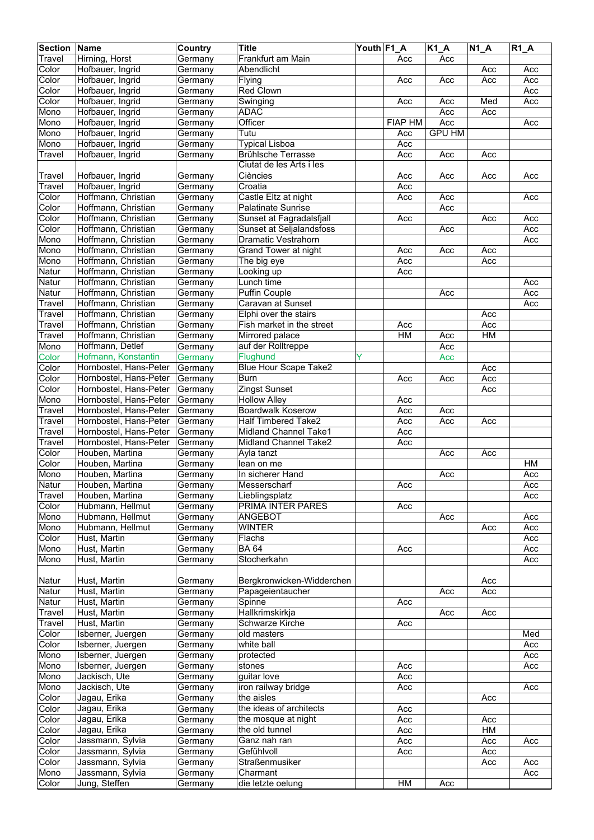| <b>Section Name</b> |                        | Country | <b>Title</b>                 | Youth F1 A |                | $K1_A$        | $N1_A$ | $R1_A$ |
|---------------------|------------------------|---------|------------------------------|------------|----------------|---------------|--------|--------|
| Travel              | Hirning, Horst         | Germany | Frankfurt am Main            |            | Acc            | Acc           |        |        |
| Color               | Hofbauer, Ingrid       | Germany | Abendlicht                   |            |                |               | Acc    | Acc    |
| Color               | Hofbauer, Ingrid       | Germany | Flying                       |            | Acc            | Acc           | Acc    | Acc    |
| Color               | Hofbauer, Ingrid       |         | Red Clown                    |            |                |               |        | Acc    |
|                     |                        | Germany |                              |            |                |               |        |        |
| Color               | Hofbauer, Ingrid       | Germany | Swinging                     |            | Acc            | Acc           | Med    | Acc    |
| Mono                | Hofbauer, Ingrid       | Germany | <b>ADAC</b>                  |            |                | Acc           | Acc    |        |
| Mono                | Hofbauer, Ingrid       | Germany | Officer                      |            | <b>FIAP HM</b> | Acc           |        | Acc    |
| Mono                | Hofbauer, Ingrid       | Germany | Tutu                         |            | Acc            | <b>GPU HM</b> |        |        |
| Mono                | Hofbauer, Ingrid       | Germany | <b>Typical Lisboa</b>        |            | Acc            |               |        |        |
| Travel              | Hofbauer, Ingrid       | Germany | <b>Brühlsche Terrasse</b>    |            | Acc            | Acc           | Acc    |        |
|                     |                        |         | Ciutat de les Arts i les     |            |                |               |        |        |
| Travel              | Hofbauer, Ingrid       | Germany | Ciències                     |            | Acc            | Acc           | Acc    | Acc    |
| Travel              | Hofbauer, Ingrid       | Germany | Croatia                      |            | Acc            |               |        |        |
| Color               | Hoffmann, Christian    | Germany | Castle Eltz at night         |            | Acc            | Acc           |        | Acc    |
| Color               | Hoffmann, Christian    | Germany | <b>Palatinate Sunrise</b>    |            |                | Acc           |        |        |
| Color               | Hoffmann, Christian    | Germany | Sunset at Fagradalsfjall     |            | Acc            |               | Acc    | Acc    |
|                     |                        |         |                              |            |                |               |        |        |
| Color               | Hoffmann, Christian    | Germany | Sunset at Seljalandsfoss     |            |                | Acc           |        | Acc    |
| Mono                | Hoffmann, Christian    | Germany | <b>Dramatic Vestrahorn</b>   |            |                |               |        | Acc    |
| Mono                | Hoffmann, Christian    | Germany | Grand Tower at night         |            | Acc            | Acc           | Acc    |        |
| Mono                | Hoffmann, Christian    | Germany | The big eye                  |            | Acc            |               | Acc    |        |
| Natur               | Hoffmann, Christian    | Germany | Looking up                   |            | Acc            |               |        |        |
| Natur               | Hoffmann, Christian    | Germany | Lunch time                   |            |                |               |        | Acc    |
| Natur               | Hoffmann, Christian    | Germany | Puffin Couple                |            |                | Acc           |        | Acc    |
| Travel              | Hoffmann, Christian    | Germany | Caravan at Sunset            |            |                |               |        | Acc    |
| Travel              | Hoffmann, Christian    | Germany | Elphi over the stairs        |            |                |               | Acc    |        |
| Travel              | Hoffmann, Christian    | Germany | Fish market in the street    |            | Acc            |               | Acc    |        |
| Travel              | Hoffmann, Christian    |         | Mirrored palace              |            | HM             | Acc           | H M    |        |
|                     |                        | Germany |                              |            |                |               |        |        |
| Mono                | Hoffmann, Detlef       | Germany | auf der Rolltreppe           |            |                | Acc           |        |        |
| Color               | Hofmann, Konstantin    | Germany | Flughund                     |            |                | Acc           |        |        |
| Color               | Hornbostel, Hans-Peter | Germany | <b>Blue Hour Scape Take2</b> |            |                |               | Acc    |        |
| Color               | Hornbostel, Hans-Peter | Germany | <b>Burn</b>                  |            | Acc            | Acc           | Acc    |        |
| Color               | Hornbostel, Hans-Peter | Germany | <b>Zingst Sunset</b>         |            |                |               | Acc    |        |
| Mono                | Hornbostel, Hans-Peter | Germany | <b>Hollow Alley</b>          |            | Acc            |               |        |        |
| Travel              | Hornbostel, Hans-Peter | Germany | <b>Boardwalk Koserow</b>     |            | Acc            | Acc           |        |        |
| Travel              | Hornbostel, Hans-Peter | Germany | <b>Half Timbered Take2</b>   |            | Acc            | Acc           | Acc    |        |
| Travel              | Hornbostel, Hans-Peter | Germany | <b>Midland Channel Take1</b> |            | Acc            |               |        |        |
| Travel              | Hornbostel, Hans-Peter | Germany | Midland Channel Take2        |            | Acc            |               |        |        |
| Color               | Houben, Martina        | Germany | Ayla tanzt                   |            |                | Acc           | Acc    |        |
| Color               | Houben, Martina        | Germany | lean on me                   |            |                |               |        | HM     |
| Mono                | Houben, Martina        | Germany | In sicherer Hand             |            |                | Acc           |        | Acc    |
|                     |                        |         |                              |            |                |               |        |        |
| Natur               | Houben, Martina        | Germany | Messerscharf                 |            | Acc            |               |        | Acc    |
| Travel              | Houben, Martina        | Germany | Lieblingsplatz               |            |                |               |        | Acc    |
| Color               | Hubmann, Hellmut       | Germany | <b>PRIMA INTER PARES</b>     |            | Acc            |               |        |        |
| Mono                | Hubmann, Hellmut       | Germany | ANGEBOT                      |            |                | Acc           |        | Acc    |
| Mono                | Hubmann, Hellmut       | Germany | <b>WINTER</b>                |            |                |               | Acc    | Acc    |
| Color               | Hust, Martin           | Germany | Flachs                       |            |                |               |        | Acc    |
| Mono                | Hust, Martin           | Germany | <b>BA64</b>                  |            | Acc            |               |        | Acc    |
| Mono                | Hust, Martin           | Germany | Stocherkahn                  |            |                |               |        | Acc    |
|                     |                        |         |                              |            |                |               |        |        |
| Natur               | Hust, Martin           | Germany | Bergkronwicken-Widderchen    |            |                |               | Acc    |        |
| Natur               | Hust, Martin           | Germany | Papageientaucher             |            |                | Acc           | Acc    |        |
| Natur               | Hust, Martin           | Germany | Spinne                       |            | Acc            |               |        |        |
| Travel              | Hust, Martin           | Germany | Hallkrimskirkja              |            |                | Acc           | Acc    |        |
| Travel              | Hust, Martin           | Germany | <b>Schwarze Kirche</b>       |            | Acc            |               |        |        |
|                     |                        |         |                              |            |                |               |        |        |
| Color               | Isberner, Juergen      | Germany | old masters                  |            |                |               |        | Med    |
| Color               | Isberner, Juergen      | Germany | white ball                   |            |                |               |        | Acc    |
| Mono                | Isberner, Juergen      | Germany | protected                    |            |                |               |        | Acc    |
| Mono                | Isberner, Juergen      | Germany | stones                       |            | Acc            |               |        | Acc    |
| Mono                | Jackisch, Ute          | Germany | guitar love                  |            | Acc            |               |        |        |
| Mono                | Jackisch, Ute          | Germany | iron railway bridge          |            | Acc            |               |        | Acc    |
| Color               | Jagau, Erika           | Germany | the aisles                   |            |                |               | Acc    |        |
| Color               | Jagau, Erika           | Germany | the ideas of architects      |            | Acc            |               |        |        |
| Color               | Jagau, Erika           | Germany | the mosque at night          |            | Acc            |               | Acc    |        |
| Color               | Jagau, Erika           | Germany | the old tunnel               |            | Acc            |               | H M    |        |
| Color               | Jassmann, Sylvia       | Germany | Ganz nah ran                 |            | Acc            |               | Acc    | Acc    |
| Color               | Jassmann, Sylvia       | Germany | Gefühlvoll                   |            | Acc            |               | Acc    |        |
|                     |                        |         | Straßenmusiker               |            |                |               |        |        |
| Color               | Jassmann, Sylvia       | Germany |                              |            |                |               | Acc    | Acc    |
| Mono                | Jassmann, Sylvia       | Germany | Charmant                     |            |                |               |        | Acc    |
| Color               | Jung, Steffen          | Germany | die letzte oelung            |            | HM             | Acc           |        |        |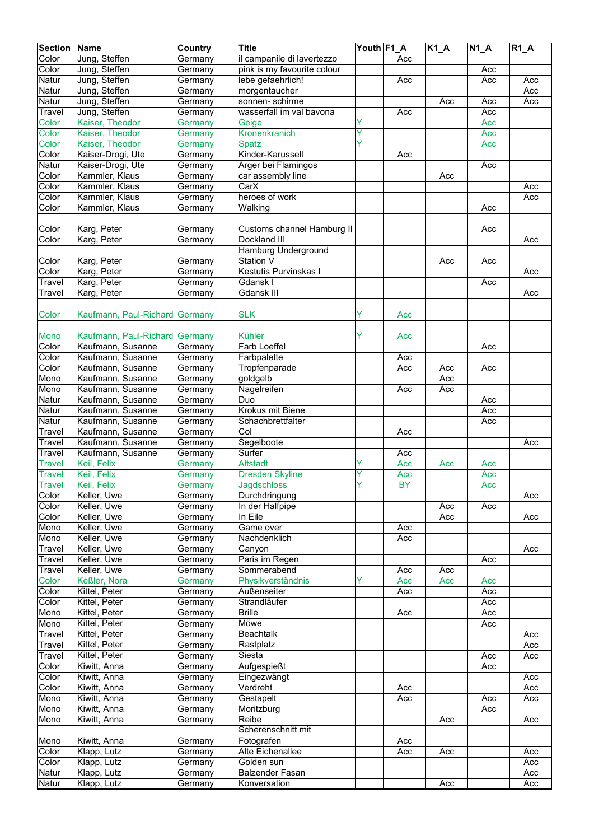| <b>Section Name</b> |                                | <b>Country</b> | <b>Title</b>                | Youth F1_A |                  | $\overline{K1}A$ | $\overline{N}$ 1_A | $R1_A$           |
|---------------------|--------------------------------|----------------|-----------------------------|------------|------------------|------------------|--------------------|------------------|
| Color               | Jung, Steffen                  | Germany        | il campanile di lavertezzo  |            | Acc              |                  |                    |                  |
| Color               | Jung, Steffen                  | Germany        | pink is my favourite colour |            |                  |                  | Acc                |                  |
| <b>Natur</b>        | Jung, Steffen                  | Germany        | lebe gefaehrlich!           |            | Acc              |                  | Acc                | Acc              |
| Natur               | Jung, Steffen                  | Germany        | morgentaucher               |            |                  |                  |                    | Acc              |
| Natur               | Jung, Steffen                  | Germany        | sonnen-schirme              |            |                  | Acc              | Acc                | Acc              |
| Travel              | Jung, Steffen                  | Germany        | wasserfall im val bavona    |            | Acc              |                  | Acc                |                  |
| Color               | Kaiser, Theodor                | Germany        | Geige                       | Y          |                  |                  | Acc                |                  |
| Color               | Kaiser, Theodor                | Germany        | Kronenkranich               | Y          |                  |                  | Acc                |                  |
| Color               | Kaiser, Theodor                | Germany        | <b>Spatz</b>                | Y          |                  |                  | Acc                |                  |
| Color               | Kaiser-Drogi, Ute              | Germany        | Kinder-Karussell            |            | Acc              |                  |                    |                  |
| <b>Natur</b>        | Kaiser-Drogi, Ute              | Germany        | Ärger bei Flamingos         |            |                  |                  | Acc                |                  |
| Color               | Kammler, Klaus                 | Germany        | car assembly line           |            |                  | Acc              |                    |                  |
| Color               | Kammler, Klaus                 | Germany        | CarX                        |            |                  |                  |                    | Acc              |
| Color               | Kammler, Klaus                 | Germany        | heroes of work              |            |                  |                  |                    | Acc              |
| Color               | Kammler, Klaus                 | Germany        | Walking                     |            |                  |                  | Acc                |                  |
|                     |                                |                |                             |            |                  |                  |                    |                  |
| Color               | Karg, Peter                    | Germany        | Customs channel Hamburg II  |            |                  |                  | Acc                |                  |
| Color               | Karg, Peter                    | Germany        | Dockland III                |            |                  |                  |                    | Acc              |
|                     |                                |                | <b>Hamburg Underground</b>  |            |                  |                  |                    |                  |
| Color               | Karg, Peter                    | Germany        | Station V                   |            |                  | Acc              | Acc                |                  |
| Color               | Karg, Peter                    | Germany        | Kestutis Purvinskas I       |            |                  |                  |                    | Acc              |
| Travel              | Karg, Peter                    | Germany        | Gdansk I                    |            |                  |                  | Acc                |                  |
| Travel              | Karg, Peter                    | Germany        | <b>Gdansk III</b>           |            |                  |                  |                    | Acc              |
|                     |                                |                |                             |            |                  |                  |                    |                  |
| Color               | Kaufmann, Paul-Richard Germany |                | <b>SLK</b>                  | Y          | Acc              |                  |                    |                  |
|                     |                                |                |                             |            |                  |                  |                    |                  |
| <b>Mono</b>         | Kaufmann, Paul-Richard Germany |                | <b>Kühler</b>               | Y          | Acc              |                  |                    |                  |
| Color               | Kaufmann, Susanne              | Germany        | Farb Loeffel                |            |                  |                  | Acc                |                  |
| Color               | Kaufmann, Susanne              | Germany        | Farbpalette                 |            | Acc              |                  |                    |                  |
| Color               | Kaufmann, Susanne              | Germany        | Tropfenparade               |            | Acc              | Acc              | Acc                |                  |
| Mono                | Kaufmann, Susanne              | Germany        | goldgelb                    |            |                  | Acc              |                    |                  |
| Mono                | Kaufmann, Susanne              | Germany        | Nagelreifen                 |            | Acc              | Acc              |                    |                  |
| Natur               | Kaufmann, Susanne              | Germany        | Duo                         |            |                  |                  | Acc                |                  |
| Natur               | Kaufmann, Susanne              | Germany        | Krokus mit Biene            |            |                  |                  | Acc                |                  |
| Natur               | Kaufmann, Susanne              | Germany        | Schachbrettfalter           |            |                  |                  | Acc                |                  |
| Travel              | Kaufmann, Susanne              | Germany        | Col                         |            | Acc              |                  |                    |                  |
| <b>Travel</b>       | Kaufmann, Susanne              | Germany        | Segelboote                  |            |                  |                  |                    | Acc              |
| Travel              | Kaufmann, Susanne              | Germany        | Surfer                      |            | Acc              |                  |                    |                  |
| Travel              | Keil, Felix                    | Germany        | <b>Altstadt</b>             |            | Acc              | Acc              | Acc                |                  |
| <b>Travel</b>       | Keil, Felix                    | Germany        | <b>Dresden Skyline</b>      | Y          | Acc              |                  | Acc                |                  |
| <b>Travel</b>       | Keil, Felix                    | Germany        | <b>Jagdschloss</b>          | ν          | <b>BY</b>        |                  | Acc                |                  |
| Color               | Keller, Uwe                    | Germany        | Durchdringung               |            |                  |                  |                    | Acc              |
| Color               | Keller, Uwe                    | Germany        | In der Halfpipe             |            |                  | Acc              | Acc                |                  |
| Color               | Keller, Uwe                    | Germany        | In Eile                     |            |                  | Acc              |                    | Acc              |
| Mono                | Keller, Uwe                    | Germany        | Game over                   |            | Acc              |                  |                    |                  |
| Mono                | Keller, Uwe                    | Germany        | Nachdenklich                |            | Acc              |                  |                    |                  |
| Travel              | Keller, Uwe                    | Germany        | Canyon                      |            |                  |                  |                    | Acc              |
| Travel              | Keller, Uwe                    | Germany        | Paris im Regen              |            |                  |                  | Acc                |                  |
| Travel              | Keller, Uwe                    | Germany        | Sommerabend                 |            | Acc              | Acc              |                    |                  |
| Color               | Keßler, Nora                   | Germany        | Physikverständnis           | Y          | Acc              | Acc              | Acc                |                  |
| Color               | Kittel, Peter                  | Germany        | <b>Außenseiter</b>          |            | $\overline{Acc}$ |                  | Acc                |                  |
| Color               | Kittel, Peter                  | Germany        | Strandläufer                |            |                  |                  | Acc                |                  |
| Mono                | Kittel, Peter                  | Germany        | <b>Brille</b>               |            | Acc              |                  | Acc                |                  |
| Mono                | Kittel, Peter                  | Germany        | Möwe                        |            |                  |                  | Acc                |                  |
| Travel              | Kittel, Peter                  | Germany        | <b>Beachtalk</b>            |            |                  |                  |                    | Acc              |
| Travel              | Kittel, Peter                  | Germany        | Rastplatz                   |            |                  |                  |                    | Acc              |
| Travel              | Kittel, Peter                  | Germany        | Siesta                      |            |                  |                  | Acc                | Acc              |
| Color               | Kiwitt, Anna                   | Germany        | Aufgespießt                 |            |                  |                  | Acc                |                  |
| Color               | Kiwitt, Anna                   | Germany        | Eingezwängt                 |            |                  |                  |                    | Acc              |
| Color               | Kiwitt, Anna                   | Germany        | Verdreht                    |            | Acc              |                  |                    | Acc              |
| Mono                | Kiwitt, Anna                   | Germany        | Gestapelt                   |            | Acc              |                  | Acc                | Acc              |
| Mono                | Kiwitt, Anna                   | Germany        | Moritzburg                  |            |                  |                  | Acc                |                  |
| Mono                | Kiwitt, Anna                   |                | Reibe                       |            |                  |                  |                    |                  |
|                     |                                | Germany        | Scherenschnitt mit          |            |                  | Acc              |                    | Acc              |
| Mono                | Kiwitt, Anna                   |                | Fotografen                  |            |                  |                  |                    |                  |
| Color               | Klapp, Lutz                    | Germany        | Alte Eichenallee            |            | Acc              |                  |                    |                  |
| Color               |                                | Germany        | Golden sun                  |            | Acc              | Acc              |                    | Acc<br>Acc       |
|                     | Klapp, Lutz                    | Germany        | <b>Balzender Fasan</b>      |            |                  |                  |                    |                  |
| Natur               | Klapp, Lutz                    | Germany        |                             |            |                  |                  |                    | Acc              |
| Natur               | Klapp, Lutz                    | Germany        | Konversation                |            |                  | Acc              |                    | $\overline{Acc}$ |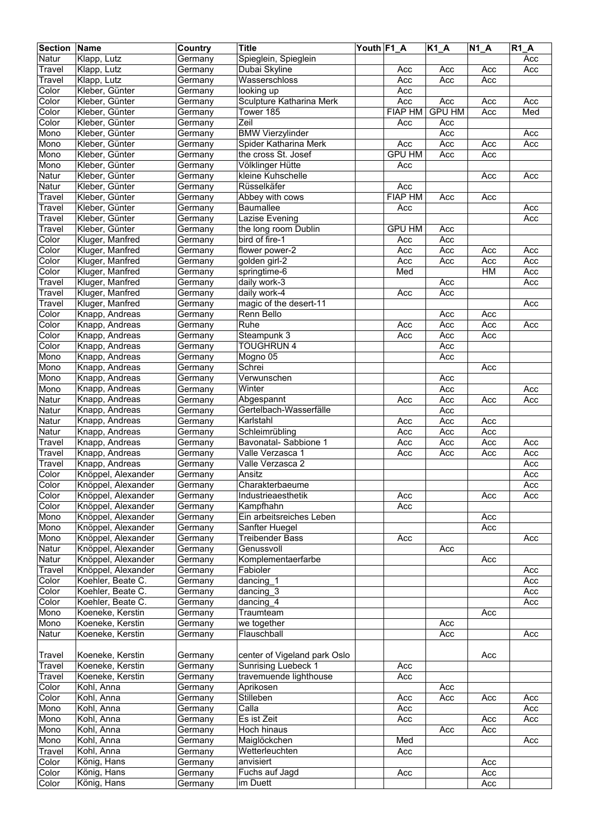| <b>Section Name</b> |                    | Country | <b>Title</b>                 | Youth F1_A |                | <b>K1_A</b>   | $N1_A$ | $R1_A$ |
|---------------------|--------------------|---------|------------------------------|------------|----------------|---------------|--------|--------|
| Natur               | Klapp, Lutz        | Germany | Spieglein, Spieglein         |            |                |               |        | Acc    |
| Travel              | Klapp, Lutz        | Germany | Dubai Skyline                |            | Acc            | Acc           | Acc    | Acc    |
| Travel              | Klapp, Lutz        | Germany | Wasserschloss                |            | Acc            | Acc           | Acc    |        |
| Color               | Kleber, Günter     | Germany | looking up                   |            | Acc            |               |        |        |
| Color               | Kleber, Günter     | Germany | Sculpture Katharina Merk     |            | Acc            | Acc           | Acc    | Acc    |
| Color               | Kleber, Günter     | Germany | Tower $185$                  |            | <b>FIAP HM</b> | <b>GPU HM</b> | Acc    | Med    |
| Color               | Kleber, Günter     | Germany | Zeil                         |            | Acc            | Acc           |        |        |
| Mono                | Kleber, Günter     | Germany | <b>BMW Vierzylinder</b>      |            |                | Acc           |        | Acc    |
| Mono                | Kleber, Günter     | Germany | Spider Katharina Merk        |            | Acc            | Acc           | Acc    | Acc    |
| Mono                | Kleber, Günter     | Germany | the cross St. Josef          |            | <b>GPU HM</b>  | Acc           | Acc    |        |
| Mono                | Kleber, Günter     | Germany | Völklinger Hütte             |            | Acc            |               |        |        |
| Natur               | Kleber, Günter     | Germany | kleine Kuhschelle            |            |                |               | Acc    | Acc    |
| Natur               | Kleber, Günter     | Germany | Rüsselkäfer                  |            | Acc            |               |        |        |
| Travel              | Kleber, Günter     | Germany | Abbey with cows              |            | <b>FIAP HM</b> | Acc           | Acc    |        |
| Travel              | Kleber, Günter     | Germany | Baumallee                    |            | Acc            |               |        | Acc    |
| Travel              | Kleber, Günter     | Germany | Lazise Evening               |            |                |               |        | Acc    |
| Travel              | Kleber, Günter     | Germany | the long room Dublin         |            | <b>GPU HM</b>  | Acc           |        |        |
| Color               | Kluger, Manfred    | Germany | bird of fire-1               |            | Acc            | Acc           |        |        |
| Color               | Kluger, Manfred    | Germany | flower power-2               |            | Acc            | Acc           | Acc    | Acc    |
| Color               | Kluger, Manfred    | Germany | golden girl-2                |            | Acc            | Acc           | Acc    | Acc    |
| Color               | Kluger, Manfred    | Germany | springtime-6                 |            | Med            |               | HM     | Acc    |
| Travel              | Kluger, Manfred    | Germany | daily work-3                 |            |                | Acc           |        | Acc    |
| Travel              | Kluger, Manfred    | Germany | daily work-4                 |            | Acc            | Acc           |        |        |
| Travel              | Kluger, Manfred    | Germany | magic of the desert-11       |            |                |               |        | Acc    |
| Color               | Knapp, Andreas     | Germany | Renn Bello                   |            |                | Acc           | Acc    |        |
| Color               | Knapp, Andreas     | Germany | Ruhe                         |            | Acc            | Acc           | Acc    | Acc    |
| Color               | Knapp, Andreas     | Germany | Steampunk 3                  |            | Acc            | Acc           | Acc    |        |
| Color               | Knapp, Andreas     | Germany | <b>TOUGHRUN 4</b>            |            |                | Acc           |        |        |
| Mono                | Knapp, Andreas     | Germany | Mogno 05                     |            |                | Acc           |        |        |
| Mono                | Knapp, Andreas     | Germany | Schrei                       |            |                |               | Acc    |        |
| Mono                | Knapp, Andreas     | Germany | Verwunschen                  |            |                | Acc           |        |        |
| Mono                | Knapp, Andreas     | Germany | Winter                       |            |                | Acc           |        | Acc    |
| Natur               | Knapp, Andreas     | Germany | Abgespannt                   |            | Acc            | Acc           | Acc    | Acc    |
| Natur               | Knapp, Andreas     | Germany | Gertelbach-Wasserfälle       |            |                | Acc           |        |        |
| Natur               | Knapp, Andreas     | Germany | Karlstahl                    |            | Acc            | Acc           | Acc    |        |
| Natur               | Knapp, Andreas     | Germany | Schleimrübling               |            | Acc            | Acc           | Acc    |        |
| Travel              | Knapp, Andreas     | Germany | Bavonatal-Sabbione 1         |            | Acc            | Acc           | Acc    | Acc    |
| Travel              | Knapp, Andreas     | Germany | Valle Verzasca 1             |            | Acc            | Acc           | Acc    | Acc    |
| Travel              | Knapp, Andreas     | Germany | Valle Verzasca 2             |            |                |               |        | Acc    |
| Color               | Knöppel, Alexander | Germany | Ansitz                       |            |                |               |        | Acc    |
| Color               | Knöppel, Alexander | Germany | Charakterbaeume              |            |                |               |        | Acc    |
| Color               | Knöppel, Alexander | Germany | Industrieaesthetik           |            | Acc            |               | Acc    | Acc    |
| Color               | Knöppel, Alexander | Germany | Kampfhahn                    |            | Acc            |               |        |        |
| Mono                | Knöppel, Alexander | Germany | Ein arbeitsreiches Leben     |            |                |               | Acc    |        |
| Mono                | Knöppel, Alexander | Germany | Sanfter Huegel               |            |                |               | Acc    |        |
| Mono                | Knöppel, Alexander | Germany | <b>Treibender Bass</b>       |            | Acc            |               |        | Acc    |
| Natur               | Knöppel, Alexander | Germany | Genussvoll                   |            |                | Acc           |        |        |
| Natur               | Knöppel, Alexander | Germany | Komplementaerfarbe           |            |                |               | Acc    |        |
| Travel              | Knöppel, Alexander | Germany | Fabioler                     |            |                |               |        | Acc    |
| Color               | Koehler, Beate C.  | Germany | dancing 1                    |            |                |               |        | Acc    |
| Color               | Koehler, Beate C.  | Germany | dancing_3                    |            |                |               |        | Acc    |
| Color               | Koehler, Beate C.  | Germany | dancing $4$                  |            |                |               |        | Acc    |
| Mono                | Koeneke, Kerstin   | Germany | Traumteam                    |            |                |               | Acc    |        |
| Mono                | Koeneke, Kerstin   | Germany | we together                  |            |                | Acc           |        |        |
| Natur               | Koeneke, Kerstin   | Germany | Flauschball                  |            |                | Acc           |        | Acc    |
|                     |                    |         |                              |            |                |               |        |        |
| Travel              | Koeneke, Kerstin   | Germany | center of Vigeland park Oslo |            |                |               | Acc    |        |
| Travel              | Koeneke, Kerstin   | Germany | <b>Sunrising Luebeck 1</b>   |            | Acc            |               |        |        |
| Travel              | Koeneke, Kerstin   | Germany | travemuende lighthouse       |            | Acc            |               |        |        |
| Color               | Kohl, Anna         | Germany | Aprikosen                    |            |                | Acc           |        |        |
| Color               | Kohl, Anna         | Germany | Stilleben                    |            | Acc            | Acc           | Acc    | Acc    |
| Mono                | Kohl, Anna         | Germany | Calla                        |            | Acc            |               |        | Acc    |
| Mono                | Kohl, Anna         | Germany | Es ist Zeit                  |            | Acc            |               | Acc    | Acc    |
| Mono                | Kohl, Anna         | Germany | Hoch hinaus                  |            |                | Acc           | Acc    |        |
| Mono                | Kohl, Anna         | Germany | Maiglöckchen                 |            | Med            |               |        | Acc    |
| Travel              | Kohl, Anna         | Germany | Wetterleuchten               |            | Acc            |               |        |        |
| Color               | König, Hans        | Germany | anvisiert                    |            |                |               | Acc    |        |
| Color               | König, Hans        | Germany | Fuchs auf Jagd               |            | Acc            |               | Acc    |        |
| Color               | König, Hans        | Germany | im Duett                     |            |                |               | Acc    |        |
|                     |                    |         |                              |            |                |               |        |        |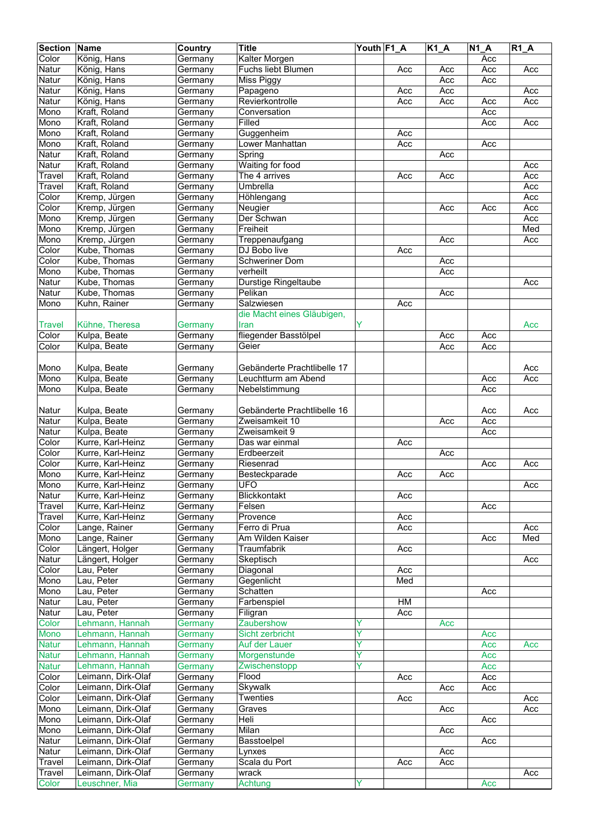| <b>Section</b> | Name               | Country | <b>Title</b>                | Youth F1_A |     | K1A | $N1_A$ | $R1_A$ |
|----------------|--------------------|---------|-----------------------------|------------|-----|-----|--------|--------|
| Color          | König, Hans        | Germany | Kalter Morgen               |            |     |     | Acc    |        |
| Natur          | König, Hans        | Germany | Fuchs liebt Blumen          |            | Acc | Acc | Acc    | Acc    |
| Natur          | König, Hans        | Germany | Miss Piggy                  |            |     | Acc | Acc    |        |
| Natur          | König, Hans        | Germany | Papageno                    |            | Acc | Acc |        | Acc    |
| Natur          | König, Hans        | Germany | Revierkontrolle             |            | Acc | Acc | Acc    | Acc    |
| Mono           | Kraft, Roland      | Germany | Conversation                |            |     |     | Acc    |        |
| Mono           | Kraft, Roland      | Germany | Filled                      |            |     |     | Acc    | Acc    |
| Mono           | Kraft, Roland      | Germany | Guggenheim                  |            | Acc |     |        |        |
| Mono           | Kraft, Roland      | Germany | Lower Manhattan             |            | Acc |     | Acc    |        |
| Natur          | Kraft, Roland      | Germany | Spring                      |            |     | Acc |        |        |
| Natur          | Kraft, Roland      | Germany | <b>Waiting for food</b>     |            |     |     |        | Acc    |
| Travel         | Kraft, Roland      | Germany | The 4 arrives               |            | Acc | Acc |        | Acc    |
| Travel         | Kraft, Roland      | Germany | Umbrella                    |            |     |     |        | Acc    |
| Color          | Kremp, Jürgen      | Germany | Höhlengang                  |            |     |     |        | Acc    |
| Color          | Kremp, Jürgen      | Germany | Neugier                     |            |     | Acc | Acc    | Acc    |
| Mono           | Kremp, Jürgen      | Germany | Der Schwan                  |            |     |     |        | Acc    |
| Mono           | Kremp, Jürgen      | Germany | Freiheit                    |            |     |     |        | Med    |
| Mono           | Kremp, Jürgen      | Germany | Treppenaufgang              |            |     | Acc |        | Acc    |
| Color          | Kube, Thomas       | Germany | DJ Bobo live                |            | Acc |     |        |        |
| Color          | Kube, Thomas       | Germany | <b>Schweriner Dom</b>       |            |     | Acc |        |        |
| Mono           | Kube, Thomas       | Germany | verheilt                    |            |     | Acc |        |        |
| Natur          | Kube, Thomas       | Germany | Durstige Ringeltaube        |            |     |     |        | Acc    |
| Natur          | Kube, Thomas       | Germany | Pelikan                     |            |     | Acc |        |        |
| Mono           | Kuhn, Rainer       |         | Salzwiesen                  |            | Acc |     |        |        |
|                |                    | Germany | die Macht eines Gläubigen,  |            |     |     |        |        |
|                |                    |         |                             |            |     |     |        |        |
| <b>Travel</b>  | Kühne, Theresa     | Germany | Iran                        | Y          |     |     |        | Acc    |
| Color          | Kulpa, Beate       | Germany | fliegender Basstölpel       |            |     | Acc | Acc    |        |
| Color          | Kulpa, Beate       | Germany | Geier                       |            |     | Acc | Acc    |        |
|                |                    |         |                             |            |     |     |        |        |
| Mono           | Kulpa, Beate       | Germany | Gebänderte Prachtlibelle 17 |            |     |     |        | Acc    |
| Mono           | Kulpa, Beate       | Germany | Leuchtturm am Abend         |            |     |     | Acc    | Acc    |
| Mono           | Kulpa, Beate       | Germany | Nebelstimmung               |            |     |     | Acc    |        |
|                |                    |         |                             |            |     |     |        |        |
| Natur          | Kulpa, Beate       | Germany | Gebänderte Prachtlibelle 16 |            |     |     | Acc    | Acc    |
| Natur          | Kulpa, Beate       | Germany | Zweisamkeit 10              |            |     | Acc | Acc    |        |
| Natur          | Kulpa, Beate       | Germany | Zweisamkeit 9               |            |     |     | Acc    |        |
| Color          | Kurre, Karl-Heinz  | Germany | Das war einmal              |            | Acc |     |        |        |
| Color          | Kurre, Karl-Heinz  | Germany | Erdbeerzeit                 |            |     | Acc |        |        |
| Color          | Kurre, Karl-Heinz  | Germany | Riesenrad                   |            |     |     | Acc    | Acc    |
| Mono           | Kurre, Karl-Heinz  | Germany | Besteckparade               |            | Acc | Acc |        |        |
| Mono           | Kurre, Karl-Heinz  | Germany | <b>UFO</b>                  |            |     |     |        | Acc    |
| Natur          | Kurre, Karl-Heinz  | Germany | Blickkontakt                |            | Acc |     |        |        |
| Travel         | Kurre, Karl-Heinz  | Germany | Felsen                      |            |     |     | Acc    |        |
| Travel         | Kurre, Karl-Heinz  | Germany | Provence                    |            | Acc |     |        |        |
| Color          | Lange, Rainer      | Germany | Ferro di Prua               |            | Acc |     |        | Acc    |
| Mono           | Lange, Rainer      | Germany | Am Wilden Kaiser            |            |     |     | Acc    | Med    |
| Color          | Längert, Holger    | Germany | Traumfabrik                 |            | Acc |     |        |        |
| Natur          | Längert, Holger    | Germany | Skeptisch                   |            |     |     |        | Acc    |
| Color          | Lau, Peter         | Germany | Diagonal                    |            | Acc |     |        |        |
| Mono           | Lau, Peter         | Germany | Gegenlicht                  |            | Med |     |        |        |
| Mono           | Lau, Peter         | Germany | Schatten                    |            |     |     | Acc    |        |
| Natur          | Lau, Peter         | Germany | Farbenspiel                 |            | HM  |     |        |        |
| Natur          | Lau, Peter         | Germany | Filigran                    |            | Acc |     |        |        |
| Color          | Lehmann, Hannah    | Germany | Zaubershow                  | Y          |     | Acc |        |        |
| Mono           | Lehmann, Hannah    | Germany | Sicht zerbricht             | Ÿ          |     |     | Acc    |        |
| <b>Natur</b>   | Lehmann, Hannah    | Germany | Auf der Lauer               | Y          |     |     | Acc    | Acc    |
| <b>Natur</b>   | Lehmann, Hannah    | Germany | Morgenstunde                | Ÿ          |     |     | Acc    |        |
| <b>Natur</b>   | Lehmann, Hannah    | Germany | Zwischenstopp               | Ÿ          |     |     | Acc    |        |
| Color          | Leimann, Dirk-Olaf | Germany | Flood                       |            | Acc |     | Acc    |        |
| Color          | Leimann, Dirk-Olaf | Germany | Skywalk                     |            |     | Acc | Acc    |        |
| Color          | Leimann, Dirk-Olaf | Germany | <b>Twenties</b>             |            | Acc |     |        | Acc    |
| Mono           | Leimann, Dirk-Olaf | Germany | Graves                      |            |     | Acc |        | Acc    |
| Mono           | Leimann, Dirk-Olaf | Germany | Heli                        |            |     |     | Acc    |        |
| Mono           | Leimann, Dirk-Olaf | Germany | Milan                       |            |     | Acc |        |        |
| Natur          | Leimann, Dirk-Olaf | Germany | Basstoelpel                 |            |     |     | Acc    |        |
| Natur          | Leimann, Dirk-Olaf | Germany | Lynxes                      |            |     | Acc |        |        |
| Travel         | Leimann, Dirk-Olaf | Germany | Scala du Port               |            | Acc | Acc |        |        |
| Travel         | Leimann, Dirk-Olaf | Germany | wrack                       |            |     |     |        | Acc    |
| Color          | Leuschner, Mia     | Germany | Achtung                     |            |     |     | Acc    |        |
|                |                    |         |                             |            |     |     |        |        |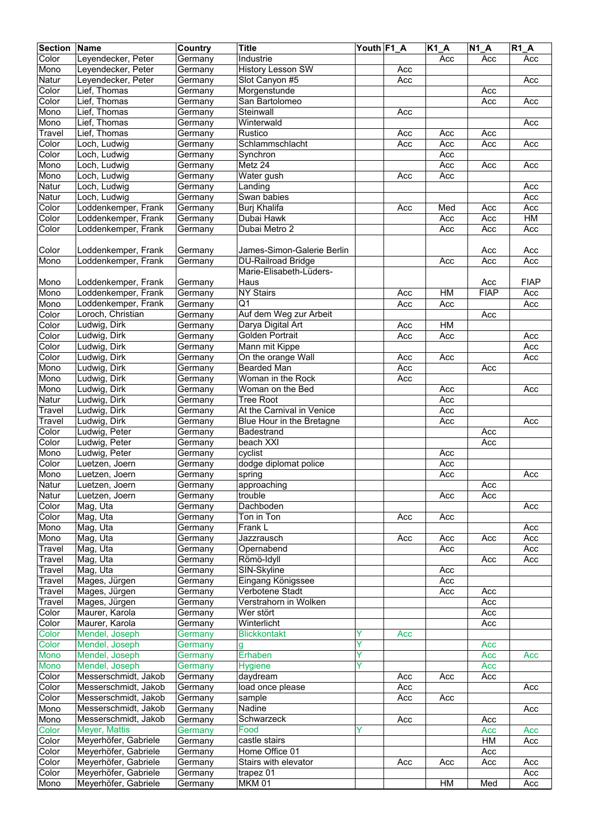| <b>Section</b> | Name                 | Country | <b>Title</b>               | Youth F1_A |     | $K1_A$ | $\overline{N1}A$ | <b>R1 A</b> |
|----------------|----------------------|---------|----------------------------|------------|-----|--------|------------------|-------------|
| Color          | Leyendecker, Peter   | Germany | Industrie                  |            |     | Acc    | Acc              | Acc         |
| Mono           | Leyendecker, Peter   | Germany | <b>History Lesson SW</b>   |            | Acc |        |                  |             |
| Natur          | Leyendecker, Peter   | Germany | Slot Canyon #5             |            | Acc |        |                  | Acc         |
| Color          | Lief, Thomas         | Germany | Morgenstunde               |            |     |        | Acc              |             |
| Color          | Lief, Thomas         |         | San Bartolomeo             |            |     |        | Acc              | Acc         |
|                |                      | Germany |                            |            |     |        |                  |             |
| Mono           | Lief, Thomas         | Germany | Steinwall                  |            | Acc |        |                  |             |
| Mono           | Lief, Thomas         | Germany | Winterwald                 |            |     |        |                  | Acc         |
| Travel         | Lief, Thomas         | Germany | Rustico                    |            | Acc | Acc    | Acc              |             |
| Color          | Loch, Ludwig         | Germany | Schlammschlacht            |            | Acc | Acc    | Acc              | Acc         |
| Color          | Loch, Ludwig         | Germany | Synchron                   |            |     | Acc    |                  |             |
| Mono           | Loch, Ludwig         | Germany | Metz 24                    |            |     | Acc    | Acc              | Acc         |
| Mono           | Loch, Ludwig         | Germany | Water gush                 |            | Acc | Acc    |                  |             |
| Natur          | Loch, Ludwig         | Germany | Landing                    |            |     |        |                  | Acc         |
| Natur          | Loch, Ludwig         | Germany | Swan babies                |            |     |        |                  | Acc         |
| Color          | Loddenkemper, Frank  | Germany | Burj Khalifa               |            | Acc | Med    | Acc              | Acc         |
| Color          | Loddenkemper, Frank  | Germany | Dubai Hawk                 |            |     | Acc    | Acc              | H M         |
| Color          | Loddenkemper, Frank  | Germany | Dubai Metro 2              |            |     | Acc    | Acc              | Acc         |
|                |                      |         |                            |            |     |        |                  |             |
| Color          | Loddenkemper, Frank  | Germany | James-Simon-Galerie Berlin |            |     |        | Acc              | Acc         |
| Mono           | Loddenkemper, Frank  | Germany | <b>DU-Railroad Bridge</b>  |            |     | Acc    | Acc              | Acc         |
|                |                      |         | Marie-Elisabeth-Lüders-    |            |     |        |                  |             |
|                |                      |         |                            |            |     |        |                  |             |
| Mono           | Loddenkemper, Frank  | Germany | Haus                       |            |     |        | Acc              | <b>FIAP</b> |
| Mono           | Loddenkemper, Frank  | Germany | <b>NY Stairs</b>           |            | Acc | HM     | <b>FIAP</b>      | Acc         |
| Mono           | Loddenkemper, Frank  | Germany | $\overline{Q_1}$           |            | Acc | Acc    |                  | Acc         |
| Color          | Loroch, Christian    | Germany | Auf dem Weg zur Arbeit     |            |     |        | Acc              |             |
| Color          | Ludwig, Dirk         | Germany | Darya Digital Art          |            | Acc | HM     |                  |             |
| Color          | Ludwig, Dirk         | Germany | <b>Golden Portrait</b>     |            | Acc | Acc    |                  | Acc         |
| Color          | Ludwig, Dirk         | Germany | Mann mit Kippe             |            |     |        |                  | Acc         |
| Color          | Ludwig, Dirk         | Germany | On the orange Wall         |            | Acc | Acc    |                  | Acc         |
| Mono           | Ludwig, Dirk         | Germany | <b>Bearded Man</b>         |            | Acc |        | Acc              |             |
| Mono           | Ludwig, Dirk         | Germany | Woman in the Rock          |            | Acc |        |                  |             |
| Mono           | Ludwig, Dirk         | Germany | Woman on the Bed           |            |     | Acc    |                  | Acc         |
| Natur          | Ludwig, Dirk         | Germany | <b>Tree Root</b>           |            |     | Acc    |                  |             |
|                |                      | Germany | At the Carnival in Venice  |            |     | Acc    |                  |             |
| Travel         | Ludwig, Dirk         |         |                            |            |     |        |                  |             |
| Travel         | Ludwig, Dirk         | Germany | Blue Hour in the Bretagne  |            |     | Acc    |                  | Acc         |
| Color          | Ludwig, Peter        | Germany | <b>Badestrand</b>          |            |     |        | Acc              |             |
| Color          | Ludwig, Peter        | Germany | beach XXI                  |            |     |        | Acc              |             |
| Mono           | Ludwig, Peter        | Germany | cyclist                    |            |     | Acc    |                  |             |
| Color          | Luetzen, Joern       | Germany | dodge diplomat police      |            |     | Acc    |                  |             |
| Mono           | Luetzen, Joern       | Germany | spring                     |            |     | Acc    |                  | Acc         |
| Natur          | Luetzen, Joern       | Germany | approaching                |            |     |        | Acc              |             |
| Natur          | Luetzen, Joern       | Germany | trouble                    |            |     | Acc    | Acc              |             |
| Color          | Mag, Uta             | Germany | Dachboden                  |            |     |        |                  | Acc         |
| Color          | Mag, Uta             | Germany | Ton in Ton                 |            | Acc | Acc    |                  |             |
| Mono           | Mag, Uta             | Germany | Frank L                    |            |     |        |                  | Acc         |
| Mono           | Mag, Uta             | Germany | Jazzrausch                 |            | Acc | Acc    | Acc              | Acc         |
| Travel         | Mag, Uta             | Germany | Opernabend                 |            |     | Acc    |                  | Acc         |
| Travel         | Mag, Uta             | Germany | Römö-Idyll                 |            |     |        | Acc              | Acc         |
|                |                      |         | SIN-Skyline                |            |     |        |                  |             |
| Travel         | Mag, Uta             | Germany |                            |            |     | Acc    |                  |             |
| Travel         | Mages, Jürgen        | Germany | Eingang Königssee          |            |     | Acc    |                  |             |
| Travel         | Mages, Jürgen        | Germany | Verbotene Stadt            |            |     | Acc    | Acc              |             |
| Travel         | Mages, Jürgen        | Germany | Verstrahorn in Wolken      |            |     |        | Acc              |             |
| Color          | Maurer, Karola       | Germany | Wer stört                  |            |     |        | Acc              |             |
| Color          | Maurer, Karola       | Germany | Winterlicht                |            |     |        | Acc              |             |
| Color          | Mendel, Joseph       | Germany | <b>Blickkontakt</b>        | Y          | Acc |        |                  |             |
| Color          | Mendel, Joseph       | Germany | g                          | Y          |     |        | Acc              |             |
| Mono           | Mendel, Joseph       | Germany | Erhaben                    | Y          |     |        | Acc              | Acc         |
| Mono           | Mendel, Joseph       | Germany | <b>Hygiene</b>             | Ÿ          |     |        | Acc              |             |
| Color          | Messerschmidt, Jakob | Germany | daydream                   |            | Acc | Acc    | Acc              |             |
| Color          | Messerschmidt, Jakob | Germany | load once please           |            | Acc |        |                  | Acc         |
| Color          | Messerschmidt, Jakob | Germany | sample                     |            | Acc | Acc    |                  |             |
| Mono           | Messerschmidt, Jakob | Germany | Nadine                     |            |     |        |                  | Acc         |
| Mono           | Messerschmidt, Jakob | Germany | Schwarzeck                 |            | Acc |        | Acc              |             |
| Color          | Meyer, Mattis        | Germany | Food                       | Y          |     |        | Acc              | Acc         |
| Color          | Meyerhöfer, Gabriele | Germany | castle stairs              |            |     |        | HM               | Acc         |
|                |                      |         | Home Office 01             |            |     |        |                  |             |
| Color          | Meyerhöfer, Gabriele | Germany |                            |            |     |        | Acc              |             |
| Color          | Meyerhöfer, Gabriele | Germany | Stairs with elevator       |            | Acc | Acc    | Acc              | Acc         |
| Color          | Meyerhöfer, Gabriele | Germany | trapez 01                  |            |     |        |                  | Acc         |
| Mono           | Meyerhöfer, Gabriele | Germany | <b>MKM 01</b>              |            |     | HM     | Med              | Acc         |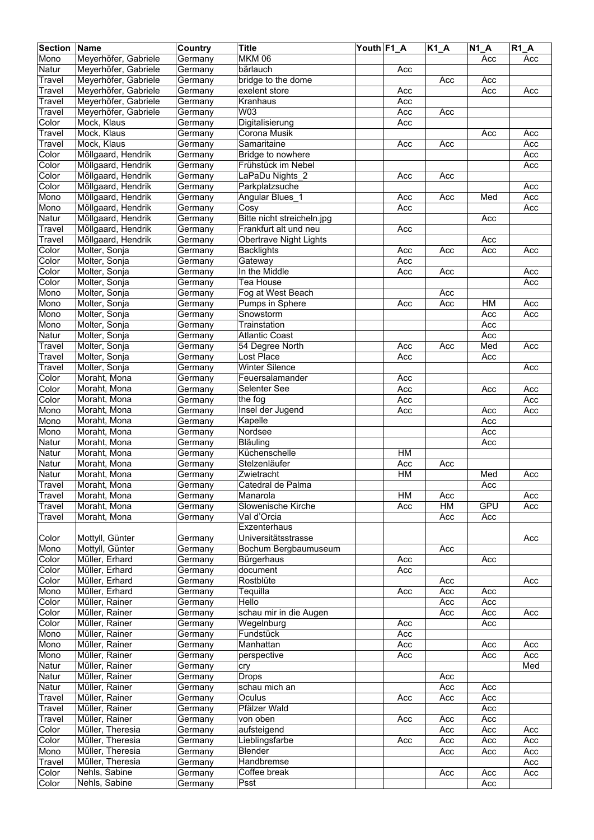| <b>Section Name</b> |                      | <b>Country</b> | <b>Title</b>               | Youth F1_A |     | $K1_A$ | $\overline{N1}A$ | <b>R1 A</b> |
|---------------------|----------------------|----------------|----------------------------|------------|-----|--------|------------------|-------------|
| Mono                | Meyerhöfer, Gabriele | Germany        | <b>MKM 06</b>              |            |     |        | Acc              | Acc         |
| <b>Natur</b>        | Meyerhöfer, Gabriele | Germany        | bärlauch                   |            | Acc |        |                  |             |
| Travel              | Meyerhöfer, Gabriele | Germany        | bridge to the dome         |            |     | Acc    | Acc              |             |
| Travel              | Meyerhöfer, Gabriele | Germany        | exelent store              |            | Acc |        | Acc              | Acc         |
|                     | Meyerhöfer, Gabriele |                | Kranhaus                   |            | Acc |        |                  |             |
| Travel              | Meyerhöfer, Gabriele | Germany        | W <sub>03</sub>            |            |     |        |                  |             |
| Travel              |                      | Germany        |                            |            | Acc | Acc    |                  |             |
| Color               | Mock, Klaus          | Germany        | Digitalisierung            |            | Acc |        |                  |             |
| Travel              | Mock, Klaus          | Germany        | Corona Musik               |            |     |        | Acc              | Acc         |
| Travel              | Mock, Klaus          | Germany        | Samaritaine                |            | Acc | Acc    |                  | Acc         |
| Color               | Möllgaard, Hendrik   | Germany        | Bridge to nowhere          |            |     |        |                  | Acc         |
| Color               | Möllgaard, Hendrik   | Germany        | Frühstück im Nebel         |            |     |        |                  | Acc         |
| Color               | Möllgaard, Hendrik   | Germany        | LaPaDu Nights 2            |            | Acc | Acc    |                  |             |
| Color               | Möllgaard, Hendrik   | Germany        | Parkplatzsuche             |            |     |        |                  | Acc         |
| Mono                | Möllgaard, Hendrik   | Germany        | Angular Blues_1            |            | Acc | Acc    | Med              | Acc         |
| Mono                | Möllgaard, Hendrik   | Germany        | Cosy                       |            | Acc |        |                  | Acc         |
| Natur               | Möllgaard, Hendrik   | Germany        | Bitte nicht streicheln.jpg |            |     |        | Acc              |             |
| Travel              | Möllgaard, Hendrik   | Germany        | Frankfurt alt und neu      |            | Acc |        |                  |             |
| Travel              | Möllgaard, Hendrik   | Germany        | Obertrave Night Lights     |            |     |        | Acc              |             |
| Color               | Molter, Sonja        | Germany        | <b>Backlights</b>          |            | Acc | Acc    | Acc              | Acc         |
| Color               |                      |                | Gateway                    |            |     |        |                  |             |
|                     | Molter, Sonja        | Germany        |                            |            | Acc |        |                  |             |
| Color               | Molter, Sonja        | Germany        | In the Middle              |            | Acc | Acc    |                  | Acc         |
| Color               | Molter, Sonja        | Germany        | Tea House                  |            |     |        |                  | Acc         |
| Mono                | Molter, Sonja        | Germany        | Fog at West Beach          |            |     | Acc    |                  |             |
| Mono                | Molter, Sonja        | Germany        | Pumps in Sphere            |            | Acc | Acc    | HM               | Acc         |
| Mono                | Molter, Sonja        | Germany        | Snowstorm                  |            |     |        | Acc              | Acc         |
| Mono                | Molter, Sonja        | Germany        | Trainstation               |            |     |        | Acc              |             |
| Natur               | Molter, Sonja        | Germany        | <b>Atlantic Coast</b>      |            |     |        | Acc              |             |
| Travel              | Molter, Sonja        | Germany        | 54 Degree North            |            | Acc | Acc    | Med              | Acc         |
| Travel              | Molter, Sonja        | Germany        | Lost Place                 |            | Acc |        | Acc              |             |
| Travel              | Molter, Sonja        | Germany        | <b>Winter Silence</b>      |            |     |        |                  | Acc         |
| Color               | Moraht, Mona         | Germany        | Feuersalamander            |            | Acc |        |                  |             |
| Color               | Moraht, Mona         | Germany        | Selenter See               |            | Acc |        | Acc              | Acc         |
| Color               | Moraht, Mona         | Germany        | the fog                    |            | Acc |        |                  | Acc         |
| Mono                | Moraht, Mona         |                |                            |            | Acc |        | Acc              | Acc         |
|                     |                      | Germany        | Insel der Jugend           |            |     |        |                  |             |
| Mono                | Moraht, Mona         | Germany        | Kapelle                    |            |     |        | Acc              |             |
| Mono                | Moraht, Mona         | Germany        | Nordsee                    |            |     |        | Acc              |             |
| Natur               | Moraht, Mona         | Germany        | Bläuling                   |            |     |        | Acc              |             |
| Natur               | Moraht, Mona         | Germany        | Küchenschelle              |            | H M |        |                  |             |
| Natur               | Moraht, Mona         | Germany        | Stelzenläufer              |            | Acc | Acc    |                  |             |
| Natur               | Moraht, Mona         | Germany        | Zwietracht                 |            | HM  |        | Med              | Acc         |
| Travel              | Moraht, Mona         | Germany        | Catedral de Palma          |            |     |        | Acc              |             |
| Travel              | Moraht, Mona         | Germany        | Manarola                   |            | HM  | Acc    |                  | Acc         |
| Travel              | Moraht, Mona         | Germany        | Slowenische Kirche         |            | Acc | HM     | GPU              | Acc         |
| Travel              | Moraht, Mona         | Germany        | Val d'Orcia                |            |     | Acc    | Acc              |             |
|                     |                      |                | Exzenterhaus               |            |     |        |                  |             |
| Color               | Mottyll, Günter      | Germany        | Universitätsstrasse        |            |     |        |                  | Acc         |
| Mono                | Mottyll, Günter      | Germany        | Bochum Bergbaumuseum       |            |     | Acc    |                  |             |
| Color               | Müller, Erhard       | Germany        | Bürgerhaus                 |            | Acc |        | Acc              |             |
| Color               | Müller, Erhard       |                | document                   |            |     |        |                  |             |
|                     |                      | Germany        | Rostblüte                  |            | Acc |        |                  |             |
| Color               | Müller, Erhard       | Germany        |                            |            |     | Acc    |                  | Acc         |
| Mono                | Müller, Erhard       | Germany        | Tequilla                   |            | Acc | Acc    | Acc              |             |
| Color               | Müller, Rainer       | Germany        | Hello                      |            |     | Acc    | Acc              |             |
| Color               | Müller, Rainer       | Germany        | schau mir in die Augen     |            |     | Acc    | Acc              | Acc         |
| Color               | Müller, Rainer       | Germany        | Wegelnburg                 |            | Acc |        | Acc              |             |
| Mono                | Müller, Rainer       | Germany        | Fundstück                  |            | Acc |        |                  |             |
| Mono                | Müller, Rainer       | Germany        | Manhattan                  |            | Acc |        | Acc              | Acc         |
| Mono                | Müller, Rainer       | Germany        | perspective                |            | Acc |        | Acc              | Acc         |
| Natur               | Müller, Rainer       | Germany        | cry                        |            |     |        |                  | Med         |
| Natur               | Müller, Rainer       | Germany        | <b>Drops</b>               |            |     | Acc    |                  |             |
| Natur               | Müller, Rainer       | Germany        | schau mich an              |            |     | Acc    | Acc              |             |
| Travel              | Müller, Rainer       | Germany        | Oculus                     |            | Acc | Acc    | Acc              |             |
| Travel              | Müller, Rainer       | Germany        | Pfälzer Wald               |            |     |        | Acc              |             |
| Travel              | Müller, Rainer       |                | von oben                   |            | Acc | Acc    | Acc              |             |
|                     |                      | Germany        |                            |            |     |        |                  |             |
| Color               | Müller, Theresia     | Germany        | aufsteigend                |            |     | Acc    | Acc              | Acc         |
| Color               | Müller, Theresia     | Germany        | Lieblingsfarbe             |            | Acc | Acc    | Acc              | Acc         |
| Mono                | Müller, Theresia     | Germany        | Blender                    |            |     | Acc    | Acc              | Acc         |
| Travel              | Müller, Theresia     | Germany        | Handbremse                 |            |     |        |                  | Acc         |
| Color               | Nehls, Sabine        | Germany        | Coffee break               |            |     | Acc    | Acc              | Acc         |
| Color               | Nehls, Sabine        | Germany        | Psst                       |            |     |        | Acc              |             |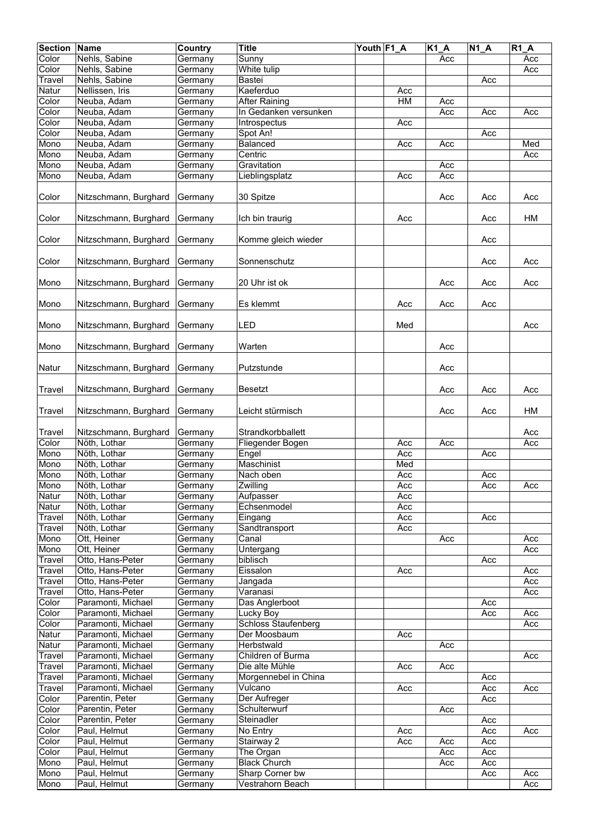| <b>Section</b> | Name                  | Country | <b>Title</b>               | Youth F1_A |     | $K1_A$ | $N1_A$ | R1A |
|----------------|-----------------------|---------|----------------------------|------------|-----|--------|--------|-----|
| Color          | Nehls, Sabine         | Germany | Sunny                      |            |     | Acc    |        | Acc |
| Color          | Nehls, Sabine         | Germany | White tulip                |            |     |        |        | Acc |
| Travel         | Nehls, Sabine         | Germany | <b>Bastei</b>              |            |     |        | Acc    |     |
| Natur          | Nellissen, Iris       | Germany | Kaeferduo                  |            | Acc |        |        |     |
| Color          | Neuba, Adam           | Germany | <b>After Raining</b>       |            | H M | Acc    |        |     |
|                |                       |         |                            |            |     |        |        |     |
| Color          | Neuba, Adam           | Germany | In Gedanken versunken      |            |     | Acc    | Acc    | Acc |
| Color          | Neuba, Adam           | Germany | Introspectus               |            | Acc |        |        |     |
| Color          | Neuba, Adam           | Germany | Spot An!                   |            |     |        | Acc    |     |
| Mono           | Neuba, Adam           | Germany | Balanced                   |            | Acc | Acc    |        | Med |
| Mono           | Neuba, Adam           | Germany | Centric                    |            |     |        |        | Acc |
| Mono           | Neuba, Adam           | Germany | Gravitation                |            |     | Acc    |        |     |
| Mono           | Neuba, Adam           | Germany | Lieblingsplatz             |            | Acc | Acc    |        |     |
|                |                       |         |                            |            |     |        |        |     |
| Color          | Nitzschmann, Burghard | Germany | 30 Spitze                  |            |     | Acc    | Acc    | Acc |
|                |                       |         |                            |            |     |        |        |     |
| Color          | Nitzschmann, Burghard | Germany | Ich bin traurig            |            | Acc |        | Acc    | HM  |
|                |                       |         |                            |            |     |        |        |     |
| Color          | Nitzschmann, Burghard | Germany | Komme gleich wieder        |            |     |        | Acc    |     |
|                |                       |         |                            |            |     |        |        |     |
|                |                       | Germany |                            |            |     |        |        |     |
| Color          | Nitzschmann, Burghard |         | Sonnenschutz               |            |     |        | Acc    | Acc |
|                |                       |         |                            |            |     |        |        |     |
| Mono           | Nitzschmann, Burghard | Germany | 20 Uhr ist ok              |            |     | Acc    | Acc    | Acc |
|                |                       |         |                            |            |     |        |        |     |
| Mono           | Nitzschmann, Burghard | Germany | Es klemmt                  |            | Acc | Acc    | Acc    |     |
|                |                       |         |                            |            |     |        |        |     |
| Mono           | Nitzschmann, Burghard | Germany | LED                        |            | Med |        |        | Acc |
|                |                       |         |                            |            |     |        |        |     |
| Mono           | Nitzschmann, Burghard | Germany | Warten                     |            |     | Acc    |        |     |
|                |                       |         |                            |            |     |        |        |     |
| Natur          | Nitzschmann, Burghard | Germany | Putzstunde                 |            |     | Acc    |        |     |
|                |                       |         |                            |            |     |        |        |     |
| <b>Travel</b>  | Nitzschmann, Burghard | Germany | Besetzt                    |            |     | Acc    | Acc    | Acc |
|                |                       |         |                            |            |     |        |        |     |
| <b>Travel</b>  | Nitzschmann, Burghard | Germany | Leicht stürmisch           |            |     | Acc    | Acc    | HM  |
|                |                       |         |                            |            |     |        |        |     |
|                |                       |         |                            |            |     |        |        |     |
| Travel         | Nitzschmann, Burghard | Germany | Strandkorbballett          |            |     |        |        | Acc |
| Color          | Nöth, Lothar          | Germany | Fliegender Bogen           |            | Acc | Acc    |        | Acc |
| Mono           | Nöth, Lothar          | Germany | Engel                      |            | Acc |        | Acc    |     |
| Mono           | Nöth, Lothar          | Germany | Maschinist                 |            | Med |        |        |     |
| Mono           | Nöth, Lothar          | Germany | Nach oben                  |            | Acc |        | Acc    |     |
| Mono           | Nöth, Lothar          | Germany | Zwilling                   |            | Acc |        | Acc    | Acc |
| Natur          | Nöth, Lothar          | Germany | Aufpasser                  |            | Acc |        |        |     |
| Natur          | Nöth, Lothar          | Germany | Echsenmodel                |            | Acc |        |        |     |
| Travel         | Nöth, Lothar          | Germany | Eingang                    |            | Acc |        | Acc    |     |
| Travel         | Nöth, Lothar          | Germany | Sandtransport              |            | Acc |        |        |     |
| Mono           | Ott, Heiner           | Germany | Canal                      |            |     | Acc    |        | Acc |
| Mono           | Ott, Heiner           | Germany | Untergang                  |            |     |        |        | Acc |
| Travel         | Otto, Hans-Peter      | Germany | biblisch                   |            |     |        | Acc    |     |
| Travel         | Otto, Hans-Peter      | Germany | Eissalon                   |            | Acc |        |        | Acc |
| Travel         | Otto, Hans-Peter      | Germany | Jangada                    |            |     |        |        | Acc |
| Travel         | Otto, Hans-Peter      | Germany | Varanasi                   |            |     |        |        | Acc |
| Color          | Paramonti, Michael    | Germany | Das Anglerboot             |            |     |        | Acc    |     |
| Color          | Paramonti, Michael    | Germany | <b>Lucky Boy</b>           |            |     |        | Acc    | Acc |
| Color          | Paramonti, Michael    |         | <b>Schloss Staufenberg</b> |            |     |        |        | Acc |
|                |                       | Germany |                            |            |     |        |        |     |
| Natur          | Paramonti, Michael    | Germany | Der Moosbaum               |            | Acc |        |        |     |
| Natur          | Paramonti, Michael    | Germany | Herbstwald                 |            |     | Acc    |        |     |
| Travel         | Paramonti, Michael    | Germany | Children of Burma          |            |     |        |        | Acc |
| Travel         | Paramonti, Michael    | Germany | Die alte Mühle             |            | Acc | Acc    |        |     |
| Travel         | Paramonti, Michael    | Germany | Morgennebel in China       |            |     |        | Acc    |     |
| Travel         | Paramonti, Michael    | Germany | Vulcano                    |            | Acc |        | Acc    | Acc |
| Color          | Parentin, Peter       | Germany | Der Aufreger               |            |     |        | Acc    |     |
| Color          | Parentin, Peter       | Germany | Schulterwurf               |            |     | Acc    |        |     |
| Color          | Parentin, Peter       | Germany | Steinadler                 |            |     |        | Acc    |     |
| Color          | Paul, Helmut          | Germany | No Entry                   |            | Acc |        | Acc    | Acc |
| Color          | Paul, Helmut          | Germany | Stairway 2                 |            | Acc | Acc    | Acc    |     |
| Color          | Paul, Helmut          | Germany | The Organ                  |            |     | Acc    | Acc    |     |
| Mono           | Paul, Helmut          | Germany | <b>Black Church</b>        |            |     | Acc    | Acc    |     |
| Mono           | Paul, Helmut          | Germany | Sharp Corner bw            |            |     |        | Acc    | Acc |
| Mono           | Paul, Helmut          | Germany | Vestrahorn Beach           |            |     |        |        | Acc |
|                |                       |         |                            |            |     |        |        |     |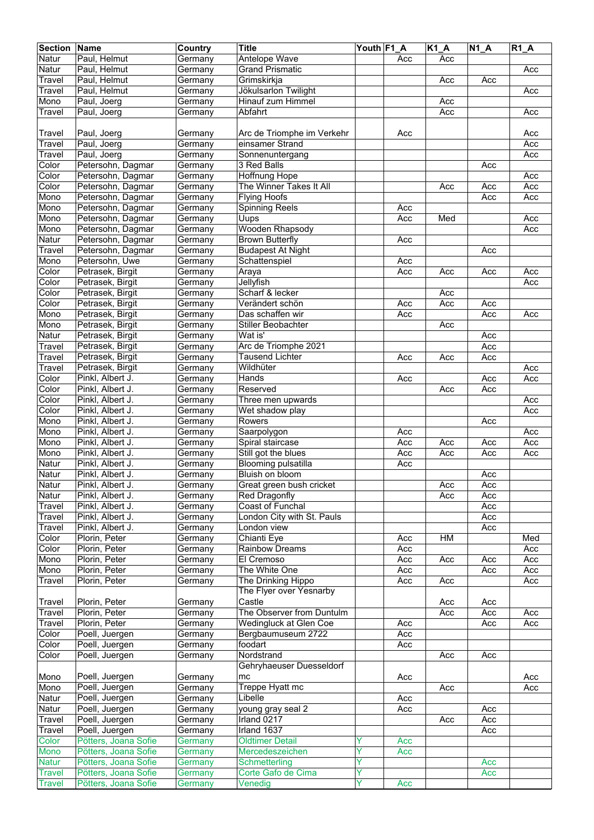| <b>Section</b> | Name                 | <b>Country</b>     | <b>Title</b>               | Youth F1 A |     | <b>K1 A</b> | $N1_A$ | <b>R1 A</b> |
|----------------|----------------------|--------------------|----------------------------|------------|-----|-------------|--------|-------------|
| Natur          | Paul, Helmut         | Germany            | <b>Antelope Wave</b>       |            | Acc | Acc         |        |             |
| Natur          | Paul, Helmut         | Germany            | <b>Grand Prismatic</b>     |            |     |             |        | Acc         |
| Travel         | Paul, Helmut         | Germany            | Grimskirkja                |            |     | Acc         | Acc    |             |
| Travel         | Paul, Helmut         | Germany            | Jökulsarlon Twilight       |            |     |             |        | Acc         |
| Mono           | Paul, Joerg          | Germany            | Hinauf zum Himmel          |            |     | Acc         |        |             |
| Travel         | Paul, Joerg          | Germany            | Abfahrt                    |            |     | Acc         |        | Acc         |
|                |                      |                    |                            |            |     |             |        |             |
| Travel         | Paul, Joerg          | Germany            | Arc de Triomphe im Verkehr |            | Acc |             |        | Acc         |
| Travel         | Paul, Joerg          | Germany            | einsamer Strand            |            |     |             |        | Acc         |
| Travel         | Paul, Joerg          | Germany            | Sonnenuntergang            |            |     |             |        | Acc         |
| Color          | Petersohn, Dagmar    | Germany            | 3 Red Balls                |            |     |             | Acc    |             |
| Color          | Petersohn, Dagmar    | Germany            | Hoffnung Hope              |            |     |             |        | Acc         |
| Color          | Petersohn, Dagmar    | Germany            | The Winner Takes It All    |            |     | Acc         | Acc    | Acc         |
| Mono           | Petersohn, Dagmar    | Germany            | <b>Flying Hoofs</b>        |            |     |             | Acc    | Acc         |
| Mono           | Petersohn, Dagmar    | Germany            | <b>Spinning Reels</b>      |            | Acc |             |        |             |
| Mono           | Petersohn, Dagmar    | Germany            | Uups                       |            | Acc | Med         |        | Acc         |
| Mono           | Petersohn, Dagmar    | Germany            | <b>Wooden Rhapsody</b>     |            |     |             |        | Acc         |
| Natur          | Petersohn, Dagmar    | Germany            | <b>Brown Butterfly</b>     |            | Acc |             |        |             |
| Travel         | Petersohn, Dagmar    | Germany            | <b>Budapest At Night</b>   |            |     |             | Acc    |             |
| Mono           | Petersohn, Uwe       | Germany            | Schattenspiel              |            | Acc |             |        |             |
| Color          | Petrasek, Birgit     | Germany            | Araya                      |            | Acc | Acc         | Acc    | Acc         |
| Color          | Petrasek, Birgit     | Germany            | Jellyfish                  |            |     |             |        | Acc         |
| Color          | Petrasek, Birgit     | Germany            | Scharf & lecker            |            |     | Acc         |        |             |
| Color          | Petrasek, Birgit     | Germany            | Verändert schön            |            | Acc | Acc         | Acc    |             |
| Mono           | Petrasek, Birgit     | Germany            | Das schaffen wir           |            | Acc |             | Acc    | Acc         |
| Mono           | Petrasek, Birgit     | Germany            | Stiller Beobachter         |            |     | Acc         |        |             |
| Natur          | Petrasek, Birgit     | Germany            | Wat is'                    |            |     |             | Acc    |             |
| Travel         | Petrasek, Birgit     | Germany            | Arc de Triomphe 2021       |            |     |             | Acc    |             |
| Travel         | Petrasek, Birgit     | Germany            | <b>Tausend Lichter</b>     |            | Acc | Acc         | Acc    |             |
| Travel         | Petrasek, Birgit     | Germany            | Wildhüter                  |            |     |             |        | Acc         |
| Color          | Pinkl, Albert J.     | Germany            | Hands                      |            | Acc |             | Acc    | Acc         |
| Color          | Pinkl, Albert J.     | Germany            | Reserved                   |            |     | Acc         | Acc    |             |
| Color          | Pinkl, Albert J.     | Germany            | Three men upwards          |            |     |             |        | Acc         |
| Color          | Pinkl, Albert J.     | Germany            | Wet shadow play            |            |     |             |        | Acc         |
| Mono           | Pinkl, Albert J.     | Germany            | Rowers                     |            |     |             | Acc    |             |
| Mono           | Pinkl, Albert J.     | Germany            | Saarpolygon                |            | Acc |             |        | Acc         |
| Mono           | Pinkl, Albert J.     | Germany            | Spiral staircase           |            | Acc | Acc         | Acc    | Acc         |
| Mono           | Pinkl, Albert J.     | Germany            | Still got the blues        |            | Acc | Acc         | Acc    | Acc         |
| Natur          | Pinkl, Albert J.     | Germany            | <b>Blooming pulsatilla</b> |            | Acc |             |        |             |
| Natur          | Pinkl, Albert J.     | Germany            | Bluish on bloom            |            |     |             | Acc    |             |
| Natur          | Pinkl, Albert J.     | Germany            | Great green bush cricket   |            |     | Acc         | Acc    |             |
| Natur          | Pinkl, Albert J.     | Germany            | <b>Red Dragonfly</b>       |            |     | Acc         | Acc    |             |
| Travel         | Pinkl, Albert J.     | Germany            | Coast of Funchal           |            |     |             | Acc    |             |
| Travel         | Pinkl, Albert J.     | Germany            | London City with St. Pauls |            |     |             | Acc    |             |
| Travel         | Pinkl, Albert J.     | Germany            | London view                |            |     |             | Acc    |             |
| Color          | Plorin, Peter        | Germany            | Chianti Eye                |            | Acc | HM          |        | Med         |
| Color          | Plorin, Peter        | Germany            | <b>Rainbow Dreams</b>      |            | Acc |             |        | Acc         |
| Mono           | Plorin, Peter        | Germany            | El Cremoso                 |            | Acc | Acc         | Acc    | Acc         |
| Mono           | Plorin, Peter        | Germany            | The White One              |            | Acc |             | Acc    | Acc         |
| Travel         | Plorin, Peter        | Germany            | The Drinking Hippo         |            | Acc | Acc         |        | Acc         |
|                |                      |                    | The Flyer over Yesnarby    |            |     |             |        |             |
| Travel         | Plorin, Peter        | Germany            | Castle                     |            |     | Acc         | Acc    |             |
| Travel         | Plorin, Peter        | Germany            | The Observer from Duntulm  |            |     | Acc         | Acc    | Acc         |
| Travel         | Plorin, Peter        | Germany            | Wedingluck at Glen Coe     |            | Acc |             | Acc    | Acc         |
| Color          | Poell, Juergen       | Germany            | Bergbaumuseum 2722         |            | Acc |             |        |             |
| Color          | Poell, Juergen       | Germany            | foodart                    |            | Acc |             |        |             |
| Color          | Poell, Juergen       | Germany            | Nordstrand                 |            |     | Acc         | Acc    |             |
|                |                      |                    | Gehryhaeuser Duesseldorf   |            |     |             |        |             |
| Mono           | Poell, Juergen       |                    |                            |            |     |             |        |             |
| Mono           | Poell, Juergen       | Germany<br>Germany | mc<br>Treppe Hyatt mc      |            | Acc | Acc         |        | Acc<br>Acc  |
|                |                      |                    |                            |            |     |             |        |             |
| Natur          | Poell, Juergen       | Germany            | Libelle                    |            | Acc |             |        |             |
| Natur          | Poell, Juergen       | Germany            | young gray seal 2          |            | Acc |             | Acc    |             |
| Travel         | Poell, Juergen       | Germany            | Irland 0217                |            |     | Acc         | Acc    |             |
| Travel         | Poell, Juergen       | Germany            | Irland 1637                |            |     |             | Acc    |             |
| Color          | Pötters, Joana Sofie | Germany            | <b>Oldtimer Detail</b>     | Y<br>Ÿ     | Acc |             |        |             |
| <b>Mono</b>    | Pötters, Joana Sofie | Germany            | Mercedeszeichen            | Y          | Acc |             |        |             |
| <b>Natur</b>   | Pötters, Joana Sofie | Germany            | Schmetterling              |            |     |             | Acc    |             |
| <b>Travel</b>  | Pötters, Joana Sofie | Germany            | Corte Gafo de Cima         | ٧          |     |             | Acc    |             |
| Travel         | Pötters, Joana Sofie | Germany            | Venedig                    |            | Acc |             |        |             |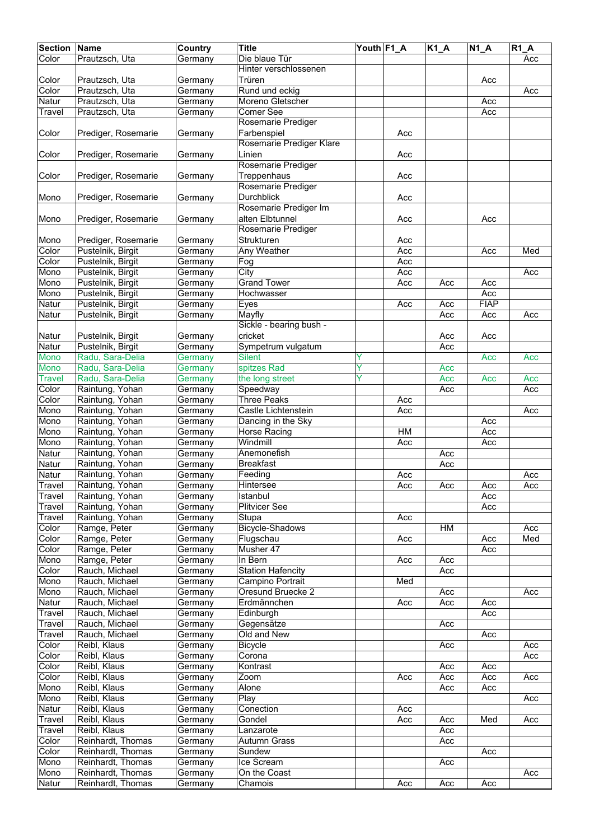| <b>Section</b> | <b>Name</b>         | <b>Country</b> | <b>Title</b>             | Youth F1 A |     | $\overline{K1}A$ | $N1_A$      | $R1_A$ |
|----------------|---------------------|----------------|--------------------------|------------|-----|------------------|-------------|--------|
| Color          | Prautzsch, Uta      | Germany        | Die blaue Tür            |            |     |                  |             | Acc    |
|                |                     |                | Hinter verschlossenen    |            |     |                  |             |        |
| Color          | Prautzsch, Uta      | Germany        | Trüren                   |            |     |                  | Acc         |        |
| Color          | Prautzsch, Uta      | Germany        | Rund und eckig           |            |     |                  |             | Acc    |
| Natur          | Prautzsch, Uta      | Germany        | Moreno Gletscher         |            |     |                  | Acc         |        |
|                | Prautzsch, Uta      |                |                          |            |     |                  |             |        |
| Travel         |                     | Germany        | Comer See                |            |     |                  | Acc         |        |
|                |                     |                | Rosemarie Prediger       |            |     |                  |             |        |
| Color          | Prediger, Rosemarie | Germany        | Farbenspiel              |            | Acc |                  |             |        |
|                |                     |                | Rosemarie Prediger Klare |            |     |                  |             |        |
| Color          | Prediger, Rosemarie | Germany        | Linien                   |            | Acc |                  |             |        |
|                |                     |                | Rosemarie Prediger       |            |     |                  |             |        |
| Color          | Prediger, Rosemarie | Germany        | Treppenhaus              |            | Acc |                  |             |        |
|                |                     |                | Rosemarie Prediger       |            |     |                  |             |        |
| Mono           | Prediger, Rosemarie |                | <b>Durchblick</b>        |            | Acc |                  |             |        |
|                |                     | Germany        | Rosemarie Prediger Im    |            |     |                  |             |        |
|                |                     |                |                          |            |     |                  |             |        |
| Mono           | Prediger, Rosemarie | Germany        | alten Elbtunnel          |            | Acc |                  | Acc         |        |
|                |                     |                | Rosemarie Prediger       |            |     |                  |             |        |
| Mono           | Prediger, Rosemarie | Germany        | Strukturen               |            | Acc |                  |             |        |
| Color          | Pustelnik, Birgit   | Germany        | <b>Any Weather</b>       |            | Acc |                  | Acc         | Med    |
| Color          | Pustelnik, Birgit   | Germany        | Fog                      |            | Acc |                  |             |        |
| Mono           | Pustelnik, Birgit   | Germany        | City                     |            | Acc |                  |             | Acc    |
| Mono           | Pustelnik, Birgit   | Germany        | <b>Grand Tower</b>       |            | Acc | Acc              | Acc         |        |
| Mono           | Pustelnik, Birgit   | Germany        | Hochwasser               |            |     |                  | Acc         |        |
| Natur          |                     |                |                          |            |     |                  | <b>FIAP</b> |        |
|                | Pustelnik, Birgit   | Germany        | Eyes                     |            | Acc | Acc              |             |        |
| Natur          | Pustelnik, Birgit   | Germany        | Mayfly                   |            |     | Acc              | Acc         | Acc    |
|                |                     |                | Sickle - bearing bush -  |            |     |                  |             |        |
| Natur          | Pustelnik, Birgit   | Germany        | cricket                  |            |     | Acc              | Acc         |        |
| Natur          | Pustelnik, Birgit   | Germany        | Sympetrum vulgatum       |            |     | Acc              |             |        |
| Mono           | Radu, Sara-Delia    | Germany        | <b>Silent</b>            | Y          |     |                  | Acc         | Acc    |
| <b>Mono</b>    | Radu, Sara-Delia    | Germany        | spitzes Rad              | Ÿ          |     | Acc              |             |        |
| <b>Travel</b>  | Radu, Sara-Delia    | Germany        | the long street          |            |     | Acc              | Acc         | Acc    |
| Color          | Raintung, Yohan     |                | Speedway                 |            |     | Acc              |             | Acc    |
|                |                     | Germany        |                          |            |     |                  |             |        |
| Color          | Raintung, Yohan     | Germany        | <b>Three Peaks</b>       |            | Acc |                  |             |        |
| Mono           | Raintung, Yohan     | Germany        | Castle Lichtenstein      |            | Acc |                  |             | Acc    |
| Mono           | Raintung, Yohan     | Germany        | Dancing in the Sky       |            |     |                  | Acc         |        |
| Mono           | Raintung, Yohan     | Germany        | Horse Racing             |            | H M |                  | Acc         |        |
| Mono           | Raintung, Yohan     | Germany        | Windmill                 |            | Acc |                  | Acc         |        |
| Natur          | Raintung, Yohan     | Germany        | Anemonefish              |            |     | Acc              |             |        |
| Natur          | Raintung, Yohan     | Germany        | <b>Breakfast</b>         |            |     | Acc              |             |        |
| Natur          | Raintung, Yohan     | Germany        | Feeding                  |            | Acc |                  |             | Acc    |
|                |                     |                |                          |            |     |                  |             |        |
| Travel         | Raintung, Yohan     | Germany        | Hintersee                |            | Acc | Acc              | Acc         | Acc    |
| Travel         | Raintung, Yohan     | Germany        | Istanbul                 |            |     |                  | Acc         |        |
| Travel         | Raintung, Yohan     | Germany        | <b>Plitvicer See</b>     |            |     |                  | Acc         |        |
| Travel         | Raintung, Yohan     | Germany        | Stupa                    |            | Acc |                  |             |        |
| Color          | Ramge, Peter        | Germany        | Bicycle-Shadows          |            |     | HM               |             | Acc    |
| Color          | Ramge, Peter        | Germany        | Flugschau                |            | Acc |                  | Acc         | Med    |
| Color          | Ramge, Peter        | Germany        | Musher 47                |            |     |                  | Acc         |        |
| Mono           | Ramge, Peter        | Germany        | In Bern                  |            | Acc | Acc              |             |        |
| Color          | Rauch, Michael      | Germany        | <b>Station Hafencity</b> |            |     | Acc              |             |        |
| Mono           | Rauch, Michael      | Germany        | Campino Portrait         |            | Med |                  |             |        |
|                | Rauch, Michael      |                | Oresund Bruecke 2        |            |     |                  |             | Acc    |
| Mono           |                     | Germany        |                          |            |     | Acc              |             |        |
| Natur          | Rauch, Michael      | Germany        | Erdmännchen              |            | Acc | Acc              | Acc         |        |
| Travel         | Rauch, Michael      | Germany        | Edinburgh                |            |     |                  | Acc         |        |
| Travel         | Rauch, Michael      | Germany        | Gegensätze               |            |     | Acc              |             |        |
| Travel         | Rauch, Michael      | Germany        | Old and New              |            |     |                  | Acc         |        |
| Color          | Reibl, Klaus        | Germany        | Bicycle                  |            |     | Acc              |             | Acc    |
| Color          | Reibl, Klaus        | Germany        | Corona                   |            |     |                  |             | Acc    |
| Color          | Reibl, Klaus        | Germany        | Kontrast                 |            |     | Acc              | Acc         |        |
| Color          | Reibl, Klaus        | Germany        | Zoom                     |            | Acc | Acc              | Acc         | Acc    |
|                |                     |                |                          |            |     |                  |             |        |
| Mono           | Reibl, Klaus        | Germany        | Alone                    |            |     | Acc              | Acc         |        |
| Mono           | Reibl, Klaus        | Germany        | Play                     |            |     |                  |             | Acc    |
| Natur          | Reibl, Klaus        | Germany        | Conection                |            | Acc |                  |             |        |
| Travel         | Reibl, Klaus        | Germany        | Gondel                   |            | Acc | Acc              | Med         | Acc    |
| Travel         | Reibl, Klaus        | Germany        | Lanzarote                |            |     | Acc              |             |        |
| Color          | Reinhardt, Thomas   | Germany        | Autumn Grass             |            |     | Acc              |             |        |
| Color          | Reinhardt, Thomas   | Germany        | Sundew                   |            |     |                  | Acc         |        |
| Mono           | Reinhardt, Thomas   | Germany        | Ice Scream               |            |     |                  |             |        |
|                |                     |                |                          |            |     | Acc              |             |        |
| Mono           | Reinhardt, Thomas   | Germany        | On the Coast             |            |     |                  |             | Acc    |
| Natur          | Reinhardt, Thomas   | Germany        | Chamois                  |            | Acc | Acc              | Acc         |        |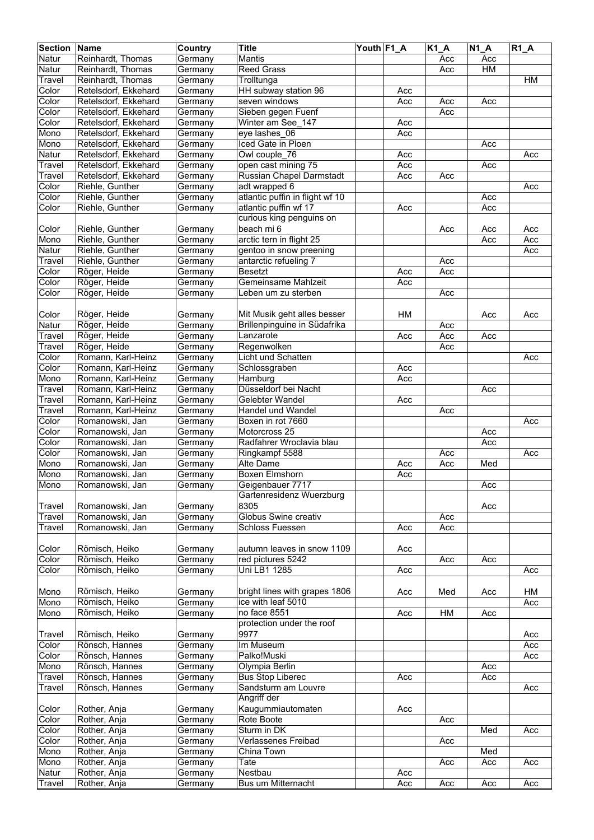| <b>Section Name</b> |                                  | Country            | <b>Title</b>                              | Youth F1_A |     | $K1_A$ | $N1_A$    | $R1_A$ |
|---------------------|----------------------------------|--------------------|-------------------------------------------|------------|-----|--------|-----------|--------|
| Natur               | Reinhardt, Thomas                | Germany            | <b>Mantis</b>                             |            |     | Acc    | Acc       |        |
| Natur               | Reinhardt, Thomas                | Germany            | <b>Reed Grass</b>                         |            |     | Acc    | <b>HM</b> |        |
| Travel              | Reinhardt, Thomas                | Germany            | Trolltunga                                |            |     |        |           | HM     |
| Color               | Retelsdorf, Ekkehard             | Germany            | HH subway station 96                      |            | Acc |        |           |        |
| Color               | Retelsdorf, Ekkehard             | Germany            | seven windows                             |            | Acc | Acc    | Acc       |        |
| Color               | Retelsdorf, Ekkehard             | Germany            | Sieben gegen Fuenf                        |            |     | Acc    |           |        |
| Color               | Retelsdorf, Ekkehard             | Germany            | Winter am See 147                         |            | Acc |        |           |        |
| Mono                | Retelsdorf, Ekkehard             | Germany            | eye lashes 06                             |            | Acc |        |           |        |
| Mono                | Retelsdorf, Ekkehard             | Germany            | Iced Gate in Ploen                        |            |     |        | Acc       |        |
| Natur               | Retelsdorf, Ekkehard             | Germany            | Owl couple 76                             |            | Acc |        |           | Acc    |
| Travel              | Retelsdorf, Ekkehard             | Germany            | open cast mining 75                       |            | Acc |        | Acc       |        |
| Travel              | Retelsdorf, Ekkehard             | Germany            | Russian Chapel Darmstadt                  |            | Acc | Acc    |           |        |
| Color               | Riehle, Gunther                  | Germany            | adt wrapped 6                             |            |     |        |           | Acc    |
| Color               | Riehle, Gunther                  | Germany            | atlantic puffin in flight wf 10           |            |     |        | Acc       |        |
| Color               | Riehle, Gunther                  | Germany            | atlantic puffin wf 17                     |            | Acc |        | Acc       |        |
|                     |                                  |                    | curious king penguins on                  |            |     |        |           |        |
| Color               | Riehle, Gunther                  | Germany            | beach mi 6                                |            |     | Acc    | Acc       | Acc    |
| Mono                | Riehle, Gunther                  | Germany            | arctic tern in flight 25                  |            |     |        | Acc       | Acc    |
| Natur               | Riehle, Gunther                  | Germany            | gentoo in snow preening                   |            |     |        |           | Acc    |
| Travel              | Riehle, Gunther                  | Germany            | antarctic refueling 7                     |            |     | Acc    |           |        |
| Color               | Röger, Heide                     | Germany            | <b>Besetzt</b>                            |            | Acc | Acc    |           |        |
| Color               | Röger, Heide                     | Germany            | Gemeinsame Mahlzeit                       |            | Acc |        |           |        |
| Color               | Röger, Heide                     | Germany            | Leben um zu sterben                       |            |     | Acc    |           |        |
|                     |                                  |                    |                                           |            |     |        |           |        |
| Color               | Röger, Heide                     | Germany            | Mit Musik geht alles besser               |            | HM  |        | Acc       | Acc    |
| Natur               | Röger, Heide                     | Germany            | Brillenpinguine in Südafrika              |            |     | Acc    |           |        |
| Travel              | Röger, Heide                     | Germany            | Lanzarote                                 |            | Acc | Acc    | Acc       |        |
| Travel              | Röger, Heide                     | Germany            | Regenwolken                               |            |     | Acc    |           |        |
| Color               | Romann, Karl-Heinz               | Germany            | Licht und Schatten                        |            |     |        |           | Acc    |
| Color               | Romann, Karl-Heinz               | Germany            | Schlossgraben                             |            | Acc |        |           |        |
| Mono                | Romann, Karl-Heinz               | Germany            | Hamburg                                   |            | Acc |        |           |        |
| Travel              | Romann, Karl-Heinz               | Germany            | Düsseldorf bei Nacht                      |            |     |        | Acc       |        |
| Travel              | Romann, Karl-Heinz               | Germany            | Gelebter Wandel                           |            | Acc |        |           |        |
| Travel              | Romann, Karl-Heinz               | Germany            | Handel und Wandel                         |            |     | Acc    |           |        |
| Color               | Romanowski, Jan                  | Germany            | Boxen in rot 7660                         |            |     |        |           | Acc    |
| Color               | Romanowski, Jan                  | Germany            | Motorcross 25                             |            |     |        | Acc       |        |
| Color               | Romanowski, Jan                  | Germany            | Radfahrer Wroclavia blau                  |            |     |        | Acc       |        |
| Color               | Romanowski, Jan                  | Germany            | Ringkampf 5588                            |            |     | Acc    |           | Acc    |
| Mono                | Romanowski, Jan                  | Germany            | <b>Alte Dame</b>                          |            | Acc | Acc    | Med       |        |
| Mono                | Romanowski, Jan                  | Germany            | <b>Boxen Elmshorn</b>                     |            | Acc |        |           |        |
| Mono                | Romanowski, Jan                  | Germany            | Geigenbauer 7717                          |            |     |        | Acc       |        |
|                     |                                  |                    | Gartenresidenz Wuerzburg                  |            |     |        |           |        |
| Travel              | Romanowski, Jan                  | Germany            | 8305                                      |            |     |        | Acc       |        |
| Travel              | Romanowski, Jan                  | Germany            | Globus Swine creativ                      |            |     | Acc    |           |        |
| Travel              | Romanowski, Jan                  | Germany            | <b>Schloss Fuessen</b>                    |            | Acc | Acc    |           |        |
|                     |                                  |                    |                                           |            |     |        |           |        |
| Color               | Römisch, Heiko                   | Germany            | autumn leaves in snow 1109                |            | Acc |        |           |        |
| Color               | Römisch, Heiko                   | Germany            | red pictures 5242                         |            |     | Acc    | Acc       |        |
| Color               | Römisch, Heiko                   | Germany            | Uni LB1 1285                              |            | Acc |        |           | Acc    |
|                     |                                  |                    |                                           |            |     |        |           |        |
| Mono                | Römisch, Heiko                   | Germany            | bright lines with grapes 1806             |            | Acc | Med    | Acc       | HM     |
| Mono                | Römisch, Heiko                   | Germany            | ice with leaf 5010                        |            |     |        |           | Acc    |
| Mono                | Römisch, Heiko                   | Germany            | no face 8551                              |            | Acc | H M    | Acc       |        |
|                     |                                  |                    | protection under the roof                 |            |     |        |           |        |
| Travel              | Römisch, Heiko                   | Germany            | 9977                                      |            |     |        |           | Acc    |
| Color               | Rönsch, Hannes                   | Germany            | Im Museum                                 |            |     |        |           | Acc    |
| Color               | Rönsch, Hannes                   | Germany            | Palko!Muski                               |            |     |        |           | Acc    |
| Mono<br>Travel      | Rönsch, Hannes<br>Rönsch, Hannes | Germany<br>Germany | Olympia Berlin<br><b>Bus Stop Liberec</b> |            |     |        | Acc       |        |
|                     |                                  |                    |                                           |            | Acc |        | Acc       |        |
| Travel              | Rönsch, Hannes                   | Germany            | Sandsturm am Louvre<br>Angriff der        |            |     |        |           | Acc    |
|                     |                                  |                    |                                           |            |     |        |           |        |
| Color<br>Color      | Rother, Anja<br>Rother, Anja     | Germany            | Kaugummiautomaten<br>Rote Boote           |            | Acc | Acc    |           |        |
| Color               | Rother, Anja                     | Germany<br>Germany | Sturm in DK                               |            |     |        | Med       | Acc    |
| Color               | Rother, Anja                     | Germany            | Verlassenes Freibad                       |            |     | Acc    |           |        |
| Mono                | Rother, Anja                     | Germany            | China Town                                |            |     |        | Med       |        |
| Mono                | Rother, Anja                     | Germany            | Tate                                      |            |     | Acc    | Acc       | Acc    |
| Natur               | Rother, Anja                     | Germany            | Nestbau                                   |            | Acc |        |           |        |
| Travel              | Rother, Anja                     | Germany            | Bus um Mitternacht                        |            | Acc | Acc    | Acc       | Acc    |
|                     |                                  |                    |                                           |            |     |        |           |        |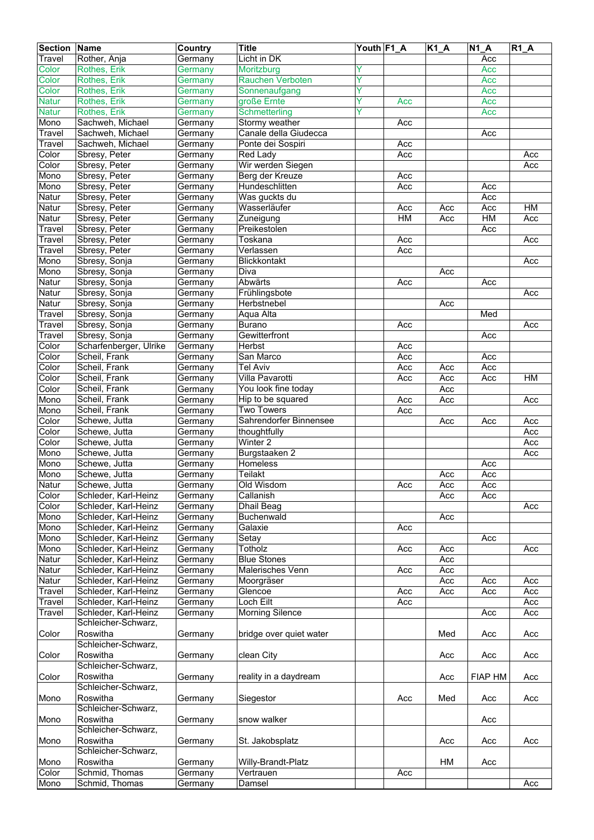| <b>Section</b>       | Name                                  | Country            | <b>Title</b>                         | Youth F1_A |     | $K1_A$     | <b>N1 A</b>    | $RT_A$    |
|----------------------|---------------------------------------|--------------------|--------------------------------------|------------|-----|------------|----------------|-----------|
| Travel               | Rother, Anja                          | Germany            | Licht in DK                          |            |     |            | Acc            |           |
| Color                | Rothes, Erik                          | Germany            | Moritzburg                           | Ÿ          |     |            | Acc            |           |
| Color                | Rothes, Erik                          | Germany            | <b>Rauchen Verboten</b>              | Ÿ          |     |            | Acc            |           |
| Color                | Rothes, Erik                          | Germany            | Sonnenaufgang                        | Ÿ          |     |            | Acc            |           |
| <b>Natur</b>         | Rothes, Erik                          | Germany            | große Ernte                          | Y          | Acc |            | Acc            |           |
| <b>Natur</b>         | Rothes, Erik                          | Germany            | Schmetterling                        | Y          |     |            | Acc            |           |
| Mono                 | Sachweh, Michael                      | Germany            | Stormy weather                       |            | Acc |            |                |           |
| Travel               | Sachweh, Michael                      | Germany            | Canale della Giudecca                |            |     |            | Acc            |           |
| Travel               | Sachweh, Michael                      | Germany            | Ponte dei Sospiri                    |            | Acc |            |                |           |
| Color                | Sbresy, Peter                         | Germany            | Red Lady                             |            | Acc |            |                | Acc       |
| Color<br>Mono        | Sbresy, Peter<br>Sbresy, Peter        | Germany<br>Germany | Wir werden Siegen<br>Berg der Kreuze |            | Acc |            |                | Acc       |
| Mono                 | Sbresy, Peter                         |                    | Hundeschlitten                       |            | Acc |            |                |           |
| Natur                | Sbresy, Peter                         | Germany<br>Germany | Was guckts du                        |            |     |            | Acc<br>Acc     |           |
| Natur                | Sbresy, Peter                         | Germany            | Wasserläufer                         |            | Acc | Acc        | Acc            | HM        |
| Natur                | Sbresy, Peter                         | Germany            | Zuneigung                            |            | H M | Acc        | H M            | Acc       |
| $\overline{T}$ ravel | Sbresy, Peter                         | Germany            | Preikestolen                         |            |     |            | Acc            |           |
| Travel               | Sbresy, Peter                         | Germany            | Toskana                              |            | Acc |            |                | Acc       |
| Travel               | Sbresy, Peter                         | Germany            | Verlassen                            |            | Acc |            |                |           |
| Mono                 | Sbresy, Sonja                         | Germany            | Blickkontakt                         |            |     |            |                | Acc       |
| Mono                 | Sbresy, Sonja                         | Germany            | Diva                                 |            |     | Acc        |                |           |
| Natur                | Sbresy, Sonja                         | Germany            | Abwärts                              |            | Acc |            | Acc            |           |
| Natur                | Sbresy, Sonja                         | Germany            | Frühlingsbote                        |            |     |            |                | Acc       |
| Natur                | Sbresy, Sonja                         | Germany            | Herbstnebel                          |            |     | Acc        |                |           |
| Travel               | Sbresy, Sonja                         | Germany            | Aqua Alta                            |            |     |            | Med            |           |
| Travel               | Sbresy, Sonja                         | Germany            | <b>Burano</b>                        |            | Acc |            |                | Acc       |
| Travel               | Sbresy, Sonja                         | Germany            | Gewitterfront                        |            |     |            | Acc            |           |
| Color                | Scharfenberger, Ulrike                | Germany            | Herbst                               |            | Acc |            |                |           |
| Color                | Scheil, Frank                         | Germany            | San Marco                            |            | Acc |            | Acc            |           |
| Color                | Scheil, Frank                         | Germany            | <b>Tel Aviv</b>                      |            | Acc | Acc        | Acc            |           |
| Color                | Scheil, Frank                         | Germany            | Villa Pavarotti                      |            | Acc | Acc        | Acc            | <b>HM</b> |
| Color                | Scheil, Frank                         | Germany            | You look fine today                  |            |     | Acc        |                |           |
| Mono                 | Scheil, Frank                         | Germany            | Hip to be squared                    |            | Acc | Acc        |                | Acc       |
| Mono                 | Scheil, Frank                         | Germany            | <b>Two Towers</b>                    |            | Acc |            |                |           |
| Color                | Schewe, Jutta                         | Germany            | Sahrendorfer Binnensee               |            |     | Acc        | Acc            | Acc       |
| Color                | Schewe, Jutta                         | Germany            | thoughtfully                         |            |     |            |                | Acc       |
| Color                | Schewe, Jutta                         | Germany            | Winter <sub>2</sub>                  |            |     |            |                | Acc       |
| Mono                 | Schewe, Jutta                         | Germany            | Burgstaaken 2                        |            |     |            |                | Acc       |
| Mono                 | Schewe, Jutta                         | Germany            | Homeless                             |            |     |            | Acc            |           |
| Mono                 | Schewe, Jutta                         | Germany            | Teilakt                              |            |     | Acc        | Acc            |           |
| Natur<br>Color       | Schewe, Jutta<br>Schleder, Karl-Heinz | Germany            | Old Wisdom<br>Callanish              |            | Acc | Acc<br>Acc | Acc<br>Acc     |           |
| Color                | Schleder, Karl-Heinz                  | Germany<br>Germany | Dhail Beag                           |            |     |            |                | Acc       |
| Mono                 | Schleder, Karl-Heinz                  | Germany            | Buchenwald                           |            |     | Acc        |                |           |
| Mono                 | Schleder, Karl-Heinz                  | Germany            | Galaxie                              |            | Acc |            |                |           |
| Mono                 | Schleder, Karl-Heinz                  | Germany            | Setay                                |            |     |            | Acc            |           |
| Mono                 | Schleder, Karl-Heinz                  | Germany            | Totholz                              |            | Acc | Acc        |                | Acc       |
| Natur                | Schleder, Karl-Heinz                  | Germany            | <b>Blue Stones</b>                   |            |     | Acc        |                |           |
| Natur                | Schleder, Karl-Heinz                  | Germany            | Malerisches Venn                     |            | Acc | Acc        |                |           |
| Natur                | Schleder, Karl-Heinz                  | Germany            | Moorgräser                           |            |     | Acc        | Acc            | Acc       |
| Travel               | Schleder, Karl-Heinz                  | Germany            | Glencoe                              |            | Acc | Acc        | Acc            | Acc       |
| Travel               | Schleder, Karl-Heinz                  | Germany            | Loch Eilt                            |            | Acc |            |                | Acc       |
| Travel               | Schleder, Karl-Heinz                  | Germany            | <b>Morning Silence</b>               |            |     |            | Acc            | Acc       |
|                      | Schleicher-Schwarz,                   |                    |                                      |            |     |            |                |           |
| Color                | Roswitha                              | Germany            | bridge over quiet water              |            |     | Med        | Acc            | Acc       |
|                      | Schleicher-Schwarz,                   |                    |                                      |            |     |            |                |           |
| Color                | Roswitha                              | Germany            | clean City                           |            |     | Acc        | Acc            | Acc       |
|                      | Schleicher-Schwarz,                   |                    |                                      |            |     |            |                |           |
| Color                | Roswitha                              | Germany            | reality in a daydream                |            |     | Acc        | <b>FIAP HM</b> | Acc       |
|                      | Schleicher-Schwarz,                   |                    |                                      |            |     |            |                |           |
| Mono                 | Roswitha                              | Germany            | Siegestor                            |            | Acc | Med        | Acc            | Acc       |
|                      | Schleicher-Schwarz,                   |                    |                                      |            |     |            |                |           |
| Mono                 | Roswitha                              | Germany            | snow walker                          |            |     |            | Acc            |           |
|                      | Schleicher-Schwarz,                   |                    |                                      |            |     |            |                |           |
| Mono                 | Roswitha                              | Germany            | St. Jakobsplatz                      |            |     | Acc        | Acc            | Acc       |
|                      | Schleicher-Schwarz,                   |                    |                                      |            |     |            |                |           |
| Mono                 | Roswitha                              | Germany            | Willy-Brandt-Platz                   |            |     | HM         | Acc            |           |
| Color                | Schmid, Thomas                        | Germany            | Vertrauen                            |            | Acc |            |                |           |
| Mono                 | Schmid, Thomas                        | Germany            | Damsel                               |            |     |            |                | Acc       |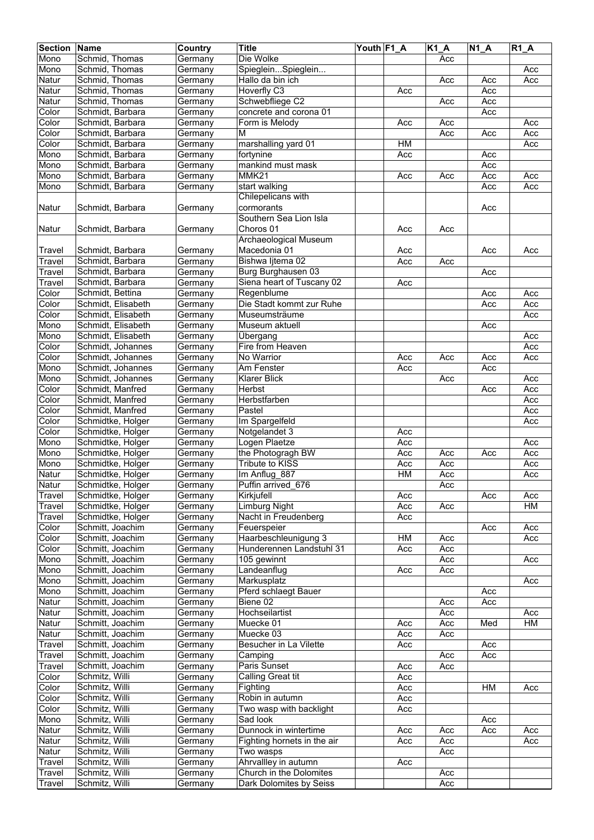| <b>Section</b> | Name                               | Country | <b>Title</b>                | Youth F1_A |           | $K1_A$ | $N1_A$ | $R1_A$ |
|----------------|------------------------------------|---------|-----------------------------|------------|-----------|--------|--------|--------|
| Mono           | Schmid, Thomas                     | Germany | Die Wolke                   |            |           | Acc    |        |        |
| Mono           | Schmid, Thomas                     | Germany | SpiegleinSpieglein          |            |           |        |        | Acc    |
| Natur          | Schmid, Thomas                     | Germany | Hallo da bin ich            |            |           | Acc    | Acc    | Acc    |
| Natur          | Schmid, Thomas                     | Germany | Hoverfly C3                 |            | Acc       |        | Acc    |        |
|                |                                    |         | Schwebfliege C2             |            |           |        | Acc    |        |
| Natur          | Schmid, Thomas<br>Schmidt, Barbara | Germany | concrete and corona 01      |            |           | Acc    |        |        |
| Color          |                                    | Germany |                             |            |           |        | Acc    |        |
| Color          | Schmidt, Barbara                   | Germany | Form is Melody              |            | Acc       | Acc    |        | Acc    |
| Color          | Schmidt, Barbara                   | Germany | М                           |            |           | Acc    | Acc    | Acc    |
| Color          | Schmidt, Barbara                   | Germany | marshalling yard 01         |            | HM        |        |        | Acc    |
| Mono           | Schmidt, Barbara                   | Germany | fortynine                   |            | Acc       |        | Acc    |        |
| Mono           | Schmidt, Barbara                   | Germany | mankind must mask           |            |           |        | Acc    |        |
| Mono           | Schmidt, Barbara                   | Germany | MMK21                       |            | Acc       | Acc    | Acc    | Acc    |
| Mono           | Schmidt, Barbara                   | Germany | start walking               |            |           |        | Acc    | Acc    |
|                |                                    |         | Chilepelicans with          |            |           |        |        |        |
| Natur          | Schmidt, Barbara                   | Germany | cormorants                  |            |           |        | Acc    |        |
|                |                                    |         | Southern Sea Lion Isla      |            |           |        |        |        |
| Natur          | Schmidt, Barbara                   | Germany | Choros 01                   |            | Acc       | Acc    |        |        |
|                |                                    |         | Archaeological Museum       |            |           |        |        |        |
| Travel         | Schmidt, Barbara                   | Germany | Macedonia 01                |            | Acc       |        | Acc    | Acc    |
|                |                                    |         |                             |            |           |        |        |        |
| Travel         | Schmidt, Barbara                   | Germany | Bishwa ljtema 02            |            | Acc       | Acc    |        |        |
| Travel         | Schmidt, Barbara                   | Germany | Burg Burghausen 03          |            |           |        | Acc    |        |
| Travel         | Schmidt, Barbara                   | Germany | Siena heart of Tuscany 02   |            | Acc       |        |        |        |
| Color          | Schmidt, Bettina                   | Germany | Regenblume                  |            |           |        | Acc    | Acc    |
| Color          | Schmidt, Elisabeth                 | Germany | Die Stadt kommt zur Ruhe    |            |           |        | Acc    | Acc    |
| Color          | Schmidt, Elisabeth                 | Germany | Museumsträume               |            |           |        |        | Acc    |
| Mono           | Schmidt, Elisabeth                 | Germany | Museum aktuell              |            |           |        | Acc    |        |
| Mono           | Schmidt, Elisabeth                 | Germany | Übergang                    |            |           |        |        | Acc    |
| Color          | Schmidt, Johannes                  | Germany | Fire from Heaven            |            |           |        |        | Acc    |
| Color          | Schmidt, Johannes                  | Germany | No Warrior                  |            | Acc       | Acc    | Acc    | Acc    |
| Mono           | Schmidt, Johannes                  | Germany | Am Fenster                  |            | Acc       |        | Acc    |        |
| Mono           | Schmidt, Johannes                  | Germany | <b>Klarer Blick</b>         |            |           | Acc    |        | Acc    |
| Color          | Schmidt, Manfred                   | Germany | Herbst                      |            |           |        | Acc    | Acc    |
| Color          | Schmidt, Manfred                   | Germany | Herbstfarben                |            |           |        |        | Acc    |
|                | Schmidt, Manfred                   |         | Pastel                      |            |           |        |        |        |
| Color          |                                    | Germany |                             |            |           |        |        | Acc    |
| Color          | Schmidtke, Holger                  | Germany | Im Spargelfeld              |            |           |        |        | Acc    |
| Color          | Schmidtke, Holger                  | Germany | Notgelandet 3               |            | Acc       |        |        |        |
| Mono           | Schmidtke, Holger                  | Germany | Logen Plaetze               |            | Acc       |        |        | Acc    |
| Mono           | Schmidtke, Holger                  | Germany | the Photogragh BW           |            | Acc       | Acc    | Acc    | Acc    |
| Mono           | Schmidtke, Holger                  | Germany | <b>Tribute to KISS</b>      |            | Acc       | Acc    |        | Acc    |
| Natur          | Schmidtke, Holger                  | Germany | Im Anflug 887               |            | <b>HM</b> | Acc    |        | Acc    |
| Natur          | Schmidtke, Holger                  | Germany | Puffin arrived_676          |            |           | Acc    |        |        |
| Travel         | Schmidtke, Holger                  | Germany | Kirkjufell                  |            | Acc       |        | Acc    | Acc    |
| Travel         | Schmidtke, Holger                  | Germany | Limburg Night               |            | Acc       | Acc    |        | НM     |
| Travel         | Schmidtke, Holger                  | Germany | Nacht in Freudenberg        |            | Acc       |        |        |        |
| Color          | Schmitt, Joachim                   | Germany | Feuerspeier                 |            |           |        | Acc    | Acc    |
| Color          | Schmitt, Joachim                   | Germany | Haarbeschleunigung 3        |            | HM        | Acc    |        | Acc    |
| Color          | Schmitt, Joachim                   | Germany | Hunderennen Landstuhl 31    |            | Acc       | Acc    |        |        |
| Mono           | Schmitt, Joachim                   | Germany | 105 gewinnt                 |            |           | Acc    |        | Acc    |
| Mono           | Schmitt, Joachim                   | Germany | Landeanflug                 |            | Acc       | Acc    |        |        |
| Mono           | Schmitt, Joachim                   | Germany | Markusplatz                 |            |           |        |        | Acc    |
| Mono           | Schmitt, Joachim                   | Germany | Pferd schlaegt Bauer        |            |           |        | Acc    |        |
| Natur          | Schmitt, Joachim                   | Germany | Biene 02                    |            |           | Acc    | Acc    |        |
|                |                                    |         |                             |            |           |        |        |        |
| Natur          | Schmitt, Joachim                   | Germany | Hochseilartist              |            |           | Acc    |        | Acc    |
| Natur          | Schmitt, Joachim                   | Germany | Muecke 01                   |            | Acc       | Acc    | Med    | HM     |
| Natur          | Schmitt, Joachim                   | Germany | Muecke 03                   |            | Acc       | Acc    |        |        |
| Travel         | Schmitt, Joachim                   | Germany | Besucher in La Vilette      |            | Acc       |        | Acc    |        |
| Travel         | Schmitt, Joachim                   | Germany | Camping                     |            |           | Acc    | Acc    |        |
| Travel         | Schmitt, Joachim                   | Germany | Paris Sunset                |            | Acc       | Acc    |        |        |
| Color          | Schmitz, Willi                     | Germany | Calling Great tit           |            | Acc       |        |        |        |
| Color          | Schmitz, Willi                     | Germany | Fighting                    |            | Acc       |        | HM     | Acc    |
| Color          | Schmitz, Willi                     | Germany | Robin in autumn             |            | Acc       |        |        |        |
| Color          | Schmitz, Willi                     | Germany | Two wasp with backlight     |            | Acc       |        |        |        |
| Mono           | Schmitz, Willi                     | Germany | Sad look                    |            |           |        | Acc    |        |
| Natur          | Schmitz, Willi                     | Germany | Dunnock in wintertime       |            | Acc       | Acc    | Acc    | Acc    |
| Natur          | Schmitz, Willi                     | Germany | Fighting hornets in the air |            | Acc       | Acc    |        | Acc    |
| Natur          | Schmitz, Willi                     | Germany | Two wasps                   |            |           | Acc    |        |        |
| Travel         | Schmitz, Willi                     | Germany | Ahrvallley in autumn        |            | Acc       |        |        |        |
| Travel         | Schmitz, Willi                     | Germany | Church in the Dolomites     |            |           | Acc    |        |        |
|                |                                    |         |                             |            |           |        |        |        |
| Travel         | Schmitz, Willi                     | Germany | Dark Dolomites by Seiss     |            |           | Acc    |        |        |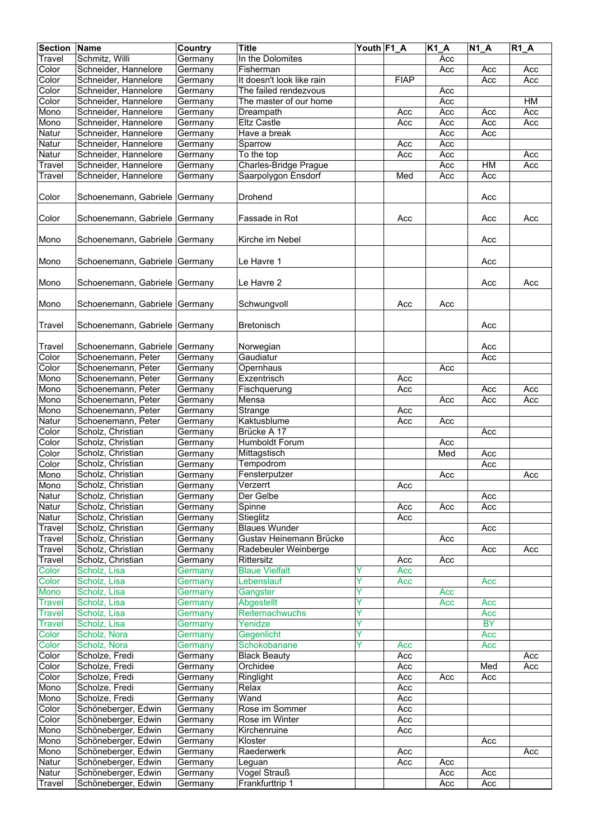| <b>Section</b> | Name                          | <b>Country</b> | <b>Title</b>              | Youth F1 A |                  | $K1_A$           | $\overline{N1}A$ | $R1_A$ |
|----------------|-------------------------------|----------------|---------------------------|------------|------------------|------------------|------------------|--------|
| Travel         | Schmitz, Willi                | Germany        | In the Dolomites          |            |                  | Acc              |                  |        |
| Color          | Schneider, Hannelore          | Germany        | Fisherman                 |            |                  | Acc              | Acc              | Acc    |
| Color          | Schneider, Hannelore          | Germany        | It doesn't look like rain |            | <b>FIAP</b>      |                  | Acc              | Acc    |
| Color          | Schneider, Hannelore          | Germany        | The failed rendezvous     |            |                  | Acc              |                  |        |
| Color          | Schneider, Hannelore          |                | The master of our home    |            |                  | Acc              |                  | HM     |
|                |                               | Germany        |                           |            |                  |                  |                  |        |
| Mono           | Schneider, Hannelore          | Germany        | Dreampath                 |            | Acc              | Acc              | Acc              | Acc    |
| Mono           | Schneider, Hannelore          | Germany        | <b>Eltz Castle</b>        |            | Acc              | Acc              | Acc              | Acc    |
| Natur          | Schneider, Hannelore          | Germany        | Have a break              |            |                  | Acc              | Acc              |        |
| Natur          | Schneider, Hannelore          | Germany        | Sparrow                   |            | Acc              | Acc              |                  |        |
| Natur          | Schneider, Hannelore          | Germany        | To the top                |            | $\overline{Acc}$ | Acc              |                  | Acc    |
| Travel         | Schneider, Hannelore          | Germany        | Charles-Bridge Prague     |            |                  | Acc              | HM               | Acc    |
| Travel         | Schneider, Hannelore          | Germany        | Saarpolygon Ensdorf       |            | Med              | Acc              | Acc              |        |
|                |                               |                |                           |            |                  |                  |                  |        |
| Color          | Schoenemann, Gabriele         | Germany        | Drohend                   |            |                  |                  | Acc              |        |
|                |                               |                |                           |            |                  |                  |                  |        |
| Color          | Schoenemann, Gabriele Germany |                | Fassade in Rot            |            | Acc              |                  | Acc              | Acc    |
|                |                               |                |                           |            |                  |                  |                  |        |
| Mono           | Schoenemann, Gabriele Germany |                | Kirche im Nebel           |            |                  |                  | Acc              |        |
|                |                               |                |                           |            |                  |                  |                  |        |
| Mono           | Schoenemann, Gabriele Germany |                | Le Havre 1                |            |                  |                  | Acc              |        |
|                |                               |                |                           |            |                  |                  |                  |        |
|                |                               |                |                           |            |                  |                  |                  |        |
| Mono           | Schoenemann, Gabriele Germany |                | Le Havre 2                |            |                  |                  | Acc              | Acc    |
|                |                               |                |                           |            |                  |                  |                  |        |
| Mono           | Schoenemann, Gabriele Germany |                | Schwungvoll               |            | Acc              | Acc              |                  |        |
|                |                               |                |                           |            |                  |                  |                  |        |
| Travel         | Schoenemann, Gabriele Germany |                | <b>Bretonisch</b>         |            |                  |                  | Acc              |        |
|                |                               |                |                           |            |                  |                  |                  |        |
| Travel         | Schoenemann, Gabriele         | Germany        | Norwegian                 |            |                  |                  | Acc              |        |
| Color          | Schoenemann, Peter            | Germany        | Gaudiatur                 |            |                  |                  | Acc              |        |
| Color          | Schoenemann, Peter            | Germany        | Opernhaus                 |            |                  | Acc              |                  |        |
| Mono           | Schoenemann, Peter            | Germany        | Exzentrisch               |            | Acc              |                  |                  |        |
| Mono           | Schoenemann, Peter            | Germany        | Fischquerung              |            | Acc              |                  | Acc              | Acc    |
| Mono           | Schoenemann, Peter            | Germany        | Mensa                     |            |                  | $\overline{Acc}$ | Acc              | Acc    |
| Mono           | Schoenemann, Peter            | Germany        | Strange                   |            | Acc              |                  |                  |        |
|                |                               |                |                           |            |                  |                  |                  |        |
| Natur          | Schoenemann, Peter            | Germany        | Kaktusblume               |            | Acc              | Acc              |                  |        |
| Color          | Scholz, Christian             | Germany        | Brücke A 17               |            |                  |                  | Acc              |        |
| Color          | Scholz, Christian             | Germany        | Humboldt Forum            |            |                  | Acc              |                  |        |
| Color          | Scholz, Christian             | Germany        | Mittagstisch              |            |                  | Med              | Acc              |        |
| Color          | Scholz, Christian             | Germany        | Tempodrom                 |            |                  |                  | Acc              |        |
| Mono           | Scholz, Christian             | Germany        | Fensterputzer             |            |                  | Acc              |                  | Acc    |
| Mono           | Scholz, Christian             | Germany        | Verzerrt                  |            | Acc              |                  |                  |        |
| Natur          | Scholz, Christian             | Germany        | Der Gelbe                 |            |                  |                  | Acc              |        |
| Natur          | Scholz, Christian             | Germany        | Spinne                    |            | Acc              | Acc              | Acc              |        |
| Natur          | Scholz, Christian             | Germany        | Stieglitz                 |            | Acc              |                  |                  |        |
| Travel         | Scholz, Christian             | Germany        | <b>Blaues Wunder</b>      |            |                  |                  | Acc              |        |
| Travel         | Scholz, Christian             | Germany        | Gustav Heinemann Brücke   |            |                  | Acc              |                  |        |
| Travel         | Scholz, Christian             | Germany        | Radebeuler Weinberge      |            |                  |                  | Acc              | Acc    |
| Travel         | Scholz, Christian             | Germany        | Rittersitz                |            | Acc              | Acc              |                  |        |
| Color          | Scholz, Lisa                  | Germany        | <b>Blaue Vielfalt</b>     | Ÿ          | Acc              |                  |                  |        |
| Color          | Scholz, Lisa                  | Germany        | Lebenslauf                | Ÿ          | Acc              |                  | Acc              |        |
| Mono           | Scholz, Lisa                  | Germany        | Gangster                  | Ÿ          |                  | Acc              |                  |        |
| Travel         | Scholz, Lisa                  | Germany        | Abgestellt                | Y          |                  | Acc              | Acc              |        |
| Travel         | Scholz, Lisa                  | Germany        | Reiternachwuchs           | Ý          |                  |                  | Acc              |        |
|                | Scholz, Lisa                  |                | Yenidze                   | Ÿ          |                  |                  | <b>BY</b>        |        |
| Travel         |                               | Germany        |                           | Y          |                  |                  |                  |        |
| Color          | Scholz, Nora                  | Germany        | Gegenlicht                |            |                  |                  | Acc              |        |
| Color          | Scholz, Nora                  | Germany        | Schokobanane              | Y          | Acc              |                  | Acc              |        |
| Color          | Scholze, Fredi                | Germany        | <b>Black Beauty</b>       |            | Acc              |                  |                  | Acc    |
| Color          | Scholze, Fredi                | Germany        | Orchidee                  |            | Acc              |                  | Med              | Acc    |
| Color          | Scholze, Fredi                | Germany        | Ringlight                 |            | Acc              | Acc              | Acc              |        |
| Mono           | Scholze, Fredi                | Germany        | Relax                     |            | Acc              |                  |                  |        |
| Mono           | Scholze, Fredi                | Germany        | Wand                      |            | Acc              |                  |                  |        |
| Color          | Schöneberger, Edwin           | Germany        | Rose im Sommer            |            | Acc              |                  |                  |        |
| Color          | Schöneberger, Edwin           | Germany        | Rose im Winter            |            | Acc              |                  |                  |        |
| Mono           | Schöneberger, Edwin           | Germany        | Kirchenruine              |            | Acc              |                  |                  |        |
| Mono           | Schöneberger, Edwin           | Germany        | Kloster                   |            |                  |                  | Acc              |        |
| Mono           | Schöneberger, Edwin           | Germany        | Raederwerk                |            | Acc              |                  |                  | Acc    |
| Natur          | Schöneberger, Edwin           | Germany        | Leguan                    |            | Acc              | Acc              |                  |        |
| Natur          | Schöneberger, Edwin           | Germany        | Vogel Strauß              |            |                  | Acc              | Acc              |        |
| Travel         | Schöneberger, Edwin           | Germany        | Frankfurttrip 1           |            |                  | Acc              | Acc              |        |
|                |                               |                |                           |            |                  |                  |                  |        |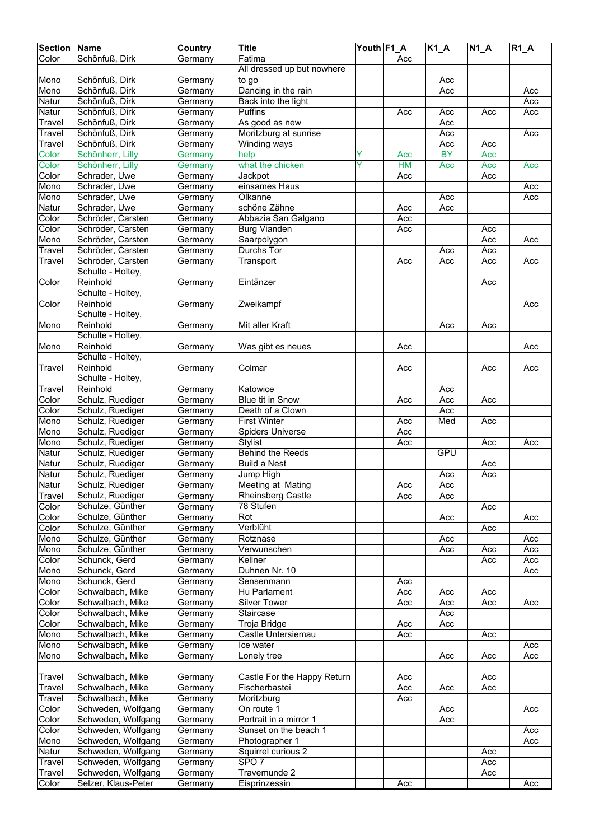| <b>Section Name</b> |                     | Country | <b>Title</b>                | Youth F1 A |           | $K1_A$    | $N1_A$ | $R1_A$ |
|---------------------|---------------------|---------|-----------------------------|------------|-----------|-----------|--------|--------|
| Color               | Schönfuß, Dirk      | Germany | Fatima                      |            | Acc       |           |        |        |
|                     |                     |         | All dressed up but nowhere  |            |           |           |        |        |
| Mono                | Schönfuß, Dirk      | Germany | to go                       |            |           | Acc       |        |        |
| Mono                | Schönfuß, Dirk      | Germany | Dancing in the rain         |            |           | Acc       |        | Acc    |
| Natur               | Schönfuß, Dirk      | Germany | Back into the light         |            |           |           |        | Acc    |
| Natur               | Schönfuß, Dirk      | Germany | Puffins                     |            | Acc       | Acc       | Acc    | Acc    |
| Travel              | Schönfuß, Dirk      | Germany | As good as new              |            |           | Acc       |        |        |
| Travel              | Schönfuß, Dirk      | Germany | Moritzburg at sunrise       |            |           | Acc       |        | Acc    |
| Travel              | Schönfuß, Dirk      | Germany | <b>Winding ways</b>         |            |           | Acc       | Acc    |        |
| Color               | Schönherr, Lilly    | Germany | help                        | Y          | Acc       | <b>BY</b> | Acc    |        |
| Color               | Schönherr, Lilly    | Germany | what the chicken            | ٧          | <b>HM</b> | Acc       | Acc    | Acc    |
| Color               | Schrader, Uwe       | Germany | Jackpot                     |            | Acc       |           | Acc    |        |
| Mono                | Schrader, Uwe       | Germany | einsames Haus               |            |           |           |        | Acc    |
| Mono                | Schrader, Uwe       | Germany | Ölkanne                     |            |           | Acc       |        | Acc    |
| Natur               | Schrader, Uwe       | Germany | schöne Zähne                |            | Acc       | Acc       |        |        |
| Color               | Schröder, Carsten   | Germany | Abbazia San Galgano         |            | Acc       |           |        |        |
| Color               | Schröder, Carsten   | Germany | <b>Burg Vianden</b>         |            | Acc       |           | Acc    |        |
| Mono                | Schröder, Carsten   | Germany | Saarpolygon                 |            |           |           | Acc    | Acc    |
| Travel              | Schröder, Carsten   | Germany | Durchs Tor                  |            |           | Acc       | Acc    |        |
| Travel              | Schröder, Carsten   | Germany | Transport                   |            | Acc       | Acc       | Acc    | Acc    |
|                     | Schulte - Holtey,   |         |                             |            |           |           |        |        |
| Color               | Reinhold            | Germany | Eintänzer                   |            |           |           | Acc    |        |
|                     | Schulte - Holtey,   |         |                             |            |           |           |        |        |
| Color               | Reinhold            | Germany | Zweikampf                   |            |           |           |        | Acc    |
|                     | Schulte - Holtey,   |         |                             |            |           |           |        |        |
| Mono                | Reinhold            | Germany | Mit aller Kraft             |            |           | Acc       | Acc    |        |
|                     | Schulte - Holtey,   |         |                             |            |           |           |        |        |
| Mono                | Reinhold            | Germany | Was gibt es neues           |            | Acc       |           |        | Acc    |
|                     | Schulte - Holtey,   |         |                             |            |           |           |        |        |
| Travel              | Reinhold            | Germany | Colmar                      |            | Acc       |           | Acc    | Acc    |
|                     | Schulte - Holtey,   |         |                             |            |           |           |        |        |
| Travel              | Reinhold            | Germany | Katowice                    |            |           | Acc       |        |        |
| Color               | Schulz, Ruediger    | Germany | <b>Blue tit in Snow</b>     |            | Acc       | Acc       | Acc    |        |
| Color               | Schulz, Ruediger    | Germany | Death of a Clown            |            |           | Acc       |        |        |
| Mono                | Schulz, Ruediger    | Germany | <b>First Winter</b>         |            | Acc       | Med       | Acc    |        |
| Mono                | Schulz, Ruediger    | Germany | Spiders Universe            |            | Acc       |           |        |        |
| Mono                | Schulz, Ruediger    | Germany | <b>Stylist</b>              |            | Acc       |           | Acc    | Acc    |
| Natur               | Schulz, Ruediger    | Germany | <b>Behind the Reeds</b>     |            |           | GPU       |        |        |
| Natur               | Schulz, Ruediger    | Germany | <b>Build a Nest</b>         |            |           |           | Acc    |        |
| Natur               | Schulz, Ruediger    | Germany | Jump High                   |            |           | Acc       | Acc    |        |
| <b>Natur</b>        | Schulz, Ruediger    | Germanv | Meeting at Mating           |            | Acc       | Acc       |        |        |
| Travel              | Schulz, Ruediger    | Germany | <b>Rheinsberg Castle</b>    |            | Acc       | Acc       |        |        |
| Color               | Schulze, Günther    | Germany | 78 Stufen                   |            |           |           | Acc    |        |
| Color               | Schulze, Günther    | Germany | Rot                         |            |           | Acc       |        | Acc    |
| Color               | Schulze, Günther    | Germany | Verblüht                    |            |           |           | Acc    |        |
| Mono                | Schulze, Günther    | Germany | Rotznase                    |            |           | Acc       |        | Acc    |
| Mono                | Schulze, Günther    | Germany | Verwunschen                 |            |           | Acc       | Acc    | Acc    |
| Color               | Schunck, Gerd       | Germany | Kellner                     |            |           |           | Acc    | Acc    |
| Mono                | Schunck, Gerd       | Germany | Duhnen Nr. 10               |            |           |           |        | Acc    |
| Mono                | Schunck, Gerd       | Germany | Sensenmann                  |            | Acc       |           |        |        |
| Color               | Schwalbach, Mike    | Germany | Hu Parlament                |            | Acc       | Acc       | Acc    |        |
| Color               | Schwalbach, Mike    | Germany | <b>Silver Tower</b>         |            | Acc       | Acc       | Acc    | Acc    |
| Color               | Schwalbach, Mike    | Germany | Staircase                   |            |           | Acc       |        |        |
| Color               | Schwalbach, Mike    | Germany | Troja Bridge                |            | Acc       | Acc       |        |        |
| Mono                | Schwalbach, Mike    | Germany | Castle Untersiemau          |            | Acc       |           | Acc    |        |
| Mono                | Schwalbach, Mike    | Germany | Ice water                   |            |           |           |        | Acc    |
| Mono                | Schwalbach, Mike    | Germany | Lonely tree                 |            |           | Acc       | Acc    | Acc    |
|                     |                     |         |                             |            |           |           |        |        |
| Travel              | Schwalbach, Mike    | Germany | Castle For the Happy Return |            | Acc       |           | Acc    |        |
| Travel              | Schwalbach, Mike    | Germany | Fischerbastei               |            | Acc       | Acc       | Acc    |        |
| Travel              | Schwalbach, Mike    | Germany | Moritzburg                  |            | Acc       |           |        |        |
| Color               | Schweden, Wolfgang  | Germany | On route 1                  |            |           | Acc       |        | Acc    |
| Color               | Schweden, Wolfgang  | Germany | Portrait in a mirror 1      |            |           | Acc       |        |        |
| Color               | Schweden, Wolfgang  | Germany | Sunset on the beach 1       |            |           |           |        | Acc    |
| Mono                | Schweden, Wolfgang  | Germany | Photographer 1              |            |           |           |        | Acc    |
| Natur               | Schweden, Wolfgang  | Germany | Squirrel curious 2          |            |           |           | Acc    |        |
| Travel              | Schweden, Wolfgang  | Germany | SPO <sub>7</sub>            |            |           |           | Acc    |        |
| Travel              | Schweden, Wolfgang  | Germany | Travemunde 2                |            |           |           | Acc    |        |
| Color               | Selzer, Klaus-Peter | Germany | Eisprinzessin               |            | Acc       |           |        | Acc    |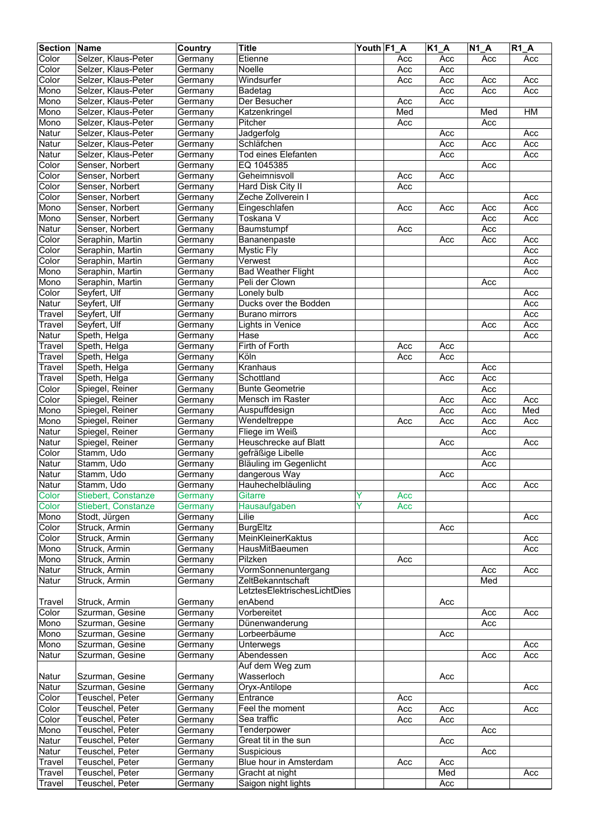| Color<br>Selzer, Klaus-Peter<br>Etienne<br>Germany<br>Acc<br>Acc<br>Acc<br>Acc<br>Color<br>Selzer, Klaus-Peter<br>Noelle<br>Acc<br>Germany<br>Acc<br>Color<br>Selzer, Klaus-Peter<br>Windsurfer<br>Acc<br>Acc<br>Acc<br>Acc<br>Germany<br>Mono<br>Selzer, Klaus-Peter<br>Badetag<br>Acc<br>Acc<br>Acc<br>Germany<br>Selzer, Klaus-Peter<br>Mono<br>Der Besucher<br>Acc<br>Acc<br>Germany<br>Med<br>Selzer, Klaus-Peter<br>H M<br>Mono<br>Katzenkringel<br>Med<br>Germany<br>Selzer, Klaus-Peter<br>Pitcher<br>Mono<br>Acc<br>Acc<br>Germany<br>Natur<br>Selzer, Klaus-Peter<br>Jadgerfolg<br>Acc<br>Germany<br>Acc<br>Selzer, Klaus-Peter<br>Acc<br>Natur<br>Schläfchen<br>Acc<br>Germany<br>Acc<br>Selzer, Klaus-Peter<br><b>Tod eines Elefanten</b><br>Acc<br>Acc<br>Natur<br>Germany<br>Color<br>Senser, Norbert<br>Germany<br>EQ 1045385<br>Acc<br>Color<br>Senser, Norbert<br>Geheimnisvoll<br>Acc<br>Acc<br>Germany<br>Color<br>Senser, Norbert<br>Acc<br>Germany<br>Hard Disk City II<br>Zeche Zollverein I<br>Color<br>Senser, Norbert<br>Acc<br>Germany<br>Senser, Norbert<br>Eingeschlafen<br>Acc<br>Mono<br>Germany<br>Acc<br>Acc<br>Acc<br>Senser, Norbert<br>Toskana V<br>Acc<br>Acc<br>Mono<br>Germany<br>Natur<br>Senser, Norbert<br>Baumstumpf<br>Acc<br>Acc<br>Germany<br>Color<br>Seraphin, Martin<br>Acc<br>Germany<br>Bananenpaste<br>Acc<br>Acc<br>Color<br>Seraphin, Martin<br>Acc<br><b>Mystic Fly</b><br>Germany<br>Color<br>Seraphin, Martin<br>Verwest<br>Acc<br>Germany<br>Seraphin, Martin<br>Mono<br><b>Bad Weather Flight</b><br>Acc<br>Germany<br>Mono<br>Seraphin, Martin<br>Peli der Clown<br>Acc<br>Germany<br>Color<br>Seyfert, Ulf<br>Lonely bulb<br>Germany<br>Acc<br>Seyfert, Ulf<br>Ducks over the Bodden<br>Acc<br>Natur<br>Germany<br>Seyfert, Ulf<br>Germany<br>Acc<br>Travel<br><b>Burano mirrors</b><br>Travel<br>Seyfert, Ulf<br><b>Lights in Venice</b><br>Acc<br>Germany<br>Acc<br>Natur<br>Hase<br>Speth, Helga<br>Acc<br>Germany<br>Firth of Forth<br>Acc<br>Acc<br>Travel<br>Speth, Helga<br>Germany<br>Köln<br>Speth, Helga<br>Travel<br>Germany<br>Acc<br>Acc<br>Kranhaus<br>Speth, Helga<br>Acc<br>Travel<br>Germany<br>Schottland<br>Acc<br>Speth, Helga<br>Travel<br>Germany<br>Acc<br>Color<br>Spiegel, Reiner<br><b>Bunte Geometrie</b><br>Acc<br>Germany<br>Spiegel, Reiner<br>Mensch im Raster<br>Color<br>Acc<br>Acc<br>Acc<br>Germany<br>Med<br>Mono<br>Spiegel, Reiner<br>Auspuffdesign<br>Acc<br>Acc<br>Germany<br>Spiegel, Reiner<br>Wendeltreppe<br>Mono<br>Acc<br>Acc<br>Acc<br>Germany<br>Acc<br>Natur<br>Spiegel, Reiner<br>Fliege im Weiß<br>Acc<br>Germany<br>Spiegel, Reiner<br>Heuschrecke auf Blatt<br>Natur<br>Germany<br>Acc<br>Acc<br>Color<br>Stamm, Udo<br>gefräßige Libelle<br>Acc<br>Germany<br>Stamm, Udo<br><b>Bläuling im Gegenlicht</b><br>Acc<br>Germany<br>Stamm, Udo<br>dangerous Way<br>Germany<br>Acc<br>Stamm, Udo<br>Natur<br>Hauhechelbläuling<br>Germany<br>Acc<br>Acc<br>Color<br><b>Gitarre</b><br>Y<br>Stiebert, Constanze<br>Acc<br>Germany<br>Ÿ<br>Stiebert, Constanze<br>Hausaufgaben<br>Color<br>Germany<br>Acc<br>Lilie<br>Mono<br>Stodt, Jürgen<br>Germany<br>Acc<br>Color<br>Struck, Armin<br><b>BurgEltz</b><br>Germany<br>Acc<br>MeinKleinerKaktus<br>Color<br>Struck, Armin<br>Germany<br>Acc<br><b>HausMitBaeumen</b><br>Struck, Armin<br>Acc<br>Mono<br>Germany<br>Pilzken<br>Mono<br>Struck, Armin<br>Germany<br>Acc<br>Natur<br>Struck, Armin<br>VormSonnenuntergang<br>Acc<br>Germany<br>Acc<br>ZeltBekanntschaft<br>Med<br>Natur<br>Struck, Armin<br>Germany<br>LetztesElektrischesLichtDies<br>Struck, Armin<br>enAbend<br>Travel<br>Germany<br>Acc<br>Color<br>Szurman, Gesine<br>Vorbereitet<br>Germany<br>Acc<br>Acc<br>Mono<br>Szurman, Gesine<br>Dünenwanderung<br>Germany<br>Acc<br>Szurman, Gesine<br>Lorbeerbäume<br>Mono<br>Germany<br>Acc<br>Mono<br>Szurman, Gesine<br><b>Unterwegs</b><br>Germany<br>Acc<br>Szurman, Gesine<br>Abendessen<br>Natur<br>Acc<br>Germany<br>Acc<br>Auf dem Weg zum<br>Wasserloch<br>Szurman, Gesine<br>Germany<br>Acc<br>Natur<br>Natur<br>Szurman, Gesine<br>Oryx-Antilope<br>Germany<br>Acc<br>Teuschel, Peter<br>Entrance<br>Color<br>Germany<br>Acc<br>Feel the moment<br>Color<br>Teuschel, Peter<br>Acc<br>Acc<br>Acc<br>Germany<br>Sea traffic<br>Teuschel, Peter<br>Color<br>Germany<br>Acc<br>Acc<br>Teuschel, Peter<br>Tenderpower<br>Mono<br>Germany<br>Acc<br>Teuschel, Peter<br>Great tit in the sun<br>Natur<br>Germany<br>Acc<br>Natur<br>Teuschel, Peter<br>Germany<br>Suspicious<br>Acc<br>Teuschel, Peter<br>Blue hour in Amsterdam<br>Germany<br>Acc<br>Travel<br>Acc<br>Travel<br>Teuschel, Peter<br>Gracht at night<br>Med<br>Germany<br>Acc<br>Teuschel, Peter<br>Saigon night lights<br>Acc<br>Travel<br>Germany | <b>Section</b> | Name | Country | <b>Title</b> | Youth F1 A | $K1_A$ | <b>N1 A</b> | <b>R1 A</b> |
|--------------------------------------------------------------------------------------------------------------------------------------------------------------------------------------------------------------------------------------------------------------------------------------------------------------------------------------------------------------------------------------------------------------------------------------------------------------------------------------------------------------------------------------------------------------------------------------------------------------------------------------------------------------------------------------------------------------------------------------------------------------------------------------------------------------------------------------------------------------------------------------------------------------------------------------------------------------------------------------------------------------------------------------------------------------------------------------------------------------------------------------------------------------------------------------------------------------------------------------------------------------------------------------------------------------------------------------------------------------------------------------------------------------------------------------------------------------------------------------------------------------------------------------------------------------------------------------------------------------------------------------------------------------------------------------------------------------------------------------------------------------------------------------------------------------------------------------------------------------------------------------------------------------------------------------------------------------------------------------------------------------------------------------------------------------------------------------------------------------------------------------------------------------------------------------------------------------------------------------------------------------------------------------------------------------------------------------------------------------------------------------------------------------------------------------------------------------------------------------------------------------------------------------------------------------------------------------------------------------------------------------------------------------------------------------------------------------------------------------------------------------------------------------------------------------------------------------------------------------------------------------------------------------------------------------------------------------------------------------------------------------------------------------------------------------------------------------------------------------------------------------------------------------------------------------------------------------------------------------------------------------------------------------------------------------------------------------------------------------------------------------------------------------------------------------------------------------------------------------------------------------------------------------------------------------------------------------------------------------------------------------------------------------------------------------------------------------------------------------------------------------------------------------------------------------------------------------------------------------------------------------------------------------------------------------------------------------------------------------------------------------------------------------------------------------------------------------------------------------------------------------------------------------------------------------------------------------------------------------------------------------------------------------------------------------------------------------------------------------------------------------------------------------------------------------------------------------------------------------------------------------------------------------------------------------------------------------------------------------------------------------------------------------------------------------------------------------------------------------------------------------------------------------------------|----------------|------|---------|--------------|------------|--------|-------------|-------------|
|                                                                                                                                                                                                                                                                                                                                                                                                                                                                                                                                                                                                                                                                                                                                                                                                                                                                                                                                                                                                                                                                                                                                                                                                                                                                                                                                                                                                                                                                                                                                                                                                                                                                                                                                                                                                                                                                                                                                                                                                                                                                                                                                                                                                                                                                                                                                                                                                                                                                                                                                                                                                                                                                                                                                                                                                                                                                                                                                                                                                                                                                                                                                                                                                                                                                                                                                                                                                                                                                                                                                                                                                                                                                                                                                                                                                                                                                                                                                                                                                                                                                                                                                                                                                                                                                                                                                                                                                                                                                                                                                                                                                                                                                                                                                                                                                  |                |      |         |              |            |        |             |             |
|                                                                                                                                                                                                                                                                                                                                                                                                                                                                                                                                                                                                                                                                                                                                                                                                                                                                                                                                                                                                                                                                                                                                                                                                                                                                                                                                                                                                                                                                                                                                                                                                                                                                                                                                                                                                                                                                                                                                                                                                                                                                                                                                                                                                                                                                                                                                                                                                                                                                                                                                                                                                                                                                                                                                                                                                                                                                                                                                                                                                                                                                                                                                                                                                                                                                                                                                                                                                                                                                                                                                                                                                                                                                                                                                                                                                                                                                                                                                                                                                                                                                                                                                                                                                                                                                                                                                                                                                                                                                                                                                                                                                                                                                                                                                                                                                  |                |      |         |              |            |        |             |             |
|                                                                                                                                                                                                                                                                                                                                                                                                                                                                                                                                                                                                                                                                                                                                                                                                                                                                                                                                                                                                                                                                                                                                                                                                                                                                                                                                                                                                                                                                                                                                                                                                                                                                                                                                                                                                                                                                                                                                                                                                                                                                                                                                                                                                                                                                                                                                                                                                                                                                                                                                                                                                                                                                                                                                                                                                                                                                                                                                                                                                                                                                                                                                                                                                                                                                                                                                                                                                                                                                                                                                                                                                                                                                                                                                                                                                                                                                                                                                                                                                                                                                                                                                                                                                                                                                                                                                                                                                                                                                                                                                                                                                                                                                                                                                                                                                  |                |      |         |              |            |        |             |             |
|                                                                                                                                                                                                                                                                                                                                                                                                                                                                                                                                                                                                                                                                                                                                                                                                                                                                                                                                                                                                                                                                                                                                                                                                                                                                                                                                                                                                                                                                                                                                                                                                                                                                                                                                                                                                                                                                                                                                                                                                                                                                                                                                                                                                                                                                                                                                                                                                                                                                                                                                                                                                                                                                                                                                                                                                                                                                                                                                                                                                                                                                                                                                                                                                                                                                                                                                                                                                                                                                                                                                                                                                                                                                                                                                                                                                                                                                                                                                                                                                                                                                                                                                                                                                                                                                                                                                                                                                                                                                                                                                                                                                                                                                                                                                                                                                  |                |      |         |              |            |        |             |             |
|                                                                                                                                                                                                                                                                                                                                                                                                                                                                                                                                                                                                                                                                                                                                                                                                                                                                                                                                                                                                                                                                                                                                                                                                                                                                                                                                                                                                                                                                                                                                                                                                                                                                                                                                                                                                                                                                                                                                                                                                                                                                                                                                                                                                                                                                                                                                                                                                                                                                                                                                                                                                                                                                                                                                                                                                                                                                                                                                                                                                                                                                                                                                                                                                                                                                                                                                                                                                                                                                                                                                                                                                                                                                                                                                                                                                                                                                                                                                                                                                                                                                                                                                                                                                                                                                                                                                                                                                                                                                                                                                                                                                                                                                                                                                                                                                  |                |      |         |              |            |        |             |             |
|                                                                                                                                                                                                                                                                                                                                                                                                                                                                                                                                                                                                                                                                                                                                                                                                                                                                                                                                                                                                                                                                                                                                                                                                                                                                                                                                                                                                                                                                                                                                                                                                                                                                                                                                                                                                                                                                                                                                                                                                                                                                                                                                                                                                                                                                                                                                                                                                                                                                                                                                                                                                                                                                                                                                                                                                                                                                                                                                                                                                                                                                                                                                                                                                                                                                                                                                                                                                                                                                                                                                                                                                                                                                                                                                                                                                                                                                                                                                                                                                                                                                                                                                                                                                                                                                                                                                                                                                                                                                                                                                                                                                                                                                                                                                                                                                  |                |      |         |              |            |        |             |             |
|                                                                                                                                                                                                                                                                                                                                                                                                                                                                                                                                                                                                                                                                                                                                                                                                                                                                                                                                                                                                                                                                                                                                                                                                                                                                                                                                                                                                                                                                                                                                                                                                                                                                                                                                                                                                                                                                                                                                                                                                                                                                                                                                                                                                                                                                                                                                                                                                                                                                                                                                                                                                                                                                                                                                                                                                                                                                                                                                                                                                                                                                                                                                                                                                                                                                                                                                                                                                                                                                                                                                                                                                                                                                                                                                                                                                                                                                                                                                                                                                                                                                                                                                                                                                                                                                                                                                                                                                                                                                                                                                                                                                                                                                                                                                                                                                  |                |      |         |              |            |        |             |             |
|                                                                                                                                                                                                                                                                                                                                                                                                                                                                                                                                                                                                                                                                                                                                                                                                                                                                                                                                                                                                                                                                                                                                                                                                                                                                                                                                                                                                                                                                                                                                                                                                                                                                                                                                                                                                                                                                                                                                                                                                                                                                                                                                                                                                                                                                                                                                                                                                                                                                                                                                                                                                                                                                                                                                                                                                                                                                                                                                                                                                                                                                                                                                                                                                                                                                                                                                                                                                                                                                                                                                                                                                                                                                                                                                                                                                                                                                                                                                                                                                                                                                                                                                                                                                                                                                                                                                                                                                                                                                                                                                                                                                                                                                                                                                                                                                  |                |      |         |              |            |        |             |             |
|                                                                                                                                                                                                                                                                                                                                                                                                                                                                                                                                                                                                                                                                                                                                                                                                                                                                                                                                                                                                                                                                                                                                                                                                                                                                                                                                                                                                                                                                                                                                                                                                                                                                                                                                                                                                                                                                                                                                                                                                                                                                                                                                                                                                                                                                                                                                                                                                                                                                                                                                                                                                                                                                                                                                                                                                                                                                                                                                                                                                                                                                                                                                                                                                                                                                                                                                                                                                                                                                                                                                                                                                                                                                                                                                                                                                                                                                                                                                                                                                                                                                                                                                                                                                                                                                                                                                                                                                                                                                                                                                                                                                                                                                                                                                                                                                  |                |      |         |              |            |        |             |             |
|                                                                                                                                                                                                                                                                                                                                                                                                                                                                                                                                                                                                                                                                                                                                                                                                                                                                                                                                                                                                                                                                                                                                                                                                                                                                                                                                                                                                                                                                                                                                                                                                                                                                                                                                                                                                                                                                                                                                                                                                                                                                                                                                                                                                                                                                                                                                                                                                                                                                                                                                                                                                                                                                                                                                                                                                                                                                                                                                                                                                                                                                                                                                                                                                                                                                                                                                                                                                                                                                                                                                                                                                                                                                                                                                                                                                                                                                                                                                                                                                                                                                                                                                                                                                                                                                                                                                                                                                                                                                                                                                                                                                                                                                                                                                                                                                  |                |      |         |              |            |        |             |             |
|                                                                                                                                                                                                                                                                                                                                                                                                                                                                                                                                                                                                                                                                                                                                                                                                                                                                                                                                                                                                                                                                                                                                                                                                                                                                                                                                                                                                                                                                                                                                                                                                                                                                                                                                                                                                                                                                                                                                                                                                                                                                                                                                                                                                                                                                                                                                                                                                                                                                                                                                                                                                                                                                                                                                                                                                                                                                                                                                                                                                                                                                                                                                                                                                                                                                                                                                                                                                                                                                                                                                                                                                                                                                                                                                                                                                                                                                                                                                                                                                                                                                                                                                                                                                                                                                                                                                                                                                                                                                                                                                                                                                                                                                                                                                                                                                  |                |      |         |              |            |        |             |             |
|                                                                                                                                                                                                                                                                                                                                                                                                                                                                                                                                                                                                                                                                                                                                                                                                                                                                                                                                                                                                                                                                                                                                                                                                                                                                                                                                                                                                                                                                                                                                                                                                                                                                                                                                                                                                                                                                                                                                                                                                                                                                                                                                                                                                                                                                                                                                                                                                                                                                                                                                                                                                                                                                                                                                                                                                                                                                                                                                                                                                                                                                                                                                                                                                                                                                                                                                                                                                                                                                                                                                                                                                                                                                                                                                                                                                                                                                                                                                                                                                                                                                                                                                                                                                                                                                                                                                                                                                                                                                                                                                                                                                                                                                                                                                                                                                  |                |      |         |              |            |        |             |             |
|                                                                                                                                                                                                                                                                                                                                                                                                                                                                                                                                                                                                                                                                                                                                                                                                                                                                                                                                                                                                                                                                                                                                                                                                                                                                                                                                                                                                                                                                                                                                                                                                                                                                                                                                                                                                                                                                                                                                                                                                                                                                                                                                                                                                                                                                                                                                                                                                                                                                                                                                                                                                                                                                                                                                                                                                                                                                                                                                                                                                                                                                                                                                                                                                                                                                                                                                                                                                                                                                                                                                                                                                                                                                                                                                                                                                                                                                                                                                                                                                                                                                                                                                                                                                                                                                                                                                                                                                                                                                                                                                                                                                                                                                                                                                                                                                  |                |      |         |              |            |        |             |             |
|                                                                                                                                                                                                                                                                                                                                                                                                                                                                                                                                                                                                                                                                                                                                                                                                                                                                                                                                                                                                                                                                                                                                                                                                                                                                                                                                                                                                                                                                                                                                                                                                                                                                                                                                                                                                                                                                                                                                                                                                                                                                                                                                                                                                                                                                                                                                                                                                                                                                                                                                                                                                                                                                                                                                                                                                                                                                                                                                                                                                                                                                                                                                                                                                                                                                                                                                                                                                                                                                                                                                                                                                                                                                                                                                                                                                                                                                                                                                                                                                                                                                                                                                                                                                                                                                                                                                                                                                                                                                                                                                                                                                                                                                                                                                                                                                  |                |      |         |              |            |        |             |             |
|                                                                                                                                                                                                                                                                                                                                                                                                                                                                                                                                                                                                                                                                                                                                                                                                                                                                                                                                                                                                                                                                                                                                                                                                                                                                                                                                                                                                                                                                                                                                                                                                                                                                                                                                                                                                                                                                                                                                                                                                                                                                                                                                                                                                                                                                                                                                                                                                                                                                                                                                                                                                                                                                                                                                                                                                                                                                                                                                                                                                                                                                                                                                                                                                                                                                                                                                                                                                                                                                                                                                                                                                                                                                                                                                                                                                                                                                                                                                                                                                                                                                                                                                                                                                                                                                                                                                                                                                                                                                                                                                                                                                                                                                                                                                                                                                  |                |      |         |              |            |        |             |             |
|                                                                                                                                                                                                                                                                                                                                                                                                                                                                                                                                                                                                                                                                                                                                                                                                                                                                                                                                                                                                                                                                                                                                                                                                                                                                                                                                                                                                                                                                                                                                                                                                                                                                                                                                                                                                                                                                                                                                                                                                                                                                                                                                                                                                                                                                                                                                                                                                                                                                                                                                                                                                                                                                                                                                                                                                                                                                                                                                                                                                                                                                                                                                                                                                                                                                                                                                                                                                                                                                                                                                                                                                                                                                                                                                                                                                                                                                                                                                                                                                                                                                                                                                                                                                                                                                                                                                                                                                                                                                                                                                                                                                                                                                                                                                                                                                  |                |      |         |              |            |        |             |             |
|                                                                                                                                                                                                                                                                                                                                                                                                                                                                                                                                                                                                                                                                                                                                                                                                                                                                                                                                                                                                                                                                                                                                                                                                                                                                                                                                                                                                                                                                                                                                                                                                                                                                                                                                                                                                                                                                                                                                                                                                                                                                                                                                                                                                                                                                                                                                                                                                                                                                                                                                                                                                                                                                                                                                                                                                                                                                                                                                                                                                                                                                                                                                                                                                                                                                                                                                                                                                                                                                                                                                                                                                                                                                                                                                                                                                                                                                                                                                                                                                                                                                                                                                                                                                                                                                                                                                                                                                                                                                                                                                                                                                                                                                                                                                                                                                  |                |      |         |              |            |        |             |             |
|                                                                                                                                                                                                                                                                                                                                                                                                                                                                                                                                                                                                                                                                                                                                                                                                                                                                                                                                                                                                                                                                                                                                                                                                                                                                                                                                                                                                                                                                                                                                                                                                                                                                                                                                                                                                                                                                                                                                                                                                                                                                                                                                                                                                                                                                                                                                                                                                                                                                                                                                                                                                                                                                                                                                                                                                                                                                                                                                                                                                                                                                                                                                                                                                                                                                                                                                                                                                                                                                                                                                                                                                                                                                                                                                                                                                                                                                                                                                                                                                                                                                                                                                                                                                                                                                                                                                                                                                                                                                                                                                                                                                                                                                                                                                                                                                  |                |      |         |              |            |        |             |             |
|                                                                                                                                                                                                                                                                                                                                                                                                                                                                                                                                                                                                                                                                                                                                                                                                                                                                                                                                                                                                                                                                                                                                                                                                                                                                                                                                                                                                                                                                                                                                                                                                                                                                                                                                                                                                                                                                                                                                                                                                                                                                                                                                                                                                                                                                                                                                                                                                                                                                                                                                                                                                                                                                                                                                                                                                                                                                                                                                                                                                                                                                                                                                                                                                                                                                                                                                                                                                                                                                                                                                                                                                                                                                                                                                                                                                                                                                                                                                                                                                                                                                                                                                                                                                                                                                                                                                                                                                                                                                                                                                                                                                                                                                                                                                                                                                  |                |      |         |              |            |        |             |             |
|                                                                                                                                                                                                                                                                                                                                                                                                                                                                                                                                                                                                                                                                                                                                                                                                                                                                                                                                                                                                                                                                                                                                                                                                                                                                                                                                                                                                                                                                                                                                                                                                                                                                                                                                                                                                                                                                                                                                                                                                                                                                                                                                                                                                                                                                                                                                                                                                                                                                                                                                                                                                                                                                                                                                                                                                                                                                                                                                                                                                                                                                                                                                                                                                                                                                                                                                                                                                                                                                                                                                                                                                                                                                                                                                                                                                                                                                                                                                                                                                                                                                                                                                                                                                                                                                                                                                                                                                                                                                                                                                                                                                                                                                                                                                                                                                  |                |      |         |              |            |        |             |             |
|                                                                                                                                                                                                                                                                                                                                                                                                                                                                                                                                                                                                                                                                                                                                                                                                                                                                                                                                                                                                                                                                                                                                                                                                                                                                                                                                                                                                                                                                                                                                                                                                                                                                                                                                                                                                                                                                                                                                                                                                                                                                                                                                                                                                                                                                                                                                                                                                                                                                                                                                                                                                                                                                                                                                                                                                                                                                                                                                                                                                                                                                                                                                                                                                                                                                                                                                                                                                                                                                                                                                                                                                                                                                                                                                                                                                                                                                                                                                                                                                                                                                                                                                                                                                                                                                                                                                                                                                                                                                                                                                                                                                                                                                                                                                                                                                  |                |      |         |              |            |        |             |             |
|                                                                                                                                                                                                                                                                                                                                                                                                                                                                                                                                                                                                                                                                                                                                                                                                                                                                                                                                                                                                                                                                                                                                                                                                                                                                                                                                                                                                                                                                                                                                                                                                                                                                                                                                                                                                                                                                                                                                                                                                                                                                                                                                                                                                                                                                                                                                                                                                                                                                                                                                                                                                                                                                                                                                                                                                                                                                                                                                                                                                                                                                                                                                                                                                                                                                                                                                                                                                                                                                                                                                                                                                                                                                                                                                                                                                                                                                                                                                                                                                                                                                                                                                                                                                                                                                                                                                                                                                                                                                                                                                                                                                                                                                                                                                                                                                  |                |      |         |              |            |        |             |             |
|                                                                                                                                                                                                                                                                                                                                                                                                                                                                                                                                                                                                                                                                                                                                                                                                                                                                                                                                                                                                                                                                                                                                                                                                                                                                                                                                                                                                                                                                                                                                                                                                                                                                                                                                                                                                                                                                                                                                                                                                                                                                                                                                                                                                                                                                                                                                                                                                                                                                                                                                                                                                                                                                                                                                                                                                                                                                                                                                                                                                                                                                                                                                                                                                                                                                                                                                                                                                                                                                                                                                                                                                                                                                                                                                                                                                                                                                                                                                                                                                                                                                                                                                                                                                                                                                                                                                                                                                                                                                                                                                                                                                                                                                                                                                                                                                  |                |      |         |              |            |        |             |             |
|                                                                                                                                                                                                                                                                                                                                                                                                                                                                                                                                                                                                                                                                                                                                                                                                                                                                                                                                                                                                                                                                                                                                                                                                                                                                                                                                                                                                                                                                                                                                                                                                                                                                                                                                                                                                                                                                                                                                                                                                                                                                                                                                                                                                                                                                                                                                                                                                                                                                                                                                                                                                                                                                                                                                                                                                                                                                                                                                                                                                                                                                                                                                                                                                                                                                                                                                                                                                                                                                                                                                                                                                                                                                                                                                                                                                                                                                                                                                                                                                                                                                                                                                                                                                                                                                                                                                                                                                                                                                                                                                                                                                                                                                                                                                                                                                  |                |      |         |              |            |        |             |             |
|                                                                                                                                                                                                                                                                                                                                                                                                                                                                                                                                                                                                                                                                                                                                                                                                                                                                                                                                                                                                                                                                                                                                                                                                                                                                                                                                                                                                                                                                                                                                                                                                                                                                                                                                                                                                                                                                                                                                                                                                                                                                                                                                                                                                                                                                                                                                                                                                                                                                                                                                                                                                                                                                                                                                                                                                                                                                                                                                                                                                                                                                                                                                                                                                                                                                                                                                                                                                                                                                                                                                                                                                                                                                                                                                                                                                                                                                                                                                                                                                                                                                                                                                                                                                                                                                                                                                                                                                                                                                                                                                                                                                                                                                                                                                                                                                  |                |      |         |              |            |        |             |             |
|                                                                                                                                                                                                                                                                                                                                                                                                                                                                                                                                                                                                                                                                                                                                                                                                                                                                                                                                                                                                                                                                                                                                                                                                                                                                                                                                                                                                                                                                                                                                                                                                                                                                                                                                                                                                                                                                                                                                                                                                                                                                                                                                                                                                                                                                                                                                                                                                                                                                                                                                                                                                                                                                                                                                                                                                                                                                                                                                                                                                                                                                                                                                                                                                                                                                                                                                                                                                                                                                                                                                                                                                                                                                                                                                                                                                                                                                                                                                                                                                                                                                                                                                                                                                                                                                                                                                                                                                                                                                                                                                                                                                                                                                                                                                                                                                  |                |      |         |              |            |        |             |             |
|                                                                                                                                                                                                                                                                                                                                                                                                                                                                                                                                                                                                                                                                                                                                                                                                                                                                                                                                                                                                                                                                                                                                                                                                                                                                                                                                                                                                                                                                                                                                                                                                                                                                                                                                                                                                                                                                                                                                                                                                                                                                                                                                                                                                                                                                                                                                                                                                                                                                                                                                                                                                                                                                                                                                                                                                                                                                                                                                                                                                                                                                                                                                                                                                                                                                                                                                                                                                                                                                                                                                                                                                                                                                                                                                                                                                                                                                                                                                                                                                                                                                                                                                                                                                                                                                                                                                                                                                                                                                                                                                                                                                                                                                                                                                                                                                  |                |      |         |              |            |        |             |             |
|                                                                                                                                                                                                                                                                                                                                                                                                                                                                                                                                                                                                                                                                                                                                                                                                                                                                                                                                                                                                                                                                                                                                                                                                                                                                                                                                                                                                                                                                                                                                                                                                                                                                                                                                                                                                                                                                                                                                                                                                                                                                                                                                                                                                                                                                                                                                                                                                                                                                                                                                                                                                                                                                                                                                                                                                                                                                                                                                                                                                                                                                                                                                                                                                                                                                                                                                                                                                                                                                                                                                                                                                                                                                                                                                                                                                                                                                                                                                                                                                                                                                                                                                                                                                                                                                                                                                                                                                                                                                                                                                                                                                                                                                                                                                                                                                  |                |      |         |              |            |        |             |             |
|                                                                                                                                                                                                                                                                                                                                                                                                                                                                                                                                                                                                                                                                                                                                                                                                                                                                                                                                                                                                                                                                                                                                                                                                                                                                                                                                                                                                                                                                                                                                                                                                                                                                                                                                                                                                                                                                                                                                                                                                                                                                                                                                                                                                                                                                                                                                                                                                                                                                                                                                                                                                                                                                                                                                                                                                                                                                                                                                                                                                                                                                                                                                                                                                                                                                                                                                                                                                                                                                                                                                                                                                                                                                                                                                                                                                                                                                                                                                                                                                                                                                                                                                                                                                                                                                                                                                                                                                                                                                                                                                                                                                                                                                                                                                                                                                  |                |      |         |              |            |        |             |             |
|                                                                                                                                                                                                                                                                                                                                                                                                                                                                                                                                                                                                                                                                                                                                                                                                                                                                                                                                                                                                                                                                                                                                                                                                                                                                                                                                                                                                                                                                                                                                                                                                                                                                                                                                                                                                                                                                                                                                                                                                                                                                                                                                                                                                                                                                                                                                                                                                                                                                                                                                                                                                                                                                                                                                                                                                                                                                                                                                                                                                                                                                                                                                                                                                                                                                                                                                                                                                                                                                                                                                                                                                                                                                                                                                                                                                                                                                                                                                                                                                                                                                                                                                                                                                                                                                                                                                                                                                                                                                                                                                                                                                                                                                                                                                                                                                  |                |      |         |              |            |        |             |             |
|                                                                                                                                                                                                                                                                                                                                                                                                                                                                                                                                                                                                                                                                                                                                                                                                                                                                                                                                                                                                                                                                                                                                                                                                                                                                                                                                                                                                                                                                                                                                                                                                                                                                                                                                                                                                                                                                                                                                                                                                                                                                                                                                                                                                                                                                                                                                                                                                                                                                                                                                                                                                                                                                                                                                                                                                                                                                                                                                                                                                                                                                                                                                                                                                                                                                                                                                                                                                                                                                                                                                                                                                                                                                                                                                                                                                                                                                                                                                                                                                                                                                                                                                                                                                                                                                                                                                                                                                                                                                                                                                                                                                                                                                                                                                                                                                  |                |      |         |              |            |        |             |             |
|                                                                                                                                                                                                                                                                                                                                                                                                                                                                                                                                                                                                                                                                                                                                                                                                                                                                                                                                                                                                                                                                                                                                                                                                                                                                                                                                                                                                                                                                                                                                                                                                                                                                                                                                                                                                                                                                                                                                                                                                                                                                                                                                                                                                                                                                                                                                                                                                                                                                                                                                                                                                                                                                                                                                                                                                                                                                                                                                                                                                                                                                                                                                                                                                                                                                                                                                                                                                                                                                                                                                                                                                                                                                                                                                                                                                                                                                                                                                                                                                                                                                                                                                                                                                                                                                                                                                                                                                                                                                                                                                                                                                                                                                                                                                                                                                  |                |      |         |              |            |        |             |             |
|                                                                                                                                                                                                                                                                                                                                                                                                                                                                                                                                                                                                                                                                                                                                                                                                                                                                                                                                                                                                                                                                                                                                                                                                                                                                                                                                                                                                                                                                                                                                                                                                                                                                                                                                                                                                                                                                                                                                                                                                                                                                                                                                                                                                                                                                                                                                                                                                                                                                                                                                                                                                                                                                                                                                                                                                                                                                                                                                                                                                                                                                                                                                                                                                                                                                                                                                                                                                                                                                                                                                                                                                                                                                                                                                                                                                                                                                                                                                                                                                                                                                                                                                                                                                                                                                                                                                                                                                                                                                                                                                                                                                                                                                                                                                                                                                  |                |      |         |              |            |        |             |             |
|                                                                                                                                                                                                                                                                                                                                                                                                                                                                                                                                                                                                                                                                                                                                                                                                                                                                                                                                                                                                                                                                                                                                                                                                                                                                                                                                                                                                                                                                                                                                                                                                                                                                                                                                                                                                                                                                                                                                                                                                                                                                                                                                                                                                                                                                                                                                                                                                                                                                                                                                                                                                                                                                                                                                                                                                                                                                                                                                                                                                                                                                                                                                                                                                                                                                                                                                                                                                                                                                                                                                                                                                                                                                                                                                                                                                                                                                                                                                                                                                                                                                                                                                                                                                                                                                                                                                                                                                                                                                                                                                                                                                                                                                                                                                                                                                  |                |      |         |              |            |        |             |             |
|                                                                                                                                                                                                                                                                                                                                                                                                                                                                                                                                                                                                                                                                                                                                                                                                                                                                                                                                                                                                                                                                                                                                                                                                                                                                                                                                                                                                                                                                                                                                                                                                                                                                                                                                                                                                                                                                                                                                                                                                                                                                                                                                                                                                                                                                                                                                                                                                                                                                                                                                                                                                                                                                                                                                                                                                                                                                                                                                                                                                                                                                                                                                                                                                                                                                                                                                                                                                                                                                                                                                                                                                                                                                                                                                                                                                                                                                                                                                                                                                                                                                                                                                                                                                                                                                                                                                                                                                                                                                                                                                                                                                                                                                                                                                                                                                  |                |      |         |              |            |        |             |             |
|                                                                                                                                                                                                                                                                                                                                                                                                                                                                                                                                                                                                                                                                                                                                                                                                                                                                                                                                                                                                                                                                                                                                                                                                                                                                                                                                                                                                                                                                                                                                                                                                                                                                                                                                                                                                                                                                                                                                                                                                                                                                                                                                                                                                                                                                                                                                                                                                                                                                                                                                                                                                                                                                                                                                                                                                                                                                                                                                                                                                                                                                                                                                                                                                                                                                                                                                                                                                                                                                                                                                                                                                                                                                                                                                                                                                                                                                                                                                                                                                                                                                                                                                                                                                                                                                                                                                                                                                                                                                                                                                                                                                                                                                                                                                                                                                  |                |      |         |              |            |        |             |             |
|                                                                                                                                                                                                                                                                                                                                                                                                                                                                                                                                                                                                                                                                                                                                                                                                                                                                                                                                                                                                                                                                                                                                                                                                                                                                                                                                                                                                                                                                                                                                                                                                                                                                                                                                                                                                                                                                                                                                                                                                                                                                                                                                                                                                                                                                                                                                                                                                                                                                                                                                                                                                                                                                                                                                                                                                                                                                                                                                                                                                                                                                                                                                                                                                                                                                                                                                                                                                                                                                                                                                                                                                                                                                                                                                                                                                                                                                                                                                                                                                                                                                                                                                                                                                                                                                                                                                                                                                                                                                                                                                                                                                                                                                                                                                                                                                  |                |      |         |              |            |        |             |             |
|                                                                                                                                                                                                                                                                                                                                                                                                                                                                                                                                                                                                                                                                                                                                                                                                                                                                                                                                                                                                                                                                                                                                                                                                                                                                                                                                                                                                                                                                                                                                                                                                                                                                                                                                                                                                                                                                                                                                                                                                                                                                                                                                                                                                                                                                                                                                                                                                                                                                                                                                                                                                                                                                                                                                                                                                                                                                                                                                                                                                                                                                                                                                                                                                                                                                                                                                                                                                                                                                                                                                                                                                                                                                                                                                                                                                                                                                                                                                                                                                                                                                                                                                                                                                                                                                                                                                                                                                                                                                                                                                                                                                                                                                                                                                                                                                  |                |      |         |              |            |        |             |             |
|                                                                                                                                                                                                                                                                                                                                                                                                                                                                                                                                                                                                                                                                                                                                                                                                                                                                                                                                                                                                                                                                                                                                                                                                                                                                                                                                                                                                                                                                                                                                                                                                                                                                                                                                                                                                                                                                                                                                                                                                                                                                                                                                                                                                                                                                                                                                                                                                                                                                                                                                                                                                                                                                                                                                                                                                                                                                                                                                                                                                                                                                                                                                                                                                                                                                                                                                                                                                                                                                                                                                                                                                                                                                                                                                                                                                                                                                                                                                                                                                                                                                                                                                                                                                                                                                                                                                                                                                                                                                                                                                                                                                                                                                                                                                                                                                  |                |      |         |              |            |        |             |             |
|                                                                                                                                                                                                                                                                                                                                                                                                                                                                                                                                                                                                                                                                                                                                                                                                                                                                                                                                                                                                                                                                                                                                                                                                                                                                                                                                                                                                                                                                                                                                                                                                                                                                                                                                                                                                                                                                                                                                                                                                                                                                                                                                                                                                                                                                                                                                                                                                                                                                                                                                                                                                                                                                                                                                                                                                                                                                                                                                                                                                                                                                                                                                                                                                                                                                                                                                                                                                                                                                                                                                                                                                                                                                                                                                                                                                                                                                                                                                                                                                                                                                                                                                                                                                                                                                                                                                                                                                                                                                                                                                                                                                                                                                                                                                                                                                  |                |      |         |              |            |        |             |             |
|                                                                                                                                                                                                                                                                                                                                                                                                                                                                                                                                                                                                                                                                                                                                                                                                                                                                                                                                                                                                                                                                                                                                                                                                                                                                                                                                                                                                                                                                                                                                                                                                                                                                                                                                                                                                                                                                                                                                                                                                                                                                                                                                                                                                                                                                                                                                                                                                                                                                                                                                                                                                                                                                                                                                                                                                                                                                                                                                                                                                                                                                                                                                                                                                                                                                                                                                                                                                                                                                                                                                                                                                                                                                                                                                                                                                                                                                                                                                                                                                                                                                                                                                                                                                                                                                                                                                                                                                                                                                                                                                                                                                                                                                                                                                                                                                  | Natur          |      |         |              |            |        |             |             |
|                                                                                                                                                                                                                                                                                                                                                                                                                                                                                                                                                                                                                                                                                                                                                                                                                                                                                                                                                                                                                                                                                                                                                                                                                                                                                                                                                                                                                                                                                                                                                                                                                                                                                                                                                                                                                                                                                                                                                                                                                                                                                                                                                                                                                                                                                                                                                                                                                                                                                                                                                                                                                                                                                                                                                                                                                                                                                                                                                                                                                                                                                                                                                                                                                                                                                                                                                                                                                                                                                                                                                                                                                                                                                                                                                                                                                                                                                                                                                                                                                                                                                                                                                                                                                                                                                                                                                                                                                                                                                                                                                                                                                                                                                                                                                                                                  | Natur          |      |         |              |            |        |             |             |
|                                                                                                                                                                                                                                                                                                                                                                                                                                                                                                                                                                                                                                                                                                                                                                                                                                                                                                                                                                                                                                                                                                                                                                                                                                                                                                                                                                                                                                                                                                                                                                                                                                                                                                                                                                                                                                                                                                                                                                                                                                                                                                                                                                                                                                                                                                                                                                                                                                                                                                                                                                                                                                                                                                                                                                                                                                                                                                                                                                                                                                                                                                                                                                                                                                                                                                                                                                                                                                                                                                                                                                                                                                                                                                                                                                                                                                                                                                                                                                                                                                                                                                                                                                                                                                                                                                                                                                                                                                                                                                                                                                                                                                                                                                                                                                                                  |                |      |         |              |            |        |             |             |
|                                                                                                                                                                                                                                                                                                                                                                                                                                                                                                                                                                                                                                                                                                                                                                                                                                                                                                                                                                                                                                                                                                                                                                                                                                                                                                                                                                                                                                                                                                                                                                                                                                                                                                                                                                                                                                                                                                                                                                                                                                                                                                                                                                                                                                                                                                                                                                                                                                                                                                                                                                                                                                                                                                                                                                                                                                                                                                                                                                                                                                                                                                                                                                                                                                                                                                                                                                                                                                                                                                                                                                                                                                                                                                                                                                                                                                                                                                                                                                                                                                                                                                                                                                                                                                                                                                                                                                                                                                                                                                                                                                                                                                                                                                                                                                                                  |                |      |         |              |            |        |             |             |
|                                                                                                                                                                                                                                                                                                                                                                                                                                                                                                                                                                                                                                                                                                                                                                                                                                                                                                                                                                                                                                                                                                                                                                                                                                                                                                                                                                                                                                                                                                                                                                                                                                                                                                                                                                                                                                                                                                                                                                                                                                                                                                                                                                                                                                                                                                                                                                                                                                                                                                                                                                                                                                                                                                                                                                                                                                                                                                                                                                                                                                                                                                                                                                                                                                                                                                                                                                                                                                                                                                                                                                                                                                                                                                                                                                                                                                                                                                                                                                                                                                                                                                                                                                                                                                                                                                                                                                                                                                                                                                                                                                                                                                                                                                                                                                                                  |                |      |         |              |            |        |             |             |
|                                                                                                                                                                                                                                                                                                                                                                                                                                                                                                                                                                                                                                                                                                                                                                                                                                                                                                                                                                                                                                                                                                                                                                                                                                                                                                                                                                                                                                                                                                                                                                                                                                                                                                                                                                                                                                                                                                                                                                                                                                                                                                                                                                                                                                                                                                                                                                                                                                                                                                                                                                                                                                                                                                                                                                                                                                                                                                                                                                                                                                                                                                                                                                                                                                                                                                                                                                                                                                                                                                                                                                                                                                                                                                                                                                                                                                                                                                                                                                                                                                                                                                                                                                                                                                                                                                                                                                                                                                                                                                                                                                                                                                                                                                                                                                                                  |                |      |         |              |            |        |             |             |
|                                                                                                                                                                                                                                                                                                                                                                                                                                                                                                                                                                                                                                                                                                                                                                                                                                                                                                                                                                                                                                                                                                                                                                                                                                                                                                                                                                                                                                                                                                                                                                                                                                                                                                                                                                                                                                                                                                                                                                                                                                                                                                                                                                                                                                                                                                                                                                                                                                                                                                                                                                                                                                                                                                                                                                                                                                                                                                                                                                                                                                                                                                                                                                                                                                                                                                                                                                                                                                                                                                                                                                                                                                                                                                                                                                                                                                                                                                                                                                                                                                                                                                                                                                                                                                                                                                                                                                                                                                                                                                                                                                                                                                                                                                                                                                                                  |                |      |         |              |            |        |             |             |
|                                                                                                                                                                                                                                                                                                                                                                                                                                                                                                                                                                                                                                                                                                                                                                                                                                                                                                                                                                                                                                                                                                                                                                                                                                                                                                                                                                                                                                                                                                                                                                                                                                                                                                                                                                                                                                                                                                                                                                                                                                                                                                                                                                                                                                                                                                                                                                                                                                                                                                                                                                                                                                                                                                                                                                                                                                                                                                                                                                                                                                                                                                                                                                                                                                                                                                                                                                                                                                                                                                                                                                                                                                                                                                                                                                                                                                                                                                                                                                                                                                                                                                                                                                                                                                                                                                                                                                                                                                                                                                                                                                                                                                                                                                                                                                                                  |                |      |         |              |            |        |             |             |
|                                                                                                                                                                                                                                                                                                                                                                                                                                                                                                                                                                                                                                                                                                                                                                                                                                                                                                                                                                                                                                                                                                                                                                                                                                                                                                                                                                                                                                                                                                                                                                                                                                                                                                                                                                                                                                                                                                                                                                                                                                                                                                                                                                                                                                                                                                                                                                                                                                                                                                                                                                                                                                                                                                                                                                                                                                                                                                                                                                                                                                                                                                                                                                                                                                                                                                                                                                                                                                                                                                                                                                                                                                                                                                                                                                                                                                                                                                                                                                                                                                                                                                                                                                                                                                                                                                                                                                                                                                                                                                                                                                                                                                                                                                                                                                                                  |                |      |         |              |            |        |             |             |
|                                                                                                                                                                                                                                                                                                                                                                                                                                                                                                                                                                                                                                                                                                                                                                                                                                                                                                                                                                                                                                                                                                                                                                                                                                                                                                                                                                                                                                                                                                                                                                                                                                                                                                                                                                                                                                                                                                                                                                                                                                                                                                                                                                                                                                                                                                                                                                                                                                                                                                                                                                                                                                                                                                                                                                                                                                                                                                                                                                                                                                                                                                                                                                                                                                                                                                                                                                                                                                                                                                                                                                                                                                                                                                                                                                                                                                                                                                                                                                                                                                                                                                                                                                                                                                                                                                                                                                                                                                                                                                                                                                                                                                                                                                                                                                                                  |                |      |         |              |            |        |             |             |
|                                                                                                                                                                                                                                                                                                                                                                                                                                                                                                                                                                                                                                                                                                                                                                                                                                                                                                                                                                                                                                                                                                                                                                                                                                                                                                                                                                                                                                                                                                                                                                                                                                                                                                                                                                                                                                                                                                                                                                                                                                                                                                                                                                                                                                                                                                                                                                                                                                                                                                                                                                                                                                                                                                                                                                                                                                                                                                                                                                                                                                                                                                                                                                                                                                                                                                                                                                                                                                                                                                                                                                                                                                                                                                                                                                                                                                                                                                                                                                                                                                                                                                                                                                                                                                                                                                                                                                                                                                                                                                                                                                                                                                                                                                                                                                                                  |                |      |         |              |            |        |             |             |
|                                                                                                                                                                                                                                                                                                                                                                                                                                                                                                                                                                                                                                                                                                                                                                                                                                                                                                                                                                                                                                                                                                                                                                                                                                                                                                                                                                                                                                                                                                                                                                                                                                                                                                                                                                                                                                                                                                                                                                                                                                                                                                                                                                                                                                                                                                                                                                                                                                                                                                                                                                                                                                                                                                                                                                                                                                                                                                                                                                                                                                                                                                                                                                                                                                                                                                                                                                                                                                                                                                                                                                                                                                                                                                                                                                                                                                                                                                                                                                                                                                                                                                                                                                                                                                                                                                                                                                                                                                                                                                                                                                                                                                                                                                                                                                                                  |                |      |         |              |            |        |             |             |
|                                                                                                                                                                                                                                                                                                                                                                                                                                                                                                                                                                                                                                                                                                                                                                                                                                                                                                                                                                                                                                                                                                                                                                                                                                                                                                                                                                                                                                                                                                                                                                                                                                                                                                                                                                                                                                                                                                                                                                                                                                                                                                                                                                                                                                                                                                                                                                                                                                                                                                                                                                                                                                                                                                                                                                                                                                                                                                                                                                                                                                                                                                                                                                                                                                                                                                                                                                                                                                                                                                                                                                                                                                                                                                                                                                                                                                                                                                                                                                                                                                                                                                                                                                                                                                                                                                                                                                                                                                                                                                                                                                                                                                                                                                                                                                                                  |                |      |         |              |            |        |             |             |
|                                                                                                                                                                                                                                                                                                                                                                                                                                                                                                                                                                                                                                                                                                                                                                                                                                                                                                                                                                                                                                                                                                                                                                                                                                                                                                                                                                                                                                                                                                                                                                                                                                                                                                                                                                                                                                                                                                                                                                                                                                                                                                                                                                                                                                                                                                                                                                                                                                                                                                                                                                                                                                                                                                                                                                                                                                                                                                                                                                                                                                                                                                                                                                                                                                                                                                                                                                                                                                                                                                                                                                                                                                                                                                                                                                                                                                                                                                                                                                                                                                                                                                                                                                                                                                                                                                                                                                                                                                                                                                                                                                                                                                                                                                                                                                                                  |                |      |         |              |            |        |             |             |
|                                                                                                                                                                                                                                                                                                                                                                                                                                                                                                                                                                                                                                                                                                                                                                                                                                                                                                                                                                                                                                                                                                                                                                                                                                                                                                                                                                                                                                                                                                                                                                                                                                                                                                                                                                                                                                                                                                                                                                                                                                                                                                                                                                                                                                                                                                                                                                                                                                                                                                                                                                                                                                                                                                                                                                                                                                                                                                                                                                                                                                                                                                                                                                                                                                                                                                                                                                                                                                                                                                                                                                                                                                                                                                                                                                                                                                                                                                                                                                                                                                                                                                                                                                                                                                                                                                                                                                                                                                                                                                                                                                                                                                                                                                                                                                                                  |                |      |         |              |            |        |             |             |
|                                                                                                                                                                                                                                                                                                                                                                                                                                                                                                                                                                                                                                                                                                                                                                                                                                                                                                                                                                                                                                                                                                                                                                                                                                                                                                                                                                                                                                                                                                                                                                                                                                                                                                                                                                                                                                                                                                                                                                                                                                                                                                                                                                                                                                                                                                                                                                                                                                                                                                                                                                                                                                                                                                                                                                                                                                                                                                                                                                                                                                                                                                                                                                                                                                                                                                                                                                                                                                                                                                                                                                                                                                                                                                                                                                                                                                                                                                                                                                                                                                                                                                                                                                                                                                                                                                                                                                                                                                                                                                                                                                                                                                                                                                                                                                                                  |                |      |         |              |            |        |             |             |
|                                                                                                                                                                                                                                                                                                                                                                                                                                                                                                                                                                                                                                                                                                                                                                                                                                                                                                                                                                                                                                                                                                                                                                                                                                                                                                                                                                                                                                                                                                                                                                                                                                                                                                                                                                                                                                                                                                                                                                                                                                                                                                                                                                                                                                                                                                                                                                                                                                                                                                                                                                                                                                                                                                                                                                                                                                                                                                                                                                                                                                                                                                                                                                                                                                                                                                                                                                                                                                                                                                                                                                                                                                                                                                                                                                                                                                                                                                                                                                                                                                                                                                                                                                                                                                                                                                                                                                                                                                                                                                                                                                                                                                                                                                                                                                                                  |                |      |         |              |            |        |             |             |
|                                                                                                                                                                                                                                                                                                                                                                                                                                                                                                                                                                                                                                                                                                                                                                                                                                                                                                                                                                                                                                                                                                                                                                                                                                                                                                                                                                                                                                                                                                                                                                                                                                                                                                                                                                                                                                                                                                                                                                                                                                                                                                                                                                                                                                                                                                                                                                                                                                                                                                                                                                                                                                                                                                                                                                                                                                                                                                                                                                                                                                                                                                                                                                                                                                                                                                                                                                                                                                                                                                                                                                                                                                                                                                                                                                                                                                                                                                                                                                                                                                                                                                                                                                                                                                                                                                                                                                                                                                                                                                                                                                                                                                                                                                                                                                                                  |                |      |         |              |            |        |             |             |
|                                                                                                                                                                                                                                                                                                                                                                                                                                                                                                                                                                                                                                                                                                                                                                                                                                                                                                                                                                                                                                                                                                                                                                                                                                                                                                                                                                                                                                                                                                                                                                                                                                                                                                                                                                                                                                                                                                                                                                                                                                                                                                                                                                                                                                                                                                                                                                                                                                                                                                                                                                                                                                                                                                                                                                                                                                                                                                                                                                                                                                                                                                                                                                                                                                                                                                                                                                                                                                                                                                                                                                                                                                                                                                                                                                                                                                                                                                                                                                                                                                                                                                                                                                                                                                                                                                                                                                                                                                                                                                                                                                                                                                                                                                                                                                                                  |                |      |         |              |            |        |             |             |
|                                                                                                                                                                                                                                                                                                                                                                                                                                                                                                                                                                                                                                                                                                                                                                                                                                                                                                                                                                                                                                                                                                                                                                                                                                                                                                                                                                                                                                                                                                                                                                                                                                                                                                                                                                                                                                                                                                                                                                                                                                                                                                                                                                                                                                                                                                                                                                                                                                                                                                                                                                                                                                                                                                                                                                                                                                                                                                                                                                                                                                                                                                                                                                                                                                                                                                                                                                                                                                                                                                                                                                                                                                                                                                                                                                                                                                                                                                                                                                                                                                                                                                                                                                                                                                                                                                                                                                                                                                                                                                                                                                                                                                                                                                                                                                                                  |                |      |         |              |            |        |             |             |
|                                                                                                                                                                                                                                                                                                                                                                                                                                                                                                                                                                                                                                                                                                                                                                                                                                                                                                                                                                                                                                                                                                                                                                                                                                                                                                                                                                                                                                                                                                                                                                                                                                                                                                                                                                                                                                                                                                                                                                                                                                                                                                                                                                                                                                                                                                                                                                                                                                                                                                                                                                                                                                                                                                                                                                                                                                                                                                                                                                                                                                                                                                                                                                                                                                                                                                                                                                                                                                                                                                                                                                                                                                                                                                                                                                                                                                                                                                                                                                                                                                                                                                                                                                                                                                                                                                                                                                                                                                                                                                                                                                                                                                                                                                                                                                                                  |                |      |         |              |            |        |             |             |
|                                                                                                                                                                                                                                                                                                                                                                                                                                                                                                                                                                                                                                                                                                                                                                                                                                                                                                                                                                                                                                                                                                                                                                                                                                                                                                                                                                                                                                                                                                                                                                                                                                                                                                                                                                                                                                                                                                                                                                                                                                                                                                                                                                                                                                                                                                                                                                                                                                                                                                                                                                                                                                                                                                                                                                                                                                                                                                                                                                                                                                                                                                                                                                                                                                                                                                                                                                                                                                                                                                                                                                                                                                                                                                                                                                                                                                                                                                                                                                                                                                                                                                                                                                                                                                                                                                                                                                                                                                                                                                                                                                                                                                                                                                                                                                                                  |                |      |         |              |            |        |             |             |
|                                                                                                                                                                                                                                                                                                                                                                                                                                                                                                                                                                                                                                                                                                                                                                                                                                                                                                                                                                                                                                                                                                                                                                                                                                                                                                                                                                                                                                                                                                                                                                                                                                                                                                                                                                                                                                                                                                                                                                                                                                                                                                                                                                                                                                                                                                                                                                                                                                                                                                                                                                                                                                                                                                                                                                                                                                                                                                                                                                                                                                                                                                                                                                                                                                                                                                                                                                                                                                                                                                                                                                                                                                                                                                                                                                                                                                                                                                                                                                                                                                                                                                                                                                                                                                                                                                                                                                                                                                                                                                                                                                                                                                                                                                                                                                                                  |                |      |         |              |            |        |             |             |
|                                                                                                                                                                                                                                                                                                                                                                                                                                                                                                                                                                                                                                                                                                                                                                                                                                                                                                                                                                                                                                                                                                                                                                                                                                                                                                                                                                                                                                                                                                                                                                                                                                                                                                                                                                                                                                                                                                                                                                                                                                                                                                                                                                                                                                                                                                                                                                                                                                                                                                                                                                                                                                                                                                                                                                                                                                                                                                                                                                                                                                                                                                                                                                                                                                                                                                                                                                                                                                                                                                                                                                                                                                                                                                                                                                                                                                                                                                                                                                                                                                                                                                                                                                                                                                                                                                                                                                                                                                                                                                                                                                                                                                                                                                                                                                                                  |                |      |         |              |            |        |             |             |
|                                                                                                                                                                                                                                                                                                                                                                                                                                                                                                                                                                                                                                                                                                                                                                                                                                                                                                                                                                                                                                                                                                                                                                                                                                                                                                                                                                                                                                                                                                                                                                                                                                                                                                                                                                                                                                                                                                                                                                                                                                                                                                                                                                                                                                                                                                                                                                                                                                                                                                                                                                                                                                                                                                                                                                                                                                                                                                                                                                                                                                                                                                                                                                                                                                                                                                                                                                                                                                                                                                                                                                                                                                                                                                                                                                                                                                                                                                                                                                                                                                                                                                                                                                                                                                                                                                                                                                                                                                                                                                                                                                                                                                                                                                                                                                                                  |                |      |         |              |            |        |             |             |
|                                                                                                                                                                                                                                                                                                                                                                                                                                                                                                                                                                                                                                                                                                                                                                                                                                                                                                                                                                                                                                                                                                                                                                                                                                                                                                                                                                                                                                                                                                                                                                                                                                                                                                                                                                                                                                                                                                                                                                                                                                                                                                                                                                                                                                                                                                                                                                                                                                                                                                                                                                                                                                                                                                                                                                                                                                                                                                                                                                                                                                                                                                                                                                                                                                                                                                                                                                                                                                                                                                                                                                                                                                                                                                                                                                                                                                                                                                                                                                                                                                                                                                                                                                                                                                                                                                                                                                                                                                                                                                                                                                                                                                                                                                                                                                                                  |                |      |         |              |            |        |             |             |
|                                                                                                                                                                                                                                                                                                                                                                                                                                                                                                                                                                                                                                                                                                                                                                                                                                                                                                                                                                                                                                                                                                                                                                                                                                                                                                                                                                                                                                                                                                                                                                                                                                                                                                                                                                                                                                                                                                                                                                                                                                                                                                                                                                                                                                                                                                                                                                                                                                                                                                                                                                                                                                                                                                                                                                                                                                                                                                                                                                                                                                                                                                                                                                                                                                                                                                                                                                                                                                                                                                                                                                                                                                                                                                                                                                                                                                                                                                                                                                                                                                                                                                                                                                                                                                                                                                                                                                                                                                                                                                                                                                                                                                                                                                                                                                                                  |                |      |         |              |            |        |             |             |
|                                                                                                                                                                                                                                                                                                                                                                                                                                                                                                                                                                                                                                                                                                                                                                                                                                                                                                                                                                                                                                                                                                                                                                                                                                                                                                                                                                                                                                                                                                                                                                                                                                                                                                                                                                                                                                                                                                                                                                                                                                                                                                                                                                                                                                                                                                                                                                                                                                                                                                                                                                                                                                                                                                                                                                                                                                                                                                                                                                                                                                                                                                                                                                                                                                                                                                                                                                                                                                                                                                                                                                                                                                                                                                                                                                                                                                                                                                                                                                                                                                                                                                                                                                                                                                                                                                                                                                                                                                                                                                                                                                                                                                                                                                                                                                                                  |                |      |         |              |            |        |             |             |
|                                                                                                                                                                                                                                                                                                                                                                                                                                                                                                                                                                                                                                                                                                                                                                                                                                                                                                                                                                                                                                                                                                                                                                                                                                                                                                                                                                                                                                                                                                                                                                                                                                                                                                                                                                                                                                                                                                                                                                                                                                                                                                                                                                                                                                                                                                                                                                                                                                                                                                                                                                                                                                                                                                                                                                                                                                                                                                                                                                                                                                                                                                                                                                                                                                                                                                                                                                                                                                                                                                                                                                                                                                                                                                                                                                                                                                                                                                                                                                                                                                                                                                                                                                                                                                                                                                                                                                                                                                                                                                                                                                                                                                                                                                                                                                                                  |                |      |         |              |            |        |             |             |
|                                                                                                                                                                                                                                                                                                                                                                                                                                                                                                                                                                                                                                                                                                                                                                                                                                                                                                                                                                                                                                                                                                                                                                                                                                                                                                                                                                                                                                                                                                                                                                                                                                                                                                                                                                                                                                                                                                                                                                                                                                                                                                                                                                                                                                                                                                                                                                                                                                                                                                                                                                                                                                                                                                                                                                                                                                                                                                                                                                                                                                                                                                                                                                                                                                                                                                                                                                                                                                                                                                                                                                                                                                                                                                                                                                                                                                                                                                                                                                                                                                                                                                                                                                                                                                                                                                                                                                                                                                                                                                                                                                                                                                                                                                                                                                                                  |                |      |         |              |            |        |             |             |
|                                                                                                                                                                                                                                                                                                                                                                                                                                                                                                                                                                                                                                                                                                                                                                                                                                                                                                                                                                                                                                                                                                                                                                                                                                                                                                                                                                                                                                                                                                                                                                                                                                                                                                                                                                                                                                                                                                                                                                                                                                                                                                                                                                                                                                                                                                                                                                                                                                                                                                                                                                                                                                                                                                                                                                                                                                                                                                                                                                                                                                                                                                                                                                                                                                                                                                                                                                                                                                                                                                                                                                                                                                                                                                                                                                                                                                                                                                                                                                                                                                                                                                                                                                                                                                                                                                                                                                                                                                                                                                                                                                                                                                                                                                                                                                                                  |                |      |         |              |            |        |             |             |
|                                                                                                                                                                                                                                                                                                                                                                                                                                                                                                                                                                                                                                                                                                                                                                                                                                                                                                                                                                                                                                                                                                                                                                                                                                                                                                                                                                                                                                                                                                                                                                                                                                                                                                                                                                                                                                                                                                                                                                                                                                                                                                                                                                                                                                                                                                                                                                                                                                                                                                                                                                                                                                                                                                                                                                                                                                                                                                                                                                                                                                                                                                                                                                                                                                                                                                                                                                                                                                                                                                                                                                                                                                                                                                                                                                                                                                                                                                                                                                                                                                                                                                                                                                                                                                                                                                                                                                                                                                                                                                                                                                                                                                                                                                                                                                                                  |                |      |         |              |            |        |             |             |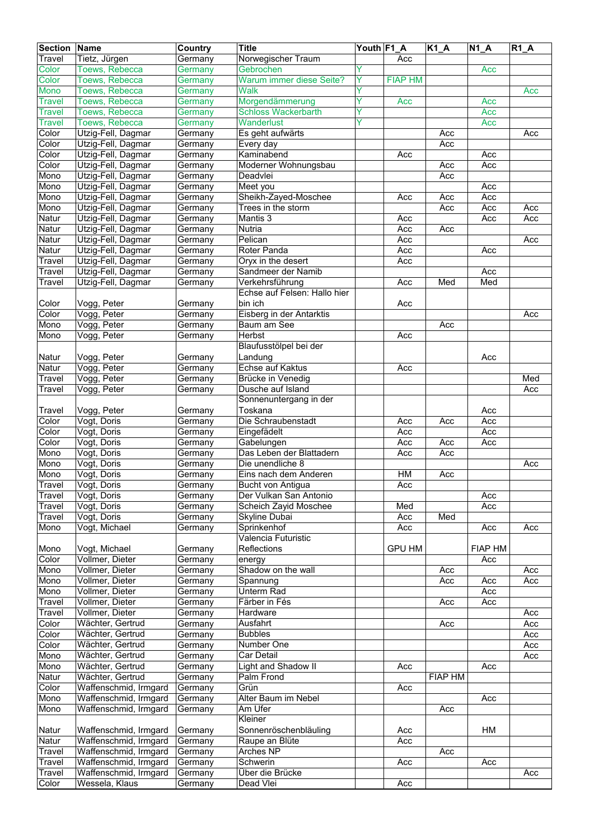| <b>Section Name</b> |                       | Country            | <b>Title</b>                           | Youth F1_A |                | K1_A           | $N1_A$     | $R1_A$ |
|---------------------|-----------------------|--------------------|----------------------------------------|------------|----------------|----------------|------------|--------|
| Travel              | Tietz, Jürgen         | Germany            | Norwegischer Traum                     |            | Acc            |                |            |        |
| Color               | Toews, Rebecca        | Germany            | Gebrochen                              | ٧          |                |                | Acc        |        |
| Color               | Toews, Rebecca        | Germany            | Warum immer diese Seite?               | Ÿ          | <b>FIAP HM</b> |                |            |        |
| Mono                | Toews, Rebecca        | Germany            | <b>Walk</b>                            | Y          |                |                |            | Acc    |
| Travel              | <b>Toews, Rebecca</b> | Germany            | Morgendämmerung                        |            | Acc            |                | Acc        |        |
| Travel              | Toews, Rebecca        | Germany            | <b>Schloss Wackerbarth</b>             | Υ          |                |                | Acc        |        |
| Travel              | Toews, Rebecca        | Germany            | Wanderlust                             | ٧          |                |                | Acc        |        |
| Color               | Utzig-Fell, Dagmar    | Germany            | Es geht aufwärts                       |            |                | Acc            |            | Acc    |
| Color               | Utzig-Fell, Dagmar    | Germany            | Every day                              |            |                | Acc            |            |        |
| Color               | Utzig-Fell, Dagmar    | Germany            | Kaminabend                             |            | Acc            |                | Acc        |        |
| Color               | Utzig-Fell, Dagmar    | Germany            | Moderner Wohnungsbau                   |            |                | Acc            | Acc        |        |
| Mono                | Utzig-Fell, Dagmar    | Germany            | Deadvlei                               |            |                | Acc            |            |        |
| Mono                | Utzig-Fell, Dagmar    | Germany            | Meet you                               |            |                |                | Acc        |        |
| Mono                | Utzig-Fell, Dagmar    | Germany            | Sheikh-Zayed-Moschee                   |            | Acc            | Acc            | Acc        |        |
| Mono                | Utzig-Fell, Dagmar    | Germany            | Trees in the storm                     |            |                | Acc            | Acc        | Acc    |
| Natur               | Utzig-Fell, Dagmar    | Germany            | Mantis <sub>3</sub>                    |            | Acc            |                | Acc        | Acc    |
| Natur               | Utzig-Fell, Dagmar    | Germany            | Nutria                                 |            | Acc            | Acc            |            |        |
| Natur               | Utzig-Fell, Dagmar    | Germany            | Pelican                                |            | Acc            |                |            | Acc    |
| Natur               | Utzig-Fell, Dagmar    | Germany            | Roter Panda                            |            | Acc            |                | Acc        |        |
| Travel              | Utzig-Fell, Dagmar    | Germany            | Oryx in the desert                     |            | Acc            |                |            |        |
| Travel              | Utzig-Fell, Dagmar    | Germany            | Sandmeer der Namib                     |            |                |                | Acc        |        |
| Travel              | Utzig-Fell, Dagmar    | Germany            | Verkehrsführung                        |            | Acc            | Med            | Med        |        |
|                     |                       |                    | Echse auf Felsen: Hallo hier           |            |                |                |            |        |
| Color               | Vogg, Peter           | Germany            | bin ich                                |            | Acc            |                |            |        |
| Color               | Vogg, Peter           | Germany            | Eisberg in der Antarktis               |            |                |                |            | Acc    |
| Mono                | Vogg, Peter           | Germany            | Baum am See                            |            |                | Acc            |            |        |
| Mono                | Vogg, Peter           | Germany            | Herbst                                 |            | Acc            |                |            |        |
|                     |                       |                    | Blaufusstölpel bei der                 |            |                |                |            |        |
| Natur               | Vogg, Peter           | Germany            | Landung                                |            |                |                | Acc        |        |
| Natur               | Vogg, Peter           | Germany            | Echse auf Kaktus                       |            | Acc            |                |            |        |
| Travel              | Vogg, Peter           | Germany            | Brücke in Venedig<br>Dusche auf Island |            |                |                |            | Med    |
| Travel              | Vogg, Peter           | Germany            | Sonnenuntergang in der                 |            |                |                |            | Acc    |
|                     | Vogg, Peter           |                    | Toskana                                |            |                |                |            |        |
| Travel<br>Color     | Vogt, Doris           | Germany<br>Germany | Die Schraubenstadt                     |            | Acc            | Acc            | Acc<br>Acc |        |
| Color               | Vogt, Doris           | Germany            | Eingefädelt                            |            | Acc            |                | Acc        |        |
| Color               | Vogt, Doris           | Germany            | Gabelungen                             |            | Acc            | Acc            | Acc        |        |
| Mono                | Vogt, Doris           | Germany            | Das Leben der Blattadern               |            | Acc            | Acc            |            |        |
| Mono                | Vogt, Doris           | Germany            | Die unendliche 8                       |            |                |                |            | Acc    |
| Mono                | Vogt, Doris           | Germany            | Eins nach dem Anderen                  |            | HM             | Acc            |            |        |
| Travel              | Vogt, Doris           | Germany            | <b>Bucht von Antiqua</b>               |            | Acc            |                |            |        |
| <b>Travel</b>       | Vogt, Doris           | Germany            | Der Vulkan San Antonio                 |            |                |                | Acc        |        |
| Travel              | Vogt, Doris           | Germany            | Scheich Zayid Moschee                  |            | Med            |                | Acc        |        |
| Travel              | Vogt, Doris           | Germany            | <b>Skyline Dubai</b>                   |            | Acc            | Med            |            |        |
| Mono                | Vogt, Michael         | Germany            | Sprinkenhof                            |            | Acc            |                | Acc        | Acc    |
|                     |                       |                    | Valencia Futuristic                    |            |                |                |            |        |
| Mono                | Vogt, Michael         | Germany            | Reflections                            |            | <b>GPU HM</b>  |                | FIAP HM    |        |
| Color               | Vollmer, Dieter       | Germany            | energy                                 |            |                |                | Acc        |        |
| Mono                | Vollmer, Dieter       | Germany            | Shadow on the wall                     |            |                | Acc            |            | Acc    |
| Mono                | Vollmer, Dieter       | Germany            | Spannung                               |            |                | Acc            | Acc        | Acc    |
| Mono                | Vollmer, Dieter       | Germany            | <b>Unterm Rad</b>                      |            |                |                | Acc        |        |
| Travel              | Vollmer, Dieter       | Germany            | Färber in Fés                          |            |                | Acc            | Acc        |        |
| Travel              | Vollmer, Dieter       | Germany            | Hardware                               |            |                |                |            | Acc    |
| Color               | Wächter, Gertrud      | Germany            | Ausfahrt                               |            |                | Acc            |            | Acc    |
| Color               | Wächter, Gertrud      | Germany            | <b>Bubbles</b>                         |            |                |                |            | Acc    |
| Color               | Wächter, Gertrud      | Germany            | Number One                             |            |                |                |            | Acc    |
| Mono                | Wächter, Gertrud      | Germany            | Car Detail                             |            |                |                |            | Acc    |
| Mono                | Wächter, Gertrud      | Germany            | Light and Shadow II                    |            | Acc            |                | Acc        |        |
| Natur               | Wächter, Gertrud      | Germany            | Palm Frond                             |            |                | <b>FIAP HM</b> |            |        |
| Color               | Waffenschmid, Irmgard | Germany            | Grün                                   |            | Acc            |                |            |        |
| Mono                | Waffenschmid, Irmgard | Germany            | Alter Baum im Nebel                    |            |                |                | Acc        |        |
| Mono                | Waffenschmid, Irmgard | Germany            | Am Ufer<br>Kleiner                     |            |                | Acc            |            |        |
|                     | Waffenschmid, Irmgard |                    | Sonnenröschenbläuling                  |            |                |                | HM         |        |
| Natur<br>Natur      | Waffenschmid, Irmgard | Germany<br>Germany | Raupe an Blüte                         |            | Acc<br>Acc     |                |            |        |
| Travel              | Waffenschmid, Irmgard | Germany            | Arches NP                              |            |                | Acc            |            |        |
| Travel              | Waffenschmid, Irmgard | Germany            | Schwerin                               |            | Acc            |                | Acc        |        |
| Travel              | Waffenschmid, Irmgard | Germany            | Über die Brücke                        |            |                |                |            | Acc    |
| Color               | Wessela, Klaus        | Germany            | Dead Vlei                              |            | Acc            |                |            |        |
|                     |                       |                    |                                        |            |                |                |            |        |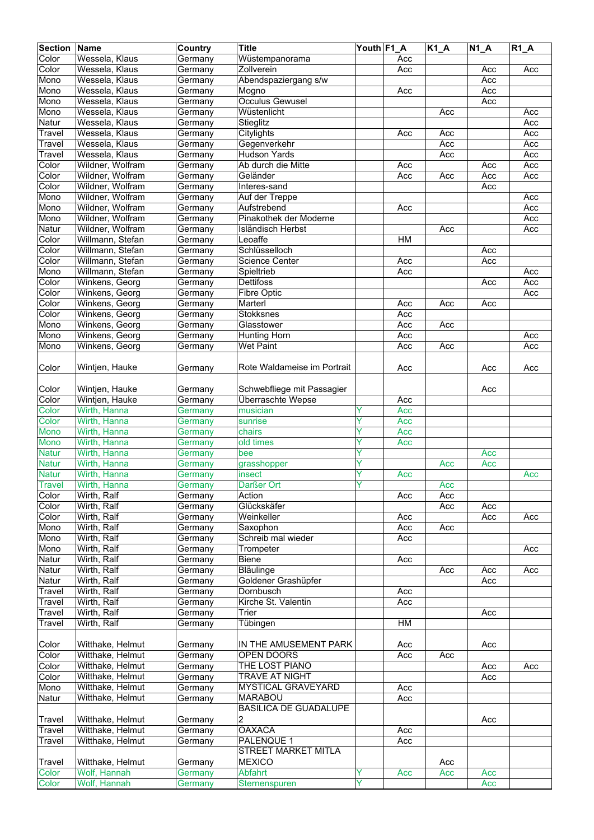| <b>Section</b> | Name             | Country            | <b>Title</b>                 | Youth F1 A |     | $K1_A$ | <b>N1 A</b> | $R1_A$ |
|----------------|------------------|--------------------|------------------------------|------------|-----|--------|-------------|--------|
| Color          | Wessela, Klaus   | Germany            | Wüstempanorama               |            | Acc |        |             |        |
| Color          | Wessela, Klaus   | Germany            | Zollverein                   |            | Acc |        | Acc         | Acc    |
| Mono           | Wessela, Klaus   | Germany            | Abendspaziergang s/w         |            |     |        | Acc         |        |
| Mono           | Wessela, Klaus   | Germany            | Mogno                        |            | Acc |        | Acc         |        |
| Mono           | Wessela, Klaus   | Germany            | <b>Occulus Gewusel</b>       |            |     |        | Acc         |        |
| Mono           | Wessela, Klaus   | Germany            | Wüstenlicht                  |            |     | Acc    |             | Acc    |
| Natur          | Wessela, Klaus   | Germany            | Stieglitz                    |            |     |        |             | Acc    |
| Travel         | Wessela, Klaus   | Germany            | Citylights                   |            | Acc | Acc    |             | Acc    |
| Travel         | Wessela, Klaus   | Germany            | Gegenverkehr                 |            |     | Acc    |             | Acc    |
| Travel         | Wessela, Klaus   | Germany            | <b>Hudson Yards</b>          |            |     | Acc    |             | Acc    |
| Color          | Wildner, Wolfram | Germany            | Ab durch die Mitte           |            | Acc |        | Acc         | Acc    |
| Color          | Wildner, Wolfram | Germany            | Geländer                     |            | Acc | Acc    | Acc         | Acc    |
| Color          | Wildner, Wolfram | Germany            | Interes-sand                 |            |     |        | Acc         |        |
| Mono           | Wildner, Wolfram | Germany            | Auf der Treppe               |            |     |        |             | Acc    |
| Mono           | Wildner, Wolfram | Germany            | Aufstrebend                  |            | Acc |        |             | Acc    |
| Mono           | Wildner, Wolfram | Germany            | Pinakothek der Moderne       |            |     |        |             | Acc    |
| Natur          | Wildner, Wolfram | Germany            | Isländisch Herbst            |            |     | Acc    |             | Acc    |
| Color          | Willmann, Stefan | Germany            | Leoaffe                      |            | H M |        |             |        |
| Color          | Willmann, Stefan | Germany            | Schlüsselloch                |            |     |        | Acc         |        |
| Color          | Willmann, Stefan | Germany            | <b>Science Center</b>        |            | Acc |        | Acc         |        |
| Mono           | Willmann, Stefan | Germany            | Spieltrieb                   |            | Acc |        |             | Acc    |
| Color          | Winkens, Georg   | Germany            | Dettifoss                    |            |     |        | Acc         | Acc    |
| Color          | Winkens, Georg   | Germany            | Fibre Optic                  |            |     |        |             | Acc    |
| Color          | Winkens, Georg   | Germany            | Marterl                      |            | Acc | Acc    | Acc         |        |
| Color          | Winkens, Georg   | Germany            | Stokksnes                    |            | Acc |        |             |        |
| Mono           | Winkens, Georg   | Germany            | Glasstower                   |            | Acc | Acc    |             |        |
| Mono           | Winkens, Georg   | Germany            | <b>Hunting Horn</b>          |            | Acc |        |             | Acc    |
| Mono           | Winkens, Georg   | Germany            | <b>Wet Paint</b>             |            | Acc | Acc    |             | Acc    |
|                |                  |                    |                              |            |     |        |             |        |
| Color          | Wintjen, Hauke   | Germany            | Rote Waldameise im Portrait  |            | Acc |        | Acc         | Acc    |
| Color          | Wintjen, Hauke   | Germany            | Schwebfliege mit Passagier   |            |     |        | Acc         |        |
| Color          | Wintjen, Hauke   |                    | Überraschte Wepse            |            | Acc |        |             |        |
| Color          | Wirth, Hanna     | Germany<br>Germany | musician                     |            | Acc |        |             |        |
| Color          | Wirth, Hanna     |                    |                              | Y          | Acc |        |             |        |
| Mono           | Wirth, Hanna     | Germany            | sunrise<br>chairs            | Y          | Acc |        |             |        |
| <b>Mono</b>    | Wirth, Hanna     | Germany            |                              | Y          |     |        |             |        |
| <b>Natur</b>   | Wirth, Hanna     | Germany<br>Germany | old times<br>bee             | Ÿ          | Acc |        | Acc         |        |
| <b>Natur</b>   | Wirth, Hanna     |                    |                              | Ÿ          |     |        |             |        |
| <b>Natur</b>   | Wirth, Hanna     | Germany            | grasshopper<br>insect        | Υ          | Acc | Acc    | Acc         | Acc    |
|                |                  | Germany            |                              |            |     |        |             |        |
| <b>Travel</b>  | Wirth, Hanna     | Germany            | Darßer Ort<br>Action         |            |     | Acc    |             |        |
| Color          | Wirth, Ralf      | Germany            | Glückskäfer                  |            | Acc | Acc    |             |        |
| Color          | Wirth, Ralf      | Germany            |                              |            |     | Acc    | Acc         |        |
| Color          | Wirth, Ralf      | Germany            | Weinkeller                   |            | Acc |        | Acc         | Acc    |
| Mono           | Wirth, Ralf      | Germany            | Saxophon                     |            | Acc | Acc    |             |        |
| Mono           | Wirth, Ralf      | Germany            | Schreib mal wieder           |            | Acc |        |             |        |
| Mono           | Wirth, Ralf      | Germany            | Trompeter                    |            |     |        |             | Acc    |
| Natur          | Wirth, Ralf      | Germany            | Biene                        |            | Acc |        |             |        |
| Natur          | Wirth, Ralf      | Germany            | Bläulinge                    |            |     | Acc    | Acc         | Acc    |
| Natur          | Wirth, Ralf      | Germany            | Goldener Grashüpfer          |            |     |        | Acc         |        |
| Travel         | Wirth, Ralf      | Germany            | Dornbusch                    |            | Acc |        |             |        |
| Travel         | Wirth, Ralf      | Germany            | Kirche St. Valentin          |            | Acc |        |             |        |
| Travel         | Wirth, Ralf      | Germany            | $\overline{T}$ rier          |            |     |        | Acc         |        |
| Travel         | Wirth, Ralf      | Germany            | Tübingen                     |            | HM  |        |             |        |
| Color          | Witthake, Helmut | Germany            | IN THE AMUSEMENT PARK        |            | Acc |        | Acc         |        |
| Color          | Witthake, Helmut | Germany            | OPEN DOORS                   |            | Acc | Acc    |             |        |
| Color          | Witthake, Helmut | Germany            | THE LOST PIANO               |            |     |        | Acc         | Acc    |
| Color          | Witthake, Helmut | Germany            | TRAVE AT NIGHT               |            |     |        | Acc         |        |
| Mono           | Witthake, Helmut | Germany            | MYSTICAL GRAVEYARD           |            | Acc |        |             |        |
| Natur          | Witthake, Helmut | Germany            | <b>MARABOU</b>               |            | Acc |        |             |        |
|                |                  |                    | <b>BASILICA DE GUADALUPE</b> |            |     |        |             |        |
| Travel         | Witthake, Helmut | Germany            | 2                            |            |     |        | Acc         |        |
| Travel         | Witthake, Helmut | Germany            | <b>OAXACA</b>                |            | Acc |        |             |        |
| Travel         | Witthake, Helmut | Germany            | PALENQUE 1                   |            | Acc |        |             |        |
|                |                  |                    | <b>STREET MARKET MITLA</b>   |            |     |        |             |        |
| Travel         | Witthake, Helmut | Germany            | <b>MEXICO</b>                |            |     | Acc    |             |        |
| Color          | Wolf, Hannah     | Germany            | Abfahrt                      | Y          | Acc | Acc    | Acc         |        |
| Color          | Wolf, Hannah     | Germany            | Sternenspuren                | Ÿ          |     |        | Acc         |        |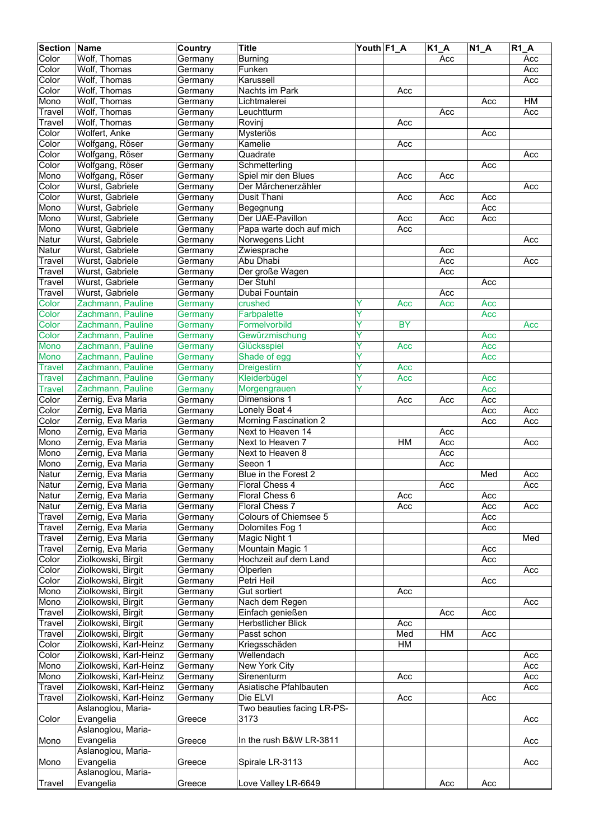| <b>Section Name</b> |                                        | Country            | <b>Title</b>                               | Youth F1_A |            | K1_A | $N1_A$     | $R1_A$ |
|---------------------|----------------------------------------|--------------------|--------------------------------------------|------------|------------|------|------------|--------|
| Color               | Wolf, Thomas                           | Germany            | <b>Burning</b>                             |            |            | Acc  |            | Acc    |
| Color               | Wolf, Thomas                           | Germany            | Funken                                     |            |            |      |            | Acc    |
| Color               | Wolf, Thomas                           | Germany            | Karussell                                  |            |            |      |            | Acc    |
| Color               | Wolf, Thomas                           | Germany            | Nachts im Park                             |            | Acc        |      |            |        |
| Mono                | Wolf, Thomas                           | Germany            | Lichtmalerei                               |            |            |      | Acc        | HM     |
| Travel              | Wolf, Thomas                           | Germany            | Leuchtturm                                 |            |            | Acc  |            | Acc    |
| Travel              | Wolf, Thomas                           | Germany            | Rovinj                                     |            | Acc        |      |            |        |
| Color               | Wolfert, Anke                          | Germany            | Mysteriös                                  |            |            |      | Acc        |        |
| Color               | Wolfgang, Röser                        | Germany            | Kamelie                                    |            | Acc        |      |            |        |
| Color               | Wolfgang, Röser                        | Germany            | Quadrate                                   |            |            |      |            | Acc    |
| Color               | Wolfgang, Röser<br>Wolfgang, Röser     | Germany            | Schmetterling                              |            |            |      | Acc        |        |
| Mono<br>Color       | Wurst, Gabriele                        | Germany<br>Germany | Spiel mir den Blues<br>Der Märchenerzähler |            | Acc        | Acc  |            | Acc    |
| Color               | Wurst, Gabriele                        | Germany            | Dusit Thani                                |            | Acc        | Acc  | Acc        |        |
| Mono                | Wurst, Gabriele                        | Germany            | Begegnung                                  |            |            |      | Acc        |        |
| Mono                | Wurst, Gabriele                        | Germany            | Der UAE-Pavillon                           |            | Acc        | Acc  | Acc        |        |
| Mono                | Wurst, Gabriele                        | Germany            | Papa warte doch auf mich                   |            | Acc        |      |            |        |
| Natur               | Wurst, Gabriele                        | Germany            | Norwegens Licht                            |            |            |      |            | Acc    |
| Natur               | Wurst, Gabriele                        | Germany            | Zwiesprache                                |            |            | Acc  |            |        |
| Travel              | Wurst, Gabriele                        | Germany            | Abu Dhabi                                  |            |            | Acc  |            | Acc    |
| Travel              | Wurst, Gabriele                        | Germany            | Der große Wagen                            |            |            | Acc  |            |        |
| Travel              | Wurst, Gabriele                        | Germany            | Der Stuhl                                  |            |            |      | Acc        |        |
| Travel              | Wurst, Gabriele                        | Germany            | Dubai Fountain                             |            |            | Acc  |            |        |
| Color               | Zachmann, Pauline                      | Germany            | crushed                                    | Y          | Acc        | Acc  | Acc        |        |
| Color               | Zachmann, Pauline                      | Germany            | Farbpalette                                | Ý          |            |      | Acc        |        |
| Color               | Zachmann, Pauline                      | Germany            | Formelvorbild                              | Y          | <b>BY</b>  |      |            | Acc    |
| Color               | Zachmann, Pauline                      | Germany            | Gewürzmischung                             | Y          |            |      | Acc        |        |
| Mono                | Zachmann, Pauline                      | Germany            | Glücksspiel                                | Ÿ          | Acc        |      | Acc        |        |
| Mono                | Zachmann, Pauline                      | Germany            | Shade of egg                               | Y          |            |      | Acc        |        |
| <b>Travel</b>       | Zachmann, Pauline                      | Germany            | <b>Dreigestirn</b>                         | Ÿ          | Acc        |      |            |        |
| <b>Travel</b>       | Zachmann, Pauline                      | Germany            | Kleiderbügel                               | Ÿ          | Acc        |      | Acc        |        |
| <b>Travel</b>       | Zachmann, Pauline                      | Germany            | Morgengrauen                               | Υ          |            |      | Acc        |        |
| Color               | Zernig, Eva Maria                      | Germany            | Dimensions 1                               |            | Acc        | Acc  | Acc        |        |
| Color               | Zernig, Eva Maria                      | Germany            | Lonely Boat 4                              |            |            |      | Acc        | Acc    |
| Color               | Zernig, Eva Maria                      | Germany            | Morning Fascination 2                      |            |            |      | Acc        | Acc    |
| Mono                | Zernig, Eva Maria                      | Germany            | Next to Heaven 14                          |            |            | Acc  |            |        |
| Mono                | Zernig, Eva Maria                      | Germany            | Next to Heaven 7                           |            | HM         | Acc  |            | Acc    |
| Mono                | Zernig, Eva Maria                      | Germany            | Next to Heaven 8                           |            |            | Acc  |            |        |
| Mono                | Zernig, Eva Maria                      | Germany            | Seeon 1                                    |            |            | Acc  |            |        |
| Natur               | Zernig, Eva Maria                      | Germany            | Blue in the Forest 2                       |            |            |      | Med        | Acc    |
| Natur               | Zernig, Eva Maria                      | Germany            | Floral Chess 4                             |            |            | Acc  |            | Acc    |
| Natur<br>Natur      | Zernig, Eva Maria<br>Zernig, Eva Maria | Germany            | Floral Chess 6<br>Floral Chess 7           |            | Acc<br>Acc |      | Acc        | Acc    |
| Travel              | Zernig, Eva Maria                      | Germany<br>Germany | <b>Colours of Chiemsee 5</b>               |            |            |      | Acc<br>Acc |        |
| Travel              | Zernig, Eva Maria                      | Germany            | Dolomites Fog 1                            |            |            |      | Acc        |        |
| Travel              | Zernig, Eva Maria                      | Germany            | Magic Night 1                              |            |            |      |            | Med    |
| Travel              | Zernig, Eva Maria                      | Germany            | Mountain Magic 1                           |            |            |      | Acc        |        |
| Color               | Ziolkowski, Birgit                     | Germany            | Hochzeit auf dem Land                      |            |            |      | Acc        |        |
| Color               | Ziolkowski, Birgit                     | Germany            | Ölperlen                                   |            |            |      |            | Acc    |
| Color               | Ziolkowski, Birgit                     | Germany            | Petri Heil                                 |            |            |      | Acc        |        |
| Mono                | Ziolkowski, Birgit                     | Germany            | Gut sortiert                               |            | Acc        |      |            |        |
| Mono                | Ziolkowski, Birgit                     | Germany            | Nach dem Regen                             |            |            |      |            | Acc    |
| Travel              | Ziolkowski, Birgit                     | Germany            | Einfach genießen                           |            |            | Acc  | Acc        |        |
| Travel              | Ziolkowski, Birgit                     | Germany            | Herbstlicher Blick                         |            | Acc        |      |            |        |
| Travel              | Ziolkowski, Birgit                     | Germany            | Passt schon                                |            | Med        | HM   | Acc        |        |
| Color               | Ziolkowski, Karl-Heinz                 | Germany            | Kriegsschäden                              |            | HM         |      |            |        |
| Color               | Ziolkowski, Karl-Heinz                 | Germany            | Wellendach                                 |            |            |      |            | Acc    |
| Mono                | Ziolkowski, Karl-Heinz                 | Germany            | New York City                              |            |            |      |            | Acc    |
| Mono                | Ziolkowski, Karl-Heinz                 | Germany            | Sirenenturm                                |            | Acc        |      |            | Acc    |
| Travel              | Ziolkowski, Karl-Heinz                 | Germany            | Asiatische Pfahlbauten                     |            |            |      |            | Acc    |
| Travel              | Ziolkowski, Karl-Heinz                 | Germany            | Die ELVI                                   |            | Acc        |      | Acc        |        |
|                     | Aslanoglou, Maria-                     |                    | Two beauties facing LR-PS-                 |            |            |      |            |        |
| Color               | Evangelia                              | Greece             | 3173                                       |            |            |      |            | Acc    |
|                     | Aslanoglou, Maria-                     |                    |                                            |            |            |      |            |        |
| Mono                | Evangelia                              | Greece             | In the rush B&W LR-3811                    |            |            |      |            | Acc    |
|                     | Aslanoglou, Maria-                     |                    |                                            |            |            |      |            |        |
| Mono                | Evangelia                              | Greece             | Spirale LR-3113                            |            |            |      |            | Acc    |
|                     | Aslanoglou, Maria-                     |                    |                                            |            |            |      |            |        |
| <b>Travel</b>       | Evangelia                              | Greece             | Love Valley LR-6649                        |            |            | Acc  | Acc        |        |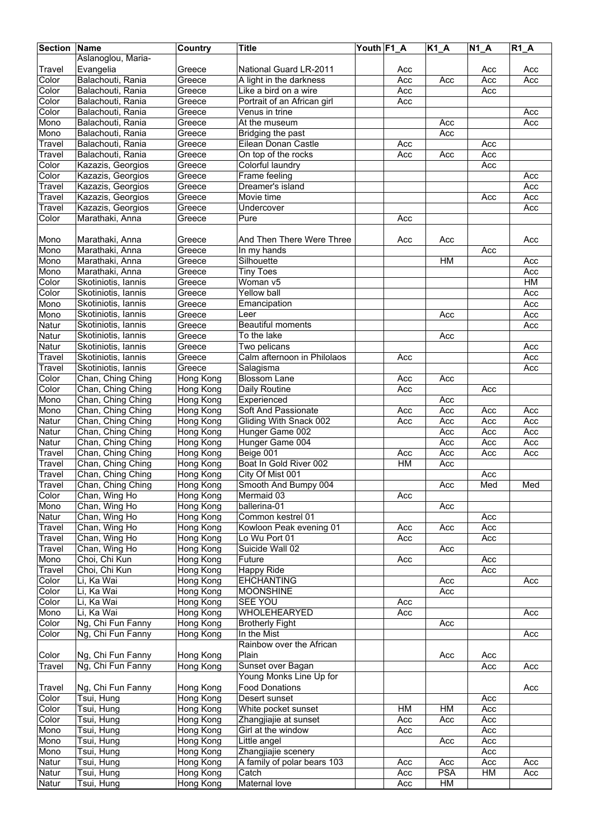| <b>Section Name</b> |                                        | Country                       | <b>Title</b>                       | Youth F1_A |     | $K1_A$     | $N1_A$ | $R1_A$    |
|---------------------|----------------------------------------|-------------------------------|------------------------------------|------------|-----|------------|--------|-----------|
|                     | Aslanoglou, Maria-                     |                               |                                    |            |     |            |        |           |
| Travel              | Evangelia                              | Greece                        | National Guard LR-2011             |            | Acc |            | Acc    | Acc       |
| Color               | Balachouti, Rania                      | Greece                        | A light in the darkness            |            | Acc | Acc        | Acc    | Acc       |
| Color               | Balachouti, Rania                      | Greece                        | Like a bird on a wire              |            | Acc |            | Acc    |           |
| Color               | Balachouti, Rania                      | Greece                        | Portrait of an African girl        |            | Acc |            |        |           |
| Color               | Balachouti, Rania                      | Greece                        | Venus in trine                     |            |     |            |        | Acc       |
| Mono                | Balachouti, Rania                      | Greece                        | At the museum                      |            |     | Acc        |        | Acc       |
| Mono                | Balachouti, Rania                      | Greece                        | Bridging the past                  |            |     | Acc        |        |           |
| Travel              | Balachouti, Rania                      | Greece                        | Eilean Donan Castle                |            | Acc |            | Acc    |           |
| Travel              | Balachouti, Rania                      | Greece                        | On top of the rocks                |            | Acc | Acc        | Acc    |           |
| Color               | Kazazis, Georgios                      | Greece                        | Colorful laundry                   |            |     |            | Acc    |           |
| Color               | Kazazis, Georgios                      | Greece                        | Frame feeling                      |            |     |            |        | Acc       |
| Travel              | Kazazis, Georgios                      | Greece                        | Dreamer's island                   |            |     |            |        | Acc       |
| Travel              | Kazazis, Georgios                      | Greece                        | Movie time                         |            |     |            | Acc    | Acc       |
| Travel              | Kazazis, Georgios                      | Greece                        | Undercover                         |            |     |            |        | Acc       |
| Color               | Marathaki, Anna                        | Greece                        | Pure                               |            | Acc |            |        |           |
|                     |                                        |                               |                                    |            |     |            |        |           |
| Mono                | Marathaki, Anna                        | Greece                        | And Then There Were Three          |            | Acc | Acc        |        | Acc       |
| Mono                | Marathaki, Anna                        | Greece                        | In my hands                        |            |     |            | Acc    |           |
| Mono                | Marathaki, Anna                        | Greece                        | Silhouette                         |            |     | <b>HM</b>  |        | Acc       |
| Mono                | Marathaki, Anna                        | $\overline{G}$ reece          | <b>Tiny Toes</b>                   |            |     |            |        | Acc       |
| Color               | Skotiniotis, Iannis                    | Greece                        | Woman v5                           |            |     |            |        | <b>HM</b> |
| Color               | Skotiniotis, Iannis                    | Greece                        | <b>Yellow ball</b>                 |            |     |            |        | Acc       |
| Mono                | Skotiniotis, Iannis                    | Greece                        | Emancipation                       |            |     |            |        | Acc       |
| Mono                | Skotiniotis, Iannis                    | Greece                        | Leer                               |            |     | Acc        |        | Acc       |
| Natur               | Skotiniotis, Iannis                    | Greece                        | Beautiful moments                  |            |     |            |        | Acc       |
| Natur               | Skotiniotis, Iannis                    | Greece                        | To the lake                        |            |     | Acc        |        |           |
| Natur               | Skotiniotis, Iannis                    | Greece                        | Two pelicans                       |            |     |            |        | Acc       |
| Travel              | Skotiniotis, Iannis                    | Greece                        | Calm afternoon in Philolaos        |            | Acc |            |        | Acc       |
| Travel              | Skotiniotis, Iannis                    | Greece                        | Salagisma                          |            |     |            |        | Acc       |
| Color               | Chan, Ching Ching                      | Hong Kong                     | <b>Blossom Lane</b>                |            | Acc | Acc        |        |           |
| Color               | Chan, Ching Ching                      | Hong Kong                     | Daily Routine                      |            | Acc |            | Acc    |           |
| Mono                | Chan, Ching Ching                      | Hong Kong                     | Experienced                        |            |     | Acc        |        |           |
| Mono                | Chan, Ching Ching                      | Hong Kong                     | Soft And Passionate                |            | Acc | Acc        | Acc    | Acc       |
| Natur               | Chan, Ching Ching                      | Hong Kong                     | Gliding With Snack 002             |            | Acc | Acc        | Acc    | Acc       |
| Natur               | Chan, Ching Ching                      |                               | Hunger Game 002                    |            |     | Acc        | Acc    | Acc       |
| Natur               |                                        | Hong Kong                     |                                    |            |     | Acc        | Acc    | Acc       |
|                     | Chan, Ching Ching<br>Chan, Ching Ching | Hong Kong<br><b>Hong Kong</b> | Hunger Game 004                    |            | Acc | Acc        | Acc    | Acc       |
| Travel              |                                        |                               | Beige 001                          |            |     |            |        |           |
| Travel              | Chan, Ching Ching                      | Hong Kong                     | Boat In Gold River 002             |            | HM  | Acc        |        |           |
| Travel              | Chan, Ching Ching                      | Hong Kong                     | City Of Mist 001                   |            |     |            | Acc    |           |
| Travel              | Chan, Ching Ching                      | Hong Kong<br>Hong Kong        | Smooth And Bumpy 004               |            |     | Acc        | Med    | Med       |
| Color               | Chan, Wing Ho                          |                               | Mermaid 03<br>ballerina-01         |            | Acc |            |        |           |
| Mono                | Chan, Wing Ho<br>Chan, Wing Ho         | Hong Kong                     |                                    |            |     | Acc        |        |           |
| Natur               |                                        | Hong Kong                     | Common kestrel 01                  |            |     |            | Acc    |           |
| Travel              | Chan, Wing Ho<br>Chan, Wing Ho         | Hong Kong                     | Kowloon Peak evening 01            |            | Acc | Acc        | Acc    |           |
| Travel              |                                        | Hong Kong                     | Lo Wu Port 01                      |            | Acc |            | Acc    |           |
| Travel              | Chan, Wing Ho<br>Choi, Chi Kun         | Hong Kong                     | Suicide Wall 02                    |            |     | Acc        |        |           |
| Mono                |                                        | Hong Kong                     | Future                             |            | Acc |            | Acc    |           |
| Travel              | Choi, Chi Kun                          | Hong Kong<br>Hong Kong        | <b>Happy Ride</b>                  |            |     |            | Acc    |           |
| Color               | Li, Ka Wai                             |                               | <b>EHCHANTING</b>                  |            |     | Acc        |        | Acc       |
| Color               | Li, Ka Wai<br>Li, Ka Wai               | Hong Kong                     | <b>MOONSHINE</b><br><b>SEE YOU</b> |            |     | Acc        |        |           |
| Color               | Li, Ka Wai                             | Hong Kong                     |                                    |            | Acc |            |        |           |
| Mono                |                                        | Hong Kong                     | WHOLEHEARYED                       |            | Acc |            |        | Acc       |
| Color               | Ng, Chi Fun Fanny                      | Hong Kong                     | <b>Brotherly Fight</b>             |            |     | Acc        |        |           |
| Color               | Ng, Chi Fun Fanny                      | Hong Kong                     | In the Mist                        |            |     |            |        | Acc       |
|                     |                                        |                               | Rainbow over the African           |            |     |            |        |           |
| Color               | Ng, Chi Fun Fanny                      | Hong Kong                     | Plain                              |            |     | Acc        | Acc    |           |
| <b>Travel</b>       | Ng, Chi Fun Fanny                      | <b>Hong Kong</b>              | Sunset over Bagan                  |            |     |            | Acc    | Acc       |
|                     |                                        |                               | Young Monks Line Up for            |            |     |            |        |           |
| Travel              | Ng, Chi Fun Fanny                      | Hong Kong                     | <b>Food Donations</b>              |            |     |            |        | Acc       |
| Color               | Tsui, Hung                             | Hong Kong                     | Desert sunset                      |            |     |            | Acc    |           |
| Color               | Tsui, Hung                             | Hong Kong                     | White pocket sunset                |            | HM  | HM         | Acc    |           |
| Color               | Tsui, Hung                             | Hong Kong                     | Zhangjiajie at sunset              |            | Acc | Acc        | Acc    |           |
| Mono                | Tsui, Hung                             | Hong Kong                     | Girl at the window                 |            | Acc |            | Acc    |           |
| Mono                | Tsui, Hung                             | Hong Kong                     | Little angel                       |            |     | Acc        | Acc    |           |
| Mono                | Tsui, Hung                             | Hong Kong                     | Zhangjiajie scenery                |            |     |            | Acc    |           |
| Natur               | Tsui, Hung                             | Hong Kong                     | A family of polar bears 103        |            | Acc | Acc        | Acc    | Acc       |
| Natur               | Tsui, Hung                             | Hong Kong                     | Catch                              |            | Acc | <b>PSA</b> | HM     | Acc       |
| Natur               | Tsui, Hung                             | Hong Kong                     | <b>Maternal love</b>               |            | Acc | HM         |        |           |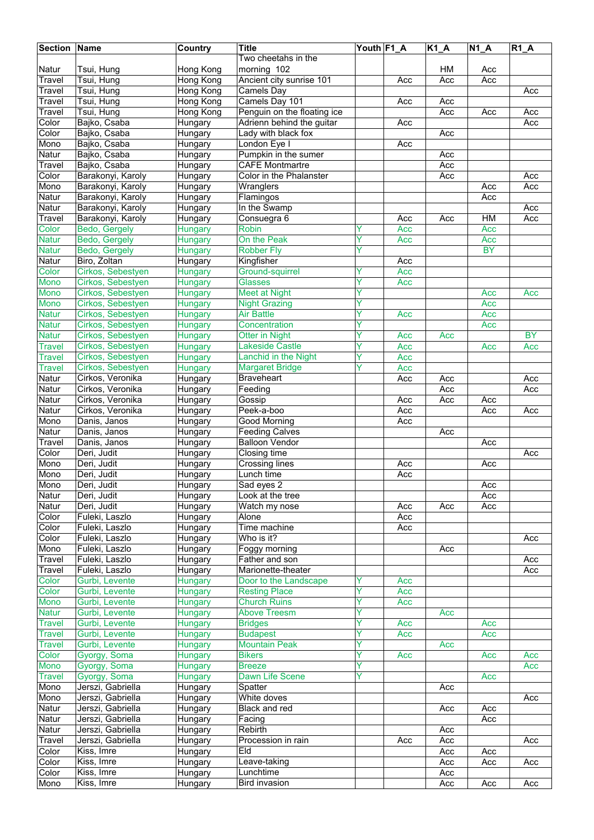| <b>Section Name</b> |                   | Country   | Title                       | Youth F1_A |     | $\overline{K1}A$ | $N1_A$    | $R1_A$    |
|---------------------|-------------------|-----------|-----------------------------|------------|-----|------------------|-----------|-----------|
|                     |                   |           | Two cheetahs in the         |            |     |                  |           |           |
|                     |                   |           |                             |            |     |                  |           |           |
| Natur               | Tsui, Hung        | Hong Kong | morning 102                 |            |     | HM               | Acc       |           |
| Travel              | Tsui, Hung        | Hong Kong | Ancient city sunrise 101    |            | Acc | Acc              | Acc       |           |
| Travel              | Tsui, Hung        | Hong Kong | Camels Day                  |            |     |                  |           | Acc       |
| Travel              | Tsui, Hung        | Hong Kong | Camels Day 101              |            | Acc | Acc              |           |           |
| Travel              | Tsui, Hung        | Hong Kong | Penguin on the floating ice |            |     | Acc              | Acc       | Acc       |
|                     |                   |           |                             |            |     |                  |           |           |
| Color               | Bajko, Csaba      | Hungary   | Adrienn behind the guitar   |            | Acc |                  |           | Acc       |
| Color               | Bajko, Csaba      | Hungary   | Lady with black fox         |            |     | Acc              |           |           |
| Mono                | Bajko, Csaba      | Hungary   | London Eye I                |            | Acc |                  |           |           |
| Natur               | Bajko, Csaba      | Hungary   | Pumpkin in the sumer        |            |     | Acc              |           |           |
| Travel              | Bajko, Csaba      | Hungary   | <b>CAFE Montmartre</b>      |            |     | Acc              |           |           |
| Color               | Barakonyi, Karoly | Hungary   | Color in the Phalanster     |            |     | Acc              |           | Acc       |
|                     |                   |           |                             |            |     |                  |           |           |
| Mono                | Barakonyi, Karoly | Hungary   | Wranglers                   |            |     |                  | Acc       | Acc       |
| Natur               | Barakonyi, Karoly | Hungary   | Flamingos                   |            |     |                  | Acc       |           |
| <b>Natur</b>        | Barakonyi, Karoly | Hungary   | In the Swamp                |            |     |                  |           | Acc       |
| Travel              | Barakonyi, Karoly | Hungary   | Consuegra 6                 |            | Acc | Acc              | H M       | Acc       |
| Color               | Bedo, Gergely     | Hungary   | <b>Robin</b>                |            | Acc |                  | Acc       |           |
|                     | Bedo, Gergely     |           | On the Peak                 | Ÿ          |     |                  |           |           |
| <b>Natur</b>        |                   | Hungary   |                             |            | Acc |                  | Acc       |           |
| <b>Natur</b>        | Bedo, Gergely     | Hungary   | <b>Robber Fly</b>           | Υ          |     |                  | <b>BY</b> |           |
| Natur               | Biro, Zoltan      | Hungary   | Kingfisher                  |            | Acc |                  |           |           |
| Color               | Cirkos, Sebestyen | Hungary   | <b>Ground-squirrel</b>      | Y          | Acc |                  |           |           |
| Mono                | Cirkos, Sebestyen | Hungary   | <b>Glasses</b>              | Ÿ          | Acc |                  |           |           |
| Mono                |                   |           | <b>Meet at Night</b>        | ٧          |     |                  |           |           |
|                     | Cirkos, Sebestyen | Hungary   |                             |            |     |                  | Acc       | Acc       |
| Mono                | Cirkos, Sebestyen | Hungary   | <b>Night Grazing</b>        | Y          |     |                  | Acc       |           |
| <b>Natur</b>        | Cirkos, Sebestyen | Hungary   | <b>Air Battle</b>           | Y          | Acc |                  | Acc       |           |
| <b>Natur</b>        | Cirkos, Sebestyen | Hungary   | Concentration               | Y          |     |                  | Acc       |           |
| <b>Natur</b>        | Cirkos, Sebestyen | Hungary   | <b>Otter in Night</b>       | Y          | Acc | Acc              |           | <b>BY</b> |
| Travel              | Cirkos, Sebestyen | Hungary   | <b>Lakeside Castle</b>      | Υ          | Acc |                  | Acc       | Acc       |
|                     |                   |           |                             |            |     |                  |           |           |
| <b>Travel</b>       | Cirkos, Sebestyen | Hungary   | Lanchid in the Night        | Y          | Acc |                  |           |           |
| Travel              | Cirkos, Sebestyen | Hungary   | <b>Margaret Bridge</b>      | Ÿ          | Acc |                  |           |           |
| Natur               | Cirkos, Veronika  | Hungary   | <b>Braveheart</b>           |            | Acc | Acc              |           | Acc       |
| <b>Natur</b>        | Cirkos, Veronika  | Hungary   | Feeding                     |            |     | Acc              |           | Acc       |
| Natur               | Cirkos, Veronika  | Hungary   | Gossip                      |            | Acc | Acc              | Acc       |           |
|                     |                   |           |                             |            |     |                  |           |           |
| <b>Natur</b>        | Cirkos, Veronika  | Hungary   | Peek-a-boo                  |            | Acc |                  | Acc       | Acc       |
| Mono                | Danis, Janos      | Hungary   | Good Morning                |            | Acc |                  |           |           |
| <b>Natur</b>        | Danis, Janos      | Hungary   | <b>Feeding Calves</b>       |            |     | Acc              |           |           |
| Travel              | Danis, Janos      | Hungary   | <b>Balloon Vendor</b>       |            |     |                  | Acc       |           |
| Color               | Deri, Judit       | Hungary   | Closing time                |            |     |                  |           | Acc       |
|                     |                   |           |                             |            |     |                  |           |           |
| Mono                | Deri, Judit       | Hungary   | <b>Crossing lines</b>       |            | Acc |                  | Acc       |           |
| Mono                | Deri, Judit       | Hungary   | Lunch time                  |            | Acc |                  |           |           |
| Mono                | Deri, Judit       | Hungary   | Sad eyes 2                  |            |     |                  | Acc       |           |
| Natur               | Deri, Judit       | Hungary   | Look at the tree            |            |     |                  | Acc       |           |
| Natur               | Deri, Judit       | Hungary   | Watch my nose               |            | Acc | Acc              | Acc       |           |
| Color               | Fuleki, Laszlo    | Hungary   | Alone                       |            | Acc |                  |           |           |
|                     |                   |           |                             |            |     |                  |           |           |
| Color               | Fuleki, Laszlo    | Hungary   | Time machine                |            | Acc |                  |           |           |
| Color               | Fuleki, Laszlo    | Hungary   | Who is it?                  |            |     |                  |           | Acc       |
| Mono                | Fuleki, Laszlo    | Hungary   | Foggy morning               |            |     | Acc              |           |           |
| Travel              | Fuleki, Laszlo    | Hungary   | Father and son              |            |     |                  |           | Acc       |
| Travel              | Fuleki, Laszlo    | Hungary   | Marionette-theater          |            |     |                  |           | Acc       |
| Color               | Gurbi, Levente    | Hungary   | Door to the Landscape       |            | Acc |                  |           |           |
|                     |                   |           |                             |            |     |                  |           |           |
| Color               | Gurbi, Levente    | Hungary   | <b>Resting Place</b>        | Y          | Acc |                  |           |           |
| Mono                | Gurbi, Levente    | Hungary   | <b>Church Ruins</b>         | Y          | Acc |                  |           |           |
| <b>Natur</b>        | Gurbi, Levente    | Hungary   | <b>Above Treesm</b>         | Ÿ          |     | Acc              |           |           |
| Travel              | Gurbi, Levente    | Hungary   | <b>Bridges</b>              | Y          | Acc |                  | Acc       |           |
| <b>Travel</b>       | Gurbi, Levente    | Hungary   | <b>Budapest</b>             |            | Acc |                  | Acc       |           |
|                     |                   |           |                             |            |     |                  |           |           |
| <b>Travel</b>       | Gurbi, Levente    | Hungary   | <b>Mountain Peak</b>        | Y          |     | Acc              |           |           |
| Color               | Gyorgy, Soma      | Hungary   | <b>Bikers</b>               | Y          | Acc |                  | Acc       | Acc       |
| <b>Mono</b>         | Gyorgy, Soma      | Hungary   | <b>Breeze</b>               | Y          |     |                  |           | Acc       |
| Travel              | Gyorgy, Soma      | Hungary   | Dawn Life Scene             | Y          |     |                  | Acc       |           |
| Mono                | Jerszi, Gabriella | Hungary   | Spatter                     |            |     | Acc              |           |           |
| Mono                |                   |           | White doves                 |            |     |                  |           |           |
|                     | Jerszi, Gabriella | Hungary   |                             |            |     |                  |           | Acc       |
| Natur               | Jerszi, Gabriella | Hungary   | Black and red               |            |     | Acc              | Acc       |           |
| Natur               | Jerszi, Gabriella | Hungary   | Facing                      |            |     |                  | Acc       |           |
| Natur               | Jerszi, Gabriella | Hungary   | Rebirth                     |            |     | Acc              |           |           |
| Travel              | Jerszi, Gabriella | Hungary   | Procession in rain          |            | Acc | Acc              |           | Acc       |
| Color               |                   |           | Eld                         |            |     | Acc              |           |           |
|                     | Kiss, Imre        | Hungary   |                             |            |     |                  | Acc       |           |
| Color               | Kiss, Imre        | Hungary   | Leave-taking                |            |     | Acc              | Acc       | Acc       |
| Color               | Kiss, Imre        | Hungary   | Lunchtime                   |            |     | Acc              |           |           |
| Mono                | Kiss, Imre        | Hungary   | <b>Bird invasion</b>        |            |     | Acc              | Acc       | Acc       |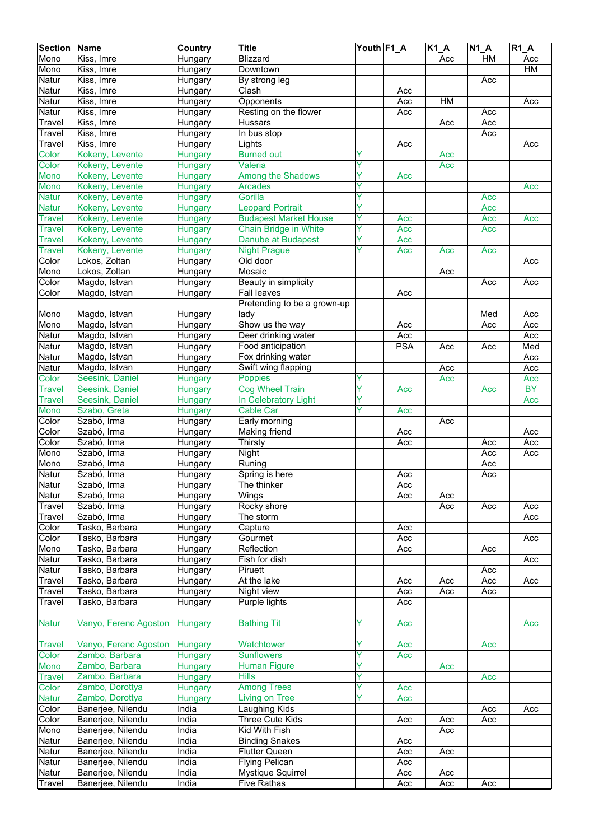| <b>Section</b> | Name                  | Country        | <b>Title</b>                 | Youth F1_A |            | $\overline{K1}A$ | $N1_A$    | R1A |
|----------------|-----------------------|----------------|------------------------------|------------|------------|------------------|-----------|-----|
| Mono           | Kiss, Imre            | Hungary        | <b>Blizzard</b>              |            |            | Acc              | <b>HM</b> | Acc |
| Mono           | Kiss, Imre            | Hungary        | Downtown                     |            |            |                  |           | HM  |
| Natur          | Kiss, Imre            | Hungary        | By strong leg                |            |            |                  | Acc       |     |
| Natur          | Kiss, Imre            | Hungary        | Clash                        |            | Acc        |                  |           |     |
| Natur          | Kiss, Imre            | Hungary        | Opponents                    |            | Acc        | HM               |           | Acc |
| Natur          | Kiss, Imre            | Hungary        | Resting on the flower        |            | Acc        |                  | Acc       |     |
| Travel         | Kiss, Imre            | Hungary        | <b>Hussars</b>               |            |            | Acc              | Acc       |     |
| Travel         | Kiss, Imre            | Hungary        | In bus stop                  |            |            |                  | Acc       |     |
| Travel         | Kiss, Imre            | Hungary        | Lights                       |            | Acc        |                  |           | Acc |
| Color          | Kokeny, Levente       | <b>Hungary</b> | <b>Burned out</b>            |            |            | Acc              |           |     |
| Color          | Kokeny, Levente       | <b>Hungary</b> | Valeria                      | Ÿ          |            | Acc              |           |     |
| <b>Mono</b>    | Kokeny, Levente       | Hungary        | <b>Among the Shadows</b>     | Ÿ          | Acc        |                  |           |     |
| Mono           | Kokeny, Levente       | Hungary        | <b>Arcades</b>               | ٧          |            |                  |           | Acc |
| <b>Natur</b>   | Kokeny, Levente       | Hungary        | Gorilla                      | Y          |            |                  | Acc       |     |
| Natur          | Kokeny, Levente       | <b>Hungary</b> | <b>Leopard Portrait</b>      | Y          |            |                  | Acc       |     |
| <b>Travel</b>  | Kokeny, Levente       | <b>Hungary</b> | <b>Budapest Market House</b> | Y          | Acc        |                  | Acc       | Acc |
| <b>Travel</b>  | Kokeny, Levente       | Hungary        | Chain Bridge in White        | Y          | Acc        |                  | Acc       |     |
| <b>Travel</b>  | Kokeny, Levente       | <b>Hungary</b> | <b>Danube at Budapest</b>    | Υ          | Acc        |                  |           |     |
| <b>Travel</b>  | Kokeny, Levente       | <b>Hungary</b> | <b>Night Prague</b>          | Υ          | Acc        | Acc              | Acc       |     |
| Color          | Lokos, Zoltan         | Hungary        | Old door                     |            |            |                  |           | Acc |
| Mono           | Lokos, Zoltan         | Hungary        | Mosaic                       |            |            | Acc              |           |     |
| Color          | Magdo, Istvan         | Hungary        | Beauty in simplicity         |            |            |                  | Acc       | Acc |
| Color          | Magdo, Istvan         | Hungary        | Fall leaves                  |            | Acc        |                  |           |     |
|                |                       |                | Pretending to be a grown-up  |            |            |                  |           |     |
| Mono           | Magdo, Istvan         | Hungary        | lady                         |            |            |                  | Med       | Acc |
| Mono           | Magdo, Istvan         | Hungary        | Show us the way              |            | Acc        |                  | Acc       | Acc |
| Natur          | Magdo, Istvan         | Hungary        | Deer drinking water          |            | Acc        |                  |           | Acc |
| Natur          | Magdo, Istvan         | Hungary        | Food anticipation            |            | <b>PSA</b> | Acc              | Acc       | Med |
| Natur          | Magdo, Istvan         | Hungary        | Fox drinking water           |            |            |                  |           | Acc |
| Natur          | Magdo, Istvan         | Hungary        | Swift wing flapping          |            |            | Acc              |           | Acc |
| Color          | Seesink, Daniel       | <b>Hungary</b> | Poppies                      | Y          |            | Acc              |           | Acc |
| <b>Travel</b>  | Seesink, Daniel       | <b>Hungary</b> | <b>Cog Wheel Train</b>       | Y          | Acc        |                  | Acc       | BY  |
| <b>Travel</b>  | Seesink, Daniel       | <b>Hungary</b> | In Celebratory Light         | Y          |            |                  |           | Acc |
| Mono           | Szabo, Greta          | <b>Hungary</b> | <b>Cable Car</b>             | ٧          | Acc        |                  |           |     |
| Color          | Szabó, Irma           | Hungary        | Early morning                |            |            | Acc              |           |     |
| Color          | Szabó, Irma           | Hungary        | <b>Making friend</b>         |            | Acc        |                  |           | Acc |
| Color          | Szabó, Irma           | Hungary        | Thirsty                      |            | Acc        |                  | Acc       | Acc |
| Mono           | Szabó, Irma           | Hungary        | Night                        |            |            |                  | Acc       | Acc |
| Mono           | Szabó, Irma           | Hungary        | Runing                       |            |            |                  | Acc       |     |
| Natur          | Szabó, Irma           | Hungary        | Spring is here               |            | Acc        |                  | Acc       |     |
| Natur          | Szabó, Irma           | Hungary        | The thinker                  |            | Acc        |                  |           |     |
| Natur          | Szabó, Irma           | Hungary        | Wings                        |            | Acc        | Acc              |           |     |
| Travel         | Szabó, Irma           | Hungary        | Rocky shore                  |            |            | Acc              | Acc       | Acc |
| Travel         | Szabó, Irma           | Hungary        | The storm                    |            |            |                  |           | Acc |
| Color          | Tasko, Barbara        | Hungary        | Capture                      |            | Acc        |                  |           |     |
| Color          | Tasko, Barbara        | Hungary        | Gourmet                      |            | Acc        |                  |           | Acc |
| Mono           | Tasko, Barbara        | Hungary        | Reflection                   |            | Acc        |                  | Acc       |     |
| Natur          | Tasko, Barbara        | Hungary        | Fish for dish                |            |            |                  |           | Acc |
| Natur          | Tasko, Barbara        | Hungary        | Piruett                      |            |            |                  | Acc       |     |
| Travel         | Tasko, Barbara        | Hungary        | At the lake                  |            | Acc        | Acc              | Acc       | Acc |
| Travel         | Tasko, Barbara        | Hungary        | Night view                   |            | Acc        | Acc              | Acc       |     |
| Travel         | Tasko, Barbara        | Hungary        | Purple lights                |            | Acc        |                  |           |     |
|                |                       |                |                              |            |            |                  |           |     |
| <b>Natur</b>   | Vanyo, Ferenc Agoston | Hungary        | <b>Bathing Tit</b>           | Y          | Acc        |                  |           | Acc |
|                |                       |                |                              |            |            |                  |           |     |
| <b>Travel</b>  | Vanyo, Ferenc Agoston | Hungary        | Watchtower                   | Y          | Acc        |                  | Acc       |     |
| Color          | Zambo, Barbara        | <b>Hungary</b> | Sunflowers                   | Ŷ          | Acc        |                  |           |     |
| Mono           | Zambo, Barbara        | Hungary        | <b>Human Figure</b>          | Y          |            | Acc              |           |     |
| <b>Travel</b>  | Zambo, Barbara        | <b>Hungary</b> | <b>Hills</b>                 | Υ          |            |                  | Acc       |     |
| Color          | Zambo, Dorottya       | <b>Hungary</b> | <b>Among Trees</b>           | Y          | Acc        |                  |           |     |
| <b>Natur</b>   | Zambo, Dorottya       | <b>Hungary</b> | <b>Living on Tree</b>        | Ÿ          | Acc        |                  |           |     |
| Color          | Banerjee, Nilendu     | India          | Laughing Kids                |            |            |                  | Acc       | Acc |
| Color          | Banerjee, Nilendu     | India          | Three Cute Kids              |            | Acc        | Acc              | Acc       |     |
| Mono           | Banerjee, Nilendu     | India          | <b>Kid With Fish</b>         |            |            | Acc              |           |     |
| Natur          | Banerjee, Nilendu     | India          | <b>Binding Snakes</b>        |            | Acc        |                  |           |     |
| Natur          | Banerjee, Nilendu     | India          | <b>Flutter Queen</b>         |            | Acc        | Acc              |           |     |
| Natur          | Banerjee, Nilendu     | India          | <b>Flying Pelican</b>        |            | Acc        |                  |           |     |
| Natur          | Banerjee, Nilendu     | India          | Mystique Squirrel            |            | Acc        | Acc              |           |     |
| Travel         | Banerjee, Nilendu     | India          | <b>Five Rathas</b>           |            | Acc        | Acc              | Acc       |     |
|                |                       |                |                              |            |            |                  |           |     |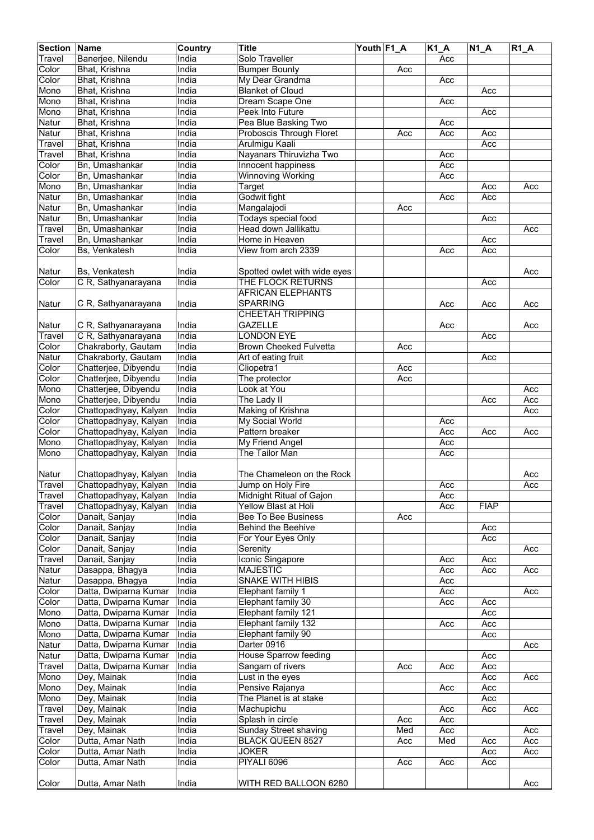| <b>Section</b> | <b>Name</b>           | <b>Country</b> | <b>Title</b>                 | Youth F1_A |     | K1A | $N1_A$      | $R1_A$ |
|----------------|-----------------------|----------------|------------------------------|------------|-----|-----|-------------|--------|
| Travel         | Banerjee, Nilendu     | India          | Solo Traveller               |            |     | Acc |             |        |
| Color          | Bhat, Krishna         | India          | <b>Bumper Bounty</b>         |            | Acc |     |             |        |
| Color          | Bhat, Krishna         | India          | My Dear Grandma              |            |     | Acc |             |        |
| Mono           | Bhat, Krishna         | India          | <b>Blanket of Cloud</b>      |            |     |     | Acc         |        |
|                |                       | India          |                              |            |     |     |             |        |
| Mono           | Bhat, Krishna         |                | Dream Scape One              |            |     | Acc |             |        |
| Mono           | Bhat, Krishna         | India          | Peek Into Future             |            |     |     | Acc         |        |
| Natur          | Bhat, Krishna         | India          | Pea Blue Basking Two         |            |     | Acc |             |        |
| Natur          | Bhat, Krishna         | India          | Proboscis Through Floret     |            | Acc | Acc | Acc         |        |
| Travel         | Bhat, Krishna         | India          | Arulmigu Kaali               |            |     |     | Acc         |        |
| Travel         | Bhat, Krishna         | India          | Nayanars Thiruvizha Two      |            |     | Acc |             |        |
| Color          | Bn, Umashankar        | India          | Innocent happiness           |            |     | Acc |             |        |
| Color          | Bn, Umashankar        | India          | <b>Winnoving Working</b>     |            |     | Acc |             |        |
| Mono           | Bn, Umashankar        | India          | Target                       |            |     |     | Acc         | Acc    |
| Natur          | Bn, Umashankar        | India          | Godwit fight                 |            |     | Acc | Acc         |        |
| Natur          | Bn, Umashankar        | India          | Mangalajodi                  |            | Acc |     |             |        |
| Natur          | Bn, Umashankar        | India          | Todays special food          |            |     |     | Acc         |        |
| Travel         | Bn, Umashankar        | India          | Head down Jallikattu         |            |     |     |             | Acc    |
| Travel         | Bn, Umashankar        | India          | Home in Heaven               |            |     |     | Acc         |        |
|                |                       |                |                              |            |     |     |             |        |
| Color          | Bs, Venkatesh         | India          | View from arch 2339          |            |     | Acc | Acc         |        |
|                |                       |                |                              |            |     |     |             |        |
| Natur          | Bs, Venkatesh         | India          | Spotted owlet with wide eyes |            |     |     |             | Acc    |
| Color          | C R, Sathyanarayana   | India          | THE FLOCK RETURNS            |            |     |     | Acc         |        |
|                |                       |                | <b>AFRICAN ELEPHANTS</b>     |            |     |     |             |        |
| Natur          | C R, Sathyanarayana   | India          | <b>SPARRING</b>              |            |     | Acc | Acc         | Acc    |
|                |                       |                | <b>CHEETAH TRIPPING</b>      |            |     |     |             |        |
| Natur          | C R, Sathyanarayana   | India          | <b>GAZELLE</b>               |            |     | Acc |             | Acc    |
| Travel         | C R, Sathyanarayana   | India          | <b>LONDON EYE</b>            |            |     |     | Acc         |        |
| Color          | Chakraborty, Gautam   | India          | Brown Cheeked Fulvetta       |            | Acc |     |             |        |
| Natur          |                       | India          |                              |            |     |     | Acc         |        |
|                | Chakraborty, Gautam   |                | Art of eating fruit          |            |     |     |             |        |
| Color          | Chatterjee, Dibyendu  | India          | Cliopetra1                   |            | Acc |     |             |        |
| Color          | Chatterjee, Dibyendu  | India          | The protector                |            | Acc |     |             |        |
| Mono           | Chatterjee, Dibyendu  | India          | Look at You                  |            |     |     |             | Acc    |
| Mono           | Chatterjee, Dibyendu  | India          | The Lady II                  |            |     |     | Acc         | Acc    |
| Color          | Chattopadhyay, Kalyan | India          | Making of Krishna            |            |     |     |             | Acc    |
| Color          | Chattopadhyay, Kalyan | India          | <b>My Social World</b>       |            |     | Acc |             |        |
| Color          | Chattopadhyay, Kalyan | India          | Pattern breaker              |            |     | Acc | Acc         | Acc    |
| Mono           | Chattopadhyay, Kalyan | India          | My Friend Angel              |            |     | Acc |             |        |
| Mono           | Chattopadhyay, Kalyan | India          | The Tailor Man               |            |     | Acc |             |        |
|                |                       |                |                              |            |     |     |             |        |
| Natur          | Chattopadhyay, Kalyan | India          | The Chameleon on the Rock    |            |     |     |             | Acc    |
| <b>Travel</b>  | Chattopadhyay, Kalyan | India          | Jump on Holy Fire            |            |     | Acc |             | Acc    |
| <b>Travel</b>  | Chattopadhyay, Kalyan | India          | Midnight Ritual of Gajon     |            |     | Acc |             |        |
|                | Chattopadhyay, Kalyan | India          | Yellow Blast at Holi         |            |     | Acc | <b>FIAP</b> |        |
| Travel         |                       |                |                              |            |     |     |             |        |
| Color          | Danait, Sanjay        | India          | Bee To Bee Business          |            | Acc |     |             |        |
| Color          | Danait, Sanjay        | India          | Behind the Beehive           |            |     |     | Acc         |        |
| Color          | Danait, Sanjay        | India          | For Your Eyes Only           |            |     |     | Acc         |        |
| Color          | Danait, Sanjay        | India          | Serenity                     |            |     |     |             | Acc    |
| Travel         | Danait, Sanjay        | India          | Iconic Singapore             |            |     | Acc | Acc         |        |
| Natur          | Dasappa, Bhagya       | India          | <b>MAJESTIC</b>              |            |     | Acc | Acc         | Acc    |
| Natur          | Dasappa, Bhagya       | India          | <b>SNAKE WITH HIBIS</b>      |            |     | Acc |             |        |
| Color          | Datta, Dwiparna Kumar | India          | Elephant family 1            |            |     | Acc |             | Acc    |
| Color          | Datta, Dwiparna Kumar | India          | Elephant family 30           |            |     | Acc | Acc         |        |
| Mono           | Datta, Dwiparna Kumar | India          | Elephant family 121          |            |     |     | Acc         |        |
| Mono           | Datta, Dwiparna Kumar | India          | Elephant family 132          |            |     | Acc | Acc         |        |
| Mono           | Datta, Dwiparna Kumar | India          | Elephant family 90           |            |     |     | Acc         |        |
| Natur          | Datta, Dwiparna Kumar | India          | Darter 0916                  |            |     |     |             | Acc    |
|                | Datta, Dwiparna Kumar | India          | House Sparrow feeding        |            |     |     | Acc         |        |
| Natur          |                       |                |                              |            |     |     |             |        |
| Travel         | Datta, Dwiparna Kumar | India          | Sangam of rivers             |            | Acc | Acc | Acc         |        |
| Mono           | Dey, Mainak           | India          | Lust in the eyes             |            |     |     | Acc         | Acc    |
| Mono           | Dey, Mainak           | India          | Pensive Rajanya              |            |     | Acc | Acc         |        |
| Mono           | Dey, Mainak           | India          | The Planet is at stake       |            |     |     | Acc         |        |
| Travel         | Dey, Mainak           | India          | Machupichu                   |            |     | Acc | Acc         | Acc    |
| Travel         | Dey, Mainak           | India          | Splash in circle             |            | Acc | Acc |             |        |
| Travel         | Dey, Mainak           | India          | Sunday Street shaving        |            | Med | Acc |             | Acc    |
| Color          | Dutta, Amar Nath      | India          | <b>BLACK QUEEN 8527</b>      |            | Acc | Med | Acc         | Acc    |
| Color          | Dutta, Amar Nath      | India          | <b>JOKER</b>                 |            |     |     | Acc         | Acc    |
| Color          | Dutta, Amar Nath      | India          | PIYALI 6096                  |            | Acc | Acc | Acc         |        |
|                |                       |                |                              |            |     |     |             |        |
| Color          | Dutta, Amar Nath      | India          | WITH RED BALLOON 6280        |            |     |     |             | Acc    |
|                |                       |                |                              |            |     |     |             |        |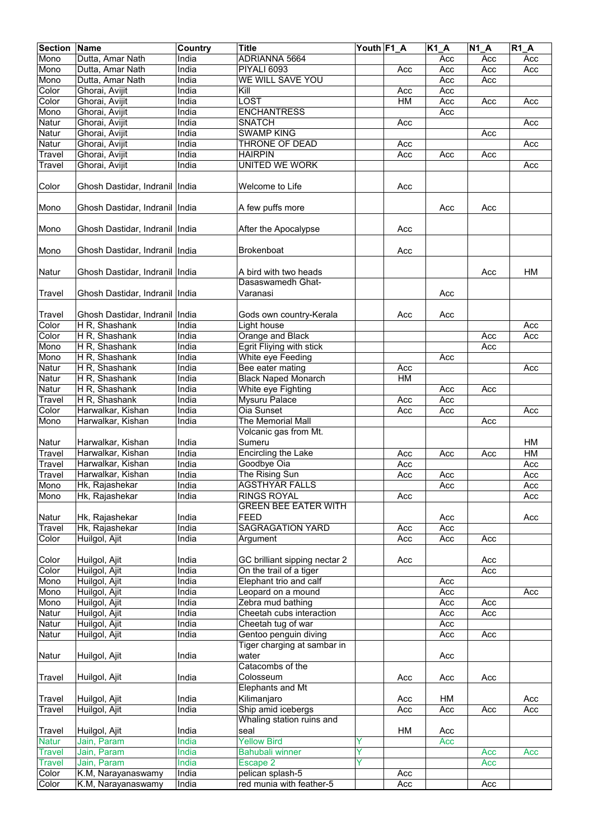| <b>Section</b> | Name                                   | Country | <b>Title</b>                  | Youth F1_A |     | $K1_A$ | $N1_A$ | R1A |
|----------------|----------------------------------------|---------|-------------------------------|------------|-----|--------|--------|-----|
| Mono           | Dutta, Amar Nath                       | India   | ADRIANNA 5664                 |            |     | Acc    | Acc    | Acc |
| Mono           | Dutta, Amar Nath                       | India   | PIYALI 6093                   |            | Acc | Acc    | Acc    | Acc |
| Mono           | Dutta, Amar Nath                       | India   | <b>WE WILL SAVE YOU</b>       |            |     | Acc    | Acc    |     |
| Color          | Ghorai, Avijit                         | India   | Kill                          |            | Acc | Acc    |        |     |
| Color          | Ghorai, Avijit                         | India   | <b>LOST</b>                   |            | H M | Acc    | Acc    | Acc |
| Mono           | Ghorai, Avijit                         | India   | <b>ENCHANTRESS</b>            |            |     | Acc    |        |     |
| Natur          | Ghorai, Avijit                         | India   | <b>SNATCH</b>                 |            | Acc |        |        | Acc |
| Natur          | Ghorai, Avijit                         | India   | <b>SWAMP KING</b>             |            |     |        | Acc    |     |
| Natur          | Ghorai, Avijit                         | India   | THRONE OF DEAD                |            | Acc |        |        | Acc |
| Travel         | Ghorai, Avijit                         | India   | <b>HAIRPIN</b>                |            | Acc | Acc    | Acc    |     |
| <b>Travel</b>  | Ghorai, Avijit                         | India   | <b>UNITED WE WORK</b>         |            |     |        |        | Acc |
|                |                                        |         |                               |            |     |        |        |     |
| Color          | Ghosh Dastidar, Indranil   India       |         | Welcome to Life               |            | Acc |        |        |     |
| Mono           | Ghosh Dastidar, Indranil India         |         | A few puffs more              |            |     | Acc    | Acc    |     |
| Mono           | Ghosh Dastidar, Indranil   India       |         | After the Apocalypse          |            | Acc |        |        |     |
|                |                                        |         |                               |            |     |        |        |     |
| Mono           | Ghosh Dastidar, Indranil India         |         | <b>Brokenboat</b>             |            | Acc |        |        |     |
|                |                                        |         |                               |            |     |        |        |     |
|                |                                        |         | A bird with two heads         |            |     |        |        |     |
| Natur          | Ghosh Dastidar, Indranil   India       |         | Dasaswamedh Ghat-             |            |     |        | Acc    | HM  |
|                |                                        |         |                               |            |     |        |        |     |
| Travel         | Ghosh Dastidar, Indranil   India       |         | Varanasi                      |            |     | Acc    |        |     |
|                |                                        |         |                               |            |     |        |        |     |
| Travel         | Ghosh Dastidar, Indranil               | India   | Gods own country-Kerala       |            | Acc | Acc    |        |     |
| Color          | H R, Shashank                          | India   | Light house                   |            |     |        |        | Acc |
| Color          | H R, Shashank                          | India   | Orange and Black              |            |     |        | Acc    | Acc |
| Mono           | H R, Shashank                          | India   | Egrit Fliying with stick      |            |     |        | Acc    |     |
| Mono           | H R, Shashank                          | India   | White eye Feeding             |            |     | Acc    |        |     |
| Natur          | H R, Shashank                          | India   | Bee eater mating              |            | Acc |        |        | Acc |
| Natur          | H R, Shashank                          | India   | <b>Black Naped Monarch</b>    |            | HM  |        |        |     |
| Natur          | H R, Shashank                          | India   | White eye Fighting            |            |     | Acc    | Acc    |     |
| Travel         | H R, Shashank                          | India   | Mysuru Palace                 |            | Acc | Acc    |        |     |
| Color          | Harwalkar, Kishan                      | India   | <b>Oia Sunset</b>             |            | Acc | Acc    |        | Acc |
| Mono           | Harwalkar, Kishan                      | India   | The Memorial Mall             |            |     |        | Acc    |     |
|                |                                        |         | Volcanic gas from Mt.         |            |     |        |        |     |
|                |                                        | India   | Sumeru                        |            |     |        |        | НM  |
| Natur          | Harwalkar, Kishan<br>Harwalkar, Kishan | India   |                               |            |     |        |        | H M |
| Travel         |                                        |         | <b>Encircling the Lake</b>    |            | Acc | Acc    | Acc    |     |
| Travel         | Harwalkar, Kishan                      | India   | Goodbye Oia                   |            | Acc |        |        | Acc |
| Travel         | Harwalkar, Kishan                      | India   | The Rising Sun                |            | Acc | Acc    |        | Acc |
| Mono           | Hk, Rajashekar                         | India   | <b>AGSTHYAR FALLS</b>         |            |     | Acc    |        | Acc |
| Mono           | Hk, Rajashekar                         | India   | <b>RINGS ROYAL</b>            |            | Acc |        |        | Acc |
|                |                                        |         | <b>GREEN BEE EATER WITH</b>   |            |     |        |        |     |
| Natur          | Hk, Rajashekar                         | India   | <b>FEED</b>                   |            |     | Acc    |        | Acc |
| Travel         | Hk, Rajashekar                         | India   | <b>SAGRAGATION YARD</b>       |            | Acc | Acc    |        |     |
| Color          | Huilgol, Ajit                          | India   | Argument                      |            | Acc | Acc    | Acc    |     |
|                |                                        |         |                               |            |     |        |        |     |
| Color          | Huilgol, Ajit                          | India   | GC brilliant sipping nectar 2 |            | Acc |        | Acc    |     |
| Color          | Huilgol, Ajit                          | India   | On the trail of a tiger       |            |     |        | Acc    |     |
| Mono           | Huilgol, Ajit                          | India   | Elephant trio and calf        |            |     | Acc    |        |     |
| Mono           | Huilgol, Ajit                          | India   | Leopard on a mound            |            |     | Acc    |        | Acc |
| Mono           | Huilgol, Ajit                          | India   | Zebra mud bathing             |            |     | Acc    | Acc    |     |
| Natur          | Huilgol, Ajit                          | India   | Cheetah cubs interaction      |            |     | Acc    | Acc    |     |
| Natur          | Huilgol, Ajit                          | India   | Cheetah tug of war            |            |     | Acc    |        |     |
|                |                                        |         |                               |            |     |        |        |     |
| Natur          | Huilgol, Ajit                          | India   | Gentoo penguin diving         |            |     | Acc    | Acc    |     |
|                |                                        |         | Tiger charging at sambar in   |            |     |        |        |     |
| Natur          | Huilgol, Ajit                          | India   | water                         |            |     | Acc    |        |     |
|                |                                        |         | Catacombs of the              |            |     |        |        |     |
| Travel         | Huilgol, Ajit                          | India   | Colosseum                     |            | Acc | Acc    | Acc    |     |
|                |                                        |         | Elephants and Mt              |            |     |        |        |     |
| Travel         | Huilgol, Ajit                          | India   | Kilimanjaro                   |            | Acc | HM     |        | Acc |
| <b>Travel</b>  | Huilgol, Ajit                          | India   | Ship amid icebergs            |            | Acc | Acc    | Acc    | Acc |
|                |                                        |         | Whaling station ruins and     |            |     |        |        |     |
| Travel         | Huilgol, Ajit                          | India   | seal                          |            | HM  | Acc    |        |     |
| <b>Natur</b>   | Jain, Param                            | India   | <b>Yellow Bird</b>            | Y          |     | Acc    |        |     |
| <b>Travel</b>  | Jain, Param                            | India   | <b>Bahubali winner</b>        | Ÿ          |     |        | Acc    | Acc |
| <b>Travel</b>  | Jain, Param                            | India   | Escape 2                      | Y          |     |        | Acc    |     |
| Color          | K.M, Narayanaswamy                     | India   | pelican splash-5              |            | Acc |        |        |     |
|                |                                        |         |                               |            |     |        |        |     |
| Color          | K.M, Narayanaswamy                     | India   | red munia with feather-5      |            | Acc |        | Acc    |     |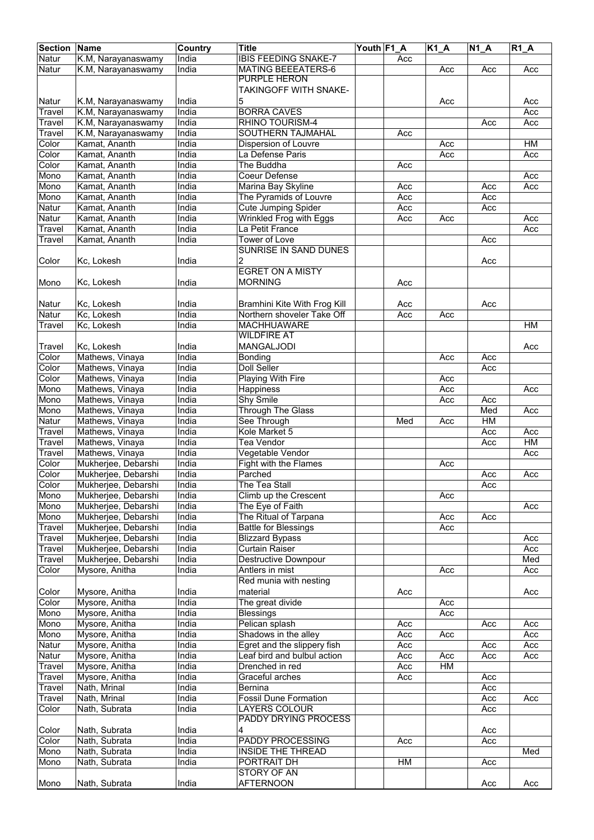| <b>Section</b> | <b>Name</b>                                | Country        | <b>Title</b>                             | Youth F1_A |     | <b>K1 A</b> | <b>N1 A</b> | $R1$ $A$ |
|----------------|--------------------------------------------|----------------|------------------------------------------|------------|-----|-------------|-------------|----------|
| Natur          | K.M, Narayanaswamy                         | India          | <b>IBIS FEEDING SNAKE-7</b>              |            | Acc |             |             |          |
| Natur          | K.M, Narayanaswamy                         | India          | <b>MATING BEEEATERS-6</b>                |            |     | Acc         | Acc         | Acc      |
|                |                                            |                | PURPLE HERON                             |            |     |             |             |          |
|                |                                            |                | <b>TAKINGOFF WITH SNAKE-</b>             |            |     |             |             |          |
| Natur          | K.M, Narayanaswamy                         | India          | 5                                        |            |     | Acc         |             | Acc      |
| Travel         | K.M, Narayanaswamy                         | India          | <b>BORRA CAVES</b>                       |            |     |             |             | Acc      |
| Travel         | K.M, Narayanaswamy                         | India          | <b>RHINO TOURISM-4</b>                   |            |     |             | Acc         | Acc      |
| Travel         | K.M, Narayanaswamy                         | India<br>India | SOUTHERN TAJMAHAL                        |            | Acc |             |             |          |
| Color<br>Color | Kamat, Ananth<br>Kamat, Ananth             | India          | Dispersion of Louvre<br>La Defense Paris |            |     | Acc         |             | HM       |
| Color          | Kamat, Ananth                              | India          | The Buddha                               |            | Acc | Acc         |             | Acc      |
| Mono           | Kamat, Ananth                              | India          | Coeur Defense                            |            |     |             |             | Acc      |
| Mono           | Kamat, Ananth                              | India          | Marina Bay Skyline                       |            | Acc |             | Acc         | Acc      |
| Mono           | Kamat, Ananth                              | India          | The Pyramids of Louvre                   |            | Acc |             | Acc         |          |
| Natur          | Kamat, Ananth                              | India          | <b>Cute Jumping Spider</b>               |            | Acc |             | Acc         |          |
| Natur          | Kamat, Ananth                              | India          | Wrinkled Frog with Eggs                  |            | Acc | Acc         |             | Acc      |
| Travel         | Kamat, Ananth                              | India          | La Petit France                          |            |     |             |             | Acc      |
| Travel         | Kamat, Ananth                              | India          | <b>Tower of Love</b>                     |            |     |             | Acc         |          |
|                |                                            |                | <b>SUNRISE IN SAND DUNES</b>             |            |     |             |             |          |
| Color          | Kc, Lokesh                                 | India          | 2                                        |            |     |             | Acc         |          |
|                |                                            |                | <b>EGRET ON A MISTY</b>                  |            |     |             |             |          |
| Mono           | Kc, Lokesh                                 | India          | <b>MORNING</b>                           |            | Acc |             |             |          |
|                |                                            |                |                                          |            |     |             |             |          |
| Natur          | Kc, Lokesh                                 | India          | Bramhini Kite With Frog Kill             |            | Acc |             | Acc         |          |
| Natur          | Kc, Lokesh                                 | India          | Northern shoveler Take Off               |            | Acc | Acc         |             |          |
| Travel         | Kc, Lokesh                                 | India          | <b>MACHHUAWARE</b>                       |            |     |             |             | HM       |
|                |                                            |                | <b>WILDFIRE AT</b>                       |            |     |             |             |          |
| Travel         | Kc, Lokesh                                 | India          | <b>MANGALJODI</b>                        |            |     |             |             | Acc      |
| Color          | Mathews, Vinaya                            | India          | Bonding                                  |            |     | Acc         | Acc         |          |
| Color          | Mathews, Vinaya                            | India          | Doll Seller                              |            |     |             | Acc         |          |
| Color          | Mathews, Vinaya                            | India          | Playing With Fire                        |            |     | Acc         |             |          |
| Mono           | Mathews, Vinaya                            | India          | Happiness                                |            |     | Acc         |             | Acc      |
| Mono           | Mathews, Vinaya                            | India          | Shy Smile                                |            |     | Acc         | Acc         |          |
| Mono           | Mathews, Vinaya                            | India          | <b>Through The Glass</b>                 |            |     |             | Med         | Acc      |
| Natur          | Mathews, Vinaya                            | India          | See Through                              |            | Med | Acc         | HM          |          |
| Travel         | Mathews, Vinaya                            | India          | Kole Market 5                            |            |     |             | Acc         | Acc      |
| Travel         | Mathews, Vinaya                            | India          | <b>Tea Vendor</b>                        |            |     |             | Acc         | HM       |
| Travel         | Mathews, Vinaya                            | India          | Vegetable Vendor                         |            |     |             |             | Acc      |
| Color          | Mukherjee, Debarshi                        | India          | Fight with the Flames                    |            |     | Acc         |             |          |
| Color<br>Color | Mukherjee, Debarshi                        | India          | Parched<br>The Tea Stall                 |            |     |             | Acc         | Acc      |
| Mono           | Mukherjee, Debarshi<br>Mukherjee, Debarshi | India<br>India | Climb up the Crescent                    |            |     | Acc         | Acc         |          |
| Mono           | Mukherjee, Debarshi                        | India          | The Eye of Faith                         |            |     |             |             | Acc      |
| Mono           | Mukherjee, Debarshi                        | India          | The Ritual of Tarpana                    |            |     | Acc         | Acc         |          |
| Travel         | Mukherjee, Debarshi                        | India          | <b>Battle for Blessings</b>              |            |     | Acc         |             |          |
| Travel         | Mukherjee, Debarshi                        | India          | <b>Blizzard Bypass</b>                   |            |     |             |             | Acc      |
| Travel         | Mukherjee, Debarshi                        | India          | Curtain Raiser                           |            |     |             |             | Acc      |
| Travel         | Mukherjee, Debarshi                        | India          | <b>Destructive Downpour</b>              |            |     |             |             | Med      |
| Color          | Mysore, Anitha                             | India          | Antlers in mist                          |            |     | Acc         |             | Acc      |
|                |                                            |                | Red munia with nesting                   |            |     |             |             |          |
| Color          | Mysore, Anitha                             | India          | material                                 |            | Acc |             |             | Acc      |
| Color          | Mysore, Anitha                             | India          | The great divide                         |            |     | Acc         |             |          |
| Mono           | Mysore, Anitha                             | India          | <b>Blessings</b>                         |            |     | Acc         |             |          |
| Mono           | Mysore, Anitha                             | India          | Pelican splash                           |            | Acc |             | Acc         | Acc      |
| Mono           | Mysore, Anitha                             | India          | Shadows in the alley                     |            | Acc | Acc         |             | Acc      |
| Natur          | Mysore, Anitha                             | India          | Egret and the slippery fish              |            | Acc |             | Acc         | Acc      |
| Natur          | Mysore, Anitha                             | India          | Leaf bird and bulbul action              |            | Acc | Acc         | Acc         | Acc      |
| Travel         | Mysore, Anitha                             | India          | Drenched in red                          |            | Acc | ${\sf HM}$  |             |          |
| Travel         | Mysore, Anitha                             | India          | Graceful arches                          |            | Acc |             | Acc         |          |
| Travel         | Nath, Mrinal                               | India          | Bernina                                  |            |     |             | Acc         |          |
| Travel         | Nath, Mrinal                               | India          | <b>Fossil Dune Formation</b>             |            |     |             | Acc         | Acc      |
| Color          | Nath, Subrata                              | India          | <b>LAYERS COLOUR</b>                     |            |     |             | Acc         |          |
|                |                                            |                | PADDY DRYING PROCESS                     |            |     |             |             |          |
| Color          | Nath, Subrata                              | India          | 4                                        |            |     |             | Acc         |          |
| Color          | Nath, Subrata                              | India          | <b>PADDY PROCESSING</b>                  |            | Acc |             | Acc         |          |
| Mono           | Nath, Subrata                              | India          | <b>INSIDE THE THREAD</b>                 |            |     |             |             | Med      |
| Mono           | Nath, Subrata                              | India          | PORTRAIT DH                              |            | HM  |             | Acc         |          |
|                |                                            |                | <b>STORY OF AN</b>                       |            |     |             |             |          |
| Mono           | Nath, Subrata                              | India          | <b>AFTERNOON</b>                         |            |     |             | Acc         | Acc      |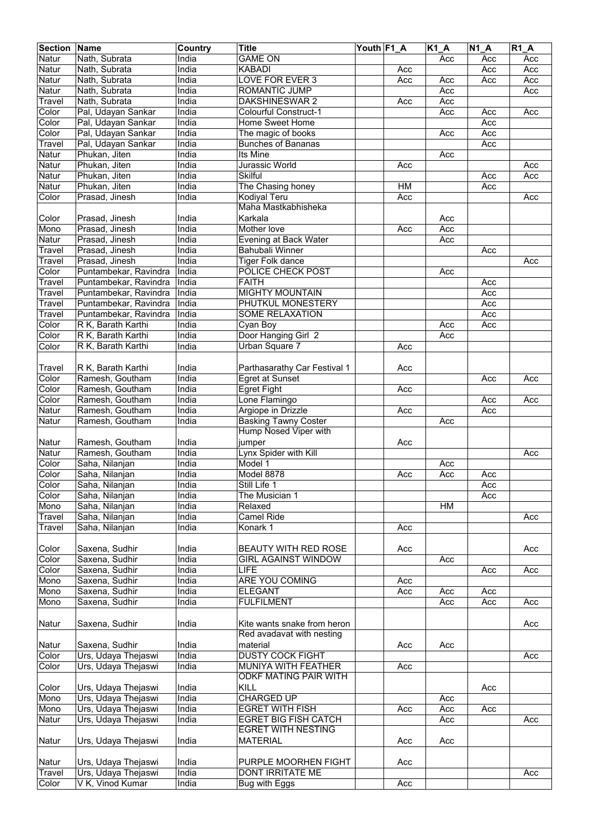| <b>Section</b> | Name                  | Country | <b>Title</b>                 | Youth F1_A |     | $K1_A$ | <b>N1 A</b> | <b>R1 A</b> |
|----------------|-----------------------|---------|------------------------------|------------|-----|--------|-------------|-------------|
| Natur          | Nath, Subrata         | India   | <b>GAME ON</b>               |            |     | Acc    | Acc         | Acc         |
| Natur          | Nath, Subrata         | India   | <b>KABADI</b>                |            | Acc |        | Acc         | Acc         |
| Natur          | Nath, Subrata         | India   | LOVE FOR EVER 3              |            | Acc | Acc    | Acc         | Acc         |
| Natur          | Nath, Subrata         | India   | ROMANTIC JUMP                |            |     | Acc    |             | Acc         |
| Travel         | Nath, Subrata         | India   | DAKSHINESWAR 2               |            | Acc | Acc    |             |             |
| Color          | Pal, Udayan Sankar    | India   | Colourful Construct-1        |            |     | Acc    | Acc         | Acc         |
| Color          | Pal, Udayan Sankar    | India   | Home Sweet Home              |            |     |        | Acc         |             |
| Color          | Pal, Udayan Sankar    | India   | The magic of books           |            |     | Acc    | Acc         |             |
| Travel         | Pal, Udayan Sankar    | India   | <b>Bunches of Bananas</b>    |            |     |        | Acc         |             |
| Natur          | Phukan, Jiten         | India   | Its Mine                     |            |     | Acc    |             |             |
| Natur          | Phukan, Jiten         | India   | Jurassic World               |            | Acc |        |             | Acc         |
| Natur          | Phukan, Jiten         | India   | <b>Skilful</b>               |            |     |        | Acc         | Acc         |
| Natur          | Phukan, Jiten         | India   | The Chasing honey            |            | HM  |        | Acc         |             |
| Color          | Prasad, Jinesh        | India   | <b>Kodiyal Teru</b>          |            | Acc |        |             | Acc         |
|                |                       |         | Maha Mastkabhisheka          |            |     |        |             |             |
| Color          | Prasad, Jinesh        | India   | Karkala                      |            |     | Acc    |             |             |
| Mono           | Prasad, Jinesh        | India   | Mother love                  |            | Acc | Acc    |             |             |
| Natur          | Prasad, Jinesh        | India   |                              |            |     | Acc    |             |             |
|                |                       | India   | Evening at Back Water        |            |     |        |             |             |
| Travel         | Prasad, Jinesh        |         | Bahubali Winner              |            |     |        | Acc         |             |
| Travel         | Prasad, Jinesh        | India   | <b>Tiger Folk dance</b>      |            |     |        |             | Acc         |
| Color          | Puntambekar, Ravindra | India   | POLICE CHECK POST            |            |     | Acc    |             |             |
| Travel         | Puntambekar, Ravindra | India   | <b>FAITH</b>                 |            |     |        | Acc         |             |
| Travel         | Puntambekar, Ravindra | India   | <b>MIGHTY MOUNTAIN</b>       |            |     |        | Acc         |             |
| Travel         | Puntambekar, Ravindra | India   | PHUTKUL MONESTERY            |            |     |        | Acc         |             |
| Travel         | Puntambekar, Ravindra | India   | <b>SOME RELAXATION</b>       |            |     |        | Acc         |             |
| Color          | R K, Barath Karthi    | India   | Cyan Boy                     |            |     | Acc    | Acc         |             |
| Color          | R K, Barath Karthi    | India   | Door Hanging Girl 2          |            |     | Acc    |             |             |
| Color          | R K, Barath Karthi    | India   | Urban Square 7               |            | Acc |        |             |             |
|                |                       |         |                              |            |     |        |             |             |
| Travel         | R K, Barath Karthi    | India   | Parthasarathy Car Festival 1 |            | Acc |        |             |             |
| Color          | Ramesh, Goutham       | India   | <b>Egret at Sunset</b>       |            |     |        | Acc         | Acc         |
| Color          | Ramesh, Goutham       | India   | <b>Egret Fight</b>           |            | Acc |        |             |             |
| Color          | Ramesh, Goutham       | India   | Lone Flamingo                |            |     |        | Acc         | Acc         |
| Natur          | Ramesh, Goutham       | India   | Argiope in Drizzle           |            | Acc |        | Acc         |             |
| Natur          | Ramesh, Goutham       | India   | <b>Basking Tawny Coster</b>  |            |     | Acc    |             |             |
|                |                       |         | Hump Nosed Viper with        |            |     |        |             |             |
| Natur          | Ramesh, Goutham       | India   | jumper                       |            | Acc |        |             |             |
| Natur          | Ramesh, Goutham       | India   | Lynx Spider with Kill        |            |     |        |             | Acc         |
| Color          | Saha, Nilanjan        | India   | Model 1                      |            |     | Acc    |             |             |
| Color          | Saha, Nilanjan        | India   | Model 8878                   |            | Acc | Acc    | Acc         |             |
| Color          | Saha, Nilanjan        | India   | Still Life 1                 |            |     |        | Acc         |             |
| Color          | Saha, Nilanjan        | India   | The Musician 1               |            |     |        | Acc         |             |
| Mono           | Saha, Nilanjan        | India   | Relaxed                      |            |     | HM     |             |             |
| Travel         | Saha, Nilanjan        | India   | Camel Ride                   |            |     |        |             | Acc         |
| Travel         | Saha, Nilanjan        | India   | Konark 1                     |            | Acc |        |             |             |
|                |                       |         |                              |            |     |        |             |             |
| Color          | Saxena, Sudhir        | India   | <b>BEAUTY WITH RED ROSE</b>  |            | Acc |        |             | Acc         |
| Color          | Saxena, Sudhir        | India   | <b>GIRL AGAINST WINDOW</b>   |            |     | Acc    |             |             |
| Color          | Saxena, Sudhir        | India   | <b>LIFE</b>                  |            |     |        | Acc         | Acc         |
| Mono           | Saxena, Sudhir        | India   | <b>ARE YOU COMING</b>        |            | Acc |        |             |             |
| Mono           | Saxena, Sudhir        | India   | <b>ELEGANT</b>               |            | Acc | Acc    | Acc         |             |
| Mono           | Saxena, Sudhir        | India   | <b>FULFILMENT</b>            |            |     | Acc    | Acc         | Acc         |
|                |                       |         |                              |            |     |        |             |             |
|                |                       |         |                              |            |     |        |             |             |
| Natur          | Saxena, Sudhir        | India   | Kite wants snake from heron  |            |     |        |             | Acc         |
|                |                       |         | Red avadavat with nesting    |            |     |        |             |             |
| Natur          | Saxena, Sudhir        | India   | material                     |            | Acc | Acc    |             |             |
| Color          | Urs, Udaya Thejaswi   | India   | <b>DUSTY COCK FIGHT</b>      |            |     |        |             | Acc         |
| Color          | Urs, Udaya Thejaswi   | India   | MUNIYA WITH FEATHER          |            | Acc |        |             |             |
|                |                       |         | ODKF MATING PAIR WITH        |            |     |        |             |             |
| Color          | Urs, Udaya Thejaswi   | India   | KILL                         |            |     |        | Acc         |             |
| Mono           | Urs, Udaya Thejaswi   | India   | <b>CHARGED UP</b>            |            |     | Acc    |             |             |
| Mono           | Urs, Udaya Thejaswi   | India   | <b>EGRET WITH FISH</b>       |            | Acc | Acc    | Acc         |             |
| Natur          | Urs, Udaya Thejaswi   | India   | <b>EGRET BIG FISH CATCH</b>  |            |     | Acc    |             | Acc         |
|                |                       |         | <b>EGRET WITH NESTING</b>    |            |     |        |             |             |
| Natur          | Urs, Udaya Thejaswi   | India   | <b>MATERIAL</b>              |            | Acc | Acc    |             |             |
|                |                       |         |                              |            |     |        |             |             |
| Natur          | Urs, Udaya Thejaswi   | India   | PURPLE MOORHEN FIGHT         |            | Acc |        |             |             |
| Travel         | Urs, Udaya Thejaswi   | India   | DONT IRRITATE ME             |            |     |        |             | Acc         |
| Color          | V K, Vinod Kumar      | India   | Bug with Eggs                |            | Acc |        |             |             |
|                |                       |         |                              |            |     |        |             |             |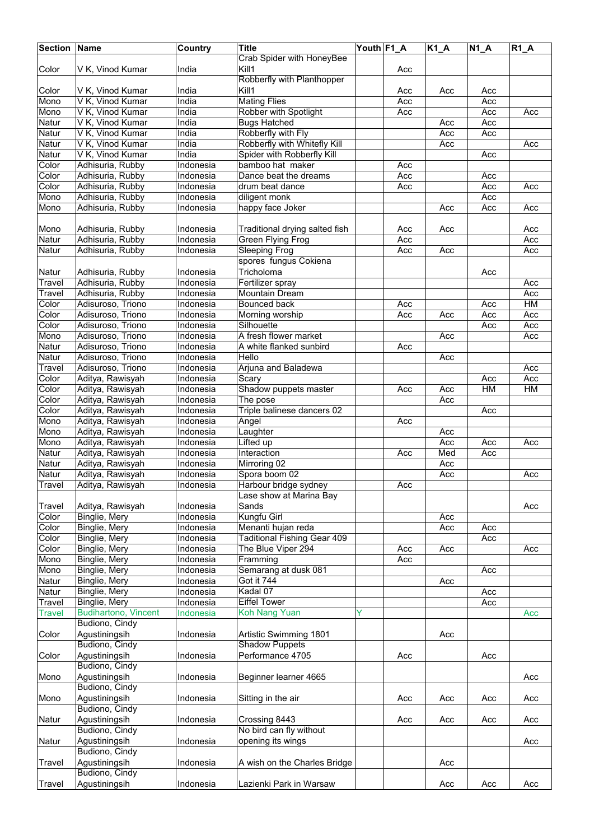| <b>Section</b> | <b>Name</b>                     | Country          | <b>Title</b>                             | Youth F1_A |     | $K1_A$ | <b>N1 A</b> | <b>R1 A</b> |
|----------------|---------------------------------|------------------|------------------------------------------|------------|-----|--------|-------------|-------------|
|                |                                 |                  | <b>Crab Spider with HoneyBee</b>         |            |     |        |             |             |
| Color          | V K, Vinod Kumar                | India            | Kill1                                    |            | Acc |        |             |             |
|                |                                 |                  | Robberfly with Planthopper               |            |     |        |             |             |
| Color          | V K, Vinod Kumar                | India            | Kill1                                    |            | Acc | Acc    | Acc         |             |
| Mono           | V K, Vinod Kumar                | India            | <b>Mating Flies</b>                      |            | Acc |        | Acc         |             |
| Mono           | V K, Vinod Kumar                | India            | Robber with Spotlight                    |            | Acc |        | Acc         | Acc         |
| Natur          | V K, Vinod Kumar                | India            | <b>Bugs Hatched</b>                      |            |     | Acc    | Acc         |             |
| Natur          | V K, Vinod Kumar                | India            | Robberfly with Fly                       |            |     | Acc    | Acc         |             |
| Natur          | V K, Vinod Kumar                | India            | Robberfly with Whitefly Kill             |            |     | Acc    |             | Acc         |
| Natur          | V K, Vinod Kumar                | India            | Spider with Robberfly Kill               |            |     |        | Acc         |             |
| Color          | Adhisuria, Rubby                | Indonesia        | bamboo hat maker                         |            | Acc |        |             |             |
| Color          | Adhisuria, Rubby                | Indonesia        | Dance beat the dreams                    |            | Acc |        | Acc         |             |
| Color          | Adhisuria, Rubby                | Indonesia        | drum beat dance                          |            | Acc |        | Acc         | Acc         |
| Mono           | Adhisuria, Rubby                | Indonesia        | diligent monk                            |            |     |        | Acc         |             |
| Mono           | Adhisuria, Rubby                | Indonesia        | happy face Joker                         |            |     | Acc    | Acc         | Acc         |
|                |                                 |                  |                                          |            |     |        |             |             |
| Mono           | Adhisuria, Rubby                | Indonesia        | Traditional drying salted fish           |            | Acc | Acc    |             | Acc         |
| Natur          | Adhisuria, Rubby                | Indonesia        | Green Flying Frog                        |            | Acc |        |             | Acc         |
| Natur          | Adhisuria, Rubby                | Indonesia        | <b>Sleeping Frog</b>                     |            | Acc | Acc    |             | Acc         |
|                |                                 |                  | spores fungus Cokiena                    |            |     |        |             |             |
| Natur          | Adhisuria, Rubby                | Indonesia        | Tricholoma                               |            |     |        | Acc         |             |
| Travel         | Adhisuria, Rubby                | Indonesia        | Fertilizer spray                         |            |     |        |             | Acc         |
| Travel         | Adhisuria, Rubby                | Indonesia        | Mountain Dream                           |            |     |        |             | Acc         |
| Color          | Adisuroso, Triono               | Indonesia        | <b>Bounced back</b>                      |            | Acc |        | Acc         | HM          |
| Color          | Adisuroso, Triono               | Indonesia        | Morning worship                          |            | Acc | Acc    | Acc         | Acc         |
| Color          | Adisuroso, Triono               | <b>Indonesia</b> | Silhouette                               |            |     |        | Acc         | Acc         |
| Mono           | Adisuroso, Triono               | <b>Indonesia</b> | A fresh flower market                    |            |     | Acc    |             | Acc         |
| Natur          | Adisuroso, Triono               | Indonesia        | A white flanked sunbird                  |            | Acc |        |             |             |
| Natur          | Adisuroso, Triono               | Indonesia        | Hello                                    |            |     | Acc    |             |             |
| Travel         | Adisuroso, Triono               | Indonesia        | Arjuna and Baladewa                      |            |     |        |             | Acc         |
| Color          | Aditya, Rawisyah                | Indonesia        | Scary                                    |            |     |        | Acc         | Acc         |
| Color          | Aditya, Rawisyah                | Indonesia        | Shadow puppets master                    |            | Acc | Acc    | HM          | HM          |
| Color          | Aditya, Rawisyah                | Indonesia        | The pose                                 |            |     | Acc    |             |             |
| Color          | Aditya, Rawisyah                | Indonesia        | Triple balinese dancers 02               |            |     |        | Acc         |             |
| Mono           | Aditya, Rawisyah                | Indonesia        | Angel                                    |            | Acc |        |             |             |
| Mono           | Aditya, Rawisyah                | Indonesia        | Laughter                                 |            |     | Acc    |             |             |
| Mono           | Aditya, Rawisyah                | Indonesia        | Lifted up                                |            |     | Acc    | Acc         | Acc         |
| Natur          | Aditya, Rawisyah                | Indonesia        | Interaction                              |            | Acc | Med    | Acc         |             |
| Natur          | Aditya, Rawisyah                | Indonesia        | Mirroring 02                             |            |     | Acc    |             |             |
| Natur          | Aditya, Rawisyah                | Indonesia        | Spora boom 02                            |            |     | Acc    |             | Acc         |
| Travel         | Aditya, Rawisyah                | Indonesia        | Harbour bridge sydney                    |            | Acc |        |             |             |
|                |                                 |                  | Lase show at Marina Bay                  |            |     |        |             |             |
| Travel         | Aditya, Rawisyah                | Indonesia        | Sands                                    |            |     |        |             | Acc         |
| Color          | Binglie, Mery                   | Indonesia        | Kungfu Girl                              |            |     | Acc    |             |             |
| Color          | Binglie, Mery                   | Indonesia        | Menanti hujan reda                       |            |     | Acc    | Acc         |             |
| Color          | Binglie, Mery                   | Indonesia        | <b>Taditional Fishing Gear 409</b>       |            |     |        | Acc         |             |
| Color          | Binglie, Mery                   | Indonesia        | The Blue Viper 294                       |            | Acc | Acc    |             | Acc         |
| Mono           | Binglie, Mery                   | Indonesia        | Framming                                 |            | Acc |        |             |             |
| Mono           | Binglie, Mery                   | Indonesia        | Semarang at dusk 081                     |            |     |        | Acc         |             |
| Natur          | Binglie, Mery                   | <b>Indonesia</b> | Got it 744                               |            |     | Acc    |             |             |
| Natur          | Binglie, Mery                   | Indonesia        | Kadal 07                                 |            |     |        | Acc         |             |
| Travel         | Binglie, Mery                   | Indonesia        | <b>Eiffel Tower</b>                      |            |     |        | Acc         |             |
| Travel         | <b>Budihartono, Vincent</b>     | Indonesia        | <b>Koh Nang Yuan</b>                     | Y          |     |        |             | Acc         |
|                | Budiono, Cindy                  |                  |                                          |            |     |        |             |             |
| Color          | Agustiningsih                   | Indonesia        | Artistic Swimming 1801                   |            |     | Acc    |             |             |
|                | Budiono, Cindy                  |                  | <b>Shadow Puppets</b>                    |            |     |        |             |             |
| Color          | Agustiningsih                   | Indonesia        | Performance 4705                         |            | Acc |        | Acc         |             |
|                | Budiono, Cindy                  |                  |                                          |            |     |        |             |             |
| Mono           | Agustiningsih                   | Indonesia        | Beginner learner 4665                    |            |     |        |             | Acc         |
|                | Budiono, Cindy                  |                  |                                          |            |     |        |             |             |
|                | Agustiningsih                   | Indonesia        |                                          |            |     |        |             |             |
| Mono           | Budiono, Cindy                  |                  | Sitting in the air                       |            | Acc | Acc    | Acc         | Acc         |
|                |                                 |                  |                                          |            |     |        |             |             |
| Natur          | Agustiningsih<br>Budiono, Cindy | Indonesia        | Crossing 8443<br>No bird can fly without |            | Acc | Acc    | Acc         | Acc         |
|                |                                 |                  |                                          |            |     |        |             |             |
| Natur          | Agustiningsih                   | Indonesia        | opening its wings                        |            |     |        |             | Acc         |
|                | Budiono, Cindy                  |                  |                                          |            |     |        |             |             |
| Travel         | Agustiningsih                   | Indonesia        | A wish on the Charles Bridge             |            |     | Acc    |             |             |
|                | Budiono, Cindy                  |                  |                                          |            |     |        |             |             |
| Travel         | Agustiningsih                   | Indonesia        | Lazienki Park in Warsaw                  |            |     | Acc    | Acc         | Acc         |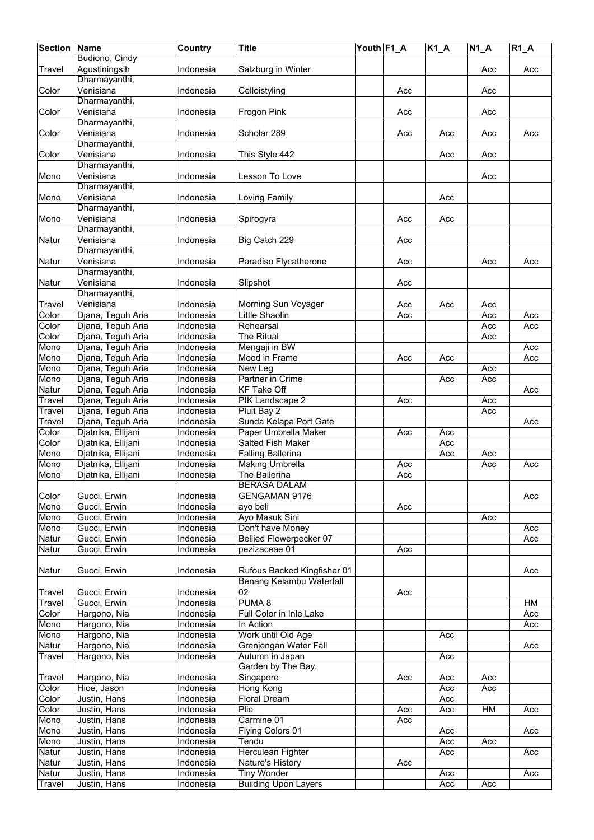| <b>Section</b>       | Name               | <b>Country</b>   | <b>Title</b>                   | Youth F1_A |     | $K1_A$ | $N1_A$ | R1A |
|----------------------|--------------------|------------------|--------------------------------|------------|-----|--------|--------|-----|
|                      | Budiono, Cindy     |                  |                                |            |     |        |        |     |
| Travel               | Agustiningsih      | Indonesia        | Salzburg in Winter             |            |     |        | Acc    | Acc |
|                      | Dharmayanthi,      |                  |                                |            |     |        |        |     |
|                      | Venisiana          | Indonesia        |                                |            | Acc |        | Acc    |     |
| Color                |                    |                  | Celloistyling                  |            |     |        |        |     |
|                      | Dharmayanthi,      |                  |                                |            |     |        |        |     |
| Color                | Venisiana          | Indonesia        | Frogon Pink                    |            | Acc |        | Acc    |     |
|                      | Dharmayanthi,      |                  |                                |            |     |        |        |     |
| Color                | Venisiana          | Indonesia        | Scholar 289                    |            | Acc | Acc    | Acc    | Acc |
|                      | Dharmayanthi,      |                  |                                |            |     |        |        |     |
| Color                | Venisiana          | Indonesia        | This Style 442                 |            |     | Acc    | Acc    |     |
|                      | Dharmayanthi,      |                  |                                |            |     |        |        |     |
| Mono                 | Venisiana          | Indonesia        | Lesson To Love                 |            |     |        | Acc    |     |
|                      | Dharmayanthi,      |                  |                                |            |     |        |        |     |
| Mono                 | Venisiana          | Indonesia        | Loving Family                  |            |     | Acc    |        |     |
|                      |                    |                  |                                |            |     |        |        |     |
|                      | Dharmayanthi,      |                  |                                |            |     |        |        |     |
| Mono                 | Venisiana          | Indonesia        | Spirogyra                      |            | Acc | Acc    |        |     |
|                      | Dharmayanthi,      |                  |                                |            |     |        |        |     |
| Natur                | Venisiana          | Indonesia        | Big Catch 229                  |            | Acc |        |        |     |
|                      | Dharmayanthi,      |                  |                                |            |     |        |        |     |
| Natur                | Venisiana          | Indonesia        | Paradiso Flycatherone          |            | Acc |        | Acc    | Acc |
|                      | Dharmayanthi,      |                  |                                |            |     |        |        |     |
| Natur                | Venisiana          | Indonesia        | Slipshot                       |            | Acc |        |        |     |
|                      | Dharmayanthi,      |                  |                                |            |     |        |        |     |
|                      |                    |                  |                                |            |     |        |        |     |
| Travel               | Venisiana          | Indonesia        | Morning Sun Voyager            |            | Acc | Acc    | Acc    |     |
| Color                | Djana, Teguh Aria  | Indonesia        | <b>Little Shaolin</b>          |            | Acc |        | Acc    | Acc |
| Color                | Djana, Teguh Aria  | Indonesia        | Rehearsal                      |            |     |        | Acc    | Acc |
| Color                | Djana, Teguh Aria  | Indonesia        | The Ritual                     |            |     |        | Acc    |     |
| Mono                 | Djana, Teguh Aria  | Indonesia        | Mengaji in BW                  |            |     |        |        | Acc |
| Mono                 | Djana, Teguh Aria  | Indonesia        | Mood in Frame                  |            | Acc | Acc    |        | Acc |
| Mono                 | Djana, Teguh Aria  | <b>Indonesia</b> | New Leg                        |            |     |        | Acc    |     |
| Mono                 | Djana, Teguh Aria  | Indonesia        | Partner in Crime               |            |     | Acc    | Acc    |     |
| Natur                | Djana, Teguh Aria  | Indonesia        | <b>KF Take Off</b>             |            |     |        |        | Acc |
|                      |                    |                  |                                |            |     |        |        |     |
| Travel               | Djana, Teguh Aria  | <b>Indonesia</b> | PIK Landscape 2                |            | Acc |        | Acc    |     |
| Travel               | Djana, Teguh Aria  | Indonesia        | Pluit Bay 2                    |            |     |        | Acc    |     |
| $\overline{T}$ ravel | Djana, Teguh Aria  | Indonesia        | Sunda Kelapa Port Gate         |            |     |        |        | Acc |
| Color                | Djatnika, Ellijani | Indonesia        | Paper Umbrella Maker           |            | Acc | Acc    |        |     |
| Color                | Djatnika, Ellijani | Indonesia        | <b>Salted Fish Maker</b>       |            |     | Acc    |        |     |
| Mono                 | Djatnika, Ellijani | Indonesia        | <b>Falling Ballerina</b>       |            |     | Acc    | Acc    |     |
| Mono                 | Djatnika, Ellijani | Indonesia        | <b>Making Umbrella</b>         |            | Acc |        | Acc    | Acc |
| Mono                 | Djatnika, Ellijani | Indonesia        | The Ballerina                  |            | Acc |        |        |     |
|                      |                    |                  | <b>BERASA DALAM</b>            |            |     |        |        |     |
|                      |                    |                  |                                |            |     |        |        |     |
| Color                | Gucci, Erwin       | Indonesia        | GENGAMAN 9176                  |            |     |        |        | Acc |
| Mono                 | Gucci, Erwin       | Indonesia        | ayo beli                       |            | Acc |        |        |     |
| Mono                 | Gucci, Erwin       | Indonesia        | Ayo Masuk Sini                 |            |     |        | Acc    |     |
| Mono                 | Gucci, Erwin       | Indonesia        | Don't have Money               |            |     |        |        | Acc |
| Natur                | Gucci, Erwin       | Indonesia        | <b>Bellied Flowerpecker 07</b> |            |     |        |        | Acc |
| Natur                | Gucci, Erwin       | Indonesia        | pezizaceae 01                  |            | Acc |        |        |     |
|                      |                    |                  |                                |            |     |        |        |     |
| Natur                | Gucci, Erwin       | Indonesia        | Rufous Backed Kingfisher 01    |            |     |        |        | Acc |
|                      |                    |                  | Benang Kelambu Waterfall       |            |     |        |        |     |
|                      |                    |                  | 02                             |            |     |        |        |     |
| Travel               | Gucci, Erwin       | Indonesia        |                                |            | Acc |        |        |     |
| Travel               | Gucci, Erwin       | Indonesia        | PUMA <sub>8</sub>              |            |     |        |        | HM  |
| Color                | Hargono, Nia       | Indonesia        | Full Color in Inle Lake        |            |     |        |        | Acc |
| Mono                 | Hargono, Nia       | Indonesia        | In Action                      |            |     |        |        | Acc |
| Mono                 | Hargono, Nia       | Indonesia        | Work until Old Age             |            |     | Acc    |        |     |
| Natur                | Hargono, Nia       | Indonesia        | Grenjengan Water Fall          |            |     |        |        | Acc |
| Travel               | Hargono, Nia       | Indonesia        | Autumn in Japan                |            |     | Acc    |        |     |
|                      |                    |                  | Garden by The Bay,             |            |     |        |        |     |
| Travel               | Hargono, Nia       | Indonesia        | Singapore                      |            | Acc | Acc    | Acc    |     |
| Color                | Hioe, Jason        | Indonesia        | Hong Kong                      |            |     | Acc    | Acc    |     |
|                      |                    |                  |                                |            |     |        |        |     |
| Color                | Justin, Hans       | Indonesia        | <b>Floral Dream</b>            |            |     | Acc    |        |     |
| Color                | Justin, Hans       | Indonesia        | Plie                           |            | Acc | Acc    | HM     | Acc |
| Mono                 | Justin, Hans       | Indonesia        | Carmine 01                     |            | Acc |        |        |     |
| Mono                 | Justin, Hans       | Indonesia        | Flying Colors 01               |            |     | Acc    |        | Acc |
| Mono                 | Justin, Hans       | Indonesia        | Tendu                          |            |     | Acc    | Acc    |     |
| Natur                | Justin, Hans       | Indonesia        | <b>Herculean Fighter</b>       |            |     | Acc    |        | Acc |
| Natur                | Justin, Hans       | <b>Indonesia</b> | Nature's History               |            | Acc |        |        |     |
| Natur                | Justin, Hans       | Indonesia        | <b>Tiny Wonder</b>             |            |     | Acc    |        | Acc |
|                      |                    |                  |                                |            |     |        |        |     |
| <b>Travel</b>        | Justin, Hans       | Indonesia        | <b>Building Upon Layers</b>    |            |     | Acc    | Acc    |     |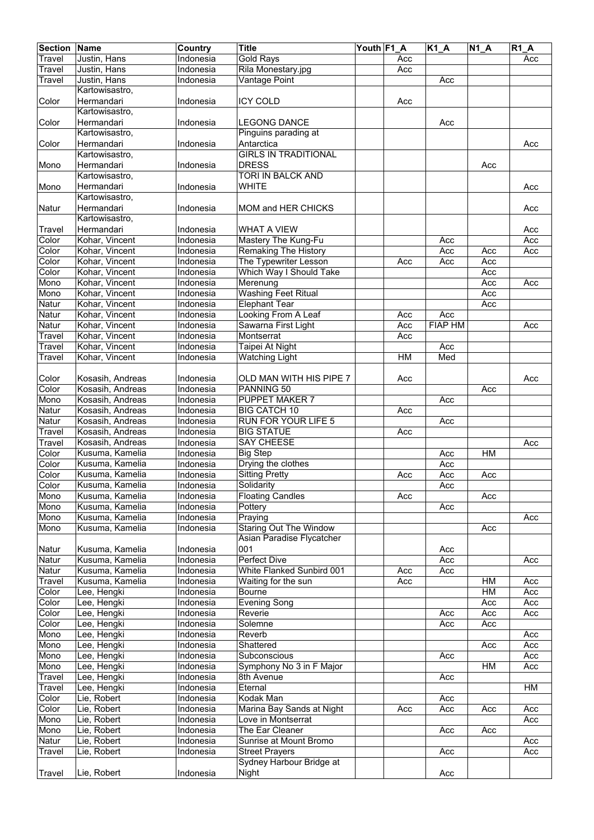| <b>Section Name</b> |                            | Country                | <b>Title</b>                                    | Youth F1_A |     | $K1_A$         | $N1_A$ | <b>R1 A</b> |
|---------------------|----------------------------|------------------------|-------------------------------------------------|------------|-----|----------------|--------|-------------|
| Travel              | Justin, Hans               | Indonesia              | <b>Gold Rays</b>                                |            | Acc |                |        | Acc         |
| Travel              | Justin, Hans               | Indonesia              | Rila Monestary.jpg                              |            | Acc |                |        |             |
| Travel              | Justin, Hans               | Indonesia              | Vantage Point                                   |            |     | Acc            |        |             |
|                     | Kartowisastro,             |                        |                                                 |            |     |                |        |             |
| Color               | Hermandari                 | Indonesia              | <b>ICY COLD</b>                                 |            | Acc |                |        |             |
|                     | Kartowisastro,             |                        |                                                 |            |     |                |        |             |
| Color               | Hermandari                 | Indonesia              | <b>LEGONG DANCE</b>                             |            |     | Acc            |        |             |
|                     | Kartowisastro,             |                        | Pinguins parading at                            |            |     |                |        |             |
| Color               | Hermandari                 | Indonesia              | Antarctica                                      |            |     |                |        | Acc         |
|                     | Kartowisastro,             |                        | <b>GIRLS IN TRADITIONAL</b>                     |            |     |                |        |             |
| Mono                | Hermandari                 | Indonesia              | <b>DRESS</b>                                    |            |     |                | Acc    |             |
|                     | Kartowisastro,             |                        | <b>TORI IN BALCK AND</b>                        |            |     |                |        |             |
| Mono                | Hermandari                 | Indonesia              | <b>WHITE</b>                                    |            |     |                |        | Acc         |
|                     | Kartowisastro,             |                        |                                                 |            |     |                |        |             |
| Natur               | Hermandari                 | Indonesia              | <b>MOM and HER CHICKS</b>                       |            |     |                |        | Acc         |
|                     | Kartowisastro,             |                        |                                                 |            |     |                |        |             |
| Travel              | Hermandari                 | Indonesia              | <b>WHAT A VIEW</b>                              |            |     |                |        | Acc         |
| Color               | Kohar, Vincent             | Indonesia              | Mastery The Kung-Fu                             |            |     | Acc            |        | Acc         |
| Color               | Kohar, Vincent             | Indonesia              | <b>Remaking The History</b>                     |            |     | Acc            | Acc    | Acc         |
| Color               | Kohar, Vincent             | Indonesia              | The Typewriter Lesson                           |            | Acc | Acc            | Acc    |             |
| Color               | Kohar, Vincent             | <b>Indonesia</b>       | Which Way I Should Take                         |            |     |                | Acc    |             |
| Mono                | Kohar, Vincent             | Indonesia              | Merenung                                        |            |     |                | Acc    | Acc         |
| Mono                | Kohar, Vincent             | Indonesia              | <b>Washing Feet Ritual</b>                      |            |     |                | Acc    |             |
| Natur               | Kohar, Vincent             | Indonesia              | <b>Elephant Tear</b>                            |            |     |                | Acc    |             |
| Natur               | Kohar, Vincent             | Indonesia              | Looking From A Leaf                             |            | Acc | Acc            |        |             |
| Natur               | Kohar, Vincent             | Indonesia              | Sawarna First Light                             |            | Acc | <b>FIAP HM</b> |        | Acc         |
| Travel              | Kohar, Vincent             | Indonesia              | Montserrat                                      |            | Acc |                |        |             |
| Travel              | Kohar, Vincent             | <b>Indonesia</b>       | Taipei At Night                                 |            |     | Acc            |        |             |
| <b>Travel</b>       | Kohar, Vincent             | Indonesia              | <b>Watching Light</b>                           |            | HM  | Med            |        |             |
|                     |                            |                        |                                                 |            |     |                |        |             |
| Color               | Kosasih, Andreas           | Indonesia              | OLD MAN WITH HIS PIPE 7                         |            | Acc |                |        | Acc         |
| Color               | Kosasih, Andreas           | Indonesia              | PANNING 50                                      |            |     |                | Acc    |             |
| Mono                | Kosasih, Andreas           | Indonesia              | <b>PUPPET MAKER 7</b>                           |            |     | Acc            |        |             |
| Natur               | Kosasih, Andreas           | Indonesia              | <b>BIG CATCH 10</b>                             |            | Acc |                |        |             |
| Natur               | Kosasih, Andreas           | Indonesia              | <b>RUN FOR YOUR LIFE 5</b>                      |            |     | Acc            |        |             |
| Travel              | Kosasih, Andreas           | Indonesia              | <b>BIG STATUE</b>                               |            | Acc |                |        |             |
| Travel              | Kosasih, Andreas           | Indonesia              | <b>SAY CHEESE</b>                               |            |     |                |        | Acc         |
| Color               | Kusuma, Kamelia            | Indonesia              | <b>Big Step</b>                                 |            |     | Acc            | HM     |             |
| Color               | Kusuma, Kamelia            | Indonesia              | Drying the clothes                              |            |     | Acc            |        |             |
| Color               | Kusuma, Kamelia            | Indonesia              | <b>Sitting Pretty</b>                           |            | Acc | Acc            | Acc    |             |
| Color               | Kusuma, Kamelia            | Indonesia              | Solidarity                                      |            |     | Acc            |        |             |
| Mono                | Kusuma, Kamelia            | Indonesia              | <b>Floating Candles</b>                         |            | Acc |                | Acc    |             |
| Mono                | Kusuma, Kamelia            | Indonesia              | Pottery                                         |            |     | Acc            |        |             |
| Mono                | Kusuma, Kamelia            | Indonesia              | Praying                                         |            |     |                |        | Acc         |
| Mono                | Kusuma, Kamelia            | Indonesia              | <b>Staring Out The Window</b>                   |            |     |                | Acc    |             |
|                     |                            |                        | Asian Paradise Flycatcher                       |            |     |                |        |             |
| Natur               | Kusuma, Kamelia            | Indonesia              | 001                                             |            |     | Acc            |        |             |
| Natur               | Kusuma, Kamelia            | Indonesia              | <b>Perfect Dive</b>                             |            |     | Acc            |        | Acc         |
| Natur               | Kusuma, Kamelia            | Indonesia              | White Flanked Sunbird 001                       |            | Acc | Acc            |        |             |
| Travel              | Kusuma, Kamelia            | Indonesia              | Waiting for the sun                             |            | Acc |                | HM     | Acc         |
| Color               | Lee, Hengki                | Indonesia              | Bourne                                          |            |     |                | HM     | Acc         |
| Color               | Lee, Hengki                | Indonesia              | <b>Evening Song</b>                             |            |     |                | Acc    | Acc         |
| Color               | Lee, Hengki                | Indonesia              | Reverie                                         |            |     | Acc            | Acc    | Acc         |
| Color               | Lee, Hengki                | Indonesia              | Solemne                                         |            |     | Acc            | Acc    |             |
| Mono                | Lee, Hengki                | Indonesia              | Reverb                                          |            |     |                |        | Acc         |
| Mono                | Lee, Hengki                | Indonesia              | Shattered                                       |            |     |                | Acc    | Acc         |
| Mono                | Lee, Hengki                | <b>Indonesia</b>       | Subconscious                                    |            |     | Acc            |        | Acc         |
| Mono                | Lee, Hengki                | <b>Indonesia</b>       | Symphony No 3 in F Major                        |            |     |                | HM     | Acc         |
| Travel              | Lee, Hengki                | Indonesia              | 8th Avenue                                      |            |     | Acc            |        |             |
| Travel              | Lee, Hengki                | Indonesia              | Eternal                                         |            |     |                |        | HM          |
| Color               | Lie, Robert                | Indonesia              | Kodak Man                                       |            |     | Acc            |        |             |
| Color               | Lie, Robert                | Indonesia              | Marina Bay Sands at Night                       |            | Acc | Acc            |        | Acc         |
|                     |                            | Indonesia              | Love in Montserrat                              |            |     |                | Acc    |             |
| Mono                | Lie, Robert                |                        |                                                 |            |     |                |        | Acc         |
| Mono                | Lie, Robert                | Indonesia              | The Ear Cleaner                                 |            |     | Acc            | Acc    |             |
| Natur               | Lie, Robert<br>Lie, Robert | Indonesia<br>Indonesia | Sunrise at Mount Bromo<br><b>Street Prayers</b> |            |     |                |        | Acc         |
| <b>Travel</b>       |                            |                        | Sydney Harbour Bridge at                        |            |     | Acc            |        | Acc         |
|                     | Lie, Robert                | Indonesia              |                                                 |            |     | Acc            |        |             |
| Travel              |                            |                        | Night                                           |            |     |                |        |             |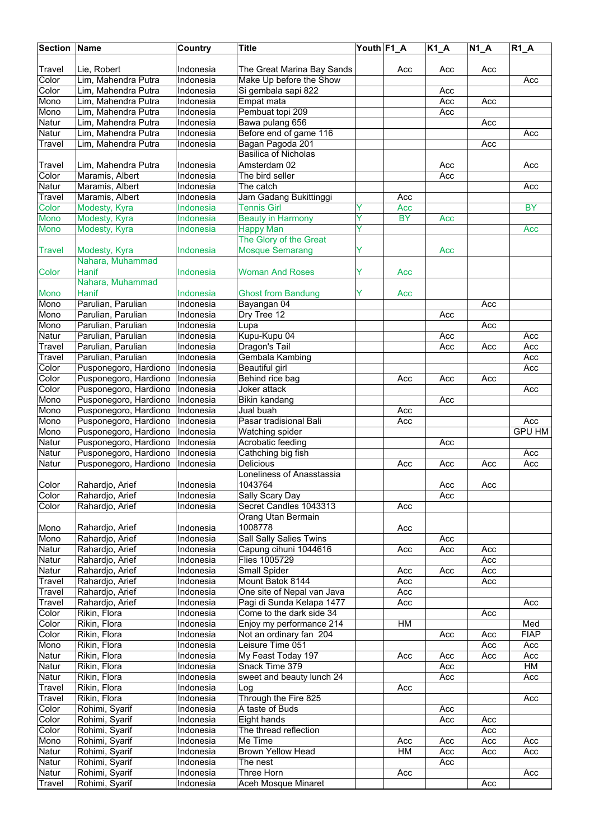| <b>Section Name</b> |                                            | Country                       | <b>Title</b>                              | Youth F1_A |           | <b>K1_A</b> | $\overline{N1}A$ | $R1_A$        |
|---------------------|--------------------------------------------|-------------------------------|-------------------------------------------|------------|-----------|-------------|------------------|---------------|
|                     |                                            |                               |                                           |            |           |             |                  |               |
| Travel              | Lie, Robert                                | Indonesia                     | The Great Marina Bay Sands                |            | Acc       | Acc         | Acc              |               |
| Color               | Lim, Mahendra Putra                        | Indonesia                     | Make Up before the Show                   |            |           |             |                  | Acc           |
| Color               | Lim, Mahendra Putra                        | Indonesia                     | Si gembala sapi 822                       |            |           | Acc         |                  |               |
| Mono                | Lim, Mahendra Putra                        | Indonesia                     | Empat mata                                |            |           | Acc         | Acc              |               |
| Mono                | Lim, Mahendra Putra                        | Indonesia                     | Pembuat topi 209                          |            |           | Acc         |                  |               |
| Natur               | Lim, Mahendra Putra<br>Lim, Mahendra Putra | Indonesia<br><b>Indonesia</b> | Bawa pulang 656<br>Before end of game 116 |            |           |             | Acc              |               |
| Natur<br>Travel     | Lim, Mahendra Putra                        | Indonesia                     | Bagan Pagoda 201                          |            |           |             | Acc              | Acc           |
|                     |                                            |                               | <b>Basilica of Nicholas</b>               |            |           |             |                  |               |
| Travel              | Lim, Mahendra Putra                        | Indonesia                     | Amsterdam 02                              |            |           | Acc         |                  | Acc           |
| Color               | Maramis, Albert                            | Indonesia                     | The bird seller                           |            |           | Acc         |                  |               |
| Natur               | Maramis, Albert                            | Indonesia                     | The catch                                 |            |           |             |                  | Acc           |
| Travel              | Maramis, Albert                            | Indonesia                     | Jam Gadang Bukittinggi                    |            | Acc       |             |                  |               |
| Color               | Modesty, Kyra                              | Indonesia                     | <b>Tennis Girl</b>                        | Y          | Acc       |             |                  | <b>BY</b>     |
| Mono                | Modesty, Kyra                              | Indonesia                     | <b>Beauty in Harmony</b>                  | Ÿ          | <b>BY</b> | Acc         |                  |               |
| <b>Mono</b>         | Modesty, Kyra                              | Indonesia                     | <b>Happy Man</b>                          | Ÿ          |           |             |                  | Acc           |
|                     |                                            |                               | The Glory of the Great                    |            |           |             |                  |               |
| Travel              | Modesty, Kyra                              | Indonesia                     | <b>Mosque Semarang</b>                    | Ÿ          |           | Acc         |                  |               |
|                     | Nahara, Muhammad                           |                               |                                           |            |           |             |                  |               |
| Color               | Hanif                                      | Indonesia                     | <b>Woman And Roses</b>                    | Ÿ          | Acc       |             |                  |               |
|                     | Nahara, Muhammad                           |                               |                                           |            |           |             |                  |               |
| <b>Mono</b>         | Hanif                                      | Indonesia                     | <b>Ghost from Bandung</b>                 | Y          | Acc       |             |                  |               |
| Mono                | Parulian, Parulian                         | Indonesia                     | Bayangan 04                               |            |           |             | Acc              |               |
| Mono                | Parulian, Parulian                         | <b>Indonesia</b>              | Dry Tree 12                               |            |           | Acc         |                  |               |
| Mono                | Parulian, Parulian                         | Indonesia                     | Lupa<br>Kupu-Kupu 04                      |            |           |             | Acc              |               |
| Natur<br>Travel     | Parulian, Parulian<br>Parulian, Parulian   | Indonesia<br>Indonesia        | Dragon's Tail                             |            |           | Acc<br>Acc  |                  | Acc<br>Acc    |
| Travel              | Parulian, Parulian                         | Indonesia                     | Gembala Kambing                           |            |           |             | Acc              | Acc           |
| Color               | Pusponegoro, Hardiono                      | Indonesia                     | Beautiful girl                            |            |           |             |                  | Acc           |
| Color               | Pusponegoro, Hardiono                      | Indonesia                     | Behind rice bag                           |            | Acc       | Acc         | Acc              |               |
| Color               | Pusponegoro, Hardiono                      | Indonesia                     | Joker attack                              |            |           |             |                  | Acc           |
| Mono                | Pusponegoro, Hardiono                      | Indonesia                     | Bikin kandang                             |            |           | Acc         |                  |               |
| Mono                | Pusponegoro, Hardiono                      | Indonesia                     | Jual buah                                 |            | Acc       |             |                  |               |
| Mono                | Pusponegoro, Hardiono                      | Indonesia                     | Pasar tradisional Bali                    |            | Acc       |             |                  | Acc           |
| Mono                | Pusponegoro, Hardiono                      | Indonesia                     | Watching spider                           |            |           |             |                  | <b>GPU HM</b> |
| Natur               | Pusponegoro, Hardiono                      | Indonesia                     | Acrobatic feeding                         |            |           | Acc         |                  |               |
| Natur               | Pusponegoro, Hardiono                      | Indonesia                     | Cathching big fish                        |            |           |             |                  | Acc           |
| Natur               | Pusponegoro, Hardiono                      | Indonesia                     | <b>Delicious</b>                          |            | Acc       | Acc         | Acc              | Acc           |
|                     |                                            |                               | Loneliness of Anasstassia                 |            |           |             |                  |               |
| Color               | Rahardjo, Arief                            | Indonesia                     | 1043764                                   |            |           | Acc         | Acc              |               |
| Color               | Rahardjo, Arief                            | Indonesia                     | Sally Scary Day                           |            |           | Acc         |                  |               |
| Color               | Rahardjo, Arief                            | Indonesia                     | Secret Candles 1043313                    |            | Acc       |             |                  |               |
|                     |                                            |                               | Orang Utan Bermain                        |            |           |             |                  |               |
| Mono<br>Mono        | Rahardjo, Arief                            | Indonesia<br>Indonesia        | 1008778<br><b>Sall Sally Salies Twins</b> |            | Acc       |             |                  |               |
| Natur               | Rahardjo, Arief<br>Rahardjo, Arief         | Indonesia                     | Capung cihuni 1044616                     |            | Acc       | Acc<br>Acc  | Acc              |               |
| Natur               | Rahardjo, Arief                            | Indonesia                     | Flies 1005729                             |            |           |             | Acc              |               |
| Natur               | Rahardjo, Arief                            | Indonesia                     | Small Spider                              |            | Acc       | Acc         | Acc              |               |
| Travel              | Rahardjo, Arief                            | Indonesia                     | Mount Batok 8144                          |            | Acc       |             | Acc              |               |
| Travel              | Rahardjo, Arief                            | Indonesia                     | One site of Nepal van Java                |            | Acc       |             |                  |               |
| Travel              | Rahardjo, Arief                            | Indonesia                     | Pagi di Sunda Kelapa 1477                 |            | Acc       |             |                  | Acc           |
| Color               | Rikin, Flora                               | Indonesia                     | Come to the dark side 34                  |            |           |             | Acc              |               |
| Color               | Rikin, Flora                               | Indonesia                     | Enjoy my performance 214                  |            | HM        |             |                  | Med           |
| Color               | Rikin, Flora                               | Indonesia                     | Not an ordinary fan 204                   |            |           | Acc         | Acc              | <b>FIAP</b>   |
| Mono                | Rikin, Flora                               | Indonesia                     | Leisure Time 051                          |            |           |             | Acc              | Acc           |
| Natur               | Rikin, Flora                               | Indonesia                     | My Feast Today 197                        |            | Acc       | Acc         | Acc              | Acc           |
| Natur               | Rikin, Flora                               | Indonesia                     | Snack Time 379                            |            |           | Acc         |                  | НM            |
| Natur               | Rikin, Flora                               | Indonesia                     | sweet and beauty lunch 24                 |            |           | Acc         |                  | Acc           |
| Travel              | Rikin, Flora                               | Indonesia                     | Log                                       |            | Acc       |             |                  |               |
| Travel              | Rikin, Flora                               | Indonesia                     | Through the Fire 825                      |            |           |             |                  | Acc           |
| Color               | Rohimi, Syarif                             | Indonesia                     | A taste of Buds                           |            |           | Acc         |                  |               |
| Color               | Rohimi, Syarif<br>Rohimi, Syarif           | Indonesia<br>Indonesia        | Eight hands                               |            |           | Acc         | Acc<br>Acc       |               |
| Color<br>Mono       | Rohimi, Syarif                             | Indonesia                     | The thread reflection<br>Me Time          |            | Acc       | Acc         | Acc              | Acc           |
| Natur               | Rohimi, Syarif                             | Indonesia                     | Brown Yellow Head                         |            | HM        | Acc         | Acc              | Acc           |
| Natur               | Rohimi, Syarif                             | Indonesia                     | The nest                                  |            |           | Acc         |                  |               |
| Natur               | Rohimi, Syarif                             | Indonesia                     | Three Horn                                |            | Acc       |             |                  | Acc           |
| <b>Travel</b>       | Rohimi, Syarif                             | Indonesia                     | Aceh Mosque Minaret                       |            |           |             | Acc              |               |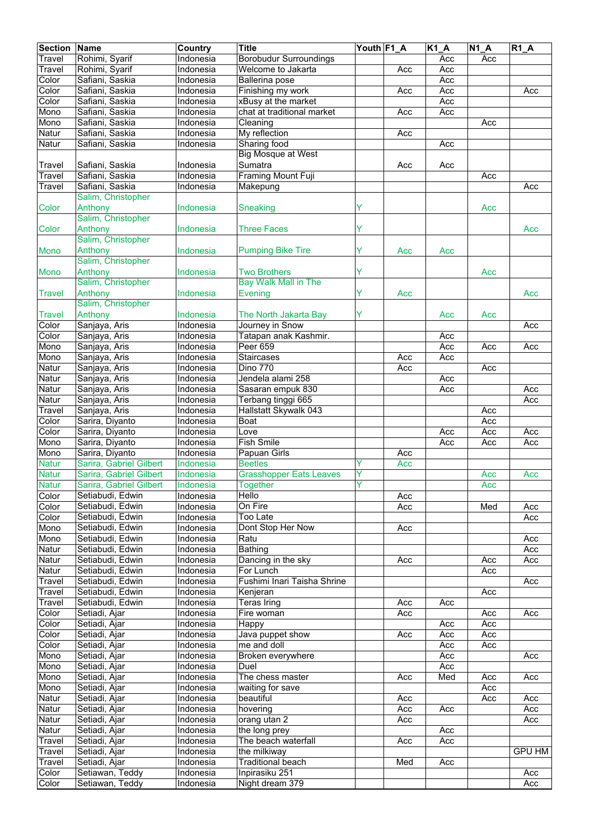| <b>Section Name</b> |                         | Country          | <b>Title</b>                   | Youth F1_A |     | $\overline{K1}A$ | $\overline{N1}A$ | $R1_A$        |
|---------------------|-------------------------|------------------|--------------------------------|------------|-----|------------------|------------------|---------------|
| Travel              | Rohimi, Syarif          | Indonesia        | <b>Borobudur Surroundings</b>  |            |     | Acc              | Acc              |               |
| Travel              | Rohimi, Syarif          | Indonesia        | Welcome to Jakarta             |            | Acc | Acc              |                  |               |
| Color               | Safiani, Saskia         | Indonesia        | Ballerina pose                 |            |     | Acc              |                  |               |
| Color               | Safiani, Saskia         | Indonesia        |                                |            | Acc | Acc              |                  | Acc           |
|                     |                         |                  | Finishing my work              |            |     |                  |                  |               |
| Color               | Safiani, Saskia         | Indonesia        | xBusy at the market            |            |     | Acc              |                  |               |
| Mono                | Safiani, Saskia         | Indonesia        | chat at traditional market     |            | Acc | Acc              |                  |               |
| Mono                | Safiani, Saskia         | Indonesia        | Cleaning                       |            |     |                  | Acc              |               |
| Natur               | Safiani, Saskia         | Indonesia        | My reflection                  |            | Acc |                  |                  |               |
| Natur               | Safiani, Saskia         | Indonesia        | Sharing food                   |            |     | Acc              |                  |               |
|                     |                         |                  | <b>Big Mosque at West</b>      |            |     |                  |                  |               |
| Travel              | Safiani, Saskia         | Indonesia        | Sumatra                        |            | Acc | Acc              |                  |               |
| Travel              | Safiani, Saskia         | <b>Indonesia</b> | <b>Framing Mount Fuji</b>      |            |     |                  | Acc              |               |
| Travel              | Safiani, Saskia         | Indonesia        | Makepung                       |            |     |                  |                  | Acc           |
|                     | Salim, Christopher      |                  |                                |            |     |                  |                  |               |
| Color               | Anthony                 | Indonesia        | Sneaking                       | Y          |     |                  | Acc              |               |
|                     |                         |                  |                                |            |     |                  |                  |               |
|                     | Salim, Christopher      |                  |                                |            |     |                  |                  |               |
| Color               | Anthony                 | Indonesia        | <b>Three Faces</b>             | Y          |     |                  |                  | Acc           |
|                     | Salim, Christopher      |                  |                                |            |     |                  |                  |               |
| <b>Mono</b>         | Anthony                 | Indonesia        | <b>Pumping Bike Tire</b>       | Ÿ          | Acc | Acc              |                  |               |
|                     | Salim, Christopher      |                  |                                |            |     |                  |                  |               |
| Mono                | Anthony                 | Indonesia        | <b>Two Brothers</b>            | Ÿ          |     |                  | Acc              |               |
|                     | Salim, Christopher      |                  | <b>Bay Walk Mall in The</b>    |            |     |                  |                  |               |
| <b>Travel</b>       | Anthony                 | Indonesia        | <b>Evening</b>                 | Y          | Acc |                  |                  | Acc           |
|                     | Salim, Christopher      |                  |                                |            |     |                  |                  |               |
|                     |                         |                  |                                |            |     |                  |                  |               |
| <b>Travel</b>       | Anthony                 | Indonesia        | The North Jakarta Bay          | Y          |     | Acc              | Acc              |               |
| Color               | Sanjaya, Aris           | Indonesia        | Journey in Snow                |            |     |                  |                  | Acc           |
| Color               | Sanjaya, Aris           | Indonesia        | Tatapan anak Kashmir.          |            |     | Acc              |                  |               |
| Mono                | Sanjaya, Aris           | Indonesia        | Peer 659                       |            |     | Acc              | Acc              | Acc           |
| Mono                | Sanjaya, Aris           | Indonesia        | <b>Staircases</b>              |            | Acc | Acc              |                  |               |
| Natur               | Sanjaya, Aris           | Indonesia        | <b>Dino 770</b>                |            | Acc |                  | Acc              |               |
| Natur               | Sanjaya, Aris           | Indonesia        | Jendela alami 258              |            |     | Acc              |                  |               |
| Natur               | Sanjaya, Aris           | Indonesia        | Sasaran empuk 830              |            |     | Acc              |                  | Acc           |
| Natur               | Sanjaya, Aris           | Indonesia        | Terbang tinggi 665             |            |     |                  |                  | Acc           |
|                     |                         |                  |                                |            |     |                  |                  |               |
| Travel              | Sanjaya, Aris           | Indonesia        | Hallstatt Skywalk 043          |            |     |                  | Acc              |               |
| Color               | Sarira, Diyanto         | Indonesia        | Boat                           |            |     |                  | Acc              |               |
| Color               | Sarira, Diyanto         | Indonesia        | Love                           |            |     | Acc              | Acc              | Acc           |
| Mono                | Sarira, Diyanto         | Indonesia        | <b>Fish Smile</b>              |            |     | Acc              | Acc              | Acc           |
| Mono                | Sarira, Diyanto         | Indonesia        | Papuan Girls                   |            | Acc |                  |                  |               |
| <b>Natur</b>        | Sarira, Gabriel Gilbert | Indonesia        | <b>Beetles</b>                 | ٧          | Acc |                  |                  |               |
| <b>Natur</b>        | Sarira, Gabriel Gilbert | Indonesia        | <b>Grasshopper Eats Leaves</b> | Y          |     |                  | Acc              | Acc           |
| <b>Natur</b>        | Sarira, Gabriel Gilbert | Indonesia        | Together                       |            |     |                  | Acc              |               |
| Color               | Setiabudi, Edwin        | Indonesia        | Hello                          |            | Acc |                  |                  |               |
| Color               | Setiabudi, Edwin        | Indonesia        | On Fire                        |            | Acc |                  | Med              | Acc           |
| Color               | Setiabudi, Edwin        | Indonesia        | Too Late                       |            |     |                  |                  |               |
|                     |                         |                  |                                |            |     |                  |                  | Acc           |
| Mono                | Setiabudi, Edwin        | Indonesia        | Dont Stop Her Now              |            | Acc |                  |                  |               |
| Mono                | Setiabudi, Edwin        | Indonesia        | Ratu                           |            |     |                  |                  | Acc           |
| Natur               | Setiabudi, Edwin        | Indonesia        | <b>Bathing</b>                 |            |     |                  |                  | Acc           |
| Natur               | Setiabudi, Edwin        | Indonesia        | Dancing in the sky             |            | Acc |                  | Acc              | Acc           |
| Natur               | Setiabudi, Edwin        | Indonesia        | For Lunch                      |            |     |                  | Acc              |               |
| Travel              | Setiabudi, Edwin        | Indonesia        | Fushimi Inari Taisha Shrine    |            |     |                  |                  | Acc           |
| Travel              | Setiabudi, Edwin        | Indonesia        | Kenjeran                       |            |     |                  | Acc              |               |
| Travel              | Setiabudi, Edwin        | Indonesia        | <b>Teras Iring</b>             |            | Acc | Acc              |                  |               |
| Color               | Setiadi, Ajar           | Indonesia        | Fire woman                     |            | Acc |                  | Acc              | Acc           |
| Color               | Setiadi, Ajar           | Indonesia        | Happy                          |            |     | Acc              | Acc              |               |
| Color               | Setiadi, Ajar           | Indonesia        | Java puppet show               |            |     | Acc              | Acc              |               |
|                     |                         |                  |                                |            | Acc |                  |                  |               |
| Color               | Setiadi, Ajar           | Indonesia        | me and doll                    |            |     | Acc              | Acc              |               |
| Mono                | Setiadi, Ajar           | <b>Indonesia</b> | Broken everywhere              |            |     | Acc              |                  | Acc           |
| Mono                | Setiadi, Ajar           | <b>Indonesia</b> | Duel                           |            |     | Acc              |                  |               |
| Mono                | Setiadi, Ajar           | Indonesia        | The chess master               |            | Acc | Med              | Acc              | Acc           |
| Mono                | Setiadi, Ajar           | Indonesia        | waiting for save               |            |     |                  | Acc              |               |
| Natur               | Setiadi, Ajar           | Indonesia        | beautiful                      |            | Acc |                  | Acc              | Acc           |
| Natur               | Setiadi, Ajar           | Indonesia        | hovering                       |            | Acc | Acc              |                  | Acc           |
| Natur               | Setiadi, Ajar           | Indonesia        | orang utan 2                   |            | Acc |                  |                  | Acc           |
| Natur               | Setiadi, Ajar           | Indonesia        | the long prey                  |            |     | Acc              |                  |               |
|                     | Setiadi, Ajar           | Indonesia        | The beach waterfall            |            | Acc | Acc              |                  |               |
| <b>Travel</b>       |                         |                  |                                |            |     |                  |                  |               |
| Travel              | Setiadi, Ajar           | Indonesia        | the milkiway                   |            |     |                  |                  | <b>GPU HM</b> |
| Travel              | Setiadi, Ajar           | Indonesia        | <b>Traditional beach</b>       |            | Med | Acc              |                  |               |
| Color               | Setiawan, Teddy         | <b>Indonesia</b> | Inpirasiku 251                 |            |     |                  |                  | Acc           |
| Color               | Setiawan, Teddy         | Indonesia        | Night dream 379                |            |     |                  |                  | Acc           |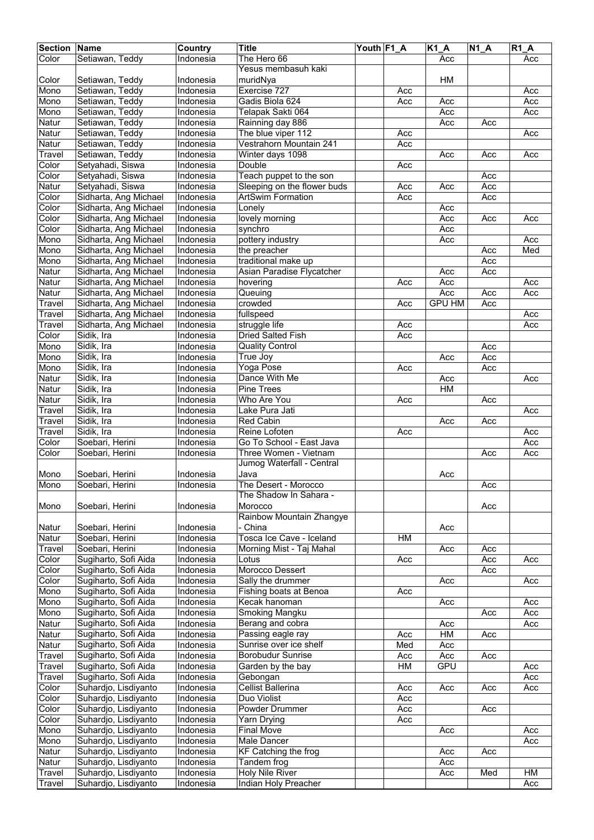| <b>Section Name</b> |                                    | Country                       | <b>Title</b>                                      | Youth F1_A |     | <b>K1 A</b>          | $N1_A$ | $R1_A$     |
|---------------------|------------------------------------|-------------------------------|---------------------------------------------------|------------|-----|----------------------|--------|------------|
| Color               | Setiawan, Teddy                    | Indonesia                     | The Hero 66                                       |            |     | Acc                  |        | Acc        |
|                     |                                    |                               | Yesus membasuh kaki                               |            |     |                      |        |            |
| Color               | Setiawan, Teddy                    | Indonesia                     | muridNya                                          |            |     | HM                   |        |            |
| Mono                | Setiawan, Teddy                    | Indonesia                     | Exercise 727                                      |            | Acc |                      |        | Acc        |
| Mono                | Setiawan, Teddy                    | Indonesia                     | Gadis Biola 624                                   |            | Acc | Acc                  |        | Acc        |
| Mono                | Setiawan, Teddy                    | Indonesia                     | Telapak Sakti 064                                 |            |     | Acc                  |        | Acc        |
| Natur               | Setiawan, Teddy                    | Indonesia                     | Rainning day 886                                  |            |     | Acc                  | Acc    |            |
| Natur               | Setiawan, Teddy                    | Indonesia                     | The blue viper 112                                |            | Acc |                      |        | Acc        |
| Natur               | Setiawan, Teddy                    | Indonesia                     | Vestrahorn Mountain 241                           |            | Acc |                      |        |            |
| Travel              | Setiawan, Teddy                    | Indonesia                     | Winter days 1098                                  |            |     | Acc                  | Acc    | Acc        |
| Color               | Setyahadi, Siswa                   | Indonesia                     | Double                                            |            | Acc |                      |        |            |
| Color               | Setyahadi, Siswa                   | Indonesia                     | Teach puppet to the son                           |            |     |                      | Acc    |            |
| Natur               | Setyahadi, Siswa                   | <b>Indonesia</b>              | Sleeping on the flower buds                       |            | Acc | Acc                  | Acc    |            |
| Color               | Sidharta, Ang Michael              | Indonesia                     | <b>ArtSwim Formation</b>                          |            | Acc |                      | Acc    |            |
| Color               | Sidharta, Ang Michael              | Indonesia                     | Lonely                                            |            |     | Acc                  |        |            |
| Color               | Sidharta, Ang Michael              | Indonesia                     | lovely morning                                    |            |     | Acc                  | Acc    | Acc        |
| Color               | Sidharta, Ang Michael              | Indonesia                     | synchro                                           |            |     | Acc                  |        |            |
| Mono                | Sidharta, Ang Michael              | Indonesia                     | pottery industry                                  |            |     | Acc                  |        | Acc        |
| Mono                | Sidharta, Ang Michael              | Indonesia                     | the preacher                                      |            |     |                      | Acc    | Med        |
| Mono<br>Natur       | Sidharta, Ang Michael              | Indonesia                     | traditional make up                               |            |     |                      | Acc    |            |
| Natur               | Sidharta, Ang Michael              | Indonesia<br><b>Indonesia</b> | Asian Paradise Flycatcher                         |            |     | Acc                  | Acc    |            |
|                     | Sidharta, Ang Michael              |                               | hovering                                          |            | Acc | Acc                  |        | Acc        |
| Natur               | Sidharta, Ang Michael              | Indonesia<br>Indonesia        | Queuing                                           |            |     | Acc<br><b>GPU HM</b> | Acc    | Acc        |
| Travel              | Sidharta, Ang Michael              |                               | crowded                                           |            | Acc |                      | Acc    |            |
| Travel              | Sidharta, Ang Michael              | Indonesia                     | fullspeed                                         |            |     |                      |        | Acc        |
| Travel              | Sidharta, Ang Michael              | Indonesia                     | struggle life                                     |            | Acc |                      |        | Acc        |
| Color               | Sidik, Ira                         | Indonesia                     | Dried Salted Fish                                 |            | Acc |                      |        |            |
| Mono                | Sidik, Ira                         | Indonesia                     | <b>Quality Control</b>                            |            |     |                      | Acc    |            |
| Mono                | Sidik, Ira                         | Indonesia                     | True Joy                                          |            |     | Acc                  | Acc    |            |
| Mono                | Sidik, Ira                         | Indonesia                     | Yoga Pose                                         |            | Acc |                      | Acc    |            |
| Natur               | Sidik, Ira                         | Indonesia                     | Dance With Me                                     |            |     | Acc                  |        | Acc        |
| Natur               | Sidik, Ira                         | Indonesia                     | <b>Pine Trees</b>                                 |            |     | HM                   |        |            |
| Natur               | Sidik, Ira                         | Indonesia                     | Who Are You                                       |            | Acc |                      | Acc    |            |
| Travel              | Sidik, Ira                         | Indonesia                     | Lake Pura Jati                                    |            |     |                      |        | Acc        |
| Travel              | Sidik, Ira                         | Indonesia                     | <b>Red Cabin</b>                                  |            |     | Acc                  | Acc    |            |
| Travel<br>Color     | Sidik, Ira                         | Indonesia                     | Reine Lofoten                                     |            | Acc |                      |        | Acc        |
| Color               | Soebari, Herini<br>Soebari, Herini | Indonesia                     | Go To School - East Java<br>Three Women - Vietnam |            |     |                      | Acc    | Acc<br>Acc |
|                     |                                    | Indonesia                     | Jumog Waterfall - Central                         |            |     |                      |        |            |
| Mono                |                                    | Indonesia                     | Java                                              |            |     | Acc                  |        |            |
| Mono                | Soebari, Herini<br>Soebari, Herini | Indonesia                     | The Desert - Morocco                              |            |     |                      | Acc    |            |
|                     |                                    |                               | The Shadow In Sahara -                            |            |     |                      |        |            |
| Mono                | Soebari, Herini                    | Indonesia                     | Morocco                                           |            |     |                      | Acc    |            |
|                     |                                    |                               | Rainbow Mountain Zhangye                          |            |     |                      |        |            |
| Natur               | Soebari, Herini                    | Indonesia                     | - China                                           |            |     | Acc                  |        |            |
| Natur               | Soebari, Herini                    | Indonesia                     | Tosca Ice Cave - Iceland                          |            | НM  |                      |        |            |
| Travel              | Soebari, Herini                    | Indonesia                     | Morning Mist - Taj Mahal                          |            |     | Acc                  | Acc    |            |
| Color               | Sugiharto, Sofi Aida               | Indonesia                     | Lotus                                             |            | Acc |                      | Acc    | Acc        |
| Color               | Sugiharto, Sofi Aida               | Indonesia                     | Morocco Dessert                                   |            |     |                      | Acc    |            |
| Color               | Sugiharto, Sofi Aida               | Indonesia                     | Sally the drummer                                 |            |     | Acc                  |        | Acc        |
| Mono                | Sugiharto, Sofi Aida               | Indonesia                     | Fishing boats at Benoa                            |            | Acc |                      |        |            |
| Mono                | Sugiharto, Sofi Aida               | Indonesia                     | Kecak hanoman                                     |            |     | Acc                  |        | Acc        |
| Mono                | Sugiharto, Sofi Aida               | Indonesia                     | Smoking Mangku                                    |            |     |                      | Acc    | Acc        |
| Natur               | Sugiharto, Sofi Aida               | Indonesia                     | Berang and cobra                                  |            |     | Acc                  |        | Acc        |
| Natur               | Sugiharto, Sofi Aida               | Indonesia                     | Passing eagle ray                                 |            | Acc | НM                   | Acc    |            |
| Natur               | Sugiharto, Sofi Aida               | Indonesia                     | Sunrise over ice shelf                            |            | Med | Acc                  |        |            |
| Travel              | Sugiharto, Sofi Aida               | Indonesia                     | Borobudur Sunrise                                 |            | Acc | Acc                  | Acc    |            |
| Travel              | Sugiharto, Sofi Aida               | Indonesia                     | Garden by the bay                                 |            | HM  | <b>GPU</b>           |        | Acc        |
| Travel              | Sugiharto, Sofi Aida               | Indonesia                     | Gebongan                                          |            |     |                      |        | Acc        |
| Color               | Suhardjo, Lisdiyanto               | Indonesia                     | Cellist Ballerina                                 |            | Acc | Acc                  | Acc    | Acc        |
| Color               | Suhardjo, Lisdiyanto               | Indonesia                     | Duo Violist                                       |            | Acc |                      |        |            |
| Color               | Suhardjo, Lisdiyanto               | Indonesia                     | Powder Drummer                                    |            | Acc |                      | Acc    |            |
| Color               | Suhardjo, Lisdiyanto               | Indonesia                     | Yarn Drying                                       |            | Acc |                      |        |            |
| Mono                | Suhardjo, Lisdiyanto               | Indonesia                     | <b>Final Move</b>                                 |            |     | Acc                  |        | Acc        |
| Mono                | Suhardjo, Lisdiyanto               | Indonesia                     | Male Dancer                                       |            |     |                      |        | Acc        |
| Natur               | Suhardjo, Lisdiyanto               | Indonesia                     | KF Catching the frog                              |            |     | Acc                  | Acc    |            |
| Natur               | Suhardjo, Lisdiyanto               | <b>Indonesia</b>              | Tandem frog                                       |            |     | Acc                  |        |            |
| <b>Travel</b>       | Suhardjo, Lisdiyanto               | Indonesia                     | Holy Nile River                                   |            |     | Acc                  | Med    | HM         |
| <b>Travel</b>       | Suhardjo, Lisdiyanto               | Indonesia                     | Indian Holy Preacher                              |            |     |                      |        | Acc        |
|                     |                                    |                               |                                                   |            |     |                      |        |            |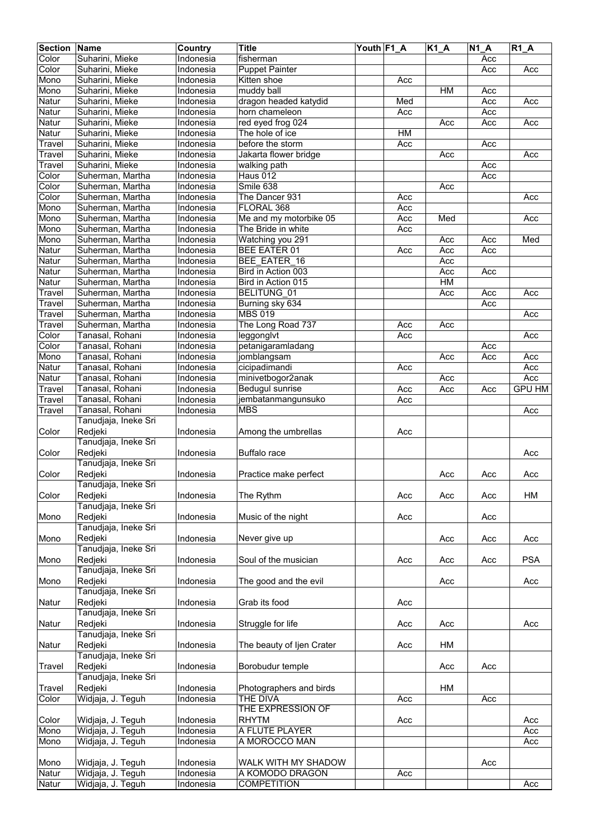| <b>Section</b> | Name                 | Country   | <b>Title</b>              | Youth F1 A |     | $K1_A$ | $\overline{N}$ 1_A | $R1_A$        |
|----------------|----------------------|-----------|---------------------------|------------|-----|--------|--------------------|---------------|
| Color          | Suharini, Mieke      | Indonesia | fisherman                 |            |     |        | Acc                |               |
| Color          | Suharini, Mieke      | Indonesia | <b>Puppet Painter</b>     |            |     |        | Acc                | Acc           |
| Mono           | Suharini, Mieke      | Indonesia | Kitten shoe               |            | Acc |        |                    |               |
| Mono           | Suharini, Mieke      | Indonesia | muddy ball                |            |     | HM     | Acc                |               |
| Natur          | Suharini, Mieke      | Indonesia | dragon headed katydid     |            | Med |        | Acc                | Acc           |
| Natur          | Suharini, Mieke      | Indonesia | horn chameleon            |            | Acc |        | Acc                |               |
|                |                      |           |                           |            |     |        |                    |               |
| Natur          | Suharini, Mieke      | Indonesia | red eyed frog 024         |            |     | Acc    | Acc                | Acc           |
| Natur          | Suharini, Mieke      | Indonesia | The hole of ice           |            | HM  |        |                    |               |
| Travel         | Suharini, Mieke      | Indonesia | before the storm          |            | Acc |        | Acc                |               |
| Travel         | Suharini, Mieke      | Indonesia | Jakarta flower bridge     |            |     | Acc    |                    | Acc           |
| Travel         | Suharini, Mieke      | Indonesia | walking path              |            |     |        | Acc                |               |
| Color          | Suherman, Martha     | Indonesia | Haus 012                  |            |     |        | Acc                |               |
| Color          | Suherman, Martha     | Indonesia | Smile 638                 |            |     | Acc    |                    |               |
| Color          | Suherman, Martha     | Indonesia | The Dancer 931            |            | Acc |        |                    | Acc           |
| Mono           | Suherman, Martha     | Indonesia | FLORAL 368                |            | Acc |        |                    |               |
| Mono           | Suherman, Martha     | Indonesia | Me and my motorbike 05    |            | Acc | Med    |                    | Acc           |
| Mono           | Suherman, Martha     | Indonesia | The Bride in white        |            | Acc |        |                    |               |
| Mono           | Suherman, Martha     | Indonesia | Watching you 291          |            |     | Acc    | Acc                | Med           |
| Natur          | Suherman, Martha     | Indonesia | <b>BEE EATER 01</b>       |            | Acc | Acc    | Acc                |               |
| Natur          | Suherman, Martha     | Indonesia | BEE EATER 16              |            |     | Acc    |                    |               |
| Natur          | Suherman, Martha     | Indonesia | Bird in Action 003        |            |     | Acc    | Acc                |               |
| Natur          | Suherman, Martha     | Indonesia | Bird in Action 015        |            |     | HM     |                    |               |
|                |                      |           |                           |            |     |        |                    |               |
| Travel         | Suherman, Martha     | Indonesia | BELITUNG 01               |            |     | Acc    | Acc                | Acc           |
| Travel         | Suherman, Martha     | Indonesia | Burning sky 634           |            |     |        | Acc                |               |
| Travel         | Suherman, Martha     | Indonesia | <b>MBS 019</b>            |            |     |        |                    | Acc           |
| Travel         | Suherman, Martha     | Indonesia | The Long Road 737         |            | Acc | Acc    |                    |               |
| Color          | Tanasal, Rohani      | Indonesia | leggonglyt                |            | Acc |        |                    | Acc           |
| Color          | Tanasal, Rohani      | Indonesia | petanigaramladang         |            |     |        | Acc                |               |
| Mono           | Tanasal, Rohani      | Indonesia | jomblangsam               |            |     | Acc    | Acc                | Acc           |
| Natur          | Tanasal, Rohani      | Indonesia | cicipadimandi             |            | Acc |        |                    | Acc           |
| Natur          | Tanasal, Rohani      | Indonesia | minivetbogor2anak         |            |     | Acc    |                    | Acc           |
| Travel         | Tanasal, Rohani      | Indonesia | Bedugul sunrise           |            | Acc | Acc    | Acc                | <b>GPU HM</b> |
| Travel         | Tanasal, Rohani      | Indonesia | jembatanmangunsuko        |            | Acc |        |                    |               |
| Travel         | Tanasal, Rohani      | Indonesia | <b>MBS</b>                |            |     |        |                    | Acc           |
|                | Tanudjaja, Ineke Sri |           |                           |            |     |        |                    |               |
| Color          | Redjeki              | Indonesia | Among the umbrellas       |            | Acc |        |                    |               |
|                | Tanudjaja, Ineke Sri |           |                           |            |     |        |                    |               |
| Color          | Redjeki              | Indonesia | <b>Buffalo</b> race       |            |     |        |                    | Acc           |
|                | Tanudjaja, Ineke Sri |           |                           |            |     |        |                    |               |
|                |                      |           |                           |            |     |        |                    |               |
| Color          | Redjeki              | Indonesia | Practice make perfect     |            |     | Acc    | Acc                | Acc           |
|                | Tanudjaja, Ineke Sri |           |                           |            |     |        |                    |               |
| Color          | Redjeki              | Indonesia | The Rythm                 |            | Acc | Acc    | Acc                | HM            |
|                | Tanudjaja, Ineke Sri |           |                           |            |     |        |                    |               |
| Mono           | Redjeki              | Indonesia | Music of the night        |            | Acc |        | Acc                |               |
|                | Tanudjaja, Ineke Sri |           |                           |            |     |        |                    |               |
| Mono           | Redjeki              | Indonesia | Never give up             |            |     | Acc    | Acc                | Acc           |
|                | Tanudjaja, Ineke Sri |           |                           |            |     |        |                    |               |
| Mono           | Redjeki              | Indonesia | Soul of the musician      |            | Acc | Acc    | Acc                | <b>PSA</b>    |
|                | Tanudjaja, Ineke Sri |           |                           |            |     |        |                    |               |
| Mono           | Redjeki              | Indonesia | The good and the evil     |            |     | Acc    |                    | Acc           |
|                | Tanudjaja, Ineke Sri |           |                           |            |     |        |                    |               |
| Natur          | Redjeki              | Indonesia | Grab its food             |            | Acc |        |                    |               |
|                | Tanudjaja, Ineke Sri |           |                           |            |     |        |                    |               |
| Natur          | Redjeki              | Indonesia | Struggle for life         |            | Acc | Acc    |                    | Acc           |
|                | Tanudjaja, Ineke Sri |           |                           |            |     |        |                    |               |
| Natur          | Redjeki              | Indonesia | The beauty of Ijen Crater |            | Acc | HM     |                    |               |
|                | Tanudjaja, Ineke Sri |           |                           |            |     |        |                    |               |
|                |                      |           |                           |            |     |        |                    |               |
| Travel         | Redjeki              | Indonesia | Borobudur temple          |            |     | Acc    | Acc                |               |
|                | Tanudjaja, Ineke Sri |           |                           |            |     |        |                    |               |
| Travel         | Redjeki              | Indonesia | Photographers and birds   |            |     | HM     |                    |               |
| Color          | Widjaja, J. Teguh    | Indonesia | <b>THE DIVA</b>           |            | Acc |        | Acc                |               |
|                |                      |           | THE EXPRESSION OF         |            |     |        |                    |               |
| Color          | Widjaja, J. Teguh    | Indonesia | <b>RHYTM</b>              |            | Acc |        |                    | Acc           |
| Mono           | Widjaja, J. Teguh    | Indonesia | A FLUTE PLAYER            |            |     |        |                    | Acc           |
| Mono           | Widjaja, J. Teguh    | Indonesia | A MOROCCO MAN             |            |     |        |                    | Acc           |
|                |                      |           |                           |            |     |        |                    |               |
| Mono           | Widjaja, J. Teguh    | Indonesia | WALK WITH MY SHADOW       |            |     |        | Acc                |               |
| Natur          | Widjaja, J. Teguh    | Indonesia | A KOMODO DRAGON           |            | Acc |        |                    |               |
| Natur          | Widjaja, J. Teguh    | Indonesia | <b>COMPETITION</b>        |            |     |        |                    | Acc           |
|                |                      |           |                           |            |     |        |                    |               |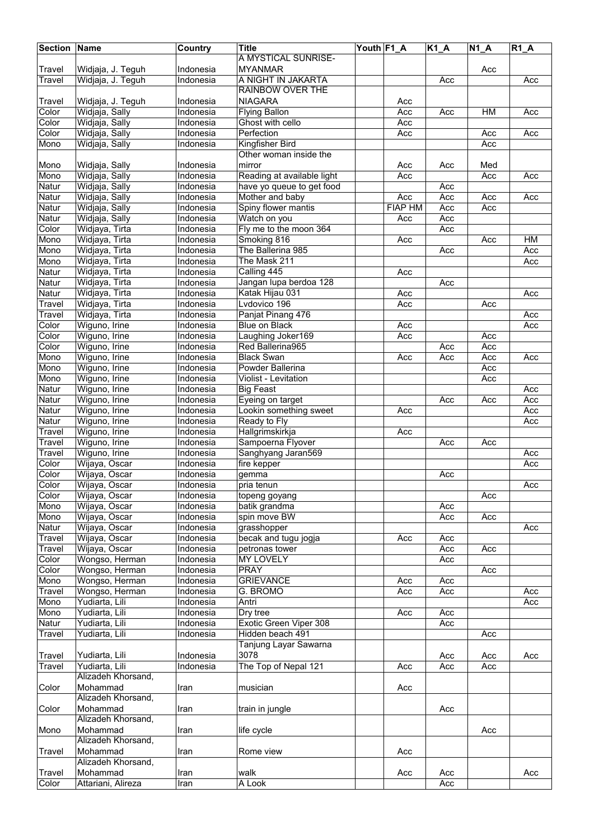| <b>Section Name</b>  |                    | Country          | <b>Title</b>               | Youth F1_A |                | $K1_A$ | $N1_A$ | $R1_A$ |
|----------------------|--------------------|------------------|----------------------------|------------|----------------|--------|--------|--------|
|                      |                    |                  | A MYSTICAL SUNRISE-        |            |                |        |        |        |
| Travel               | Widjaja, J. Teguh  | Indonesia        | <b>MYANMAR</b>             |            |                |        | Acc    |        |
| Travel               | Widjaja, J. Teguh  | Indonesia        | A NIGHT IN JAKARTA         |            |                | Acc    |        | Acc    |
|                      |                    |                  | <b>RAINBOW OVER THE</b>    |            |                |        |        |        |
| Travel               | Widjaja, J. Teguh  | Indonesia        | <b>NIAGARA</b>             |            | Acc            |        |        |        |
| Color                | Widjaja, Sally     | Indonesia        | <b>Flying Ballon</b>       |            | Acc            | Acc    | HM     | Acc    |
| Color                | Widjaja, Sally     | <b>Indonesia</b> | Ghost with cello           |            | Acc            |        |        |        |
| Color                | Widjaja, Sally     | <b>Indonesia</b> | Perfection                 |            | Acc            |        | Acc    | Acc    |
| Mono                 | Widjaja, Sally     | Indonesia        | Kingfisher Bird            |            |                |        | Acc    |        |
|                      |                    |                  | Other woman inside the     |            |                |        |        |        |
| Mono                 | Widjaja, Sally     | Indonesia        | mirror                     |            | Acc            | Acc    | Med    |        |
| Mono                 | Widjaja, Sally     | Indonesia        | Reading at available light |            | Acc            |        | Acc    | Acc    |
| Natur                | Widjaja, Sally     | Indonesia        | have yo queue to get food  |            |                | Acc    |        |        |
| Natur                | Widjaja, Sally     | Indonesia        | Mother and baby            |            | Acc            | Acc    | Acc    | Acc    |
| Natur                | Widjaja, Sally     | Indonesia        | Spiny flower mantis        |            | <b>FIAP HM</b> | Acc    | Acc    |        |
| Natur                | Widjaja, Sally     | Indonesia        | Watch on you               |            | Acc            | Acc    |        |        |
| Color                | Widjaya, Tirta     | Indonesia        | Fly me to the moon 364     |            |                | Acc    |        |        |
| Mono                 | Widjaya, Tirta     | <b>Indonesia</b> | Smoking 816                |            | Acc            |        | Acc    | HM     |
| Mono                 | Widjaya, Tirta     | Indonesia        | The Ballerina 985          |            |                | Acc    |        | Acc    |
| Mono                 | Widjaya, Tirta     | Indonesia        | The Mask 211               |            |                |        |        | Acc    |
| Natur                | Widjaya, Tirta     | <b>Indonesia</b> | Calling 445                |            | Acc            |        |        |        |
| Natur                | Widjaya, Tirta     | Indonesia        | Jangan lupa berdoa 128     |            |                | Acc    |        |        |
| Natur                | Widjaya, Tirta     | Indonesia        | Katak Hijau 031            |            | Acc            |        |        | Acc    |
| Travel               | Widjaya, Tirta     | Indonesia        | Lvdovico 196               |            | Acc            |        | Acc    |        |
| Travel               | Widjaya, Tirta     | Indonesia        | Panjat Pinang 476          |            |                |        |        | Acc    |
| Color                | Wiguno, Irine      | Indonesia        | <b>Blue on Black</b>       |            | Acc            |        |        | Acc    |
| Color                | Wiguno, Irine      | Indonesia        | Laughing Joker169          |            | Acc            |        | Acc    |        |
| Color                | Wiguno, Irine      | Indonesia        | Red Ballerina965           |            |                | Acc    | Acc    |        |
| Mono                 | Wiguno, Irine      | Indonesia        | <b>Black Swan</b>          |            | Acc            | Acc    | Acc    | Acc    |
| Mono                 | Wiguno, Irine      | Indonesia        | Powder Ballerina           |            |                |        | Acc    |        |
| Mono                 | Wiguno, Irine      | Indonesia        | Violist - Levitation       |            |                |        | Acc    |        |
| Natur                | Wiguno, Irine      | Indonesia        | <b>Big Feast</b>           |            |                |        |        | Acc    |
| Natur                | Wiguno, Irine      | Indonesia        | Eyeing on target           |            |                | Acc    | Acc    | Acc    |
| Natur                | Wiguno, Irine      | Indonesia        | Lookin something sweet     |            | Acc            |        |        | Acc    |
| Natur                | Wiguno, Irine      | Indonesia        | Ready to Fly               |            |                |        |        | Acc    |
| $\overline{T}$ ravel | Wiguno, Irine      | Indonesia        | Hallgrimskirkja            |            | Acc            |        |        |        |
| Travel               | Wiguno, Irine      | Indonesia        | Sampoerna Flyover          |            |                | Acc    | Acc    |        |
| Travel               | Wiguno, Irine      | Indonesia        | Sanghyang Jaran569         |            |                |        |        | Acc    |
| Color                | Wijaya, Oscar      | <b>Indonesia</b> | fire kepper                |            |                |        |        | Acc    |
| Color                | Wijaya, Oscar      | Indonesia        | gemma                      |            |                | Acc    |        |        |
| Color                | Wijaya, Oscar      | Indonesia        | pria tenun                 |            |                |        |        | Acc    |
| Color                | Wijaya, Oscar      | Indonesia        | topeng goyang              |            |                |        | Acc    |        |
| Mono                 | Wijaya, Oscar      | Indonesia        | batik grandma              |            |                | Acc    |        |        |
| Mono                 | Wijaya, Oscar      | Indonesia        | spin move BW               |            |                | Acc    | Acc    |        |
| Natur                | Wijaya, Oscar      | Indonesia        | grasshopper                |            |                |        |        | Acc    |
| Travel               | Wijaya, Oscar      | Indonesia        | becak and tugu jogja       |            | Acc            | Acc    |        |        |
| Travel               | Wijaya, Oscar      | Indonesia        | petronas tower             |            |                | Acc    | Acc    |        |
| Color                | Wongso, Herman     | Indonesia        | MY LOVELY                  |            |                | Acc    |        |        |
| Color                | Wongso, Herman     | Indonesia        | <b>PRAY</b>                |            |                |        | Acc    |        |
| Mono                 | Wongso, Herman     | Indonesia        | <b>GRIEVANCE</b>           |            | Acc            | Acc    |        |        |
| Travel               | Wongso, Herman     | Indonesia        | G. BROMO                   |            | Acc            | Acc    |        | Acc    |
| Mono                 | Yudiarta, Lili     | Indonesia        | Antri                      |            |                |        |        | Acc    |
| Mono                 | Yudiarta, Lili     | Indonesia        | Dry tree                   |            | Acc            | Acc    |        |        |
| Natur                | Yudiarta, Lili     | Indonesia        | Exotic Green Viper 308     |            |                | Acc    |        |        |
| Travel               | Yudiarta, Lili     | Indonesia        | Hidden beach 491           |            |                |        | Acc    |        |
|                      |                    |                  | Tanjung Layar Sawarna      |            |                |        |        |        |
| Travel               | Yudiarta, Lili     | Indonesia        | 3078                       |            |                | Acc    | Acc    | Acc    |
| Travel               | Yudiarta, Lili     | Indonesia        | The Top of Nepal 121       |            | Acc            | Acc    | Acc    |        |
|                      | Alizadeh Khorsand, |                  |                            |            |                |        |        |        |
| Color                | Mohammad           | Iran             | musician                   |            | Acc            |        |        |        |
|                      | Alizadeh Khorsand, |                  |                            |            |                |        |        |        |
| Color                | Mohammad           | Iran             | train in jungle            |            |                | Acc    |        |        |
|                      | Alizadeh Khorsand, |                  |                            |            |                |        |        |        |
| Mono                 | Mohammad           | Iran             | life cycle                 |            |                |        | Acc    |        |
|                      | Alizadeh Khorsand, |                  |                            |            |                |        |        |        |
| Travel               | Mohammad           | Iran             | Rome view                  |            | Acc            |        |        |        |
|                      | Alizadeh Khorsand, |                  |                            |            |                |        |        |        |
| Travel               | Mohammad           | Iran             | walk                       |            | Acc            | Acc    |        | Acc    |
| Color                | Attariani, Alireza | Iran             | A Look                     |            |                | Acc    |        |        |
|                      |                    |                  |                            |            |                |        |        |        |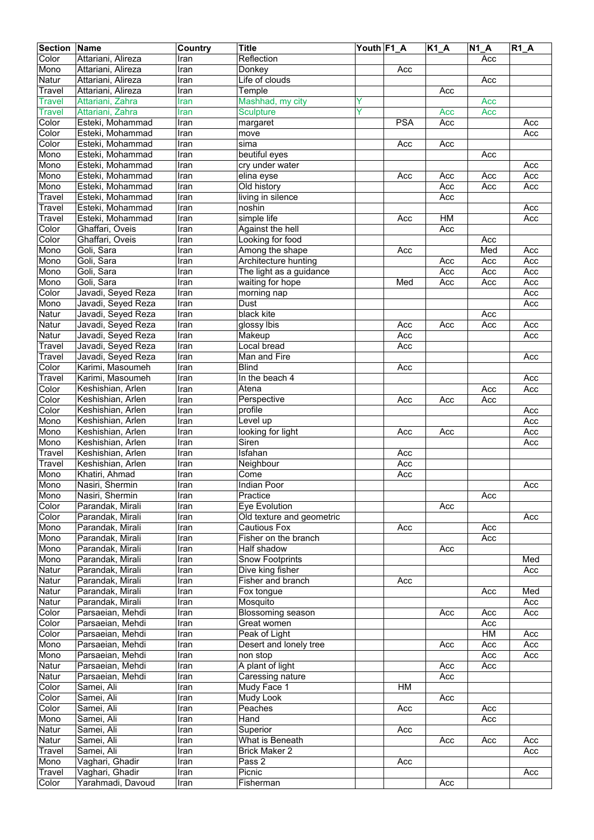| <b>Section</b> | Name                                 | Country      | <b>Title</b>                         | Youth F1_A |            | $K1_A$ | $\overline{N}$ 1_A | $R1_A$     |
|----------------|--------------------------------------|--------------|--------------------------------------|------------|------------|--------|--------------------|------------|
| Color          | Attariani, Alireza                   | Iran         | Reflection                           |            |            |        | Acc                |            |
| Mono           | Attariani, Alireza                   | Iran         | Donkey                               |            | Acc        |        |                    |            |
| Natur          | Attariani, Alireza                   | Iran         | Life of clouds                       |            |            |        | Acc                |            |
| Travel         | Attariani, Alireza                   | Iran         | Temple                               |            |            | Acc    |                    |            |
| Travel         | Attariani, Zahra                     | Iran         | Mashhad, my city                     | Y          |            |        | Acc                |            |
| <b>Travel</b>  | Attariani, Zahra                     | Iran         | <b>Sculpture</b>                     | Ÿ          |            | Acc    | Acc                |            |
| Color          | Esteki, Mohammad                     | Iran         | margaret                             |            | <b>PSA</b> | Acc    |                    | Acc        |
| Color          | Esteki, Mohammad                     | Iran         | move                                 |            |            |        |                    | Acc        |
| Color          | Esteki, Mohammad                     | Iran         | sima                                 |            | Acc        | Acc    |                    |            |
| Mono           | Esteki, Mohammad                     | Iran         | beutiful eyes                        |            |            |        | Acc                |            |
| Mono           | Esteki, Mohammad                     | Iran         | cry under water                      |            |            |        |                    | Acc        |
| Mono           | Esteki, Mohammad                     | Iran         | elina eyse                           |            | Acc        | Acc    | Acc                | Acc        |
| Mono           | Esteki, Mohammad                     | Iran         | Old history                          |            |            | Acc    | Acc                | Acc        |
| Travel         | Esteki, Mohammad                     | Iran         | living in silence                    |            |            | Acc    |                    |            |
| Travel         | Esteki, Mohammad                     | Iran         | noshin                               |            |            |        |                    | Acc        |
| Travel         | Esteki, Mohammad                     | Iran         | simple life                          |            | Acc        | H M    |                    | Acc        |
| Color          | Ghaffari, Oveis                      | Iran         | Against the hell                     |            |            | Acc    |                    |            |
| Color          | Ghaffari, Oveis                      | Iran         | Looking for food                     |            |            |        | Acc                |            |
| Mono           | Goli, Sara                           | Iran         | Among the shape                      |            | Acc        |        | Med                | Acc        |
| Mono           | Goli, Sara                           | Iran         | Architecture hunting                 |            |            | Acc    | Acc                | Acc        |
| Mono           | Goli, Sara                           | Iran         | The light as a guidance              |            |            | Acc    | Acc                | Acc        |
| Mono           | Goli, Sara                           | Iran         | waiting for hope                     |            | Med        | Acc    | Acc                | Acc        |
| Color          | Javadi, Seyed Reza                   | Iran         | morning nap                          |            |            |        |                    | Acc        |
| Mono           | Javadi, Seyed Reza                   | Iran         | Dust                                 |            |            |        |                    | Acc        |
| Natur          | Javadi, Seyed Reza                   | Iran         | black kite                           |            |            |        | Acc                |            |
| Natur          | Javadi, Seyed Reza                   | Iran         | glossy Ibis                          |            | Acc        | Acc    | Acc                | Acc        |
| Natur          | Javadi, Seyed Reza                   | Iran         | Makeup                               |            | Acc        |        |                    | Acc        |
| Travel         | Javadi, Seyed Reza                   | Iran         | Local bread                          |            | Acc        |        |                    |            |
| Travel         | Javadi, Seyed Reza                   | Iran         | Man and Fire                         |            |            |        |                    | Acc        |
| Color          | Karimi, Masoumeh                     | Iran         | <b>Blind</b>                         |            | Acc        |        |                    |            |
| Travel         | Karimi, Masoumeh                     | Iran         | In the beach 4                       |            |            |        |                    | Acc        |
| Color          | Keshishian, Arlen                    | Iran         | Atena                                |            |            |        | Acc                | Acc        |
| Color          | Keshishian, Arlen                    | Iran         | Perspective                          |            | Acc        | Acc    | Acc                |            |
| Color          | Keshishian, Arlen                    | Iran         | profile                              |            |            |        |                    | Acc        |
| Mono           | Keshishian, Arlen                    | Iran         | Level up                             |            |            |        |                    | Acc        |
| Mono           | Keshishian, Arlen                    | Iran         | looking for light                    |            | Acc        | Acc    |                    | Acc        |
| Mono           | Keshishian, Arlen                    | Iran         | Siren                                |            |            |        |                    | Acc        |
| Travel         | Keshishian, Arlen                    | Iran         | Isfahan                              |            | Acc        |        |                    |            |
| Travel         | Keshishian, Arlen                    | Iran         | Neighbour                            |            | Acc        |        |                    |            |
| Mono           | Khatiri, Ahmad                       | Iran         | Come                                 |            | Acc        |        |                    |            |
| Mono           | Nasiri, Shermin                      | Iran         | Indian Poor                          |            |            |        |                    | Acc        |
| Mono           | Nasiri, Shermin                      | Iran         | Practice                             |            |            |        | Acc                |            |
| Color          | Parandak, Mirali                     | Iran         | Eye Evolution                        |            |            | Acc    |                    |            |
| Color          | Parandak, Mirali                     | Iran         | Old texture and geometric            |            |            |        |                    | Acc        |
| Mono           | Parandak, Mirali                     | Iran         | <b>Cautious Fox</b>                  |            | Acc        |        | Acc                |            |
| Mono           | Parandak, Mirali                     | Iran         | Fisher on the branch                 |            |            |        | Acc                |            |
| Mono           | Parandak, Mirali                     | Iran         | Half shadow                          |            |            | Acc    |                    |            |
| Mono           | Parandak, Mirali                     | Iran         | <b>Snow Footprints</b>               |            |            |        |                    | Med        |
| Natur          | Parandak, Mirali                     |              | Dive king fisher                     |            |            |        |                    |            |
|                |                                      | Iran         |                                      |            |            |        |                    | Acc        |
| Natur<br>Natur | Parandak, Mirali<br>Parandak, Mirali | Iran<br>Iran | Fisher and branch<br>Fox tongue      |            | Acc        |        | Acc                | Med        |
|                |                                      |              |                                      |            |            |        |                    |            |
| Natur<br>Color | Parandak, Mirali<br>Parsaeian, Mehdi | Iran<br>Iran | Mosquito<br><b>Blossoming season</b> |            |            | Acc    | Acc                | Acc<br>Acc |
|                |                                      |              |                                      |            |            |        |                    |            |
| Color          | Parsaeian, Mehdi                     | Iran         | Great women                          |            |            |        | Acc<br>HM          |            |
| Color          | Parsaeian, Mehdi                     | Iran         | Peak of Light                        |            |            |        |                    | Acc        |
| Mono           | Parsaeian, Mehdi                     | Iran         | Desert and lonely tree               |            |            | Acc    | Acc                | Acc        |
| Mono           | Parsaeian, Mehdi                     | Iran         | non stop                             |            |            |        | Acc                | Acc        |
| Natur          | Parsaeian, Mehdi                     | Iran         | A plant of light                     |            |            | Acc    | Acc                |            |
| Natur          | Parsaeian, Mehdi                     | Iran         | Caressing nature                     |            |            | Acc    |                    |            |
| Color          | Samei, Ali                           | Iran         | Mudy Face 1                          |            | HM         |        |                    |            |
| Color          | Samei, Ali                           | Iran         | Mudy Look                            |            |            | Acc    |                    |            |
| Color          | Samei, Ali                           | Iran         | Peaches                              |            | Acc        |        | Acc                |            |
| Mono           | Samei, Ali                           | Iran         | Hand                                 |            |            |        | Acc                |            |
| Natur          | Samei, Ali                           | Iran         | Superior                             |            | Acc        |        |                    |            |
| Natur          | Samei, Ali                           | Iran         | What is Beneath                      |            |            | Acc    | Acc                | Acc        |
| Travel         | Samei, Ali                           | Iran         | <b>Brick Maker 2</b>                 |            |            |        |                    | Acc        |
| Mono           | Vaghari, Ghadir                      | Iran         | Pass 2                               |            | Acc        |        |                    |            |
| Travel         | Vaghari, Ghadir                      | Iran         | Picnic                               |            |            |        |                    | Acc        |
| Color          | Yarahmadi, Davoud                    | Iran         | Fisherman                            |            |            | Acc    |                    |            |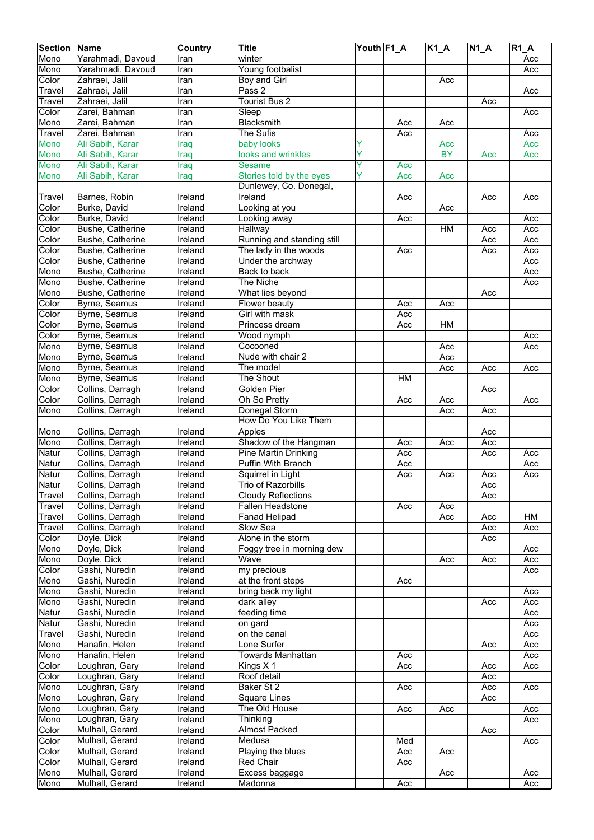| <b>Section</b>      | Name                                 | Country            | <b>Title</b>                     | Youth F1_A |                  | <b>K1_A</b>      | $N1_A$ | <b>R1 A</b> |
|---------------------|--------------------------------------|--------------------|----------------------------------|------------|------------------|------------------|--------|-------------|
| Mono                | Yarahmadi, Davoud                    | Iran               | winter                           |            |                  |                  |        | Acc         |
| Mono                | Yarahmadi, Davoud                    | Iran               | Young footbalist                 |            |                  |                  |        | Acc         |
| Color               | Zahraei, Jalil                       | Iran               | Boy and Girl                     |            |                  | Acc              |        |             |
| Travel              | Zahraei, Jalil                       | Iran               | Pass 2                           |            |                  |                  |        | Acc         |
| Travel              | Zahraei, Jalil                       | Iran               | <b>Tourist Bus 2</b>             |            |                  |                  | Acc    |             |
| Color               | Zarei, Bahman                        | Iran               | Sleep                            |            |                  |                  |        | Acc         |
| Mono                | Zarei, Bahman                        | Iran               | Blacksmith                       |            | Acc              | Acc              |        |             |
| Travel              | Zarei, Bahman                        | Iran               | The Sufis                        |            | Acc              |                  |        | Acc         |
| Mono                | Ali Sabih, Karar                     | Iraq               | baby looks<br>looks and wrinkles | Y<br>Y     |                  | Acc<br><b>BY</b> | Acc    | Acc<br>Acc  |
| Mono<br><b>Mono</b> | Ali Sabih, Karar<br>Ali Sabih, Karar | Iraq               | <b>Sesame</b>                    | Ý          | Acc              |                  |        |             |
| Mono                | Ali Sabih, Karar                     | Iraq<br>Iraq       | Stories told by the eyes         | Ÿ          | Acc              | Acc              |        |             |
|                     |                                      |                    | Dunlewey, Co. Donegal,           |            |                  |                  |        |             |
| Travel              | Barnes, Robin                        | Ireland            | Ireland                          |            | Acc              |                  | Acc    | Acc         |
| Color               | Burke, David                         | Ireland            | Looking at you                   |            |                  | Acc              |        |             |
| Color               | Burke, David                         | Ireland            | Looking away                     |            | Acc              |                  |        | Acc         |
| Color               | Bushe, Catherine                     | Ireland            | Hallway                          |            |                  | HM               | Acc    | Acc         |
| Color               | Bushe, Catherine                     | Ireland            | Running and standing still       |            |                  |                  | Acc    | Acc         |
| Color               | Bushe, Catherine                     | Ireland            | The lady in the woods            |            | $\overline{Acc}$ |                  | Acc    | Acc         |
| Color               | Bushe, Catherine                     | Ireland            | Under the archway                |            |                  |                  |        | Acc         |
| Mono                | Bushe, Catherine                     | Ireland            | Back to back                     |            |                  |                  |        | Acc         |
| Mono                | Bushe, Catherine                     | Ireland            | The Niche                        |            |                  |                  |        | Acc         |
| Mono                | Bushe, Catherine                     | Ireland            | What lies beyond                 |            |                  |                  | Acc    |             |
| Color               | Byrne, Seamus                        | Ireland            | Flower beauty                    |            | Acc              | Acc              |        |             |
| Color               | Byrne, Seamus                        | Ireland            | Girl with mask                   |            | Acc              |                  |        |             |
| Color               | Byrne, Seamus                        | Ireland            | Princess dream                   |            | Acc              | HM               |        |             |
| Color               | Byrne, Seamus                        | Ireland            | Wood nymph                       |            |                  |                  |        | Acc         |
| Mono                | Byrne, Seamus                        | Ireland            | Cocooned                         |            |                  | Acc              |        | Acc         |
| Mono                | Byrne, Seamus                        | Ireland            | Nude with chair 2                |            |                  | Acc              |        |             |
| Mono                | Byrne, Seamus                        | Ireland            | The model                        |            |                  | Acc              | Acc    | Acc         |
| Mono<br>Color       | Byrne, Seamus                        | Ireland            | The Shout<br>Golden Pier         |            | HM               |                  |        |             |
| Color               | Collins, Darragh<br>Collins, Darragh | Ireland<br>Ireland | Oh So Pretty                     |            | Acc              | Acc              | Acc    | Acc         |
| Mono                | Collins, Darragh                     | Ireland            | Donegal Storm                    |            |                  | Acc              | Acc    |             |
|                     |                                      |                    | How Do You Like Them             |            |                  |                  |        |             |
| Mono                | Collins, Darragh                     | Ireland            | Apples                           |            |                  |                  | Acc    |             |
| Mono                | Collins, Darragh                     | Ireland            | Shadow of the Hangman            |            | Acc              | Acc              | Acc    |             |
| Natur               | Collins, Darragh                     | Ireland            | <b>Pine Martin Drinking</b>      |            | Acc              |                  | Acc    | Acc         |
| Natur               | Collins, Darragh                     | Ireland            | Puffin With Branch               |            | Acc              |                  |        | Acc         |
| Natur               | Collins, Darragh                     | Ireland            | Squirrel in Light                |            | Acc              | Acc              | Acc    | Acc         |
| Natur               | Collins, Darragh                     | Ireland            | Trio of Razorbills               |            |                  |                  | Acc    |             |
| Travel              | Collins, Darragh                     | Ireland            | <b>Cloudy Reflections</b>        |            |                  |                  | Acc    |             |
| Travel              | Collins, Darragh                     | Ireland            | Fallen Headstone                 |            | Acc              | Acc              |        |             |
| Travel              | Collins, Darragh                     | Ireland            | <b>Fanad Helipad</b>             |            |                  | Acc              | Acc    | HM          |
| Travel              | Collins, Darragh                     | Ireland            | Slow Sea                         |            |                  |                  | Acc    | Acc         |
| Color               | Doyle, Dick                          | Ireland            | Alone in the storm               |            |                  |                  | Acc    |             |
| Mono                | Doyle, Dick                          | Ireland            | Foggy tree in morning dew        |            |                  |                  |        | Acc         |
| Mono                | Doyle, Dick                          | Ireland            | Wave                             |            |                  | Acc              | Acc    | Acc         |
| Color               | Gashi, Nuredin                       | Ireland            | my precious                      |            |                  |                  |        | Acc         |
| Mono                | Gashi, Nuredin                       | Ireland            | at the front steps               |            | Acc              |                  |        |             |
| Mono                | Gashi, Nuredin<br>Gashi, Nuredin     | Ireland            | bring back my light              |            |                  |                  |        | Acc<br>Acc  |
| Mono<br>Natur       | Gashi, Nuredin                       | Ireland<br>Ireland | dark alley<br>feeding time       |            |                  |                  | Acc    | Acc         |
| Natur               | Gashi, Nuredin                       | Ireland            | on gard                          |            |                  |                  |        | Acc         |
| Travel              | Gashi, Nuredin                       | Ireland            | on the canal                     |            |                  |                  |        | Acc         |
| Mono                | Hanafin, Helen                       | Ireland            | Lone Surfer                      |            |                  |                  | Acc    | Acc         |
| Mono                | Hanafin, Helen                       | Ireland            | Towards Manhattan                |            | Acc              |                  |        | Acc         |
| Color               | Loughran, Gary                       | Ireland            | Kings X 1                        |            | Acc              |                  | Acc    | Acc         |
| Color               | Loughran, Gary                       | Ireland            | Roof detail                      |            |                  |                  | Acc    |             |
| Mono                | Loughran, Gary                       | Ireland            | Baker St 2                       |            | Acc              |                  | Acc    | Acc         |
| Mono                | Loughran, Gary                       | Ireland            | Square Lines                     |            |                  |                  | Acc    |             |
| Mono                | Loughran, Gary                       | Ireland            | The Old House                    |            | Acc              | Acc              |        | Acc         |
| Mono                | Loughran, Gary                       | Ireland            | Thinking                         |            |                  |                  |        | Acc         |
| Color               | Mulhall, Gerard                      | Ireland            | <b>Almost Packed</b>             |            |                  |                  | Acc    |             |
| Color               | Mulhall, Gerard                      | Ireland            | Medusa                           |            | Med              |                  |        | Acc         |
| Color               | Mulhall, Gerard                      | Ireland            | Playing the blues                |            | Acc              | Acc              |        |             |
| Color               | Mulhall, Gerard                      | Ireland            | <b>Red Chair</b>                 |            | Acc              |                  |        |             |
| Mono                | Mulhall, Gerard                      | <b>Ireland</b>     | Excess baggage                   |            |                  | Acc              |        | Acc         |
| Mono                | Mulhall, Gerard                      | Ireland            | Madonna                          |            | Acc              |                  |        | Acc         |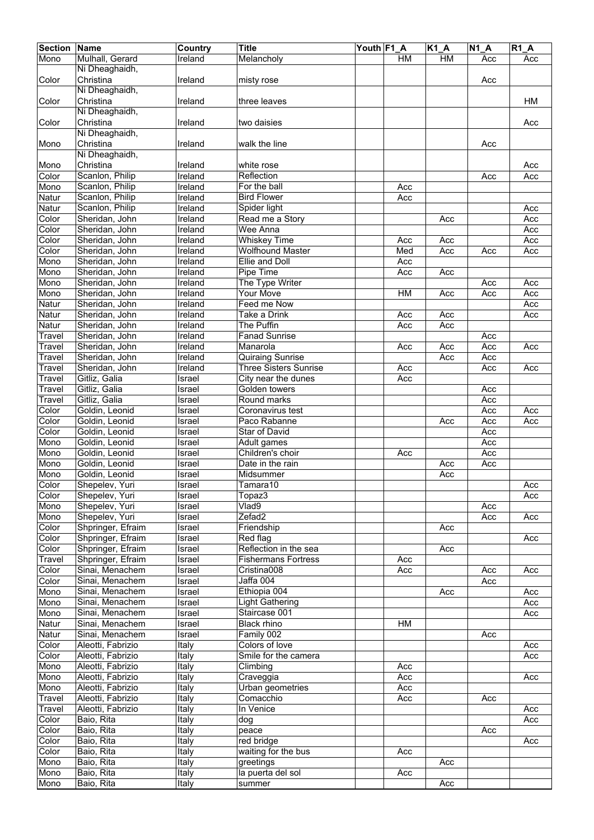| <b>Section</b> | <b>Name</b>       | Country | <b>Title</b>                 | Youth F1_A |           | <b>K1 A</b> | $N1_A$ | $R1_A$ |
|----------------|-------------------|---------|------------------------------|------------|-----------|-------------|--------|--------|
| Mono           | Mulhall, Gerard   | Ireland | Melancholy                   |            | <b>HM</b> | <b>HM</b>   | Acc    | Acc    |
|                | Ni Dheaghaidh,    |         |                              |            |           |             |        |        |
| Color          | Christina         | Ireland | misty rose                   |            |           |             | Acc    |        |
|                | Ni Dheaghaidh,    |         |                              |            |           |             |        |        |
| Color          | Christina         | Ireland | three leaves                 |            |           |             |        | HM     |
|                | Ni Dheaghaidh,    |         |                              |            |           |             |        |        |
| Color          | Christina         | Ireland | two daisies                  |            |           |             |        | Acc    |
|                | Ni Dheaghaidh,    |         |                              |            |           |             |        |        |
|                | Christina         |         | walk the line                |            |           |             |        |        |
| Mono           |                   | Ireland |                              |            |           |             | Acc    |        |
|                | Ni Dheaghaidh,    |         |                              |            |           |             |        |        |
| Mono           | Christina         | Ireland | white rose                   |            |           |             |        | Acc    |
| Color          | Scanlon, Philip   | Ireland | Reflection                   |            |           |             | Acc    | Acc    |
| Mono           | Scanlon, Philip   | Ireland | For the ball                 |            | Acc       |             |        |        |
| Natur          | Scanlon, Philip   | Ireland | <b>Bird Flower</b>           |            | Acc       |             |        |        |
| Natur          | Scanlon, Philip   | Ireland | Spider light                 |            |           |             |        | Acc    |
| Color          | Sheridan, John    | Ireland | Read me a Story              |            |           | Acc         |        | Acc    |
| Color          | Sheridan, John    | Ireland | Wee Anna                     |            |           |             |        | Acc    |
| Color          | Sheridan, John    | Ireland | <b>Whiskey Time</b>          |            | Acc       | Acc         |        | Acc    |
| Color          | Sheridan, John    | Ireland | <b>Wolfhound Master</b>      |            | Med       | Acc         | Acc    | Acc    |
| Mono           | Sheridan, John    | Ireland | Ellie and Doll               |            | Acc       |             |        |        |
| Mono           | Sheridan, John    | Ireland | Pipe Time                    |            | Acc       | Acc         |        |        |
|                |                   |         |                              |            |           |             |        |        |
| Mono           | Sheridan, John    | Ireland | The Type Writer              |            |           |             | Acc    | Acc    |
| Mono           | Sheridan, John    | Ireland | <b>Your Move</b>             |            | HM        | Acc         | Acc    | Acc    |
| Natur          | Sheridan, John    | Ireland | Feed me Now                  |            |           |             |        | Acc    |
| Natur          | Sheridan, John    | Ireland | Take a Drink                 |            | Acc       | Acc         |        | Acc    |
| Natur          | Sheridan, John    | Ireland | The Puffin                   |            | Acc       | Acc         |        |        |
| Travel         | Sheridan, John    | Ireland | <b>Fanad Sunrise</b>         |            |           |             | Acc    |        |
| Travel         | Sheridan, John    | Ireland | Manarola                     |            | Acc       | Acc         | Acc    | Acc    |
| Travel         | Sheridan, John    | Ireland | Quiraing Sunrise             |            |           | Acc         | Acc    |        |
| Travel         | Sheridan, John    | Ireland | <b>Three Sisters Sunrise</b> |            | Acc       |             | Acc    | Acc    |
| Travel         | Gitliz, Galia     | Israel  | City near the dunes          |            | Acc       |             |        |        |
| Travel         | Gitliz, Galia     | Israel  | Golden towers                |            |           |             | Acc    |        |
|                |                   |         |                              |            |           |             |        |        |
| Travel         | Gitliz, Galia     | Israel  | Round marks                  |            |           |             | Acc    |        |
| Color          | Goldin, Leonid    | Israel  | Coronavirus test             |            |           |             | Acc    | Acc    |
| Color          | Goldin, Leonid    | Israel  | Paco Rabanne                 |            |           | Acc         | Acc    | Acc    |
| Color          | Goldin, Leonid    | Israel  | <b>Star of David</b>         |            |           |             | Acc    |        |
| Mono           | Goldin, Leonid    | Israel  | Adult games                  |            |           |             | Acc    |        |
| Mono           | Goldin, Leonid    | Israel  | Children's choir             |            | Acc       |             | Acc    |        |
| Mono           | Goldin, Leonid    | Israel  | Date in the rain             |            |           | Acc         | Acc    |        |
| Mono           | Goldin, Leonid    | Israel  | Midsummer                    |            |           | Acc         |        |        |
| Color          | Shepelev, Yuri    | Israel  | Tamara10                     |            |           |             |        | Acc    |
| Color          | Shepelev, Yuri    | Israel  | Topaz3                       |            |           |             |        | Acc    |
| Mono           | Shepelev, Yuri    | Israel  | V <sub>lad9</sub>            |            |           |             | Acc    |        |
| Mono           | Shepelev, Yuri    | Israel  | Zefad2                       |            |           |             | Acc    | Acc    |
| Color          | Shpringer, Efraim | Israel  | Friendship                   |            |           | Acc         |        |        |
|                |                   |         |                              |            |           |             |        |        |
| Color          | Shpringer, Efraim | Israel  | Red flag                     |            |           |             |        | Acc    |
| Color          | Shpringer, Efraim | Israel  | Reflection in the sea        |            |           | Acc         |        |        |
| Travel         | Shpringer, Efraim | Israel  | <b>Fishermans Fortress</b>   |            | Acc       |             |        |        |
| Color          | Sinai, Menachem   | Israel  | Cristina008                  |            | Acc       |             | Acc    | Acc    |
| Color          | Sinai, Menachem   | Israel  | Jaffa 004                    |            |           |             | Acc    |        |
| Mono           | Sinai, Menachem   | Israel  | Ethiopia 004                 |            |           | Acc         |        | Acc    |
| Mono           | Sinai, Menachem   | Israel  | <b>Light Gathering</b>       |            |           |             |        | Acc    |
| Mono           | Sinai, Menachem   | Israel  | Staircase 001                |            |           |             |        | Acc    |
| Natur          | Sinai, Menachem   | Israel  | <b>Black rhino</b>           |            | HM        |             |        |        |
| Natur          | Sinai, Menachem   | Israel  | Family 002                   |            |           |             | Acc    |        |
| Color          | Aleotti, Fabrizio | Italy   | Colors of love               |            |           |             |        | Acc    |
| Color          | Aleotti, Fabrizio | Italy   | Smile for the camera         |            |           |             |        | Acc    |
| Mono           | Aleotti, Fabrizio | Italy   | Climbing                     |            | Acc       |             |        |        |
|                |                   |         |                              |            |           |             |        |        |
| Mono           | Aleotti, Fabrizio | Italy   | Craveggia                    |            | Acc       |             |        | Acc    |
| Mono           | Aleotti, Fabrizio | Italy   | Urban geometries             |            | Acc       |             |        |        |
| <b>Travel</b>  | Aleotti, Fabrizio | Italy   | Comacchio                    |            | Acc       |             | Acc    |        |
| Travel         | Aleotti, Fabrizio | Italy   | In Venice                    |            |           |             |        | Acc    |
| Color          | Baio, Rita        | Italy   | dog                          |            |           |             |        | Acc    |
| Color          | Baio, Rita        | Italy   | peace                        |            |           |             | Acc    |        |
| Color          | Baio, Rita        | Italy   | red bridge                   |            |           |             |        | Acc    |
| Color          | Baio, Rita        | Italy   | waiting for the bus          |            | Acc       |             |        |        |
| Mono           | Baio, Rita        | Italy   | greetings                    |            |           | Acc         |        |        |
| Mono           | Baio, Rita        | Italy   | la puerta del sol            |            | Acc       |             |        |        |
| Mono           | Baio, Rita        | Italy   | summer                       |            |           | Acc         |        |        |
|                |                   |         |                              |            |           |             |        |        |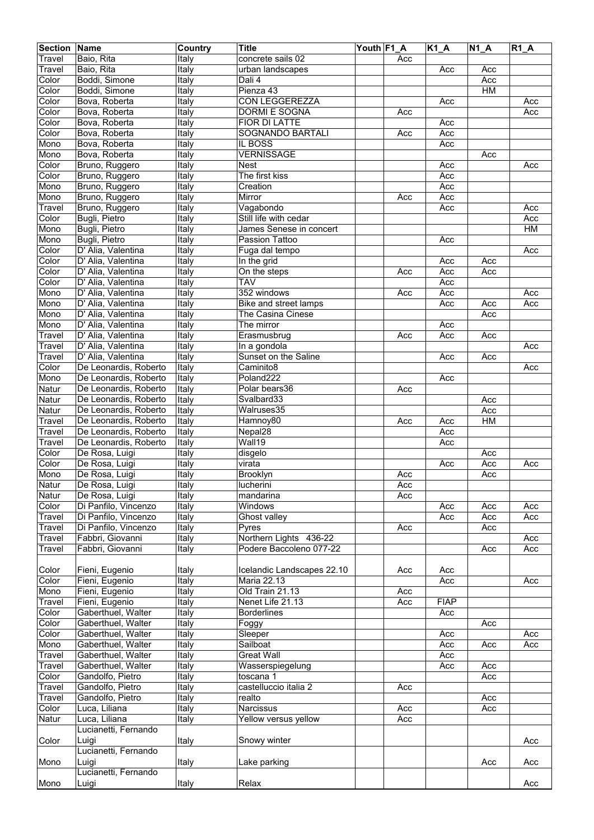| <b>Section</b> | Name                             | Country       | <b>Title</b>               | Youth F1 A |     | $\overline{K1}A$ | $\overline{N}$ 1_A | $R1_A$ |
|----------------|----------------------------------|---------------|----------------------------|------------|-----|------------------|--------------------|--------|
| Travel         | Baio, Rita                       | Italy         | concrete sails 02          |            | Acc |                  |                    |        |
| Travel         | Baio, Rita                       | Italy         | urban landscapes           |            |     | Acc              | Acc                |        |
| Color          | Boddi, Simone                    | Italy         | Dali 4                     |            |     |                  | Acc                |        |
| Color          | Boddi, Simone                    | Italy         | Pienza 43                  |            |     |                  | HM                 |        |
| Color          | Bova, Roberta                    | Italy         | <b>CON LEGGEREZZA</b>      |            |     | Acc              |                    | Acc    |
| Color          | Bova, Roberta                    | Italy         | <b>DORMI E SOGNA</b>       |            | Acc |                  |                    | Acc    |
| Color          | Bova, Roberta                    | Italy         | FIOR DI LATTE              |            |     | Acc              |                    |        |
| Color          | Bova, Roberta                    | Italy         | SOGNANDO BARTALI           |            | Acc | Acc              |                    |        |
| Mono           | Bova, Roberta                    | <b>T</b> taly | IL BOSS                    |            |     | Acc              |                    |        |
| Mono           | Bova, Roberta                    | Italy         | <b>VERNISSAGE</b>          |            |     |                  | Acc                |        |
| Color          | Bruno, Ruggero                   | Italy         | <b>Nest</b>                |            |     | Acc              |                    | Acc    |
| Color          | Bruno, Ruggero                   | Italy         | The first kiss             |            |     | Acc              |                    |        |
|                |                                  |               | Creation                   |            |     |                  |                    |        |
| Mono           | Bruno, Ruggero<br>Bruno, Ruggero | Italy         |                            |            |     | Acc              |                    |        |
| Mono           |                                  | Italy         | Mirror                     |            | Acc | Acc              |                    |        |
| Travel         | Bruno, Ruggero                   | Italy         | Vagabondo                  |            |     | Acc              |                    | Acc    |
| Color          | Bugli, Pietro                    | <b>T</b> taly | Still life with cedar      |            |     |                  |                    | Acc    |
| Mono           | Bugli, Pietro                    | Italy         | James Senese in concert    |            |     |                  |                    | HM     |
| Mono           | Bugli, Pietro                    | Italy         | Passion Tattoo             |            |     | Acc              |                    |        |
| Color          | D' Alia, Valentina               | Italy         | Fuga dal tempo             |            |     |                  |                    | Acc    |
| Color          | D' Alia, Valentina               | Italy         | In the grid                |            |     | Acc              | Acc                |        |
| Color          | D' Alia, Valentina               | Italy         | On the steps               |            | Acc | Acc              | Acc                |        |
| Color          | D' Alia, Valentina               | Italy         | <b>TAV</b>                 |            |     | Acc              |                    |        |
| Mono           | D' Alia, Valentina               | Italy         | 352 windows                |            | Acc | Acc              |                    | Acc    |
| Mono           | D' Alia, Valentina               | Italy         | Bike and street lamps      |            |     | Acc              | Acc                | Acc    |
| Mono           | D' Alia, Valentina               | Italy         | The Casina Cinese          |            |     |                  | Acc                |        |
| Mono           | D' Alia, Valentina               | Italy         | The mirror                 |            |     | Acc              |                    |        |
| Travel         | D' Alia, Valentina               | Italy         | Erasmusbrug                |            | Acc | Acc              | Acc                |        |
| Travel         | D' Alia, Valentina               | Italy         | In a gondola               |            |     |                  |                    | Acc    |
| Travel         | D' Alia, Valentina               | Italy         | Sunset on the Saline       |            |     | Acc              | Acc                |        |
| Color          | De Leonardis, Roberto            | Italy         | Caminito8                  |            |     |                  |                    | Acc    |
| Mono           | De Leonardis, Roberto            | Italy         | Poland222                  |            |     | Acc              |                    |        |
| Natur          | De Leonardis, Roberto            | Italy         | Polar bears36              |            | Acc |                  |                    |        |
|                | De Leonardis, Roberto            | Italy         | Svalbard33                 |            |     |                  | Acc                |        |
| Natur          |                                  | <b>T</b> taly | Walruses35                 |            |     |                  |                    |        |
| Natur          | De Leonardis, Roberto            |               |                            |            |     |                  | Acc                |        |
| Travel         | De Leonardis, Roberto            | Italy         | Hamnoy80                   |            | Acc | Acc              | HM                 |        |
| Travel         | De Leonardis, Roberto            | Italy         | Nepal28                    |            |     | Acc              |                    |        |
| Travel         | De Leonardis, Roberto            | Italy         | Wall19                     |            |     | Acc              |                    |        |
| Color          | De Rosa, Luigi                   | Italy         | disgelo                    |            |     |                  | Acc                |        |
| Color          | De Rosa, Luigi                   | Italy         | virata                     |            |     | Acc              | Acc                | Acc    |
| Mono           | De Rosa, Luigi                   | Italy         | <b>Brooklyn</b>            |            | Acc |                  | Acc                |        |
| Natur          | De Rosa, Luigi                   | Italy         | lucherini                  |            | Acc |                  |                    |        |
| Natur          | De Rosa, Luigi                   | Italy         | mandarina                  |            | Acc |                  |                    |        |
| Color          | Di Panfilo, Vincenzo             | Italy         | Windows                    |            |     | Acc              | Acc                | Acc    |
| Travel         | Di Panfilo, Vincenzo             | Italy         | Ghost valley               |            |     | Acc              | Acc                | Acc    |
| Travel         | Di Panfilo, Vincenzo             | Italy         | Pyres                      |            | Acc |                  | Acc                |        |
| Travel         | Fabbri, Giovanni                 | Italy         | Northern Lights 436-22     |            |     |                  |                    | Acc    |
| Travel         | Fabbri, Giovanni                 | Italy         | Podere Baccoleno 077-22    |            |     |                  | Acc                | Acc    |
|                |                                  |               |                            |            |     |                  |                    |        |
| Color          | Fieni, Eugenio                   | Italy         | Icelandic Landscapes 22.10 |            | Acc | Acc              |                    |        |
| Color          | Fieni, Eugenio                   | Italy         | Maria 22.13                |            |     | Acc              |                    | Acc    |
| Mono           | Fieni, Eugenio                   | Italy         | Old Train 21.13            |            | Acc |                  |                    |        |
| Travel         | Fieni, Eugenio                   | Italy         | Nenet Life 21.13           |            | Acc | <b>FIAP</b>      |                    |        |
| Color          | Gaberthuel, Walter               | Italy         | <b>Borderlines</b>         |            |     | Acc              |                    |        |
| Color          | Gaberthuel, Walter               | Italy         | Foggy                      |            |     |                  | Acc                |        |
| Color          | Gaberthuel, Walter               | Italy         | Sleeper                    |            |     | Acc              |                    | Acc    |
| Mono           | Gaberthuel, Walter               | <b>T</b> taly | Sailboat                   |            |     | Acc              | Acc                | Acc    |
| Travel         | Gaberthuel, Walter               | Italy         | <b>Great Wall</b>          |            |     | Acc              |                    |        |
| Travel         | Gaberthuel, Walter               | Italy         | Wasserspiegelung           |            |     | Acc              | Acc                |        |
|                |                                  |               |                            |            |     |                  |                    |        |
| Color          | Gandolfo, Pietro                 | Italy         | toscana 1                  |            |     |                  | Acc                |        |
| Travel         | Gandolfo, Pietro                 | <b>Italy</b>  | castelluccio italia 2      |            | Acc |                  |                    |        |
| Travel         | Gandolfo, Pietro                 | Italy         | realto                     |            |     |                  | Acc                |        |
| Color          | Luca, Liliana                    | Italy         | Narcissus                  |            | Acc |                  | Acc                |        |
| Natur          | Luca, Liliana                    | Italy         | Yellow versus yellow       |            | Acc |                  |                    |        |
|                | Lucianetti, Fernando             |               |                            |            |     |                  |                    |        |
| Color          | Luigi                            | Italy         | Snowy winter               |            |     |                  |                    | Acc    |
|                | Lucianetti, Fernando             |               |                            |            |     |                  |                    |        |
| Mono           | Luigi                            | Italy         | Lake parking               |            |     |                  | Acc                | Acc    |
|                | Lucianetti, Fernando             |               |                            |            |     |                  |                    |        |
| Mono           | Luigi                            | Italy         | Relax                      |            |     |                  |                    | Acc    |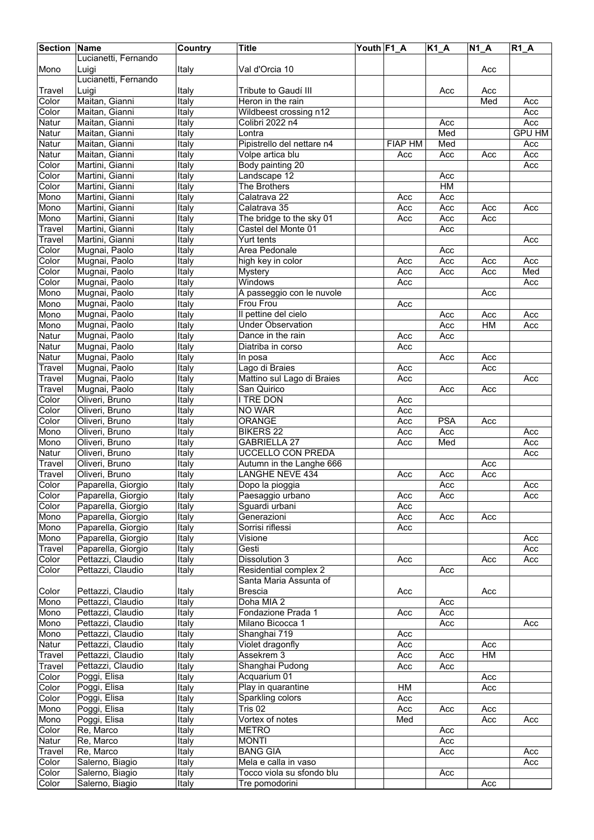| <b>Section Name</b> |                                        | Country       | <b>Title</b>               | Youth F1_A |                | $K1_A$     | $N1_A$ | $R1_A$        |
|---------------------|----------------------------------------|---------------|----------------------------|------------|----------------|------------|--------|---------------|
|                     | Lucianetti, Fernando                   |               |                            |            |                |            |        |               |
| Mono                | Luigi                                  | Italy         | Val d'Orcia 10             |            |                |            | Acc    |               |
|                     | Lucianetti, Fernando                   |               |                            |            |                |            |        |               |
| Travel              | Luigi                                  | Italy         | Tribute to Gaudí III       |            |                | Acc        | Acc    |               |
| Color               | Maitan, Gianni                         | <b>Italy</b>  | Heron in the rain          |            |                |            | Med    | Acc           |
| Color               | Maitan, Gianni                         | Italy         | Wildbeest crossing n12     |            |                |            |        | Acc           |
| Natur               | Maitan, Gianni                         | Italy         | Colibri 2022 n4            |            |                | Acc        |        | Acc           |
| Natur               | Maitan, Gianni                         | Italy         | Lontra                     |            |                | Med        |        | <b>GPU HM</b> |
| Natur               | Maitan, Gianni                         | Italy         | Pipistrello del nettare n4 |            | <b>FIAP HM</b> | Med        |        | Acc           |
| Natur               |                                        |               |                            |            | Acc            |            |        | Acc           |
|                     | Maitan, Gianni                         | Italy         | Volpe artica blu           |            |                | Acc        | Acc    |               |
| Color               | Martini, Gianni                        | Italy         | Body painting 20           |            |                |            |        | Acc           |
| Color               | Martini, Gianni                        | Italy         | Landscape 12               |            |                | Acc        |        |               |
| Color               | Martini, Gianni                        | Italy         | The Brothers               |            |                | HM         |        |               |
| Mono                | Martini, Gianni                        | Italy         | Calatrava 22               |            | Acc            | Acc        |        |               |
| Mono                | Martini, Gianni                        | Italy         | Calatrava 35               |            | Acc            | Acc        | Acc    | Acc           |
| Mono                | Martini, Gianni                        | Italy         | The bridge to the sky 01   |            | Acc            | Acc        | Acc    |               |
| Travel              | Martini, Gianni                        | <b>Italy</b>  | Castel del Monte 01        |            |                | Acc        |        |               |
| Travel              | Martini, Gianni                        | Italy         | Yurt tents                 |            |                |            |        | Acc           |
| Color               | Mugnai, Paolo                          | Italy         | Area Pedonale              |            |                | Acc        |        |               |
| Color               | Mugnai, Paolo                          | Italy         | high key in color          |            | Acc            | Acc        | Acc    | Acc           |
| Color               | Mugnai, Paolo                          | Italy         | <b>Mystery</b>             |            | Acc            | Acc        | Acc    | Med           |
| Color               | Mugnai, Paolo                          | Italy         | Windows                    |            | Acc            |            |        | Acc           |
| Mono                | Mugnai, Paolo                          | <b>Ttaly</b>  | A passeggio con le nuvole  |            |                |            | Acc    |               |
| Mono                | Mugnai, Paolo                          | Italy         | <b>Frou Frou</b>           |            | Acc            |            |        |               |
| Mono                | Mugnai, Paolo                          | Italy         | Il pettine del cielo       |            |                | Acc        | Acc    | Acc           |
| Mono                | Mugnai, Paolo                          | Italy         | <b>Under Observation</b>   |            |                | Acc        | HM     | Acc           |
| <b>Natur</b>        | Mugnai, Paolo                          | Italy         | Dance in the rain          |            | Acc            | Acc        |        |               |
| Natur               | Mugnai, Paolo                          | Italy         | Diatriba in corso          |            | Acc            |            |        |               |
|                     |                                        |               |                            |            |                |            |        |               |
| Natur               | Mugnai, Paolo                          | Italy         | In posa                    |            |                | Acc        | Acc    |               |
| Travel              | Mugnai, Paolo                          | Italy         | Lago di Braies             |            | Acc            |            | Acc    |               |
| Travel              | Mugnai, Paolo                          | Italy         | Mattino sul Lago di Braies |            | Acc            |            |        | Acc           |
| Travel              | Mugnai, Paolo                          | Italy         | San Quirico                |            |                | Acc        | Acc    |               |
| Color               | Oliveri, Bruno                         | Italy         | I TRE DON                  |            | Acc            |            |        |               |
| Color               | Oliveri, Bruno                         | Italy         | NO WAR                     |            | Acc            |            |        |               |
| Color               | Oliveri, Bruno                         | Italy         | <b>ORANGE</b>              |            | Acc            | <b>PSA</b> | Acc    |               |
| Mono                | Oliveri, Bruno                         | Italy         | <b>BIKERS 22</b>           |            | Acc            | Acc        |        | Acc           |
| Mono                | Oliveri, Bruno                         | Italy         | <b>GABRIELLA 27</b>        |            | Acc            | Med        |        | Acc           |
| Natur               | Oliveri, Bruno                         | <b>T</b> taly | <b>UCCELLO CON PREDA</b>   |            |                |            |        | Acc           |
| Travel              | Oliveri, Bruno                         | Italy         | Autumn in the Langhe 666   |            |                |            | Acc    |               |
| Travel              | Oliveri, Bruno                         | <b>Ttaly</b>  | <b>LANGHE NEVE 434</b>     |            | Acc            | Acc        | Acc    |               |
| Color               | Paparella, Giorgio                     | Italy         | Dopo la pioggia            |            |                | Acc        |        | Acc           |
| Color               | Paparella, Giorgio                     | <b>T</b> taly | Paesaggio urbano           |            | Acc            | Acc        |        | Acc           |
| Color               | Paparella, Giorgio                     | Italy         | Sguardi urbani             |            | Acc            |            |        |               |
| Mono                | Paparella, Giorgio                     | Italy         | Generazioni                |            | Acc            | Acc        | Acc    |               |
| Mono                | Paparella, Giorgio                     | Italy         | Sorrisi riflessi           |            | Acc            |            |        |               |
| Mono                | Paparella, Giorgio                     | Italy         | Visione                    |            |                |            |        | Acc           |
| Travel              | Paparella, Giorgio                     | Italy         | Gesti                      |            |                |            |        | Acc           |
|                     |                                        |               | Dissolution 3              |            |                |            |        |               |
| Color               | Pettazzi, Claudio<br>Pettazzi, Claudio | Italy         |                            |            | Acc            |            | Acc    | Acc           |
| Color               |                                        | Italy         | Residential complex 2      |            |                | Acc        |        |               |
|                     |                                        |               | Santa Maria Assunta of     |            |                |            |        |               |
| Color               | Pettazzi, Claudio                      | Italy         | <b>Brescia</b>             |            | Acc            |            | Acc    |               |
| Mono                | Pettazzi, Claudio                      | Italy         | Doha MIA 2                 |            |                | Acc        |        |               |
| Mono                | Pettazzi, Claudio                      | <b>T</b> taly | Fondazione Prada 1         |            | Acc            | Acc        |        |               |
| Mono                | Pettazzi, Claudio                      | Italy         | Milano Bicocca 1           |            |                | Acc        |        | Acc           |
| Mono                | Pettazzi, Claudio                      | Italy         | Shanghai 719               |            | Acc            |            |        |               |
| Natur               | Pettazzi, Claudio                      | Italy         | Violet dragonfly           |            | Acc            |            | Acc    |               |
| Travel              | Pettazzi, Claudio                      | Italy         | Assekrem 3                 |            | Acc            | Acc        | HM     |               |
| Travel              | Pettazzi, Claudio                      | Italy         | Shanghai Pudong            |            | Acc            | Acc        |        |               |
| Color               | Poggi, Elisa                           | Italy         | Acquarium 01               |            |                |            | Acc    |               |
| Color               | Poggi, Elisa                           | Italy         | Play in quarantine         |            | HM             |            | Acc    |               |
| Color               | Poggi, Elisa                           | Italy         | Sparkling colors           |            | Acc            |            |        |               |
| Mono                | Poggi, Elisa                           | Italy         | Tris 02                    |            | Acc            | Acc        | Acc    |               |
| Mono                | Poggi, Elisa                           | Italy         | Vortex of notes            |            | Med            |            | Acc    | Acc           |
| Color               | Re, Marco                              | Italy         | <b>METRO</b>               |            |                | Acc        |        |               |
| Natur               | Re, Marco                              | Italy         | <b>MONTI</b>               |            |                | Acc        |        |               |
| Travel              | Re, Marco                              | Italy         | <b>BANG GIA</b>            |            |                | Acc        |        | Acc           |
| Color               | Salerno, Biagio                        | <b>Italy</b>  | Mela e calla in vaso       |            |                |            |        | Acc           |
| Color               | Salerno, Biagio                        | Italy         | Tocco viola su sfondo blu  |            |                | Acc        |        |               |
| Color               | Salerno, Biagio                        |               | Tre pomodorini             |            |                |            | Acc    |               |
|                     |                                        | Italy         |                            |            |                |            |        |               |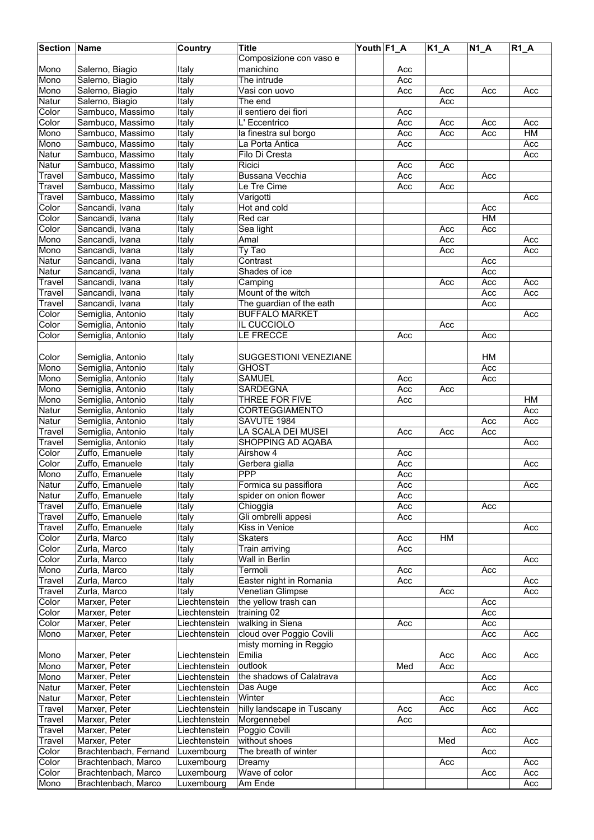| <b>Section Name</b> |                       | Country       | <b>Title</b>               | Youth F1_A |     | <b>K1 A</b> | $N1_A$ | $R1_A$ |
|---------------------|-----------------------|---------------|----------------------------|------------|-----|-------------|--------|--------|
|                     |                       |               | Composizione con vaso e    |            |     |             |        |        |
|                     |                       |               |                            |            |     |             |        |        |
| Mono                | Salerno, Biagio       | Italy         | manichino                  |            | Acc |             |        |        |
| Mono                | Salerno, Biagio       | Italy         | The intrude                |            | Acc |             |        |        |
| Mono                | Salerno, Biagio       | Italy         | Vasi con uovo              |            | Acc | Acc         | Acc    | Acc    |
| Natur               | Salerno, Biagio       | Italy         | The end                    |            |     | Acc         |        |        |
| Color               | Sambuco, Massimo      | Italy         | il sentiero dei fiori      |            | Acc |             |        |        |
| Color               | Sambuco, Massimo      | Italy         | L' Eccentrico              |            | Acc | Acc         | Acc    | Acc    |
| Mono                | Sambuco, Massimo      | Italy         | la finestra sul borgo      |            | Acc | Acc         | Acc    | HM     |
|                     |                       |               |                            |            |     |             |        |        |
| Mono                | Sambuco, Massimo      | Italy         | La Porta Antica            |            | Acc |             |        | Acc    |
| Natur               | Sambuco, Massimo      | Italy         | Filo Di Cresta             |            |     |             |        | Acc    |
| Natur               | Sambuco, Massimo      | <b>Italy</b>  | Ricici                     |            | Acc | Acc         |        |        |
| Travel              | Sambuco, Massimo      | Italy         | Bussana Vecchia            |            | Acc |             | Acc    |        |
| Travel              | Sambuco, Massimo      | Italy         | Le Tre Cime                |            | Acc | Acc         |        |        |
| Travel              | Sambuco, Massimo      | Italy         | Varigotti                  |            |     |             |        | Acc    |
| Color               | Sancandi, Ivana       | <b>Italy</b>  | Hot and cold               |            |     |             | Acc    |        |
|                     |                       |               |                            |            |     |             |        |        |
| Color               | Sancandi, Ivana       | Italy         | Red car                    |            |     |             | HM     |        |
| Color               | Sancandi, Ivana       | Italy         | Sea light                  |            |     | Acc         | Acc    |        |
| Mono                | Sancandi, Ivana       | Italy         | Amal                       |            |     | Acc         |        | Acc    |
| Mono                | Sancandi, Ivana       | Italy         | Ty Tao                     |            |     | Acc         |        | Acc    |
| Natur               | Sancandi, Ivana       | Italy         | Contrast                   |            |     |             | Acc    |        |
| Natur               | Sancandi, Ivana       | Italy         | Shades of ice              |            |     |             | Acc    |        |
| Travel              | Sancandi, Ivana       | Italy         |                            |            |     | Acc         | Acc    | Acc    |
|                     |                       |               | Camping                    |            |     |             |        |        |
| Travel              | Sancandi, Ivana       | Italy         | Mount of the witch         |            |     |             | Acc    | Acc    |
| Travel              | Sancandi, Ivana       | Italy         | The guardian of the eath   |            |     |             | Acc    |        |
| Color               | Semiglia, Antonio     | Italy         | <b>BUFFALO MARKET</b>      |            |     |             |        | Acc    |
| Color               | Semiglia, Antonio     | <b>T</b> taly | IL CUCCIOLO                |            |     | Acc         |        |        |
| Color               | Semiglia, Antonio     | Italy         | LE FRECCE                  |            | Acc |             | Acc    |        |
|                     |                       |               |                            |            |     |             |        |        |
|                     |                       |               |                            |            |     |             |        |        |
| Color               | Semiglia, Antonio     | Italy         | SUGGESTIONI VENEZIANE      |            |     |             | HM     |        |
| Mono                | Semiglia, Antonio     | Italy         | <b>GHOST</b>               |            |     |             | Acc    |        |
| Mono                | Semiglia, Antonio     | Italy         | <b>SAMUEL</b>              |            | Acc |             | Acc    |        |
| Mono                | Semiglia, Antonio     | Italy         | <b>SARDEGNA</b>            |            | Acc | Acc         |        |        |
| Mono                | Semiglia, Antonio     | <b>T</b> taly | THREE FOR FIVE             |            | Acc |             |        | HM     |
| Natur               | Semiglia, Antonio     | Italy         | CORTEGGIAMENTO             |            |     |             |        | Acc    |
| Natur               | Semiglia, Antonio     | Italy         | SAVUTE 1984                |            |     |             | Acc    | Acc    |
| Travel              | Semiglia, Antonio     | Italy         | LA SCALA DEI MUSEI         |            | Acc | Acc         | Acc    |        |
|                     |                       |               |                            |            |     |             |        |        |
| Travel              | Semiglia, Antonio     | Italy         | SHOPPING AD AQABA          |            |     |             |        | Acc    |
| Color               | Zuffo, Emanuele       | Italy         | Airshow 4                  |            | Acc |             |        |        |
| Color               | Zuffo, Emanuele       | Italy         | Gerbera gialla             |            | Acc |             |        | Acc    |
| Mono                | Zuffo, Emanuele       | Italy         | <b>PPP</b>                 |            | Acc |             |        |        |
| <b>Natur</b>        | Zuffo, Emanuele       | Italy         | Formica su passiflora      |            | Acc |             |        | Acc    |
| Natur               | Zuffo, Emanuele       | Italy         | spider on onion flower     |            | Acc |             |        |        |
|                     | Zuffo, Emanuele       | Italy         | Chioggia                   |            | Acc |             | Acc    |        |
| Travel              |                       |               |                            |            |     |             |        |        |
| Travel              | Zuffo, Emanuele       | Italy         | Gli ombrelli appesi        |            | Acc |             |        |        |
| Travel              | Zuffo, Emanuele       | Italy         | Kiss in Venice             |            |     |             |        | Acc    |
| Color               | Zurla, Marco          | Italy         | <b>Skaters</b>             |            | Acc | HM          |        |        |
| Color               | Zurla, Marco          | Italy         | Train arriving             |            | Acc |             |        |        |
| Color               | Zurla, Marco          | Italy         | Wall in Berlin             |            |     |             |        | Acc    |
| Mono                | Zurla, Marco          | Italy         | Termoli                    |            | Acc |             | Acc    |        |
| Travel              | Zurla, Marco          | Italy         | Easter night in Romania    |            | Acc |             |        | Acc    |
|                     |                       |               |                            |            |     |             |        |        |
| Travel              | Zurla, Marco          | Italy         | Venetian Glimpse           |            |     | Acc         |        | Acc    |
| Color               | Marxer, Peter         | Liechtenstein | the yellow trash can       |            |     |             | Acc    |        |
| Color               | Marxer, Peter         | Liechtenstein | training 02                |            |     |             | Acc    |        |
| Color               | Marxer, Peter         | Liechtenstein | walking in Siena           |            | Acc |             | Acc    |        |
| Mono                | Marxer, Peter         | Liechtenstein | cloud over Poggio Covili   |            |     |             | Acc    | Acc    |
|                     |                       |               | misty morning in Reggio    |            |     |             |        |        |
| Mono                | Marxer, Peter         | Liechtenstein | Emilia                     |            |     | Acc         | Acc    | Acc    |
|                     |                       |               |                            |            |     |             |        |        |
| Mono                | Marxer, Peter         | Liechtenstein | outlook                    |            | Med | Acc         |        |        |
| Mono                | Marxer, Peter         | Liechtenstein | the shadows of Calatrava   |            |     |             | Acc    |        |
| Natur               | Marxer, Peter         | Liechtenstein | Das Auge                   |            |     |             | Acc    | Acc    |
| Natur               | Marxer, Peter         | Liechtenstein | Winter                     |            |     | Acc         |        |        |
| Travel              | Marxer, Peter         | Liechtenstein | hilly landscape in Tuscany |            | Acc | Acc         | Acc    | Acc    |
| Travel              | Marxer, Peter         | Liechtenstein | Morgennebel                |            | Acc |             |        |        |
| Travel              | Marxer, Peter         | Liechtenstein | Poggio Covili              |            |     |             | Acc    |        |
|                     |                       |               |                            |            |     |             |        |        |
| Travel              | Marxer, Peter         | Liechtenstein | without shoes              |            |     | Med         |        | Acc    |
| Color               | Brachtenbach, Fernand | Luxembourg    | The breath of winter       |            |     |             | Acc    |        |
| Color               | Brachtenbach, Marco   | Luxembourg    | Dreamy                     |            |     | Acc         |        | Acc    |
| Color               | Brachtenbach, Marco   | Luxembourg    | Wave of color              |            |     |             | Acc    | Acc    |
| Mono                | Brachtenbach, Marco   | Luxembourg    | Am Ende                    |            |     |             |        | Acc    |
|                     |                       |               |                            |            |     |             |        |        |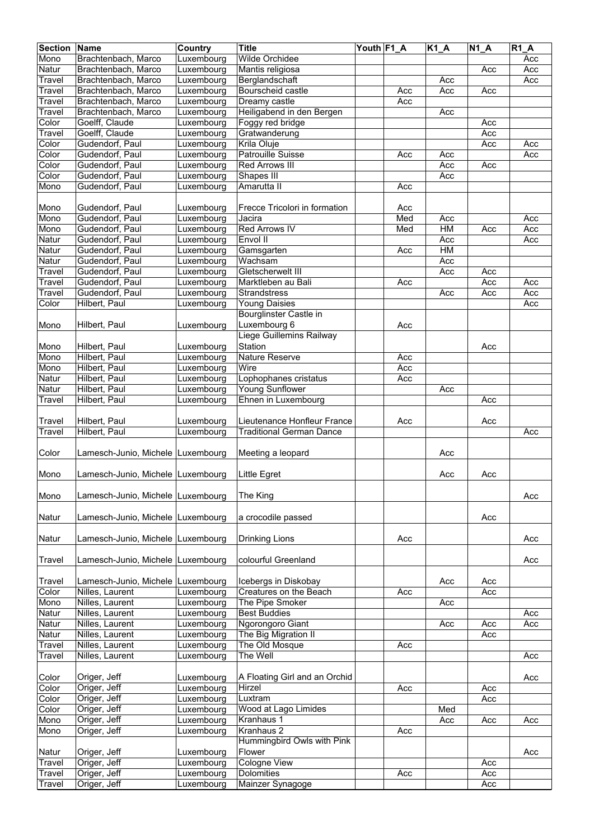| <b>Section</b> | <b>Name</b>                        | <b>Country</b>           | <b>Title</b>                        | Youth F1_A |     | $K1_A$     | $\overline{N1\_A}$ | $R1_A$ |
|----------------|------------------------------------|--------------------------|-------------------------------------|------------|-----|------------|--------------------|--------|
| Mono           | Brachtenbach, Marco                | Luxembourg               | <b>Wilde Orchidee</b>               |            |     |            |                    | Acc    |
| Natur          | Brachtenbach, Marco                | Luxembourg               | Mantis religiosa                    |            |     |            | Acc                | Acc    |
| Travel         | Brachtenbach, Marco                | Luxembourg               | Berglandschaft                      |            |     | Acc        |                    | Acc    |
| Travel         | Brachtenbach, Marco                | Luxembourg               | Bourscheid castle                   |            | Acc | Acc        | Acc                |        |
| Travel         | Brachtenbach, Marco                | Luxembourg               | Dreamy castle                       |            | Acc |            |                    |        |
| Travel         | Brachtenbach, Marco                | Luxembourg               | Heiligabend in den Bergen           |            |     | Acc        |                    |        |
| Color          | Goelff, Claude                     | Luxembourg               | Foggy red bridge                    |            |     |            | Acc                |        |
| Travel         | Goelff, Claude                     | Luxembourg               | Gratwanderung                       |            |     |            | Acc                |        |
| Color          | Gudendorf, Paul                    | Luxembourg               | Krila Oluje                         |            |     |            | Acc                | Acc    |
| Color          | Gudendorf, Paul                    | Luxembourg               | <b>Patrouille Suisse</b>            |            | Acc | Acc        |                    | Acc    |
| Color<br>Color | Gudendorf, Paul<br>Gudendorf, Paul | Luxembourg<br>Luxembourg | <b>Red Arrows III</b><br>Shapes III |            |     | Acc<br>Acc | Acc                |        |
|                | Gudendorf, Paul                    | Luxembourg               | Amarutta II                         |            | Acc |            |                    |        |
| Mono           |                                    |                          |                                     |            |     |            |                    |        |
| Mono           | Gudendorf, Paul                    | Luxembourg               | Frecce Tricolori in formation       |            | Acc |            |                    |        |
| Mono           | Gudendorf, Paul                    | Luxembourg               | Jacira                              |            | Med | Acc        |                    | Acc    |
| Mono           | Gudendorf, Paul                    | Luxembourg               | <b>Red Arrows IV</b>                |            | Med | HM         | Acc                | Acc    |
| Natur          | Gudendorf, Paul                    | Luxembourg               | Envol II                            |            |     | Acc        |                    | Acc    |
| Natur          | Gudendorf, Paul                    | Luxembourg               | Gamsgarten                          |            | Acc | <b>HM</b>  |                    |        |
| Natur          | Gudendorf, Paul                    | Luxembourg               | Wachsam                             |            |     | Acc        |                    |        |
| Travel         | Gudendorf, Paul                    | Luxembourg               | Gletscherwelt III                   |            |     | Acc        | Acc                |        |
| Travel         | Gudendorf, Paul                    | Luxembourg               | Marktleben au Bali                  |            | Acc |            | Acc                | Acc    |
| Travel         | Gudendorf, Paul                    | Luxembourg               | <b>Strandstress</b>                 |            |     | Acc        | Acc                | Acc    |
| Color          | Hilbert, Paul                      | Luxembourg               | <b>Young Daisies</b>                |            |     |            |                    | Acc    |
|                |                                    |                          | <b>Bourglinster Castle in</b>       |            |     |            |                    |        |
| Mono           | Hilbert, Paul                      | Luxembourg               | Luxembourg 6                        |            | Acc |            |                    |        |
|                |                                    |                          | Liege Guillemins Railway            |            |     |            |                    |        |
| Mono           | Hilbert, Paul                      | Luxembourg               | Station                             |            |     |            | Acc                |        |
| Mono           | Hilbert, Paul                      | Luxembourg               | <b>Nature Reserve</b>               |            | Acc |            |                    |        |
| Mono           | Hilbert, Paul                      | Luxembourg               | Wire                                |            | Acc |            |                    |        |
| Natur          | Hilbert, Paul                      | Luxembourg               | Lophophanes cristatus               |            | Acc |            |                    |        |
| Natur          | Hilbert, Paul                      | Luxembourg               | Young Sunflower                     |            |     | Acc        |                    |        |
| Travel         | Hilbert, Paul                      | Luxembourg               | Ehnen in Luxembourg                 |            |     |            | Acc                |        |
|                |                                    |                          |                                     |            |     |            |                    |        |
| Travel         | Hilbert, Paul                      | Luxembourg               | Lieutenance Honfleur France         |            | Acc |            | Acc                |        |
| Travel         | Hilbert, Paul                      | Luxembourg               | <b>Traditional German Dance</b>     |            |     |            |                    | Acc    |
|                |                                    |                          |                                     |            |     |            |                    |        |
| Color          | Lamesch-Junio, Michele Luxembourg  |                          | Meeting a leopard                   |            |     | Acc        |                    |        |
| Mono           | Lamesch-Junio, Michele Luxembourg  |                          | <b>Little Egret</b>                 |            |     | Acc        | Acc                |        |
|                |                                    |                          |                                     |            |     |            |                    |        |
| Mono           | Lamesch-Junio, Michele Luxembourg  |                          | The King                            |            |     |            |                    | Acc    |
|                |                                    |                          |                                     |            |     |            |                    |        |
| Natur          | Lamesch-Junio, Michele Luxembourg  |                          | a crocodile passed                  |            |     |            | Acc                |        |
|                |                                    |                          |                                     |            |     |            |                    |        |
| <b>Natur</b>   | Lamesch-Junio, Michele Luxembourg  |                          | <b>Drinking Lions</b>               |            | Acc |            |                    | Acc    |
|                |                                    |                          |                                     |            |     |            |                    |        |
| Travel         | Lamesch-Junio, Michele Luxembourg  |                          | colourful Greenland                 |            |     |            |                    | Acc    |
|                |                                    |                          |                                     |            |     |            |                    |        |
| Travel         | Lamesch-Junio, Michele             | Luxembourg               | Icebergs in Diskobay                |            |     | Acc        | Acc                |        |
| Color          | Nilles, Laurent                    | Luxembourg               | Creatures on the Beach              |            | Acc |            | Acc                |        |
| Mono           | Nilles, Laurent                    | Luxembourg               | The Pipe Smoker                     |            |     | Acc        |                    |        |
| Natur          | Nilles, Laurent                    | Luxembourg               | <b>Best Buddies</b>                 |            |     |            |                    | Acc    |
| Natur          | Nilles, Laurent                    | Luxembourg               | Ngorongoro Giant                    |            |     | Acc        | Acc                | Acc    |
| Natur          | Nilles, Laurent                    | Luxembourg               | The Big Migration II                |            |     |            | Acc                |        |
| Travel         | Nilles, Laurent                    | Luxembourg               | The Old Mosque                      |            | Acc |            |                    |        |
| Travel         | Nilles, Laurent                    | Luxembourg               | The Well                            |            |     |            |                    | Acc    |
|                |                                    |                          |                                     |            |     |            |                    |        |
| Color          | Origer, Jeff                       | Luxembourg               | A Floating Girl and an Orchid       |            |     |            |                    | Acc    |
| Color          | Origer, Jeff                       | Luxembourg               | Hirzel                              |            | Acc |            | Acc                |        |
| Color          | Origer, Jeff                       | Luxembourg               | Luxtram                             |            |     |            | Acc                |        |
| Color          | Origer, Jeff                       | Luxembourg               | Wood at Lago Limides                |            |     | Med        |                    |        |
| Mono           | Origer, Jeff                       | Luxembourg               | Kranhaus 1                          |            |     | Acc        | Acc                | Acc    |
| Mono           | Origer, Jeff                       | Luxembourg               | Kranhaus 2                          |            | Acc |            |                    |        |
|                |                                    |                          | Hummingbird Owls with Pink          |            |     |            |                    |        |
| Natur          | Origer, Jeff                       | Luxembourg               | Flower                              |            |     |            |                    | Acc    |
| Travel         | Origer, Jeff                       | Luxembourg               | <b>Cologne View</b>                 |            |     |            | Acc                |        |
| Travel         | Origer, Jeff                       | Luxembourg               | <b>Dolomities</b>                   |            | Acc |            | Acc                |        |
| Travel         | Origer, Jeff                       | Luxembourg               | Mainzer Synagoge                    |            |     |            | Acc                |        |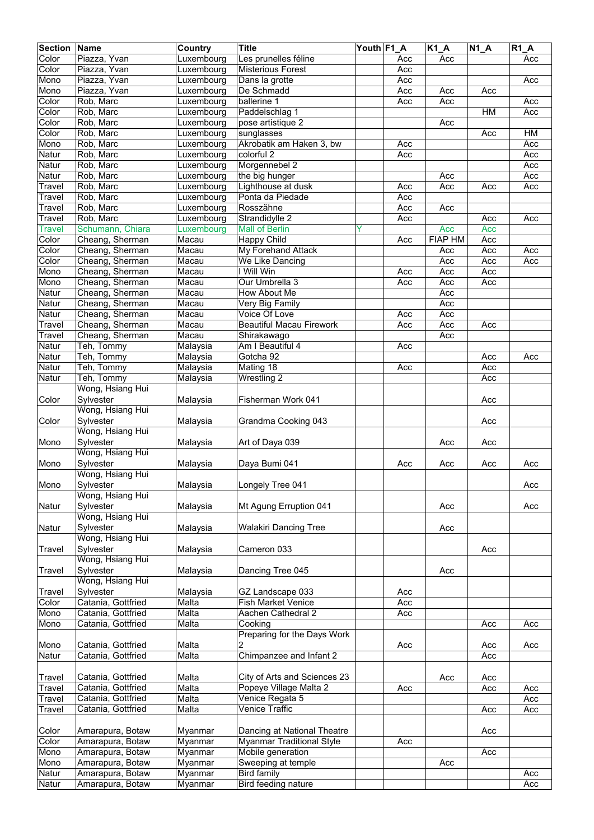| <b>Section</b> | Name               | Country    | <b>Title</b>                     | Youth F1 A |     | $\overline{K1}A$ | $N1_A$ | <b>R1 A</b> |
|----------------|--------------------|------------|----------------------------------|------------|-----|------------------|--------|-------------|
| Color          | Piazza, Yvan       | Luxembourg | Les prunelles féline             |            | Acc | Acc              |        | Acc         |
| Color          | Piazza, Yvan       | Luxembourg | <b>Misterious Forest</b>         |            | Acc |                  |        |             |
| Mono           | Piazza, Yvan       | Luxembourg | Dans la grotte                   |            | Acc |                  |        | Acc         |
| Mono           | Piazza, Yvan       | Luxembourg | De Schmadd                       |            | Acc | Acc              | Acc    |             |
| Color          | Rob, Marc          | Luxembourg | ballerine 1                      |            | Acc | Acc              |        | Acc         |
| Color          | Rob, Marc          | Luxembourg | Paddelschlag 1                   |            |     |                  | HM     | Acc         |
| Color          | Rob, Marc          | Luxembourg | pose artistique 2                |            |     | Acc              |        |             |
| Color          | Rob, Marc          | Luxembourg | sunglasses                       |            |     |                  | Acc    | HM          |
| Mono           | Rob, Marc          | Luxembourg | Akrobatik am Haken 3, bw         |            | Acc |                  |        | Acc         |
| Natur          | Rob, Marc          | Luxembourg | colorful 2                       |            | Acc |                  |        | Acc         |
| Natur          | Rob, Marc          | Luxembourg | Morgennebel 2                    |            |     |                  |        | Acc         |
| Natur          | Rob, Marc          | Luxembourg | the big hunger                   |            |     | Acc              |        | Acc         |
| Travel         | Rob, Marc          | Luxembourg | Lighthouse at dusk               |            | Acc | Acc              | Acc    | Acc         |
| Travel         | Rob, Marc          | Luxembourg | Ponta da Piedade                 |            | Acc |                  |        |             |
| Travel         | Rob, Marc          | Luxembourg | Rosszähne                        |            | Acc | Acc              |        |             |
| Travel         | Rob, Marc          | Luxembourg | Strandidylle 2                   |            | Acc |                  | Acc    | Acc         |
| <b>Travel</b>  | Schumann, Chiara   | Luxembourg | <b>Mall of Berlin</b>            | Ÿ          |     | Acc              | Acc    |             |
| Color          | Cheang, Sherman    | Macau      | <b>Happy Child</b>               |            | Acc | <b>FIAP HM</b>   | Acc    |             |
| Color          | Cheang, Sherman    | Macau      | My Forehand Attack               |            |     | Acc              | Acc    | Acc         |
| Color          | Cheang, Sherman    | Macau      | We Like Dancing                  |            |     | Acc              | Acc    | Acc         |
| Mono           | Cheang, Sherman    | Macau      | I Will Win                       |            | Acc | Acc              | Acc    |             |
| Mono           | Cheang, Sherman    | Macau      | Our Umbrella 3                   |            | Acc | Acc              | Acc    |             |
| Natur          | Cheang, Sherman    | Macau      | How About Me                     |            |     | Acc              |        |             |
| Natur          | Cheang, Sherman    | Macau      | Very Big Family                  |            |     | Acc              |        |             |
| Natur          | Cheang, Sherman    | Macau      | Voice Of Love                    |            | Acc | Acc              |        |             |
| Travel         | Cheang, Sherman    | Macau      | <b>Beautiful Macau Firework</b>  |            | Acc | Acc              | Acc    |             |
| Travel         | Cheang, Sherman    | Macau      | Shirakawago                      |            |     | Acc              |        |             |
| Natur          | Teh, Tommy         | Malaysia   | Am I Beautiful 4                 |            | Acc |                  |        |             |
| Natur          | Teh, Tommy         | Malaysia   | Gotcha 92                        |            |     |                  | Acc    | Acc         |
| Natur          | Teh, Tommy         | Malaysia   | Mating 18                        |            | Acc |                  | Acc    |             |
| Natur          | Teh, Tommy         | Malaysia   | Wrestling 2                      |            |     |                  | Acc    |             |
|                | Wong, Hsiang Hui   |            |                                  |            |     |                  |        |             |
| Color          | Sylvester          | Malaysia   | Fisherman Work 041               |            |     |                  | Acc    |             |
|                | Wong, Hsiang Hui   |            |                                  |            |     |                  |        |             |
| Color          | Sylvester          | Malaysia   | Grandma Cooking 043              |            |     |                  | Acc    |             |
|                | Wong, Hsiang Hui   |            |                                  |            |     |                  |        |             |
| Mono           | Sylvester          | Malaysia   | Art of Daya 039                  |            |     | Acc              | Acc    |             |
|                | Wong, Hsiang Hui   |            |                                  |            |     |                  |        |             |
| Mono           | Sylvester          | Malaysia   | Daya Bumi 041                    |            | Acc | Acc              | Acc    | Acc         |
|                | Wong, Hsiang Hui   |            |                                  |            |     |                  |        |             |
| Mono           | Sylvester          | Malaysia   | Longely Tree 041                 |            |     |                  |        | Acc         |
|                | Wong, Hsiang Hui   |            |                                  |            |     |                  |        |             |
| Natur          | Sylvester          | Malaysia   | Mt Agung Erruption 041           |            |     | Acc              |        | Acc         |
|                | Wong, Hsiang Hui   |            |                                  |            |     |                  |        |             |
| Natur          | Sylvester          | Malaysia   | <b>Walakiri Dancing Tree</b>     |            |     | Acc              |        |             |
|                | Wong, Hsiang Hui   |            |                                  |            |     |                  |        |             |
| Travel         | Sylvester          | Malaysia   | Cameron 033                      |            |     |                  | Acc    |             |
|                | Wong, Hsiang Hui   |            |                                  |            |     |                  |        |             |
| Travel         | Sylvester          | Malaysia   | Dancing Tree 045                 |            |     | Acc              |        |             |
|                | Wong, Hsiang Hui   |            |                                  |            |     |                  |        |             |
| Travel         | Sylvester          | Malaysia   | GZ Landscape 033                 |            | Acc |                  |        |             |
| Color          | Catania, Gottfried | Malta      | <b>Fish Market Venice</b>        |            | Acc |                  |        |             |
| Mono           | Catania, Gottfried | Malta      | Aachen Cathedral 2               |            | Acc |                  |        |             |
| Mono           | Catania, Gottfried | Malta      | Cooking                          |            |     |                  | Acc    | Acc         |
|                |                    |            | Preparing for the Days Work      |            |     |                  |        |             |
| Mono           | Catania, Gottfried | Malta      | 2                                |            | Acc |                  | Acc    | Acc         |
| Natur          | Catania, Gottfried | Malta      | Chimpanzee and Infant 2          |            |     |                  | Acc    |             |
|                |                    |            |                                  |            |     |                  |        |             |
| Travel         | Catania, Gottfried | Malta      | City of Arts and Sciences 23     |            |     | Acc              | Acc    |             |
| Travel         | Catania, Gottfried | Malta      | Popeye Village Malta 2           |            | Acc |                  | Acc    | Acc         |
| Travel         | Catania, Gottfried | Malta      | Venice Regata 5                  |            |     |                  |        | Acc         |
| Travel         | Catania, Gottfried | Malta      | Venice Traffic                   |            |     |                  | Acc    | Acc         |
|                |                    |            |                                  |            |     |                  |        |             |
| Color          | Amarapura, Botaw   | Myanmar    | Dancing at National Theatre      |            |     |                  | Acc    |             |
| Color          | Amarapura, Botaw   | Myanmar    | <b>Myanmar Traditional Style</b> |            | Acc |                  |        |             |
| Mono           | Amarapura, Botaw   | Myanmar    | Mobile generation                |            |     |                  | Acc    |             |
| Mono           | Amarapura, Botaw   | Myanmar    | Sweeping at temple               |            |     | Acc              |        |             |
| Natur          | Amarapura, Botaw   | Myanmar    | <b>Bird family</b>               |            |     |                  |        | Acc         |
| Natur          | Amarapura, Botaw   | Myanmar    | Bird feeding nature              |            |     |                  |        | Acc         |
|                |                    |            |                                  |            |     |                  |        |             |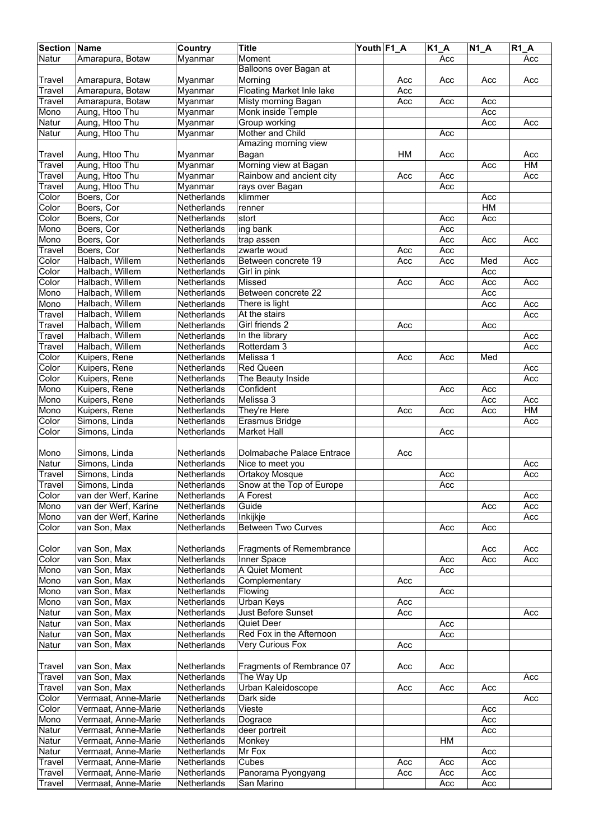| <b>Section Name</b> |                      | Country            | <b>Title</b>                     | Youth F1_A |     | $K1_A$ | $N1_A$ | <b>R1 A</b> |
|---------------------|----------------------|--------------------|----------------------------------|------------|-----|--------|--------|-------------|
| Natur               | Amarapura, Botaw     | Myanmar            | Moment                           |            |     | Acc    |        | Acc         |
|                     |                      |                    | Balloons over Bagan at           |            |     |        |        |             |
| Travel              | Amarapura, Botaw     | Myanmar            | Morning                          |            | Acc | Acc    | Acc    | Acc         |
| Travel              | Amarapura, Botaw     | Myanmar            | <b>Floating Market Inle lake</b> |            | Acc |        |        |             |
| Travel              | Amarapura, Botaw     | Mvanmar            | Misty morning Bagan              |            | Acc | Acc    | Acc    |             |
| Mono                | Aung, Htoo Thu       | Myanmar            | Monk inside Temple               |            |     |        | Acc    |             |
| Natur               | Aung, Htoo Thu       | Myanmar            | Group working                    |            |     |        | Acc    | Acc         |
| Natur               | Aung, Htoo Thu       | Myanmar            | Mother and Child                 |            |     | Acc    |        |             |
|                     |                      |                    | Amazing morning view             |            |     |        |        |             |
| Travel              | Aung, Htoo Thu       | Myanmar            | Bagan                            |            | HM  | Acc    |        | Acc         |
| Travel              | Aung, Htoo Thu       | Myanmar            | Morning view at Bagan            |            |     |        | Acc    | HM          |
| Travel              | Aung, Htoo Thu       | Myanmar            | Rainbow and ancient city         |            | Acc | Acc    |        | Acc         |
| Travel              | Aung, Htoo Thu       | Myanmar            | rays over Bagan                  |            |     | Acc    |        |             |
| Color               | Boers, Cor           | Netherlands        | klimmer                          |            |     |        | Acc    |             |
| Color               | Boers, Cor           | Netherlands        | renner                           |            |     |        | HM     |             |
| Color               | Boers, Cor           | Netherlands        | stort                            |            |     | Acc    | Acc    |             |
| Mono                | Boers, Cor           | Netherlands        | ing bank                         |            |     | Acc    |        |             |
| Mono                | Boers, Cor           | Netherlands        | trap assen                       |            |     | Acc    | Acc    | Acc         |
| Travel              | Boers, Cor           | Netherlands        | zwarte woud                      |            | Acc | Acc    |        |             |
| Color               | Halbach, Willem      | Netherlands        | Between concrete 19              |            | Acc | Acc    | Med    | Acc         |
| Color               | Halbach, Willem      | Netherlands        | Girl in pink                     |            |     |        | Acc    |             |
| Color               | Halbach, Willem      | <b>Netherlands</b> | Missed                           |            | Acc | Acc    | Acc    | Acc         |
| Mono                | Halbach, Willem      | Netherlands        | Between concrete 22              |            |     |        | Acc    |             |
| Mono                | Halbach, Willem      | Netherlands        | There is light                   |            |     |        | Acc    | Acc         |
| Travel              | Halbach, Willem      | Netherlands        | At the stairs                    |            |     |        |        | Acc         |
| Travel              | Halbach, Willem      | Netherlands        | Girl friends 2                   |            | Acc |        | Acc    |             |
| Travel              | Halbach, Willem      | Netherlands        | In the library                   |            |     |        |        | Acc         |
| Travel              | Halbach, Willem      | Netherlands        | Rotterdam 3                      |            |     |        |        | Acc         |
| Color               | Kuipers, Rene        | Netherlands        | Melissa 1                        |            | Acc | Acc    | Med    |             |
| Color               | Kuipers, Rene        | Netherlands        | <b>Red Queen</b>                 |            |     |        |        | Acc         |
| Color               | Kuipers, Rene        | Netherlands        | The Beauty Inside                |            |     |        |        | Acc         |
| Mono                | Kuipers, Rene        | Netherlands        | Confident                        |            |     | Acc    | Acc    |             |
| Mono                | Kuipers, Rene        | Netherlands        | Melissa 3                        |            |     |        | Acc    | Acc         |
| Mono                | Kuipers, Rene        | Netherlands        | They're Here                     |            | Acc | Acc    | Acc    | HM          |
| Color               | Simons, Linda        | Netherlands        | Erasmus Bridge                   |            |     |        |        | Acc         |
| Color               | Simons, Linda        | Netherlands        | Market Hall                      |            |     | Acc    |        |             |
|                     |                      |                    |                                  |            |     |        |        |             |
| Mono                | Simons, Linda        | Netherlands        | Dolmabache Palace Entrace        |            | Acc |        |        |             |
| Natur               | Simons, Linda        | Netherlands        | Nice to meet you                 |            |     |        |        | Acc         |
| Travel              | Simons, Linda        | Netherlands        | <b>Ortakoy Mosque</b>            |            |     | Acc    |        | Acc         |
| Travel              | Simons, Linda        | Netherlands        | Snow at the Top of Europe        |            |     | Acc    |        |             |
| Color               | van der Werf, Karine | Netherlands        | A Forest                         |            |     |        |        | Acc         |
| Mono                | van der Werf, Karine | Netherlands        | Guide                            |            |     |        | Acc    | Acc         |
| Mono                | van der Werf, Karine | Netherlands        | Inkijkje                         |            |     |        |        | Acc         |
| Color               | van Son, Max         | Netherlands        | <b>Between Two Curves</b>        |            |     | Acc    | Acc    |             |
|                     |                      |                    |                                  |            |     |        |        |             |
| Color               | van Son, Max         | Netherlands        | <b>Fragments of Remembrance</b>  |            |     |        | Acc    | Acc         |
| Color               | van Son, Max         | Netherlands        | Inner Space                      |            |     | Acc    | Acc    | Acc         |
| Mono                | van Son, Max         | Netherlands        | A Quiet Moment                   |            |     | Acc    |        |             |
| Mono                | van Son, Max         | Netherlands        | Complementary                    |            | Acc |        |        |             |
| Mono                | van Son, Max         | Netherlands        | Flowing                          |            |     | Acc    |        |             |
| Mono                | van Son, Max         | Netherlands        | Urban Keys                       |            | Acc |        |        |             |
| Natur               | van Son, Max         | Netherlands        | Just Before Sunset               |            | Acc |        |        | Acc         |
| Natur               | van Son, Max         | Netherlands        | Quiet Deer                       |            |     | Acc    |        |             |
| Natur               | van Son, Max         | Netherlands        | Red Fox in the Afternoon         |            |     | Acc    |        |             |
| Natur               | van Son, Max         | Netherlands        | Very Curious Fox                 |            | Acc |        |        |             |
|                     |                      |                    |                                  |            |     |        |        |             |
| Travel              | van Son, Max         | Netherlands        | Fragments of Rembrance 07        |            | Acc | Acc    |        |             |
| Travel              | van Son, Max         | Netherlands        | The Way Up                       |            |     |        |        | Acc         |
| Travel              | van Son, Max         | Netherlands        | Urban Kaleidoscope               |            | Acc | Acc    | Acc    |             |
| Color               | Vermaat, Anne-Marie  | Netherlands        | Dark side                        |            |     |        |        | Acc         |
| Color               | Vermaat, Anne-Marie  | Netherlands        | Vieste                           |            |     |        | Acc    |             |
| Mono                | Vermaat, Anne-Marie  | Netherlands        | Dograce                          |            |     |        | Acc    |             |
| Natur               | Vermaat, Anne-Marie  | Netherlands        | deer portreit                    |            |     |        | Acc    |             |
| Natur               | Vermaat, Anne-Marie  | Netherlands        | Monkey                           |            |     | HM     |        |             |
| Natur               | Vermaat, Anne-Marie  | Netherlands        | Mr Fox                           |            |     |        | Acc    |             |
| Travel              | Vermaat, Anne-Marie  | Netherlands        | Cubes                            |            | Acc | Acc    | Acc    |             |
| Travel              | Vermaat, Anne-Marie  | Netherlands        | Panorama Pyongyang               |            | Acc | Acc    | Acc    |             |
| Travel              | Vermaat, Anne-Marie  | Netherlands        | San Marino                       |            |     | Acc    | Acc    |             |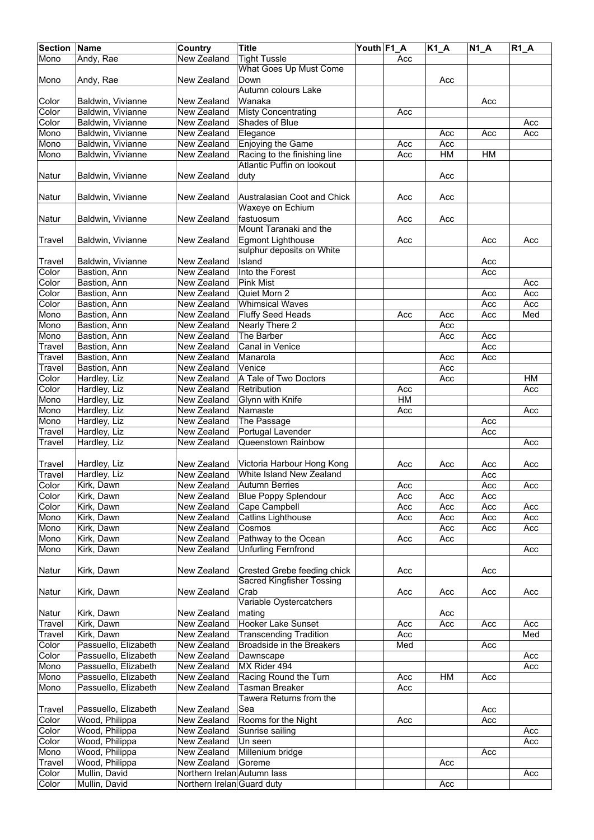| <b>Section Name</b> |                              | Country                     | <b>Title</b>                      | Youth F1_A |                        | K1_A       | $N1_A$ | $R1_A$ |
|---------------------|------------------------------|-----------------------------|-----------------------------------|------------|------------------------|------------|--------|--------|
| Mono                | Andy, Rae                    | <b>New Zealand</b>          | <b>Tight Tussle</b>               |            | Acc                    |            |        |        |
|                     |                              |                             | What Goes Up Must Come            |            |                        |            |        |        |
| Mono                | Andy, Rae                    | New Zealand                 | Down                              |            |                        | Acc        |        |        |
|                     |                              |                             | Autumn colours Lake               |            |                        |            |        |        |
| Color               | Baldwin, Vivianne            | New Zealand                 | Wanaka                            |            |                        |            | Acc    |        |
| Color               | Baldwin, Vivianne            | New Zealand                 | <b>Misty Concentrating</b>        |            | Acc                    |            |        |        |
| Color               | Baldwin, Vivianne            | New Zealand                 | Shades of Blue                    |            |                        |            |        | Acc    |
| Mono                | Baldwin, Vivianne            | New Zealand                 | Elegance                          |            |                        | Acc        | Acc    | Acc    |
| Mono                | Baldwin, Vivianne            | New Zealand                 | <b>Enjoying the Game</b>          |            | Acc                    | Acc        |        |        |
| Mono                | Baldwin, Vivianne            | New Zealand                 | Racing to the finishing line      |            | Acc                    | HM         | HM     |        |
|                     |                              |                             | <b>Atlantic Puffin on lookout</b> |            |                        |            |        |        |
| Natur               | Baldwin, Vivianne            | New Zealand                 | duty                              |            |                        | Acc        |        |        |
|                     |                              |                             |                                   |            |                        |            |        |        |
| Natur               | Baldwin, Vivianne            | New Zealand                 | Australasian Coot and Chick       |            | Acc                    | Acc        |        |        |
|                     |                              |                             | Waxeye on Echium                  |            |                        |            |        |        |
| Natur               | Baldwin, Vivianne            | New Zealand                 | fastuosum                         |            | Acc                    | Acc        |        |        |
|                     |                              |                             | Mount Taranaki and the            |            |                        |            |        |        |
| Travel              | Baldwin, Vivianne            | New Zealand                 | <b>Egmont Lighthouse</b>          |            | Acc                    |            | Acc    | Acc    |
|                     |                              |                             | sulphur deposits on White         |            |                        |            |        |        |
| Travel              | Baldwin, Vivianne            | New Zealand                 | Island                            |            |                        |            | Acc    |        |
| Color               | Bastion, Ann                 | New Zealand                 | Into the Forest                   |            |                        |            | Acc    |        |
| Color               | Bastion, Ann                 | New Zealand                 | <b>Pink Mist</b>                  |            |                        |            |        | Acc    |
| Color               | Bastion, Ann                 | New Zealand                 | Quiet Morn 2                      |            |                        |            | Acc    | Acc    |
| Color               | Bastion, Ann                 | New Zealand                 | <b>Whimsical Waves</b>            |            |                        |            | Acc    | Acc    |
| Mono                | Bastion, Ann                 | New Zealand                 | <b>Fluffy Seed Heads</b>          |            | Acc                    | Acc        | Acc    | Med    |
| Mono                | Bastion, Ann                 | New Zealand                 | Nearly There 2                    |            |                        | Acc        |        |        |
| Mono                | Bastion, Ann                 | New Zealand                 | The Barber                        |            |                        | Acc        | Acc    |        |
| Travel              | Bastion, Ann                 | New Zealand                 | Canal in Venice                   |            |                        |            | Acc    |        |
|                     |                              |                             |                                   |            |                        |            |        |        |
| Travel<br>Travel    | Bastion, Ann<br>Bastion, Ann | New Zealand<br>New Zealand  | Manarola<br>Venice                |            |                        | Acc<br>Acc | Acc    |        |
| Color               |                              |                             | A Tale of Two Doctors             |            |                        |            |        | HM     |
| Color               | Hardley, Liz                 | New Zealand<br>New Zealand  | Retribution                       |            | Acc                    | Acc        |        | Acc    |
| Mono                | Hardley, Liz                 |                             | Glynn with Knife                  |            | $\overline{\text{HM}}$ |            |        |        |
|                     | Hardley, Liz                 | New Zealand                 |                                   |            |                        |            |        |        |
| Mono                | Hardley, Liz                 | New Zealand                 | Namaste                           |            | Acc                    |            |        | Acc    |
| Mono                | Hardley, Liz                 | New Zealand                 | The Passage                       |            |                        |            | Acc    |        |
| Travel              | Hardley, Liz                 | New Zealand                 | Portugal Lavender                 |            |                        |            | Acc    |        |
| Travel              | Hardley, Liz                 | New Zealand                 | Queenstown Rainbow                |            |                        |            |        | Acc    |
|                     |                              |                             |                                   |            |                        |            |        |        |
| Travel              | Hardley, Liz                 | New Zealand                 | Victoria Harbour Hong Kong        |            | Acc                    | Acc        | Acc    | Acc    |
| Travel              | Hardley, Liz                 | New Zealand                 | White Island New Zealand          |            |                        |            | Acc    |        |
| Color               | Kirk, Dawn                   | New Zealand                 | <b>Autumn Berries</b>             |            | Acc                    |            | Acc    | Acc    |
| Color               | Kirk, Dawn                   | New Zealand                 | <b>Blue Poppy Splendour</b>       |            | Acc                    | Acc        | Acc    |        |
| Color               | Kirk, Dawn                   | New Zealand                 | Cape Campbell                     |            | Acc                    | Acc        | Acc    | Acc    |
| Mono                | Kirk, Dawn                   | New Zealand                 | Catlins Lighthouse                |            | Acc                    | Acc        | Acc    | Acc    |
| Mono                | Kirk, Dawn                   | New Zealand                 | Cosmos                            |            |                        | Acc        | Acc    | Acc    |
| Mono                | Kirk, Dawn                   | New Zealand                 | Pathway to the Ocean              |            | Acc                    | Acc        |        |        |
| Mono                | Kirk, Dawn                   | New Zealand                 | <b>Unfurling Fernfrond</b>        |            |                        |            |        | Acc    |
|                     |                              |                             |                                   |            |                        |            |        |        |
| Natur               | Kirk, Dawn                   | New Zealand                 | Crested Grebe feeding chick       |            | Acc                    |            | Acc    |        |
|                     |                              |                             | <b>Sacred Kingfisher Tossing</b>  |            |                        |            |        |        |
| Natur               | Kirk, Dawn                   | New Zealand                 | Crab                              |            | Acc                    | Acc        | Acc    | Acc    |
|                     |                              |                             | Variable Oystercatchers           |            |                        |            |        |        |
| Natur               | Kirk, Dawn                   | New Zealand                 | mating                            |            |                        | Acc        |        |        |
| Travel              | Kirk, Dawn                   | New Zealand                 | <b>Hooker Lake Sunset</b>         |            | Acc                    | Acc        | Acc    | Acc    |
| Travel              | Kirk, Dawn                   | New Zealand                 | <b>Transcending Tradition</b>     |            | Acc                    |            |        | Med    |
| Color               | Passuello, Elizabeth         | New Zealand                 | Broadside in the Breakers         |            | Med                    |            | Acc    |        |
| Color               | Passuello, Elizabeth         | New Zealand                 | Dawnscape                         |            |                        |            |        | Acc    |
| Mono                | Passuello, Elizabeth         | New Zealand                 | MX Rider 494                      |            |                        |            |        | Acc    |
| Mono                | Passuello, Elizabeth         | New Zealand                 | Racing Round the Turn             |            | Acc                    | HM         | Acc    |        |
| Mono                | Passuello, Elizabeth         | New Zealand                 | <b>Tasman Breaker</b>             |            | Acc                    |            |        |        |
|                     |                              |                             | Tawera Returns from the           |            |                        |            |        |        |
| Travel              | Passuello, Elizabeth         | New Zealand                 | Sea                               |            |                        |            | Acc    |        |
| Color               | Wood, Philippa               | New Zealand                 | Rooms for the Night               |            | Acc                    |            | Acc    |        |
| Color               | Wood, Philippa               | New Zealand                 | Sunrise sailing                   |            |                        |            |        | Acc    |
| Color               | Wood, Philippa               | New Zealand                 | Un seen                           |            |                        |            |        | Acc    |
| Mono                | Wood, Philippa               | New Zealand                 | Millenium bridge                  |            |                        |            | Acc    |        |
| Travel              | Wood, Philippa               | New Zealand                 | Goreme                            |            |                        | Acc        |        |        |
| Color               | Mullin, David                | Northern Irelan Autumn lass |                                   |            |                        |            |        | Acc    |
| Color               | Mullin, David                | Northern Irelan Guard duty  |                                   |            |                        | Acc        |        |        |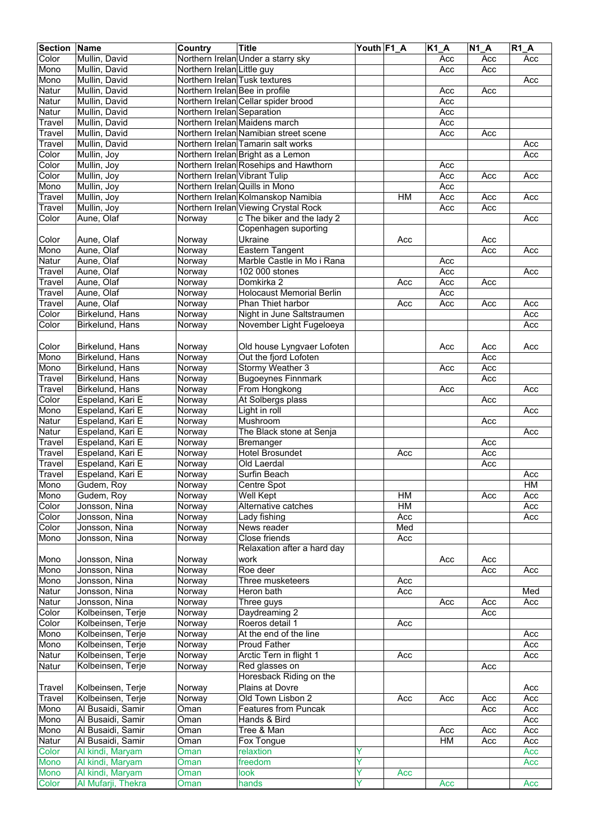| <b>Section</b>       | Name               | <b>Country</b>                 | Title                                 | Youth F1_A |           | $\overline{K1}A$ | <b>N1 A</b> | R1A |
|----------------------|--------------------|--------------------------------|---------------------------------------|------------|-----------|------------------|-------------|-----|
| Color                | Mullin, David      |                                | Northern Irelan Under a starry sky    |            |           | Acc              | Acc         | Acc |
| Mono                 | Mullin, David      | Northern Irelan Little guy     |                                       |            |           | Acc              | Acc         |     |
| Mono                 | Mullin, David      | Northern Irelan Tusk textures  |                                       |            |           |                  |             | Acc |
| Natur                | Mullin, David      | Northern Irelan Bee in profile |                                       |            |           | Acc              | Acc         |     |
|                      | Mullin, David      |                                |                                       |            |           |                  |             |     |
| Natur                |                    |                                | Northern Irelan Cellar spider brood   |            |           | Acc              |             |     |
| Natur                | Mullin, David      | Northern Irelan Separation     |                                       |            |           | Acc              |             |     |
| Travel               | Mullin, David      |                                | Northern Irelan Maidens march         |            |           | Acc              |             |     |
| $\overline{T}$ ravel | Mullin, David      |                                | Northern Irelan Namibian street scene |            |           | Acc              | Acc         |     |
| Travel               | Mullin, David      |                                | Northern Irelan Tamarin salt works    |            |           |                  |             | Acc |
| Color                | Mullin, Joy        |                                | Northern Irelan Bright as a Lemon     |            |           |                  |             | Acc |
| Color                | Mullin, Joy        |                                | Northern Irelan Rosehips and Hawthorn |            |           | Acc              |             |     |
| Color                | Mullin, Joy        | Northern Irelan Vibrant Tulip  |                                       |            |           | Acc              | Acc         | Acc |
| Mono                 | Mullin, Joy        | Northern Irelan Quills in Mono |                                       |            |           | Acc              |             |     |
| Travel               | Mullin, Joy        |                                | Northern Irelan Kolmanskop Namibia    |            | <b>HM</b> | Acc              | Acc         | Acc |
| Travel               | Mullin, Joy        |                                | Northern Irelan Viewing Crystal Rock  |            |           | Acc              | Acc         |     |
| Color                | Aune, Olaf         | Norway                         | c The biker and the lady 2            |            |           |                  |             | Acc |
|                      |                    |                                | Copenhagen suporting                  |            |           |                  |             |     |
| Color                | Aune, Olaf         | Norway                         | Ukraine                               |            | Acc       |                  | Acc         |     |
|                      |                    |                                |                                       |            |           |                  |             |     |
| Mono                 | Aune, Olaf         | Norway                         | <b>Eastern Tangent</b>                |            |           |                  | Acc         | Acc |
| Natur                | Aune, Olaf         | Norway                         | Marble Castle in Mo i Rana            |            |           | Acc              |             |     |
| Travel               | Aune, Olaf         | Norway                         | 102 000 stones                        |            |           | Acc              |             | Acc |
| Travel               | Aune, Olaf         | Norway                         | Domkirka 2                            |            | Acc       | Acc              | Acc         |     |
| Travel               | Aune, Olaf         | Norway                         | <b>Holocaust Memorial Berlin</b>      |            |           | Acc              |             |     |
| Travel               | Aune, Olaf         | Norway                         | Phan Thiet harbor                     |            | Acc       | Acc              | Acc         | Acc |
| Color                | Birkelund, Hans    | Norway                         | Night in June Saltstraumen            |            |           |                  |             | Acc |
| Color                | Birkelund, Hans    | Norway                         | November Light Fugeloeya              |            |           |                  |             | Acc |
|                      |                    |                                |                                       |            |           |                  |             |     |
| Color                | Birkelund, Hans    | Norway                         | Old house Lyngvaer Lofoten            |            |           | Acc              | Acc         | Acc |
| Mono                 | Birkelund, Hans    | Norway                         | Out the fjord Lofoten                 |            |           |                  | Acc         |     |
| Mono                 | Birkelund, Hans    | Norway                         | Stormy Weather 3                      |            |           | Acc              | Acc         |     |
| Travel               | Birkelund, Hans    | Norway                         | <b>Bugoeynes Finnmark</b>             |            |           |                  | Acc         |     |
| Travel               |                    |                                |                                       |            |           | Acc              |             | Acc |
|                      | Birkelund, Hans    | Norway                         | From Hongkong                         |            |           |                  |             |     |
| Color                | Espeland, Kari E   | Norway                         | At Solbergs plass                     |            |           |                  | Acc         |     |
| Mono                 | Espeland, Kari E   | Norway                         | Light in roll                         |            |           |                  |             | Acc |
| Natur                | Espeland, Kari E   | Norway                         | Mushroom                              |            |           |                  | Acc         |     |
| Natur                | Espeland, Kari E   | Norway                         | The Black stone at Senja              |            |           |                  |             | Acc |
| Travel               | Espeland, Kari E   | Norway                         | Bremanger                             |            |           |                  | Acc         |     |
| Travel               | Espeland, Kari E   | Norway                         | <b>Hotel Brosundet</b>                |            | Acc       |                  | Acc         |     |
| Travel               | Espeland, Kari E   | Norway                         | Old Laerdal                           |            |           |                  | Acc         |     |
| Travel               | Espeland, Kari E   | Norway                         | Surfin Beach                          |            |           |                  |             | Acc |
| Mono                 | Gudem, Roy         | Norway                         | Centre Spot                           |            |           |                  |             | HM  |
| Mono                 | Gudem, Roy         | Norway                         | <b>Well Kept</b>                      |            | HM        |                  | Acc         | Acc |
| Color                | Jonsson, Nina      | Norway                         | Alternative catches                   |            | HM        |                  |             | Acc |
| Color                | Jonsson, Nina      | Norway                         | Lady fishing                          |            | Acc       |                  |             | Acc |
| Color                | Jonsson, Nina      | Norway                         | News reader                           |            | Med       |                  |             |     |
|                      |                    |                                | Close friends                         |            | Acc       |                  |             |     |
| Mono                 | Jonsson, Nina      | Norway                         |                                       |            |           |                  |             |     |
|                      |                    |                                | Relaxation after a hard day           |            |           |                  |             |     |
| Mono                 | Jonsson, Nina      | Norway                         | work                                  |            |           | Acc              | Acc         |     |
| Mono                 | Jonsson, Nina      | Norway                         | Roe deer                              |            |           |                  | Acc         | Acc |
| Mono                 | Jonsson, Nina      | Norway                         | Three musketeers                      |            | Acc       |                  |             |     |
| Natur                | Jonsson, Nina      | Norway                         | Heron bath                            |            | Acc       |                  |             | Med |
| Natur                | Jonsson, Nina      | Norway                         | Three guys                            |            |           | Acc              | Acc         | Acc |
| Color                | Kolbeinsen, Terje  | Norway                         | Daydreaming 2                         |            |           |                  | Acc         |     |
| Color                | Kolbeinsen, Terje  | Norway                         | Roeros detail 1                       |            | Acc       |                  |             |     |
| Mono                 | Kolbeinsen, Terje  | Norway                         | At the end of the line                |            |           |                  |             | Acc |
| Mono                 | Kolbeinsen, Terje  | Norway                         | <b>Proud Father</b>                   |            |           |                  |             | Acc |
| Natur                | Kolbeinsen, Terje  | Norway                         | Arctic Tern in flight 1               |            | Acc       |                  |             | Acc |
| Natur                | Kolbeinsen, Terje  | Norway                         | Red glasses on                        |            |           |                  | Acc         |     |
|                      |                    |                                | Horesback Riding on the               |            |           |                  |             |     |
| Travel               | Kolbeinsen, Terje  | Norway                         | Plains at Dovre                       |            |           |                  |             | Acc |
|                      |                    |                                |                                       |            |           |                  |             |     |
| Travel               | Kolbeinsen, Terje  | Norway                         | Old Town Lisbon 2                     |            | Acc       | Acc              | Acc         | Acc |
| Mono                 | Al Busaidi, Samir  | Oman                           | Features from Puncak                  |            |           |                  | Acc         | Acc |
| Mono                 | Al Busaidi, Samir  | Oman                           | Hands & Bird                          |            |           |                  |             | Acc |
| Mono                 | Al Busaidi, Samir  | Oman                           | Tree & Man                            |            |           | Acc              | Acc         | Acc |
| Natur                | Al Busaidi, Samir  | Oman                           | Fox Tongue                            |            |           | H M              | Acc         | Acc |
| Color                | Al kindi, Maryam   | Oman                           | relaxtion                             | Y          |           |                  |             | Acc |
| Mono                 | Al kindi, Maryam   | Oman                           | freedom                               | Ÿ          |           |                  |             | Acc |
| Mono                 | Al kindi, Maryam   | Oman                           | look                                  | Y          | Acc       |                  |             |     |
| Color                | Al Mufarji, Thekra | Oman                           | hands                                 | Y          |           | Acc              |             | Acc |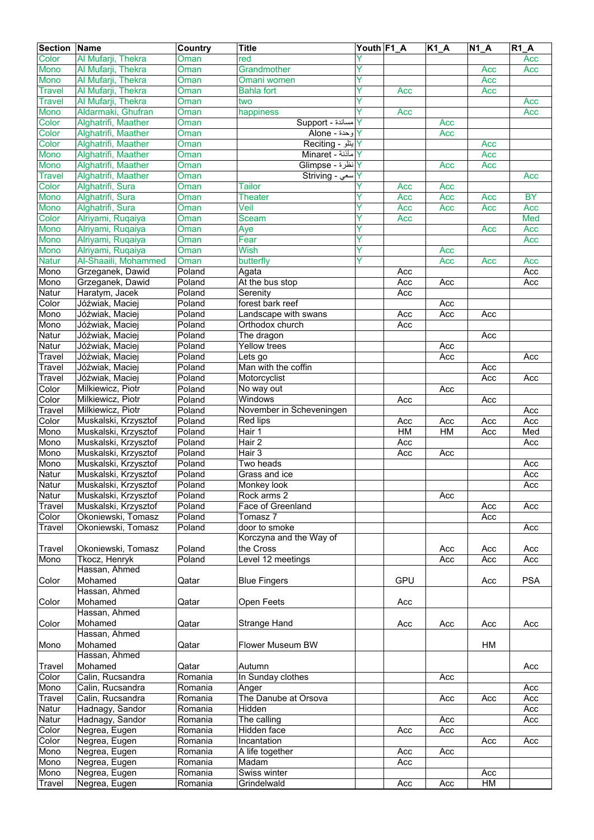| <b>Section Name</b> |                      | Country     | <b>Title</b>                   | Youth F1_A |                  | <b>K1_A</b> | $N1_A$ | $R1_A$     |
|---------------------|----------------------|-------------|--------------------------------|------------|------------------|-------------|--------|------------|
| Color               | Al Mufarji, Thekra   | Oman        | red                            |            |                  |             |        | Acc        |
| Mono                | Al Mufarji, Thekra   | Oman        | Grandmother                    | Ÿ          |                  |             | Acc    | Acc        |
| <b>Mono</b>         | Al Mufarji, Thekra   | Oman        | Omani women                    | Ÿ          |                  |             | Acc    |            |
| <b>Travel</b>       | Al Mufarji, Thekra   | Oman        | <b>Bahla fort</b>              | Y          | Acc              |             | Acc    |            |
| <b>Travel</b>       | Al Mufarji, Thekra   | Oman        | two                            |            |                  |             |        | Acc        |
| Mono                | Aldarmaki, Ghufran   | Oman        | happiness                      |            | Acc              |             |        | Acc        |
| Color               | Alghatrifi, Maather  | Oman        | Aupport - مساندة               |            |                  | Acc         |        |            |
| Color               | Alghatrifi, Maather  | <b>Oman</b> | وحدة - Alone                   |            |                  | Acc         |        |            |
| Color               | Alghatrifi, Maather  | Oman        | Y بنلو - Reciting              |            |                  |             | Acc    |            |
| Mono                | Alghatrifi, Maather  | Oman        | N مأذنة - Minaret              |            |                  |             | Acc    |            |
| Mono                | Alghatrifi, Maather  | Oman        | <mark>Y</mark> انظرة - Glimpse |            |                  | Acc         | Acc    |            |
| <b>Travel</b>       | Alghatrifi, Maather  | Oman        | Y  سعي - Striving              |            |                  |             |        | Acc        |
| Color               | Alghatrifi, Sura     | Oman        | <b>Tailor</b>                  |            | Acc              | Acc         |        |            |
| Mono                | Alghatrifi, Sura     | Oman        | <b>Theater</b>                 |            | Acc              | Acc         | Acc    | <b>BY</b>  |
| Mono                | Alghatrifi, Sura     | Oman        | Veil                           | Y          | Acc              | Acc         | Acc    | Acc        |
| Color               | Alriyami, Ruqaiya    | Oman        | Sceam                          | Y          | Acc              |             |        | Med        |
| Mono                | Alriyami, Ruqaiya    | Oman        | Aye                            | Y          |                  |             | Acc    | Acc        |
| Mono                | Alriyami, Ruqaiya    | Oman        | Fear                           | Ÿ          |                  |             |        | Acc        |
| Mono                | Alriyami, Ruqaiya    | Oman        | Wish                           | Y          |                  | Acc         |        |            |
| <b>Natur</b>        | Al-Shaaili, Mohammed | Oman        | butterfly                      | ٧          |                  | Acc         | Acc    | Acc        |
| Mono                | Grzeganek, Dawid     | Poland      | Agata                          |            | Acc              |             |        | Acc        |
| Mono                | Grzeganek, Dawid     | Poland      | At the bus stop                |            | Acc              | Acc         |        | Acc        |
| Natur               | Haratym, Jacek       | Poland      | Serenity                       |            | Acc              |             |        |            |
| Color               | Jóźwiak, Maciej      | Poland      | forest bark reef               |            |                  | Acc         |        |            |
| Mono                | Jóźwiak, Maciej      | Poland      | Landscape with swans           |            | Acc              | Acc         | Acc    |            |
| Mono                | Jóźwiak, Maciej      | Poland      | Orthodox church                |            | Acc              |             |        |            |
| Natur               | Jóźwiak, Maciej      | Poland      | The dragon                     |            |                  |             | Acc    |            |
| Natur               | Jóźwiak, Maciej      | Poland      | Yellow trees                   |            |                  | Acc         |        |            |
| Travel              | Jóźwiak, Maciej      | Poland      | Lets go                        |            |                  | Acc         |        | Acc        |
| Travel              | Jóźwiak, Maciej      | Poland      | Man with the coffin            |            |                  |             | Acc    |            |
| Travel              | Jóźwiak, Maciej      | Poland      | Motorcyclist                   |            |                  |             | Acc    | Acc        |
| Color               | Milkiewicz, Piotr    | Poland      | No way out                     |            |                  | Acc         |        |            |
| Color               | Milkiewicz, Piotr    | Poland      | Windows                        |            | Acc              |             | Acc    |            |
| Travel              | Milkiewicz, Piotr    | Poland      | November in Scheveningen       |            |                  |             |        | Acc        |
| Color               | Muskalski, Krzysztof | Poland      | Red lips                       |            | Acc              | Acc         | Acc    | Acc        |
| Mono                | Muskalski, Krzysztof | Poland      | Hair 1                         |            | HM               | HM          | Acc    | Med        |
| Mono                | Muskalski, Krzysztof | Poland      | Hair <sub>2</sub>              |            | Acc              |             |        | Acc        |
| Mono                | Muskalski, Krzysztof | Poland      | Hair 3                         |            | $\overline{Acc}$ | Acc         |        |            |
| Mono                | Muskalski, Krzysztof | Poland      | Two heads                      |            |                  |             |        | Acc        |
| Natur               | Muskalski, Krzysztof | Poland      | Grass and ice                  |            |                  |             |        | Acc        |
| Natur               | Muskalski, Krzysztof | Poland      | Monkey look                    |            |                  |             |        | Acc        |
| <b>Natur</b>        | Muskalski, Krzysztof | Poland      | Rock arms 2                    |            |                  | Acc         |        |            |
| Travel              | Muskalski, Krzysztof | Poland      | Face of Greenland              |            |                  |             | Acc    | Acc        |
| Color               | Okoniewski, Tomasz   | Poland      | Tomasz 7                       |            |                  |             | Acc    |            |
| Travel              | Okoniewski, Tomasz   | Poland      | door to smoke                  |            |                  |             |        | Acc        |
|                     |                      |             | Korczyna and the Way of        |            |                  |             |        |            |
| Travel              | Okoniewski, Tomasz   | Poland      | the Cross                      |            |                  | Acc         | Acc    | Acc        |
| Mono                | Tkocz, Henryk        | Poland      | Level 12 meetings              |            |                  | Acc         | Acc    | Acc        |
|                     | Hassan, Ahmed        |             |                                |            |                  |             |        |            |
| Color               | Mohamed              | Qatar       | <b>Blue Fingers</b>            |            | GPU              |             | Acc    | <b>PSA</b> |
|                     | Hassan, Ahmed        |             |                                |            |                  |             |        |            |
| Color               | Mohamed              | Qatar       | Open Feets                     |            | Acc              |             |        |            |
|                     | Hassan, Ahmed        |             |                                |            |                  |             |        |            |
| Color               | Mohamed              | Qatar       | Strange Hand                   |            | Acc              | Acc         | Acc    | Acc        |
|                     | Hassan, Ahmed        |             |                                |            |                  |             |        |            |
| Mono                | Mohamed              | Qatar       | Flower Museum BW               |            |                  |             | HM     |            |
|                     | Hassan, Ahmed        |             |                                |            |                  |             |        |            |
| Travel              | Mohamed              | Qatar       | Autumn                         |            |                  |             |        | Acc        |
| Color               | Calin, Rucsandra     | Romania     | In Sunday clothes              |            |                  | Acc         |        |            |
| Mono                | Calin, Rucsandra     | Romania     | Anger                          |            |                  |             |        | Acc        |
| Travel              | Calin, Rucsandra     | Romania     | The Danube at Orsova           |            |                  | Acc         | Acc    | Acc        |
| Natur               | Hadnagy, Sandor      | Romania     | Hidden                         |            |                  |             |        | Acc        |
| Natur               | Hadnagy, Sandor      | Romania     | The calling                    |            |                  | Acc         |        | Acc        |
| Color               | Negrea, Eugen        | Romania     | Hidden face                    |            | Acc              | Acc         |        |            |
| Color               | Negrea, Eugen        | Romania     | Incantation                    |            |                  |             | Acc    | Acc        |
| Mono                | Negrea, Eugen        | Romania     | A life together                |            | Acc              | Acc         |        |            |
| Mono                | Negrea, Eugen        | Romania     | Madam                          |            | Acc              |             |        |            |
| Mono                | Negrea, Eugen        | Romania     | Swiss winter                   |            |                  |             | Acc    |            |
| <b>Travel</b>       | Negrea, Eugen        | Romania     | Grindelwald                    |            | Acc              | Acc         | HM     |            |
|                     |                      |             |                                |            |                  |             |        |            |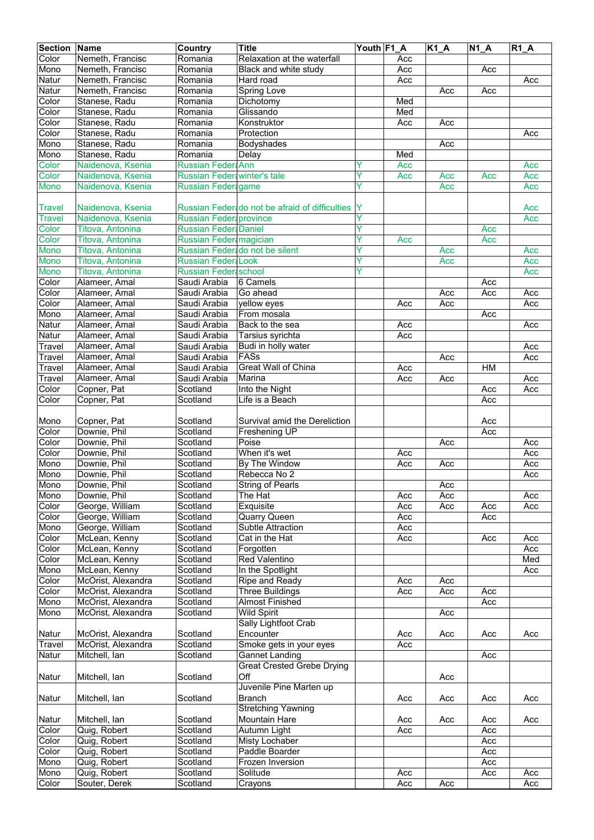| Color<br>Nemeth, Francisc<br>Relaxation at the waterfall<br>Romania<br>Acc<br>Mono<br>Nemeth, Francisc<br>Romania<br>Acc<br>Black and white study<br>Acc<br>Nemeth, Francisc<br>Romania<br>Hard road<br>Acc<br>Acc<br>Natur<br>Nemeth, Francisc<br>Spring Love<br>Romania<br>Acc<br>Acc<br>Color<br>Stanese, Radu<br>Romania<br>Dichotomy<br>Med<br>Med<br>Color<br>Stanese, Radu<br>Glissando<br>Romania<br>Color<br>Stanese, Radu<br>Romania<br>Konstruktor<br>Acc<br>Acc<br>Color<br>Stanese, Radu<br>Acc<br>Romania<br>Protection<br>Mono<br>Stanese, Radu<br>Romania<br>Bodyshades<br>Acc<br>Mono<br>Stanese, Radu<br>Romania<br>Med<br>Delay<br>Color<br>Naidenova, Ksenia<br>Russian Feder Ann<br>Acc<br>Acc<br>Color<br>Russian Feder winter's tale<br>Y<br>Naidenova, Ksenia<br>Acc<br>Acc<br>Acc<br>Acc<br>Naidenova, Ksenia<br>Russian Feder game<br>Y<br>Mono<br>Acc<br>Acc<br>Naidenova, Ksenia<br>Russian Federado not be afraid of difficulties<br><b>Travel</b><br>Acc<br>Y<br>Naidenova, Ksenia<br>Russian Feder province<br>Acc<br><b>Travel</b><br>Color<br>Y<br>Titova, Antonina<br><b>Russian Feder Daniel</b><br>Acc<br>Color<br>Y<br>Titova, Antonina<br>Russian Feder magician<br>Acc<br>Acc<br>Y<br>Mono<br>Titova, Antonina<br>Russian Federado not be silent<br>Acc<br>Acc<br>Y<br>Mono<br><b>Russian Feder Look</b><br>Acc<br>Titova, Antonina<br>Acc<br>Ÿ<br><b>Mono</b><br><b>Russian Federa school</b><br>Titova, Antonina<br>Acc<br>Color<br>Saudi Arabia<br>6 Camels<br>Acc<br>Alameer, Amal<br>Color<br>Alameer, Amal<br>Saudi Arabia<br>Go ahead<br>Acc<br>Acc<br>Acc<br>Color<br>Alameer, Amal<br>Acc<br>Saudi Arabia<br>yellow eyes<br>Acc<br>Acc<br>Mono<br>Saudi Arabia<br>From mosala<br>Alameer, Amal<br>Acc<br>Natur<br>Alameer, Amal<br>Saudi Arabia<br>Back to the sea<br>Acc<br>Acc<br>Natur<br>Tarsius syrichta<br>Acc<br>Alameer, Amal<br>Saudi Arabia<br>Travel<br>Alameer, Amal<br>Budi in holly water<br>Saudi Arabia<br>Acc<br>FASs<br>Saudi Arabia<br>Acc<br>Acc<br>Travel<br>Alameer, Amal<br><b>Great Wall of China</b><br>HM<br>Saudi Arabia<br>Acc<br>Travel<br>Alameer, Amal<br>Travel<br>Alameer, Amal<br>Saudi Arabia<br>Marina<br>Acc<br>Acc<br>Acc<br>Color<br>Copner, Pat<br>Scotland<br>Into the Night<br>Acc<br>Acc<br>Color<br>Copner, Pat<br>Life is a Beach<br>Acc<br>Scotland<br>Copner, Pat<br>Mono<br>Scotland<br>Survival amid the Dereliction<br>Acc<br>Color<br>Downie, Phil<br>Scotland<br>Freshening UP<br>Acc<br>Downie, Phil<br>Color<br>Scotland<br>Poise<br>Acc<br>Acc<br>Downie, Phil<br>When it's wet<br>Color<br>Scotland<br>Acc<br>Acc<br>Mono<br>Downie, Phil<br>Scotland<br>By The Window<br>Acc<br>Acc<br>Acc<br>Mono<br>Downie, Phil<br>Rebecca No 2<br>Acc<br>Scotland<br>Downie, Phil<br>Scotland<br><b>String of Pearls</b><br>Acc<br>Mono<br>Downie, Phil<br>Scotland<br>The Hat<br>Acc<br>Acc<br>Acc<br>George, William<br>Color<br>Scotland<br>Exquisite<br>Acc<br>Acc<br>Acc<br>Acc<br>Color<br>George, William<br>Scotland<br>Quarry Queen<br>Acc<br>Acc<br>Mono<br>George, William<br>Scotland<br>Subtle Attraction<br>Acc<br>McLean, Kenny<br>Cat in the Hat<br>Acc<br>Color<br>Scotland<br>Acc<br>Acc<br>Color<br>McLean, Kenny<br>Scotland<br>Acc<br>Forgotten<br><b>Red Valentino</b><br>Med<br>Color<br>McLean, Kenny<br>Scotland<br>Mono<br>McLean, Kenny<br>Scotland<br>In the Spotlight<br>Acc<br>Color<br>McOrist, Alexandra<br>Scotland<br>Ripe and Ready<br>Acc<br>Acc<br>Color<br>McOrist, Alexandra<br>Scotland<br>Three Buildings<br>Acc<br>Acc<br>Acc<br>McOrist, Alexandra<br>Scotland<br><b>Almost Finished</b><br>Acc<br>Mono<br>McOrist, Alexandra<br><b>Wild Spirit</b><br>Scotland<br>Acc<br>Sally Lightfoot Crab<br>McOrist, Alexandra<br>Encounter<br>Natur<br>Scotland<br>Acc<br>Acc<br>Acc<br>Acc<br>McOrist, Alexandra<br>Scotland<br>Smoke gets in your eyes<br>Travel<br>Acc<br><b>Gannet Landing</b><br>Natur<br>Mitchell, Ian<br>Scotland<br>Acc<br><b>Great Crested Grebe Drying</b><br>Off<br>Mitchell, Ian<br>Scotland<br>Acc<br>Juvenile Pine Marten up<br><b>Branch</b><br>Mitchell, Ian<br>Scotland<br>Acc<br>Acc<br>Acc<br>Acc<br><b>Stretching Yawning</b><br>Mountain Hare<br>Natur<br>Mitchell, Ian<br>Scotland<br>Acc<br>Acc<br>Acc<br>Acc<br>Quig, Robert<br>Scotland<br>Autumn Light<br>Acc<br>Color<br>Acc<br>Quig, Robert<br>Scotland<br>Misty Lochaber<br>Acc<br>Color<br>Quig, Robert<br>Scotland<br>Paddle Boarder<br>Acc<br>Color<br>Mono<br>Quig, Robert<br>Frozen Inversion<br>Scotland<br>Acc<br>Mono<br>Quig, Robert<br>Scotland<br>Solitude<br>Acc<br>Acc<br>Acc<br>Souter, Derek<br>Acc<br>Acc<br>Acc<br>Scotland<br>Crayons | <b>Section Name</b> | Country | <b>Title</b> | Youth F1_A | K1_A | $N1_A$ | $R1_A$ |
|-------------------------------------------------------------------------------------------------------------------------------------------------------------------------------------------------------------------------------------------------------------------------------------------------------------------------------------------------------------------------------------------------------------------------------------------------------------------------------------------------------------------------------------------------------------------------------------------------------------------------------------------------------------------------------------------------------------------------------------------------------------------------------------------------------------------------------------------------------------------------------------------------------------------------------------------------------------------------------------------------------------------------------------------------------------------------------------------------------------------------------------------------------------------------------------------------------------------------------------------------------------------------------------------------------------------------------------------------------------------------------------------------------------------------------------------------------------------------------------------------------------------------------------------------------------------------------------------------------------------------------------------------------------------------------------------------------------------------------------------------------------------------------------------------------------------------------------------------------------------------------------------------------------------------------------------------------------------------------------------------------------------------------------------------------------------------------------------------------------------------------------------------------------------------------------------------------------------------------------------------------------------------------------------------------------------------------------------------------------------------------------------------------------------------------------------------------------------------------------------------------------------------------------------------------------------------------------------------------------------------------------------------------------------------------------------------------------------------------------------------------------------------------------------------------------------------------------------------------------------------------------------------------------------------------------------------------------------------------------------------------------------------------------------------------------------------------------------------------------------------------------------------------------------------------------------------------------------------------------------------------------------------------------------------------------------------------------------------------------------------------------------------------------------------------------------------------------------------------------------------------------------------------------------------------------------------------------------------------------------------------------------------------------------------------------------------------------------------------------------------------------------------------------------------------------------------------------------------------------------------------------------------------------------------------------------------------------------------------------------------------------------------------------------------------------------------------------------------------------------------------------------------------------------------------------------------------------------------------------------------------------------------------------------------------------------------------------------------------------------------------------------------------------------------------------------------------------------------------------------------------------------------------------------------------------------------------------------------------------------------------------------------------------------------------------|---------------------|---------|--------------|------------|------|--------|--------|
|                                                                                                                                                                                                                                                                                                                                                                                                                                                                                                                                                                                                                                                                                                                                                                                                                                                                                                                                                                                                                                                                                                                                                                                                                                                                                                                                                                                                                                                                                                                                                                                                                                                                                                                                                                                                                                                                                                                                                                                                                                                                                                                                                                                                                                                                                                                                                                                                                                                                                                                                                                                                                                                                                                                                                                                                                                                                                                                                                                                                                                                                                                                                                                                                                                                                                                                                                                                                                                                                                                                                                                                                                                                                                                                                                                                                                                                                                                                                                                                                                                                                                                                                                                                                                                                                                                                                                                                                                                                                                                                                                                                                                                                                                     |                     |         |              |            |      |        |        |
|                                                                                                                                                                                                                                                                                                                                                                                                                                                                                                                                                                                                                                                                                                                                                                                                                                                                                                                                                                                                                                                                                                                                                                                                                                                                                                                                                                                                                                                                                                                                                                                                                                                                                                                                                                                                                                                                                                                                                                                                                                                                                                                                                                                                                                                                                                                                                                                                                                                                                                                                                                                                                                                                                                                                                                                                                                                                                                                                                                                                                                                                                                                                                                                                                                                                                                                                                                                                                                                                                                                                                                                                                                                                                                                                                                                                                                                                                                                                                                                                                                                                                                                                                                                                                                                                                                                                                                                                                                                                                                                                                                                                                                                                                     |                     |         |              |            |      |        |        |
|                                                                                                                                                                                                                                                                                                                                                                                                                                                                                                                                                                                                                                                                                                                                                                                                                                                                                                                                                                                                                                                                                                                                                                                                                                                                                                                                                                                                                                                                                                                                                                                                                                                                                                                                                                                                                                                                                                                                                                                                                                                                                                                                                                                                                                                                                                                                                                                                                                                                                                                                                                                                                                                                                                                                                                                                                                                                                                                                                                                                                                                                                                                                                                                                                                                                                                                                                                                                                                                                                                                                                                                                                                                                                                                                                                                                                                                                                                                                                                                                                                                                                                                                                                                                                                                                                                                                                                                                                                                                                                                                                                                                                                                                                     | Natur               |         |              |            |      |        |        |
|                                                                                                                                                                                                                                                                                                                                                                                                                                                                                                                                                                                                                                                                                                                                                                                                                                                                                                                                                                                                                                                                                                                                                                                                                                                                                                                                                                                                                                                                                                                                                                                                                                                                                                                                                                                                                                                                                                                                                                                                                                                                                                                                                                                                                                                                                                                                                                                                                                                                                                                                                                                                                                                                                                                                                                                                                                                                                                                                                                                                                                                                                                                                                                                                                                                                                                                                                                                                                                                                                                                                                                                                                                                                                                                                                                                                                                                                                                                                                                                                                                                                                                                                                                                                                                                                                                                                                                                                                                                                                                                                                                                                                                                                                     |                     |         |              |            |      |        |        |
|                                                                                                                                                                                                                                                                                                                                                                                                                                                                                                                                                                                                                                                                                                                                                                                                                                                                                                                                                                                                                                                                                                                                                                                                                                                                                                                                                                                                                                                                                                                                                                                                                                                                                                                                                                                                                                                                                                                                                                                                                                                                                                                                                                                                                                                                                                                                                                                                                                                                                                                                                                                                                                                                                                                                                                                                                                                                                                                                                                                                                                                                                                                                                                                                                                                                                                                                                                                                                                                                                                                                                                                                                                                                                                                                                                                                                                                                                                                                                                                                                                                                                                                                                                                                                                                                                                                                                                                                                                                                                                                                                                                                                                                                                     |                     |         |              |            |      |        |        |
|                                                                                                                                                                                                                                                                                                                                                                                                                                                                                                                                                                                                                                                                                                                                                                                                                                                                                                                                                                                                                                                                                                                                                                                                                                                                                                                                                                                                                                                                                                                                                                                                                                                                                                                                                                                                                                                                                                                                                                                                                                                                                                                                                                                                                                                                                                                                                                                                                                                                                                                                                                                                                                                                                                                                                                                                                                                                                                                                                                                                                                                                                                                                                                                                                                                                                                                                                                                                                                                                                                                                                                                                                                                                                                                                                                                                                                                                                                                                                                                                                                                                                                                                                                                                                                                                                                                                                                                                                                                                                                                                                                                                                                                                                     |                     |         |              |            |      |        |        |
|                                                                                                                                                                                                                                                                                                                                                                                                                                                                                                                                                                                                                                                                                                                                                                                                                                                                                                                                                                                                                                                                                                                                                                                                                                                                                                                                                                                                                                                                                                                                                                                                                                                                                                                                                                                                                                                                                                                                                                                                                                                                                                                                                                                                                                                                                                                                                                                                                                                                                                                                                                                                                                                                                                                                                                                                                                                                                                                                                                                                                                                                                                                                                                                                                                                                                                                                                                                                                                                                                                                                                                                                                                                                                                                                                                                                                                                                                                                                                                                                                                                                                                                                                                                                                                                                                                                                                                                                                                                                                                                                                                                                                                                                                     |                     |         |              |            |      |        |        |
|                                                                                                                                                                                                                                                                                                                                                                                                                                                                                                                                                                                                                                                                                                                                                                                                                                                                                                                                                                                                                                                                                                                                                                                                                                                                                                                                                                                                                                                                                                                                                                                                                                                                                                                                                                                                                                                                                                                                                                                                                                                                                                                                                                                                                                                                                                                                                                                                                                                                                                                                                                                                                                                                                                                                                                                                                                                                                                                                                                                                                                                                                                                                                                                                                                                                                                                                                                                                                                                                                                                                                                                                                                                                                                                                                                                                                                                                                                                                                                                                                                                                                                                                                                                                                                                                                                                                                                                                                                                                                                                                                                                                                                                                                     |                     |         |              |            |      |        |        |
|                                                                                                                                                                                                                                                                                                                                                                                                                                                                                                                                                                                                                                                                                                                                                                                                                                                                                                                                                                                                                                                                                                                                                                                                                                                                                                                                                                                                                                                                                                                                                                                                                                                                                                                                                                                                                                                                                                                                                                                                                                                                                                                                                                                                                                                                                                                                                                                                                                                                                                                                                                                                                                                                                                                                                                                                                                                                                                                                                                                                                                                                                                                                                                                                                                                                                                                                                                                                                                                                                                                                                                                                                                                                                                                                                                                                                                                                                                                                                                                                                                                                                                                                                                                                                                                                                                                                                                                                                                                                                                                                                                                                                                                                                     |                     |         |              |            |      |        |        |
|                                                                                                                                                                                                                                                                                                                                                                                                                                                                                                                                                                                                                                                                                                                                                                                                                                                                                                                                                                                                                                                                                                                                                                                                                                                                                                                                                                                                                                                                                                                                                                                                                                                                                                                                                                                                                                                                                                                                                                                                                                                                                                                                                                                                                                                                                                                                                                                                                                                                                                                                                                                                                                                                                                                                                                                                                                                                                                                                                                                                                                                                                                                                                                                                                                                                                                                                                                                                                                                                                                                                                                                                                                                                                                                                                                                                                                                                                                                                                                                                                                                                                                                                                                                                                                                                                                                                                                                                                                                                                                                                                                                                                                                                                     |                     |         |              |            |      |        |        |
|                                                                                                                                                                                                                                                                                                                                                                                                                                                                                                                                                                                                                                                                                                                                                                                                                                                                                                                                                                                                                                                                                                                                                                                                                                                                                                                                                                                                                                                                                                                                                                                                                                                                                                                                                                                                                                                                                                                                                                                                                                                                                                                                                                                                                                                                                                                                                                                                                                                                                                                                                                                                                                                                                                                                                                                                                                                                                                                                                                                                                                                                                                                                                                                                                                                                                                                                                                                                                                                                                                                                                                                                                                                                                                                                                                                                                                                                                                                                                                                                                                                                                                                                                                                                                                                                                                                                                                                                                                                                                                                                                                                                                                                                                     |                     |         |              |            |      |        |        |
|                                                                                                                                                                                                                                                                                                                                                                                                                                                                                                                                                                                                                                                                                                                                                                                                                                                                                                                                                                                                                                                                                                                                                                                                                                                                                                                                                                                                                                                                                                                                                                                                                                                                                                                                                                                                                                                                                                                                                                                                                                                                                                                                                                                                                                                                                                                                                                                                                                                                                                                                                                                                                                                                                                                                                                                                                                                                                                                                                                                                                                                                                                                                                                                                                                                                                                                                                                                                                                                                                                                                                                                                                                                                                                                                                                                                                                                                                                                                                                                                                                                                                                                                                                                                                                                                                                                                                                                                                                                                                                                                                                                                                                                                                     |                     |         |              |            |      |        |        |
|                                                                                                                                                                                                                                                                                                                                                                                                                                                                                                                                                                                                                                                                                                                                                                                                                                                                                                                                                                                                                                                                                                                                                                                                                                                                                                                                                                                                                                                                                                                                                                                                                                                                                                                                                                                                                                                                                                                                                                                                                                                                                                                                                                                                                                                                                                                                                                                                                                                                                                                                                                                                                                                                                                                                                                                                                                                                                                                                                                                                                                                                                                                                                                                                                                                                                                                                                                                                                                                                                                                                                                                                                                                                                                                                                                                                                                                                                                                                                                                                                                                                                                                                                                                                                                                                                                                                                                                                                                                                                                                                                                                                                                                                                     |                     |         |              |            |      |        |        |
|                                                                                                                                                                                                                                                                                                                                                                                                                                                                                                                                                                                                                                                                                                                                                                                                                                                                                                                                                                                                                                                                                                                                                                                                                                                                                                                                                                                                                                                                                                                                                                                                                                                                                                                                                                                                                                                                                                                                                                                                                                                                                                                                                                                                                                                                                                                                                                                                                                                                                                                                                                                                                                                                                                                                                                                                                                                                                                                                                                                                                                                                                                                                                                                                                                                                                                                                                                                                                                                                                                                                                                                                                                                                                                                                                                                                                                                                                                                                                                                                                                                                                                                                                                                                                                                                                                                                                                                                                                                                                                                                                                                                                                                                                     |                     |         |              |            |      |        |        |
|                                                                                                                                                                                                                                                                                                                                                                                                                                                                                                                                                                                                                                                                                                                                                                                                                                                                                                                                                                                                                                                                                                                                                                                                                                                                                                                                                                                                                                                                                                                                                                                                                                                                                                                                                                                                                                                                                                                                                                                                                                                                                                                                                                                                                                                                                                                                                                                                                                                                                                                                                                                                                                                                                                                                                                                                                                                                                                                                                                                                                                                                                                                                                                                                                                                                                                                                                                                                                                                                                                                                                                                                                                                                                                                                                                                                                                                                                                                                                                                                                                                                                                                                                                                                                                                                                                                                                                                                                                                                                                                                                                                                                                                                                     |                     |         |              |            |      |        |        |
|                                                                                                                                                                                                                                                                                                                                                                                                                                                                                                                                                                                                                                                                                                                                                                                                                                                                                                                                                                                                                                                                                                                                                                                                                                                                                                                                                                                                                                                                                                                                                                                                                                                                                                                                                                                                                                                                                                                                                                                                                                                                                                                                                                                                                                                                                                                                                                                                                                                                                                                                                                                                                                                                                                                                                                                                                                                                                                                                                                                                                                                                                                                                                                                                                                                                                                                                                                                                                                                                                                                                                                                                                                                                                                                                                                                                                                                                                                                                                                                                                                                                                                                                                                                                                                                                                                                                                                                                                                                                                                                                                                                                                                                                                     |                     |         |              |            |      |        |        |
|                                                                                                                                                                                                                                                                                                                                                                                                                                                                                                                                                                                                                                                                                                                                                                                                                                                                                                                                                                                                                                                                                                                                                                                                                                                                                                                                                                                                                                                                                                                                                                                                                                                                                                                                                                                                                                                                                                                                                                                                                                                                                                                                                                                                                                                                                                                                                                                                                                                                                                                                                                                                                                                                                                                                                                                                                                                                                                                                                                                                                                                                                                                                                                                                                                                                                                                                                                                                                                                                                                                                                                                                                                                                                                                                                                                                                                                                                                                                                                                                                                                                                                                                                                                                                                                                                                                                                                                                                                                                                                                                                                                                                                                                                     |                     |         |              |            |      |        |        |
|                                                                                                                                                                                                                                                                                                                                                                                                                                                                                                                                                                                                                                                                                                                                                                                                                                                                                                                                                                                                                                                                                                                                                                                                                                                                                                                                                                                                                                                                                                                                                                                                                                                                                                                                                                                                                                                                                                                                                                                                                                                                                                                                                                                                                                                                                                                                                                                                                                                                                                                                                                                                                                                                                                                                                                                                                                                                                                                                                                                                                                                                                                                                                                                                                                                                                                                                                                                                                                                                                                                                                                                                                                                                                                                                                                                                                                                                                                                                                                                                                                                                                                                                                                                                                                                                                                                                                                                                                                                                                                                                                                                                                                                                                     |                     |         |              |            |      |        |        |
|                                                                                                                                                                                                                                                                                                                                                                                                                                                                                                                                                                                                                                                                                                                                                                                                                                                                                                                                                                                                                                                                                                                                                                                                                                                                                                                                                                                                                                                                                                                                                                                                                                                                                                                                                                                                                                                                                                                                                                                                                                                                                                                                                                                                                                                                                                                                                                                                                                                                                                                                                                                                                                                                                                                                                                                                                                                                                                                                                                                                                                                                                                                                                                                                                                                                                                                                                                                                                                                                                                                                                                                                                                                                                                                                                                                                                                                                                                                                                                                                                                                                                                                                                                                                                                                                                                                                                                                                                                                                                                                                                                                                                                                                                     |                     |         |              |            |      |        |        |
|                                                                                                                                                                                                                                                                                                                                                                                                                                                                                                                                                                                                                                                                                                                                                                                                                                                                                                                                                                                                                                                                                                                                                                                                                                                                                                                                                                                                                                                                                                                                                                                                                                                                                                                                                                                                                                                                                                                                                                                                                                                                                                                                                                                                                                                                                                                                                                                                                                                                                                                                                                                                                                                                                                                                                                                                                                                                                                                                                                                                                                                                                                                                                                                                                                                                                                                                                                                                                                                                                                                                                                                                                                                                                                                                                                                                                                                                                                                                                                                                                                                                                                                                                                                                                                                                                                                                                                                                                                                                                                                                                                                                                                                                                     |                     |         |              |            |      |        |        |
|                                                                                                                                                                                                                                                                                                                                                                                                                                                                                                                                                                                                                                                                                                                                                                                                                                                                                                                                                                                                                                                                                                                                                                                                                                                                                                                                                                                                                                                                                                                                                                                                                                                                                                                                                                                                                                                                                                                                                                                                                                                                                                                                                                                                                                                                                                                                                                                                                                                                                                                                                                                                                                                                                                                                                                                                                                                                                                                                                                                                                                                                                                                                                                                                                                                                                                                                                                                                                                                                                                                                                                                                                                                                                                                                                                                                                                                                                                                                                                                                                                                                                                                                                                                                                                                                                                                                                                                                                                                                                                                                                                                                                                                                                     |                     |         |              |            |      |        |        |
|                                                                                                                                                                                                                                                                                                                                                                                                                                                                                                                                                                                                                                                                                                                                                                                                                                                                                                                                                                                                                                                                                                                                                                                                                                                                                                                                                                                                                                                                                                                                                                                                                                                                                                                                                                                                                                                                                                                                                                                                                                                                                                                                                                                                                                                                                                                                                                                                                                                                                                                                                                                                                                                                                                                                                                                                                                                                                                                                                                                                                                                                                                                                                                                                                                                                                                                                                                                                                                                                                                                                                                                                                                                                                                                                                                                                                                                                                                                                                                                                                                                                                                                                                                                                                                                                                                                                                                                                                                                                                                                                                                                                                                                                                     |                     |         |              |            |      |        |        |
|                                                                                                                                                                                                                                                                                                                                                                                                                                                                                                                                                                                                                                                                                                                                                                                                                                                                                                                                                                                                                                                                                                                                                                                                                                                                                                                                                                                                                                                                                                                                                                                                                                                                                                                                                                                                                                                                                                                                                                                                                                                                                                                                                                                                                                                                                                                                                                                                                                                                                                                                                                                                                                                                                                                                                                                                                                                                                                                                                                                                                                                                                                                                                                                                                                                                                                                                                                                                                                                                                                                                                                                                                                                                                                                                                                                                                                                                                                                                                                                                                                                                                                                                                                                                                                                                                                                                                                                                                                                                                                                                                                                                                                                                                     |                     |         |              |            |      |        |        |
|                                                                                                                                                                                                                                                                                                                                                                                                                                                                                                                                                                                                                                                                                                                                                                                                                                                                                                                                                                                                                                                                                                                                                                                                                                                                                                                                                                                                                                                                                                                                                                                                                                                                                                                                                                                                                                                                                                                                                                                                                                                                                                                                                                                                                                                                                                                                                                                                                                                                                                                                                                                                                                                                                                                                                                                                                                                                                                                                                                                                                                                                                                                                                                                                                                                                                                                                                                                                                                                                                                                                                                                                                                                                                                                                                                                                                                                                                                                                                                                                                                                                                                                                                                                                                                                                                                                                                                                                                                                                                                                                                                                                                                                                                     |                     |         |              |            |      |        |        |
|                                                                                                                                                                                                                                                                                                                                                                                                                                                                                                                                                                                                                                                                                                                                                                                                                                                                                                                                                                                                                                                                                                                                                                                                                                                                                                                                                                                                                                                                                                                                                                                                                                                                                                                                                                                                                                                                                                                                                                                                                                                                                                                                                                                                                                                                                                                                                                                                                                                                                                                                                                                                                                                                                                                                                                                                                                                                                                                                                                                                                                                                                                                                                                                                                                                                                                                                                                                                                                                                                                                                                                                                                                                                                                                                                                                                                                                                                                                                                                                                                                                                                                                                                                                                                                                                                                                                                                                                                                                                                                                                                                                                                                                                                     |                     |         |              |            |      |        |        |
|                                                                                                                                                                                                                                                                                                                                                                                                                                                                                                                                                                                                                                                                                                                                                                                                                                                                                                                                                                                                                                                                                                                                                                                                                                                                                                                                                                                                                                                                                                                                                                                                                                                                                                                                                                                                                                                                                                                                                                                                                                                                                                                                                                                                                                                                                                                                                                                                                                                                                                                                                                                                                                                                                                                                                                                                                                                                                                                                                                                                                                                                                                                                                                                                                                                                                                                                                                                                                                                                                                                                                                                                                                                                                                                                                                                                                                                                                                                                                                                                                                                                                                                                                                                                                                                                                                                                                                                                                                                                                                                                                                                                                                                                                     |                     |         |              |            |      |        |        |
|                                                                                                                                                                                                                                                                                                                                                                                                                                                                                                                                                                                                                                                                                                                                                                                                                                                                                                                                                                                                                                                                                                                                                                                                                                                                                                                                                                                                                                                                                                                                                                                                                                                                                                                                                                                                                                                                                                                                                                                                                                                                                                                                                                                                                                                                                                                                                                                                                                                                                                                                                                                                                                                                                                                                                                                                                                                                                                                                                                                                                                                                                                                                                                                                                                                                                                                                                                                                                                                                                                                                                                                                                                                                                                                                                                                                                                                                                                                                                                                                                                                                                                                                                                                                                                                                                                                                                                                                                                                                                                                                                                                                                                                                                     |                     |         |              |            |      |        |        |
|                                                                                                                                                                                                                                                                                                                                                                                                                                                                                                                                                                                                                                                                                                                                                                                                                                                                                                                                                                                                                                                                                                                                                                                                                                                                                                                                                                                                                                                                                                                                                                                                                                                                                                                                                                                                                                                                                                                                                                                                                                                                                                                                                                                                                                                                                                                                                                                                                                                                                                                                                                                                                                                                                                                                                                                                                                                                                                                                                                                                                                                                                                                                                                                                                                                                                                                                                                                                                                                                                                                                                                                                                                                                                                                                                                                                                                                                                                                                                                                                                                                                                                                                                                                                                                                                                                                                                                                                                                                                                                                                                                                                                                                                                     |                     |         |              |            |      |        |        |
|                                                                                                                                                                                                                                                                                                                                                                                                                                                                                                                                                                                                                                                                                                                                                                                                                                                                                                                                                                                                                                                                                                                                                                                                                                                                                                                                                                                                                                                                                                                                                                                                                                                                                                                                                                                                                                                                                                                                                                                                                                                                                                                                                                                                                                                                                                                                                                                                                                                                                                                                                                                                                                                                                                                                                                                                                                                                                                                                                                                                                                                                                                                                                                                                                                                                                                                                                                                                                                                                                                                                                                                                                                                                                                                                                                                                                                                                                                                                                                                                                                                                                                                                                                                                                                                                                                                                                                                                                                                                                                                                                                                                                                                                                     |                     |         |              |            |      |        |        |
|                                                                                                                                                                                                                                                                                                                                                                                                                                                                                                                                                                                                                                                                                                                                                                                                                                                                                                                                                                                                                                                                                                                                                                                                                                                                                                                                                                                                                                                                                                                                                                                                                                                                                                                                                                                                                                                                                                                                                                                                                                                                                                                                                                                                                                                                                                                                                                                                                                                                                                                                                                                                                                                                                                                                                                                                                                                                                                                                                                                                                                                                                                                                                                                                                                                                                                                                                                                                                                                                                                                                                                                                                                                                                                                                                                                                                                                                                                                                                                                                                                                                                                                                                                                                                                                                                                                                                                                                                                                                                                                                                                                                                                                                                     |                     |         |              |            |      |        |        |
|                                                                                                                                                                                                                                                                                                                                                                                                                                                                                                                                                                                                                                                                                                                                                                                                                                                                                                                                                                                                                                                                                                                                                                                                                                                                                                                                                                                                                                                                                                                                                                                                                                                                                                                                                                                                                                                                                                                                                                                                                                                                                                                                                                                                                                                                                                                                                                                                                                                                                                                                                                                                                                                                                                                                                                                                                                                                                                                                                                                                                                                                                                                                                                                                                                                                                                                                                                                                                                                                                                                                                                                                                                                                                                                                                                                                                                                                                                                                                                                                                                                                                                                                                                                                                                                                                                                                                                                                                                                                                                                                                                                                                                                                                     |                     |         |              |            |      |        |        |
|                                                                                                                                                                                                                                                                                                                                                                                                                                                                                                                                                                                                                                                                                                                                                                                                                                                                                                                                                                                                                                                                                                                                                                                                                                                                                                                                                                                                                                                                                                                                                                                                                                                                                                                                                                                                                                                                                                                                                                                                                                                                                                                                                                                                                                                                                                                                                                                                                                                                                                                                                                                                                                                                                                                                                                                                                                                                                                                                                                                                                                                                                                                                                                                                                                                                                                                                                                                                                                                                                                                                                                                                                                                                                                                                                                                                                                                                                                                                                                                                                                                                                                                                                                                                                                                                                                                                                                                                                                                                                                                                                                                                                                                                                     |                     |         |              |            |      |        |        |
|                                                                                                                                                                                                                                                                                                                                                                                                                                                                                                                                                                                                                                                                                                                                                                                                                                                                                                                                                                                                                                                                                                                                                                                                                                                                                                                                                                                                                                                                                                                                                                                                                                                                                                                                                                                                                                                                                                                                                                                                                                                                                                                                                                                                                                                                                                                                                                                                                                                                                                                                                                                                                                                                                                                                                                                                                                                                                                                                                                                                                                                                                                                                                                                                                                                                                                                                                                                                                                                                                                                                                                                                                                                                                                                                                                                                                                                                                                                                                                                                                                                                                                                                                                                                                                                                                                                                                                                                                                                                                                                                                                                                                                                                                     |                     |         |              |            |      |        |        |
|                                                                                                                                                                                                                                                                                                                                                                                                                                                                                                                                                                                                                                                                                                                                                                                                                                                                                                                                                                                                                                                                                                                                                                                                                                                                                                                                                                                                                                                                                                                                                                                                                                                                                                                                                                                                                                                                                                                                                                                                                                                                                                                                                                                                                                                                                                                                                                                                                                                                                                                                                                                                                                                                                                                                                                                                                                                                                                                                                                                                                                                                                                                                                                                                                                                                                                                                                                                                                                                                                                                                                                                                                                                                                                                                                                                                                                                                                                                                                                                                                                                                                                                                                                                                                                                                                                                                                                                                                                                                                                                                                                                                                                                                                     |                     |         |              |            |      |        |        |
|                                                                                                                                                                                                                                                                                                                                                                                                                                                                                                                                                                                                                                                                                                                                                                                                                                                                                                                                                                                                                                                                                                                                                                                                                                                                                                                                                                                                                                                                                                                                                                                                                                                                                                                                                                                                                                                                                                                                                                                                                                                                                                                                                                                                                                                                                                                                                                                                                                                                                                                                                                                                                                                                                                                                                                                                                                                                                                                                                                                                                                                                                                                                                                                                                                                                                                                                                                                                                                                                                                                                                                                                                                                                                                                                                                                                                                                                                                                                                                                                                                                                                                                                                                                                                                                                                                                                                                                                                                                                                                                                                                                                                                                                                     |                     |         |              |            |      |        |        |
|                                                                                                                                                                                                                                                                                                                                                                                                                                                                                                                                                                                                                                                                                                                                                                                                                                                                                                                                                                                                                                                                                                                                                                                                                                                                                                                                                                                                                                                                                                                                                                                                                                                                                                                                                                                                                                                                                                                                                                                                                                                                                                                                                                                                                                                                                                                                                                                                                                                                                                                                                                                                                                                                                                                                                                                                                                                                                                                                                                                                                                                                                                                                                                                                                                                                                                                                                                                                                                                                                                                                                                                                                                                                                                                                                                                                                                                                                                                                                                                                                                                                                                                                                                                                                                                                                                                                                                                                                                                                                                                                                                                                                                                                                     |                     |         |              |            |      |        |        |
|                                                                                                                                                                                                                                                                                                                                                                                                                                                                                                                                                                                                                                                                                                                                                                                                                                                                                                                                                                                                                                                                                                                                                                                                                                                                                                                                                                                                                                                                                                                                                                                                                                                                                                                                                                                                                                                                                                                                                                                                                                                                                                                                                                                                                                                                                                                                                                                                                                                                                                                                                                                                                                                                                                                                                                                                                                                                                                                                                                                                                                                                                                                                                                                                                                                                                                                                                                                                                                                                                                                                                                                                                                                                                                                                                                                                                                                                                                                                                                                                                                                                                                                                                                                                                                                                                                                                                                                                                                                                                                                                                                                                                                                                                     |                     |         |              |            |      |        |        |
|                                                                                                                                                                                                                                                                                                                                                                                                                                                                                                                                                                                                                                                                                                                                                                                                                                                                                                                                                                                                                                                                                                                                                                                                                                                                                                                                                                                                                                                                                                                                                                                                                                                                                                                                                                                                                                                                                                                                                                                                                                                                                                                                                                                                                                                                                                                                                                                                                                                                                                                                                                                                                                                                                                                                                                                                                                                                                                                                                                                                                                                                                                                                                                                                                                                                                                                                                                                                                                                                                                                                                                                                                                                                                                                                                                                                                                                                                                                                                                                                                                                                                                                                                                                                                                                                                                                                                                                                                                                                                                                                                                                                                                                                                     |                     |         |              |            |      |        |        |
|                                                                                                                                                                                                                                                                                                                                                                                                                                                                                                                                                                                                                                                                                                                                                                                                                                                                                                                                                                                                                                                                                                                                                                                                                                                                                                                                                                                                                                                                                                                                                                                                                                                                                                                                                                                                                                                                                                                                                                                                                                                                                                                                                                                                                                                                                                                                                                                                                                                                                                                                                                                                                                                                                                                                                                                                                                                                                                                                                                                                                                                                                                                                                                                                                                                                                                                                                                                                                                                                                                                                                                                                                                                                                                                                                                                                                                                                                                                                                                                                                                                                                                                                                                                                                                                                                                                                                                                                                                                                                                                                                                                                                                                                                     |                     |         |              |            |      |        |        |
|                                                                                                                                                                                                                                                                                                                                                                                                                                                                                                                                                                                                                                                                                                                                                                                                                                                                                                                                                                                                                                                                                                                                                                                                                                                                                                                                                                                                                                                                                                                                                                                                                                                                                                                                                                                                                                                                                                                                                                                                                                                                                                                                                                                                                                                                                                                                                                                                                                                                                                                                                                                                                                                                                                                                                                                                                                                                                                                                                                                                                                                                                                                                                                                                                                                                                                                                                                                                                                                                                                                                                                                                                                                                                                                                                                                                                                                                                                                                                                                                                                                                                                                                                                                                                                                                                                                                                                                                                                                                                                                                                                                                                                                                                     |                     |         |              |            |      |        |        |
|                                                                                                                                                                                                                                                                                                                                                                                                                                                                                                                                                                                                                                                                                                                                                                                                                                                                                                                                                                                                                                                                                                                                                                                                                                                                                                                                                                                                                                                                                                                                                                                                                                                                                                                                                                                                                                                                                                                                                                                                                                                                                                                                                                                                                                                                                                                                                                                                                                                                                                                                                                                                                                                                                                                                                                                                                                                                                                                                                                                                                                                                                                                                                                                                                                                                                                                                                                                                                                                                                                                                                                                                                                                                                                                                                                                                                                                                                                                                                                                                                                                                                                                                                                                                                                                                                                                                                                                                                                                                                                                                                                                                                                                                                     | Mono                |         |              |            |      |        |        |
|                                                                                                                                                                                                                                                                                                                                                                                                                                                                                                                                                                                                                                                                                                                                                                                                                                                                                                                                                                                                                                                                                                                                                                                                                                                                                                                                                                                                                                                                                                                                                                                                                                                                                                                                                                                                                                                                                                                                                                                                                                                                                                                                                                                                                                                                                                                                                                                                                                                                                                                                                                                                                                                                                                                                                                                                                                                                                                                                                                                                                                                                                                                                                                                                                                                                                                                                                                                                                                                                                                                                                                                                                                                                                                                                                                                                                                                                                                                                                                                                                                                                                                                                                                                                                                                                                                                                                                                                                                                                                                                                                                                                                                                                                     |                     |         |              |            |      |        |        |
|                                                                                                                                                                                                                                                                                                                                                                                                                                                                                                                                                                                                                                                                                                                                                                                                                                                                                                                                                                                                                                                                                                                                                                                                                                                                                                                                                                                                                                                                                                                                                                                                                                                                                                                                                                                                                                                                                                                                                                                                                                                                                                                                                                                                                                                                                                                                                                                                                                                                                                                                                                                                                                                                                                                                                                                                                                                                                                                                                                                                                                                                                                                                                                                                                                                                                                                                                                                                                                                                                                                                                                                                                                                                                                                                                                                                                                                                                                                                                                                                                                                                                                                                                                                                                                                                                                                                                                                                                                                                                                                                                                                                                                                                                     |                     |         |              |            |      |        |        |
|                                                                                                                                                                                                                                                                                                                                                                                                                                                                                                                                                                                                                                                                                                                                                                                                                                                                                                                                                                                                                                                                                                                                                                                                                                                                                                                                                                                                                                                                                                                                                                                                                                                                                                                                                                                                                                                                                                                                                                                                                                                                                                                                                                                                                                                                                                                                                                                                                                                                                                                                                                                                                                                                                                                                                                                                                                                                                                                                                                                                                                                                                                                                                                                                                                                                                                                                                                                                                                                                                                                                                                                                                                                                                                                                                                                                                                                                                                                                                                                                                                                                                                                                                                                                                                                                                                                                                                                                                                                                                                                                                                                                                                                                                     |                     |         |              |            |      |        |        |
|                                                                                                                                                                                                                                                                                                                                                                                                                                                                                                                                                                                                                                                                                                                                                                                                                                                                                                                                                                                                                                                                                                                                                                                                                                                                                                                                                                                                                                                                                                                                                                                                                                                                                                                                                                                                                                                                                                                                                                                                                                                                                                                                                                                                                                                                                                                                                                                                                                                                                                                                                                                                                                                                                                                                                                                                                                                                                                                                                                                                                                                                                                                                                                                                                                                                                                                                                                                                                                                                                                                                                                                                                                                                                                                                                                                                                                                                                                                                                                                                                                                                                                                                                                                                                                                                                                                                                                                                                                                                                                                                                                                                                                                                                     |                     |         |              |            |      |        |        |
|                                                                                                                                                                                                                                                                                                                                                                                                                                                                                                                                                                                                                                                                                                                                                                                                                                                                                                                                                                                                                                                                                                                                                                                                                                                                                                                                                                                                                                                                                                                                                                                                                                                                                                                                                                                                                                                                                                                                                                                                                                                                                                                                                                                                                                                                                                                                                                                                                                                                                                                                                                                                                                                                                                                                                                                                                                                                                                                                                                                                                                                                                                                                                                                                                                                                                                                                                                                                                                                                                                                                                                                                                                                                                                                                                                                                                                                                                                                                                                                                                                                                                                                                                                                                                                                                                                                                                                                                                                                                                                                                                                                                                                                                                     |                     |         |              |            |      |        |        |
|                                                                                                                                                                                                                                                                                                                                                                                                                                                                                                                                                                                                                                                                                                                                                                                                                                                                                                                                                                                                                                                                                                                                                                                                                                                                                                                                                                                                                                                                                                                                                                                                                                                                                                                                                                                                                                                                                                                                                                                                                                                                                                                                                                                                                                                                                                                                                                                                                                                                                                                                                                                                                                                                                                                                                                                                                                                                                                                                                                                                                                                                                                                                                                                                                                                                                                                                                                                                                                                                                                                                                                                                                                                                                                                                                                                                                                                                                                                                                                                                                                                                                                                                                                                                                                                                                                                                                                                                                                                                                                                                                                                                                                                                                     |                     |         |              |            |      |        |        |
|                                                                                                                                                                                                                                                                                                                                                                                                                                                                                                                                                                                                                                                                                                                                                                                                                                                                                                                                                                                                                                                                                                                                                                                                                                                                                                                                                                                                                                                                                                                                                                                                                                                                                                                                                                                                                                                                                                                                                                                                                                                                                                                                                                                                                                                                                                                                                                                                                                                                                                                                                                                                                                                                                                                                                                                                                                                                                                                                                                                                                                                                                                                                                                                                                                                                                                                                                                                                                                                                                                                                                                                                                                                                                                                                                                                                                                                                                                                                                                                                                                                                                                                                                                                                                                                                                                                                                                                                                                                                                                                                                                                                                                                                                     |                     |         |              |            |      |        |        |
|                                                                                                                                                                                                                                                                                                                                                                                                                                                                                                                                                                                                                                                                                                                                                                                                                                                                                                                                                                                                                                                                                                                                                                                                                                                                                                                                                                                                                                                                                                                                                                                                                                                                                                                                                                                                                                                                                                                                                                                                                                                                                                                                                                                                                                                                                                                                                                                                                                                                                                                                                                                                                                                                                                                                                                                                                                                                                                                                                                                                                                                                                                                                                                                                                                                                                                                                                                                                                                                                                                                                                                                                                                                                                                                                                                                                                                                                                                                                                                                                                                                                                                                                                                                                                                                                                                                                                                                                                                                                                                                                                                                                                                                                                     |                     |         |              |            |      |        |        |
|                                                                                                                                                                                                                                                                                                                                                                                                                                                                                                                                                                                                                                                                                                                                                                                                                                                                                                                                                                                                                                                                                                                                                                                                                                                                                                                                                                                                                                                                                                                                                                                                                                                                                                                                                                                                                                                                                                                                                                                                                                                                                                                                                                                                                                                                                                                                                                                                                                                                                                                                                                                                                                                                                                                                                                                                                                                                                                                                                                                                                                                                                                                                                                                                                                                                                                                                                                                                                                                                                                                                                                                                                                                                                                                                                                                                                                                                                                                                                                                                                                                                                                                                                                                                                                                                                                                                                                                                                                                                                                                                                                                                                                                                                     |                     |         |              |            |      |        |        |
|                                                                                                                                                                                                                                                                                                                                                                                                                                                                                                                                                                                                                                                                                                                                                                                                                                                                                                                                                                                                                                                                                                                                                                                                                                                                                                                                                                                                                                                                                                                                                                                                                                                                                                                                                                                                                                                                                                                                                                                                                                                                                                                                                                                                                                                                                                                                                                                                                                                                                                                                                                                                                                                                                                                                                                                                                                                                                                                                                                                                                                                                                                                                                                                                                                                                                                                                                                                                                                                                                                                                                                                                                                                                                                                                                                                                                                                                                                                                                                                                                                                                                                                                                                                                                                                                                                                                                                                                                                                                                                                                                                                                                                                                                     |                     |         |              |            |      |        |        |
|                                                                                                                                                                                                                                                                                                                                                                                                                                                                                                                                                                                                                                                                                                                                                                                                                                                                                                                                                                                                                                                                                                                                                                                                                                                                                                                                                                                                                                                                                                                                                                                                                                                                                                                                                                                                                                                                                                                                                                                                                                                                                                                                                                                                                                                                                                                                                                                                                                                                                                                                                                                                                                                                                                                                                                                                                                                                                                                                                                                                                                                                                                                                                                                                                                                                                                                                                                                                                                                                                                                                                                                                                                                                                                                                                                                                                                                                                                                                                                                                                                                                                                                                                                                                                                                                                                                                                                                                                                                                                                                                                                                                                                                                                     |                     |         |              |            |      |        |        |
|                                                                                                                                                                                                                                                                                                                                                                                                                                                                                                                                                                                                                                                                                                                                                                                                                                                                                                                                                                                                                                                                                                                                                                                                                                                                                                                                                                                                                                                                                                                                                                                                                                                                                                                                                                                                                                                                                                                                                                                                                                                                                                                                                                                                                                                                                                                                                                                                                                                                                                                                                                                                                                                                                                                                                                                                                                                                                                                                                                                                                                                                                                                                                                                                                                                                                                                                                                                                                                                                                                                                                                                                                                                                                                                                                                                                                                                                                                                                                                                                                                                                                                                                                                                                                                                                                                                                                                                                                                                                                                                                                                                                                                                                                     | Mono                |         |              |            |      |        |        |
|                                                                                                                                                                                                                                                                                                                                                                                                                                                                                                                                                                                                                                                                                                                                                                                                                                                                                                                                                                                                                                                                                                                                                                                                                                                                                                                                                                                                                                                                                                                                                                                                                                                                                                                                                                                                                                                                                                                                                                                                                                                                                                                                                                                                                                                                                                                                                                                                                                                                                                                                                                                                                                                                                                                                                                                                                                                                                                                                                                                                                                                                                                                                                                                                                                                                                                                                                                                                                                                                                                                                                                                                                                                                                                                                                                                                                                                                                                                                                                                                                                                                                                                                                                                                                                                                                                                                                                                                                                                                                                                                                                                                                                                                                     |                     |         |              |            |      |        |        |
|                                                                                                                                                                                                                                                                                                                                                                                                                                                                                                                                                                                                                                                                                                                                                                                                                                                                                                                                                                                                                                                                                                                                                                                                                                                                                                                                                                                                                                                                                                                                                                                                                                                                                                                                                                                                                                                                                                                                                                                                                                                                                                                                                                                                                                                                                                                                                                                                                                                                                                                                                                                                                                                                                                                                                                                                                                                                                                                                                                                                                                                                                                                                                                                                                                                                                                                                                                                                                                                                                                                                                                                                                                                                                                                                                                                                                                                                                                                                                                                                                                                                                                                                                                                                                                                                                                                                                                                                                                                                                                                                                                                                                                                                                     |                     |         |              |            |      |        |        |
|                                                                                                                                                                                                                                                                                                                                                                                                                                                                                                                                                                                                                                                                                                                                                                                                                                                                                                                                                                                                                                                                                                                                                                                                                                                                                                                                                                                                                                                                                                                                                                                                                                                                                                                                                                                                                                                                                                                                                                                                                                                                                                                                                                                                                                                                                                                                                                                                                                                                                                                                                                                                                                                                                                                                                                                                                                                                                                                                                                                                                                                                                                                                                                                                                                                                                                                                                                                                                                                                                                                                                                                                                                                                                                                                                                                                                                                                                                                                                                                                                                                                                                                                                                                                                                                                                                                                                                                                                                                                                                                                                                                                                                                                                     |                     |         |              |            |      |        |        |
|                                                                                                                                                                                                                                                                                                                                                                                                                                                                                                                                                                                                                                                                                                                                                                                                                                                                                                                                                                                                                                                                                                                                                                                                                                                                                                                                                                                                                                                                                                                                                                                                                                                                                                                                                                                                                                                                                                                                                                                                                                                                                                                                                                                                                                                                                                                                                                                                                                                                                                                                                                                                                                                                                                                                                                                                                                                                                                                                                                                                                                                                                                                                                                                                                                                                                                                                                                                                                                                                                                                                                                                                                                                                                                                                                                                                                                                                                                                                                                                                                                                                                                                                                                                                                                                                                                                                                                                                                                                                                                                                                                                                                                                                                     |                     |         |              |            |      |        |        |
|                                                                                                                                                                                                                                                                                                                                                                                                                                                                                                                                                                                                                                                                                                                                                                                                                                                                                                                                                                                                                                                                                                                                                                                                                                                                                                                                                                                                                                                                                                                                                                                                                                                                                                                                                                                                                                                                                                                                                                                                                                                                                                                                                                                                                                                                                                                                                                                                                                                                                                                                                                                                                                                                                                                                                                                                                                                                                                                                                                                                                                                                                                                                                                                                                                                                                                                                                                                                                                                                                                                                                                                                                                                                                                                                                                                                                                                                                                                                                                                                                                                                                                                                                                                                                                                                                                                                                                                                                                                                                                                                                                                                                                                                                     |                     |         |              |            |      |        |        |
|                                                                                                                                                                                                                                                                                                                                                                                                                                                                                                                                                                                                                                                                                                                                                                                                                                                                                                                                                                                                                                                                                                                                                                                                                                                                                                                                                                                                                                                                                                                                                                                                                                                                                                                                                                                                                                                                                                                                                                                                                                                                                                                                                                                                                                                                                                                                                                                                                                                                                                                                                                                                                                                                                                                                                                                                                                                                                                                                                                                                                                                                                                                                                                                                                                                                                                                                                                                                                                                                                                                                                                                                                                                                                                                                                                                                                                                                                                                                                                                                                                                                                                                                                                                                                                                                                                                                                                                                                                                                                                                                                                                                                                                                                     | Natur               |         |              |            |      |        |        |
|                                                                                                                                                                                                                                                                                                                                                                                                                                                                                                                                                                                                                                                                                                                                                                                                                                                                                                                                                                                                                                                                                                                                                                                                                                                                                                                                                                                                                                                                                                                                                                                                                                                                                                                                                                                                                                                                                                                                                                                                                                                                                                                                                                                                                                                                                                                                                                                                                                                                                                                                                                                                                                                                                                                                                                                                                                                                                                                                                                                                                                                                                                                                                                                                                                                                                                                                                                                                                                                                                                                                                                                                                                                                                                                                                                                                                                                                                                                                                                                                                                                                                                                                                                                                                                                                                                                                                                                                                                                                                                                                                                                                                                                                                     |                     |         |              |            |      |        |        |
|                                                                                                                                                                                                                                                                                                                                                                                                                                                                                                                                                                                                                                                                                                                                                                                                                                                                                                                                                                                                                                                                                                                                                                                                                                                                                                                                                                                                                                                                                                                                                                                                                                                                                                                                                                                                                                                                                                                                                                                                                                                                                                                                                                                                                                                                                                                                                                                                                                                                                                                                                                                                                                                                                                                                                                                                                                                                                                                                                                                                                                                                                                                                                                                                                                                                                                                                                                                                                                                                                                                                                                                                                                                                                                                                                                                                                                                                                                                                                                                                                                                                                                                                                                                                                                                                                                                                                                                                                                                                                                                                                                                                                                                                                     | Natur               |         |              |            |      |        |        |
|                                                                                                                                                                                                                                                                                                                                                                                                                                                                                                                                                                                                                                                                                                                                                                                                                                                                                                                                                                                                                                                                                                                                                                                                                                                                                                                                                                                                                                                                                                                                                                                                                                                                                                                                                                                                                                                                                                                                                                                                                                                                                                                                                                                                                                                                                                                                                                                                                                                                                                                                                                                                                                                                                                                                                                                                                                                                                                                                                                                                                                                                                                                                                                                                                                                                                                                                                                                                                                                                                                                                                                                                                                                                                                                                                                                                                                                                                                                                                                                                                                                                                                                                                                                                                                                                                                                                                                                                                                                                                                                                                                                                                                                                                     |                     |         |              |            |      |        |        |
|                                                                                                                                                                                                                                                                                                                                                                                                                                                                                                                                                                                                                                                                                                                                                                                                                                                                                                                                                                                                                                                                                                                                                                                                                                                                                                                                                                                                                                                                                                                                                                                                                                                                                                                                                                                                                                                                                                                                                                                                                                                                                                                                                                                                                                                                                                                                                                                                                                                                                                                                                                                                                                                                                                                                                                                                                                                                                                                                                                                                                                                                                                                                                                                                                                                                                                                                                                                                                                                                                                                                                                                                                                                                                                                                                                                                                                                                                                                                                                                                                                                                                                                                                                                                                                                                                                                                                                                                                                                                                                                                                                                                                                                                                     |                     |         |              |            |      |        |        |
|                                                                                                                                                                                                                                                                                                                                                                                                                                                                                                                                                                                                                                                                                                                                                                                                                                                                                                                                                                                                                                                                                                                                                                                                                                                                                                                                                                                                                                                                                                                                                                                                                                                                                                                                                                                                                                                                                                                                                                                                                                                                                                                                                                                                                                                                                                                                                                                                                                                                                                                                                                                                                                                                                                                                                                                                                                                                                                                                                                                                                                                                                                                                                                                                                                                                                                                                                                                                                                                                                                                                                                                                                                                                                                                                                                                                                                                                                                                                                                                                                                                                                                                                                                                                                                                                                                                                                                                                                                                                                                                                                                                                                                                                                     |                     |         |              |            |      |        |        |
|                                                                                                                                                                                                                                                                                                                                                                                                                                                                                                                                                                                                                                                                                                                                                                                                                                                                                                                                                                                                                                                                                                                                                                                                                                                                                                                                                                                                                                                                                                                                                                                                                                                                                                                                                                                                                                                                                                                                                                                                                                                                                                                                                                                                                                                                                                                                                                                                                                                                                                                                                                                                                                                                                                                                                                                                                                                                                                                                                                                                                                                                                                                                                                                                                                                                                                                                                                                                                                                                                                                                                                                                                                                                                                                                                                                                                                                                                                                                                                                                                                                                                                                                                                                                                                                                                                                                                                                                                                                                                                                                                                                                                                                                                     |                     |         |              |            |      |        |        |
|                                                                                                                                                                                                                                                                                                                                                                                                                                                                                                                                                                                                                                                                                                                                                                                                                                                                                                                                                                                                                                                                                                                                                                                                                                                                                                                                                                                                                                                                                                                                                                                                                                                                                                                                                                                                                                                                                                                                                                                                                                                                                                                                                                                                                                                                                                                                                                                                                                                                                                                                                                                                                                                                                                                                                                                                                                                                                                                                                                                                                                                                                                                                                                                                                                                                                                                                                                                                                                                                                                                                                                                                                                                                                                                                                                                                                                                                                                                                                                                                                                                                                                                                                                                                                                                                                                                                                                                                                                                                                                                                                                                                                                                                                     |                     |         |              |            |      |        |        |
|                                                                                                                                                                                                                                                                                                                                                                                                                                                                                                                                                                                                                                                                                                                                                                                                                                                                                                                                                                                                                                                                                                                                                                                                                                                                                                                                                                                                                                                                                                                                                                                                                                                                                                                                                                                                                                                                                                                                                                                                                                                                                                                                                                                                                                                                                                                                                                                                                                                                                                                                                                                                                                                                                                                                                                                                                                                                                                                                                                                                                                                                                                                                                                                                                                                                                                                                                                                                                                                                                                                                                                                                                                                                                                                                                                                                                                                                                                                                                                                                                                                                                                                                                                                                                                                                                                                                                                                                                                                                                                                                                                                                                                                                                     |                     |         |              |            |      |        |        |
|                                                                                                                                                                                                                                                                                                                                                                                                                                                                                                                                                                                                                                                                                                                                                                                                                                                                                                                                                                                                                                                                                                                                                                                                                                                                                                                                                                                                                                                                                                                                                                                                                                                                                                                                                                                                                                                                                                                                                                                                                                                                                                                                                                                                                                                                                                                                                                                                                                                                                                                                                                                                                                                                                                                                                                                                                                                                                                                                                                                                                                                                                                                                                                                                                                                                                                                                                                                                                                                                                                                                                                                                                                                                                                                                                                                                                                                                                                                                                                                                                                                                                                                                                                                                                                                                                                                                                                                                                                                                                                                                                                                                                                                                                     |                     |         |              |            |      |        |        |
|                                                                                                                                                                                                                                                                                                                                                                                                                                                                                                                                                                                                                                                                                                                                                                                                                                                                                                                                                                                                                                                                                                                                                                                                                                                                                                                                                                                                                                                                                                                                                                                                                                                                                                                                                                                                                                                                                                                                                                                                                                                                                                                                                                                                                                                                                                                                                                                                                                                                                                                                                                                                                                                                                                                                                                                                                                                                                                                                                                                                                                                                                                                                                                                                                                                                                                                                                                                                                                                                                                                                                                                                                                                                                                                                                                                                                                                                                                                                                                                                                                                                                                                                                                                                                                                                                                                                                                                                                                                                                                                                                                                                                                                                                     | Color               |         |              |            |      |        |        |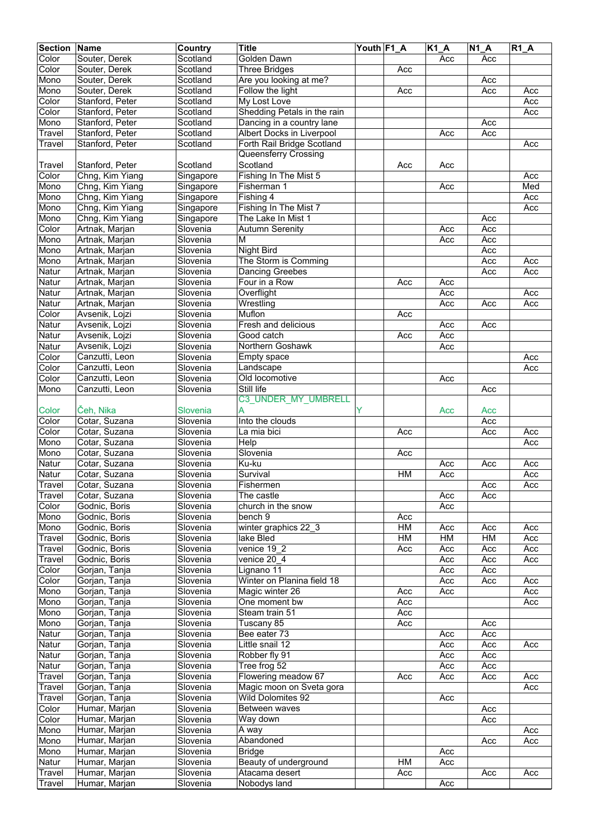| <b>Section</b> | Name            | Country   | <b>Title</b>                | Youth F1_A |     | $K1_A$ | N1A | $R1_A$ |
|----------------|-----------------|-----------|-----------------------------|------------|-----|--------|-----|--------|
| Color          | Souter, Derek   | Scotland  | <b>Golden Dawn</b>          |            |     | Acc    | Acc |        |
| Color          | Souter, Derek   | Scotland  | <b>Three Bridges</b>        |            | Acc |        |     |        |
| Mono           | Souter, Derek   | Scotland  | Are you looking at me?      |            |     |        | Acc |        |
| Mono           | Souter, Derek   | Scotland  | Follow the light            |            | Acc |        | Acc | Acc    |
| Color          | Stanford, Peter | Scotland  | My Lost Love                |            |     |        |     | Acc    |
| Color          | Stanford, Peter | Scotland  | Shedding Petals in the rain |            |     |        |     | Acc    |
| Mono           | Stanford, Peter | Scotland  | Dancing in a country lane   |            |     |        | Acc |        |
| Travel         | Stanford, Peter | Scotland  | Albert Docks in Liverpool   |            |     | Acc    | Acc |        |
| Travel         | Stanford, Peter | Scotland  | Forth Rail Bridge Scotland  |            |     |        |     | Acc    |
|                |                 |           | Queensferry Crossing        |            |     |        |     |        |
| Travel         | Stanford, Peter | Scotland  | Scotland                    |            | Acc | Acc    |     |        |
| Color          | Chng, Kim Yiang | Singapore | Fishing In The Mist 5       |            |     |        |     | Acc    |
| Mono           | Chng, Kim Yiang | Singapore | Fisherman 1                 |            |     | Acc    |     | Med    |
| Mono           | Chng, Kim Yiang | Singapore | Fishing 4                   |            |     |        |     | Acc    |
| Mono           | Chng, Kim Yiang | Singapore | Fishing In The Mist 7       |            |     |        |     | Acc    |
| Mono           | Chng, Kim Yiang | Singapore | The Lake In Mist 1          |            |     |        | Acc |        |
| Color          | Artnak, Marjan  | Slovenia  | <b>Autumn Serenity</b>      |            |     | Acc    | Acc |        |
| Mono           | Artnak, Marjan  | Slovenia  | М                           |            |     | Acc    | Acc |        |
| Mono           | Artnak, Marjan  | Slovenia  | <b>Night Bird</b>           |            |     |        | Acc |        |
| Mono           | Artnak, Marjan  | Slovenia  | The Storm is Comming        |            |     |        | Acc | Acc    |
| Natur          | Artnak, Marjan  | Slovenia  | <b>Dancing Greebes</b>      |            |     |        | Acc | Acc    |
| Natur          | Artnak, Marjan  | Slovenia  | Four in a Row               |            | Acc | Acc    |     |        |
| Natur          | Artnak, Marjan  | Slovenia  | Overflight                  |            |     | Acc    |     | Acc    |
| Natur          | Artnak, Marjan  | Slovenia  | Wrestling                   |            |     | Acc    | Acc | Acc    |
| Color          | Avsenik, Lojzi  | Slovenia  | Muflon                      |            | Acc |        |     |        |
| Natur          | Avsenik, Lojzi  | Slovenia  | Fresh and delicious         |            |     | Acc    | Acc |        |
| Natur          | Avsenik, Lojzi  | Slovenia  | Good catch                  |            | Acc | Acc    |     |        |
| Natur          | Avsenik, Lojzi  | Slovenia  | Northern Goshawk            |            |     | Acc    |     |        |
| Color          | Canzutti, Leon  | Slovenia  | Empty space                 |            |     |        |     | Acc    |
| Color          | Canzutti, Leon  | Slovenia  | Landscape                   |            |     |        |     | Acc    |
| Color          | Canzutti, Leon  | Slovenia  | Old locomotive              |            |     | Acc    |     |        |
| Mono           | Canzutti, Leon  | Slovenia  | Still life                  |            |     |        | Acc |        |
|                |                 |           | C3 UNDER MY UMBRELL         |            |     |        |     |        |
| Color          | Čeh, Nika       | Slovenia  | A                           | Y          |     | Acc    | Acc |        |
| Color          | Cotar, Suzana   | Slovenia  | Into the clouds             |            |     |        | Acc |        |
| Color          | Cotar, Suzana   | Slovenia  | La mia bici                 |            | Acc |        | Acc | Acc    |
| Mono           | Cotar, Suzana   | Slovenia  | Help                        |            |     |        |     | Acc    |
| Mono           | Cotar, Suzana   | Slovenia  | Slovenia                    |            | Acc |        |     |        |
| Natur          | Cotar, Suzana   | Slovenia  | Ku-ku                       |            |     | Acc    | Acc | Acc    |
| Natur          | Cotar, Suzana   | Slovenia  | Survival                    |            | HM  | Acc    |     | Acc    |
| Travel         | Cotar, Suzana   | Slovenia  | Fishermen                   |            |     |        | Acc | Acc    |
| Travel         | Cotar, Suzana   | Slovenia  | The castle                  |            |     | Acc    | Acc |        |
| Color          | Godnic, Boris   | Slovenia  | church in the snow          |            |     | Acc    |     |        |
| Mono           | Godnic, Boris   | Slovenia  | bench 9                     |            | Acc |        |     |        |
| Mono           | Godnic, Boris   | Slovenia  | winter graphics 22 3        |            | HM  | Acc    | Acc | Acc    |
| Travel         | Godnic, Boris   | Slovenia  | lake Bled                   |            | HM  | H M    | HM  | Acc    |
| Travel         | Godnic, Boris   | Slovenia  | venice 19 2                 |            | Acc | Acc    | Acc | Acc    |
| Travel         | Godnic, Boris   | Slovenia  | venice 20 4                 |            |     | Acc    | Acc | Acc    |
| Color          | Gorjan, Tanja   | Slovenia  | Lignano 11                  |            |     | Acc    | Acc |        |
| Color          | Gorjan, Tanja   | Slovenia  | Winter on Planina field 18  |            |     | Acc    | Acc | Acc    |
| Mono           | Gorjan, Tanja   | Slovenia  | Magic winter 26             |            | Acc | Acc    |     | Acc    |
| Mono           | Gorjan, Tanja   | Slovenia  | One moment bw               |            | Acc |        |     | Acc    |
| Mono           | Gorjan, Tanja   | Slovenia  | Steam train 51              |            | Acc |        |     |        |
| Mono           | Gorjan, Tanja   | Slovenia  | Tuscany 85                  |            | Acc |        | Acc |        |
| Natur          | Gorjan, Tanja   | Slovenia  | Bee eater 73                |            |     | Acc    | Acc |        |
| Natur          | Gorjan, Tanja   | Slovenia  | Little snail 12             |            |     | Acc    | Acc | Acc    |
| Natur          | Gorjan, Tanja   | Slovenia  | Robber fly 91               |            |     | Acc    | Acc |        |
| Natur          | Gorjan, Tanja   | Slovenia  | Tree frog 52                |            |     | Acc    | Acc |        |
| Travel         | Gorjan, Tanja   | Slovenia  | Flowering meadow 67         |            | Acc | Acc    | Acc | Acc    |
| Travel         | Gorjan, Tanja   | Slovenia  | Magic moon on Sveta gora    |            |     |        |     | Acc    |
| Travel         | Gorjan, Tanja   | Slovenia  | Wild Dolomites 92           |            |     | Acc    |     |        |
| Color          | Humar, Marjan   | Slovenia  | Between waves               |            |     |        | Acc |        |
| Color          | Humar, Marjan   | Slovenia  | Way down                    |            |     |        | Acc |        |
| Mono           | Humar, Marjan   | Slovenia  | A way                       |            |     |        |     | Acc    |
| Mono           | Humar, Marjan   | Slovenia  | Abandoned                   |            |     |        | Acc | Acc    |
| Mono           | Humar, Marjan   | Slovenia  | <b>Bridge</b>               |            |     | Acc    |     |        |
| Natur          | Humar, Marjan   | Slovenia  | Beauty of underground       |            | НM  | Acc    |     |        |
| Travel         | Humar, Marjan   | Slovenia  | Atacama desert              |            | Acc |        | Acc | Acc    |
| Travel         | Humar, Marjan   | Slovenia  | Nobodys land                |            |     | Acc    |     |        |
|                |                 |           |                             |            |     |        |     |        |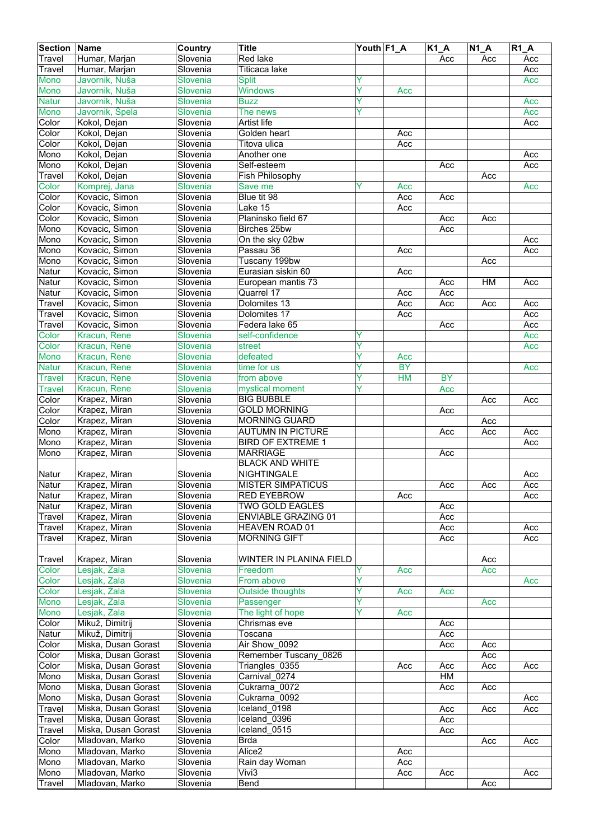| <b>Section Name</b> |                     | <b>Country</b> | <b>Title</b>               | Youth F1_A |           | $K1_A$    | $\overline{N1}A$ | <b>R1 A</b> |
|---------------------|---------------------|----------------|----------------------------|------------|-----------|-----------|------------------|-------------|
| Travel              | Humar, Marjan       | Slovenia       | Red lake                   |            |           | Acc       | Acc              | Acc         |
| <b>Travel</b>       | Humar, Marjan       | Slovenia       | Titicaca lake              |            |           |           |                  | Acc         |
| <b>Mono</b>         | Javornik, Nuša      | Slovenia       | <b>Split</b>               | Ÿ          |           |           |                  | Acc         |
| Mono                | Javornik, Nuša      | Slovenia       | <b>Windows</b>             | Ý          | Acc       |           |                  |             |
| <b>Natur</b>        | Javornik, Nuša      | Slovenia       | <b>Buzz</b>                | Y          |           |           |                  | Acc         |
| <b>Mono</b>         | Javornik, Špela     | Slovenia       | The news                   | Υ          |           |           |                  | Acc         |
| Color               | Kokol, Dejan        | Slovenia       | Artist life                |            |           |           |                  | Acc         |
| Color               | Kokol, Dejan        | Slovenia       | Golden heart               |            | Acc       |           |                  |             |
| Color               | Kokol, Dejan        | Slovenia       | Titova ulica               |            | Acc       |           |                  |             |
| Mono                | Kokol, Dejan        | Slovenia       | Another one                |            |           |           |                  | Acc         |
| Mono                | Kokol, Dejan        | Slovenia       | Self-esteem                |            |           | Acc       |                  | Acc         |
| <b>Travel</b>       | Kokol, Dejan        | Slovenia       | Fish Philosophy            |            |           |           | Acc              |             |
| Color               | Komprej, Jana       | Slovenia       | Save me                    | Υ          | Acc       |           |                  | Acc         |
| Color               | Kovacic, Simon      | Slovenia       | Blue tit 98                |            | Acc       | Acc       |                  |             |
| Color               | Kovacic, Simon      | Slovenia       | Lake 15                    |            | Acc       |           |                  |             |
| Color               | Kovacic, Simon      | Slovenia       | Planinsko field 67         |            |           | Acc       | Acc              |             |
| Mono                | Kovacic, Simon      | Slovenia       | Birches 25bw               |            |           | Acc       |                  |             |
| Mono                | Kovacic, Simon      | Slovenia       | On the sky 02bw            |            |           |           |                  | Acc         |
| Mono                | Kovacic, Simon      | Slovenia       | Passau 36                  |            | Acc       |           |                  | Acc         |
| Mono                | Kovacic, Simon      | Slovenia       | Tuscany 199bw              |            |           |           | Acc              |             |
| Natur               | Kovacic, Simon      | Slovenia       | Eurasian siskin 60         |            | Acc       |           |                  |             |
| Natur               | Kovacic, Simon      | Slovenia       | European mantis 73         |            |           | Acc       | HM               | Acc         |
| Natur               | Kovacic, Simon      | Slovenia       | Quarrel 17                 |            | Acc       | Acc       |                  |             |
| Travel              | Kovacic, Simon      | Slovenia       | Dolomites 13               |            | Acc       | Acc       | Acc              | Acc         |
| Travel              | Kovacic, Simon      | Slovenia       | Dolomites 17               |            | Acc       |           |                  | Acc         |
| Travel              | Kovacic, Simon      | Slovenia       | Federa lake 65             |            |           | Acc       |                  | Acc         |
| Color               | Kracun, Rene        | Slovenia       | self-confidence            | Υ          |           |           |                  | Acc         |
| Color               | Kracun, Rene        | Slovenia       | street                     | Y          |           |           |                  | Acc         |
| Mono                | Kracun, Rene        | Slovenia       | defeated                   | Ŷ          | Acc       |           |                  |             |
| <b>Natur</b>        | Kracun, Rene        | Slovenia       | time for us                | Ÿ          | <b>BY</b> |           |                  | Acc         |
| <b>Travel</b>       | Kracun, Rene        | Slovenia       | from above                 | Ÿ          | <b>HM</b> | <b>BY</b> |                  |             |
| <b>Travel</b>       | Kracun, Rene        | Slovenia       | mystical moment            | Y          |           | Acc       |                  |             |
| Color               | Krapez, Miran       | Slovenia       | <b>BIG BUBBLE</b>          |            |           |           | Acc              | Acc         |
| Color               | Krapez, Miran       | Slovenia       | <b>GOLD MORNING</b>        |            |           | Acc       |                  |             |
| Color               | Krapez, Miran       | Slovenia       | <b>MORNING GUARD</b>       |            |           |           | Acc              |             |
| Mono                | Krapez, Miran       | Slovenia       | <b>AUTUMN IN PICTURE</b>   |            |           | Acc       | Acc              | Acc         |
| Mono                | Krapez, Miran       | Slovenia       | <b>BIRD OF EXTREME 1</b>   |            |           |           |                  | Acc         |
| Mono                | Krapez, Miran       | Slovenia       | <b>MARRIAGE</b>            |            |           | Acc       |                  |             |
|                     |                     |                | <b>BLACK AND WHITE</b>     |            |           |           |                  |             |
| Natur               | Krapez, Miran       | Slovenia       | <b>NIGHTINGALE</b>         |            |           |           |                  | Acc         |
| Natur               | Krapez, Miran       | Slovenia       | <b>MISTER SIMPATICUS</b>   |            |           | Acc       | Acc              | Acc         |
| Natur               | Krapez, Miran       | Slovenia       | <b>RED EYEBROW</b>         |            | Acc       |           |                  | Acc         |
| Natur               | Krapez, Miran       | Slovenia       | TWO GOLD EAGLES            |            |           | Acc       |                  |             |
| Travel              | Krapez, Miran       | Slovenia       | <b>ENVIABLE GRAZING 01</b> |            |           | Acc       |                  |             |
| Travel              | Krapez, Miran       | Slovenia       | HEAVEN ROAD 01             |            |           | Acc       |                  | Acc         |
| Travel              | Krapez, Miran       | Slovenia       | <b>MORNING GIFT</b>        |            |           | Acc       |                  | Acc         |
|                     |                     |                |                            |            |           |           |                  |             |
| Travel              | Krapez, Miran       | Slovenia       | WINTER IN PLANINA FIELD    |            |           |           | Acc              |             |
| Color               | Lesjak, Zala        | Slovenia       | Freedom                    | Y          | Acc       |           | Acc              |             |
| Color               | Lesjak, Zala        | Slovenia       | From above                 | Y          |           |           |                  | Acc         |
| Color               | Lesjak, Zala        | Slovenia       | <b>Outside thoughts</b>    | Y          | Acc       | Acc       |                  |             |
| Mono                | Lesjak, Zala        | Slovenia       | Passenger                  | Ŷ          |           |           | Acc              |             |
| Mono                | Lesjak, Zala        | Slovenia       | The light of hope          | Ÿ          | Acc       |           |                  |             |
| Color               | Mikuž, Dimitrij     | Slovenia       | Chrismas eve               |            |           | Acc       |                  |             |
| Natur               | Mikuž, Dimitrij     | Slovenia       | Toscana                    |            |           | Acc       |                  |             |
| Color               | Miska, Dusan Gorast | Slovenia       | Air Show 0092              |            |           | Acc       | Acc              |             |
| Color               | Miska, Dusan Gorast | Slovenia       | Remember Tuscany 0826      |            |           |           | Acc              |             |
| Color               | Miska, Dusan Gorast | Slovenia       | Triangles_0355             |            | Acc       | Acc       | Acc              | Acc         |
| Mono                | Miska, Dusan Gorast | Slovenia       | Carnival 0274              |            |           | HM        |                  |             |
| Mono                | Miska, Dusan Gorast | Slovenia       | Cukrarna_0072              |            |           | Acc       | Acc              |             |
| Mono                | Miska, Dusan Gorast | Slovenia       | Cukrarna_0092              |            |           |           |                  | Acc         |
| Travel              | Miska, Dusan Gorast | Slovenia       | Iceland 0198               |            |           | Acc       | Acc              | Acc         |
| Travel              | Miska, Dusan Gorast | Slovenia       | Iceland 0396               |            |           | Acc       |                  |             |
| Travel              | Miska, Dusan Gorast | Slovenia       | Iceland 0515               |            |           | Acc       |                  |             |
| Color               | Mladovan, Marko     | Slovenia       | <b>Brda</b>                |            |           |           | Acc              | Acc         |
| Mono                | Mladovan, Marko     | Slovenia       | Alice <sub>2</sub>         |            | Acc       |           |                  |             |
| Mono                | Mladovan, Marko     | Slovenia       | Rain day Woman             |            | Acc       |           |                  |             |
| Mono                | Mladovan, Marko     | Slovenia       | Vivi3                      |            | Acc       | Acc       |                  | Acc         |
| <b>Travel</b>       | Mladovan, Marko     | Slovenia       | Bend                       |            |           |           | Acc              |             |
|                     |                     |                |                            |            |           |           |                  |             |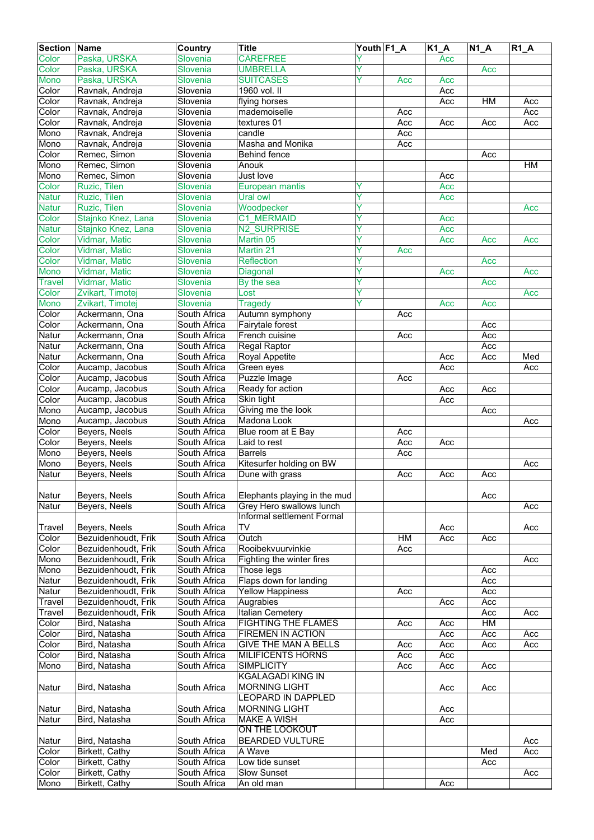| <b>Section</b> | Name                         | Country              | <b>Title</b>                                           | Youth F1_A |     | <b>K1 A</b> | $N1_A$ | $R1_A$    |
|----------------|------------------------------|----------------------|--------------------------------------------------------|------------|-----|-------------|--------|-----------|
| Color          | Paska, URŠKA                 | <b>Slovenia</b>      | <b>CAREFREE</b>                                        |            |     | Acc         |        |           |
| Color          | Paska, URŠKA                 | <b>Slovenia</b>      | <b>UMBRELLA</b>                                        | Ÿ          |     |             | Acc    |           |
| <b>Mono</b>    | Paska, URŠKA                 | Slovenia             | <b>SUITCASES</b>                                       | Ÿ          | Acc | Acc         |        |           |
| Color          | Ravnak, Andreja              | Slovenia             | 1960 vol. II                                           |            |     | Acc         |        |           |
| Color          | Ravnak, Andreja              | Slovenia             | flying horses                                          |            |     | Acc         | HM     | Acc       |
| Color          | Ravnak, Andreja              | Slovenia             | mademoiselle                                           |            | Acc |             |        | Acc       |
| Color          | Ravnak, Andreja              | Slovenia             | textures 01                                            |            | Acc | Acc         | Acc    | Acc       |
| Mono           | Ravnak, Andreja              | Slovenia             | candle                                                 |            | Acc |             |        |           |
| Mono           | Ravnak, Andreja              | Slovenia             | Masha and Monika                                       |            | Acc |             |        |           |
| Color<br>Mono  | Remec, Simon                 | Slovenia<br>Slovenia | <b>Behind fence</b>                                    |            |     |             | Acc    | <b>HM</b> |
| Mono           | Remec, Simon<br>Remec, Simon | Slovenia             | Anouk<br>Just love                                     |            |     | Acc         |        |           |
| Color          | Ruzic, Tilen                 | <b>Slovenia</b>      |                                                        |            |     | Acc         |        |           |
| <b>Natur</b>   | Ruzic, Tilen                 | Slovenia             | <b>European mantis</b><br>Ural owl                     | Ÿ          |     | Acc         |        |           |
| <b>Natur</b>   | Ruzic, Tilen                 | Slovenia             | Woodpecker                                             | Y          |     |             |        | Acc       |
| Color          | Stajnko Knez, Lana           | Slovenia             | <b>C1 MERMAID</b>                                      | Ÿ          |     | Acc         |        |           |
| <b>Natur</b>   | Stajnko Knez, Lana           | Slovenia             | N2 SURPRISE                                            | Y          |     | Acc         |        |           |
| Color          | <b>Vidmar, Matic</b>         | <b>Slovenia</b>      | Martin <sub>05</sub>                                   | Y          |     | Acc         | Acc    | Acc       |
| Color          | Vidmar, Matic                | Slovenia             | Martin 21                                              | Ÿ          | Acc |             |        |           |
| Color          | Vidmar, Matic                | Slovenia             | <b>Reflection</b>                                      | Υ          |     |             | Acc    |           |
| Mono           | Vidmar, Matic                | Slovenia             | Diagonal                                               | Ÿ          |     | Acc         |        | Acc       |
| <b>Travel</b>  | Vidmar, Matic                | <b>Slovenia</b>      | By the sea                                             | Ÿ          |     |             | Acc    |           |
| Color          | Zvikart, Timotej             | <b>Slovenia</b>      | Lost                                                   | Ÿ          |     |             |        | Acc       |
| Mono           | Zvikart, Timotej             | Slovenia             | <b>Tragedy</b>                                         | Y          |     | Acc         | Acc    |           |
| Color          | Ackermann, Ona               | South Africa         | Autumn symphony                                        |            | Acc |             |        |           |
| Color          | Ackermann, Ona               | South Africa         | Fairytale forest                                       |            |     |             | Acc    |           |
| Natur          | Ackermann, Ona               | South Africa         | French cuisine                                         |            | Acc |             | Acc    |           |
| Natur          | Ackermann, Ona               | South Africa         | Regal Raptor                                           |            |     |             | Acc    |           |
| Natur          | Ackermann, Ona               | South Africa         | Royal Appetite                                         |            |     | Acc         | Acc    | Med       |
| Color          | Aucamp, Jacobus              | South Africa         | Green eyes                                             |            |     | Acc         |        | Acc       |
| Color          | Aucamp, Jacobus              | South Africa         | Puzzle Image                                           |            | Acc |             |        |           |
| Color          | Aucamp, Jacobus              | South Africa         | Ready for action                                       |            |     | Acc         | Acc    |           |
| Color          | Aucamp, Jacobus              | South Africa         | Skin tight                                             |            |     | Acc         |        |           |
| Mono           | Aucamp, Jacobus              | South Africa         | Giving me the look                                     |            |     |             | Acc    |           |
| Mono           | Aucamp, Jacobus              | South Africa         | Madona Look                                            |            |     |             |        | Acc       |
| Color          | Beyers, Neels                | South Africa         | Blue room at E Bay                                     |            | Acc |             |        |           |
| Color          | <b>Beyers, Neels</b>         | South Africa         | Laid to rest                                           |            | Acc | Acc         |        |           |
| Mono           | Beyers, Neels                | South Africa         | <b>Barrels</b>                                         |            | Acc |             |        |           |
| Mono           | Beyers, Neels                | South Africa         | Kitesurfer holding on BW                               |            |     |             |        | Acc       |
| Natur          | Beyers, Neels                | South Africa         | Dune with grass                                        |            | Acc | Acc         | Acc    |           |
|                |                              |                      |                                                        |            |     |             |        |           |
| Natur          | Beyers, Neels                | South Africa         | Elephants playing in the mud                           |            |     |             | Acc    |           |
| Natur          | Beyers, Neels                | South Africa         | Grey Hero swallows lunch<br>Informal settlement Formal |            |     |             |        | Acc       |
| Travel         | Beyers, Neels                | South Africa         | TV                                                     |            |     |             |        |           |
| Color          | Bezuidenhoudt, Frik          | South Africa         | Outch                                                  |            | HM  | Acc<br>Acc  | Acc    | Acc       |
| Color          | Bezuidenhoudt, Frik          | South Africa         | Rooibekvuurvinkie                                      |            | Acc |             |        |           |
| Mono           | Bezuidenhoudt, Frik          | South Africa         | Fighting the winter fires                              |            |     |             |        | Acc       |
| Mono           | Bezuidenhoudt, Frik          | South Africa         | Those legs                                             |            |     |             | Acc    |           |
| Natur          | Bezuidenhoudt, Frik          | South Africa         | Flaps down for landing                                 |            |     |             | Acc    |           |
| Natur          | Bezuidenhoudt, Frik          | South Africa         | <b>Yellow Happiness</b>                                |            | Acc |             | Acc    |           |
| Travel         | Bezuidenhoudt, Frik          | South Africa         | Augrabies                                              |            |     | Acc         | Acc    |           |
| Travel         | Bezuidenhoudt, Frik          | South Africa         | Italian Cemetery                                       |            |     |             | Acc    | Acc       |
| Color          | Bird, Natasha                | South Africa         | FIGHTING THE FLAMES                                    |            | Acc | Acc         | HM     |           |
| Color          | Bird, Natasha                | South Africa         | FIREMEN IN ACTION                                      |            |     | Acc         | Acc    | Acc       |
| Color          | Bird, Natasha                | South Africa         | GIVE THE MAN A BELLS                                   |            | Acc | Acc         | Acc    | Acc       |
| Color          | Bird, Natasha                | South Africa         | <b>MILIFICENTS HORNS</b>                               |            | Acc | Acc         |        |           |
| Mono           | Bird, Natasha                | South Africa         | <b>SIMPLICITY</b>                                      |            | Acc | Acc         | Acc    |           |
|                |                              |                      | <b>KGALAGADI KING IN</b>                               |            |     |             |        |           |
| Natur          | Bird, Natasha                | South Africa         | <b>MORNING LIGHT</b>                                   |            |     | Acc         | Acc    |           |
|                |                              |                      | LEOPARD IN DAPPLED                                     |            |     |             |        |           |
| Natur          | Bird, Natasha                | South Africa         | <b>MORNING LIGHT</b>                                   |            |     | Acc         |        |           |
| Natur          | Bird, Natasha                | South Africa         | <b>MAKE A WISH</b>                                     |            |     | Acc         |        |           |
|                |                              |                      | ON THE LOOKOUT                                         |            |     |             |        |           |
| Natur          | Bird, Natasha                | South Africa         | <b>BEARDED VULTURE</b>                                 |            |     |             |        | Acc       |
| Color          | <b>Birkett, Cathy</b>        | South Africa         | A Wave                                                 |            |     |             | Med    | Acc       |
| Color          | Birkett, Cathy               | South Africa         | Low tide sunset                                        |            |     |             | Acc    |           |
| Color          | Birkett, Cathy               | South Africa         | <b>Slow Sunset</b>                                     |            |     |             |        | Acc       |
| Mono           | Birkett, Cathy               | South Africa         | An old man                                             |            |     | Acc         |        |           |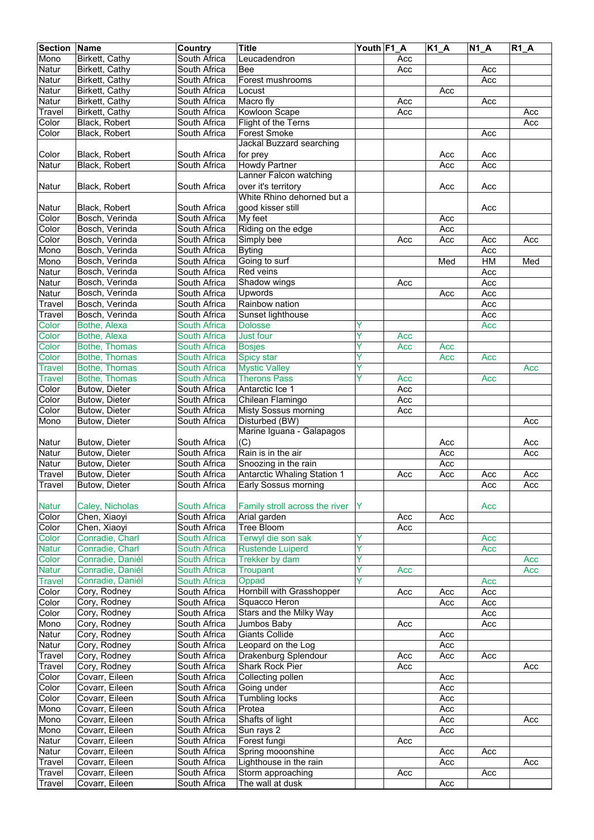| <b>Section Name</b> |                  | <b>Country</b>      | <b>Title</b>                       | Youth F1 A |     | $K1_A$ | $N1_A$ | $R1$ $A$ |
|---------------------|------------------|---------------------|------------------------------------|------------|-----|--------|--------|----------|
| Mono                | Birkett, Cathy   | South Africa        | Leucadendron                       |            | Acc |        |        |          |
| Natur               | Birkett, Cathy   | South Africa        | <b>Bee</b>                         |            | Acc |        | Acc    |          |
| Natur               | Birkett, Cathy   | South Africa        | Forest mushrooms                   |            |     |        | Acc    |          |
| Natur               | Birkett, Cathy   | South Africa        | Locust                             |            |     | Acc    |        |          |
| Natur               | Birkett, Cathy   | South Africa        | Macro fly                          |            |     |        |        |          |
|                     |                  |                     |                                    |            | Acc |        | Acc    |          |
| Travel              | Birkett, Cathy   | South Africa        | <b>Kowloon Scape</b>               |            | Acc |        |        | Acc      |
| Color               | Black, Robert    | South Africa        | Flight of the Terns                |            |     |        |        | Acc      |
| Color               | Black, Robert    | South Africa        | <b>Forest Smoke</b>                |            |     |        | Acc    |          |
|                     |                  |                     | Jackal Buzzard searching           |            |     |        |        |          |
| Color               | Black, Robert    | South Africa        | for prey                           |            |     | Acc    | Acc    |          |
| Natur               | Black, Robert    | South Africa        | Howdy Partner                      |            |     | Acc    | Acc    |          |
|                     |                  |                     | Lanner Falcon watching             |            |     |        |        |          |
| Natur               | Black, Robert    | South Africa        | over it's territory                |            |     | Acc    | Acc    |          |
|                     |                  |                     | White Rhino dehorned but a         |            |     |        |        |          |
| Natur               | Black, Robert    | South Africa        | good kisser still                  |            |     |        | Acc    |          |
| Color               | Bosch, Verinda   | South Africa        | My feet                            |            |     | Acc    |        |          |
| Color               | Bosch, Verinda   | South Africa        | Riding on the edge                 |            |     | Acc    |        |          |
| Color               | Bosch, Verinda   | South Africa        | Simply bee                         |            | Acc | Acc    | Acc    | Acc      |
| Mono                | Bosch, Verinda   | South Africa        |                                    |            |     |        | Acc    |          |
|                     |                  |                     | <b>Byting</b>                      |            |     |        |        |          |
| Mono                | Bosch, Verinda   | South Africa        | Going to surf                      |            |     | Med    | HM     | Med      |
| Natur               | Bosch, Verinda   | South Africa        | Red veins                          |            |     |        | Acc    |          |
| Natur               | Bosch, Verinda   | South Africa        | Shadow wings                       |            | Acc |        | Acc    |          |
| Natur               | Bosch, Verinda   | South Africa        | Upwords                            |            |     | Acc    | Acc    |          |
| Travel              | Bosch, Verinda   | South Africa        | Rainbow nation                     |            |     |        | Acc    |          |
| Travel              | Bosch, Verinda   | South Africa        | Sunset lighthouse                  |            |     |        | Acc    |          |
| Color               | Bothe, Alexa     | <b>South Africa</b> | <b>Dolosse</b>                     | Y          |     |        | Acc    |          |
| Color               | Bothe, Alexa     | <b>South Africa</b> | Just four                          | Y          | Acc |        |        |          |
| Color               | Bothe, Thomas    | South Africa        | <b>Bosjes</b>                      | Y          | Acc | Acc    |        |          |
| Color               | Bothe, Thomas    | <b>South Africa</b> | Spicy star                         | Υ          |     | Acc    | Acc    |          |
| <b>Travel</b>       | Bothe, Thomas    | <b>South Africa</b> | <b>Mystic Valley</b>               | Ÿ          |     |        |        | Acc      |
| <b>Travel</b>       | Bothe, Thomas    | <b>South Africa</b> | <b>Therons Pass</b>                | Ÿ          | Acc |        | Acc    |          |
| Color               | Butow, Dieter    | South Africa        | Antarctic Ice 1                    |            | Acc |        |        |          |
|                     |                  |                     |                                    |            |     |        |        |          |
| Color               | Butow, Dieter    | South Africa        | Chilean Flamingo                   |            | Acc |        |        |          |
| Color               | Butow, Dieter    | South Africa        | <b>Misty Sossus morning</b>        |            | Acc |        |        |          |
| Mono                | Butow, Dieter    | South Africa        | Disturbed (BW)                     |            |     |        |        | Acc      |
|                     |                  |                     | Marine Iguana - Galapagos          |            |     |        |        |          |
| Natur               | Butow, Dieter    | South Africa        | (C)                                |            |     | Acc    |        | Acc      |
| Natur               | Butow, Dieter    | South Africa        | Rain is in the air                 |            |     | Acc    |        | Acc      |
| Natur               | Butow, Dieter    | South Africa        | Snoozing in the rain               |            |     | Acc    |        |          |
| Travel              | Butow, Dieter    | South Africa        | <b>Antarctic Whaling Station 1</b> |            | Acc | Acc    | Acc    | Acc      |
| Travel              | Butow, Dieter    | South Africa        | Early Sossus morning               |            |     |        | Acc    | Acc      |
|                     |                  |                     |                                    |            |     |        |        |          |
| <b>Natur</b>        | Caley, Nicholas  | South Africa        | Family stroll across the river     | Y          |     |        | Acc    |          |
| Color               | Chen, Xiaoyi     | South Africa        | Arial garden                       |            | Acc | Acc    |        |          |
| Color               | Chen, Xiaoyi     | South Africa        | Tree Bloom                         |            | Acc |        |        |          |
|                     | Conradie, Charl  |                     | Terwyl die son sak                 | Ÿ          |     |        |        |          |
| Color               |                  | <b>South Africa</b> |                                    |            |     |        | Acc    |          |
| Natur               | Conradie, Charl  | South Africa        | <b>Rustende Luiperd</b>            | Ý          |     |        | Acc    |          |
| Color               | Conradie, Daniél | <b>South Africa</b> | Trekker by dam                     | Ŷ          |     |        |        | Acc      |
| <b>Natur</b>        | Conradie, Daniél | South Africa        | Troupant                           | Ÿ          | Acc |        |        | Acc      |
| <b>Travel</b>       | Conradie, Daniél | South Africa        | Oppad                              | Υ          |     |        | Acc    |          |
| Color               | Cory, Rodney     | South Africa        | Hornbill with Grasshopper          |            | Acc | Acc    | Acc    |          |
| Color               | Cory, Rodney     | South Africa        | Squacco Heron                      |            |     | Acc    | Acc    |          |
| Color               | Cory, Rodney     | South Africa        | Stars and the Milky Way            |            |     |        | Acc    |          |
| Mono                | Cory, Rodney     | South Africa        | Jumbos Baby                        |            | Acc |        | Acc    |          |
| Natur               | Cory, Rodney     | South Africa        | <b>Giants Collide</b>              |            |     | Acc    |        |          |
| Natur               | Cory, Rodney     | South Africa        | Leopard on the Log                 |            |     | Acc    |        |          |
| Travel              | Cory, Rodney     | South Africa        | Drakenburg Splendour               |            | Acc | Acc    | Acc    |          |
| Travel              | Cory, Rodney     | South Africa        | Shark Rock Pier                    |            | Acc |        |        | Acc      |
| Color               | Covarr, Eileen   | South Africa        | Collecting pollen                  |            |     | Acc    |        |          |
| Color               | Covarr, Eileen   | South Africa        | Going under                        |            |     | Acc    |        |          |
|                     |                  |                     |                                    |            |     |        |        |          |
| Color               | Covarr, Eileen   | South Africa        | <b>Tumbling locks</b>              |            |     | Acc    |        |          |
| Mono                | Covarr, Eileen   | South Africa        | Protea                             |            |     | Acc    |        |          |
| Mono                | Covarr, Eileen   | South Africa        | Shafts of light                    |            |     | Acc    |        | Acc      |
| Mono                | Covarr, Eileen   | South Africa        | Sun rays 2                         |            |     | Acc    |        |          |
| Natur               | Covarr, Eileen   | South Africa        | Forest fungi                       |            | Acc |        |        |          |
| Natur               | Covarr, Eileen   | South Africa        | Spring mooonshine                  |            |     | Acc    | Acc    |          |
| Travel              | Covarr, Eileen   | South Africa        | Lighthouse in the rain             |            |     | Acc    |        | Acc      |
| Travel              | Covarr, Eileen   | South Africa        | Storm approaching                  |            | Acc |        | Acc    |          |
| Travel              | Covarr, Eileen   | South Africa        | The wall at dusk                   |            |     | Acc    |        |          |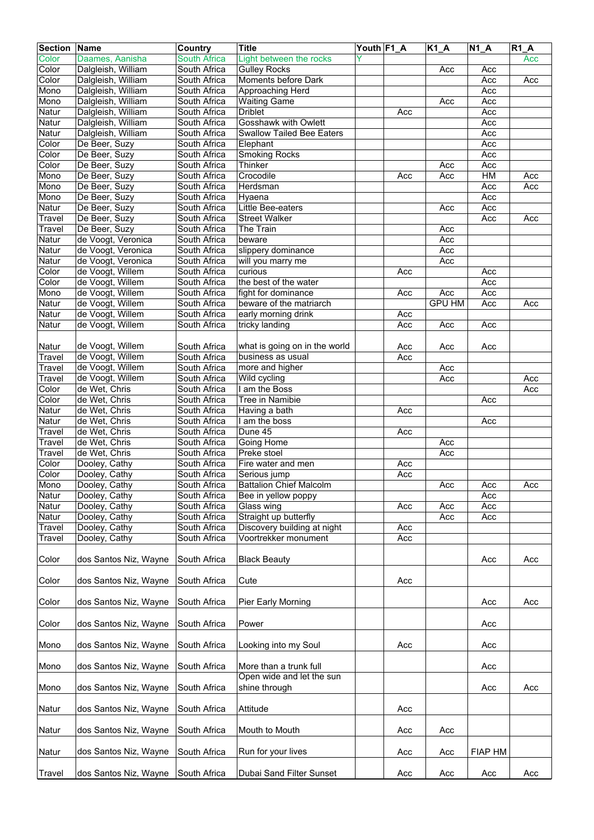| <b>Section Name</b> |                       | Country             | <b>Title</b>                                        | Youth F1_A |     | K1_A          | $N1_A$         | $R1_A$ |
|---------------------|-----------------------|---------------------|-----------------------------------------------------|------------|-----|---------------|----------------|--------|
| Color               | Daames, Aanisha       | <b>South Africa</b> | Light between the rocks                             |            |     |               |                | Acc    |
| Color               | Dalgleish, William    | South Africa        | <b>Gulley Rocks</b>                                 |            |     | Acc           | Acc            |        |
| Color               | Dalgleish, William    | South Africa        | Moments before Dark                                 |            |     |               | Acc            | Acc    |
| Mono                | Dalgleish, William    | South Africa        | Approaching Herd                                    |            |     |               | Acc            |        |
| Mono                | Dalgleish, William    | South Africa        | <b>Waiting Game</b>                                 |            |     | Acc           | Acc            |        |
| Natur               | Dalgleish, William    | South Africa        | <b>Driblet</b>                                      |            | Acc |               | Acc            |        |
| Natur               | Dalgleish, William    | South Africa        | <b>Gosshawk with Owlett</b>                         |            |     |               | Acc            |        |
| Natur               | Dalgleish, William    | South Africa        | <b>Swallow Tailed Bee Eaters</b>                    |            |     |               | Acc            |        |
| Color               | De Beer, Suzy         | South Africa        | Elephant                                            |            |     |               | Acc            |        |
| Color               | De Beer, Suzy         | South Africa        | <b>Smoking Rocks</b>                                |            |     |               | Acc            |        |
| Color               | De Beer, Suzy         | South Africa        | Thinker                                             |            |     | Acc           | Acc            |        |
| Mono                | De Beer, Suzy         | South Africa        | Crocodile                                           |            | Acc | Acc           | H M            | Acc    |
| Mono                | De Beer, Suzy         | South Africa        | Herdsman                                            |            |     |               | Acc            | Acc    |
| Mono                | De Beer, Suzy         | South Africa        | Hyaena                                              |            |     |               | Acc            |        |
| Natur               | De Beer, Suzy         | South Africa        | Little Bee-eaters                                   |            |     | Acc           | Acc            |        |
| Travel              | De Beer, Suzy         | South Africa        | <b>Street Walker</b>                                |            |     |               | Acc            | Acc    |
| Travel              | De Beer, Suzy         | South Africa        | The Train                                           |            |     | Acc           |                |        |
| Natur               | de Voogt, Veronica    | South Africa        | beware                                              |            |     | Acc           |                |        |
| Natur               | de Voogt, Veronica    | South Africa        | slippery dominance                                  |            |     | Acc           |                |        |
| Natur               | de Voogt, Veronica    | South Africa        | will you marry me                                   |            |     | Acc           |                |        |
| Color               | de Voogt, Willem      | South Africa        | curious                                             |            | Acc |               | Acc            |        |
| Color               | de Voogt, Willem      | South Africa        | the best of the water                               |            |     |               | Acc            |        |
| Mono                | de Voogt, Willem      | South Africa        | fight for dominance                                 |            | Acc | Acc           | Acc            |        |
| Natur               | de Voogt, Willem      | South Africa        | beware of the matriarch                             |            |     | <b>GPU HM</b> | Acc            | Acc    |
| Natur               | de Voogt, Willem      | South Africa        | early morning drink                                 |            | Acc |               |                |        |
| Natur               | de Voogt, Willem      | South Africa        | tricky landing                                      |            | Acc | Acc           | Acc            |        |
|                     |                       |                     |                                                     |            |     |               |                |        |
| Natur               | de Voogt, Willem      | South Africa        | what is going on in the world                       |            | Acc | Acc           | Acc            |        |
| Travel              | de Voogt, Willem      | South Africa        | business as usual                                   |            | Acc |               |                |        |
| Travel              | de Voogt, Willem      | South Africa        | more and higher                                     |            |     | Acc           |                |        |
| Travel              | de Voogt, Willem      | South Africa        | Wild cycling                                        |            |     | Acc           |                | Acc    |
| Color               | de Wet, Chris         | South Africa        | I am the Boss                                       |            |     |               |                | Acc    |
| Color               | de Wet, Chris         | South Africa        | Tree in Namibie                                     |            |     |               | Acc            |        |
| Natur               | de Wet, Chris         | South Africa        | Having a bath                                       |            | Acc |               |                |        |
| Natur               | de Wet, Chris         | South Africa        | I am the boss                                       |            |     |               | Acc            |        |
| Travel              | de Wet, Chris         | South Africa        | Dune 45                                             |            | Acc |               |                |        |
| Travel              | de Wet, Chris         | South Africa        | Going Home                                          |            |     | Acc           |                |        |
| Travel              | de Wet, Chris         | South Africa        | Preke stoel                                         |            |     | Acc           |                |        |
| Color               | Dooley, Cathy         | South Africa        | Fire water and men                                  |            | Acc |               |                |        |
| Color               | Dooley, Cathy         | South Africa        | Serious jump                                        |            | Acc |               |                |        |
| Mono                | Dooley, Cathy         | South Africa        | <b>Battalion Chief Malcolm</b>                      |            |     | Acc           | Acc            | Acc    |
| Natur               | Dooley, Cathy         | South Africa        | Bee in yellow poppy                                 |            |     |               | Acc            |        |
| Natur               | Dooley, Cathy         | South Africa        | Glass wing                                          |            | Acc | Acc           | Acc            |        |
| Natur               | Dooley, Cathy         | South Africa        | Straight up butterfly                               |            |     | Acc           | Acc            |        |
| Travel              | Dooley, Cathy         | South Africa        | Discovery building at night                         |            | Acc |               |                |        |
| Travel              | Dooley, Cathy         | South Africa        | Voortrekker monument                                |            | Acc |               |                |        |
|                     |                       |                     |                                                     |            |     |               |                |        |
| Color               | dos Santos Niz, Wayne | South Africa        | <b>Black Beauty</b>                                 |            |     |               | Acc            | Acc    |
|                     |                       |                     |                                                     |            |     |               |                |        |
| Color               | dos Santos Niz, Wayne | South Africa        | Cute                                                |            | Acc |               |                |        |
|                     |                       |                     |                                                     |            |     |               |                |        |
| Color               | dos Santos Niz, Wayne | South Africa        | Pier Early Morning                                  |            |     |               | Acc            | Acc    |
|                     |                       |                     |                                                     |            |     |               |                |        |
| Color               | dos Santos Niz, Wayne | South Africa        | Power                                               |            |     |               | Acc            |        |
|                     |                       |                     |                                                     |            |     |               |                |        |
| Mono                | dos Santos Niz, Wayne | South Africa        | Looking into my Soul                                |            | Acc |               | Acc            |        |
|                     |                       |                     |                                                     |            |     |               |                |        |
|                     |                       |                     |                                                     |            |     |               |                |        |
| Mono                | dos Santos Niz, Wayne | South Africa        | More than a trunk full<br>Open wide and let the sun |            |     |               | Acc            |        |
|                     |                       | South Africa        |                                                     |            |     |               |                |        |
| Mono                | dos Santos Niz, Wayne |                     | shine through                                       |            |     |               | Acc            | Acc    |
|                     |                       |                     |                                                     |            |     |               |                |        |
| Natur               | dos Santos Niz, Wayne | South Africa        | Attitude                                            |            | Acc |               |                |        |
|                     |                       |                     |                                                     |            |     |               |                |        |
| Natur               | dos Santos Niz, Wayne | South Africa        | Mouth to Mouth                                      |            | Acc | Acc           |                |        |
|                     |                       |                     |                                                     |            |     |               |                |        |
| Natur               | dos Santos Niz, Wayne | South Africa        | Run for your lives                                  |            | Acc | Acc           | <b>FIAP HM</b> |        |
|                     |                       |                     |                                                     |            |     |               |                |        |
| Travel              | dos Santos Niz, Wayne | South Africa        | Dubai Sand Filter Sunset                            |            | Acc | Acc           | Acc            | Acc    |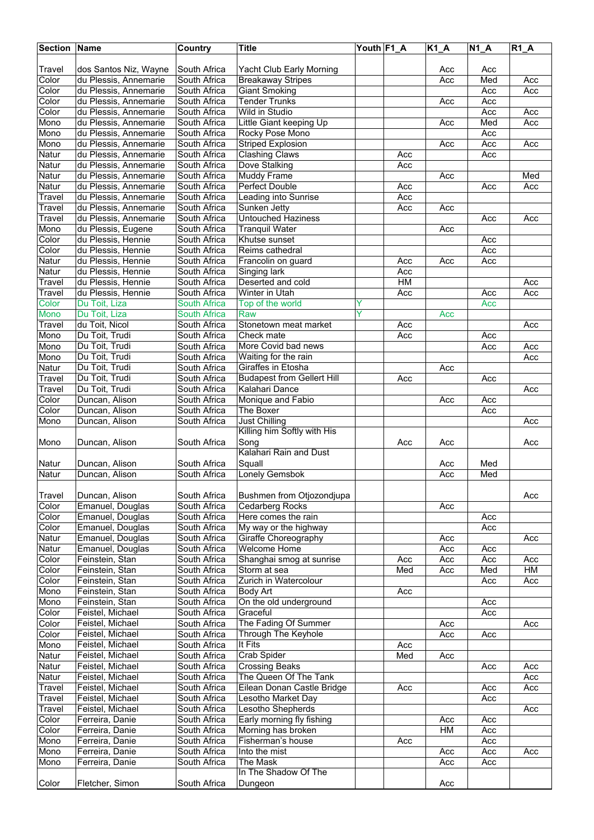| <b>Section Name</b> |                                                | <b>Country</b>               | <b>Title</b>                                        | Youth F1_A |     | $K1_A$ | <b>N1 A</b> | $R1_A$ |
|---------------------|------------------------------------------------|------------------------------|-----------------------------------------------------|------------|-----|--------|-------------|--------|
|                     |                                                |                              |                                                     |            |     |        |             |        |
| Travel              | dos Santos Niz, Wayne                          | South Africa                 | Yacht Club Early Morning                            |            |     | Acc    | Acc         |        |
| Color               | du Plessis, Annemarie                          | South Africa                 | <b>Breakaway Stripes</b>                            |            |     | Acc    | Med         | Acc    |
| Color<br>Color      | du Plessis, Annemarie<br>du Plessis, Annemarie | South Africa<br>South Africa | <b>Giant Smoking</b><br><b>Tender Trunks</b>        |            |     | Acc    | Acc<br>Acc  | Acc    |
| Color               | du Plessis, Annemarie                          | South Africa                 | Wild in Studio                                      |            |     |        | Acc         | Acc    |
| Mono                | du Plessis, Annemarie                          | South Africa                 | Little Giant keeping Up                             |            |     | Acc    | Med         | Acc    |
| Mono                | du Plessis, Annemarie                          | South Africa                 | Rocky Pose Mono                                     |            |     |        | Acc         |        |
| Mono                | du Plessis, Annemarie                          | South Africa                 | <b>Striped Explosion</b>                            |            |     | Acc    | Acc         | Acc    |
| Natur               | du Plessis, Annemarie                          | South Africa                 | <b>Clashing Claws</b>                               |            | Acc |        | Acc         |        |
| Natur               | du Plessis, Annemarie                          | South Africa                 | Dove Stalking                                       |            | Acc |        |             |        |
| Natur               | du Plessis, Annemarie                          | South Africa                 | <b>Muddy Frame</b>                                  |            |     | Acc    |             | Med    |
| Natur               | du Plessis, Annemarie                          | South Africa                 | Perfect Double                                      |            | Acc |        | Acc         | Acc    |
| Travel              | du Plessis, Annemarie                          | South Africa                 | Leading into Sunrise                                |            | Acc |        |             |        |
| Travel              | du Plessis, Annemarie                          | South Africa                 | Sunken Jetty                                        |            | Acc | Acc    |             |        |
| Travel              | du Plessis, Annemarie                          | South Africa                 | <b>Untouched Haziness</b>                           |            |     |        | Acc         | Acc    |
| Mono<br>Color       | du Plessis, Eugene<br>du Plessis, Hennie       | South Africa                 | <b>Tranquil Water</b><br>Khutse sunset              |            |     | Acc    |             |        |
| Color               | du Plessis, Hennie                             | South Africa<br>South Africa | Reims cathedral                                     |            |     |        | Acc<br>Acc  |        |
| Natur               | du Plessis, Hennie                             | South Africa                 | Francolin on guard                                  |            | Acc | Acc    | Acc         |        |
| Natur               | du Plessis, Hennie                             | South Africa                 | <b>Singing lark</b>                                 |            | Acc |        |             |        |
| Travel              | du Plessis, Hennie                             | South Africa                 | Deserted and cold                                   |            | HM  |        |             | Acc    |
| Travel              | du Plessis, Hennie                             | South Africa                 | Winter in Utah                                      |            | Acc |        | Acc         | Acc    |
| Color               | Du Toit, Liza                                  | <b>South Africa</b>          | Top of the world                                    | Y          |     |        | Acc         |        |
| <b>Mono</b>         | Du Toit, Liza                                  | <b>South Africa</b>          | Raw                                                 | Ÿ          |     | Acc    |             |        |
| <b>Travel</b>       | du Toit, Nicol                                 | South Africa                 | Stonetown meat market                               |            | Acc |        |             | Acc    |
| Mono                | Du Toit, Trudi                                 | South Africa                 | Check mate                                          |            | Acc |        | Acc         |        |
| Mono                | Du Toit, Trudi                                 | South Africa                 | More Covid bad news                                 |            |     |        | Acc         | Acc    |
| Mono                | Du Toit, Trudi                                 | South Africa                 | Waiting for the rain                                |            |     |        |             | Acc    |
| Natur               | Du Toit, Trudi                                 | South Africa                 | Giraffes in Etosha                                  |            |     | Acc    |             |        |
| Travel              | Du Toit, Trudi                                 | South Africa                 | <b>Budapest from Gellert Hill</b>                   |            | Acc |        | Acc         |        |
| Travel              | Du Toit, Trudi                                 | South Africa                 | Kalahari Dance                                      |            |     |        |             | Acc    |
| Color<br>Color      | Duncan, Alison<br>Duncan, Alison               | South Africa<br>South Africa | Monique and Fabio<br>The Boxer                      |            |     | Acc    | Acc<br>Acc  |        |
| Mono                | Duncan, Alison                                 | South Africa                 | <b>Just Chilling</b><br>Killing him Softly with His |            |     |        |             | Acc    |
| Mono                | Duncan, Alison                                 | South Africa                 | Song<br>Kalahari Rain and Dust                      |            | Acc | Acc    |             | Acc    |
| Natur               | Duncan, Alison                                 | South Africa                 | Squall                                              |            |     | Acc    | Med         |        |
| Natur               | Duncan, Alison                                 | South Africa                 | <b>Lonely Gemsbok</b>                               |            |     | Acc    | Med         |        |
|                     |                                                |                              |                                                     |            |     |        |             |        |
| Travel              | Duncan, Alison                                 | South Africa                 | Bushmen from Otjozondjupa                           |            |     |        |             | Acc    |
| Color               | Emanuel, Douglas                               | South Africa                 | Cedarberg Rocks                                     |            |     | Acc    |             |        |
| Color               | Emanuel, Douglas                               | South Africa                 | Here comes the rain                                 |            |     |        | Acc         |        |
| Color               | Emanuel, Douglas                               | South Africa                 | My way or the highway                               |            |     |        | Acc         |        |
| Natur               | Emanuel, Douglas                               | South Africa                 | Giraffe Choreography                                |            |     | Acc    |             | Acc    |
| Natur               | Emanuel, Douglas                               | South Africa                 | <b>Welcome Home</b>                                 |            |     | Acc    | Acc         |        |
| Color               | Feinstein, Stan                                | South Africa                 | Shanghai smog at sunrise                            |            | Acc | Acc    | Acc         | Acc    |
| Color               | Feinstein, Stan                                | South Africa                 | Storm at sea                                        |            | Med | Acc    | Med         | HM     |
| Color               | Feinstein, Stan<br>Feinstein, Stan             | South Africa                 | Zurich in Watercolour                               |            | Acc |        | Acc         | Acc    |
| Mono<br>Mono        | Feinstein, Stan                                | South Africa<br>South Africa | Body Art<br>On the old underground                  |            |     |        | Acc         |        |
| Color               | Feistel, Michael                               | South Africa                 | Graceful                                            |            |     |        | Acc         |        |
| Color               | Feistel, Michael                               | South Africa                 | The Fading Of Summer                                |            |     | Acc    |             | Acc    |
| Color               | Feistel, Michael                               | South Africa                 | Through The Keyhole                                 |            |     | Acc    | Acc         |        |
| Mono                | Feistel, Michael                               | South Africa                 | It Fits                                             |            | Acc |        |             |        |
| Natur               | Feistel, Michael                               | South Africa                 | Crab Spider                                         |            | Med | Acc    |             |        |
| Natur               | Feistel, Michael                               | South Africa                 | <b>Crossing Beaks</b>                               |            |     |        | Acc         | Acc    |
| Natur               | Feistel, Michael                               | South Africa                 | The Queen Of The Tank                               |            |     |        |             | Acc    |
| Travel              | Feistel, Michael                               | South Africa                 | Eilean Donan Castle Bridge                          |            | Acc |        | Acc         | Acc    |
| Travel              | Feistel, Michael                               | South Africa                 | Lesotho Market Day                                  |            |     |        | Acc         |        |
| Travel              | Feistel, Michael                               | South Africa                 | Lesotho Shepherds                                   |            |     |        |             | Acc    |
| Color               | Ferreira, Danie                                | South Africa                 | Early morning fly fishing                           |            |     | Acc    | Acc         |        |
| Color               | Ferreira, Danie                                | South Africa                 | Morning has broken                                  |            |     | HM     | Acc         |        |
| Mono<br>Mono        | Ferreira, Danie<br>Ferreira, Danie             | South Africa<br>South Africa | Fisherman's house<br>Into the mist                  |            | Acc | Acc    | Acc<br>Acc  | Acc    |
| Mono                | Ferreira, Danie                                | South Africa                 | The Mask                                            |            |     | Acc    | Acc         |        |
|                     |                                                |                              | In The Shadow Of The                                |            |     |        |             |        |
| Color               | Fletcher, Simon                                | South Africa                 | Dungeon                                             |            |     | Acc    |             |        |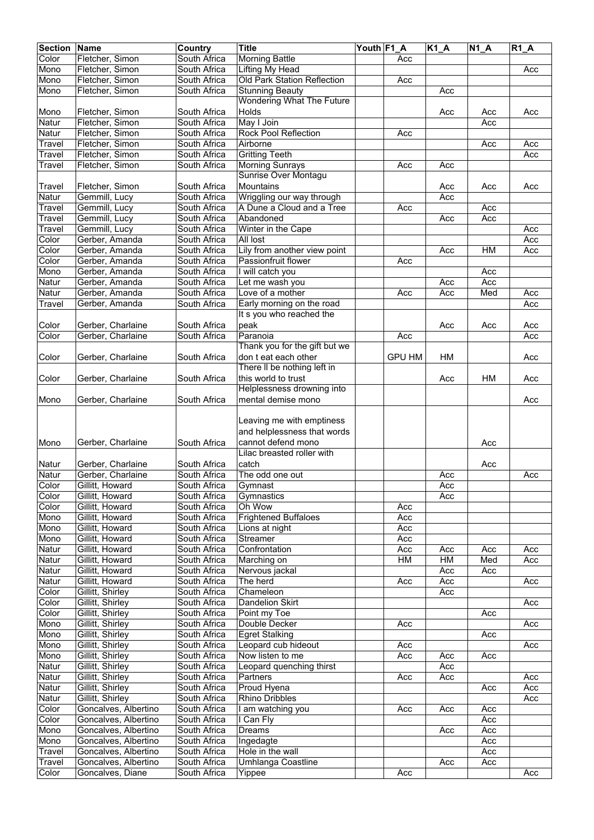| <b>Section</b> | <b>Name</b>                                  | Country                      | <b>Title</b>                     | Youth F1_A |               | $K1_A$ | $N1_A$ | $R1_A$ |
|----------------|----------------------------------------------|------------------------------|----------------------------------|------------|---------------|--------|--------|--------|
| Color          | Fletcher, Simon                              | South Africa                 | <b>Morning Battle</b>            |            | Acc           |        |        |        |
| Mono           | Fletcher, Simon                              | South Africa                 | Lifting My Head                  |            |               |        |        | Acc    |
| Mono           | Fletcher, Simon                              | South Africa                 | Old Park Station Reflection      |            | Acc           |        |        |        |
| Mono           | Fletcher, Simon                              | South Africa                 | <b>Stunning Beauty</b>           |            |               | Acc    |        |        |
|                |                                              |                              | <b>Wondering What The Future</b> |            |               |        |        |        |
| Mono           | Fletcher, Simon                              | South Africa                 | Holds                            |            |               | Acc    | Acc    | Acc    |
| Natur          | Fletcher, Simon                              | South Africa                 | May I Join                       |            |               |        | Acc    |        |
| Natur          | Fletcher, Simon                              | South Africa                 | <b>Rock Pool Reflection</b>      |            | Acc           |        |        |        |
| Travel         | Fletcher, Simon                              | South Africa                 | Airborne                         |            |               |        | Acc    | Acc    |
| Travel         | Fletcher, Simon                              | South Africa                 | <b>Gritting Teeth</b>            |            |               |        |        | Acc    |
| Travel         | Fletcher, Simon                              | South Africa                 | <b>Morning Sunrays</b>           |            | Acc           | Acc    |        |        |
|                |                                              |                              | Sunrise Over Montagu             |            |               |        |        |        |
| Travel         | Fletcher, Simon                              | South Africa                 | Mountains                        |            |               | Acc    | Acc    | Acc    |
| Natur          | Gemmill, Lucy                                | South Africa                 | Wriggling our way through        |            |               | Acc    |        |        |
| Travel         | Gemmill, Lucy                                | South Africa                 | A Dune a Cloud and a Tree        |            | Acc           |        | Acc    |        |
| Travel         | Gemmill, Lucy                                | South Africa                 | Abandoned                        |            |               | Acc    | Acc    |        |
| Travel         | Gemmill, Lucy                                | South Africa                 | Winter in the Cape               |            |               |        |        | Acc    |
| Color          | Gerber, Amanda                               | South Africa                 | All lost                         |            |               |        |        | Acc    |
| Color          | Gerber, Amanda                               | South Africa                 | Lily from another view point     |            |               | Acc    | HM     | Acc    |
| Color          | Gerber, Amanda                               | South Africa                 | Passionfruit flower              |            | Acc           |        |        |        |
| Mono           | Gerber, Amanda                               | South Africa                 | I will catch you                 |            |               |        | Acc    |        |
| Natur          | Gerber, Amanda                               | South Africa                 | Let me wash you                  |            |               | Acc    | Acc    |        |
| Natur          | Gerber, Amanda                               | South Africa                 | Love of a mother                 |            | Acc           | Acc    | Med    | Acc    |
| Travel         | Gerber, Amanda                               | South Africa                 | Early morning on the road        |            |               |        |        | Acc    |
|                |                                              |                              | It s you who reached the         |            |               |        |        |        |
| Color          | Gerber, Charlaine                            | South Africa                 | peak                             |            |               | Acc    | Acc    | Acc    |
| Color          | Gerber, Charlaine                            | South Africa                 | Paranoia                         |            | Acc           |        |        | Acc    |
|                |                                              |                              | Thank you for the gift but we    |            |               |        |        |        |
| Color          | Gerber, Charlaine                            | South Africa                 | don t eat each other             |            | <b>GPU HM</b> | HM     |        | Acc    |
|                |                                              |                              | There II be nothing left in      |            |               |        |        |        |
| Color          | Gerber, Charlaine                            | South Africa                 | this world to trust              |            |               | Acc    | HM     | Acc    |
|                |                                              |                              | Helplessness drowning into       |            |               |        |        |        |
| Mono           | Gerber, Charlaine                            | South Africa                 | mental demise mono               |            |               |        |        | Acc    |
|                |                                              |                              |                                  |            |               |        |        |        |
|                |                                              |                              | Leaving me with emptiness        |            |               |        |        |        |
|                |                                              |                              | and helplessness that words      |            |               |        |        |        |
| Mono           | Gerber, Charlaine                            | South Africa                 | cannot defend mono               |            |               |        | Acc    |        |
|                |                                              |                              | Lilac breasted roller with       |            |               |        |        |        |
| Natur          | Gerber, Charlaine                            | South Africa                 | catch                            |            |               |        | Acc    |        |
| Natur          | Gerber, Charlaine                            | South Africa                 | The odd one out                  |            |               | Acc    |        | Acc    |
| Color          | Gillitt, Howard                              | South Africa                 | Gymnast                          |            |               | Acc    |        |        |
| Color          | Gillitt, Howard                              | South Africa                 | Gymnastics                       |            |               | Acc    |        |        |
| Color          | Gillitt, Howard                              | South Africa                 | Oh Wow                           |            | Acc           |        |        |        |
| Mono           | Gillitt, Howard                              | South Africa                 | <b>Frightened Buffaloes</b>      |            | Acc           |        |        |        |
| Mono           | Gillitt, Howard                              | South Africa                 | Lions at night                   |            | Acc           |        |        |        |
| Mono           | Gillitt, Howard                              | South Africa                 | Streamer                         |            | Acc           |        |        |        |
| Natur          | Gillitt, Howard                              | South Africa                 | Confrontation                    |            | Acc           | Acc    | Acc    | Acc    |
| Natur          | Gillitt, Howard                              | South Africa                 | Marching on                      |            | H M           | HM     | Med    | Acc    |
| Natur          | Gillitt, Howard                              | South Africa                 | Nervous jackal                   |            |               | Acc    |        |        |
| Natur          | Gillitt, Howard                              | South Africa                 | The herd                         |            | Acc           | Acc    | Acc    | Acc    |
| Color          | Gillitt, Shirley                             | South Africa                 | Chameleon                        |            |               | Acc    |        |        |
| Color          | Gillitt, Shirley                             | South Africa                 | <b>Dandelion Skirt</b>           |            |               |        |        | Acc    |
| Color          | Gillitt, Shirley                             | South Africa                 | Point my Toe                     |            |               |        | Acc    |        |
| Mono           | Gillitt, Shirley                             | South Africa                 | Double Decker                    |            | Acc           |        |        | Acc    |
| Mono           | Gillitt, Shirley                             | South Africa                 | <b>Egret Stalking</b>            |            |               |        | Acc    |        |
| Mono           | Gillitt, Shirley                             | South Africa                 | Leopard cub hideout              |            | Acc           |        |        | Acc    |
| Mono           | Gillitt, Shirley                             | South Africa                 | Now listen to me                 |            | Acc           | Acc    | Acc    |        |
| Natur          | Gillitt, Shirley                             | South Africa                 | Leopard quenching thirst         |            |               | Acc    |        |        |
| Natur          | Gillitt, Shirley                             | South Africa                 | Partners                         |            | Acc           | Acc    |        | Acc    |
| Natur          | Gillitt, Shirley                             | South Africa                 | <b>Proud Hyena</b>               |            |               |        | Acc    | Acc    |
| Natur          | Gillitt, Shirley                             | South Africa                 | Rhino Dribbles                   |            |               |        |        | Acc    |
| Color          | Goncalves, Albertino                         | South Africa                 | I am watching you                |            | Acc           | Acc    | Acc    |        |
| Color          | Goncalves, Albertino                         | South Africa                 | I Can Fly                        |            |               |        | Acc    |        |
|                | Goncalves, Albertino                         | South Africa                 | Dreams                           |            |               |        | Acc    |        |
| Mono           |                                              |                              |                                  |            |               | Acc    | Acc    |        |
| Mono           | Goncalves, Albertino<br>Goncalves, Albertino | South Africa<br>South Africa | Ingedagte<br>Hole in the wall    |            |               |        | Acc    |        |
| <b>Travel</b>  | Goncalves, Albertino                         | South Africa                 |                                  |            |               |        |        |        |
| <b>Travel</b>  |                                              |                              | Umhlanga Coastline               |            |               | Acc    | Acc    |        |
| Color          | Goncalves, Diane                             | South Africa                 | Yippee                           |            | Acc           |        |        | Acc    |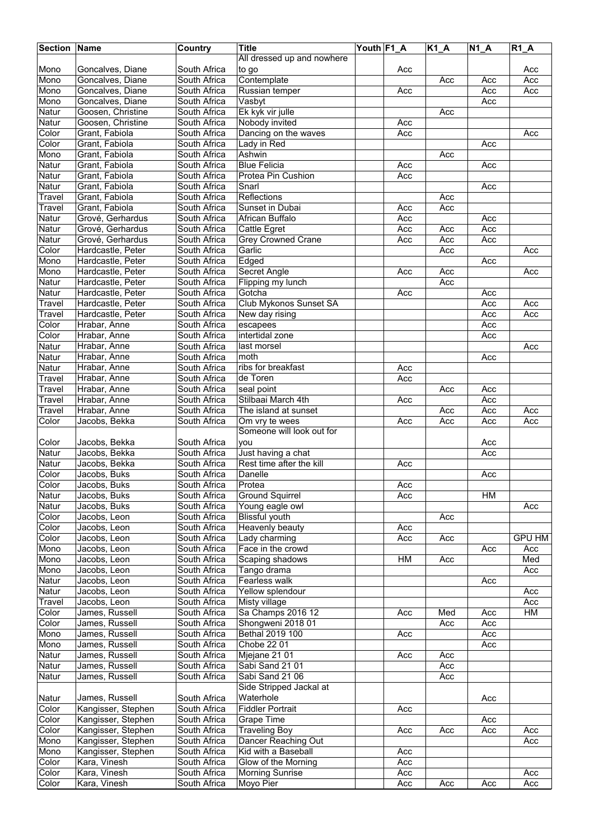| <b>Section Name</b>       |                    | Country      | <b>Title</b>               | Youth F1_A |     | $K1_A$ | $N1_A$ | $R1_A$        |
|---------------------------|--------------------|--------------|----------------------------|------------|-----|--------|--------|---------------|
|                           |                    |              | All dressed up and nowhere |            |     |        |        |               |
| Mono                      | Goncalves, Diane   | South Africa | to go                      |            | Acc |        |        | Acc           |
| Mono                      | Goncalves, Diane   | South Africa | Contemplate                |            |     | Acc    | Acc    | Acc           |
|                           | Goncalves, Diane   |              | Russian temper             |            |     |        |        |               |
| Mono                      |                    | South Africa |                            |            | Acc |        | Acc    | Acc           |
| Mono                      | Goncalves, Diane   | South Africa | Vasbyt                     |            |     |        | Acc    |               |
| Natur                     | Goosen, Christine  | South Africa | Ek kyk vir julle           |            |     | Acc    |        |               |
| Natur                     | Goosen, Christine  | South Africa | Nobody invited             |            | Acc |        |        |               |
| Color                     | Grant, Fabiola     | South Africa | Dancing on the waves       |            | Acc |        |        | Acc           |
| Color                     | Grant, Fabiola     | South Africa | Lady in Red                |            |     |        | Acc    |               |
| Mono                      | Grant, Fabiola     | South Africa | Ashwin                     |            |     | Acc    |        |               |
| Natur                     | Grant, Fabiola     | South Africa | <b>Blue Felicia</b>        |            | Acc |        | Acc    |               |
| Natur                     | Grant, Fabiola     | South Africa | Protea Pin Cushion         |            | Acc |        |        |               |
| Natur                     | Grant, Fabiola     | South Africa | Snarl                      |            |     |        | Acc    |               |
| Travel                    | Grant, Fabiola     | South Africa | Reflections                |            |     | Acc    |        |               |
| <b>Travel</b>             | Grant, Fabiola     | South Africa | Sunset in Dubai            |            | Acc | Acc    |        |               |
| Natur                     | Grové, Gerhardus   | South Africa | African Buffalo            |            | Acc |        | Acc    |               |
| Natur                     | Grové, Gerhardus   | South Africa | Cattle Egret               |            | Acc | Acc    | Acc    |               |
| Natur                     | Grové, Gerhardus   | South Africa | <b>Grey Crowned Crane</b>  |            | Acc | Acc    | Acc    |               |
| Color                     |                    |              | Garlic                     |            |     |        |        |               |
|                           | Hardcastle, Peter  | South Africa |                            |            |     | Acc    |        | Acc           |
| Mono                      | Hardcastle, Peter  | South Africa | Edged                      |            |     |        | Acc    |               |
| Mono                      | Hardcastle, Peter  | South Africa | <b>Secret Angle</b>        |            | Acc | Acc    |        | Acc           |
| Natur                     | Hardcastle, Peter  | South Africa | Flipping my lunch          |            |     | Acc    |        |               |
| Natur                     | Hardcastle, Peter  | South Africa | Gotcha                     |            | Acc |        | Acc    |               |
| <b>Travel</b>             | Hardcastle, Peter  | South Africa | Club Mykonos Sunset SA     |            |     |        | Acc    | Acc           |
| Travel                    | Hardcastle, Peter  | South Africa | New day rising             |            |     |        | Acc    | Acc           |
| Color                     | Hrabar, Anne       | South Africa | escapees                   |            |     |        | Acc    |               |
| Color                     | Hrabar, Anne       | South Africa | intertidal zone            |            |     |        | Acc    |               |
| Natur                     | Hrabar, Anne       | South Africa | last morsel                |            |     |        |        | Acc           |
| Natur                     | Hrabar, Anne       | South Africa | moth                       |            |     |        | Acc    |               |
| Natur                     | Hrabar, Anne       | South Africa | ribs for breakfast         |            | Acc |        |        |               |
| Travel                    | Hrabar, Anne       | South Africa | de Toren                   |            | Acc |        |        |               |
| Travel                    |                    | South Africa | seal point                 |            |     |        | Acc    |               |
|                           | Hrabar, Anne       |              |                            |            |     | Acc    |        |               |
| Travel                    | Hrabar, Anne       | South Africa | Stilbaai March 4th         |            | Acc |        | Acc    |               |
| Travel                    | Hrabar, Anne       | South Africa | The island at sunset       |            |     | Acc    | Acc    | Acc           |
| Color                     | Jacobs, Bekka      | South Africa | Om vry te wees             |            | Acc | Acc    | Acc    | Acc           |
|                           |                    |              | Someone will look out for  |            |     |        |        |               |
| Color                     | Jacobs, Bekka      | South Africa | vou                        |            |     |        | Acc    |               |
| Natur                     | Jacobs, Bekka      | South Africa | Just having a chat         |            |     |        | Acc    |               |
| Natur                     | Jacobs, Bekka      | South Africa | Rest time after the kill   |            | Acc |        |        |               |
| Color                     | Jacobs, Buks       | South Africa | Danelle                    |            |     |        | Acc    |               |
| Color                     | Jacobs, Buks       | South Africa | Protea                     |            | Acc |        |        |               |
| <b>Natur</b>              | Jacobs, Buks       | South Africa | <b>Ground Squirrel</b>     |            | Acc |        | НM     |               |
| Natur                     | Jacobs, Buks       | South Africa | Young eagle owl            |            |     |        |        | Acc           |
| Color                     | Jacobs, Leon       | South Africa | Blissful youth             |            |     | Acc    |        |               |
| Color                     | Jacobs, Leon       | South Africa | Heavenly beauty            |            | Acc |        |        |               |
| Color                     | Jacobs, Leon       | South Africa | Lady charming              |            | Acc | Acc    |        | <b>GPU HM</b> |
|                           |                    |              |                            |            |     |        |        |               |
| Mono                      | Jacobs, Leon       | South Africa | Face in the crowd          |            |     |        | Acc    | Acc           |
| Mono                      | Jacobs, Leon       | South Africa | Scaping shadows            |            | HM  | Acc    |        | Med           |
| Mono                      | Jacobs, Leon       | South Africa | Tango drama                |            |     |        |        | Acc           |
| Natur                     | Jacobs, Leon       | South Africa | Fearless walk              |            |     |        | Acc    |               |
| Natur                     | Jacobs, Leon       | South Africa | Yellow splendour           |            |     |        |        | Acc           |
| <b>Travel</b>             | Jacobs, Leon       | South Africa | Misty village              |            |     |        |        | Acc           |
| Color                     | James, Russell     | South Africa | Sa Champs 2016 12          |            | Acc | Med    | Acc    | HM            |
| Color                     | James, Russell     | South Africa | Shongweni 2018 01          |            |     | Acc    | Acc    |               |
| Mono                      | James, Russell     | South Africa | Bethal 2019 100            |            | Acc |        | Acc    |               |
| Mono                      | James, Russell     | South Africa | Chobe 22 01                |            |     |        | Acc    |               |
| Natur                     | James, Russell     | South Africa | Mjejane 21 01              |            | Acc | Acc    |        |               |
| Natur                     | James, Russell     | South Africa | Sabi Sand 21 01            |            |     | Acc    |        |               |
| Natur                     | James, Russell     | South Africa | Sabi Sand 21 06            |            |     | Acc    |        |               |
|                           |                    |              | Side Stripped Jackal at    |            |     |        |        |               |
|                           | James, Russell     | South Africa | Waterhole                  |            |     |        | Acc    |               |
| Natur                     |                    |              |                            |            |     |        |        |               |
| $\overline{\text{Color}}$ | Kangisser, Stephen | South Africa | <b>Fiddler Portrait</b>    |            | Acc |        |        |               |
| Color                     | Kangisser, Stephen | South Africa | Grape Time                 |            |     |        | Acc    |               |
| Color                     | Kangisser, Stephen | South Africa | <b>Traveling Boy</b>       |            | Acc | Acc    | Acc    | Acc           |
| Mono                      | Kangisser, Stephen | South Africa | Dancer Reaching Out        |            |     |        |        | Acc           |
| Mono                      | Kangisser, Stephen | South Africa | Kid with a Baseball        |            | Acc |        |        |               |
| Color                     | Kara, Vinesh       | South Africa | Glow of the Morning        |            | Acc |        |        |               |
| Color                     | Kara, Vinesh       | South Africa | <b>Morning Sunrise</b>     |            | Acc |        |        | Acc           |
| Color                     | Kara, Vinesh       | South Africa | Moyo Pier                  |            | Acc | Acc    | Acc    | Acc           |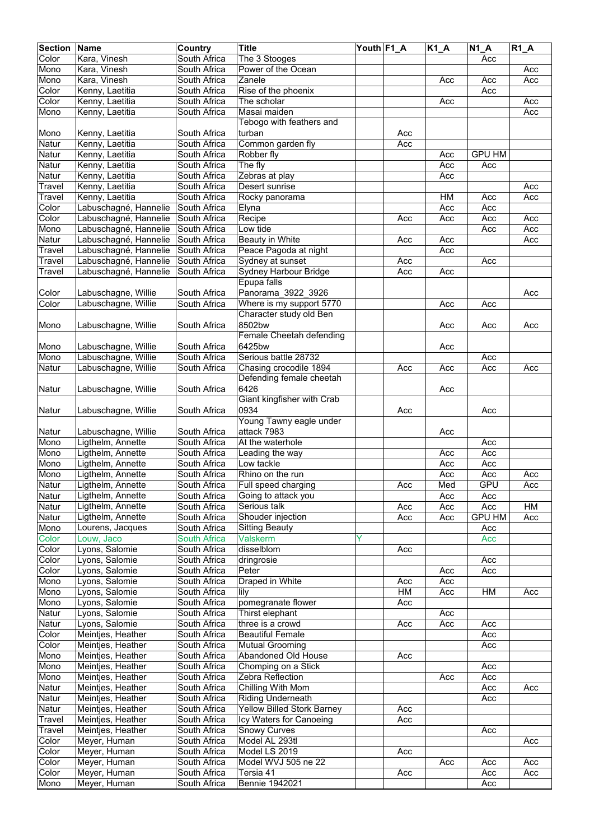| <b>Section</b> | Name                                   | Country                      | <b>Title</b>                        | Youth F1_A |            | $K1_A$     | $\overline{N1}A$ | $R1_A$ |
|----------------|----------------------------------------|------------------------------|-------------------------------------|------------|------------|------------|------------------|--------|
| Color          | Kara, Vinesh                           | South Africa                 | The 3 Stooges                       |            |            |            | Acc              |        |
| Mono           | Kara, Vinesh                           | South Africa                 | Power of the Ocean                  |            |            |            |                  | Acc    |
| Mono           | Kara, Vinesh                           | South Africa                 | Zanele                              |            |            | Acc        | Acc              | Acc    |
| Color          | Kenny, Laetitia                        | South Africa                 | Rise of the phoenix                 |            |            |            | Acc              |        |
| Color          | Kenny, Laetitia                        | South Africa                 | The scholar                         |            |            | Acc        |                  | Acc    |
| Mono           | Kenny, Laetitia                        | South Africa                 | Masai maiden                        |            |            |            |                  | Acc    |
|                |                                        |                              | Tebogo with feathers and            |            |            |            |                  |        |
| Mono           | Kenny, Laetitia                        | South Africa                 | turban                              |            | Acc        |            |                  |        |
| Natur          | Kenny, Laetitia                        | South Africa                 | Common garden fly                   |            | Acc        |            |                  |        |
| Natur          | Kenny, Laetitia                        | South Africa                 | Robber fly                          |            |            | Acc        | <b>GPU HM</b>    |        |
| Natur          | Kenny, Laetitia                        | South Africa                 | The fly                             |            |            | Acc        | Acc              |        |
| Natur          | Kenny, Laetitia                        | South Africa                 | Zebras at play                      |            |            | Acc        |                  |        |
| Travel         | Kenny, Laetitia                        | South Africa                 | Desert sunrise                      |            |            |            |                  | Acc    |
| Travel         | Kenny, Laetitia                        | South Africa                 | Rocky panorama                      |            |            | HM         | Acc              | Acc    |
| Color          | Labuschagné, Hannelie                  | South Africa                 | Elyna                               |            |            | Acc        | Acc              |        |
| Color          | Labuschagné, Hannelie                  | South Africa                 | Recipe                              |            | Acc        | Acc        | Acc              | Acc    |
| Mono           | Labuschagné, Hannelie                  | South Africa                 | Low tide                            |            |            |            | Acc              | Acc    |
| Natur          | Labuschagné, Hannelie                  | South Africa                 | Beauty in White                     |            | Acc        | Acc        |                  | Acc    |
| Travel         | Labuschagné, Hannelie                  | South Africa                 | Peace Pagoda at night               |            |            | Acc        |                  |        |
| Travel         | Labuschagné, Hannelie                  | South Africa                 | Sydney at sunset                    |            | Acc        |            | Acc              |        |
| Travel         | Labuschagné, Hannelie                  | South Africa                 | Sydney Harbour Bridge               |            | Acc        | Acc        |                  |        |
|                |                                        |                              | Epupa falls                         |            |            |            |                  |        |
| Color          | Labuschagne, Willie                    | South Africa                 | Panorama 3922 3926                  |            |            |            |                  | Acc    |
| Color          | Labuschagne, Willie                    | South Africa                 | Where is my support 5770            |            |            | Acc        | Acc              |        |
|                |                                        |                              | Character study old Ben             |            |            |            |                  |        |
| Mono           | Labuschagne, Willie                    | South Africa                 | 8502bw                              |            |            | Acc        | Acc              | Acc    |
|                |                                        |                              | Female Cheetah defending            |            |            |            |                  |        |
| Mono           | Labuschagne, Willie                    | South Africa                 | 6425bw                              |            |            | Acc        |                  |        |
| Mono           | Labuschagne, Willie                    | South Africa                 | Serious battle 28732                |            |            |            | Acc              |        |
| Natur          | Labuschagne, Willie                    | South Africa                 | Chasing crocodile 1894              |            | Acc        | Acc        | Acc              | Acc    |
|                |                                        |                              | Defending female cheetah            |            |            |            |                  |        |
| Natur          | Labuschagne, Willie                    | South Africa                 | 6426                                |            |            | Acc        |                  |        |
|                |                                        |                              | Giant kingfisher with Crab          |            |            |            |                  |        |
| Natur          | Labuschagne, Willie                    | South Africa                 | 0934                                |            | Acc        |            | Acc              |        |
|                |                                        |                              | Young Tawny eagle under             |            |            |            |                  |        |
| Natur          | Labuschagne, Willie                    | South Africa                 | attack 7983                         |            |            | Acc        |                  |        |
| Mono           | Ligthelm, Annette                      | South Africa                 | At the waterhole                    |            |            |            | Acc              |        |
| Mono           | Ligthelm, Annette                      | South Africa                 | Leading the way                     |            |            | Acc        | Acc              |        |
| Mono           | Ligthelm, Annette                      | South Africa                 | Low tackle                          |            |            | Acc        | Acc              |        |
| Mono           | Ligthelm, Annette                      | South Africa                 | Rhino on the run                    |            |            | Acc        | Acc              | Acc    |
| Natur          |                                        |                              |                                     |            |            |            | GPU              |        |
| Natur          | Ligthelm, Annette<br>Ligthelm, Annette | South Africa<br>South Africa | Full speed charging                 |            | Acc        | Med<br>Acc | Acc              | Acc    |
| Natur          | Ligthelm, Annette                      | South Africa                 | Going to attack you<br>Serious talk |            |            |            | Acc              | HM     |
| Natur          | Ligthelm, Annette                      | South Africa                 | Shouder injection                   |            | Acc<br>Acc | Acc<br>Acc | <b>GPU HM</b>    | Acc    |
|                | Lourens, Jacques                       | South Africa                 | <b>Sitting Beauty</b>               |            |            |            | Acc              |        |
| Mono<br>Color  | Louw, Jaco                             | South Africa                 | <b>Valskerm</b>                     | Y          |            |            | Acc              |        |
| Color          | Lyons, Salomie                         | South Africa                 | disselblom                          |            | Acc        |            |                  |        |
| Color          | Lyons, Salomie                         | South Africa                 | dringrosie                          |            |            |            | Acc              |        |
|                | Lyons, Salomie                         |                              | Peter                               |            |            |            | Acc              |        |
| Color<br>Mono  | Lyons, Salomie                         | South Africa<br>South Africa | Draped in White                     |            | Acc        | Acc<br>Acc |                  |        |
| Mono           | Lyons, Salomie                         | South Africa                 | lily                                |            | HM         | Acc        | HM               | Acc    |
| Mono           | Lyons, Salomie                         | South Africa                 | pomegranate flower                  |            | Acc        |            |                  |        |
| Natur          | Lyons, Salomie                         | South Africa                 | Thirst elephant                     |            |            | Acc        |                  |        |
| Natur          | Lyons, Salomie                         | South Africa                 | three is a crowd                    |            | Acc        | Acc        | Acc              |        |
| Color          | Meintjes, Heather                      | South Africa                 | <b>Beautiful Female</b>             |            |            |            | Acc              |        |
| Color          | Meintjes, Heather                      | South Africa                 | <b>Mutual Grooming</b>              |            |            |            | Acc              |        |
| Mono           | Meintjes, Heather                      | South Africa                 | Abandoned Old House                 |            | Acc        |            |                  |        |
| Mono           | Meintjes, Heather                      | South Africa                 | Chomping on a Stick                 |            |            |            | Acc              |        |
| Mono           | Meintjes, Heather                      | South Africa                 | Zebra Reflection                    |            |            | Acc        | Acc              |        |
| Natur          | Meintjes, Heather                      | South Africa                 | Chilling With Mom                   |            |            |            | Acc              | Acc    |
| Natur          | Meintjes, Heather                      | South Africa                 | <b>Riding Underneath</b>            |            |            |            | Acc              |        |
| Natur          | Meintjes, Heather                      | South Africa                 | Yellow Billed Stork Barney          |            | Acc        |            |                  |        |
| Travel         | Meintjes, Heather                      | South Africa                 | Icy Waters for Canoeing             |            | Acc        |            |                  |        |
| Travel         | Meintjes, Heather                      | South Africa                 | Snowy Curves                        |            |            |            | Acc              |        |
| Color          | Meyer, Human                           | South Africa                 | Model AL 293tl                      |            |            |            |                  | Acc    |
| Color          | Meyer, Human                           | South Africa                 | Model LS 2019                       |            | Acc        |            |                  |        |
| Color          | Meyer, Human                           | South Africa                 | Model WVJ 505 ne 22                 |            |            | Acc        | Acc              | Acc    |
| Color          | Meyer, Human                           | South Africa                 | Tersia 41                           |            |            |            | Acc              | Acc    |
| Mono           | Meyer, Human                           | South Africa                 | Bennie 1942021                      |            | Acc        |            | Acc              |        |
|                |                                        |                              |                                     |            |            |            |                  |        |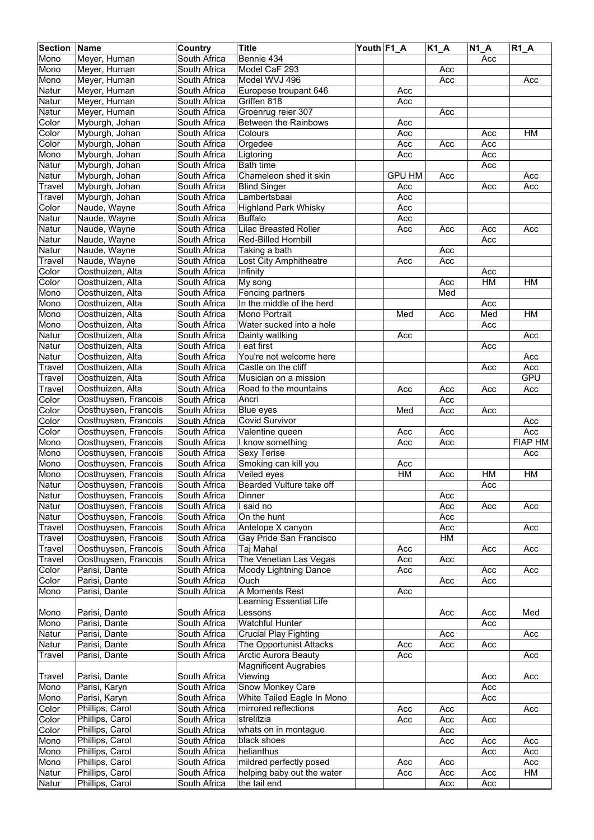| <b>Section Name</b> |                      | Country      | <b>Title</b>                 | Youth F1_A |               | $K1_A$ | $N1_A$ | $R1_A$         |
|---------------------|----------------------|--------------|------------------------------|------------|---------------|--------|--------|----------------|
| Mono                | Meyer, Human         | South Africa | Bennie 434                   |            |               |        | Acc    |                |
| Mono                | Meyer, Human         | South Africa | Model CaF 293                |            |               | Acc    |        |                |
| Mono                | Meyer, Human         | South Africa | Model WVJ 496                |            |               | Acc    |        | Acc            |
| <b>Natur</b>        | Meyer, Human         | South Africa | Europese troupant 646        |            | Acc           |        |        |                |
| Natur               | Meyer, Human         | South Africa | Griffen 818                  |            | Acc           |        |        |                |
| Natur               | Meyer, Human         | South Africa | Groenrug reier 307           |            |               | Acc    |        |                |
| Color               | Myburgh, Johan       | South Africa | Between the Rainbows         |            | Acc           |        |        |                |
| Color               | Myburgh, Johan       | South Africa | Colours                      |            | Acc           |        | Acc    | HM             |
| Color               | Myburgh, Johan       | South Africa | Orgedee                      |            | Acc           | Acc    | Acc    |                |
| Mono                | Myburgh, Johan       | South Africa | Ligtoring                    |            | Acc           |        | Acc    |                |
| Natur               | Myburgh, Johan       | South Africa | <b>Bath time</b>             |            |               |        | Acc    |                |
| <b>Natur</b>        | Myburgh, Johan       | South Africa | Chameleon shed it skin       |            | <b>GPU HM</b> | Acc    |        | Acc            |
| Travel              | Myburgh, Johan       | South Africa | <b>Blind Singer</b>          |            | Acc           |        | Acc    | Acc            |
| Travel              | Myburgh, Johan       | South Africa | Lambertsbaai                 |            | Acc           |        |        |                |
| Color               | Naude, Wayne         | South Africa | <b>Highland Park Whisky</b>  |            | Acc           |        |        |                |
| Natur               | Naude, Wayne         | South Africa | <b>Buffalo</b>               |            | Acc           |        |        |                |
| Natur               | Naude, Wayne         | South Africa | <b>Lilac Breasted Roller</b> |            | Acc           | Acc    | Acc    | Acc            |
| <b>Natur</b>        | Naude, Wayne         | South Africa | Red-Billed Hornbill          |            |               |        | Acc    |                |
| Natur               | Naude, Wayne         | South Africa | Taking a bath                |            |               | Acc    |        |                |
| Travel              | Naude, Wayne         | South Africa | Lost City Amphitheatre       |            | Acc           | Acc    |        |                |
| Color               | Oosthuizen, Alta     | South Africa | Infinity                     |            |               |        | Acc    |                |
| Color               | Oosthuizen, Alta     | South Africa | My song                      |            |               | Acc    | H M    | <b>HM</b>      |
| Mono                | Oosthuizen, Alta     | South Africa | Fencing partners             |            |               | Med    |        |                |
| Mono                | Oosthuizen, Alta     | South Africa | In the middle of the herd    |            |               |        | Acc    |                |
| Mono                | Oosthuizen, Alta     | South Africa | Mono Portrait                |            | Med           | Acc    | Med    | HM             |
| Mono                | Oosthuizen, Alta     | South Africa | Water sucked into a hole     |            |               |        | Acc    |                |
| Natur               | Oosthuizen, Alta     | South Africa | Dainty watlking              |            | Acc           |        |        | Acc            |
| Natur               | Oosthuizen, Alta     | South Africa | I eat first                  |            |               |        | Acc    |                |
| Natur               | Oosthuizen, Alta     | South Africa | You're not welcome here      |            |               |        |        | Acc            |
| Travel              | Oosthuizen, Alta     | South Africa | Castle on the cliff          |            |               |        | Acc    | Acc            |
| Travel              | Oosthuizen, Alta     | South Africa | Musician on a mission        |            |               |        |        | <b>GPU</b>     |
| Travel              | Oosthuizen, Alta     | South Africa | Road to the mountains        |            | Acc           | Acc    | Acc    | Acc            |
| Color               | Oosthuysen, Francois | South Africa | Ancri                        |            |               | Acc    |        |                |
| Color               | Oosthuysen, Francois | South Africa | Blue eyes                    |            | Med           | Acc    | Acc    |                |
| Color               | Oosthuysen, Francois | South Africa | Covid Survivor               |            |               |        |        | Acc            |
| Color               | Oosthuysen, Francois | South Africa | Valentine queen              |            | Acc           | Acc    |        | Acc            |
| Mono                | Oosthuysen, Francois | South Africa | I know something             |            | Acc           | Acc    |        | <b>FIAP HM</b> |
| Mono                | Oosthuysen, Francois | South Africa | Sexy Terise                  |            |               |        |        | Acc            |
| Mono                | Oosthuysen, Francois | South Africa | Smoking can kill you         |            | Acc           |        |        |                |
| Mono                | Oosthuysen, Francois | South Africa | Veiled eyes                  |            | HM            | Acc    | HM     | HM             |
| Natur               | Oosthuysen, Francois | South Africa | Bearded Vulture take off     |            |               |        | Acc    |                |
| <b>Natur</b>        | Oosthuysen, Francois | South Africa | Dinner                       |            |               | Acc    |        |                |
| Natur               | Oosthuysen, Francois | South Africa | I said no                    |            |               | Acc    | Acc    | Acc            |
| Natur               | Oosthuysen, Francois | South Africa | On the hunt                  |            |               | Acc    |        |                |
| Travel              | Oosthuysen, Francois | South Africa | Antelope X canyon            |            |               | Acc    |        | Acc            |
| Travel              | Oosthuysen, Francois | South Africa | Gay Pride San Francisco      |            |               | HM     |        |                |
| Travel              | Oosthuysen, Francois | South Africa | Taj Mahal                    |            | Acc           |        | Acc    | Acc            |
| Travel              | Oosthuysen, Francois | South Africa | The Venetian Las Vegas       |            | Acc           | Acc    |        |                |
| Color               | Parisi, Dante        | South Africa | Moody Lightning Dance        |            | Acc           |        | Acc    | Acc            |
| Color               | Parisi, Dante        | South Africa | Ouch                         |            |               | Acc    | Acc    |                |
| Mono                | Parisi, Dante        | South Africa | A Moments Rest               |            | Acc           |        |        |                |
|                     |                      |              | Learning Essential Life      |            |               |        |        |                |
| Mono                | Parisi, Dante        | South Africa | Lessons                      |            |               | Acc    | Acc    | Med            |
| Mono                | Parisi, Dante        | South Africa | <b>Watchful Hunter</b>       |            |               |        | Acc    |                |
| Natur               | Parisi, Dante        | South Africa | <b>Crucial Play Fighting</b> |            |               | Acc    |        | Acc            |
| Natur               | Parisi, Dante        | South Africa | The Opportunist Attacks      |            | Acc           | Acc    | Acc    |                |
| Travel              | Parisi, Dante        | South Africa | <b>Arctic Aurora Beauty</b>  |            | Acc           |        |        | Acc            |
|                     |                      |              | <b>Magnificent Augrabies</b> |            |               |        |        |                |
| Travel              | Parisi, Dante        | South Africa | Viewing                      |            |               |        | Acc    | Acc            |
| Mono                | Parisi, Karyn        | South Africa | <b>Snow Monkey Care</b>      |            |               |        | Acc    |                |
| Mono                | Parisi, Karyn        | South Africa | White Tailed Eagle In Mono   |            |               |        | Acc    |                |
| Color               | Phillips, Carol      | South Africa | mirrored reflections         |            | Acc           | Acc    |        | Acc            |
| Color               | Phillips, Carol      | South Africa | strelitzia                   |            | Acc           | Acc    | Acc    |                |
| Color               | Phillips, Carol      | South Africa | whats on in montague         |            |               | Acc    |        |                |
| Mono                | Phillips, Carol      | South Africa | black shoes                  |            |               | Acc    | Acc    | Acc            |
| Mono                | Phillips, Carol      | South Africa | helianthus                   |            |               |        | Acc    | Acc            |
| Mono                | Phillips, Carol      | South Africa | mildred perfectly posed      |            | Acc           | Acc    |        | Acc            |
| Natur               | Phillips, Carol      | South Africa | helping baby out the water   |            | Acc           | Acc    | Acc    | HM             |
| Natur               | Phillips, Carol      | South Africa | the tail end                 |            |               | Acc    | Acc    |                |
|                     |                      |              |                              |            |               |        |        |                |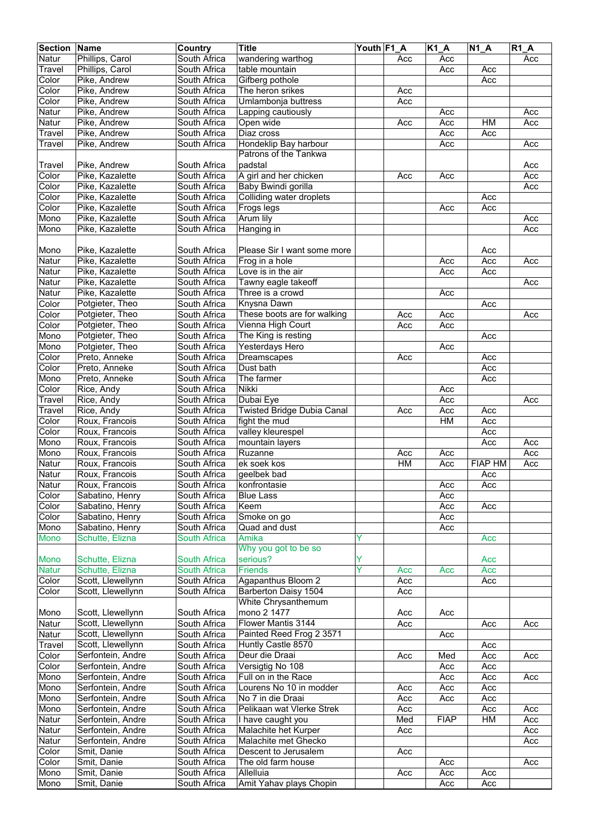| <b>Section Name</b> |                   | Country             | <b>Title</b>                | Youth F1 A |     | $K1_A$      | $N1_A$         | $R1_A$ |
|---------------------|-------------------|---------------------|-----------------------------|------------|-----|-------------|----------------|--------|
| Natur               | Phillips, Carol   | South Africa        | wandering warthog           |            | Acc | Acc         |                | Acc    |
| Travel              | Phillips, Carol   | South Africa        | table mountain              |            |     | Acc         | Acc            |        |
| Color               | Pike, Andrew      | South Africa        | Gifberg pothole             |            |     |             | Acc            |        |
| Color               | Pike, Andrew      | South Africa        | The heron srikes            |            | Acc |             |                |        |
| Color               | Pike, Andrew      | South Africa        | Umlambonja buttress         |            | Acc |             |                |        |
| Natur               | Pike, Andrew      | South Africa        | Lapping cautiously          |            |     | Acc         |                | Acc    |
| Natur               | Pike, Andrew      | South Africa        | Open wide                   |            | Acc | Acc         | HM             | Acc    |
| Travel              | Pike, Andrew      | South Africa        | Diaz cross                  |            |     | Acc         | Acc            |        |
| Travel              | Pike, Andrew      | South Africa        | Hondeklip Bay harbour       |            |     | Acc         |                | Acc    |
|                     |                   |                     | Patrons of the Tankwa       |            |     |             |                |        |
| Travel              | Pike, Andrew      | South Africa        | padstal                     |            |     |             |                | Acc    |
| Color               | Pike, Kazalette   | South Africa        | A girl and her chicken      |            | Acc | Acc         |                | Acc    |
| Color               | Pike, Kazalette   | South Africa        | Baby Bwindi gorilla         |            |     |             |                | Acc    |
| Color               | Pike, Kazalette   | South Africa        | Colliding water droplets    |            |     |             | Acc            |        |
| Color               | Pike, Kazalette   | South Africa        | Frogs legs                  |            |     | Acc         | Acc            |        |
| Mono                | Pike, Kazalette   | South Africa        | Arum lily                   |            |     |             |                | Acc    |
| Mono                | Pike, Kazalette   | South Africa        | Hanging in                  |            |     |             |                | Acc    |
|                     |                   |                     |                             |            |     |             |                |        |
| Mono                | Pike, Kazalette   | South Africa        | Please Sir I want some more |            |     |             | Acc            |        |
| Natur               | Pike, Kazalette   | South Africa        | Frog in a hole              |            |     | Acc         | Acc            | Acc    |
| Natur               | Pike, Kazalette   | South Africa        | Love is in the air          |            |     | Acc         | Acc            |        |
| Natur               | Pike, Kazalette   | South Africa        | Tawny eagle takeoff         |            |     |             |                | Acc    |
| Natur               | Pike, Kazalette   | South Africa        | Three is a crowd            |            |     | Acc         |                |        |
| Color               | Potgieter, Theo   | South Africa        | Knysna Dawn                 |            |     |             | Acc            |        |
| Color               | Potgieter, Theo   | South Africa        | These boots are for walking |            | Acc | Acc         |                | Acc    |
| Color               | Potgieter, Theo   | South Africa        | Vienna High Court           |            | Acc | Acc         |                |        |
| Mono                | Potgieter, Theo   | South Africa        | The King is resting         |            |     |             | Acc            |        |
| Mono                | Potgieter, Theo   | South Africa        | Yesterdays Hero             |            |     | Acc         |                |        |
| Color               | Preto, Anneke     | South Africa        | Dreamscapes                 |            | Acc |             | Acc            |        |
| Color               | Preto, Anneke     | South Africa        | Dust bath                   |            |     |             | Acc            |        |
| Mono                | Preto, Anneke     | South Africa        | The farmer                  |            |     |             | Acc            |        |
| Color               | Rice, Andy        | South Africa        | <b>Nikki</b>                |            |     | Acc         |                |        |
| Travel              | Rice, Andy        | South Africa        | Dubai Eye                   |            |     | Acc         |                | Acc    |
| Travel              | Rice, Andy        | South Africa        | Twisted Bridge Dubia Canal  |            | Acc | Acc         | Acc            |        |
| Color               | Roux, Francois    | South Africa        | fight the mud               |            |     | HM          | Acc            |        |
| Color               | Roux, Francois    | South Africa        | valley kleurespel           |            |     |             | Acc            |        |
| Mono                | Roux, Francois    | South Africa        | mountain layers             |            |     |             | Acc            | Acc    |
| Mono                | Roux, Francois    | South Africa        | Ruzanne                     |            | Acc | Acc         |                | Acc    |
| Natur               | Roux, Francois    | South Africa        | ek soek kos                 |            | H M | Acc         | <b>FIAP HM</b> | Acc    |
| Natur               | Roux, Francois    | South Africa        | geelbek bad                 |            |     |             | Acc            |        |
| Natur               | Roux, Francois    | South Africa        | konfrontasie                |            |     | Acc         | Acc            |        |
| Color               | Sabatino, Henry   | South Africa        | <b>Blue Lass</b>            |            |     | Acc         |                |        |
| Color               | Sabatino, Henry   | South Africa        | Keem                        |            |     | Acc         | Acc            |        |
| Color               | Sabatino, Henry   | South Africa        | Smoke on go                 |            |     | Acc         |                |        |
| Mono                | Sabatino, Henry   | South Africa        | Quad and dust               |            |     | Acc         |                |        |
| Mono                | Schutte, Elizna   | <b>South Africa</b> | Amika                       | Y          |     |             | Acc            |        |
|                     |                   |                     | Why you got to be so        |            |     |             |                |        |
| <b>Mono</b>         | Schutte, Elizna   | <b>South Africa</b> | serious?                    | Y          |     |             | Acc            |        |
| <b>Natur</b>        | Schutte, Elizna   | <b>South Africa</b> | <b>Friends</b>              | Ŷ          | Acc | Acc         | Acc            |        |
| Color               | Scott, Llewellynn | South Africa        | <b>Agapanthus Bloom 2</b>   |            | Acc |             | Acc            |        |
| Color               | Scott, Llewellynn | South Africa        | Barberton Daisy 1504        |            | Acc |             |                |        |
|                     |                   |                     | White Chrysanthemum         |            |     |             |                |        |
| Mono                | Scott, Llewellynn | South Africa        | mono 2 1477                 |            | Acc | Acc         |                |        |
| Natur               | Scott, Llewellynn | South Africa        | Flower Mantis 3144          |            | Acc |             | Acc            | Acc    |
| Natur               | Scott, Llewellynn | South Africa        | Painted Reed Frog 2 3571    |            |     | Acc         |                |        |
| Travel              | Scott, Llewellynn | South Africa        | Huntly Castle 8570          |            |     |             | Acc            |        |
| Color               | Serfontein, Andre | South Africa        | Deur die Draai              |            | Acc | Med         | Acc            | Acc    |
| Color               | Serfontein, Andre | South Africa        | Versigtig No 108            |            |     | Acc         | Acc            |        |
| Mono                | Serfontein, Andre | South Africa        | Full on in the Race         |            |     | Acc         | Acc            | Acc    |
| Mono                | Serfontein, Andre | South Africa        | Lourens No 10 in modder     |            | Acc | Acc         | Acc            |        |
| Mono                | Serfontein, Andre | South Africa        | No 7 in die Draai           |            | Acc | Acc         | Acc            |        |
| Mono                | Serfontein, Andre | South Africa        | Pelikaan wat Vlerke Strek   |            | Acc |             | Acc            | Acc    |
| Natur               | Serfontein, Andre | South Africa        | I have caught you           |            | Med | <b>FIAP</b> | HM             | Acc    |
| Natur               | Serfontein, Andre | South Africa        | Malachite het Kurper        |            | Acc |             |                | Acc    |
| Natur               | Serfontein, Andre | South Africa        | Malachite met Ghecko        |            |     |             |                | Acc    |
| Color               | Smit, Danie       | South Africa        | Descent to Jerusalem        |            | Acc |             |                |        |
| Color               |                   | South Africa        | The old farm house          |            |     |             |                | Acc    |
|                     | Smit, Danie       | South Africa        | Allelluia                   |            |     | Acc         |                |        |
| Mono                | Smit, Danie       |                     |                             |            | Acc | Acc         | Acc            |        |
| Mono                | Smit, Danie       | South Africa        | Amit Yahav plays Chopin     |            |     | Acc         | Acc            |        |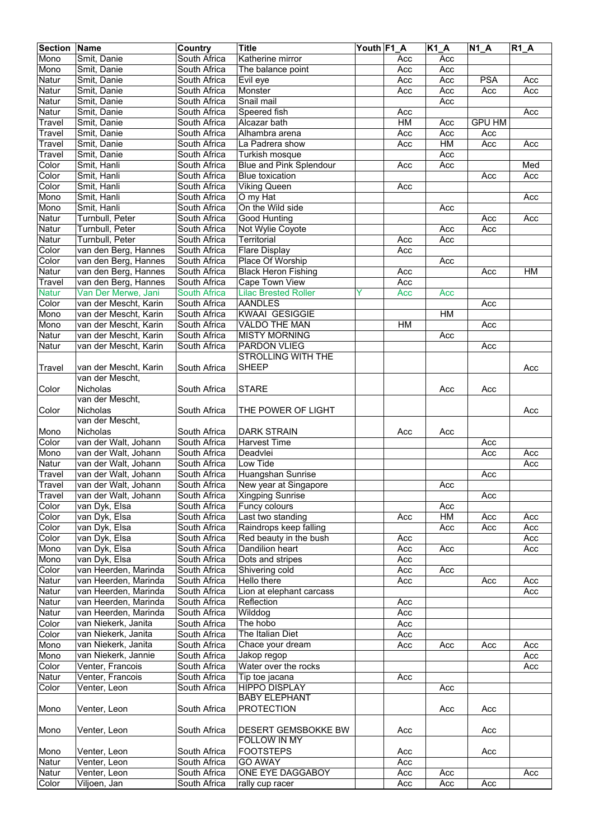| South Africa<br>Mono<br>Smit, Danie<br>Katherine mirror<br>Acc<br>Acc<br>Mono<br>Smit, Danie<br>South Africa<br>Acc<br>The balance point<br>Acc<br><b>PSA</b><br>Natur<br>Smit, Danie<br>South Africa<br>Evil eye<br>Acc<br>Acc<br>Acc<br>Natur<br>South Africa<br>Monster<br>Acc<br>Smit, Danie<br>Acc<br>Acc<br>Acc<br>Snail mail<br>Natur<br>Smit, Danie<br>South Africa<br>Acc<br>South Africa<br>Speered fish<br>Natur<br>Smit, Danie<br>Acc<br>Acc<br>HM<br><b>GPU HM</b><br>Smit, Danie<br>South Africa<br>Alcazar bath<br>Travel<br>Acc<br>Travel<br>Smit, Danie<br>South Africa<br>Alhambra arena<br>Acc<br>Acc<br>Acc<br>HM<br>Travel<br>Smit, Danie<br>Acc<br>South Africa<br>La Padrera show<br>Acc<br>Acc<br>South Africa<br>Acc<br>Travel<br>Smit, Danie<br>Turkish mosque<br>Color<br>Smit, Hanli<br>South Africa<br>Blue and Pink Splendour<br>Acc<br>Med<br>Acc<br>Color<br>Smit, Hanli<br>South Africa<br><b>Blue toxication</b><br>Acc<br>Acc<br>Color<br>Smit, Hanli<br>South Africa<br><b>Viking Queen</b><br>Acc<br>Mono<br>Smit, Hanli<br>South Africa<br>O my Hat<br>Acc<br>Smit, Hanli<br>South Africa<br>On the Wild side<br>Acc<br>Turnbull, Peter<br>South Africa<br><b>Good Hunting</b><br>Acc<br>Acc<br>Turnbull, Peter<br>South Africa<br>Not Wylie Coyote<br>Acc<br>Acc<br>Natur<br>Territorial<br>Turnbull, Peter<br>South Africa<br>Acc<br>Acc<br>Color<br>van den Berg, Hannes<br>South Africa<br><b>Flare Display</b><br>Acc<br>Color<br>van den Berg, Hannes<br>South Africa<br>Place Of Worship<br>Acc<br>Natur<br>van den Berg, Hannes<br>South Africa<br><b>Black Heron Fishing</b><br>Acc<br><b>HM</b><br>Acc<br>Travel<br>van den Berg, Hannes<br>South Africa<br><b>Cape Town View</b><br>Acc<br><b>Natur</b><br>Van Der Merwe, Jani<br><b>South Africa</b><br><b>Lilac Brested Roller</b><br>Y<br>Acc<br>Acc<br>Color<br>South Africa<br><b>AANDLES</b><br>Acc<br>van der Mescht, Karin<br>KWAAI GESIGGIE<br>Mono<br>van der Mescht, Karin<br>South Africa<br><b>HM</b><br>H M<br>Mono<br>van der Mescht, Karin<br>South Africa<br>VALDO THE MAN<br>Acc<br>Natur<br>van der Mescht, Karin<br>South Africa<br><b>MISTY MORNING</b><br>Acc<br>Natur<br>van der Mescht, Karin<br>South Africa<br>PARDON VLIEG<br>Acc<br><b>STROLLING WITH THE</b><br><b>SHEEP</b><br>van der Mescht, Karin<br>South Africa<br>Travel<br>Acc<br>van der Mescht,<br><b>Nicholas</b><br><b>STARE</b><br>Color<br>South Africa<br>Acc<br>Acc<br>van der Mescht,<br><b>Nicholas</b><br>Color<br>THE POWER OF LIGHT<br>South Africa<br>Acc<br>van der Mescht,<br>Nicholas<br><b>DARK STRAIN</b><br>South Africa<br>Acc<br>Acc<br>Color<br>van der Walt, Johann<br>South Africa<br><b>Harvest Time</b><br>Acc<br>van der Walt, Johann<br>South Africa<br>Deadvlei<br>Acc<br>Acc<br>van der Walt, Johann<br>South Africa<br>Low Tide<br>Acc<br>van der Walt, Johann<br>South Africa<br>Huangshan Sunrise<br>Acc<br>van der Walt, Johann<br>South Africa<br>New year at Singapore<br>Acc<br>van der Walt, Johann<br>South Africa<br>Xingping Sunrise<br>Acc<br>van Dyk, Elsa<br>South Africa<br>Funcy colours<br>Acc<br>Last two standing<br>HM<br>Color<br>van Dyk, Elsa<br>South Africa<br>Acc<br>Acc<br>Acc<br>Color<br>South Africa<br>Raindrops keep falling<br>van Dyk, Elsa<br>Acc<br>Acc<br>Acc<br>van Dyk, Elsa<br>Red beauty in the bush<br>Color<br>South Africa<br>Acc<br>Acc<br>van Dyk, Elsa<br>South Africa<br>Dandilion heart<br>Acc<br>Mono<br>Acc<br>Acc<br>van Dyk, Elsa<br>South Africa<br>Dots and stripes<br>Mono<br>Acc<br>Color<br>van Heerden, Marinda<br>South Africa<br>Shivering cold<br>Acc<br>Acc<br>van Heerden, Marinda<br>Hello there<br>Natur<br>South Africa<br>Acc<br>Acc<br>Acc<br>van Heerden, Marinda<br>Natur<br>South Africa<br>Lion at elephant carcass<br>Acc<br>van Heerden, Marinda<br>South Africa<br>Reflection<br>Natur<br>Acc<br>Wilddog<br>Natur<br>South Africa<br>Acc<br>van Heerden, Marinda<br>Color<br>van Niekerk, Janita<br>South Africa<br>The hobo<br>Acc<br>The Italian Diet<br>Acc<br>Color<br>van Niekerk, Janita<br>South Africa<br>Chace your dream<br>van Niekerk, Janita<br>South Africa<br>Mono<br>Acc<br>Acc<br>Acc<br>Acc<br>South Africa<br>Jakop regop<br>Mono<br>van Niekerk, Jannie<br>Acc<br>Water over the rocks<br>Color<br>Venter, Francois<br>South Africa<br>Acc<br>Natur<br>Venter, Francois<br>South Africa<br>$\overline{\text{Tip}}$ toe jacana<br>Acc<br>Color<br>Venter, Leon<br>South Africa<br><b>HIPPO DISPLAY</b><br>Acc<br><b>BABY ELEPHANT</b><br><b>PROTECTION</b><br>Venter, Leon<br>South Africa<br>Acc<br>Acc<br>South Africa<br>DESERT GEMSBOKKE BW<br>Acc<br>Acc<br>Venter, Leon<br>FOLLOW IN MY<br><b>FOOTSTEPS</b><br>Venter, Leon<br>South Africa<br>Acc<br>Acc<br>Venter, Leon<br>South Africa<br><b>GO AWAY</b><br>Acc<br>South Africa<br>ONE EYE DAGGABOY<br>Venter, Leon<br>Acc<br>Acc<br>Acc<br>Viljoen, Jan<br>South Africa<br>Acc<br>Acc<br>Acc<br>rally cup racer | <b>Section Name</b> | Country | <b>Title</b> | Youth F1_A | $K1_A$ | $N1_A$ | $R1_A$ |
|-----------------------------------------------------------------------------------------------------------------------------------------------------------------------------------------------------------------------------------------------------------------------------------------------------------------------------------------------------------------------------------------------------------------------------------------------------------------------------------------------------------------------------------------------------------------------------------------------------------------------------------------------------------------------------------------------------------------------------------------------------------------------------------------------------------------------------------------------------------------------------------------------------------------------------------------------------------------------------------------------------------------------------------------------------------------------------------------------------------------------------------------------------------------------------------------------------------------------------------------------------------------------------------------------------------------------------------------------------------------------------------------------------------------------------------------------------------------------------------------------------------------------------------------------------------------------------------------------------------------------------------------------------------------------------------------------------------------------------------------------------------------------------------------------------------------------------------------------------------------------------------------------------------------------------------------------------------------------------------------------------------------------------------------------------------------------------------------------------------------------------------------------------------------------------------------------------------------------------------------------------------------------------------------------------------------------------------------------------------------------------------------------------------------------------------------------------------------------------------------------------------------------------------------------------------------------------------------------------------------------------------------------------------------------------------------------------------------------------------------------------------------------------------------------------------------------------------------------------------------------------------------------------------------------------------------------------------------------------------------------------------------------------------------------------------------------------------------------------------------------------------------------------------------------------------------------------------------------------------------------------------------------------------------------------------------------------------------------------------------------------------------------------------------------------------------------------------------------------------------------------------------------------------------------------------------------------------------------------------------------------------------------------------------------------------------------------------------------------------------------------------------------------------------------------------------------------------------------------------------------------------------------------------------------------------------------------------------------------------------------------------------------------------------------------------------------------------------------------------------------------------------------------------------------------------------------------------------------------------------------------------------------------------------------------------------------------------------------------------------------------------------------------------------------------------------------------------------------------------------------------------------------------------------------------------------------------------------------------------------------------------------------------------------------------------------------------------------------------------------------------------------------------------------------------------------------------------------------------------------------------------------------------------------------------------------------------------------------------------------------|---------------------|---------|--------------|------------|--------|--------|--------|
|                                                                                                                                                                                                                                                                                                                                                                                                                                                                                                                                                                                                                                                                                                                                                                                                                                                                                                                                                                                                                                                                                                                                                                                                                                                                                                                                                                                                                                                                                                                                                                                                                                                                                                                                                                                                                                                                                                                                                                                                                                                                                                                                                                                                                                                                                                                                                                                                                                                                                                                                                                                                                                                                                                                                                                                                                                                                                                                                                                                                                                                                                                                                                                                                                                                                                                                                                                                                                                                                                                                                                                                                                                                                                                                                                                                                                                                                                                                                                                                                                                                                                                                                                                                                                                                                                                                                                                                                                                                                                                                                                                                                                                                                                                                                                                                                                                                                                                                                                                                               |                     |         |              |            |        |        |        |
|                                                                                                                                                                                                                                                                                                                                                                                                                                                                                                                                                                                                                                                                                                                                                                                                                                                                                                                                                                                                                                                                                                                                                                                                                                                                                                                                                                                                                                                                                                                                                                                                                                                                                                                                                                                                                                                                                                                                                                                                                                                                                                                                                                                                                                                                                                                                                                                                                                                                                                                                                                                                                                                                                                                                                                                                                                                                                                                                                                                                                                                                                                                                                                                                                                                                                                                                                                                                                                                                                                                                                                                                                                                                                                                                                                                                                                                                                                                                                                                                                                                                                                                                                                                                                                                                                                                                                                                                                                                                                                                                                                                                                                                                                                                                                                                                                                                                                                                                                                                               |                     |         |              |            |        |        |        |
|                                                                                                                                                                                                                                                                                                                                                                                                                                                                                                                                                                                                                                                                                                                                                                                                                                                                                                                                                                                                                                                                                                                                                                                                                                                                                                                                                                                                                                                                                                                                                                                                                                                                                                                                                                                                                                                                                                                                                                                                                                                                                                                                                                                                                                                                                                                                                                                                                                                                                                                                                                                                                                                                                                                                                                                                                                                                                                                                                                                                                                                                                                                                                                                                                                                                                                                                                                                                                                                                                                                                                                                                                                                                                                                                                                                                                                                                                                                                                                                                                                                                                                                                                                                                                                                                                                                                                                                                                                                                                                                                                                                                                                                                                                                                                                                                                                                                                                                                                                                               |                     |         |              |            |        |        |        |
|                                                                                                                                                                                                                                                                                                                                                                                                                                                                                                                                                                                                                                                                                                                                                                                                                                                                                                                                                                                                                                                                                                                                                                                                                                                                                                                                                                                                                                                                                                                                                                                                                                                                                                                                                                                                                                                                                                                                                                                                                                                                                                                                                                                                                                                                                                                                                                                                                                                                                                                                                                                                                                                                                                                                                                                                                                                                                                                                                                                                                                                                                                                                                                                                                                                                                                                                                                                                                                                                                                                                                                                                                                                                                                                                                                                                                                                                                                                                                                                                                                                                                                                                                                                                                                                                                                                                                                                                                                                                                                                                                                                                                                                                                                                                                                                                                                                                                                                                                                                               |                     |         |              |            |        |        |        |
|                                                                                                                                                                                                                                                                                                                                                                                                                                                                                                                                                                                                                                                                                                                                                                                                                                                                                                                                                                                                                                                                                                                                                                                                                                                                                                                                                                                                                                                                                                                                                                                                                                                                                                                                                                                                                                                                                                                                                                                                                                                                                                                                                                                                                                                                                                                                                                                                                                                                                                                                                                                                                                                                                                                                                                                                                                                                                                                                                                                                                                                                                                                                                                                                                                                                                                                                                                                                                                                                                                                                                                                                                                                                                                                                                                                                                                                                                                                                                                                                                                                                                                                                                                                                                                                                                                                                                                                                                                                                                                                                                                                                                                                                                                                                                                                                                                                                                                                                                                                               |                     |         |              |            |        |        |        |
|                                                                                                                                                                                                                                                                                                                                                                                                                                                                                                                                                                                                                                                                                                                                                                                                                                                                                                                                                                                                                                                                                                                                                                                                                                                                                                                                                                                                                                                                                                                                                                                                                                                                                                                                                                                                                                                                                                                                                                                                                                                                                                                                                                                                                                                                                                                                                                                                                                                                                                                                                                                                                                                                                                                                                                                                                                                                                                                                                                                                                                                                                                                                                                                                                                                                                                                                                                                                                                                                                                                                                                                                                                                                                                                                                                                                                                                                                                                                                                                                                                                                                                                                                                                                                                                                                                                                                                                                                                                                                                                                                                                                                                                                                                                                                                                                                                                                                                                                                                                               |                     |         |              |            |        |        |        |
|                                                                                                                                                                                                                                                                                                                                                                                                                                                                                                                                                                                                                                                                                                                                                                                                                                                                                                                                                                                                                                                                                                                                                                                                                                                                                                                                                                                                                                                                                                                                                                                                                                                                                                                                                                                                                                                                                                                                                                                                                                                                                                                                                                                                                                                                                                                                                                                                                                                                                                                                                                                                                                                                                                                                                                                                                                                                                                                                                                                                                                                                                                                                                                                                                                                                                                                                                                                                                                                                                                                                                                                                                                                                                                                                                                                                                                                                                                                                                                                                                                                                                                                                                                                                                                                                                                                                                                                                                                                                                                                                                                                                                                                                                                                                                                                                                                                                                                                                                                                               |                     |         |              |            |        |        |        |
|                                                                                                                                                                                                                                                                                                                                                                                                                                                                                                                                                                                                                                                                                                                                                                                                                                                                                                                                                                                                                                                                                                                                                                                                                                                                                                                                                                                                                                                                                                                                                                                                                                                                                                                                                                                                                                                                                                                                                                                                                                                                                                                                                                                                                                                                                                                                                                                                                                                                                                                                                                                                                                                                                                                                                                                                                                                                                                                                                                                                                                                                                                                                                                                                                                                                                                                                                                                                                                                                                                                                                                                                                                                                                                                                                                                                                                                                                                                                                                                                                                                                                                                                                                                                                                                                                                                                                                                                                                                                                                                                                                                                                                                                                                                                                                                                                                                                                                                                                                                               |                     |         |              |            |        |        |        |
|                                                                                                                                                                                                                                                                                                                                                                                                                                                                                                                                                                                                                                                                                                                                                                                                                                                                                                                                                                                                                                                                                                                                                                                                                                                                                                                                                                                                                                                                                                                                                                                                                                                                                                                                                                                                                                                                                                                                                                                                                                                                                                                                                                                                                                                                                                                                                                                                                                                                                                                                                                                                                                                                                                                                                                                                                                                                                                                                                                                                                                                                                                                                                                                                                                                                                                                                                                                                                                                                                                                                                                                                                                                                                                                                                                                                                                                                                                                                                                                                                                                                                                                                                                                                                                                                                                                                                                                                                                                                                                                                                                                                                                                                                                                                                                                                                                                                                                                                                                                               |                     |         |              |            |        |        |        |
|                                                                                                                                                                                                                                                                                                                                                                                                                                                                                                                                                                                                                                                                                                                                                                                                                                                                                                                                                                                                                                                                                                                                                                                                                                                                                                                                                                                                                                                                                                                                                                                                                                                                                                                                                                                                                                                                                                                                                                                                                                                                                                                                                                                                                                                                                                                                                                                                                                                                                                                                                                                                                                                                                                                                                                                                                                                                                                                                                                                                                                                                                                                                                                                                                                                                                                                                                                                                                                                                                                                                                                                                                                                                                                                                                                                                                                                                                                                                                                                                                                                                                                                                                                                                                                                                                                                                                                                                                                                                                                                                                                                                                                                                                                                                                                                                                                                                                                                                                                                               |                     |         |              |            |        |        |        |
|                                                                                                                                                                                                                                                                                                                                                                                                                                                                                                                                                                                                                                                                                                                                                                                                                                                                                                                                                                                                                                                                                                                                                                                                                                                                                                                                                                                                                                                                                                                                                                                                                                                                                                                                                                                                                                                                                                                                                                                                                                                                                                                                                                                                                                                                                                                                                                                                                                                                                                                                                                                                                                                                                                                                                                                                                                                                                                                                                                                                                                                                                                                                                                                                                                                                                                                                                                                                                                                                                                                                                                                                                                                                                                                                                                                                                                                                                                                                                                                                                                                                                                                                                                                                                                                                                                                                                                                                                                                                                                                                                                                                                                                                                                                                                                                                                                                                                                                                                                                               |                     |         |              |            |        |        |        |
|                                                                                                                                                                                                                                                                                                                                                                                                                                                                                                                                                                                                                                                                                                                                                                                                                                                                                                                                                                                                                                                                                                                                                                                                                                                                                                                                                                                                                                                                                                                                                                                                                                                                                                                                                                                                                                                                                                                                                                                                                                                                                                                                                                                                                                                                                                                                                                                                                                                                                                                                                                                                                                                                                                                                                                                                                                                                                                                                                                                                                                                                                                                                                                                                                                                                                                                                                                                                                                                                                                                                                                                                                                                                                                                                                                                                                                                                                                                                                                                                                                                                                                                                                                                                                                                                                                                                                                                                                                                                                                                                                                                                                                                                                                                                                                                                                                                                                                                                                                                               |                     |         |              |            |        |        |        |
|                                                                                                                                                                                                                                                                                                                                                                                                                                                                                                                                                                                                                                                                                                                                                                                                                                                                                                                                                                                                                                                                                                                                                                                                                                                                                                                                                                                                                                                                                                                                                                                                                                                                                                                                                                                                                                                                                                                                                                                                                                                                                                                                                                                                                                                                                                                                                                                                                                                                                                                                                                                                                                                                                                                                                                                                                                                                                                                                                                                                                                                                                                                                                                                                                                                                                                                                                                                                                                                                                                                                                                                                                                                                                                                                                                                                                                                                                                                                                                                                                                                                                                                                                                                                                                                                                                                                                                                                                                                                                                                                                                                                                                                                                                                                                                                                                                                                                                                                                                                               |                     |         |              |            |        |        |        |
|                                                                                                                                                                                                                                                                                                                                                                                                                                                                                                                                                                                                                                                                                                                                                                                                                                                                                                                                                                                                                                                                                                                                                                                                                                                                                                                                                                                                                                                                                                                                                                                                                                                                                                                                                                                                                                                                                                                                                                                                                                                                                                                                                                                                                                                                                                                                                                                                                                                                                                                                                                                                                                                                                                                                                                                                                                                                                                                                                                                                                                                                                                                                                                                                                                                                                                                                                                                                                                                                                                                                                                                                                                                                                                                                                                                                                                                                                                                                                                                                                                                                                                                                                                                                                                                                                                                                                                                                                                                                                                                                                                                                                                                                                                                                                                                                                                                                                                                                                                                               |                     |         |              |            |        |        |        |
|                                                                                                                                                                                                                                                                                                                                                                                                                                                                                                                                                                                                                                                                                                                                                                                                                                                                                                                                                                                                                                                                                                                                                                                                                                                                                                                                                                                                                                                                                                                                                                                                                                                                                                                                                                                                                                                                                                                                                                                                                                                                                                                                                                                                                                                                                                                                                                                                                                                                                                                                                                                                                                                                                                                                                                                                                                                                                                                                                                                                                                                                                                                                                                                                                                                                                                                                                                                                                                                                                                                                                                                                                                                                                                                                                                                                                                                                                                                                                                                                                                                                                                                                                                                                                                                                                                                                                                                                                                                                                                                                                                                                                                                                                                                                                                                                                                                                                                                                                                                               |                     |         |              |            |        |        |        |
|                                                                                                                                                                                                                                                                                                                                                                                                                                                                                                                                                                                                                                                                                                                                                                                                                                                                                                                                                                                                                                                                                                                                                                                                                                                                                                                                                                                                                                                                                                                                                                                                                                                                                                                                                                                                                                                                                                                                                                                                                                                                                                                                                                                                                                                                                                                                                                                                                                                                                                                                                                                                                                                                                                                                                                                                                                                                                                                                                                                                                                                                                                                                                                                                                                                                                                                                                                                                                                                                                                                                                                                                                                                                                                                                                                                                                                                                                                                                                                                                                                                                                                                                                                                                                                                                                                                                                                                                                                                                                                                                                                                                                                                                                                                                                                                                                                                                                                                                                                                               | Mono                |         |              |            |        |        |        |
|                                                                                                                                                                                                                                                                                                                                                                                                                                                                                                                                                                                                                                                                                                                                                                                                                                                                                                                                                                                                                                                                                                                                                                                                                                                                                                                                                                                                                                                                                                                                                                                                                                                                                                                                                                                                                                                                                                                                                                                                                                                                                                                                                                                                                                                                                                                                                                                                                                                                                                                                                                                                                                                                                                                                                                                                                                                                                                                                                                                                                                                                                                                                                                                                                                                                                                                                                                                                                                                                                                                                                                                                                                                                                                                                                                                                                                                                                                                                                                                                                                                                                                                                                                                                                                                                                                                                                                                                                                                                                                                                                                                                                                                                                                                                                                                                                                                                                                                                                                                               | Natur               |         |              |            |        |        |        |
|                                                                                                                                                                                                                                                                                                                                                                                                                                                                                                                                                                                                                                                                                                                                                                                                                                                                                                                                                                                                                                                                                                                                                                                                                                                                                                                                                                                                                                                                                                                                                                                                                                                                                                                                                                                                                                                                                                                                                                                                                                                                                                                                                                                                                                                                                                                                                                                                                                                                                                                                                                                                                                                                                                                                                                                                                                                                                                                                                                                                                                                                                                                                                                                                                                                                                                                                                                                                                                                                                                                                                                                                                                                                                                                                                                                                                                                                                                                                                                                                                                                                                                                                                                                                                                                                                                                                                                                                                                                                                                                                                                                                                                                                                                                                                                                                                                                                                                                                                                                               | Natur               |         |              |            |        |        |        |
|                                                                                                                                                                                                                                                                                                                                                                                                                                                                                                                                                                                                                                                                                                                                                                                                                                                                                                                                                                                                                                                                                                                                                                                                                                                                                                                                                                                                                                                                                                                                                                                                                                                                                                                                                                                                                                                                                                                                                                                                                                                                                                                                                                                                                                                                                                                                                                                                                                                                                                                                                                                                                                                                                                                                                                                                                                                                                                                                                                                                                                                                                                                                                                                                                                                                                                                                                                                                                                                                                                                                                                                                                                                                                                                                                                                                                                                                                                                                                                                                                                                                                                                                                                                                                                                                                                                                                                                                                                                                                                                                                                                                                                                                                                                                                                                                                                                                                                                                                                                               |                     |         |              |            |        |        |        |
|                                                                                                                                                                                                                                                                                                                                                                                                                                                                                                                                                                                                                                                                                                                                                                                                                                                                                                                                                                                                                                                                                                                                                                                                                                                                                                                                                                                                                                                                                                                                                                                                                                                                                                                                                                                                                                                                                                                                                                                                                                                                                                                                                                                                                                                                                                                                                                                                                                                                                                                                                                                                                                                                                                                                                                                                                                                                                                                                                                                                                                                                                                                                                                                                                                                                                                                                                                                                                                                                                                                                                                                                                                                                                                                                                                                                                                                                                                                                                                                                                                                                                                                                                                                                                                                                                                                                                                                                                                                                                                                                                                                                                                                                                                                                                                                                                                                                                                                                                                                               |                     |         |              |            |        |        |        |
|                                                                                                                                                                                                                                                                                                                                                                                                                                                                                                                                                                                                                                                                                                                                                                                                                                                                                                                                                                                                                                                                                                                                                                                                                                                                                                                                                                                                                                                                                                                                                                                                                                                                                                                                                                                                                                                                                                                                                                                                                                                                                                                                                                                                                                                                                                                                                                                                                                                                                                                                                                                                                                                                                                                                                                                                                                                                                                                                                                                                                                                                                                                                                                                                                                                                                                                                                                                                                                                                                                                                                                                                                                                                                                                                                                                                                                                                                                                                                                                                                                                                                                                                                                                                                                                                                                                                                                                                                                                                                                                                                                                                                                                                                                                                                                                                                                                                                                                                                                                               |                     |         |              |            |        |        |        |
|                                                                                                                                                                                                                                                                                                                                                                                                                                                                                                                                                                                                                                                                                                                                                                                                                                                                                                                                                                                                                                                                                                                                                                                                                                                                                                                                                                                                                                                                                                                                                                                                                                                                                                                                                                                                                                                                                                                                                                                                                                                                                                                                                                                                                                                                                                                                                                                                                                                                                                                                                                                                                                                                                                                                                                                                                                                                                                                                                                                                                                                                                                                                                                                                                                                                                                                                                                                                                                                                                                                                                                                                                                                                                                                                                                                                                                                                                                                                                                                                                                                                                                                                                                                                                                                                                                                                                                                                                                                                                                                                                                                                                                                                                                                                                                                                                                                                                                                                                                                               |                     |         |              |            |        |        |        |
|                                                                                                                                                                                                                                                                                                                                                                                                                                                                                                                                                                                                                                                                                                                                                                                                                                                                                                                                                                                                                                                                                                                                                                                                                                                                                                                                                                                                                                                                                                                                                                                                                                                                                                                                                                                                                                                                                                                                                                                                                                                                                                                                                                                                                                                                                                                                                                                                                                                                                                                                                                                                                                                                                                                                                                                                                                                                                                                                                                                                                                                                                                                                                                                                                                                                                                                                                                                                                                                                                                                                                                                                                                                                                                                                                                                                                                                                                                                                                                                                                                                                                                                                                                                                                                                                                                                                                                                                                                                                                                                                                                                                                                                                                                                                                                                                                                                                                                                                                                                               |                     |         |              |            |        |        |        |
|                                                                                                                                                                                                                                                                                                                                                                                                                                                                                                                                                                                                                                                                                                                                                                                                                                                                                                                                                                                                                                                                                                                                                                                                                                                                                                                                                                                                                                                                                                                                                                                                                                                                                                                                                                                                                                                                                                                                                                                                                                                                                                                                                                                                                                                                                                                                                                                                                                                                                                                                                                                                                                                                                                                                                                                                                                                                                                                                                                                                                                                                                                                                                                                                                                                                                                                                                                                                                                                                                                                                                                                                                                                                                                                                                                                                                                                                                                                                                                                                                                                                                                                                                                                                                                                                                                                                                                                                                                                                                                                                                                                                                                                                                                                                                                                                                                                                                                                                                                                               |                     |         |              |            |        |        |        |
|                                                                                                                                                                                                                                                                                                                                                                                                                                                                                                                                                                                                                                                                                                                                                                                                                                                                                                                                                                                                                                                                                                                                                                                                                                                                                                                                                                                                                                                                                                                                                                                                                                                                                                                                                                                                                                                                                                                                                                                                                                                                                                                                                                                                                                                                                                                                                                                                                                                                                                                                                                                                                                                                                                                                                                                                                                                                                                                                                                                                                                                                                                                                                                                                                                                                                                                                                                                                                                                                                                                                                                                                                                                                                                                                                                                                                                                                                                                                                                                                                                                                                                                                                                                                                                                                                                                                                                                                                                                                                                                                                                                                                                                                                                                                                                                                                                                                                                                                                                                               |                     |         |              |            |        |        |        |
|                                                                                                                                                                                                                                                                                                                                                                                                                                                                                                                                                                                                                                                                                                                                                                                                                                                                                                                                                                                                                                                                                                                                                                                                                                                                                                                                                                                                                                                                                                                                                                                                                                                                                                                                                                                                                                                                                                                                                                                                                                                                                                                                                                                                                                                                                                                                                                                                                                                                                                                                                                                                                                                                                                                                                                                                                                                                                                                                                                                                                                                                                                                                                                                                                                                                                                                                                                                                                                                                                                                                                                                                                                                                                                                                                                                                                                                                                                                                                                                                                                                                                                                                                                                                                                                                                                                                                                                                                                                                                                                                                                                                                                                                                                                                                                                                                                                                                                                                                                                               |                     |         |              |            |        |        |        |
|                                                                                                                                                                                                                                                                                                                                                                                                                                                                                                                                                                                                                                                                                                                                                                                                                                                                                                                                                                                                                                                                                                                                                                                                                                                                                                                                                                                                                                                                                                                                                                                                                                                                                                                                                                                                                                                                                                                                                                                                                                                                                                                                                                                                                                                                                                                                                                                                                                                                                                                                                                                                                                                                                                                                                                                                                                                                                                                                                                                                                                                                                                                                                                                                                                                                                                                                                                                                                                                                                                                                                                                                                                                                                                                                                                                                                                                                                                                                                                                                                                                                                                                                                                                                                                                                                                                                                                                                                                                                                                                                                                                                                                                                                                                                                                                                                                                                                                                                                                                               |                     |         |              |            |        |        |        |
|                                                                                                                                                                                                                                                                                                                                                                                                                                                                                                                                                                                                                                                                                                                                                                                                                                                                                                                                                                                                                                                                                                                                                                                                                                                                                                                                                                                                                                                                                                                                                                                                                                                                                                                                                                                                                                                                                                                                                                                                                                                                                                                                                                                                                                                                                                                                                                                                                                                                                                                                                                                                                                                                                                                                                                                                                                                                                                                                                                                                                                                                                                                                                                                                                                                                                                                                                                                                                                                                                                                                                                                                                                                                                                                                                                                                                                                                                                                                                                                                                                                                                                                                                                                                                                                                                                                                                                                                                                                                                                                                                                                                                                                                                                                                                                                                                                                                                                                                                                                               |                     |         |              |            |        |        |        |
|                                                                                                                                                                                                                                                                                                                                                                                                                                                                                                                                                                                                                                                                                                                                                                                                                                                                                                                                                                                                                                                                                                                                                                                                                                                                                                                                                                                                                                                                                                                                                                                                                                                                                                                                                                                                                                                                                                                                                                                                                                                                                                                                                                                                                                                                                                                                                                                                                                                                                                                                                                                                                                                                                                                                                                                                                                                                                                                                                                                                                                                                                                                                                                                                                                                                                                                                                                                                                                                                                                                                                                                                                                                                                                                                                                                                                                                                                                                                                                                                                                                                                                                                                                                                                                                                                                                                                                                                                                                                                                                                                                                                                                                                                                                                                                                                                                                                                                                                                                                               |                     |         |              |            |        |        |        |
|                                                                                                                                                                                                                                                                                                                                                                                                                                                                                                                                                                                                                                                                                                                                                                                                                                                                                                                                                                                                                                                                                                                                                                                                                                                                                                                                                                                                                                                                                                                                                                                                                                                                                                                                                                                                                                                                                                                                                                                                                                                                                                                                                                                                                                                                                                                                                                                                                                                                                                                                                                                                                                                                                                                                                                                                                                                                                                                                                                                                                                                                                                                                                                                                                                                                                                                                                                                                                                                                                                                                                                                                                                                                                                                                                                                                                                                                                                                                                                                                                                                                                                                                                                                                                                                                                                                                                                                                                                                                                                                                                                                                                                                                                                                                                                                                                                                                                                                                                                                               |                     |         |              |            |        |        |        |
|                                                                                                                                                                                                                                                                                                                                                                                                                                                                                                                                                                                                                                                                                                                                                                                                                                                                                                                                                                                                                                                                                                                                                                                                                                                                                                                                                                                                                                                                                                                                                                                                                                                                                                                                                                                                                                                                                                                                                                                                                                                                                                                                                                                                                                                                                                                                                                                                                                                                                                                                                                                                                                                                                                                                                                                                                                                                                                                                                                                                                                                                                                                                                                                                                                                                                                                                                                                                                                                                                                                                                                                                                                                                                                                                                                                                                                                                                                                                                                                                                                                                                                                                                                                                                                                                                                                                                                                                                                                                                                                                                                                                                                                                                                                                                                                                                                                                                                                                                                                               |                     |         |              |            |        |        |        |
|                                                                                                                                                                                                                                                                                                                                                                                                                                                                                                                                                                                                                                                                                                                                                                                                                                                                                                                                                                                                                                                                                                                                                                                                                                                                                                                                                                                                                                                                                                                                                                                                                                                                                                                                                                                                                                                                                                                                                                                                                                                                                                                                                                                                                                                                                                                                                                                                                                                                                                                                                                                                                                                                                                                                                                                                                                                                                                                                                                                                                                                                                                                                                                                                                                                                                                                                                                                                                                                                                                                                                                                                                                                                                                                                                                                                                                                                                                                                                                                                                                                                                                                                                                                                                                                                                                                                                                                                                                                                                                                                                                                                                                                                                                                                                                                                                                                                                                                                                                                               |                     |         |              |            |        |        |        |
|                                                                                                                                                                                                                                                                                                                                                                                                                                                                                                                                                                                                                                                                                                                                                                                                                                                                                                                                                                                                                                                                                                                                                                                                                                                                                                                                                                                                                                                                                                                                                                                                                                                                                                                                                                                                                                                                                                                                                                                                                                                                                                                                                                                                                                                                                                                                                                                                                                                                                                                                                                                                                                                                                                                                                                                                                                                                                                                                                                                                                                                                                                                                                                                                                                                                                                                                                                                                                                                                                                                                                                                                                                                                                                                                                                                                                                                                                                                                                                                                                                                                                                                                                                                                                                                                                                                                                                                                                                                                                                                                                                                                                                                                                                                                                                                                                                                                                                                                                                                               |                     |         |              |            |        |        |        |
|                                                                                                                                                                                                                                                                                                                                                                                                                                                                                                                                                                                                                                                                                                                                                                                                                                                                                                                                                                                                                                                                                                                                                                                                                                                                                                                                                                                                                                                                                                                                                                                                                                                                                                                                                                                                                                                                                                                                                                                                                                                                                                                                                                                                                                                                                                                                                                                                                                                                                                                                                                                                                                                                                                                                                                                                                                                                                                                                                                                                                                                                                                                                                                                                                                                                                                                                                                                                                                                                                                                                                                                                                                                                                                                                                                                                                                                                                                                                                                                                                                                                                                                                                                                                                                                                                                                                                                                                                                                                                                                                                                                                                                                                                                                                                                                                                                                                                                                                                                                               |                     |         |              |            |        |        |        |
|                                                                                                                                                                                                                                                                                                                                                                                                                                                                                                                                                                                                                                                                                                                                                                                                                                                                                                                                                                                                                                                                                                                                                                                                                                                                                                                                                                                                                                                                                                                                                                                                                                                                                                                                                                                                                                                                                                                                                                                                                                                                                                                                                                                                                                                                                                                                                                                                                                                                                                                                                                                                                                                                                                                                                                                                                                                                                                                                                                                                                                                                                                                                                                                                                                                                                                                                                                                                                                                                                                                                                                                                                                                                                                                                                                                                                                                                                                                                                                                                                                                                                                                                                                                                                                                                                                                                                                                                                                                                                                                                                                                                                                                                                                                                                                                                                                                                                                                                                                                               |                     |         |              |            |        |        |        |
|                                                                                                                                                                                                                                                                                                                                                                                                                                                                                                                                                                                                                                                                                                                                                                                                                                                                                                                                                                                                                                                                                                                                                                                                                                                                                                                                                                                                                                                                                                                                                                                                                                                                                                                                                                                                                                                                                                                                                                                                                                                                                                                                                                                                                                                                                                                                                                                                                                                                                                                                                                                                                                                                                                                                                                                                                                                                                                                                                                                                                                                                                                                                                                                                                                                                                                                                                                                                                                                                                                                                                                                                                                                                                                                                                                                                                                                                                                                                                                                                                                                                                                                                                                                                                                                                                                                                                                                                                                                                                                                                                                                                                                                                                                                                                                                                                                                                                                                                                                                               |                     |         |              |            |        |        |        |
|                                                                                                                                                                                                                                                                                                                                                                                                                                                                                                                                                                                                                                                                                                                                                                                                                                                                                                                                                                                                                                                                                                                                                                                                                                                                                                                                                                                                                                                                                                                                                                                                                                                                                                                                                                                                                                                                                                                                                                                                                                                                                                                                                                                                                                                                                                                                                                                                                                                                                                                                                                                                                                                                                                                                                                                                                                                                                                                                                                                                                                                                                                                                                                                                                                                                                                                                                                                                                                                                                                                                                                                                                                                                                                                                                                                                                                                                                                                                                                                                                                                                                                                                                                                                                                                                                                                                                                                                                                                                                                                                                                                                                                                                                                                                                                                                                                                                                                                                                                                               |                     |         |              |            |        |        |        |
|                                                                                                                                                                                                                                                                                                                                                                                                                                                                                                                                                                                                                                                                                                                                                                                                                                                                                                                                                                                                                                                                                                                                                                                                                                                                                                                                                                                                                                                                                                                                                                                                                                                                                                                                                                                                                                                                                                                                                                                                                                                                                                                                                                                                                                                                                                                                                                                                                                                                                                                                                                                                                                                                                                                                                                                                                                                                                                                                                                                                                                                                                                                                                                                                                                                                                                                                                                                                                                                                                                                                                                                                                                                                                                                                                                                                                                                                                                                                                                                                                                                                                                                                                                                                                                                                                                                                                                                                                                                                                                                                                                                                                                                                                                                                                                                                                                                                                                                                                                                               | Mono                |         |              |            |        |        |        |
|                                                                                                                                                                                                                                                                                                                                                                                                                                                                                                                                                                                                                                                                                                                                                                                                                                                                                                                                                                                                                                                                                                                                                                                                                                                                                                                                                                                                                                                                                                                                                                                                                                                                                                                                                                                                                                                                                                                                                                                                                                                                                                                                                                                                                                                                                                                                                                                                                                                                                                                                                                                                                                                                                                                                                                                                                                                                                                                                                                                                                                                                                                                                                                                                                                                                                                                                                                                                                                                                                                                                                                                                                                                                                                                                                                                                                                                                                                                                                                                                                                                                                                                                                                                                                                                                                                                                                                                                                                                                                                                                                                                                                                                                                                                                                                                                                                                                                                                                                                                               |                     |         |              |            |        |        |        |
|                                                                                                                                                                                                                                                                                                                                                                                                                                                                                                                                                                                                                                                                                                                                                                                                                                                                                                                                                                                                                                                                                                                                                                                                                                                                                                                                                                                                                                                                                                                                                                                                                                                                                                                                                                                                                                                                                                                                                                                                                                                                                                                                                                                                                                                                                                                                                                                                                                                                                                                                                                                                                                                                                                                                                                                                                                                                                                                                                                                                                                                                                                                                                                                                                                                                                                                                                                                                                                                                                                                                                                                                                                                                                                                                                                                                                                                                                                                                                                                                                                                                                                                                                                                                                                                                                                                                                                                                                                                                                                                                                                                                                                                                                                                                                                                                                                                                                                                                                                                               | Mono                |         |              |            |        |        |        |
|                                                                                                                                                                                                                                                                                                                                                                                                                                                                                                                                                                                                                                                                                                                                                                                                                                                                                                                                                                                                                                                                                                                                                                                                                                                                                                                                                                                                                                                                                                                                                                                                                                                                                                                                                                                                                                                                                                                                                                                                                                                                                                                                                                                                                                                                                                                                                                                                                                                                                                                                                                                                                                                                                                                                                                                                                                                                                                                                                                                                                                                                                                                                                                                                                                                                                                                                                                                                                                                                                                                                                                                                                                                                                                                                                                                                                                                                                                                                                                                                                                                                                                                                                                                                                                                                                                                                                                                                                                                                                                                                                                                                                                                                                                                                                                                                                                                                                                                                                                                               | Natur               |         |              |            |        |        |        |
|                                                                                                                                                                                                                                                                                                                                                                                                                                                                                                                                                                                                                                                                                                                                                                                                                                                                                                                                                                                                                                                                                                                                                                                                                                                                                                                                                                                                                                                                                                                                                                                                                                                                                                                                                                                                                                                                                                                                                                                                                                                                                                                                                                                                                                                                                                                                                                                                                                                                                                                                                                                                                                                                                                                                                                                                                                                                                                                                                                                                                                                                                                                                                                                                                                                                                                                                                                                                                                                                                                                                                                                                                                                                                                                                                                                                                                                                                                                                                                                                                                                                                                                                                                                                                                                                                                                                                                                                                                                                                                                                                                                                                                                                                                                                                                                                                                                                                                                                                                                               | Travel              |         |              |            |        |        |        |
|                                                                                                                                                                                                                                                                                                                                                                                                                                                                                                                                                                                                                                                                                                                                                                                                                                                                                                                                                                                                                                                                                                                                                                                                                                                                                                                                                                                                                                                                                                                                                                                                                                                                                                                                                                                                                                                                                                                                                                                                                                                                                                                                                                                                                                                                                                                                                                                                                                                                                                                                                                                                                                                                                                                                                                                                                                                                                                                                                                                                                                                                                                                                                                                                                                                                                                                                                                                                                                                                                                                                                                                                                                                                                                                                                                                                                                                                                                                                                                                                                                                                                                                                                                                                                                                                                                                                                                                                                                                                                                                                                                                                                                                                                                                                                                                                                                                                                                                                                                                               | Travel              |         |              |            |        |        |        |
|                                                                                                                                                                                                                                                                                                                                                                                                                                                                                                                                                                                                                                                                                                                                                                                                                                                                                                                                                                                                                                                                                                                                                                                                                                                                                                                                                                                                                                                                                                                                                                                                                                                                                                                                                                                                                                                                                                                                                                                                                                                                                                                                                                                                                                                                                                                                                                                                                                                                                                                                                                                                                                                                                                                                                                                                                                                                                                                                                                                                                                                                                                                                                                                                                                                                                                                                                                                                                                                                                                                                                                                                                                                                                                                                                                                                                                                                                                                                                                                                                                                                                                                                                                                                                                                                                                                                                                                                                                                                                                                                                                                                                                                                                                                                                                                                                                                                                                                                                                                               | <b>Travel</b>       |         |              |            |        |        |        |
|                                                                                                                                                                                                                                                                                                                                                                                                                                                                                                                                                                                                                                                                                                                                                                                                                                                                                                                                                                                                                                                                                                                                                                                                                                                                                                                                                                                                                                                                                                                                                                                                                                                                                                                                                                                                                                                                                                                                                                                                                                                                                                                                                                                                                                                                                                                                                                                                                                                                                                                                                                                                                                                                                                                                                                                                                                                                                                                                                                                                                                                                                                                                                                                                                                                                                                                                                                                                                                                                                                                                                                                                                                                                                                                                                                                                                                                                                                                                                                                                                                                                                                                                                                                                                                                                                                                                                                                                                                                                                                                                                                                                                                                                                                                                                                                                                                                                                                                                                                                               | Color               |         |              |            |        |        |        |
|                                                                                                                                                                                                                                                                                                                                                                                                                                                                                                                                                                                                                                                                                                                                                                                                                                                                                                                                                                                                                                                                                                                                                                                                                                                                                                                                                                                                                                                                                                                                                                                                                                                                                                                                                                                                                                                                                                                                                                                                                                                                                                                                                                                                                                                                                                                                                                                                                                                                                                                                                                                                                                                                                                                                                                                                                                                                                                                                                                                                                                                                                                                                                                                                                                                                                                                                                                                                                                                                                                                                                                                                                                                                                                                                                                                                                                                                                                                                                                                                                                                                                                                                                                                                                                                                                                                                                                                                                                                                                                                                                                                                                                                                                                                                                                                                                                                                                                                                                                                               |                     |         |              |            |        |        |        |
|                                                                                                                                                                                                                                                                                                                                                                                                                                                                                                                                                                                                                                                                                                                                                                                                                                                                                                                                                                                                                                                                                                                                                                                                                                                                                                                                                                                                                                                                                                                                                                                                                                                                                                                                                                                                                                                                                                                                                                                                                                                                                                                                                                                                                                                                                                                                                                                                                                                                                                                                                                                                                                                                                                                                                                                                                                                                                                                                                                                                                                                                                                                                                                                                                                                                                                                                                                                                                                                                                                                                                                                                                                                                                                                                                                                                                                                                                                                                                                                                                                                                                                                                                                                                                                                                                                                                                                                                                                                                                                                                                                                                                                                                                                                                                                                                                                                                                                                                                                                               |                     |         |              |            |        |        |        |
|                                                                                                                                                                                                                                                                                                                                                                                                                                                                                                                                                                                                                                                                                                                                                                                                                                                                                                                                                                                                                                                                                                                                                                                                                                                                                                                                                                                                                                                                                                                                                                                                                                                                                                                                                                                                                                                                                                                                                                                                                                                                                                                                                                                                                                                                                                                                                                                                                                                                                                                                                                                                                                                                                                                                                                                                                                                                                                                                                                                                                                                                                                                                                                                                                                                                                                                                                                                                                                                                                                                                                                                                                                                                                                                                                                                                                                                                                                                                                                                                                                                                                                                                                                                                                                                                                                                                                                                                                                                                                                                                                                                                                                                                                                                                                                                                                                                                                                                                                                                               |                     |         |              |            |        |        |        |
|                                                                                                                                                                                                                                                                                                                                                                                                                                                                                                                                                                                                                                                                                                                                                                                                                                                                                                                                                                                                                                                                                                                                                                                                                                                                                                                                                                                                                                                                                                                                                                                                                                                                                                                                                                                                                                                                                                                                                                                                                                                                                                                                                                                                                                                                                                                                                                                                                                                                                                                                                                                                                                                                                                                                                                                                                                                                                                                                                                                                                                                                                                                                                                                                                                                                                                                                                                                                                                                                                                                                                                                                                                                                                                                                                                                                                                                                                                                                                                                                                                                                                                                                                                                                                                                                                                                                                                                                                                                                                                                                                                                                                                                                                                                                                                                                                                                                                                                                                                                               |                     |         |              |            |        |        |        |
|                                                                                                                                                                                                                                                                                                                                                                                                                                                                                                                                                                                                                                                                                                                                                                                                                                                                                                                                                                                                                                                                                                                                                                                                                                                                                                                                                                                                                                                                                                                                                                                                                                                                                                                                                                                                                                                                                                                                                                                                                                                                                                                                                                                                                                                                                                                                                                                                                                                                                                                                                                                                                                                                                                                                                                                                                                                                                                                                                                                                                                                                                                                                                                                                                                                                                                                                                                                                                                                                                                                                                                                                                                                                                                                                                                                                                                                                                                                                                                                                                                                                                                                                                                                                                                                                                                                                                                                                                                                                                                                                                                                                                                                                                                                                                                                                                                                                                                                                                                                               |                     |         |              |            |        |        |        |
|                                                                                                                                                                                                                                                                                                                                                                                                                                                                                                                                                                                                                                                                                                                                                                                                                                                                                                                                                                                                                                                                                                                                                                                                                                                                                                                                                                                                                                                                                                                                                                                                                                                                                                                                                                                                                                                                                                                                                                                                                                                                                                                                                                                                                                                                                                                                                                                                                                                                                                                                                                                                                                                                                                                                                                                                                                                                                                                                                                                                                                                                                                                                                                                                                                                                                                                                                                                                                                                                                                                                                                                                                                                                                                                                                                                                                                                                                                                                                                                                                                                                                                                                                                                                                                                                                                                                                                                                                                                                                                                                                                                                                                                                                                                                                                                                                                                                                                                                                                                               |                     |         |              |            |        |        |        |
|                                                                                                                                                                                                                                                                                                                                                                                                                                                                                                                                                                                                                                                                                                                                                                                                                                                                                                                                                                                                                                                                                                                                                                                                                                                                                                                                                                                                                                                                                                                                                                                                                                                                                                                                                                                                                                                                                                                                                                                                                                                                                                                                                                                                                                                                                                                                                                                                                                                                                                                                                                                                                                                                                                                                                                                                                                                                                                                                                                                                                                                                                                                                                                                                                                                                                                                                                                                                                                                                                                                                                                                                                                                                                                                                                                                                                                                                                                                                                                                                                                                                                                                                                                                                                                                                                                                                                                                                                                                                                                                                                                                                                                                                                                                                                                                                                                                                                                                                                                                               |                     |         |              |            |        |        |        |
|                                                                                                                                                                                                                                                                                                                                                                                                                                                                                                                                                                                                                                                                                                                                                                                                                                                                                                                                                                                                                                                                                                                                                                                                                                                                                                                                                                                                                                                                                                                                                                                                                                                                                                                                                                                                                                                                                                                                                                                                                                                                                                                                                                                                                                                                                                                                                                                                                                                                                                                                                                                                                                                                                                                                                                                                                                                                                                                                                                                                                                                                                                                                                                                                                                                                                                                                                                                                                                                                                                                                                                                                                                                                                                                                                                                                                                                                                                                                                                                                                                                                                                                                                                                                                                                                                                                                                                                                                                                                                                                                                                                                                                                                                                                                                                                                                                                                                                                                                                                               |                     |         |              |            |        |        |        |
|                                                                                                                                                                                                                                                                                                                                                                                                                                                                                                                                                                                                                                                                                                                                                                                                                                                                                                                                                                                                                                                                                                                                                                                                                                                                                                                                                                                                                                                                                                                                                                                                                                                                                                                                                                                                                                                                                                                                                                                                                                                                                                                                                                                                                                                                                                                                                                                                                                                                                                                                                                                                                                                                                                                                                                                                                                                                                                                                                                                                                                                                                                                                                                                                                                                                                                                                                                                                                                                                                                                                                                                                                                                                                                                                                                                                                                                                                                                                                                                                                                                                                                                                                                                                                                                                                                                                                                                                                                                                                                                                                                                                                                                                                                                                                                                                                                                                                                                                                                                               |                     |         |              |            |        |        |        |
|                                                                                                                                                                                                                                                                                                                                                                                                                                                                                                                                                                                                                                                                                                                                                                                                                                                                                                                                                                                                                                                                                                                                                                                                                                                                                                                                                                                                                                                                                                                                                                                                                                                                                                                                                                                                                                                                                                                                                                                                                                                                                                                                                                                                                                                                                                                                                                                                                                                                                                                                                                                                                                                                                                                                                                                                                                                                                                                                                                                                                                                                                                                                                                                                                                                                                                                                                                                                                                                                                                                                                                                                                                                                                                                                                                                                                                                                                                                                                                                                                                                                                                                                                                                                                                                                                                                                                                                                                                                                                                                                                                                                                                                                                                                                                                                                                                                                                                                                                                                               |                     |         |              |            |        |        |        |
|                                                                                                                                                                                                                                                                                                                                                                                                                                                                                                                                                                                                                                                                                                                                                                                                                                                                                                                                                                                                                                                                                                                                                                                                                                                                                                                                                                                                                                                                                                                                                                                                                                                                                                                                                                                                                                                                                                                                                                                                                                                                                                                                                                                                                                                                                                                                                                                                                                                                                                                                                                                                                                                                                                                                                                                                                                                                                                                                                                                                                                                                                                                                                                                                                                                                                                                                                                                                                                                                                                                                                                                                                                                                                                                                                                                                                                                                                                                                                                                                                                                                                                                                                                                                                                                                                                                                                                                                                                                                                                                                                                                                                                                                                                                                                                                                                                                                                                                                                                                               |                     |         |              |            |        |        |        |
|                                                                                                                                                                                                                                                                                                                                                                                                                                                                                                                                                                                                                                                                                                                                                                                                                                                                                                                                                                                                                                                                                                                                                                                                                                                                                                                                                                                                                                                                                                                                                                                                                                                                                                                                                                                                                                                                                                                                                                                                                                                                                                                                                                                                                                                                                                                                                                                                                                                                                                                                                                                                                                                                                                                                                                                                                                                                                                                                                                                                                                                                                                                                                                                                                                                                                                                                                                                                                                                                                                                                                                                                                                                                                                                                                                                                                                                                                                                                                                                                                                                                                                                                                                                                                                                                                                                                                                                                                                                                                                                                                                                                                                                                                                                                                                                                                                                                                                                                                                                               |                     |         |              |            |        |        |        |
|                                                                                                                                                                                                                                                                                                                                                                                                                                                                                                                                                                                                                                                                                                                                                                                                                                                                                                                                                                                                                                                                                                                                                                                                                                                                                                                                                                                                                                                                                                                                                                                                                                                                                                                                                                                                                                                                                                                                                                                                                                                                                                                                                                                                                                                                                                                                                                                                                                                                                                                                                                                                                                                                                                                                                                                                                                                                                                                                                                                                                                                                                                                                                                                                                                                                                                                                                                                                                                                                                                                                                                                                                                                                                                                                                                                                                                                                                                                                                                                                                                                                                                                                                                                                                                                                                                                                                                                                                                                                                                                                                                                                                                                                                                                                                                                                                                                                                                                                                                                               |                     |         |              |            |        |        |        |
|                                                                                                                                                                                                                                                                                                                                                                                                                                                                                                                                                                                                                                                                                                                                                                                                                                                                                                                                                                                                                                                                                                                                                                                                                                                                                                                                                                                                                                                                                                                                                                                                                                                                                                                                                                                                                                                                                                                                                                                                                                                                                                                                                                                                                                                                                                                                                                                                                                                                                                                                                                                                                                                                                                                                                                                                                                                                                                                                                                                                                                                                                                                                                                                                                                                                                                                                                                                                                                                                                                                                                                                                                                                                                                                                                                                                                                                                                                                                                                                                                                                                                                                                                                                                                                                                                                                                                                                                                                                                                                                                                                                                                                                                                                                                                                                                                                                                                                                                                                                               |                     |         |              |            |        |        |        |
|                                                                                                                                                                                                                                                                                                                                                                                                                                                                                                                                                                                                                                                                                                                                                                                                                                                                                                                                                                                                                                                                                                                                                                                                                                                                                                                                                                                                                                                                                                                                                                                                                                                                                                                                                                                                                                                                                                                                                                                                                                                                                                                                                                                                                                                                                                                                                                                                                                                                                                                                                                                                                                                                                                                                                                                                                                                                                                                                                                                                                                                                                                                                                                                                                                                                                                                                                                                                                                                                                                                                                                                                                                                                                                                                                                                                                                                                                                                                                                                                                                                                                                                                                                                                                                                                                                                                                                                                                                                                                                                                                                                                                                                                                                                                                                                                                                                                                                                                                                                               |                     |         |              |            |        |        |        |
|                                                                                                                                                                                                                                                                                                                                                                                                                                                                                                                                                                                                                                                                                                                                                                                                                                                                                                                                                                                                                                                                                                                                                                                                                                                                                                                                                                                                                                                                                                                                                                                                                                                                                                                                                                                                                                                                                                                                                                                                                                                                                                                                                                                                                                                                                                                                                                                                                                                                                                                                                                                                                                                                                                                                                                                                                                                                                                                                                                                                                                                                                                                                                                                                                                                                                                                                                                                                                                                                                                                                                                                                                                                                                                                                                                                                                                                                                                                                                                                                                                                                                                                                                                                                                                                                                                                                                                                                                                                                                                                                                                                                                                                                                                                                                                                                                                                                                                                                                                                               |                     |         |              |            |        |        |        |
|                                                                                                                                                                                                                                                                                                                                                                                                                                                                                                                                                                                                                                                                                                                                                                                                                                                                                                                                                                                                                                                                                                                                                                                                                                                                                                                                                                                                                                                                                                                                                                                                                                                                                                                                                                                                                                                                                                                                                                                                                                                                                                                                                                                                                                                                                                                                                                                                                                                                                                                                                                                                                                                                                                                                                                                                                                                                                                                                                                                                                                                                                                                                                                                                                                                                                                                                                                                                                                                                                                                                                                                                                                                                                                                                                                                                                                                                                                                                                                                                                                                                                                                                                                                                                                                                                                                                                                                                                                                                                                                                                                                                                                                                                                                                                                                                                                                                                                                                                                                               |                     |         |              |            |        |        |        |
|                                                                                                                                                                                                                                                                                                                                                                                                                                                                                                                                                                                                                                                                                                                                                                                                                                                                                                                                                                                                                                                                                                                                                                                                                                                                                                                                                                                                                                                                                                                                                                                                                                                                                                                                                                                                                                                                                                                                                                                                                                                                                                                                                                                                                                                                                                                                                                                                                                                                                                                                                                                                                                                                                                                                                                                                                                                                                                                                                                                                                                                                                                                                                                                                                                                                                                                                                                                                                                                                                                                                                                                                                                                                                                                                                                                                                                                                                                                                                                                                                                                                                                                                                                                                                                                                                                                                                                                                                                                                                                                                                                                                                                                                                                                                                                                                                                                                                                                                                                                               |                     |         |              |            |        |        |        |
|                                                                                                                                                                                                                                                                                                                                                                                                                                                                                                                                                                                                                                                                                                                                                                                                                                                                                                                                                                                                                                                                                                                                                                                                                                                                                                                                                                                                                                                                                                                                                                                                                                                                                                                                                                                                                                                                                                                                                                                                                                                                                                                                                                                                                                                                                                                                                                                                                                                                                                                                                                                                                                                                                                                                                                                                                                                                                                                                                                                                                                                                                                                                                                                                                                                                                                                                                                                                                                                                                                                                                                                                                                                                                                                                                                                                                                                                                                                                                                                                                                                                                                                                                                                                                                                                                                                                                                                                                                                                                                                                                                                                                                                                                                                                                                                                                                                                                                                                                                                               |                     |         |              |            |        |        |        |
|                                                                                                                                                                                                                                                                                                                                                                                                                                                                                                                                                                                                                                                                                                                                                                                                                                                                                                                                                                                                                                                                                                                                                                                                                                                                                                                                                                                                                                                                                                                                                                                                                                                                                                                                                                                                                                                                                                                                                                                                                                                                                                                                                                                                                                                                                                                                                                                                                                                                                                                                                                                                                                                                                                                                                                                                                                                                                                                                                                                                                                                                                                                                                                                                                                                                                                                                                                                                                                                                                                                                                                                                                                                                                                                                                                                                                                                                                                                                                                                                                                                                                                                                                                                                                                                                                                                                                                                                                                                                                                                                                                                                                                                                                                                                                                                                                                                                                                                                                                                               | Mono                |         |              |            |        |        |        |
|                                                                                                                                                                                                                                                                                                                                                                                                                                                                                                                                                                                                                                                                                                                                                                                                                                                                                                                                                                                                                                                                                                                                                                                                                                                                                                                                                                                                                                                                                                                                                                                                                                                                                                                                                                                                                                                                                                                                                                                                                                                                                                                                                                                                                                                                                                                                                                                                                                                                                                                                                                                                                                                                                                                                                                                                                                                                                                                                                                                                                                                                                                                                                                                                                                                                                                                                                                                                                                                                                                                                                                                                                                                                                                                                                                                                                                                                                                                                                                                                                                                                                                                                                                                                                                                                                                                                                                                                                                                                                                                                                                                                                                                                                                                                                                                                                                                                                                                                                                                               |                     |         |              |            |        |        |        |
|                                                                                                                                                                                                                                                                                                                                                                                                                                                                                                                                                                                                                                                                                                                                                                                                                                                                                                                                                                                                                                                                                                                                                                                                                                                                                                                                                                                                                                                                                                                                                                                                                                                                                                                                                                                                                                                                                                                                                                                                                                                                                                                                                                                                                                                                                                                                                                                                                                                                                                                                                                                                                                                                                                                                                                                                                                                                                                                                                                                                                                                                                                                                                                                                                                                                                                                                                                                                                                                                                                                                                                                                                                                                                                                                                                                                                                                                                                                                                                                                                                                                                                                                                                                                                                                                                                                                                                                                                                                                                                                                                                                                                                                                                                                                                                                                                                                                                                                                                                                               | Mono                |         |              |            |        |        |        |
|                                                                                                                                                                                                                                                                                                                                                                                                                                                                                                                                                                                                                                                                                                                                                                                                                                                                                                                                                                                                                                                                                                                                                                                                                                                                                                                                                                                                                                                                                                                                                                                                                                                                                                                                                                                                                                                                                                                                                                                                                                                                                                                                                                                                                                                                                                                                                                                                                                                                                                                                                                                                                                                                                                                                                                                                                                                                                                                                                                                                                                                                                                                                                                                                                                                                                                                                                                                                                                                                                                                                                                                                                                                                                                                                                                                                                                                                                                                                                                                                                                                                                                                                                                                                                                                                                                                                                                                                                                                                                                                                                                                                                                                                                                                                                                                                                                                                                                                                                                                               |                     |         |              |            |        |        |        |
|                                                                                                                                                                                                                                                                                                                                                                                                                                                                                                                                                                                                                                                                                                                                                                                                                                                                                                                                                                                                                                                                                                                                                                                                                                                                                                                                                                                                                                                                                                                                                                                                                                                                                                                                                                                                                                                                                                                                                                                                                                                                                                                                                                                                                                                                                                                                                                                                                                                                                                                                                                                                                                                                                                                                                                                                                                                                                                                                                                                                                                                                                                                                                                                                                                                                                                                                                                                                                                                                                                                                                                                                                                                                                                                                                                                                                                                                                                                                                                                                                                                                                                                                                                                                                                                                                                                                                                                                                                                                                                                                                                                                                                                                                                                                                                                                                                                                                                                                                                                               | Mono                |         |              |            |        |        |        |
|                                                                                                                                                                                                                                                                                                                                                                                                                                                                                                                                                                                                                                                                                                                                                                                                                                                                                                                                                                                                                                                                                                                                                                                                                                                                                                                                                                                                                                                                                                                                                                                                                                                                                                                                                                                                                                                                                                                                                                                                                                                                                                                                                                                                                                                                                                                                                                                                                                                                                                                                                                                                                                                                                                                                                                                                                                                                                                                                                                                                                                                                                                                                                                                                                                                                                                                                                                                                                                                                                                                                                                                                                                                                                                                                                                                                                                                                                                                                                                                                                                                                                                                                                                                                                                                                                                                                                                                                                                                                                                                                                                                                                                                                                                                                                                                                                                                                                                                                                                                               | Natur               |         |              |            |        |        |        |
|                                                                                                                                                                                                                                                                                                                                                                                                                                                                                                                                                                                                                                                                                                                                                                                                                                                                                                                                                                                                                                                                                                                                                                                                                                                                                                                                                                                                                                                                                                                                                                                                                                                                                                                                                                                                                                                                                                                                                                                                                                                                                                                                                                                                                                                                                                                                                                                                                                                                                                                                                                                                                                                                                                                                                                                                                                                                                                                                                                                                                                                                                                                                                                                                                                                                                                                                                                                                                                                                                                                                                                                                                                                                                                                                                                                                                                                                                                                                                                                                                                                                                                                                                                                                                                                                                                                                                                                                                                                                                                                                                                                                                                                                                                                                                                                                                                                                                                                                                                                               | Natur               |         |              |            |        |        |        |
|                                                                                                                                                                                                                                                                                                                                                                                                                                                                                                                                                                                                                                                                                                                                                                                                                                                                                                                                                                                                                                                                                                                                                                                                                                                                                                                                                                                                                                                                                                                                                                                                                                                                                                                                                                                                                                                                                                                                                                                                                                                                                                                                                                                                                                                                                                                                                                                                                                                                                                                                                                                                                                                                                                                                                                                                                                                                                                                                                                                                                                                                                                                                                                                                                                                                                                                                                                                                                                                                                                                                                                                                                                                                                                                                                                                                                                                                                                                                                                                                                                                                                                                                                                                                                                                                                                                                                                                                                                                                                                                                                                                                                                                                                                                                                                                                                                                                                                                                                                                               | Color               |         |              |            |        |        |        |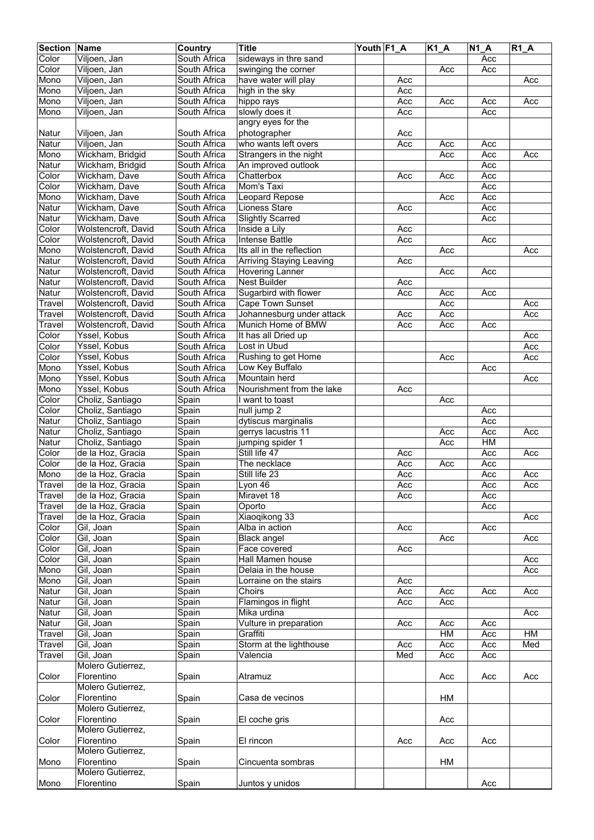| <b>Section</b> | Name                | Country                      | <b>Title</b>              | Youth F1_A |     | $K1_A$ | <b>N1 A</b> | $R1_A$ |
|----------------|---------------------|------------------------------|---------------------------|------------|-----|--------|-------------|--------|
| Color          | Viljoen, Jan        | South Africa                 | sideways in thre sand     |            |     |        | Acc         |        |
| Color          | Viljoen, Jan        | South Africa                 | swinging the corner       |            |     | Acc    | Acc         |        |
| Mono           | Viljoen, Jan        | South Africa                 | have water will play      |            | Acc |        |             | Acc    |
| Mono           | Viljoen, Jan        | South Africa                 | high in the sky           |            | Acc |        |             |        |
| Mono           | Viljoen, Jan        | South Africa                 | hippo rays                |            | Acc |        |             | Acc    |
|                |                     |                              |                           |            |     | Acc    | Acc         |        |
| Mono           | Viljoen, Jan        | South Africa                 | slowly does it            |            | Acc |        | Acc         |        |
|                |                     |                              | angry eyes for the        |            |     |        |             |        |
| Natur          | Viljoen, Jan        | South Africa                 | photographer              |            | Acc |        |             |        |
| Natur          | Viljoen, Jan        | South Africa                 | who wants left overs      |            | Acc | Acc    | Acc         |        |
| Mono           | Wickham, Bridgid    | South Africa                 | Strangers in the night    |            |     | Acc    | Acc         | Acc    |
| Natur          | Wickham, Bridgid    | South Africa                 | An improved outlook       |            |     |        | Acc         |        |
| Color          | Wickham, Dave       | South Africa                 | Chatterbox                |            | Acc | Acc    | Acc         |        |
| Color          | Wickham, Dave       | South Africa                 | Mom's Taxi                |            |     |        | Acc         |        |
| Mono           | Wickham, Dave       | South Africa                 | Leopard Repose            |            |     | Acc    | Acc         |        |
| Natur          | Wickham, Dave       | South Africa                 | <b>Lioness Stare</b>      |            | Acc |        | Acc         |        |
| Natur          | Wickham, Dave       | South Africa                 | <b>Slightly Scarred</b>   |            |     |        | Acc         |        |
| Color          | Wolstencroft, David | South Africa                 | Inside a Lily             |            | Acc |        |             |        |
| Color          | Wolstencroft, David | South Africa                 | <b>Intense Battle</b>     |            | Acc |        | Acc         |        |
|                |                     |                              |                           |            |     |        |             |        |
| Mono           | Wolstencroft, David | South Africa                 | Its all in the reflection |            |     | Acc    |             | Acc    |
| Natur          | Wolstencroft, David | South Africa                 | Arriving Staying Leaving  |            | Acc |        |             |        |
| Natur          | Wolstencroft, David | South Africa                 | <b>Hovering Lanner</b>    |            |     | Acc    | Acc         |        |
| Natur          | Wolstencroft, David | South Africa                 | <b>Nest Builder</b>       |            | Acc |        |             |        |
| Natur          | Wolstencroft, David | South Africa                 | Sugarbird with flower     |            | Acc | Acc    | Acc         |        |
| Travel         | Wolstencroft, David | South Africa                 | Cape Town Sunset          |            |     | Acc    |             | Acc    |
| Travel         | Wolstencroft, David | South Africa                 | Johannesburg under attack |            | Acc | Acc    |             | Acc    |
| Travel         | Wolstencroft, David | South Africa                 | Munich Home of BMW        |            | Acc | Acc    | Acc         |        |
| Color          | Yssel, Kobus        | South Africa                 | It has all Dried up       |            |     |        |             | Acc    |
| Color          | Yssel, Kobus        | South Africa                 | Lost in Ubud              |            |     |        |             | Acc    |
| Color          | Yssel, Kobus        | South Africa                 | Rushing to get Home       |            |     | Acc    |             | Acc    |
| Mono           | Yssel, Kobus        | South Africa                 | Low Key Buffalo           |            |     |        | Acc         |        |
|                |                     |                              |                           |            |     |        |             |        |
| Mono           | Yssel, Kobus        | South Africa                 | Mountain herd             |            |     |        |             | Acc    |
| Mono           | Yssel, Kobus        | South Africa                 | Nourishment from the lake |            | Acc |        |             |        |
| Color          | Choliz, Santiago    | Spain                        | I want to toast           |            |     | Acc    |             |        |
| Color          | Choliz, Santiago    | Spain                        | null jump 2               |            |     |        | Acc         |        |
| Natur          | Choliz, Santiago    | Spain                        | dytiscus marginalis       |            |     |        | Acc         |        |
| Natur          | Choliz, Santiago    | Spain                        | gerrys lacustris 11       |            |     | Acc    | Acc         | Acc    |
| Natur          | Choliz, Santiago    | Spain                        | jumping spider 1          |            |     | Acc    | HM          |        |
| Color          | de la Hoz, Gracia   | Spain                        | Still life 47             |            | Acc |        | Acc         | Acc    |
| Color          | de la Hoz, Gracia   | Spain                        | The necklace              |            | Acc | Acc    | Acc         |        |
| Mono           | de la Hoz, Gracia   | Spain                        | Still life 23             |            | Acc |        | Acc         | Acc    |
| Travel         | de la Hoz, Gracia   | Spain                        | Lyon 46                   |            | Acc |        | Acc         | Acc    |
| Travel         | de la Hoz, Gracia   | Spain                        | Miravet 18                |            | Acc |        | Acc         |        |
| Travel         | de la Hoz, Gracia   | Spain                        | Oporto                    |            |     |        | Acc         |        |
| Travel         | de la Hoz, Gracia   | $\overline{\mathsf{S}}$ pain | Xiaoqikong 33             |            |     |        |             | Acc    |
|                |                     |                              |                           |            |     |        |             |        |
| Color          | Gil, Joan           | Spain                        | Alba in action            |            | Acc |        | Acc         |        |
| Color          | Gil, Joan           | Spain                        | <b>Black angel</b>        |            |     | Acc    |             | Acc    |
| Color          | Gil, Joan           | Spain                        | Face covered              |            | Acc |        |             |        |
| Color          | Gil, Joan           | Spain                        | Hall Mamen house          |            |     |        |             | Acc    |
| Mono           | Gil, Joan           | Spain                        | Delaia in the house       |            |     |        |             | Acc    |
| Mono           | Gil, Joan           | Spain                        | Lorraine on the stairs    |            | Acc |        |             |        |
| Natur          | Gil, Joan           | Spain                        | Choirs                    |            | Acc | Acc    | Acc         | Acc    |
| Natur          | Gil, Joan           | Spain                        | Flamingos in flight       |            | Acc | Acc    |             |        |
| Natur          | Gil, Joan           | Spain                        | Mika urdina               |            |     |        |             | Acc    |
| Natur          | Gil, Joan           | Spain                        | Vulture in preparation    |            | Acc | Acc    | Acc         |        |
| Travel         | Gil, Joan           | Spain                        | Graffiti                  |            |     | HM     | Acc         | HM     |
| Travel         | Gil, Joan           | Spain                        | Storm at the lighthouse   |            | Acc | Acc    | Acc         | Med    |
| Travel         | Gil, Joan           | Spain                        | Valencia                  |            | Med | Acc    | Acc         |        |
|                | Molero Gutierrez,   |                              |                           |            |     |        |             |        |
|                | Florentino          |                              |                           |            |     |        |             |        |
| Color          |                     | Spain                        | Atramuz                   |            |     | Acc    | Acc         | Acc    |
|                | Molero Gutierrez,   |                              |                           |            |     |        |             |        |
| Color          | Florentino          | Spain                        | Casa de vecinos           |            |     | HM     |             |        |
|                | Molero Gutierrez,   |                              |                           |            |     |        |             |        |
| Color          | Florentino          | Spain                        | El coche gris             |            |     | Acc    |             |        |
|                | Molero Gutierrez,   |                              |                           |            |     |        |             |        |
| Color          | Florentino          | Spain                        | El rincon                 |            | Acc | Acc    | Acc         |        |
|                | Molero Gutierrez,   |                              |                           |            |     |        |             |        |
| Mono           | Florentino          | Spain                        | Cincuenta sombras         |            |     | HM     |             |        |
|                | Molero Gutierrez,   |                              |                           |            |     |        |             |        |
| Mono           | Florentino          | Spain                        | Juntos y unidos           |            |     |        | Acc         |        |
|                |                     |                              |                           |            |     |        |             |        |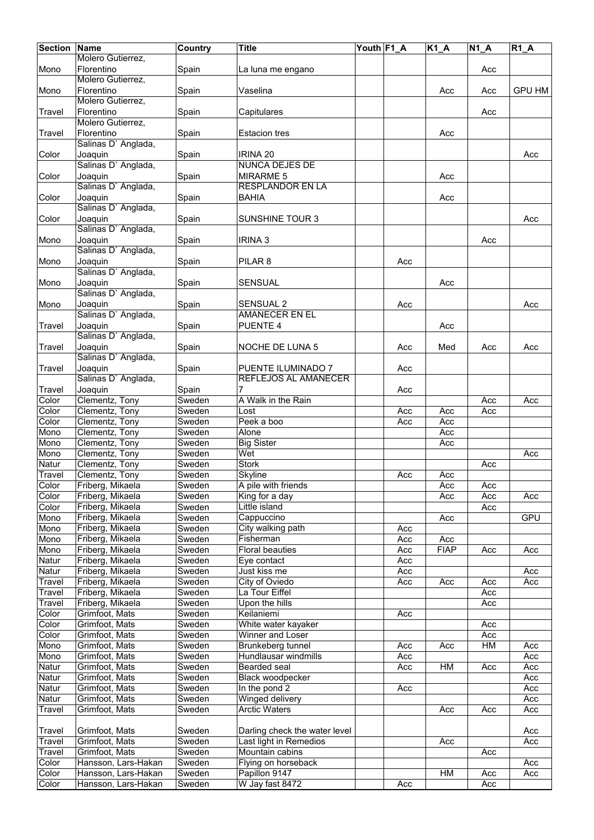| <b>Section</b> | <b>Name</b>         | Country | <b>Title</b>                  | Youth F1_A |                  | <b>K1 A</b> | <b>N1 A</b> | <b>R1 A</b>   |
|----------------|---------------------|---------|-------------------------------|------------|------------------|-------------|-------------|---------------|
|                | Molero Gutierrez,   |         |                               |            |                  |             |             |               |
| Mono           | Florentino          | Spain   | La luna me engano             |            |                  |             | Acc         |               |
|                | Molero Gutierrez,   |         |                               |            |                  |             |             |               |
| Mono           | Florentino          | Spain   | Vaselina                      |            |                  | Acc         | Acc         | <b>GPU HM</b> |
|                | Molero Gutierrez,   |         |                               |            |                  |             |             |               |
| Travel         | Florentino          | Spain   | Capitulares                   |            |                  |             | Acc         |               |
|                | Molero Gutierrez,   |         |                               |            |                  |             |             |               |
| Travel         | Florentino          | Spain   | <b>Estacion tres</b>          |            |                  | Acc         |             |               |
|                | Salinas D' Anglada, |         |                               |            |                  |             |             |               |
| Color          | Joaquin             | Spain   | IRINA 20                      |            |                  |             |             | Acc           |
|                | Salinas D' Anglada, |         | NUNCA DEJES DE                |            |                  |             |             |               |
| Color          | Joaquin             | Spain   | <b>MIRARME 5</b>              |            |                  | Acc         |             |               |
|                | Salinas D' Anglada, |         | <b>RESPLANDOR EN LA</b>       |            |                  |             |             |               |
| Color          | Joaquin             | Spain   | <b>BAHIA</b>                  |            |                  | Acc         |             |               |
|                | Salinas D' Anglada, |         |                               |            |                  |             |             |               |
| Color          | Joaquin             | Spain   | <b>SUNSHINE TOUR 3</b>        |            |                  |             |             | Acc           |
|                | Salinas D' Anglada, |         |                               |            |                  |             |             |               |
| Mono           | Joaquin             | Spain   | <b>IRINA 3</b>                |            |                  |             | Acc         |               |
|                | Salinas D' Anglada, |         |                               |            |                  |             |             |               |
| Mono           | Joaquin             | Spain   | PILAR <sub>8</sub>            |            | Acc              |             |             |               |
|                | Salinas D' Anglada, |         |                               |            |                  |             |             |               |
| Mono           | Joaquin             | Spain   | <b>SENSUAL</b>                |            |                  | Acc         |             |               |
|                | Salinas D' Anglada, |         |                               |            |                  |             |             |               |
| Mono           | Joaquin             | Spain   | <b>SENSUAL 2</b>              |            | Acc              |             |             | Acc           |
|                | Salinas D' Anglada, |         | AMANECER EN EL                |            |                  |             |             |               |
| Travel         | Joaquin             | Spain   | <b>PUENTE 4</b>               |            |                  | Acc         |             |               |
|                | Salinas D' Anglada, |         |                               |            |                  |             |             |               |
| Travel         | Joaquin             | Spain   | <b>NOCHE DE LUNA 5</b>        |            | Acc              | Med         | Acc         | Acc           |
|                | Salinas D' Anglada, |         |                               |            |                  |             |             |               |
| Travel         | Joaquin             | Spain   | PUENTE ILUMINADO 7            |            | Acc              |             |             |               |
|                | Salinas D' Anglada, |         | REFLEJOS AL AMANECER          |            |                  |             |             |               |
| Travel         | Joaquin             | Spain   | 7                             |            | Acc              |             |             |               |
| Color          | Clementz, Tony      | Sweden  | A Walk in the Rain            |            |                  |             | Acc         | Acc           |
| Color          | Clementz, Tony      | Sweden  | Lost                          |            | Acc              | Acc         | Acc         |               |
| Color          | Clementz, Tony      | Sweden  | Peek a boo                    |            | Acc              | Acc         |             |               |
| Mono           | Clementz, Tony      | Sweden  | Alone                         |            |                  | Acc         |             |               |
| Mono           | Clementz, Tony      | Sweden  | <b>Big Sister</b>             |            |                  | Acc         |             |               |
| Mono           | Clementz, Tony      | Sweden  | Wet                           |            |                  |             |             | Acc           |
| Natur          | Clementz, Tony      | Sweden  | <b>Stork</b>                  |            |                  |             | Acc         |               |
| Travel         | Clementz, Tony      | Sweden  | Skyline                       |            | Acc              | Acc         |             |               |
| Color          | Friberg, Mikaela    | Sweden  | A pile with friends           |            |                  | Acc         | Acc         |               |
| Color          | Friberg, Mikaela    | Sweden  | King for a day                |            |                  | Acc         | Acc         | Acc           |
| Color          | Friberg, Mikaela    | Sweden  | Little island                 |            |                  |             | Acc         |               |
| Mono           | Friberg, Mikaela    | Sweden  | Cappuccino                    |            |                  | Acc         |             | GPU           |
| Mono           | Friberg, Mikaela    | Sweden  | City walking path             |            | Acc              |             |             |               |
| Mono           | Friberg, Mikaela    | Sweden  | Fisherman                     |            | Acc              | Acc         |             |               |
| Mono           | Friberg, Mikaela    | Sweden  | <b>Floral beauties</b>        |            | Acc              | <b>FIAP</b> | Acc         | Acc           |
| Natur          | Friberg, Mikaela    | Sweden  | Eye contact                   |            | Acc              |             |             |               |
| Natur          | Friberg, Mikaela    | Sweden  | Just kiss me                  |            | Acc              |             |             | Acc           |
| Travel         | Friberg, Mikaela    | Sweden  | City of Oviedo                |            | Acc              | Acc         | Acc         | Acc           |
| Travel         | Friberg, Mikaela    | Sweden  | La Tour Eiffel                |            |                  |             | Acc         |               |
| Travel         | Friberg, Mikaela    | Sweden  | Upon the hills                |            |                  |             | Acc         |               |
| Color          | Grimfoot, Mats      | Sweden  | Keilaniemi                    |            | Acc              |             |             |               |
| Color          | Grimfoot, Mats      | Sweden  | White water kayaker           |            |                  |             | Acc         |               |
| Color          | Grimfoot, Mats      | Sweden  | Winner and Loser              |            |                  |             | Acc         |               |
| Mono           | Grimfoot, Mats      | Sweden  | Brunkeberg tunnel             |            | Acc              | Acc         | HM          | Acc           |
| Mono           | Grimfoot, Mats      | Sweden  | Hundlausar windmills          |            | Acc              |             |             | Acc           |
| Natur          | Grimfoot, Mats      | Sweden  | Bearded seal                  |            | Acc              | HM          | Acc         | Acc           |
| Natur          | Grimfoot, Mats      | Sweden  | Black woodpecker              |            |                  |             |             | Acc           |
| Natur          | Grimfoot, Mats      | Sweden  | In the pond 2                 |            | $\overline{Acc}$ |             |             | Acc           |
| Natur          | Grimfoot, Mats      | Sweden  | Winged delivery               |            |                  |             |             | Acc           |
| <b>Travel</b>  | Grimfoot, Mats      | Sweden  | <b>Arctic Waters</b>          |            |                  | Acc         | Acc         | Acc           |
|                |                     |         |                               |            |                  |             |             |               |
| Travel         | Grimfoot, Mats      | Sweden  | Darling check the water level |            |                  |             |             | Acc           |
| Travel         | Grimfoot, Mats      | Sweden  | Last light in Remedios        |            |                  | Acc         |             | Acc           |
| Travel         | Grimfoot, Mats      | Sweden  | Mountain cabins               |            |                  |             | Acc         |               |
| Color          | Hansson, Lars-Hakan | Sweden  | Flying on horseback           |            |                  |             |             | Acc           |
| Color          | Hansson, Lars-Hakan | Sweden  | Papillon 9147                 |            |                  | HM          | Acc         | Acc           |
| Color          | Hansson, Lars-Hakan | Sweden  | W Jay fast 8472               |            | Acc              |             | Acc         |               |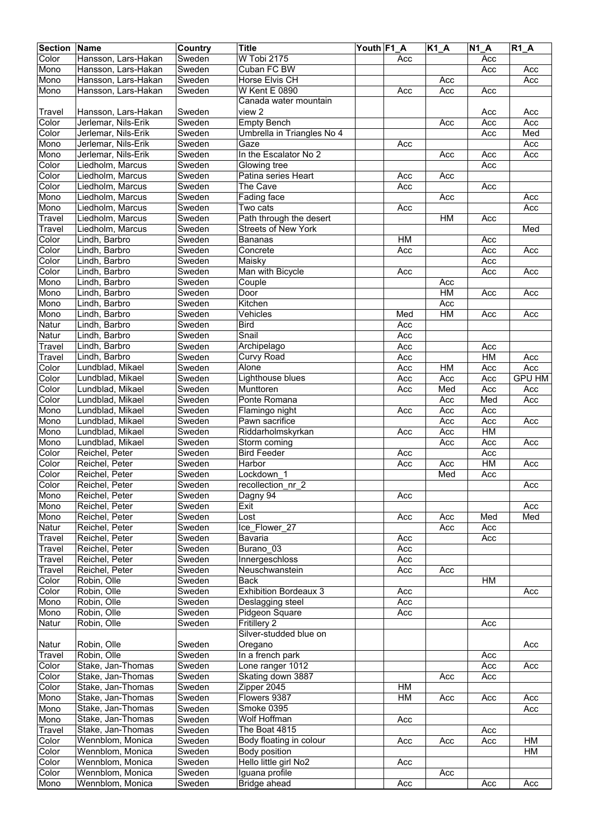| <b>Section</b> | <b>Name</b>                                | Country | <b>Title</b>                 | Youth F1 A |                 | $K1_A$ | $N1_A$    | $R1_A$        |
|----------------|--------------------------------------------|---------|------------------------------|------------|-----------------|--------|-----------|---------------|
| Color          | Hansson, Lars-Hakan                        | Sweden  | W Tobi 2175                  |            | Acc             |        | Acc       |               |
| Mono           | Hansson, Lars-Hakan                        | Sweden  | Cuban FC BW                  |            |                 |        | Acc       | Acc           |
| Mono           | Hansson, Lars-Hakan                        | Sweden  | <b>Horse Elvis CH</b>        |            |                 | Acc    |           | Acc           |
| Mono           | Hansson, Lars-Hakan                        | Sweden  | <b>W Kent E 0890</b>         |            | Acc             | Acc    | Acc       |               |
|                |                                            |         | Canada water mountain        |            |                 |        |           |               |
|                |                                            | Sweden  | view 2                       |            |                 |        |           |               |
| Travel         | Hansson, Lars-Hakan<br>Jerlemar, Nils-Erik | Sweden  |                              |            |                 |        | Acc       | Acc<br>Acc    |
| Color          |                                            |         | <b>Empty Bench</b>           |            |                 | Acc    | Acc       |               |
| Color          | Jerlemar, Nils-Erik                        | Sweden  | Umbrella in Triangles No 4   |            |                 |        | Acc       | Med           |
| Mono           | Jerlemar, Nils-Erik                        | Sweden  | Gaze                         |            | Acc             |        |           | Acc           |
| Mono           | Jerlemar, Nils-Erik                        | Sweden  | In the Escalator No 2        |            |                 | Acc    | Acc       | Acc           |
| Color          | Liedholm, Marcus                           | Sweden  | Glowing tree                 |            |                 |        | Acc       |               |
| Color          | Liedholm, Marcus                           | Sweden  | Patina series Heart          |            | Acc             | Acc    |           |               |
| Color          | Liedholm, Marcus                           | Sweden  | The Cave                     |            | Acc             |        | Acc       |               |
| Mono           | Liedholm, Marcus                           | Sweden  | <b>Fading face</b>           |            |                 | Acc    |           | Acc           |
| Mono           | Liedholm, Marcus                           | Sweden  | Two cats                     |            | Acc             |        |           | Acc           |
| Travel         | Liedholm, Marcus                           | Sweden  | Path through the desert      |            |                 | HM     | Acc       |               |
| Travel         | Liedholm, Marcus                           | Sweden  | <b>Streets of New York</b>   |            |                 |        |           | Med           |
| Color          | Lindh, Barbro                              | Sweden  | <b>Bananas</b>               |            | <b>HM</b>       |        | Acc       |               |
| Color          | Lindh, Barbro                              | Sweden  | Concrete                     |            | Acc             |        | Acc       | Acc           |
| Color          | Lindh, Barbro                              | Sweden  | Maisky                       |            |                 |        | Acc       |               |
| Color          | Lindh, Barbro                              | Sweden  | Man with Bicycle             |            | Acc             |        | Acc       | Acc           |
| Mono           | Lindh, Barbro                              | Sweden  | Couple                       |            |                 | Acc    |           |               |
| Mono           | Lindh, Barbro                              | Sweden  | Door                         |            |                 | HM     | Acc       | Acc           |
|                |                                            | Sweden  | Kitchen                      |            |                 |        |           |               |
| Mono           | Lindh, Barbro                              |         |                              |            |                 | Acc    |           |               |
| Mono           | Lindh, Barbro                              | Sweden  | Vehicles                     |            | Med             | HM     | Acc       | Acc           |
| Natur          | Lindh, Barbro                              | Sweden  | <b>Bird</b>                  |            | Acc             |        |           |               |
| Natur          | Lindh, Barbro                              | Sweden  | Snail                        |            | Acc             |        |           |               |
| Travel         | Lindh, Barbro                              | Sweden  | Archipelago                  |            | Acc             |        | Acc       |               |
| Travel         | Lindh, Barbro                              | Sweden  | Curvy Road                   |            | Acc             |        | HM        | Acc           |
| Color          | Lundblad, Mikael                           | Sweden  | Alone                        |            | Acc             | H M    | Acc       | Acc           |
| Color          | Lundblad, Mikael                           | Sweden  | Lighthouse blues             |            | Acc             | Acc    | Acc       | <b>GPU HM</b> |
| Color          | Lundblad, Mikael                           | Sweden  | Munttoren                    |            | Acc             | Med    | Acc       | Acc           |
| Color          | Lundblad, Mikael                           | Sweden  | Ponte Romana                 |            |                 | Acc    | Med       | Acc           |
| Mono           | Lundblad, Mikael                           | Sweden  | Flamingo night               |            | Acc             | Acc    | Acc       |               |
| Mono           | Lundblad, Mikael                           | Sweden  | Pawn sacrifice               |            |                 | Acc    | Acc       | Acc           |
| Mono           | Lundblad, Mikael                           | Sweden  | Riddarholmskyrkan            |            | Acc             | Acc    | <b>HM</b> |               |
| Mono           | Lundblad, Mikael                           | Sweden  | Storm coming                 |            |                 | Acc    | Acc       | Acc           |
| Color          | Reichel, Peter                             | Sweden  | <b>Bird Feeder</b>           |            | Acc             |        | Acc       |               |
| Color          | Reichel, Peter                             | Sweden  | Harbor                       |            | Acc             | Acc    | HM        | Acc           |
|                |                                            |         | Lockdown 1                   |            |                 |        |           |               |
| Color          | Reichel, Peter                             | Sweden  |                              |            |                 | Med    | Acc       |               |
| Color          | Reichel, Peter                             | Sweden  | recollection nr 2            |            |                 |        |           | Acc           |
| Mono           | Reichel, Peter                             | Sweden  | Dagny 94                     |            | Acc             |        |           |               |
| Mono           | Reichel, Peter                             | Sweden  | Exit                         |            |                 |        |           | Acc           |
| Mono           | Reichel, Peter                             | Sweden  | Lost                         |            | Acc             | Acc    | Med       | Med           |
| Natur          | Reichel, Peter                             | Sweden  | Ice Flower 27                |            |                 | Acc    | Acc       |               |
| Travel         | Reichel, Peter                             | Sweden  | Bavaria                      |            | Acc             |        | Acc       |               |
| Travel         | Reichel, Peter                             | Sweden  | Burano_03                    |            | Acc             |        |           |               |
| Travel         | Reichel, Peter                             | Sweden  | Innergeschloss               |            | Acc             |        |           |               |
| Travel         | Reichel, Peter                             | Sweden  | Neuschwanstein               |            | Acc             | Acc    |           |               |
| Color          | Robin, Olle                                | Sweden  | Back                         |            |                 |        | HM        |               |
| Color          | Robin, Olle                                | Sweden  | <b>Exhibition Bordeaux 3</b> |            | Acc             |        |           | Acc           |
| Mono           | Robin, Olle                                | Sweden  | Deslagging steel             |            | Acc             |        |           |               |
| Mono           | Robin, Olle                                | Sweden  | Pidgeon Square               |            | Acc             |        |           |               |
| Natur          | Robin, Olle                                | Sweden  | <b>Fritillery 2</b>          |            |                 |        | Acc       |               |
|                |                                            |         | Silver-studded blue on       |            |                 |        |           |               |
| Natur          | Robin, Olle                                | Sweden  | Oregano                      |            |                 |        |           | Acc           |
| <b>Travel</b>  | Robin, Olle                                | Sweden  | In a french park             |            |                 |        | Acc       |               |
| Color          | Stake, Jan-Thomas                          | Sweden  | Lone ranger 1012             |            |                 |        | Acc       | Acc           |
| Color          | Stake, Jan-Thomas                          | Sweden  | Skating down 3887            |            |                 | Acc    | Acc       |               |
| Color          | Stake, Jan-Thomas                          | Sweden  | Zipper 2045                  |            | $H\overline{M}$ |        |           |               |
|                |                                            |         |                              |            |                 |        |           |               |
| Mono           | Stake, Jan-Thomas                          | Sweden  | Flowers 9387                 |            | HM              | Acc    | Acc       | Acc           |
| Mono           | Stake, Jan-Thomas                          | Sweden  | Smoke 0395                   |            |                 |        |           | Acc           |
| Mono           | Stake, Jan-Thomas                          | Sweden  | <b>Wolf Hoffman</b>          |            | Acc             |        |           |               |
| Travel         | Stake, Jan-Thomas                          | Sweden  | The Boat 4815                |            |                 |        | Acc       |               |
| Color          | Wennblom, Monica                           | Sweden  | Body floating in colour      |            | Acc             | Acc    | Acc       | HM            |
| Color          | Wennblom, Monica                           | Sweden  | Body position                |            |                 |        |           | HM            |
| Color          | Wennblom, Monica                           | Sweden  | Hello little girl No2        |            | Acc             |        |           |               |
| Color          | Wennblom, Monica                           | Sweden  | Iguana profile               |            |                 | Acc    |           |               |
| Mono           | Wennblom, Monica                           | Sweden  | Bridge ahead                 |            | Acc             |        | Acc       | Acc           |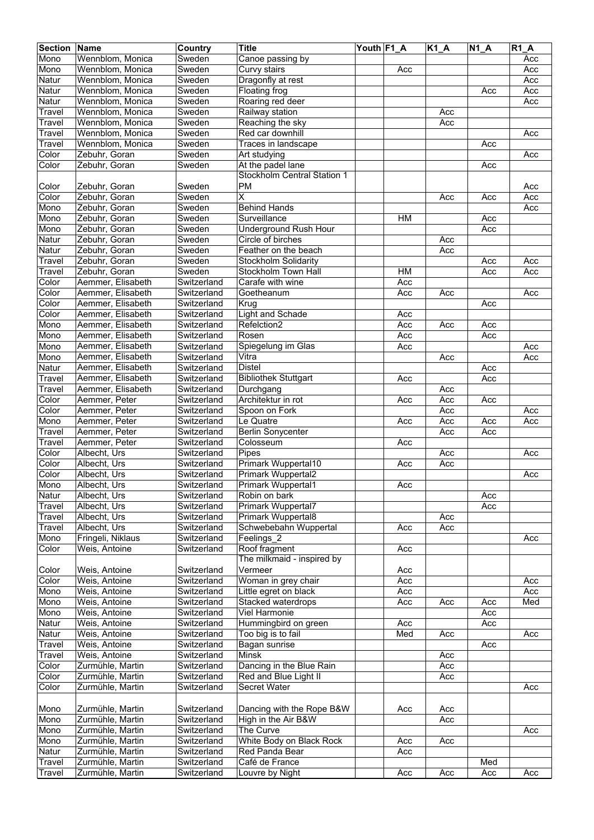| <b>Section</b> | Name              | Country     | <b>Title</b>                | Youth F1_A |     | $K1_A$ | $N1_A$ | <b>R1 A</b> |
|----------------|-------------------|-------------|-----------------------------|------------|-----|--------|--------|-------------|
| Mono           | Wennblom, Monica  | Sweden      | Canoe passing by            |            |     |        |        | Acc         |
| Mono           | Wennblom, Monica  | Sweden      | Curvy stairs                |            | Acc |        |        | Acc         |
| Natur          | Wennblom, Monica  | Sweden      | Dragonfly at rest           |            |     |        |        | Acc         |
| Natur          | Wennblom, Monica  | Sweden      | Floating frog               |            |     |        | Acc    | Acc         |
| Natur          | Wennblom, Monica  | Sweden      | Roaring red deer            |            |     |        |        | Acc         |
| Travel         | Wennblom, Monica  | Sweden      | Railway station             |            |     | Acc    |        |             |
| Travel         | Wennblom, Monica  | Sweden      | Reaching the sky            |            |     | Acc    |        |             |
| Travel         | Wennblom, Monica  | Sweden      | Red car downhill            |            |     |        |        | Acc         |
| Travel         | Wennblom, Monica  | Sweden      | Traces in landscape         |            |     |        | Acc    |             |
| Color          | Zebuhr, Goran     | Sweden      | Art studying                |            |     |        |        | Acc         |
| Color          | Zebuhr, Goran     | Sweden      | At the padel lane           |            |     |        | Acc    |             |
|                |                   |             | Stockholm Central Station 1 |            |     |        |        |             |
| Color          | Zebuhr, Goran     | Sweden      | <b>PM</b>                   |            |     |        |        | Acc         |
| Color          | Zebuhr, Goran     | Sweden      | $\overline{\mathsf{x}}$     |            |     | Acc    | Acc    | Acc         |
| Mono           | Zebuhr, Goran     | Sweden      | <b>Behind Hands</b>         |            |     |        |        | Acc         |
| Mono           | Zebuhr, Goran     | Sweden      | Surveillance                |            | H M |        | Acc    |             |
| Mono           | Zebuhr, Goran     | Sweden      | Underground Rush Hour       |            |     |        | Acc    |             |
| Natur          | Zebuhr, Goran     | Sweden      | Circle of birches           |            |     | Acc    |        |             |
| Natur          | Zebuhr, Goran     | Sweden      | Feather on the beach        |            |     | Acc    |        |             |
| Travel         | Zebuhr, Goran     | Sweden      | <b>Stockholm Solidarity</b> |            |     |        | Acc    | Acc         |
| Travel         | Zebuhr, Goran     | Sweden      | Stockholm Town Hall         |            | HM  |        | Acc    | Acc         |
| Color          | Aemmer, Elisabeth | Switzerland | Carafe with wine            |            | Acc |        |        |             |
| Color          | Aemmer, Elisabeth | Switzerland | Goetheanum                  |            | Acc | Acc    |        | Acc         |
| Color          | Aemmer, Elisabeth | Switzerland | Krug                        |            |     |        | Acc    |             |
| Color          | Aemmer, Elisabeth | Switzerland | <b>Light and Schade</b>     |            | Acc |        |        |             |
| Mono           | Aemmer, Elisabeth | Switzerland | Refelction2                 |            | Acc | Acc    | Acc    |             |
| Mono           | Aemmer, Elisabeth | Switzerland | Rosen                       |            | Acc |        | Acc    |             |
| Mono           | Aemmer, Elisabeth | Switzerland | Spiegelung im Glas          |            | Acc |        |        | Acc         |
| Mono           | Aemmer, Elisabeth | Switzerland | Vitra                       |            |     | Acc    |        | Acc         |
| Natur          | Aemmer, Elisabeth | Switzerland | <b>Distel</b>               |            |     |        | Acc    |             |
| Travel         | Aemmer, Elisabeth | Switzerland | <b>Bibliothek Stuttgart</b> |            | Acc |        | Acc    |             |
| Travel         | Aemmer, Elisabeth | Switzerland | Durchgang                   |            |     | Acc    |        |             |
| Color          | Aemmer, Peter     | Switzerland | Architektur in rot          |            | Acc | Acc    | Acc    |             |
| Color          | Aemmer, Peter     | Switzerland | Spoon on Fork               |            |     | Acc    |        | Acc         |
| Mono           | Aemmer, Peter     | Switzerland | Le Quatre                   |            | Acc | Acc    | Acc    | Acc         |
| Travel         | Aemmer, Peter     | Switzerland | <b>Berlin Sonycenter</b>    |            |     | Acc    | Acc    |             |
| Travel         | Aemmer, Peter     | Switzerland | Colosseum                   |            | Acc |        |        |             |
| Color          | Albecht, Urs      | Switzerland | Pipes                       |            |     | Acc    |        | Acc         |
| Color          | Albecht, Urs      | Switzerland | Primark Wuppertal10         |            | Acc | Acc    |        |             |
| Color          | Albecht, Urs      | Switzerland | Primark Wuppertal2          |            |     |        |        | Acc         |
| Mono           | Albecht, Urs      | Switzerland | <b>Primark Wuppertal1</b>   |            | Acc |        |        |             |
| Natur          | Albecht, Urs      | Switzerland | Robin on bark               |            |     |        | Acc    |             |
| Travel         | Albecht, Urs      | Switzerland | Primark Wuppertal7          |            |     |        | Acc    |             |
| Travel         | Albecht, Urs      | Switzerland | <b>Primark Wuppertal8</b>   |            |     | Acc    |        |             |
| Travel         | Albecht, Urs      | Switzerland | Schwebebahn Wuppertal       |            | Acc | Acc    |        |             |
| Mono           | Fringeli, Niklaus | Switzerland | Feelings_2                  |            |     |        |        | Acc         |
| Color          | Weis, Antoine     | Switzerland | Roof fragment               |            | Acc |        |        |             |
|                |                   |             | The milkmaid - inspired by  |            |     |        |        |             |
| Color          | Weis, Antoine     | Switzerland | Vermeer                     |            | Acc |        |        |             |
| Color          | Weis, Antoine     | Switzerland | Woman in grey chair         |            | Acc |        |        | Acc         |
| Mono           | Weis, Antoine     | Switzerland | Little egret on black       |            | Acc |        |        | Acc         |
| Mono           | Weis, Antoine     | Switzerland | Stacked waterdrops          |            | Acc | Acc    | Acc    | Med         |
| Mono           | Weis, Antoine     | Switzerland | Viel Harmonie               |            |     |        | Acc    |             |
| Natur          | Weis, Antoine     | Switzerland | Hummingbird on green        |            | Acc |        | Acc    |             |
| Natur          | Weis, Antoine     | Switzerland | Too big is to fail          |            | Med | Acc    |        | Acc         |
| Travel         | Weis, Antoine     | Switzerland | Bagan sunrise               |            |     |        | Acc    |             |
| Travel         | Weis, Antoine     | Switzerland | Minsk                       |            |     | Acc    |        |             |
| Color          | Zurmühle, Martin  | Switzerland | Dancing in the Blue Rain    |            |     | Acc    |        |             |
| Color          | Zurmühle, Martin  | Switzerland | Red and Blue Light II       |            |     | Acc    |        |             |
| Color          | Zurmühle, Martin  | Switzerland | Secret Water                |            |     |        |        | Acc         |
|                |                   |             |                             |            |     |        |        |             |
| Mono           | Zurmühle, Martin  | Switzerland | Dancing with the Rope B&W   |            | Acc | Acc    |        |             |
| Mono           | Zurmühle, Martin  | Switzerland | High in the Air B&W         |            |     | Acc    |        |             |
| Mono           | Zurmühle, Martin  | Switzerland | The Curve                   |            |     |        |        | Acc         |
| Mono           | Zurmühle, Martin  | Switzerland | White Body on Black Rock    |            | Acc | Acc    |        |             |
| Natur          | Zurmühle, Martin  | Switzerland | Red Panda Bear              |            | Acc |        |        |             |
| Travel         | Zurmühle, Martin  | Switzerland | Café de France              |            |     |        | Med    |             |
| Travel         | Zurmühle, Martin  | Switzerland | Louvre by Night             |            | Acc | Acc    | Acc    | Acc         |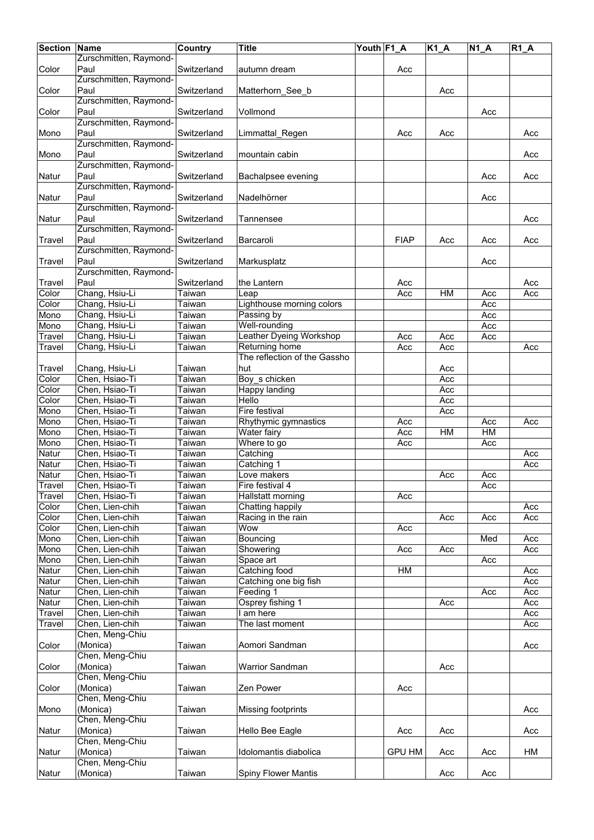| <b>Section</b> | Name                   | <b>Country</b> | <b>Title</b>                 | Youth F1_A |               | $K1_A$ | <b>N1 A</b> | $R1_A$ |
|----------------|------------------------|----------------|------------------------------|------------|---------------|--------|-------------|--------|
|                | Zurschmitten, Raymond- |                |                              |            |               |        |             |        |
| Color          | Paul                   | Switzerland    | autumn dream                 |            | Acc           |        |             |        |
|                | Zurschmitten, Raymond- |                |                              |            |               |        |             |        |
| Color          | Paul                   | Switzerland    | Matterhorn See b             |            |               | Acc    |             |        |
|                | Zurschmitten, Raymond- |                |                              |            |               |        |             |        |
| Color          | Paul                   | Switzerland    | Vollmond                     |            |               |        | Acc         |        |
|                | Zurschmitten, Raymond- |                |                              |            |               |        |             |        |
| Mono           | Paul                   | Switzerland    | Limmattal_Regen              |            | Acc           | Acc    |             | Acc    |
|                | Zurschmitten, Raymond- |                |                              |            |               |        |             |        |
| Mono           | Paul                   | Switzerland    | mountain cabin               |            |               |        |             | Acc    |
|                | Zurschmitten, Raymond- |                |                              |            |               |        |             |        |
| Natur          | Paul                   | Switzerland    | Bachalpsee evening           |            |               |        | Acc         | Acc    |
|                | Zurschmitten, Raymond- |                |                              |            |               |        |             |        |
| Natur          | Paul                   | Switzerland    | Nadelhörner                  |            |               |        | Acc         |        |
|                | Zurschmitten, Raymond- |                |                              |            |               |        |             |        |
| Natur          | Paul                   | Switzerland    | Tannensee                    |            |               |        |             | Acc    |
|                | Zurschmitten, Raymond- |                |                              |            |               |        |             |        |
| Travel         | Paul                   | Switzerland    | Barcaroli                    |            | <b>FIAP</b>   | Acc    | Acc         | Acc    |
|                | Zurschmitten, Raymond- |                |                              |            |               |        |             |        |
| Travel         | Paul                   | Switzerland    | Markusplatz                  |            |               |        | Acc         |        |
|                | Zurschmitten, Raymond- |                |                              |            |               |        |             |        |
| Travel         | Paul                   | Switzerland    | the Lantern                  |            | Acc           |        |             | Acc    |
| Color          | Chang, Hsiu-Li         | Taiwan         | Leap                         |            | Acc           | HM     | Acc         | Acc    |
| Color          | Chang, Hsiu-Li         | Taiwan         | Lighthouse morning colors    |            |               |        | Acc         |        |
| Mono           | Chang, Hsiu-Li         | Taiwan         | Passing by                   |            |               |        | Acc         |        |
| Mono           | Chang, Hsiu-Li         | Taiwan         | Well-rounding                |            |               |        | Acc         |        |
| Travel         | Chang, Hsiu-Li         | Taiwan         | Leather Dyeing Workshop      |            | Acc           | Acc    | Acc         |        |
| Travel         | Chang, Hsiu-Li         | Taiwan         | Returning home               |            | Acc           | Acc    |             | Acc    |
|                |                        |                | The reflection of the Gassho |            |               |        |             |        |
| Travel         | Chang, Hsiu-Li         | Taiwan         | hut                          |            |               | Acc    |             |        |
| Color          | Chen, Hsiao-Ti         | Taiwan         | Boy s chicken                |            |               | Acc    |             |        |
| Color          | Chen, Hsiao-Ti         | Taiwan         | Happy landing                |            |               | Acc    |             |        |
| Color          | Chen, Hsiao-Ti         | Taiwan         | Hello                        |            |               | Acc    |             |        |
| Mono           | Chen, Hsiao-Ti         | Taiwan         | Fire festival                |            |               | Acc    |             |        |
| Mono           | Chen, Hsiao-Ti         | Taiwan         | Rhythymic gymnastics         |            | Acc           |        | Acc         | Acc    |
| Mono           | Chen, Hsiao-Ti         | Taiwan         | Water fairy                  |            | Acc           | HM     | HM          |        |
| Mono           | Chen, Hsiao-Ti         | Taiwan         | Where to go                  |            | Acc           |        | Acc         |        |
| Natur          | Chen, Hsiao-Ti         | Taiwan         | Catching                     |            |               |        |             | Acc    |
| Natur          | Chen, Hsiao-Ti         | Taiwan         | Catching 1                   |            |               |        |             | Acc    |
| Natur          | Chen, Hsiao-Ti         | Taiwan         | Love makers                  |            |               | Acc    | Acc         |        |
| Travel         | Chen, Hsiao-Ti         | Taiwan         | Fire festival 4              |            |               |        | Acc         |        |
| Travel         | Chen, Hsiao-Ti         | Taiwan         | Hallstatt morning            |            | Acc           |        |             |        |
| Color          | Chen, Lien-chih        | Taiwan         | Chatting happily             |            |               |        |             | Acc    |
| Color          | Chen, Lien-chih        | Taiwan         | Racing in the rain           |            |               | Acc    | Acc         | Acc    |
| Color          | Chen, Lien-chih        | Taiwan         | Wow                          |            | Acc           |        |             |        |
| Mono           | Chen, Lien-chih        | Taiwan         | Bouncing                     |            |               |        | Med         | Acc    |
| Mono           | Chen, Lien-chih        | Taiwan         | Showering                    |            | Acc           | Acc    |             | Acc    |
| Mono           | Chen, Lien-chih        | Taiwan         | Space art                    |            |               |        | Acc         |        |
| Natur          | Chen, Lien-chih        | Taiwan         | Catching food                |            | H M           |        |             | Acc    |
| Natur          | Chen, Lien-chih        | Taiwan         | Catching one big fish        |            |               |        |             | Acc    |
| Natur          | Chen, Lien-chih        | Taiwan         | Feeding 1                    |            |               |        | Acc         | Acc    |
| Natur          | Chen, Lien-chih        | Taiwan         | Osprey fishing 1             |            |               | Acc    |             | Acc    |
| Travel         | Chen, Lien-chih        | Taiwan         | I am here                    |            |               |        |             | Acc    |
| Travel         | Chen, Lien-chih        | Taiwan         | The last moment              |            |               |        |             | Acc    |
|                | Chen, Meng-Chiu        |                |                              |            |               |        |             |        |
| Color          | (Monica)               | Taiwan         | Aomori Sandman               |            |               |        |             | Acc    |
|                | Chen, Meng-Chiu        |                |                              |            |               |        |             |        |
| Color          | (Monica)               | Taiwan         | <b>Warrior Sandman</b>       |            |               | Acc    |             |        |
|                | Chen, Meng-Chiu        |                |                              |            |               |        |             |        |
| Color          | (Monica)               | Taiwan         | Zen Power                    |            | Acc           |        |             |        |
|                | Chen, Meng-Chiu        |                |                              |            |               |        |             |        |
| Mono           | (Monica)               | Taiwan         |                              |            |               |        |             | Acc    |
|                | Chen, Meng-Chiu        |                | Missing footprints           |            |               |        |             |        |
|                | (Monica)               | Taiwan         | Hello Bee Eagle              |            |               |        |             | Acc    |
| Natur          | Chen, Meng-Chiu        |                |                              |            | Acc           | Acc    |             |        |
|                | (Monica)               |                | Idolomantis diabolica        |            |               |        |             |        |
| Natur          | Chen, Meng-Chiu        | Taiwan         |                              |            | <b>GPU HM</b> | Acc    | Acc         | НM     |
|                |                        |                |                              |            |               |        |             |        |
| Natur          | (Monica)               | Taiwan         | Spiny Flower Mantis          |            |               | Acc    | Acc         |        |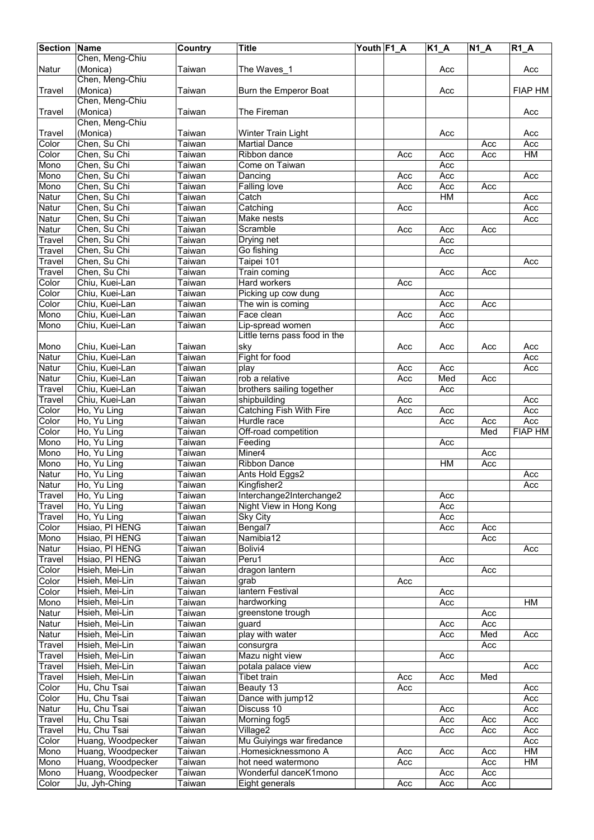| <b>Section</b>   | Name                                   | <b>Country</b>   | <b>Title</b>                               | Youth F1_A |            | $K1_A$     | <b>N1 A</b> | $R1_A$         |
|------------------|----------------------------------------|------------------|--------------------------------------------|------------|------------|------------|-------------|----------------|
|                  | Chen, Meng-Chiu                        |                  |                                            |            |            |            |             |                |
| <b>Natur</b>     | (Monica)                               | Taiwan           | The Waves_1                                |            |            | Acc        |             | Acc            |
|                  | Chen, Meng-Chiu                        |                  |                                            |            |            |            |             |                |
| Travel           | (Monica)                               | Taiwan           | Burn the Emperor Boat                      |            |            | Acc        |             | <b>FIAP HM</b> |
|                  | Chen, Meng-Chiu                        |                  |                                            |            |            |            |             |                |
| <b>Travel</b>    | (Monica)                               | Taiwan           | The Fireman                                |            |            |            |             | Acc            |
|                  | Chen, Meng-Chiu                        |                  |                                            |            |            |            |             |                |
| Travel           | (Monica)                               | Taiwan           | Winter Train Light                         |            |            | Acc        |             | Acc            |
| Color            | Chen, Su Chi                           | Taiwan           | <b>Martial Dance</b>                       |            |            |            | Acc         | Acc            |
| Color            | Chen, Su Chi                           | Taiwan           | Ribbon dance                               |            | Acc        | Acc        | Acc         | H M            |
| Mono             | Chen, Su Chi                           | Taiwan           | Come on Taiwan                             |            |            | Acc        |             |                |
| Mono             | Chen, Su Chi                           | <b>Taiwan</b>    | Dancing                                    |            | Acc        | Acc        |             | Acc            |
| Mono             | Chen, Su Chi                           | Taiwan           | <b>Falling love</b>                        |            | Acc        | Acc        | Acc         |                |
| Natur            | Chen, Su Chi                           | Taiwan           | Catch                                      |            |            | HM         |             | Acc            |
| Natur            | Chen, Su Chi                           | Taiwan           | Catching                                   |            | Acc        |            |             | Acc            |
| Natur<br>Natur   | Chen, Su Chi                           | Taiwan           | Make nests<br>Scramble                     |            |            |            |             | Acc            |
| Travel           | Chen, Su Chi<br>Chen, Su Chi           | Taiwan<br>Taiwan | Drying net                                 |            | Acc        | Acc<br>Acc | Acc         |                |
| Travel           | Chen, Su Chi                           | Taiwan           | Go fishing                                 |            |            | Acc        |             |                |
| Travel           | Chen, Su Chi                           | Taiwan           | Taipei 101                                 |            |            |            |             | Acc            |
| Travel           | Chen, Su Chi                           | Taiwan           | Train coming                               |            |            | Acc        | Acc         |                |
| Color            | Chiu, Kuei-Lan                         | Taiwan           | Hard workers                               |            | Acc        |            |             |                |
| Color            | Chiu, Kuei-Lan                         | Taiwan           | Picking up cow dung                        |            |            | Acc        |             |                |
| Color            | Chiu, Kuei-Lan                         | Taiwan           | The win is coming                          |            |            | Acc        | Acc         |                |
| Mono             | Chiu, Kuei-Lan                         | Taiwan           | Face clean                                 |            | Acc        | Acc        |             |                |
| Mono             | Chiu, Kuei-Lan                         | Taiwan           | Lip-spread women                           |            |            | Acc        |             |                |
|                  |                                        |                  | Little terns pass food in the              |            |            |            |             |                |
| Mono             | Chiu, Kuei-Lan                         | Taiwan           | sky                                        |            | Acc        | Acc        | Acc         | Acc            |
| Natur            | Chiu, Kuei-Lan                         | Taiwan           | Fight for food                             |            |            |            |             | Acc            |
| Natur            | Chiu, Kuei-Lan                         | <b>Taiwan</b>    | play                                       |            | Acc        | Acc        |             | Acc            |
| Natur            | Chiu, Kuei-Lan                         | Taiwan           | rob a relative                             |            | Acc        | Med        | Acc         |                |
| Travel           | Chiu, Kuei-Lan                         | Taiwan           | brothers sailing together                  |            |            | Acc        |             |                |
| Travel           | Chiu, Kuei-Lan                         | Taiwan           | shipbuilding                               |            | Acc        |            |             | Acc            |
| Color            | Ho, Yu Ling                            | Taiwan           | Catching Fish With Fire                    |            | Acc        | Acc        |             | Acc            |
| Color            | Ho, Yu Ling                            | Taiwan           | Hurdle race                                |            |            | Acc        | Acc         | Acc            |
| Color            | Ho, Yu Ling                            | Taiwan           | Off-road competition                       |            |            |            | Med         | <b>FIAP HM</b> |
| Mono             | Ho, Yu Ling                            | Taiwan           | Feeding                                    |            |            | Acc        |             |                |
| Mono             | Ho, Yu Ling                            | Taiwan           | Miner4                                     |            |            |            | Acc         |                |
| Mono             | Ho, Yu Ling                            | Taiwan           | <b>Ribbon Dance</b>                        |            |            | HM         | Acc         |                |
| Natur            | Ho, Yu Ling                            | Taiwan           | Ants Hold Eggs2                            |            |            |            |             | Acc            |
| Natur            | Ho, Yu Ling                            | Taiwan           | Kingfisher2                                |            |            |            |             | Acc            |
| <b>Travel</b>    | Ho, Yu Ling<br>Ho, Yu Ling             | Taiwan           | Interchange2Interchange2                   |            |            | Acc        |             |                |
| Travel<br>Travel | Ho, Yu Ling                            | Taiwan<br>Taiwan | Night View in Hong Kong<br><b>Sky City</b> |            |            | Acc<br>Acc |             |                |
| Color            | Hsiao, PI HENG                         | Taiwan           | Bengal7                                    |            |            | Acc        | Acc         |                |
| Mono             | Hsiao, PI HENG                         | Taiwan           | Namibia12                                  |            |            |            | Acc         |                |
| Natur            | Hsiao, PI HENG                         | Taiwan           | Bolivi4                                    |            |            |            |             | Acc            |
| Travel           | Hsiao, PI HENG                         | Taiwan           | Peru1                                      |            |            | Acc        |             |                |
| Color            | Hsieh, Mei-Lin                         | Taiwan           | dragon lantern                             |            |            |            | Acc         |                |
| Color            | Hsieh, Mei-Lin                         | Taiwan           | grab                                       |            | Acc        |            |             |                |
| Color            | Hsieh, Mei-Lin                         | Taiwan           | lantern Festival                           |            |            | Acc        |             |                |
| Mono             | Hsieh, Mei-Lin                         | Taiwan           | hardworking                                |            |            | Acc        |             | HM             |
| Natur            | Hsieh, Mei-Lin                         | Taiwan           | greenstone trough                          |            |            |            | Acc         |                |
| Natur            | Hsieh, Mei-Lin                         | Taiwan           | guard                                      |            |            | Acc        | Acc         |                |
| Natur            | Hsieh, Mei-Lin                         | Taiwan           | play with water                            |            |            | Acc        | Med         | Acc            |
| Travel           | Hsieh, Mei-Lin                         | Taiwan           | consurgra                                  |            |            |            | Acc         |                |
| Travel           | Hsieh, Mei-Lin                         | Taiwan           | Mazu night view                            |            |            | Acc        |             |                |
| Travel           | Hsieh, Mei-Lin                         | Taiwan           | potala palace view                         |            |            |            |             | Acc            |
| Travel           | Hsieh, Mei-Lin                         | Taiwan           | Tibet train                                |            | Acc        | Acc        | Med         |                |
| Color            | Hu, Chu Tsai                           | Taiwan           | Beauty 13                                  |            | Acc        |            |             | Acc            |
| Color            | Hu, Chu Tsai                           | Taiwan           | Dance with jump12                          |            |            |            |             | Acc            |
| Natur            | Hu, Chu Tsai                           | Taiwan           | Discuss 10                                 |            |            | Acc        |             | Acc            |
| Travel           | Hu, Chu Tsai                           | Taiwan           | Morning fog5                               |            |            | Acc        | Acc         | Acc            |
| Travel           | Hu, Chu Tsai                           | Taiwan           | Village2                                   |            |            | Acc        | Acc         | Acc            |
| Color            | Huang, Woodpecker                      | Taiwan           | Mu Guiyings war firedance                  |            |            |            |             | Acc            |
| Mono<br>Mono     | Huang, Woodpecker<br>Huang, Woodpecker | Taiwan<br>Taiwan | .Homesicknessmono A<br>hot need watermono  |            | Acc<br>Acc | Acc        | Acc<br>Acc  | HM<br>HM       |
| Mono             | Huang, Woodpecker                      | Taiwan           | Wonderful danceK1mono                      |            |            | Acc        | Acc         |                |
| Color            | Ju, Jyh-Ching                          | Taiwan           | Eight generals                             |            | Acc        | Acc        | Acc         |                |
|                  |                                        |                  |                                            |            |            |            |             |                |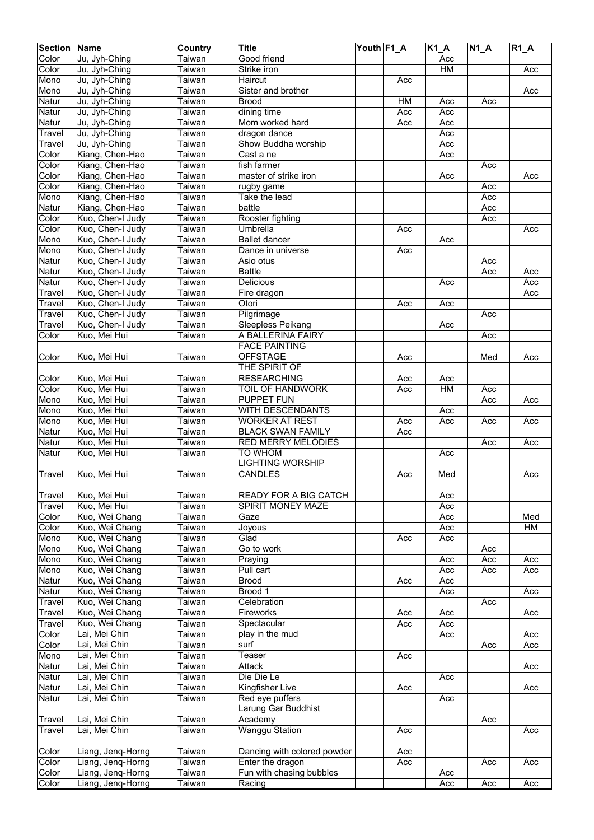| <b>Section</b> | Name                           | Country              | <b>Title</b>                | Youth F1 A |     | $\overline{K1}A$ | $\overline{N1}A$ | $R1_A$ |
|----------------|--------------------------------|----------------------|-----------------------------|------------|-----|------------------|------------------|--------|
| Color          | Ju, Jyh-Ching                  | Taiwan               | Good friend                 |            |     | Acc              |                  |        |
| Color          | Ju, Jyh-Ching                  | Taiwan               | Strike iron                 |            |     | H M              |                  | Acc    |
| Mono           | Ju, Jyh-Ching                  | $\overline{T}$ aiwan | Haircut                     |            | Acc |                  |                  |        |
| Mono           | Ju, Jyh-Ching                  | Taiwan               | Sister and brother          |            |     |                  |                  | Acc    |
| <b>Natur</b>   | Ju, Jyh-Ching                  | Taiwan               | <b>Brood</b>                |            | HM  | Acc              | Acc              |        |
| Natur          | Ju, Jyh-Ching                  | Taiwan               | dining time                 |            | Acc | Acc              |                  |        |
| Natur          | Ju, Jyh-Ching                  | Taiwan               | Mom worked hard             |            | Acc | Acc              |                  |        |
| Travel         | Ju, Jyh-Ching                  | Taiwan               | dragon dance                |            |     | Acc              |                  |        |
| Travel         | Ju, Jyh-Ching                  | Taiwan               | Show Buddha worship         |            |     | Acc              |                  |        |
| Color          | Kiang, Chen-Hao                | Taiwan               | Cast a ne                   |            |     | Acc              |                  |        |
| Color          | Kiang, Chen-Hao                | Taiwan               | fish farmer                 |            |     |                  | Acc              |        |
| Color          | Kiang, Chen-Hao                | Taiwan               | master of strike iron       |            |     | Acc              |                  | Acc    |
| Color          | Kiang, Chen-Hao                | Taiwan               | rugby game                  |            |     |                  | Acc              |        |
| Mono           | Kiang, Chen-Hao                | Taiwan               | Take the lead               |            |     |                  | Acc              |        |
| Natur          | Kiang, Chen-Hao                | Taiwan               | battle                      |            |     |                  | Acc              |        |
| Color          | Kuo, Chen-I Judy               | Taiwan               | Rooster fighting            |            |     |                  | Acc              |        |
| Color          | Kuo, Chen-I Judy               | Taiwan               | Umbrella                    |            | Acc |                  |                  | Acc    |
| Mono           | Kuo, Chen-I Judy               | Taiwan               | <b>Ballet dancer</b>        |            |     | Acc              |                  |        |
| Mono           | Kuo, Chen-I Judy               | Taiwan               | Dance in universe           |            | Acc |                  |                  |        |
| Natur          | Kuo, Chen-I Judy               | Taiwan               | Asio otus                   |            |     |                  | Acc              |        |
| Natur          | Kuo, Chen-I Judy               | Taiwan               | <b>Battle</b>               |            |     |                  | Acc              | Acc    |
| Natur          | Kuo, Chen-I Judy               | Taiwan               | Delicious                   |            |     | Acc              |                  | Acc    |
| Travel         | Kuo, Chen-I Judy               | Taiwan               | Fire dragon                 |            |     |                  |                  | Acc    |
| Travel         | Kuo, Chen-I Judy               | Taiwan               | Otori                       |            | Acc | Acc              |                  |        |
| Travel         | Kuo, Chen-I Judy               | Taiwan               | Pilgrimage                  |            |     |                  | Acc              |        |
| Travel         | Kuo, Chen-I Judy               | Taiwan               | <b>Sleepless Peikang</b>    |            |     | Acc              |                  |        |
| Color          | Kuo, Mei Hui                   | Taiwan               | A BALLERINA FAIRY           |            |     |                  | Acc              |        |
|                |                                |                      | <b>FACE PAINTING</b>        |            |     |                  |                  |        |
| Color          | Kuo, Mei Hui                   | Taiwan               | <b>OFFSTAGE</b>             |            | Acc |                  | Med              | Acc    |
|                |                                |                      | THE SPIRIT OF               |            |     |                  |                  |        |
| Color          | Kuo, Mei Hui                   | Taiwan               | <b>RESEARCHING</b>          |            | Acc | Acc              |                  |        |
| Color          | Kuo, Mei Hui                   | Taiwan               | <b>TOIL OF HANDWORK</b>     |            | Acc | <b>HM</b>        | Acc              |        |
| Mono           | Kuo, Mei Hui                   | Taiwan               | <b>PUPPET FUN</b>           |            |     |                  | Acc              | Acc    |
| Mono           | Kuo, Mei Hui                   | Taiwan               | <b>WITH DESCENDANTS</b>     |            |     | Acc              |                  |        |
| Mono           | Kuo, Mei Hui                   | Taiwan               | <b>WORKER AT REST</b>       |            | Acc | Acc              | Acc              | Acc    |
| Natur          | Kuo, Mei Hui                   | Taiwan               | <b>BLACK SWAN FAMILY</b>    |            | Acc |                  |                  |        |
| Natur          | Kuo, Mei Hui                   | Taiwan               | <b>RED MERRY MELODIES</b>   |            |     |                  | Acc              | Acc    |
| Natur          | Kuo, Mei Hui                   | Taiwan               | <b>TO WHOM</b>              |            |     | Acc              |                  |        |
|                |                                |                      | <b>LIGHTING WORSHIP</b>     |            |     |                  |                  |        |
| <b>Travel</b>  | Kuo, Mei Hui                   | Taiwan               | <b>CANDLES</b>              |            | Acc | Med              |                  | Acc    |
|                |                                |                      |                             |            |     |                  |                  |        |
| <b>Travel</b>  | Kuo, Mei Hui                   | Taiwan               | READY FOR A BIG CATCH       |            |     | Acc              |                  |        |
| Travel         | Kuo, Mei Hui                   | Taiwan               | SPIRIT MONEY MAZE           |            |     | Acc              |                  |        |
| Color          | Kuo, Wei Chang                 | Taiwan               | Gaze                        |            |     | Acc              |                  | Med    |
| Color          | Kuo, Wei Chang                 | Taiwan               | Joyous                      |            |     | Acc              |                  | HM     |
| Mono           | Kuo, Wei Chang                 | Taiwan               | Glad                        |            | Acc | Acc              |                  |        |
| Mono           | Kuo, Wei Chang                 | Taiwan               | Go to work                  |            |     |                  | Acc              |        |
| Mono           | Kuo, Wei Chang                 | Taiwan               | Praying                     |            |     | Acc              | Acc              | Acc    |
| Mono           | Kuo, Wei Chang                 | Taiwan               | Pull cart                   |            |     | Acc              | Acc              | Acc    |
| Natur          | Kuo, Wei Chang                 | Taiwan               | <b>Brood</b>                |            | Acc | Acc              |                  |        |
| Natur          | Kuo, Wei Chang                 | Taiwan               | Brood 1                     |            |     | Acc              |                  | Acc    |
| Travel         | Kuo, Wei Chang                 | Taiwan               | Celebration                 |            |     |                  | Acc              |        |
| Travel         | Kuo, Wei Chang                 | Taiwan               | Fireworks                   |            | Acc | Acc              |                  | Acc    |
| Travel         | Kuo, Wei Chang                 | Taiwan               | Spectacular                 |            | Acc | Acc              |                  |        |
| Color          | Lai, Mei Chin<br>Lai, Mei Chin | Taiwan               | play in the mud<br>surf     |            |     | Acc              |                  | Acc    |
| Color<br>Mono  | Lai, Mei Chin                  | Taiwan<br>Taiwan     | Teaser                      |            | Acc |                  | Acc              | Acc    |
|                |                                |                      |                             |            |     |                  |                  |        |
| Natur<br>Natur | Lai, Mei Chin<br>Lai, Mei Chin | Taiwan<br>Taiwan     | Attack<br>Die Die Le        |            |     | Acc              |                  | Acc    |
| Natur          | Lai, Mei Chin                  | Taiwan               | Kingfisher Live             |            | Acc |                  |                  | Acc    |
| Natur          | Lai, Mei Chin                  | Taiwan               | Red eye puffers             |            |     | Acc              |                  |        |
|                |                                |                      | Larung Gar Buddhist         |            |     |                  |                  |        |
| Travel         | Lai, Mei Chin                  | Taiwan               | Academy                     |            |     |                  | Acc              |        |
| Travel         | Lai, Mei Chin                  | Taiwan               | <b>Wanggu Station</b>       |            | Acc |                  |                  | Acc    |
|                |                                |                      |                             |            |     |                  |                  |        |
| Color          | Liang, Jeng-Horng              | Taiwan               | Dancing with colored powder |            | Acc |                  |                  |        |
| Color          | Liang, Jenq-Horng              | Taiwan               | Enter the dragon            |            | Acc |                  | Acc              | Acc    |
| Color          | Liang, Jenq-Horng              | Taiwan               | Fun with chasing bubbles    |            |     | Acc              |                  |        |
| Color          | Liang, Jenq-Horng              | Taiwan               | Racing                      |            |     | Acc              | Acc              | Acc    |
|                |                                |                      |                             |            |     |                  |                  |        |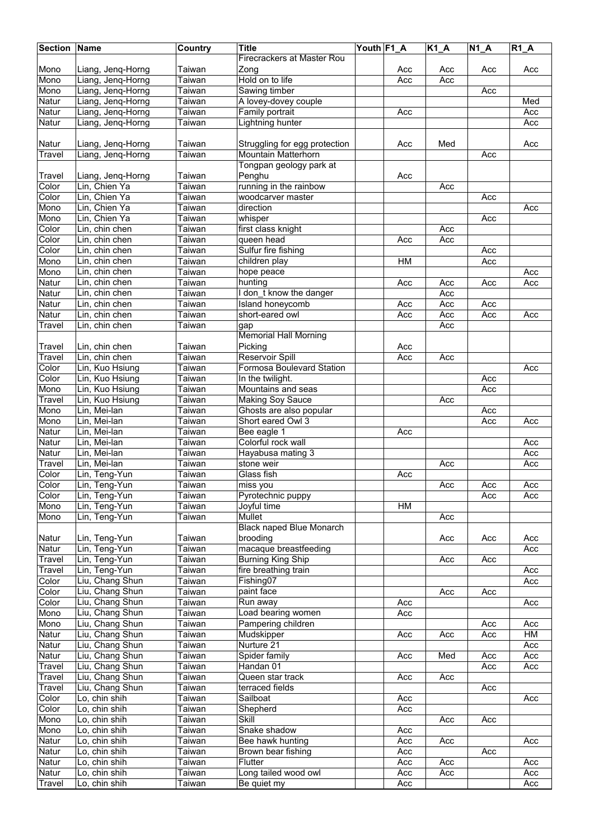| <b>Section Name</b> |                   | Country       | <b>Title</b>                    | Youth F1_A |           | $K1_A$ | $N1_A$ | $R1_A$ |
|---------------------|-------------------|---------------|---------------------------------|------------|-----------|--------|--------|--------|
|                     |                   |               | Firecrackers at Master Rou      |            |           |        |        |        |
| Mono                | Liang, Jeng-Horng | Taiwan        | Zong                            |            | Acc       | Acc    | Acc    | Acc    |
| Mono                | Liang, Jeng-Horng | <b>Taiwan</b> | Hold on to life                 |            | Acc       | Acc    |        |        |
| Mono                | Liang, Jeng-Horng | Taiwan        | Sawing timber                   |            |           |        | Acc    |        |
|                     |                   |               | A lovey-dovey couple            |            |           |        |        | Med    |
| Natur               | Liang, Jeng-Horng | Taiwan        |                                 |            |           |        |        |        |
| Natur               | Liang, Jenq-Horng | Taiwan        | Family portrait                 |            | Acc       |        |        | Acc    |
| Natur               | Liang, Jenq-Horng | Taiwan        | Lightning hunter                |            |           |        |        | Acc    |
|                     |                   |               |                                 |            |           |        |        |        |
| Natur               | Liang, Jenq-Horng | Taiwan        | Struggling for egg protection   |            | Acc       | Med    |        | Acc    |
| Travel              | Liang, Jeng-Horng | Taiwan        | Mountain Matterhorn             |            |           |        | Acc    |        |
|                     |                   |               | Tongpan geology park at         |            |           |        |        |        |
| Travel              | Liang, Jeng-Horng | Taiwan        | Penghu                          |            | Acc       |        |        |        |
| Color               | Lin, Chien Ya     | Taiwan        | running in the rainbow          |            |           | Acc    |        |        |
| Color               | Lin, Chien Ya     | Taiwan        | woodcarver master               |            |           |        | Acc    |        |
| Mono                | Lin, Chien Ya     | Taiwan        | direction                       |            |           |        |        | Acc    |
| Mono                | Lin, Chien Ya     | Taiwan        | whisper                         |            |           |        | Acc    |        |
| Color               | Lin, chin chen    | <b>Taiwan</b> | first class knight              |            |           | Acc    |        |        |
| Color               | Lin, chin chen    |               |                                 |            |           |        |        |        |
|                     |                   | Taiwan        | queen head                      |            | Acc       | Acc    |        |        |
| Color               | Lin, chin chen    | Taiwan        | Sulfur fire fishing             |            |           |        | Acc    |        |
| Mono                | Lin, chin chen    | Taiwan        | children play                   |            | <b>HM</b> |        | Acc    |        |
| Mono                | Lin, chin chen    | Taiwan        | hope peace                      |            |           |        |        | Acc    |
| Natur               | Lin, chin chen    | Taiwan        | hunting                         |            | Acc       | Acc    | Acc    | Acc    |
| Natur               | Lin, chin chen    | Taiwan        | I don t know the danger         |            |           | Acc    |        |        |
| Natur               | Lin, chin chen    | Taiwan        | Island honeycomb                |            | Acc       | Acc    | Acc    |        |
| Natur               | Lin, chin chen    | Taiwan        | short-eared owl                 |            | Acc       | Acc    | Acc    | Acc    |
| Travel              | Lin, chin chen    | Taiwan        | gap                             |            |           | Acc    |        |        |
|                     |                   |               | <b>Memorial Hall Morning</b>    |            |           |        |        |        |
| Travel              | Lin, chin chen    | Taiwan        | Picking                         |            | Acc       |        |        |        |
| Travel              | Lin, chin chen    | Taiwan        | <b>Reservoir Spill</b>          |            | Acc       | Acc    |        |        |
| Color               | Lin, Kuo Hsiung   | Taiwan        | Formosa Boulevard Station       |            |           |        |        | Acc    |
| Color               | Lin, Kuo Hsiung   |               |                                 |            |           |        |        |        |
|                     |                   | Taiwan        | In the twilight.                |            |           |        | Acc    |        |
| Mono                | Lin, Kuo Hsiung   | Taiwan        | Mountains and seas              |            |           |        | Acc    |        |
| Travel              | Lin, Kuo Hsiung   | Taiwan        | <b>Making Soy Sauce</b>         |            |           | Acc    |        |        |
| Mono                | Lin, Mei-lan      | Taiwan        | Ghosts are also popular         |            |           |        | Acc    |        |
| Mono                | Lin, Mei-lan      | Taiwan        | Short eared Owl 3               |            |           |        | Acc    | Acc    |
| Natur               | Lin, Mei-lan      | Taiwan        | Bee eagle 1                     |            | Acc       |        |        |        |
| Natur               | Lin, Mei-lan      | Taiwan        | Colorful rock wall              |            |           |        |        | Acc    |
| Natur               | Lin, Mei-lan      | Taiwan        | Hayabusa mating 3               |            |           |        |        | Acc    |
| Travel              | Lin, Mei-lan      | Taiwan        | stone weir                      |            |           | Acc    |        | Acc    |
| Color               | Lin, Teng-Yun     | Taiwan        | Glass fish                      |            | Acc       |        |        |        |
| Color               | Lin, Teng-Yun     | Taiwan        | miss you                        |            |           | Acc    | Acc    | Acc    |
| Color               | Lin, Teng-Yun     | Taiwan        | Pyrotechnic puppy               |            |           |        | Acc    | Acc    |
| Mono                | Lin, Teng-Yun     | Taiwan        | Joyful time                     |            | H M       |        |        |        |
| Mono                | Lin, Teng-Yun     | Taiwan        | Mullet                          |            |           | Acc    |        |        |
|                     |                   |               | <b>Black naped Blue Monarch</b> |            |           |        |        |        |
|                     |                   |               |                                 |            |           |        |        |        |
| Natur               | Lin, Teng-Yun     | Taiwan        | brooding                        |            |           | Acc    | Acc    | Acc    |
| Natur               | Lin, Teng-Yun     | Taiwan        | macaque breastfeeding           |            |           |        |        | Acc    |
| Travel              | Lin, Teng-Yun     | Taiwan        | <b>Burning King Ship</b>        |            |           | Acc    | Acc    |        |
| Travel              | Lin, Teng-Yun     | Taiwan        | fire breathing train            |            |           |        |        | Acc    |
| Color               | Liu, Chang Shun   | Taiwan        | Fishing07                       |            |           |        |        | Acc    |
| Color               | Liu, Chang Shun   | Taiwan        | paint face                      |            |           | Acc    | Acc    |        |
| Color               | Liu, Chang Shun   | Taiwan        | Run away                        |            | Acc       |        |        | Acc    |
| Mono                | Liu, Chang Shun   | Taiwan        | Load bearing women              |            | Acc       |        |        |        |
| Mono                | Liu, Chang Shun   | Taiwan        | Pampering children              |            |           |        | Acc    | Acc    |
| Natur               | Liu, Chang Shun   | Taiwan        | Mudskipper                      |            | Acc       | Acc    | Acc    | HM     |
| Natur               | Liu, Chang Shun   | Taiwan        | Nurture 21                      |            |           |        |        | Acc    |
| Natur               | Liu, Chang Shun   | Taiwan        | Spider family                   |            | Acc       | Med    | Acc    | Acc    |
| Travel              | Liu, Chang Shun   | Taiwan        | Handan 01                       |            |           |        | Acc    | Acc    |
| Travel              | Liu, Chang Shun   | Taiwan        | Queen star track                |            | Acc       | Acc    |        |        |
|                     |                   |               |                                 |            |           |        |        |        |
| Travel              | Liu, Chang Shun   | Taiwan        | terraced fields                 |            |           |        | Acc    |        |
| Color               | Lo, chin shih     | Taiwan        | Sailboat                        |            | Acc       |        |        | Acc    |
| Color               | Lo, chin shih     | Taiwan        | Shepherd                        |            | Acc       |        |        |        |
| Mono                | Lo, chin shih     | Taiwan        | <b>Skill</b>                    |            |           | Acc    | Acc    |        |
| Mono                | Lo, chin shih     | Taiwan        | Snake shadow                    |            | Acc       |        |        |        |
| Natur               | Lo, chin shih     | Taiwan        | Bee hawk hunting                |            | Acc       | Acc    |        | Acc    |
| Natur               | Lo, chin shih     | Taiwan        | Brown bear fishing              |            | Acc       |        | Acc    |        |
| Natur               | Lo, chin shih     | Taiwan        | Flutter                         |            | Acc       | Acc    |        | Acc    |
| Natur               | Lo, chin shih     | Taiwan        | Long tailed wood owl            |            | Acc       | Acc    |        | Acc    |
| <b>Travel</b>       | Lo, chin shih     | Taiwan        | Be quiet my                     |            | Acc       |        |        | Acc    |
|                     |                   |               |                                 |            |           |        |        |        |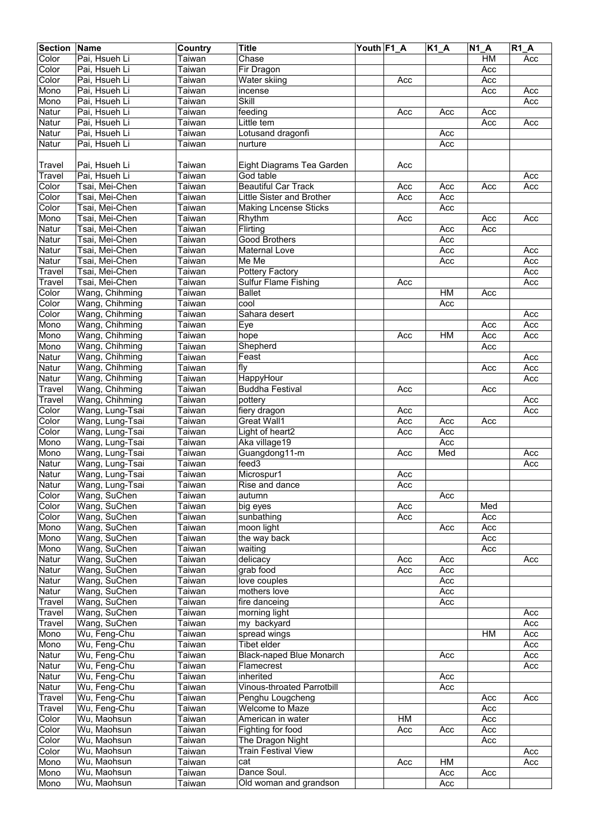| <b>Section</b> | Name            | Country              | <b>Title</b>                      | Youth F1_A |     | <b>K1 A</b> | <b>N1 A</b> | $R1_A$ |
|----------------|-----------------|----------------------|-----------------------------------|------------|-----|-------------|-------------|--------|
| Color          | Pai, Hsueh Li   | Taiwan               | Chase                             |            |     |             | HM          | Acc    |
| Color          | Pai, Hsueh Li   | Taiwan               | Fir Dragon                        |            |     |             | Acc         |        |
| Color          | Pai, Hsueh Li   | Taiwan               | Water skiing                      |            | Acc |             | Acc         |        |
| Mono           | Pai, Hsueh Li   | Taiwan               | incense                           |            |     |             | Acc         | Acc    |
| Mono           | Pai, Hsueh Li   | Taiwan               | Skill                             |            |     |             |             | Acc    |
| Natur          | Pai, Hsueh Li   | Taiwan               | feeding                           |            | Acc | Acc         | Acc         |        |
| Natur          | Pai, Hsueh Li   | Taiwan               | Little tem                        |            |     |             | Acc         | Acc    |
| Natur          | Pai, Hsueh Li   | Taiwan               | Lotusand dragonfi                 |            |     | Acc         |             |        |
| Natur          | Pai, Hsueh Li   | Taiwan               | nurture                           |            |     | Acc         |             |        |
|                |                 |                      |                                   |            |     |             |             |        |
| Travel         | Pai. Hsueh Li   | Taiwan               | Eight Diagrams Tea Garden         |            | Acc |             |             |        |
| Travel         | Pai, Hsueh Li   | Taiwan               | God table                         |            |     |             |             | Acc    |
| Color          | Tsai, Mei-Chen  | Taiwan               | <b>Beautiful Car Track</b>        |            | Acc | Acc         | Acc         | Acc    |
| Color          | Tsai, Mei-Chen  | Taiwan               | Little Sister and Brother         |            | Acc | Acc         |             |        |
| Color          | Tsai, Mei-Chen  | Taiwan               | <b>Making Lncense Sticks</b>      |            |     | Acc         |             |        |
| Mono           | Tsai, Mei-Chen  | Taiwan               | Rhythm                            |            | Acc |             | Acc         | Acc    |
| Natur          | Tsai, Mei-Chen  | Taiwan               | Flirting                          |            |     | Acc         | Acc         |        |
| Natur          | Tsai, Mei-Chen  | Taiwan               | <b>Good Brothers</b>              |            |     | Acc         |             |        |
| Natur          | Tsai, Mei-Chen  | Taiwan               | Maternal Love                     |            |     | Acc         |             | Acc    |
| Natur          | Tsai, Mei-Chen  | Taiwan               | Me Me                             |            |     | Acc         |             | Acc    |
| Travel         | Tsai, Mei-Chen  | $\overline{T}$ aiwan | Pottery Factory                   |            |     |             |             | Acc    |
| Travel         | Tsai, Mei-Chen  | Taiwan               | <b>Sulfur Flame Fishing</b>       |            | Acc |             |             | Acc    |
| Color          | Wang, Chihming  | Taiwan               | <b>Ballet</b>                     |            |     | HM          | Acc         |        |
| Color          | Wang, Chihming  | Taiwan               | cool                              |            |     | Acc         |             |        |
| Color          | Wang, Chihming  | Taiwan               | Sahara desert                     |            |     |             |             | Acc    |
| Mono           | Wang, Chihming  | Taiwan               | Eye                               |            |     |             | Acc         | Acc    |
| Mono           | Wang, Chihming  | Taiwan               | hope                              |            | Acc | HM          | Acc         | Acc    |
| Mono           | Wang, Chihming  | Taiwan               | Shepherd                          |            |     |             | Acc         |        |
| Natur          | Wang, Chihming  | Taiwan               | Feast                             |            |     |             |             | Acc    |
| Natur          | Wang, Chihming  | Taiwan               | fly                               |            |     |             | Acc         | Acc    |
| Natur          | Wang, Chihming  | Taiwan               | HappyHour                         |            |     |             |             | Acc    |
| Travel         | Wang, Chihming  | Taiwan               | <b>Buddha Festival</b>            |            | Acc |             | Acc         |        |
| Travel         | Wang, Chihming  | Taiwan               | pottery                           |            |     |             |             | Acc    |
| Color          | Wang, Lung-Tsai | Taiwan               | fiery dragon                      |            | Acc |             |             | Acc    |
| Color          | Wang, Lung-Tsai | Taiwan               | <b>Great Wall1</b>                |            | Acc | Acc         | Acc         |        |
| Color          | Wang, Lung-Tsai | Taiwan               | Light of heart2                   |            | Acc | Acc         |             |        |
| Mono           | Wang, Lung-Tsai | Taiwan               | Aka village19                     |            |     | Acc         |             |        |
| Mono           | Wang, Lung-Tsai | Taiwan               | Guangdong11-m                     |            | Acc | Med         |             | Acc    |
| Natur          | Wang, Lung-Tsai | Taiwan               | feed3                             |            |     |             |             | Acc    |
| Natur          | Wang, Lung-Tsai | Taiwan               | Microspur1                        |            | Acc |             |             |        |
| Natur          | Wang, Lung-Tsai | Taiwan               | Rise and dance                    |            | Acc |             |             |        |
| Color          | Wang, SuChen    | Taiwan               | autumn                            |            |     | Acc         |             |        |
| Color          | Wang, SuChen    | Taiwan               | big eyes                          |            | Acc |             | Med         |        |
| Color          | Wang, SuChen    | Taiwan               | sunbathing                        |            | Acc |             | Acc         |        |
| Mono           | Wang, SuChen    | Taiwan               | moon light                        |            |     | Acc         | Acc         |        |
| Mono           | Wang, SuChen    | Taiwan               | the way back                      |            |     |             | Acc         |        |
| Mono           | Wang, SuChen    | Taiwan               | waiting                           |            |     |             | Acc         |        |
| Natur          | Wang, SuChen    | Taiwan               | delicacy                          |            | Acc | Acc         |             | Acc    |
| Natur          | Wang, SuChen    | Taiwan               | grab food                         |            | Acc | Acc         |             |        |
| Natur          | Wang, SuChen    | Taiwan               | love couples                      |            |     | Acc         |             |        |
| Natur          | Wang, SuChen    | Taiwan               | mothers love                      |            |     | Acc         |             |        |
| Travel         | Wang, SuChen    | Taiwan               | fire danceing                     |            |     | Acc         |             |        |
| Travel         | Wang, SuChen    | Taiwan               | morning light                     |            |     |             |             | Acc    |
| Travel         | Wang, SuChen    | Taiwan               | my backyard                       |            |     |             |             | Acc    |
| Mono           | Wu, Feng-Chu    | Taiwan               | spread wings                      |            |     |             | HM          | Acc    |
| Mono           | Wu, Feng-Chu    | Taiwan               | Tibet elder                       |            |     |             |             | Acc    |
| Natur          | Wu, Feng-Chu    | Taiwan               | <b>Black-naped Blue Monarch</b>   |            |     | Acc         |             | Acc    |
| Natur          | Wu, Feng-Chu    | Taiwan               | Flamecrest                        |            |     |             |             | Acc    |
| Natur          | Wu, Feng-Chu    | Taiwan               | inherited                         |            |     | Acc         |             |        |
| Natur          | Wu, Feng-Chu    | Taiwan               | <b>Vinous-throated Parrotbill</b> |            |     | Acc         |             |        |
| Travel         | Wu, Feng-Chu    | Taiwan               | Penghu Lougcheng                  |            |     |             | Acc         | Acc    |
| Travel         | Wu, Feng-Chu    | Taiwan               | <b>Welcome to Maze</b>            |            |     |             | Acc         |        |
| Color          | Wu, Maohsun     | Taiwan               | American in water                 |            | HM  |             | Acc         |        |
| Color          | Wu, Maohsun     | Taiwan               | Fighting for food                 |            | Acc | Acc         | Acc         |        |
| Color          | Wu, Maohsun     | Taiwan               | The Dragon Night                  |            |     |             | Acc         |        |
| Color          | Wu, Maohsun     | Taiwan               | <b>Train Festival View</b>        |            |     |             |             | Acc    |
| Mono           | Wu, Maohsun     | Taiwan               | cat                               |            | Acc | HM          |             | Acc    |
| Mono           | Wu, Maohsun     | Taiwan               | Dance Soul.                       |            |     | Acc         | Acc         |        |
| Mono           | Wu, Maohsun     | Taiwan               | Old woman and grandson            |            |     | Acc         |             |        |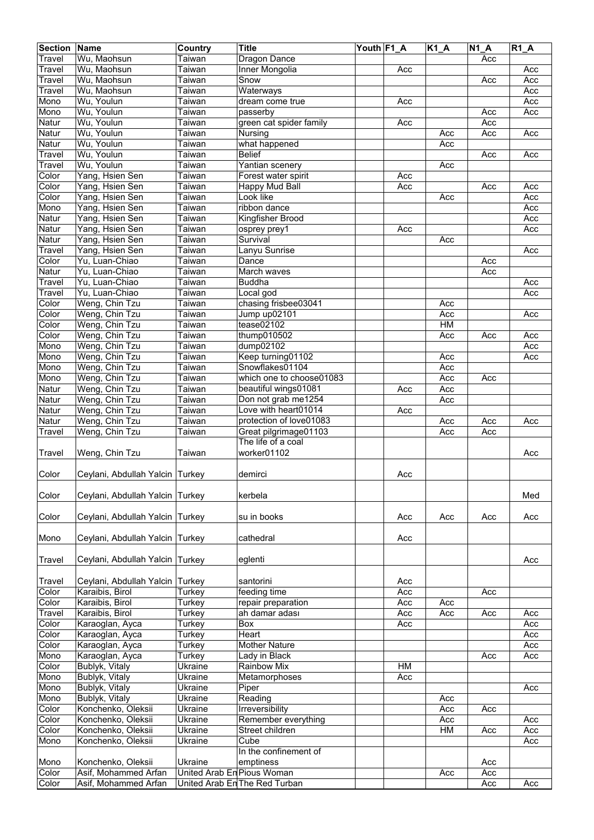| <b>Section</b> | Name                            | Country                    | <b>Title</b>                  | Youth F1_A |     | $K1_A$ | N1A | $R1_A$         |
|----------------|---------------------------------|----------------------------|-------------------------------|------------|-----|--------|-----|----------------|
| Travel         | Wu, Maohsun                     | Taiwan                     | Dragon Dance                  |            |     |        | Acc |                |
| Travel         | Wu, Maohsun                     | Taiwan                     | Inner Mongolia                |            | Acc |        |     | Acc            |
| Travel         | Wu, Maohsun                     | Taiwan                     | Snow                          |            |     |        | Acc | Acc            |
| Travel         | Wu, Maohsun                     | Taiwan                     | Waterways                     |            |     |        |     | Acc            |
| Mono           | Wu, Youlun                      | Taiwan                     | dream come true               |            | Acc |        |     | Acc            |
| Mono           | Wu, Youlun                      | Taiwan                     | passerby                      |            |     |        | Acc | Acc            |
| Natur          | Wu, Youlun                      | Taiwan                     | green cat spider family       |            | Acc |        | Acc |                |
| Natur          | Wu, Youlun                      | Taiwan                     | Nursing                       |            |     | Acc    | Acc | Acc            |
| Natur          | Wu, Youlun                      | Taiwan                     | what happened                 |            |     | Acc    |     |                |
| Travel         | Wu, Youlun                      | Taiwan                     | <b>Belief</b>                 |            |     |        | Acc | Acc            |
| Travel         | Wu, Youlun                      | Taiwan                     | Yantian scenery               |            |     | Acc    |     |                |
| Color          | Yang, Hsien Sen                 | Taiwan                     | Forest water spirit           |            | Acc |        |     |                |
| Color          | Yang, Hsien Sen                 | Taiwan                     | <b>Happy Mud Ball</b>         |            | Acc |        | Acc | Acc            |
| Color          | Yang, Hsien Sen                 | Taiwan                     | Look like                     |            |     | Acc    |     | Acc            |
| Mono           | Yang, Hsien Sen                 | Taiwan                     | ribbon dance                  |            |     |        |     | Acc            |
| Natur          | Yang, Hsien Sen                 | Taiwan                     | Kingfisher Brood              |            |     |        |     | Acc            |
| Natur          | Yang, Hsien Sen                 | Taiwan                     | osprey prey1                  |            | Acc |        |     | Acc            |
| Natur          | Yang, Hsien Sen                 | Taiwan                     | Survival                      |            |     | Acc    |     |                |
| Travel         | Yang, Hsien Sen                 | Taiwan                     | Lanyu Sunrise                 |            |     |        |     | Acc            |
| Color          | Yu, Luan-Chiao                  | Taiwan                     | Dance                         |            |     |        | Acc |                |
| Natur          | Yu, Luan-Chiao                  | Taiwan                     | March waves                   |            |     |        | Acc |                |
| Travel         | Yu, Luan-Chiao                  | Taiwan                     | <b>Buddha</b>                 |            |     |        |     | Acc            |
| Travel         | Yu, Luan-Chiao                  | Taiwan                     | Local god                     |            |     |        |     | Acc            |
| Color          | Weng, Chin Tzu                  | Taiwan                     | chasing frisbee03041          |            |     | Acc    |     |                |
| Color          | Weng, Chin Tzu                  | Taiwan                     | Jump up02101                  |            |     | Acc    |     | Acc            |
| Color          | Weng, Chin Tzu                  | Taiwan                     | tease02102                    |            |     | HM     |     |                |
| Color          | Weng, Chin Tzu                  | Taiwan                     | thump010502                   |            |     | Acc    | Acc | Acc            |
| Mono           | Weng, Chin Tzu                  | Taiwan                     | dump02102                     |            |     |        |     | Acc            |
| Mono           | Weng, Chin Tzu                  | Taiwan                     | Keep turning01102             |            |     | Acc    |     | Acc            |
| Mono           | Weng, Chin Tzu                  | Taiwan                     | Snowflakes01104               |            |     | Acc    |     |                |
| Mono           | Weng, Chin Tzu                  | Taiwan                     | which one to choose01083      |            |     | Acc    | Acc |                |
| Natur          | Weng, Chin Tzu                  | Taiwan                     | beautiful wings01081          |            | Acc | Acc    |     |                |
| Natur          | Weng, Chin Tzu                  | Taiwan                     | Don not grab me1254           |            |     | Acc    |     |                |
| Natur          | Weng, Chin Tzu                  | Taiwan                     | Love with heart01014          |            | Acc |        |     |                |
| Natur          | Weng, Chin Tzu                  | Taiwan                     | protection of love01083       |            |     | Acc    | Acc | Acc            |
| Travel         | Weng, Chin Tzu                  | Taiwan                     | Great pilgrimage01103         |            |     | Acc    | Acc |                |
|                |                                 |                            | The life of a coal            |            |     |        |     |                |
| Travel         | Weng, Chin Tzu                  | Taiwan                     | worker01102                   |            |     |        |     | Acc            |
|                |                                 |                            |                               |            |     |        |     |                |
| Color          | Ceylani, Abdullah Yalcin Turkey |                            | demirci                       |            | Acc |        |     |                |
|                |                                 |                            |                               |            |     |        |     |                |
| Color          | Ceylani, Abdullah Yalcin Turkey |                            | kerbela                       |            |     |        |     | Med            |
|                |                                 |                            |                               |            |     |        |     |                |
| Color          | Ceylani, Abdullah Yalcin Turkey |                            | su in books                   |            | Acc | Acc    | Acc | Acc            |
|                |                                 |                            |                               |            |     |        |     |                |
| Mono           | Ceylani, Abdullah Yalcin        | Turkey                     | cathedral                     |            | Acc |        |     |                |
|                |                                 |                            |                               |            |     |        |     |                |
| <b>Travel</b>  | Ceylani, Abdullah Yalcin        | Turkey                     | eglenti                       |            |     |        |     | Acc            |
|                |                                 |                            |                               |            |     |        |     |                |
| Travel         | Ceylani, Abdullah Yalcin        | Turkey                     | santorini                     |            | Acc |        |     |                |
| Color          | Karaibis, Birol                 | Turkey                     | feeding time                  |            | Acc |        | Acc |                |
| Color          | Karaibis, Birol                 | Turkey                     | repair preparation            |            | Acc | Acc    |     |                |
| Travel         | Karaibis, Birol                 | Turkey                     | ah damar adası                |            | Acc | Acc    | Acc | $\mathsf{Acc}$ |
| Color          | Karaoglan, Ayca                 | Turkey                     | Box                           |            | Acc |        |     | Acc            |
| Color          | Karaoglan, Ayca                 | Turkey                     | Heart                         |            |     |        |     | Acc            |
| Color          | Karaoglan, Ayca                 | Turkey                     | <b>Mother Nature</b>          |            |     |        |     | Acc            |
| Mono           | Karaoglan, Ayca                 | Turkey                     | Lady in Black                 |            |     |        | Acc | Acc            |
| Color          | Bublyk, Vitaly                  | Ukraine                    | Rainbow Mix                   |            | HM  |        |     |                |
| Mono           | Bublyk, Vitaly                  | Ukraine                    | Metamorphoses                 |            | Acc |        |     |                |
| Mono           | Bublyk, Vitaly                  | Ukraine                    | Piper                         |            |     |        |     | Acc            |
| Mono           | Bublyk, Vitaly                  | Ukraine                    | Reading                       |            |     | Acc    |     |                |
| Color          | Konchenko, Oleksii              | Ukraine                    | Irreversibility               |            |     |        |     |                |
|                |                                 |                            |                               |            |     | Acc    | Acc |                |
| Color          | Konchenko, Oleksii              | Ukraine                    | Remember everything           |            |     | Acc    |     | Acc            |
| Color          | Konchenko, Oleksii              | Ukraine                    | Street children               |            |     | HM     | Acc | Acc            |
| Mono           | Konchenko, Oleksii              | Ukraine                    | Cube<br>In the confinement of |            |     |        |     | Acc            |
|                |                                 |                            |                               |            |     |        |     |                |
| Mono           | Konchenko, Oleksii              | Ukraine                    | emptiness                     |            |     |        | Acc |                |
| Color          | Asif, Mohammed Arfan            | United Arab En Pious Woman |                               |            |     | Acc    | Acc |                |
| Color          | Asif, Mohammed Arfan            |                            | United Arab En The Red Turban |            |     |        | Acc | Acc            |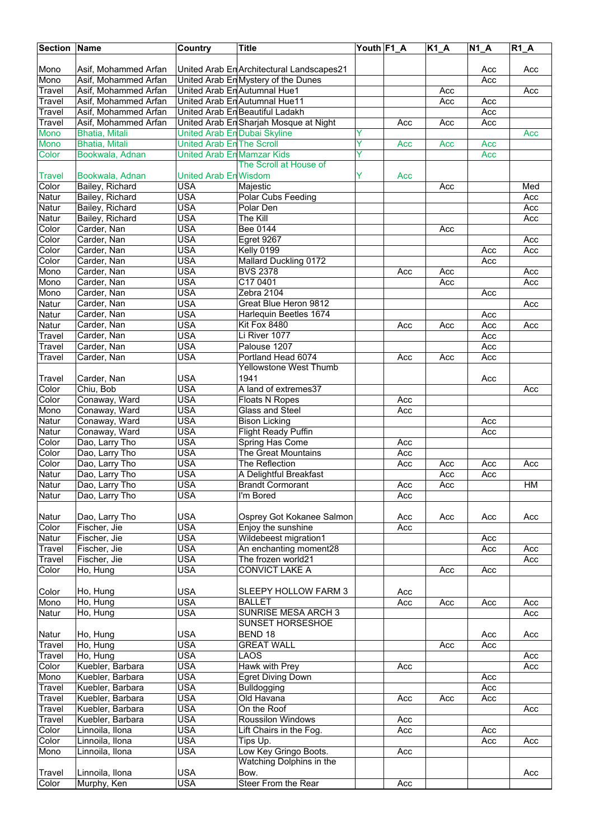| <b>Section Name</b>   |                                        | <b>Country</b>                    | <b>Title</b>                              | Youth F1 A |     | $K1_A$ | $N1_A$     | $R1_A$ |
|-----------------------|----------------------------------------|-----------------------------------|-------------------------------------------|------------|-----|--------|------------|--------|
|                       |                                        |                                   |                                           |            |     |        |            |        |
| Mono                  | Asif. Mohammed Arfan                   |                                   | United Arab En Architectural Landscapes21 |            |     |        | Acc        | Acc    |
| Mono                  | Asif, Mohammed Arfan                   |                                   | United Arab En Mystery of the Dunes       |            |     |        | Acc        |        |
| Travel                | Asif, Mohammed Arfan                   |                                   | United Arab En Autumnal Hue1              |            |     | Acc    |            | Acc    |
| Travel                | Asif, Mohammed Arfan                   |                                   | United Arab En Autumnal Hue11             |            |     | Acc    | Acc        |        |
| Travel                | Asif, Mohammed Arfan                   |                                   | United Arab En Beautiful Ladakh           |            |     |        | Acc<br>Acc |        |
| Travel<br><b>Mono</b> | Asif, Mohammed Arfan<br>Bhatia, Mitali | United Arab En Dubai Skyline      | United Arab En Sharjah Mosque at Night    | Ÿ          | Acc | Acc    |            | Acc    |
| Mono                  | Bhatia, Mitali                         | United Arab En The Scroll         |                                           | Ÿ          | Acc | Acc    | Acc        |        |
| Color                 | Bookwala, Adnan                        | <b>United Arab En Mamzar Kids</b> |                                           | Ÿ          |     |        | Acc        |        |
|                       |                                        |                                   | The Scroll at House of                    |            |     |        |            |        |
| Travel                | Bookwala, Adnan                        | <b>United Arab En Wisdom</b>      |                                           | Y          | Acc |        |            |        |
| Color                 | Bailey, Richard                        | <b>USA</b>                        | Majestic                                  |            |     | Acc    |            | Med    |
| Natur                 | Bailey, Richard                        | <b>USA</b>                        | Polar Cubs Feeding                        |            |     |        |            | Acc    |
| Natur                 | Bailey, Richard                        | <b>USA</b>                        | Polar Den                                 |            |     |        |            | Acc    |
| Natur                 | Bailey, Richard                        | <b>USA</b>                        | The Kill                                  |            |     |        |            | Acc    |
| Color                 | Carder, Nan                            | <b>USA</b>                        | <b>Bee 0144</b>                           |            |     | Acc    |            |        |
| Color                 | Carder, Nan                            | <b>USA</b>                        | Egret 9267                                |            |     |        |            | Acc    |
| Color                 | Carder, Nan                            | <b>USA</b>                        | Kelly 0199                                |            |     |        | Acc        | Acc    |
| Color                 | Carder, Nan                            | <b>USA</b>                        | Mallard Duckling 0172                     |            |     |        | Acc        |        |
| Mono                  | Carder, Nan                            | <b>USA</b>                        | <b>BVS 2378</b>                           |            | Acc | Acc    |            | Acc    |
| Mono                  | Carder, Nan                            | <b>USA</b>                        | C17 0401                                  |            |     | Acc    |            | Acc    |
| Mono                  | Carder, Nan                            | <b>USA</b>                        | Zebra 2104                                |            |     |        | Acc        |        |
| Natur                 | Carder, Nan                            | <b>USA</b>                        | Great Blue Heron 9812                     |            |     |        |            | Acc    |
| Natur                 | Carder, Nan                            | <b>USA</b>                        | Harlequin Beetles 1674                    |            |     |        | Acc        |        |
| Natur                 | Carder, Nan                            | <b>USA</b>                        | Kit Fox 8480                              |            | Acc | Acc    | Acc        | Acc    |
| Travel                | Carder, Nan                            | <b>USA</b>                        | Li River 1077                             |            |     |        | Acc        |        |
| Travel                | Carder, Nan                            | <b>USA</b><br><b>USA</b>          | Palouse 1207<br>Portland Head 6074        |            |     |        | Acc        |        |
| Travel                | Carder, Nan                            |                                   | <b>Yellowstone West Thumb</b>             |            | Acc | Acc    | Acc        |        |
| Travel                | Carder, Nan                            | USA                               | 1941                                      |            |     |        | Acc        |        |
| Color                 | Chiu, Bob                              | <b>USA</b>                        | A land of extremes37                      |            |     |        |            | Acc    |
| Color                 | Conaway, Ward                          | <b>USA</b>                        | <b>Floats N Ropes</b>                     |            | Acc |        |            |        |
| Mono                  | Conaway, Ward                          | <b>USA</b>                        | Glass and Steel                           |            | Acc |        |            |        |
| Natur                 | Conaway, Ward                          | <b>USA</b>                        | <b>Bison Licking</b>                      |            |     |        | Acc        |        |
| Natur                 | Conaway, Ward                          | <b>USA</b>                        | <b>Flight Ready Puffin</b>                |            |     |        | Acc        |        |
| Color                 | Dao, Larry Tho                         | USA                               | Spring Has Come                           |            | Acc |        |            |        |
| Color                 | Dao, Larry Tho                         | <b>USA</b>                        | The Great Mountains                       |            | Acc |        |            |        |
| Color                 | Dao, Larry Tho                         | <b>USA</b>                        | The Reflection                            |            | Acc | Acc    | Acc        | Acc    |
| Natur                 | Dao, Larry Tho                         | <b>USA</b>                        | A Delightful Breakfast                    |            |     | Acc    | Acc        |        |
| <b>Natur</b>          | Dao, Larry Tho                         | <b>USA</b>                        | <b>Brandt Cormorant</b>                   |            | Acc | Acc    |            | HM     |
| Natur                 | Dao, Larry Tho                         | USA                               | I'm Bored                                 |            | Acc |        |            |        |
|                       |                                        |                                   |                                           |            |     |        |            |        |
| Natur                 | Dao, Larry Tho                         | <b>USA</b>                        | Osprey Got Kokanee Salmon                 |            | Acc | Acc    | Acc        | Acc    |
| Color                 | Fischer, Jie                           | <b>USA</b>                        | Enjoy the sunshine                        |            | Acc |        |            |        |
| Natur                 | Fischer, Jie                           | <b>USA</b>                        | Wildebeest migration1                     |            |     |        | Acc        |        |
| Travel                | Fischer, Jie                           | <b>USA</b>                        | An enchanting moment28                    |            |     |        | Acc        | Acc    |
| Travel                | Fischer, Jie                           | <b>USA</b>                        | The frozen world21                        |            |     |        |            | Acc    |
| Color                 | Ho, Hung                               | <b>USA</b>                        | <b>CONVICT LAKE A</b>                     |            |     | Acc    | Acc        |        |
| Color                 | Ho, Hung                               | USA                               | SLEEPY HOLLOW FARM 3                      |            | Acc |        |            |        |
| Mono                  | Ho, Hung                               | <b>USA</b>                        | <b>BALLET</b>                             |            | Acc | Acc    | Acc        | Acc    |
| Natur                 | Ho, Hung                               | <b>USA</b>                        | <b>SUNRISE MESA ARCH 3</b>                |            |     |        |            | Acc    |
|                       |                                        |                                   | SUNSET HORSESHOE                          |            |     |        |            |        |
| Natur                 | Ho, Hung                               | <b>USA</b>                        | BEND 18                                   |            |     |        | Acc        | Acc    |
| Travel                | Ho, Hung                               | <b>USA</b>                        | <b>GREAT WALL</b>                         |            |     | Acc    | Acc        |        |
| Travel                | Ho, Hung                               | <b>USA</b>                        | LAOS                                      |            |     |        |            | Acc    |
| Color                 | Kuebler, Barbara                       | <b>USA</b>                        | Hawk with Prey                            |            | Acc |        |            | Acc    |
| Mono                  | Kuebler, Barbara                       | <b>USA</b>                        | Egret Diving Down                         |            |     |        | Acc        |        |
| Travel                | Kuebler, Barbara                       | <b>USA</b>                        | <b>Bulldogging</b>                        |            |     |        | Acc        |        |
| Travel                | Kuebler, Barbara                       | <b>USA</b>                        | Old Havana                                |            | Acc | Acc    | Acc        |        |
| Travel                | Kuebler, Barbara                       | <b>USA</b>                        | On the Roof                               |            |     |        |            | Acc    |
| Travel                | Kuebler, Barbara                       | <b>USA</b>                        | Roussilon Windows                         |            | Acc |        |            |        |
| Color                 | Linnoila, Ilona                        | <b>USA</b>                        | Lift Chairs in the Fog.                   |            | Acc |        | Acc        |        |
| Color                 | Linnoila, Ilona                        | <b>USA</b>                        | Tips Up.                                  |            |     |        | Acc        | Acc    |
| Mono                  | Linnoila, Ilona                        | <b>USA</b>                        | Low Key Gringo Boots.                     |            | Acc |        |            |        |
|                       |                                        |                                   | Watching Dolphins in the                  |            |     |        |            |        |
| <b>Travel</b>         | Linnoila, Ilona                        | USA                               | Bow.                                      |            |     |        |            | Acc    |
| Color                 | Murphy, Ken                            | <b>USA</b>                        | Steer From the Rear                       |            | Acc |        |            |        |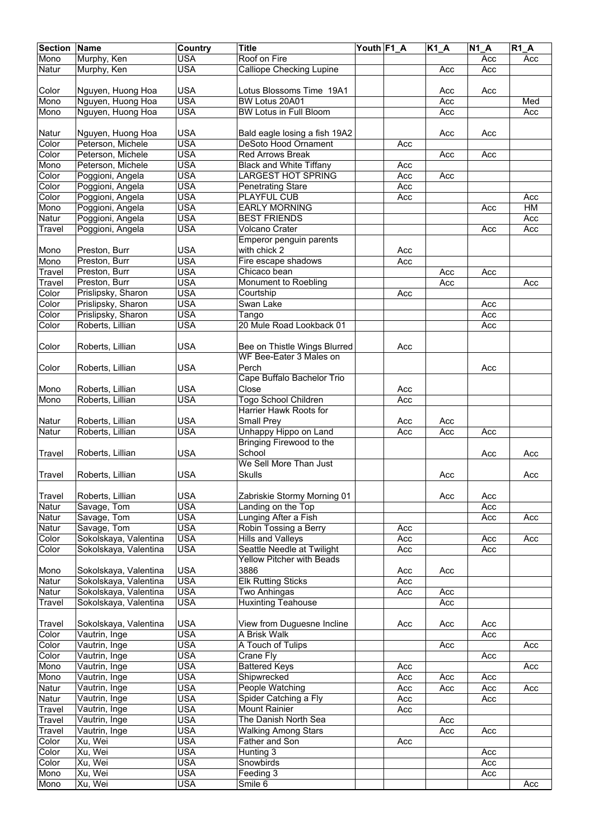| <b>Section</b> | Name                  | <b>Country</b> | <b>Title</b>                    | Youth F1 A |     | $K1_A$ | $\overline{N1}A$ | $R1_A$ |
|----------------|-----------------------|----------------|---------------------------------|------------|-----|--------|------------------|--------|
| Mono           | Murphy, Ken           | <b>USA</b>     | Roof on Fire                    |            |     |        | Acc              | Acc    |
|                | Murphy, Ken           | <b>USA</b>     |                                 |            |     |        |                  |        |
| Natur          |                       |                | <b>Calliope Checking Lupine</b> |            |     | Acc    | Acc              |        |
|                |                       |                |                                 |            |     |        |                  |        |
| Color          | Nguyen, Huong Hoa     | <b>USA</b>     | Lotus Blossoms Time 19A1        |            |     | Acc    | Acc              |        |
| Mono           | Nguyen, Huong Hoa     | <b>USA</b>     | BW Lotus 20A01                  |            |     | Acc    |                  | Med    |
| Mono           | Nguyen, Huong Hoa     | <b>USA</b>     | <b>BW Lotus in Full Bloom</b>   |            |     | Acc    |                  | Acc    |
|                |                       |                |                                 |            |     |        |                  |        |
| Natur          | Nguyen, Huong Hoa     | <b>USA</b>     | Bald eagle losing a fish 19A2   |            |     | Acc    | Acc              |        |
|                |                       | <b>USA</b>     | <b>DeSoto Hood Ornament</b>     |            |     |        |                  |        |
| Color          | Peterson, Michele     |                |                                 |            | Acc |        |                  |        |
| Color          | Peterson, Michele     | <b>USA</b>     | <b>Red Arrows Break</b>         |            |     | Acc    | Acc              |        |
| Mono           | Peterson, Michele     | <b>USA</b>     | <b>Black and White Tiffany</b>  |            | Acc |        |                  |        |
| Color          | Poggioni, Angela      | <b>USA</b>     | <b>LARGEST HOT SPRING</b>       |            | Acc | Acc    |                  |        |
| Color          | Poggioni, Angela      | <b>USA</b>     | <b>Penetrating Stare</b>        |            | Acc |        |                  |        |
| Color          | Poggioni, Angela      | <b>USA</b>     | PLAYFUL CUB                     |            | Acc |        |                  | Acc    |
| Mono           | Poggioni, Angela      | <b>USA</b>     | <b>EARLY MORNING</b>            |            |     |        | Acc              | H M    |
| Natur          | Poggioni, Angela      | <b>USA</b>     | <b>BEST FRIENDS</b>             |            |     |        |                  | Acc    |
|                |                       |                |                                 |            |     |        |                  |        |
| Travel         | Poggioni, Angela      | <b>USA</b>     | Volcano Crater                  |            |     |        | Acc              | Acc    |
|                |                       |                | Emperor penguin parents         |            |     |        |                  |        |
| Mono           | Preston, Burr         | <b>USA</b>     | with chick 2                    |            | Acc |        |                  |        |
| Mono           | Preston, Burr         | <b>USA</b>     | Fire escape shadows             |            | Acc |        |                  |        |
| Travel         | Preston, Burr         | <b>USA</b>     | Chicaco bean                    |            |     | Acc    | Acc              |        |
| Travel         | Preston, Burr         | <b>USA</b>     | Monument to Roebling            |            |     | Acc    |                  | Acc    |
| Color          |                       | <b>USA</b>     |                                 |            |     |        |                  |        |
|                | Prislipsky, Sharon    |                | Courtship                       |            | Acc |        |                  |        |
| Color          | Prislipsky, Sharon    | <b>USA</b>     | Swan Lake                       |            |     |        | Acc              |        |
| Color          | Prislipsky, Sharon    | <b>USA</b>     | Tango                           |            |     |        | Acc              |        |
| Color          | Roberts, Lillian      | <b>USA</b>     | 20 Mule Road Lookback 01        |            |     |        | Acc              |        |
|                |                       |                |                                 |            |     |        |                  |        |
| Color          | Roberts, Lillian      | <b>USA</b>     | Bee on Thistle Wings Blurred    |            | Acc |        |                  |        |
|                |                       |                | WF Bee-Eater 3 Males on         |            |     |        |                  |        |
|                |                       | <b>USA</b>     | Perch                           |            |     |        |                  |        |
| Color          | Roberts, Lillian      |                |                                 |            |     |        | Acc              |        |
|                |                       |                | Cape Buffalo Bachelor Trio      |            |     |        |                  |        |
| Mono           | Roberts, Lillian      | <b>USA</b>     | Close                           |            | Acc |        |                  |        |
| Mono           | Roberts, Lillian      | <b>USA</b>     | <b>Togo School Children</b>     |            | Acc |        |                  |        |
|                |                       |                | Harrier Hawk Roots for          |            |     |        |                  |        |
| Natur          | Roberts, Lillian      | <b>USA</b>     | <b>Small Prey</b>               |            | Acc | Acc    |                  |        |
| Natur          | Roberts, Lillian      | <b>USA</b>     | Unhappy Hippo on Land           |            | Acc | Acc    | Acc              |        |
|                |                       |                | <b>Bringing Firewood to the</b> |            |     |        |                  |        |
|                |                       |                |                                 |            |     |        |                  |        |
| <b>Travel</b>  | Roberts, Lillian      | <b>USA</b>     | School                          |            |     |        | Acc              | Acc    |
|                |                       |                | We Sell More Than Just          |            |     |        |                  |        |
| Travel         | Roberts, Lillian      | <b>USA</b>     | <b>Skulls</b>                   |            |     | Acc    |                  | Acc    |
|                |                       |                |                                 |            |     |        |                  |        |
| Travel         | Roberts, Lillian      | <b>USA</b>     | Zabriskie Stormy Morning 01     |            |     | Acc    | Acc              |        |
| Natur          | Savage, Tom           | <b>USA</b>     | Landing on the Top              |            |     |        | Acc              |        |
| Natur          | Savage, Tom           | <b>USA</b>     | Lunging After a Fish            |            |     |        | Acc              | Acc    |
|                |                       | <b>USA</b>     | Robin Tossing a Berry           |            |     |        |                  |        |
| Natur          | Savage, Tom           |                |                                 |            | Acc |        |                  |        |
| Color          | Sokolskaya, Valentina | <b>USA</b>     | <b>Hills and Valleys</b>        |            | Acc |        | Acc              | Acc    |
| Color          | Sokolskaya, Valentina | <b>USA</b>     | Seattle Needle at Twilight      |            | Acc |        | Acc              |        |
|                |                       |                | Yellow Pitcher with Beads       |            |     |        |                  |        |
| Mono           | Sokolskaya, Valentina | <b>USA</b>     | 3886                            |            | Acc | Acc    |                  |        |
| Natur          | Sokolskaya, Valentina | <b>USA</b>     | <b>Elk Rutting Sticks</b>       |            | Acc |        |                  |        |
| Natur          | Sokolskaya, Valentina | <b>USA</b>     | <b>Two Anhingas</b>             |            | Acc | Acc    |                  |        |
| Travel         | Sokolskaya, Valentina | <b>USA</b>     | <b>Huxinting Teahouse</b>       |            |     | Acc    |                  |        |
|                |                       |                |                                 |            |     |        |                  |        |
|                |                       |                |                                 |            |     |        |                  |        |
| Travel         | Sokolskaya, Valentina | <b>USA</b>     | View from Duguesne Incline      |            | Acc | Acc    | Acc              |        |
| Color          | Vautrin, Inge         | <b>USA</b>     | A Brisk Walk                    |            |     |        | Acc              |        |
| Color          | Vautrin, Inge         | <b>USA</b>     | A Touch of Tulips               |            |     | Acc    |                  | Acc    |
| Color          | Vautrin, Inge         | <b>USA</b>     | Crane Fly                       |            |     |        | Acc              |        |
| Mono           | Vautrin, Inge         | <b>USA</b>     | <b>Battered Keys</b>            |            | Acc |        |                  | Acc    |
| Mono           | Vautrin, Inge         | <b>USA</b>     | Shipwrecked                     |            | Acc | Acc    | Acc              |        |
| Natur          | Vautrin, Inge         | <b>USA</b>     | People Watching                 |            | Acc | Acc    | Acc              | Acc    |
|                |                       |                |                                 |            |     |        |                  |        |
| Natur          | Vautrin, Inge         | <b>USA</b>     | Spider Catching a Fly           |            | Acc |        | Acc              |        |
| Travel         | Vautrin, Inge         | <b>USA</b>     | <b>Mount Rainier</b>            |            | Acc |        |                  |        |
| Travel         | Vautrin, Inge         | <b>USA</b>     | The Danish North Sea            |            |     | Acc    |                  |        |
| Travel         | Vautrin, Inge         | <b>USA</b>     | <b>Walking Among Stars</b>      |            |     | Acc    | Acc              |        |
| Color          | Xu, Wei               | <b>USA</b>     | Father and Son                  |            | Acc |        |                  |        |
| Color          | Xu, Wei               | <b>USA</b>     | Hunting 3                       |            |     |        | Acc              |        |
| Color          | Xu, Wei               | <b>USA</b>     | Snowbirds                       |            |     |        | Acc              |        |
| Mono           | Xu, Wei               | <b>USA</b>     | Feeding 3                       |            |     |        |                  |        |
|                |                       |                |                                 |            |     |        | Acc              |        |
| Mono           | Xu, Wei               | <b>USA</b>     | Smile 6                         |            |     |        |                  | Acc    |